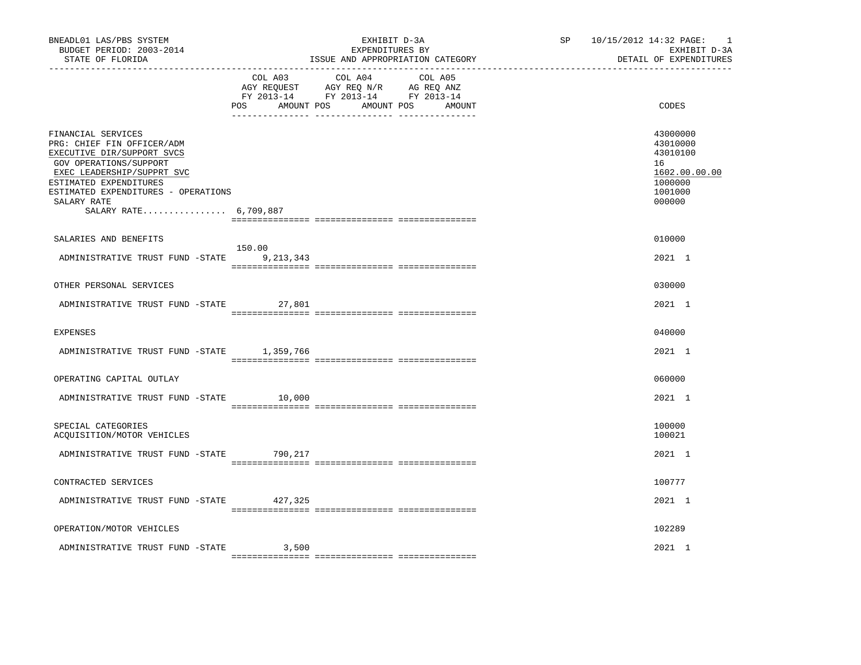| BNEADL01 LAS/PBS SYSTEM<br>BUDGET PERIOD: 2003-2014<br>STATE OF FLORIDA                                                                                                                                                                         |                     | EXHIBIT D-3A<br>EXPENDITURES BY<br>ISSUE AND APPROPRIATION CATEGORY                                                       | SP <sub>2</sub> | 10/15/2012 14:32 PAGE:<br>$\overline{\phantom{0}}$<br>EXHIBIT D-3A<br>DETAIL OF EXPENDITURES |
|-------------------------------------------------------------------------------------------------------------------------------------------------------------------------------------------------------------------------------------------------|---------------------|---------------------------------------------------------------------------------------------------------------------------|-----------------|----------------------------------------------------------------------------------------------|
|                                                                                                                                                                                                                                                 | COL A03<br>POS      | COL A04 COL A05<br>AGY REQUEST AGY REQ N/R AG REQ ANZ<br>FY 2013-14 FY 2013-14 FY 2013-14<br>AMOUNT POS AMOUNT POS AMOUNT |                 | CODES                                                                                        |
| FINANCIAL SERVICES<br>PRG: CHIEF FIN OFFICER/ADM<br>EXECUTIVE DIR/SUPPORT SVCS<br>GOV OPERATIONS/SUPPORT<br>EXEC LEADERSHIP/SUPPRT SVC<br>ESTIMATED EXPENDITURES<br>ESTIMATED EXPENDITURES - OPERATIONS<br>SALARY RATE<br>SALARY RATE 6,709,887 |                     |                                                                                                                           |                 | 43000000<br>43010000<br>43010100<br>16<br>1602.00.00.00<br>1000000<br>1001000<br>000000      |
| SALARIES AND BENEFITS                                                                                                                                                                                                                           |                     |                                                                                                                           |                 | 010000                                                                                       |
| ADMINISTRATIVE TRUST FUND -STATE                                                                                                                                                                                                                | 150.00<br>9,213,343 |                                                                                                                           |                 | 2021 1                                                                                       |
| OTHER PERSONAL SERVICES                                                                                                                                                                                                                         |                     |                                                                                                                           |                 | 030000                                                                                       |
| ADMINISTRATIVE TRUST FUND -STATE 27,801                                                                                                                                                                                                         |                     |                                                                                                                           |                 | 2021 1                                                                                       |
| <b>EXPENSES</b>                                                                                                                                                                                                                                 |                     |                                                                                                                           |                 | 040000                                                                                       |
| ADMINISTRATIVE TRUST FUND -STATE 1,359,766                                                                                                                                                                                                      |                     |                                                                                                                           |                 | 2021 1                                                                                       |
| OPERATING CAPITAL OUTLAY                                                                                                                                                                                                                        |                     |                                                                                                                           |                 | 060000                                                                                       |
| ADMINISTRATIVE TRUST FUND -STATE 10,000                                                                                                                                                                                                         |                     |                                                                                                                           |                 | 2021 1                                                                                       |
| SPECIAL CATEGORIES<br>ACQUISITION/MOTOR VEHICLES                                                                                                                                                                                                |                     |                                                                                                                           |                 | 100000<br>100021                                                                             |
| ADMINISTRATIVE TRUST FUND -STATE                                                                                                                                                                                                                | 790,217             |                                                                                                                           |                 | 2021 1                                                                                       |
| CONTRACTED SERVICES                                                                                                                                                                                                                             |                     |                                                                                                                           |                 | 100777                                                                                       |
| ADMINISTRATIVE TRUST FUND -STATE 427,325                                                                                                                                                                                                        |                     |                                                                                                                           |                 | 2021 1                                                                                       |
| OPERATION/MOTOR VEHICLES                                                                                                                                                                                                                        |                     |                                                                                                                           |                 | 102289                                                                                       |
| ADMINISTRATIVE TRUST FUND -STATE                                                                                                                                                                                                                | 3,500               |                                                                                                                           |                 | 2021 1                                                                                       |
|                                                                                                                                                                                                                                                 |                     |                                                                                                                           |                 |                                                                                              |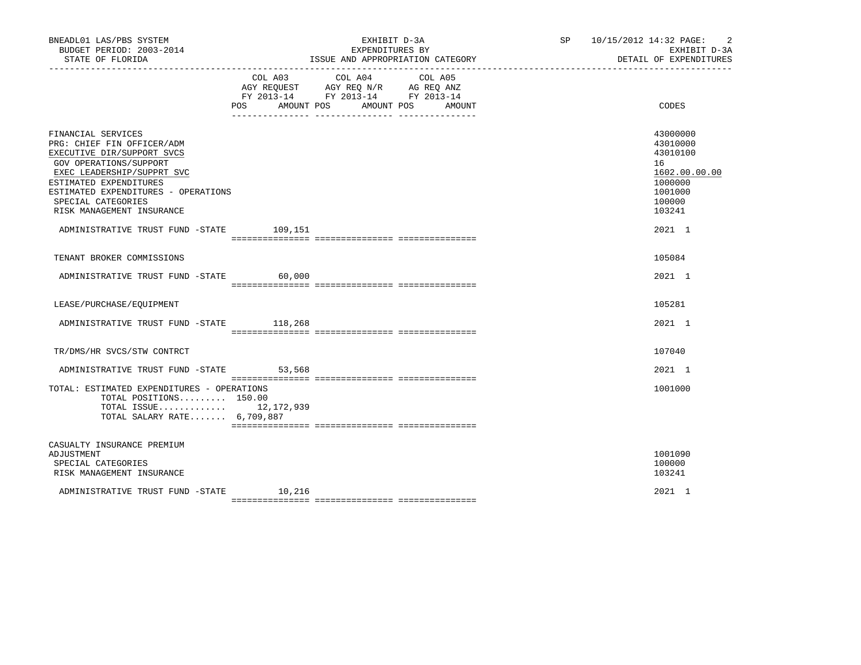| BNEADL01 LAS/PBS SYSTEM<br>BUDGET PERIOD: 2003-2014<br>STATE OF FLORIDA                                                                                                                                                                                    |                | EXHIBIT D-3A<br>EXPENDITURES BY<br>ISSUE AND APPROPRIATION CATEGORY                                                             | $\overline{2}$<br>SP 10/15/2012 14:32 PAGE:<br>EXHIBIT D-3A<br>DETAIL OF EXPENDITURES             |
|------------------------------------------------------------------------------------------------------------------------------------------------------------------------------------------------------------------------------------------------------------|----------------|---------------------------------------------------------------------------------------------------------------------------------|---------------------------------------------------------------------------------------------------|
|                                                                                                                                                                                                                                                            | COL A03<br>POS | COL A04<br>COL A05<br>AGY REQUEST AGY REQ N/R AG REQ ANZ<br>FY 2013-14 FY 2013-14 FY 2013-14<br>AMOUNT POS AMOUNT POS<br>AMOUNT | CODES                                                                                             |
| FINANCIAL SERVICES<br>PRG: CHIEF FIN OFFICER/ADM<br>EXECUTIVE DIR/SUPPORT SVCS<br>GOV OPERATIONS/SUPPORT<br>EXEC LEADERSHIP/SUPPRT SVC<br>ESTIMATED EXPENDITURES<br>ESTIMATED EXPENDITURES - OPERATIONS<br>SPECIAL CATEGORIES<br>RISK MANAGEMENT INSURANCE |                |                                                                                                                                 | 43000000<br>43010000<br>43010100<br>16<br>1602.00.00.00<br>1000000<br>1001000<br>100000<br>103241 |
| ADMINISTRATIVE TRUST FUND -STATE                                                                                                                                                                                                                           | 109,151        |                                                                                                                                 | 2021 1                                                                                            |
| TENANT BROKER COMMISSIONS                                                                                                                                                                                                                                  |                |                                                                                                                                 | 105084                                                                                            |
| ADMINISTRATIVE TRUST FUND -STATE                                                                                                                                                                                                                           | 60,000         |                                                                                                                                 | 2021 1                                                                                            |
| LEASE/PURCHASE/EQUIPMENT                                                                                                                                                                                                                                   |                |                                                                                                                                 | 105281                                                                                            |
| ADMINISTRATIVE TRUST FUND -STATE 118,268                                                                                                                                                                                                                   |                |                                                                                                                                 | $2021$ 1                                                                                          |
| TR/DMS/HR SVCS/STW CONTRCT                                                                                                                                                                                                                                 |                |                                                                                                                                 | 107040                                                                                            |
| ADMINISTRATIVE TRUST FUND -STATE                                                                                                                                                                                                                           | 53,568         |                                                                                                                                 | 2021 1                                                                                            |
| TOTAL: ESTIMATED EXPENDITURES - OPERATIONS<br>TOTAL POSITIONS $150.00$<br>TOTAL ISSUE 12,172,939<br>TOTAL SALARY RATE 6,709,887                                                                                                                            |                |                                                                                                                                 | 1001000                                                                                           |
| CASUALTY INSURANCE PREMIUM<br>ADJUSTMENT<br>SPECIAL CATEGORIES<br>RISK MANAGEMENT INSURANCE                                                                                                                                                                |                |                                                                                                                                 | 1001090<br>100000<br>103241                                                                       |
| ADMINISTRATIVE TRUST FUND -STATE                                                                                                                                                                                                                           | 10,216         |                                                                                                                                 | 2021 1                                                                                            |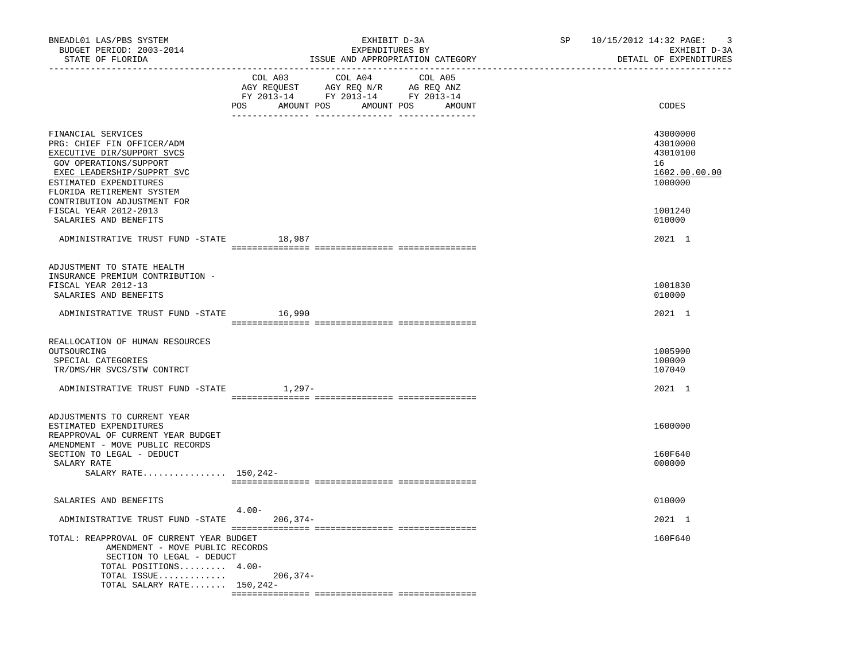| BNEADL01 LAS/PBS SYSTEM<br>BUDGET PERIOD: 2003-2014<br>STATE OF FLORIDA                                                                                                                                                                               |                           | EXHIBIT D-3A<br>EXPENDITURES BY<br>ISSUE AND APPROPRIATION CATEGORY                             |                   | SP | 10/15/2012 14:32 PAGE:<br>-3<br>EXHIBIT D-3A<br>DETAIL OF EXPENDITURES        |
|-------------------------------------------------------------------------------------------------------------------------------------------------------------------------------------------------------------------------------------------------------|---------------------------|-------------------------------------------------------------------------------------------------|-------------------|----|-------------------------------------------------------------------------------|
|                                                                                                                                                                                                                                                       | COL A03<br>POS AMOUNT POS | COL A04<br>AGY REQUEST AGY REQ N/R AG REQ ANZ<br>FY 2013-14 FY 2013-14 FY 2013-14<br>AMOUNT POS | COL A05<br>AMOUNT |    | CODES                                                                         |
| FINANCIAL SERVICES<br>PRG: CHIEF FIN OFFICER/ADM<br>EXECUTIVE DIR/SUPPORT SVCS<br>GOV OPERATIONS/SUPPORT<br>EXEC LEADERSHIP/SUPPRT SVC<br>ESTIMATED EXPENDITURES<br>FLORIDA RETIREMENT SYSTEM<br>CONTRIBUTION ADJUSTMENT FOR<br>FISCAL YEAR 2012-2013 |                           |                                                                                                 |                   |    | 43000000<br>43010000<br>43010100<br>16<br>1602.00.00.00<br>1000000<br>1001240 |
| SALARIES AND BENEFITS                                                                                                                                                                                                                                 |                           |                                                                                                 |                   |    | 010000                                                                        |
| ADMINISTRATIVE TRUST FUND -STATE                                                                                                                                                                                                                      | 18,987                    |                                                                                                 |                   |    | 2021 1                                                                        |
| ADJUSTMENT TO STATE HEALTH<br>INSURANCE PREMIUM CONTRIBUTION -<br>FISCAL YEAR 2012-13<br>SALARIES AND BENEFITS                                                                                                                                        |                           |                                                                                                 |                   |    | 1001830<br>010000                                                             |
| ADMINISTRATIVE TRUST FUND -STATE 16,990                                                                                                                                                                                                               |                           |                                                                                                 |                   |    | 2021 1                                                                        |
| REALLOCATION OF HUMAN RESOURCES<br>OUTSOURCING<br>SPECIAL CATEGORIES<br>TR/DMS/HR SVCS/STW CONTRCT<br>ADMINISTRATIVE TRUST FUND -STATE                                                                                                                | 1,297-                    |                                                                                                 |                   |    | 1005900<br>100000<br>107040<br>2021 1                                         |
|                                                                                                                                                                                                                                                       |                           |                                                                                                 |                   |    |                                                                               |
| ADJUSTMENTS TO CURRENT YEAR<br>ESTIMATED EXPENDITURES<br>REAPPROVAL OF CURRENT YEAR BUDGET                                                                                                                                                            |                           |                                                                                                 |                   |    | 1600000                                                                       |
| AMENDMENT - MOVE PUBLIC RECORDS<br>SECTION TO LEGAL - DEDUCT<br>SALARY RATE<br>SALARY RATE $150,242-$                                                                                                                                                 |                           |                                                                                                 |                   |    | 160F640<br>000000                                                             |
| SALARIES AND BENEFITS                                                                                                                                                                                                                                 |                           |                                                                                                 |                   |    | 010000                                                                        |
| ADMINISTRATIVE TRUST FUND -STATE 206,374-                                                                                                                                                                                                             | $4.00-$                   |                                                                                                 |                   |    | 2021 1                                                                        |
| TOTAL: REAPPROVAL OF CURRENT YEAR BUDGET<br>AMENDMENT - MOVE PUBLIC RECORDS<br>SECTION TO LEGAL - DEDUCT<br>TOTAL POSITIONS 4.00-                                                                                                                     |                           |                                                                                                 |                   |    | 160F640                                                                       |
| TOTAL ISSUE 206,374-<br>TOTAL SALARY RATE $150,242-$                                                                                                                                                                                                  |                           |                                                                                                 |                   |    |                                                                               |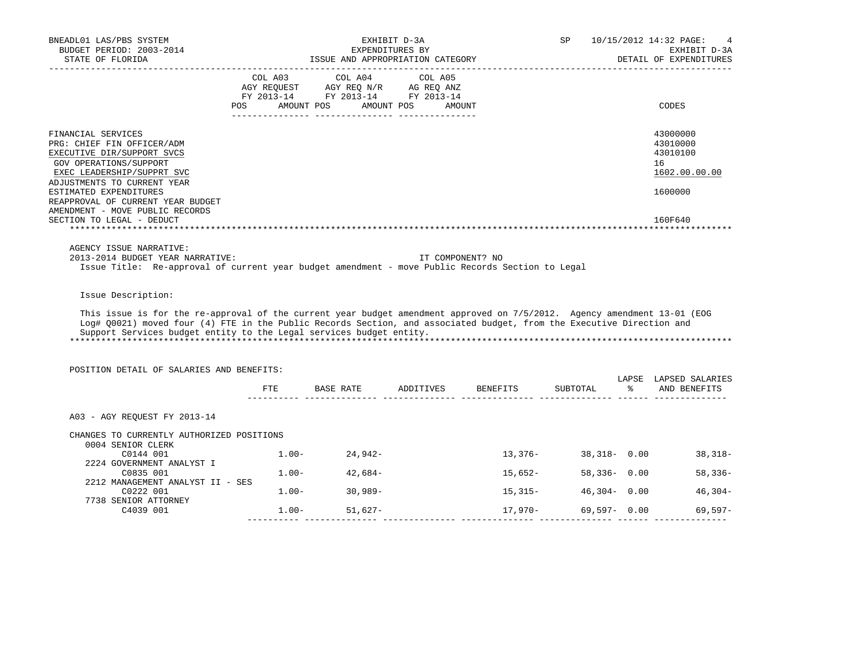| BNEADL01 LAS/PBS SYSTEM<br>BUDGET PERIOD: 2003-2014<br>STATE OF FLORIDA<br>___________________                                                                                                                                                                                                                           | ISSUE AND APPROPRIATION CATEGORY                                                                                                                                         | EXHIBIT D-3A<br>EXPENDITURES BY |                                                               |                 | 10/15/2012 14:32 PAGE:<br>4<br>EXHIBIT D-3A<br>DETAIL OF EXPENDITURES |
|--------------------------------------------------------------------------------------------------------------------------------------------------------------------------------------------------------------------------------------------------------------------------------------------------------------------------|--------------------------------------------------------------------------------------------------------------------------------------------------------------------------|---------------------------------|---------------------------------------------------------------|-----------------|-----------------------------------------------------------------------|
| <b>POS</b>                                                                                                                                                                                                                                                                                                               | $\begin{tabular}{lcccc} COL A03 & COL A04 & COL A05 \\ AGY REQUEST & AGY REQ N/R & AG REQ ANZ \\ FY & 2013-14 & FY & 2013-14 & FY & 2013-14 \end{tabular}$<br>AMOUNT POS | AMOUNT POS<br>AMOUNT            |                                                               |                 | CODES                                                                 |
| FINANCIAL SERVICES<br>PRG: CHIEF FIN OFFICER/ADM<br>EXECUTIVE DIR/SUPPORT SVCS<br>GOV OPERATIONS/SUPPORT<br>EXEC LEADERSHIP/SUPPRT SVC<br>ADJUSTMENTS TO CURRENT YEAR<br>ESTIMATED EXPENDITURES<br>REAPPROVAL OF CURRENT YEAR BUDGET                                                                                     |                                                                                                                                                                          |                                 |                                                               |                 | 43000000<br>43010000<br>43010100<br>16<br>1602.00.00.00<br>1600000    |
| AMENDMENT - MOVE PUBLIC RECORDS<br>SECTION TO LEGAL - DEDUCT                                                                                                                                                                                                                                                             |                                                                                                                                                                          |                                 |                                                               |                 | 160F640                                                               |
| AGENCY ISSUE NARRATIVE:<br>2013-2014 BUDGET YEAR NARRATIVE:<br>Issue Title: Re-approval of current year budget amendment - move Public Records Section to Legal                                                                                                                                                          |                                                                                                                                                                          | IT COMPONENT? NO                |                                                               |                 |                                                                       |
| Issue Description:                                                                                                                                                                                                                                                                                                       |                                                                                                                                                                          |                                 |                                                               |                 |                                                                       |
| This issue is for the re-approval of the current year budget amendment approved on 7/5/2012. Agency amendment 13-01 (EOG<br>Log# Q0021) moved four (4) FTE in the Public Records Section, and associated budget, from the Executive Direction and<br>Support Services budget entity to the Legal services budget entity. |                                                                                                                                                                          |                                 |                                                               |                 |                                                                       |
| POSITION DETAIL OF SALARIES AND BENEFITS:                                                                                                                                                                                                                                                                                |                                                                                                                                                                          |                                 |                                                               |                 |                                                                       |
|                                                                                                                                                                                                                                                                                                                          |                                                                                                                                                                          |                                 | FTE BASE RATE ADDITIVES BENEFITS SUBTOTAL $\ast$ AND BENEFITS |                 | LAPSE LAPSED SALARIES                                                 |
| A03 - AGY REQUEST FY 2013-14                                                                                                                                                                                                                                                                                             |                                                                                                                                                                          |                                 |                                                               |                 |                                                                       |
| CHANGES TO CURRENTLY AUTHORIZED POSITIONS<br>0004 SENIOR CLERK                                                                                                                                                                                                                                                           |                                                                                                                                                                          |                                 |                                                               |                 |                                                                       |
| C0144 001<br>2224 GOVERNMENT ANALYST I                                                                                                                                                                                                                                                                                   | $1.00 - 24,942 -$                                                                                                                                                        |                                 |                                                               |                 | $13,376-$ 38,318- 0.00 38,318-                                        |
| C0835 001<br>2212 MANAGEMENT ANALYST II - SES                                                                                                                                                                                                                                                                            | $1.00 - 42,684 -$                                                                                                                                                        |                                 | 15,652-                                                       | 58,336- 0.00    | $58,336-$                                                             |
| C0222 001<br>7738 SENIOR ATTORNEY                                                                                                                                                                                                                                                                                        | $1.00 - 30,989 -$                                                                                                                                                        |                                 | $15,315-$                                                     | $46,304 - 0.00$ | $46,304-$                                                             |
| C4039 001                                                                                                                                                                                                                                                                                                                | $1.00 - 51,627 -$                                                                                                                                                        |                                 | 17,970-                                                       |                 | 69,597- 0.00<br>69,597-                                               |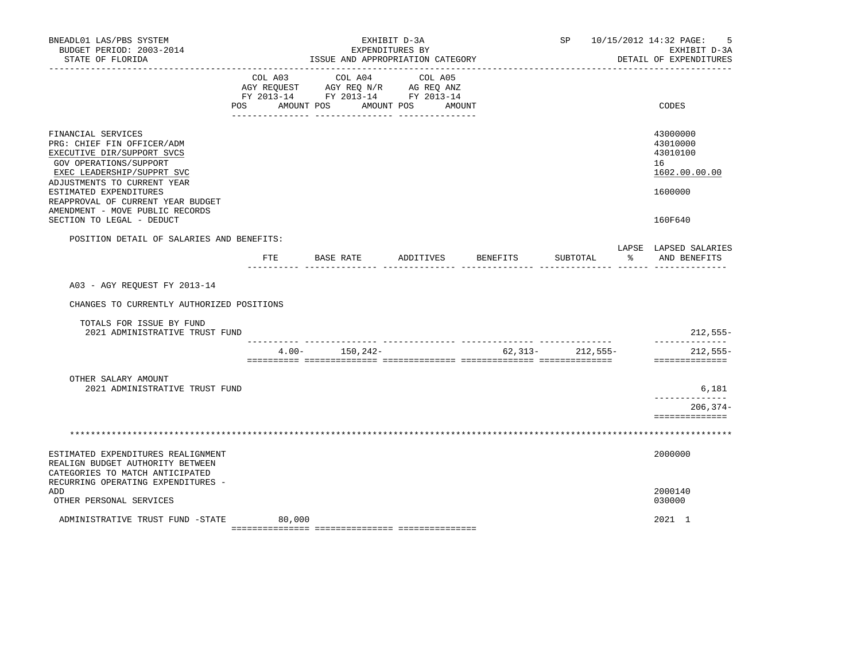| BNEADL01 LAS/PBS SYSTEM<br>BUDGET PERIOD: 2003-2014<br>STATE OF FLORIDA                                                                                               |                           | EXPENDITURES BY<br>ISSUE AND APPROPRIATION CATEGORY                               | EXHIBIT D-3A                 |          | SP       |               | 10/15/2012 14:32 PAGE:<br>5<br>EXHIBIT D-3A<br>DETAIL OF EXPENDITURES |
|-----------------------------------------------------------------------------------------------------------------------------------------------------------------------|---------------------------|-----------------------------------------------------------------------------------|------------------------------|----------|----------|---------------|-----------------------------------------------------------------------|
|                                                                                                                                                                       | COL A03<br>POS AMOUNT POS | COL A04<br>AGY REQUEST AGY REQ N/R AG REQ ANZ<br>FY 2013-14 FY 2013-14 FY 2013-14 | COL A05<br>AMOUNT POS AMOUNT |          |          |               | CODES                                                                 |
| FINANCIAL SERVICES<br>PRG: CHIEF FIN OFFICER/ADM<br>EXECUTIVE DIR/SUPPORT SVCS<br>GOV OPERATIONS/SUPPORT<br>EXEC LEADERSHIP/SUPPRT SVC<br>ADJUSTMENTS TO CURRENT YEAR |                           |                                                                                   |                              |          |          |               | 43000000<br>43010000<br>43010100<br>16<br>1602.00.00.00               |
| ESTIMATED EXPENDITURES<br>REAPPROVAL OF CURRENT YEAR BUDGET<br>AMENDMENT - MOVE PUBLIC RECORDS<br>SECTION TO LEGAL - DEDUCT                                           |                           |                                                                                   |                              |          |          |               | 1600000<br>160F640                                                    |
| POSITION DETAIL OF SALARIES AND BENEFITS:                                                                                                                             |                           | FTE BASE RATE ADDITIVES                                                           |                              | BENEFITS | SUBTOTAL | $\frac{1}{2}$ | LAPSE LAPSED SALARIES<br>AND BENEFITS                                 |
| A03 - AGY REQUEST FY 2013-14<br>CHANGES TO CURRENTLY AUTHORIZED POSITIONS                                                                                             |                           |                                                                                   |                              |          |          |               |                                                                       |
| TOTALS FOR ISSUE BY FUND<br>2021 ADMINISTRATIVE TRUST FUND                                                                                                            |                           |                                                                                   |                              |          |          |               | $212,555-$                                                            |
|                                                                                                                                                                       |                           | $4.00 - 150,242 -$                                                                |                              | 62,313-  | 212,555- |               | ______________<br>$212,555-$<br>==============                        |
| OTHER SALARY AMOUNT<br>2021 ADMINISTRATIVE TRUST FUND                                                                                                                 |                           |                                                                                   |                              |          |          |               | 6,181<br>------------<br>$206, 374 -$<br>==============               |
|                                                                                                                                                                       |                           |                                                                                   |                              |          |          |               |                                                                       |
| ESTIMATED EXPENDITURES REALIGNMENT<br>REALIGN BUDGET AUTHORITY BETWEEN<br>CATEGORIES TO MATCH ANTICIPATED                                                             |                           |                                                                                   |                              |          |          |               | 2000000                                                               |
| RECURRING OPERATING EXPENDITURES -<br><b>ADD</b><br>OTHER PERSONAL SERVICES                                                                                           |                           |                                                                                   |                              |          |          |               | 2000140<br>030000                                                     |
| ADMINISTRATIVE TRUST FUND -STATE                                                                                                                                      | 80,000                    |                                                                                   |                              |          |          |               | 2021 1                                                                |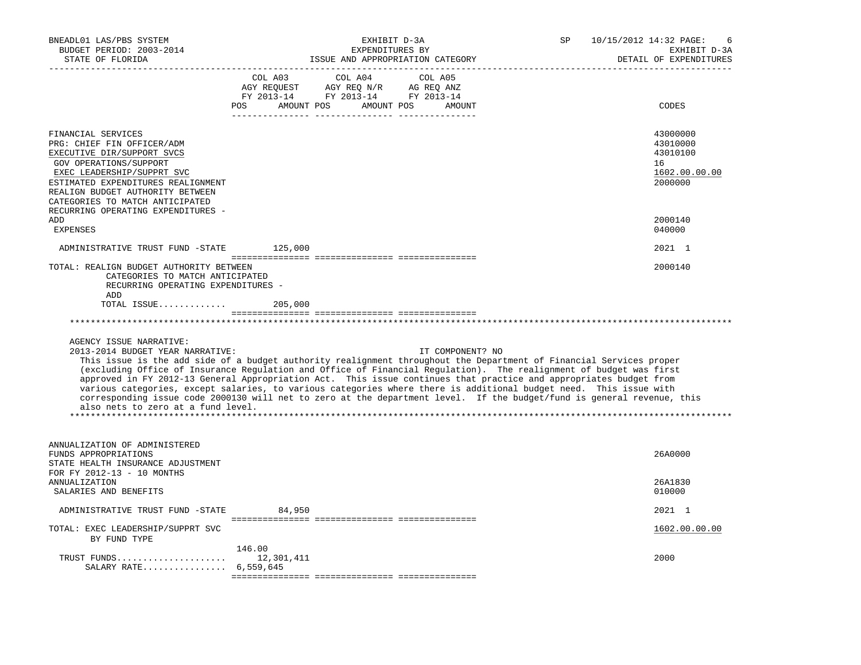| BNEADL01 LAS/PBS SYSTEM<br>BUDGET PERIOD: 2003-2014<br>STATE OF FLORIDA                                                                                                                                                                                                                   | EXHIBIT D-3A<br>EXPENDITURES BY<br>ISSUE AND APPROPRIATION CATEGORY                                                                                                                                                                                                                                                                                                                                                                                                                                                                                                                                                               | 10/15/2012 14:32 PAGE:<br>SP<br>EXHIBIT D-3A<br>DETAIL OF EXPENDITURES |
|-------------------------------------------------------------------------------------------------------------------------------------------------------------------------------------------------------------------------------------------------------------------------------------------|-----------------------------------------------------------------------------------------------------------------------------------------------------------------------------------------------------------------------------------------------------------------------------------------------------------------------------------------------------------------------------------------------------------------------------------------------------------------------------------------------------------------------------------------------------------------------------------------------------------------------------------|------------------------------------------------------------------------|
|                                                                                                                                                                                                                                                                                           | COL A03<br>COL A04<br>COL A05<br>AGY REQUEST AGY REQ N/R AG REQ ANZ<br>FY 2013-14 FY 2013-14 FY 2013-14<br>POS AMOUNT POS AMOUNT POS AMOUNT                                                                                                                                                                                                                                                                                                                                                                                                                                                                                       | CODES                                                                  |
| FINANCIAL SERVICES<br>PRG: CHIEF FIN OFFICER/ADM<br>EXECUTIVE DIR/SUPPORT SVCS<br>GOV OPERATIONS/SUPPORT<br>EXEC LEADERSHIP/SUPPRT SVC<br>ESTIMATED EXPENDITURES REALIGNMENT<br>REALIGN BUDGET AUTHORITY BETWEEN<br>CATEGORIES TO MATCH ANTICIPATED<br>RECURRING OPERATING EXPENDITURES - |                                                                                                                                                                                                                                                                                                                                                                                                                                                                                                                                                                                                                                   | 43000000<br>43010000<br>43010100<br>16<br>1602.00.00.00<br>2000000     |
| ADD<br><b>EXPENSES</b>                                                                                                                                                                                                                                                                    |                                                                                                                                                                                                                                                                                                                                                                                                                                                                                                                                                                                                                                   | 2000140<br>040000                                                      |
| ADMINISTRATIVE TRUST FUND -STATE                                                                                                                                                                                                                                                          | 125,000                                                                                                                                                                                                                                                                                                                                                                                                                                                                                                                                                                                                                           | 2021 1                                                                 |
| TOTAL: REALIGN BUDGET AUTHORITY BETWEEN<br>CATEGORIES TO MATCH ANTICIPATED<br>RECURRING OPERATING EXPENDITURES -<br>ADD<br>TOTAL ISSUE                                                                                                                                                    | 205,000                                                                                                                                                                                                                                                                                                                                                                                                                                                                                                                                                                                                                           | 2000140                                                                |
|                                                                                                                                                                                                                                                                                           |                                                                                                                                                                                                                                                                                                                                                                                                                                                                                                                                                                                                                                   |                                                                        |
| AGENCY ISSUE NARRATIVE:<br>2013-2014 BUDGET YEAR NARRATIVE:<br>also nets to zero at a fund level.                                                                                                                                                                                         | IT COMPONENT? NO<br>This issue is the add side of a budget authority realignment throughout the Department of Financial Services proper<br>(excluding Office of Insurance Regulation and Office of Financial Regulation). The realignment of budget was first<br>approved in FY 2012-13 General Appropriation Act. This issue continues that practice and appropriates budget from<br>various categories, except salaries, to various categories where there is additional budget need. This issue with<br>corresponding issue code 2000130 will net to zero at the department level. If the budget/fund is general revenue, this |                                                                        |
| ANNUALIZATION OF ADMINISTERED<br>FUNDS APPROPRIATIONS<br>STATE HEALTH INSURANCE ADJUSTMENT<br>FOR FY 2012-13 - 10 MONTHS<br>ANNUALIZATION                                                                                                                                                 |                                                                                                                                                                                                                                                                                                                                                                                                                                                                                                                                                                                                                                   | 26A0000<br>26A1830                                                     |
| SALARIES AND BENEFITS                                                                                                                                                                                                                                                                     |                                                                                                                                                                                                                                                                                                                                                                                                                                                                                                                                                                                                                                   | 010000                                                                 |
| ADMINISTRATIVE TRUST FUND -STATE                                                                                                                                                                                                                                                          | 84,950                                                                                                                                                                                                                                                                                                                                                                                                                                                                                                                                                                                                                            | 2021 1                                                                 |
| TOTAL: EXEC LEADERSHIP/SUPPRT SVC<br>BY FUND TYPE                                                                                                                                                                                                                                         |                                                                                                                                                                                                                                                                                                                                                                                                                                                                                                                                                                                                                                   | 1602.00.00.00                                                          |
| TRUST FUNDS $12,301,411$<br>SALARY RATE 6,559,645                                                                                                                                                                                                                                         | 146.00                                                                                                                                                                                                                                                                                                                                                                                                                                                                                                                                                                                                                            | 2000                                                                   |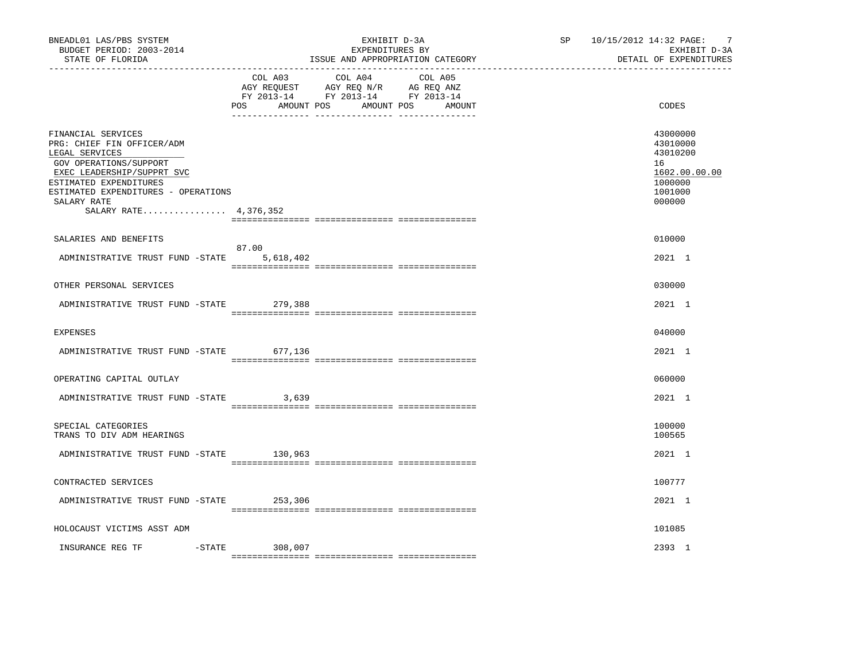| BNEADL01 LAS/PBS SYSTEM<br>BUDGET PERIOD: 2003-2014<br>STATE OF FLORIDA                                                                                                                                                             |                    | EXHIBIT D-3A<br>EXPENDITURES BY<br>ISSUE AND APPROPRIATION CATEGORY                                                              | SP <sub>2</sub> | 10/15/2012 14:32 PAGE:<br>-7<br>EXHIBIT D-3A<br>DETAIL OF EXPENDITURES                  |  |
|-------------------------------------------------------------------------------------------------------------------------------------------------------------------------------------------------------------------------------------|--------------------|----------------------------------------------------------------------------------------------------------------------------------|-----------------|-----------------------------------------------------------------------------------------|--|
|                                                                                                                                                                                                                                     | COL A03            | COL A04<br>COL A05<br>AGY REQUEST AGY REQ N/R AG REQ ANZ<br>FY 2013-14 FY 2013-14 FY 2013-14<br>POS AMOUNT POS AMOUNT POS AMOUNT |                 | CODES                                                                                   |  |
| FINANCIAL SERVICES<br>PRG: CHIEF FIN OFFICER/ADM<br>LEGAL SERVICES<br>GOV OPERATIONS/SUPPORT<br>EXEC LEADERSHIP/SUPPRT SVC<br>ESTIMATED EXPENDITURES<br>ESTIMATED EXPENDITURES - OPERATIONS<br>SALARY RATE<br>SALARY RATE 4,376,352 |                    |                                                                                                                                  |                 | 43000000<br>43010000<br>43010200<br>16<br>1602.00.00.00<br>1000000<br>1001000<br>000000 |  |
| SALARIES AND BENEFITS                                                                                                                                                                                                               |                    |                                                                                                                                  |                 | 010000                                                                                  |  |
| ADMINISTRATIVE TRUST FUND -STATE                                                                                                                                                                                                    | 87.00<br>5,618,402 |                                                                                                                                  |                 | 2021 1                                                                                  |  |
| OTHER PERSONAL SERVICES                                                                                                                                                                                                             |                    |                                                                                                                                  |                 | 030000                                                                                  |  |
| ADMINISTRATIVE TRUST FUND -STATE 279,388                                                                                                                                                                                            |                    |                                                                                                                                  |                 | 2021 1                                                                                  |  |
| <b>EXPENSES</b>                                                                                                                                                                                                                     |                    |                                                                                                                                  |                 | 040000                                                                                  |  |
| ADMINISTRATIVE TRUST FUND -STATE 677,136                                                                                                                                                                                            |                    |                                                                                                                                  |                 | 2021 1                                                                                  |  |
| OPERATING CAPITAL OUTLAY                                                                                                                                                                                                            |                    |                                                                                                                                  |                 | 060000                                                                                  |  |
| ADMINISTRATIVE TRUST FUND -STATE                                                                                                                                                                                                    | 3,639              |                                                                                                                                  |                 | 2021 1                                                                                  |  |
| SPECIAL CATEGORIES<br>TRANS TO DIV ADM HEARINGS                                                                                                                                                                                     |                    |                                                                                                                                  |                 | 100000<br>100565                                                                        |  |
| ADMINISTRATIVE TRUST FUND -STATE 130,963                                                                                                                                                                                            |                    |                                                                                                                                  |                 | 2021 1                                                                                  |  |
| CONTRACTED SERVICES                                                                                                                                                                                                                 |                    |                                                                                                                                  |                 | 100777                                                                                  |  |
| ADMINISTRATIVE TRUST FUND -STATE 253,306                                                                                                                                                                                            |                    |                                                                                                                                  |                 | 2021 1                                                                                  |  |
| HOLOCAUST VICTIMS ASST ADM                                                                                                                                                                                                          |                    |                                                                                                                                  |                 | 101085                                                                                  |  |
| $-$ STATE<br>INSURANCE REG TF                                                                                                                                                                                                       | 308,007            |                                                                                                                                  |                 | 2393 1                                                                                  |  |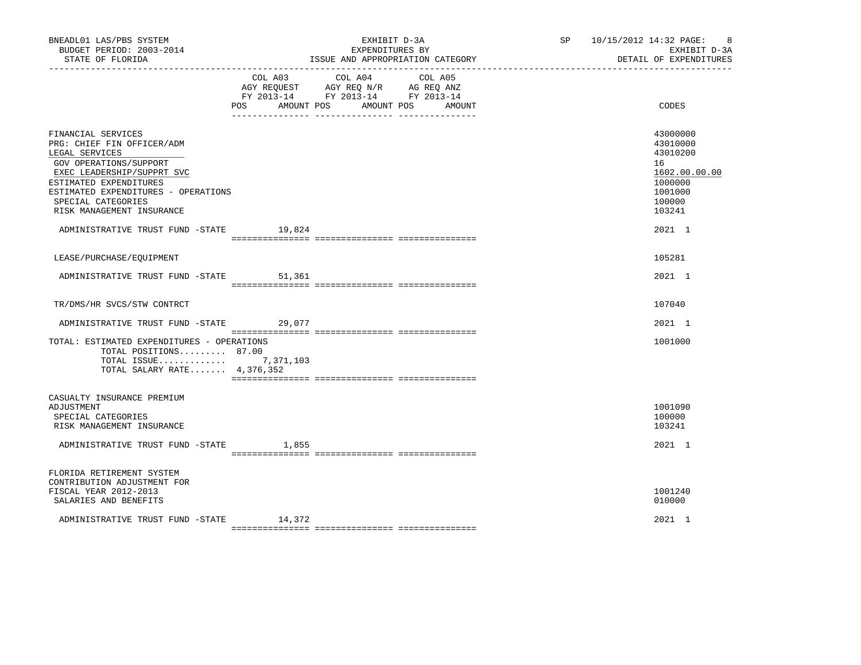| BNEADL01 LAS/PBS SYSTEM<br>BUDGET PERIOD: 2003-2014<br>STATE OF FLORIDA                                                                                                                                                                        |                   | EXHIBIT D-3A<br>EXPENDITURES BY<br>ISSUE AND APPROPRIATION CATEGORY                                                          | SP 10/15/2012 14:32 PAGE:<br>-8<br>EXHIBIT D-3A<br>DETAIL OF EXPENDITURES                         |
|------------------------------------------------------------------------------------------------------------------------------------------------------------------------------------------------------------------------------------------------|-------------------|------------------------------------------------------------------------------------------------------------------------------|---------------------------------------------------------------------------------------------------|
|                                                                                                                                                                                                                                                | POS<br>AMOUNT POS | COL A03 COL A04<br>COL A05<br>AGY REQUEST AGY REQ N/R AG REQ ANZ<br>FY 2013-14 FY 2013-14 FY 2013-14<br>AMOUNT POS<br>AMOUNT | CODES                                                                                             |
| FINANCIAL SERVICES<br>PRG: CHIEF FIN OFFICER/ADM<br>LEGAL SERVICES<br>GOV OPERATIONS/SUPPORT<br>EXEC LEADERSHIP/SUPPRT SVC<br>ESTIMATED EXPENDITURES<br>ESTIMATED EXPENDITURES - OPERATIONS<br>SPECIAL CATEGORIES<br>RISK MANAGEMENT INSURANCE |                   |                                                                                                                              | 43000000<br>43010000<br>43010200<br>16<br>1602.00.00.00<br>1000000<br>1001000<br>100000<br>103241 |
| ADMINISTRATIVE TRUST FUND -STATE 19,824                                                                                                                                                                                                        |                   |                                                                                                                              | 2021 1                                                                                            |
| LEASE/PURCHASE/EOUIPMENT                                                                                                                                                                                                                       |                   |                                                                                                                              | 105281                                                                                            |
| ADMINISTRATIVE TRUST FUND -STATE                                                                                                                                                                                                               | 51,361            |                                                                                                                              | 2021 1                                                                                            |
| TR/DMS/HR SVCS/STW CONTRCT                                                                                                                                                                                                                     |                   |                                                                                                                              | 107040                                                                                            |
| ADMINISTRATIVE TRUST FUND -STATE 29,077                                                                                                                                                                                                        |                   |                                                                                                                              | 2021 1                                                                                            |
| TOTAL: ESTIMATED EXPENDITURES - OPERATIONS<br>TOTAL POSITIONS 87.00<br>TOTAL ISSUE 7,371,103<br>TOTAL SALARY RATE $4,376,352$                                                                                                                  |                   |                                                                                                                              | 1001000                                                                                           |
| CASUALTY INSURANCE PREMIUM<br>ADJUSTMENT<br>SPECIAL CATEGORIES<br>RISK MANAGEMENT INSURANCE                                                                                                                                                    |                   |                                                                                                                              | 1001090<br>100000<br>103241                                                                       |
| ADMINISTRATIVE TRUST FUND -STATE                                                                                                                                                                                                               | 1,855             |                                                                                                                              | 2021 1                                                                                            |
| FLORIDA RETIREMENT SYSTEM<br>CONTRIBUTION ADJUSTMENT FOR<br>FISCAL YEAR 2012-2013<br>SALARIES AND BENEFITS                                                                                                                                     |                   |                                                                                                                              | 1001240<br>010000                                                                                 |
| ADMINISTRATIVE TRUST FUND -STATE 14,372                                                                                                                                                                                                        |                   |                                                                                                                              | 2021 1                                                                                            |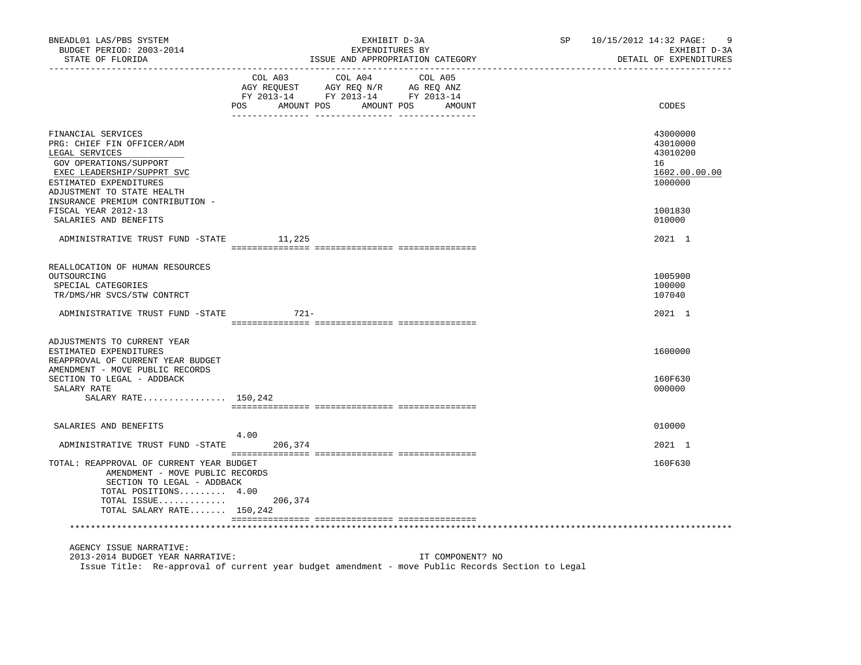| BNEADL01 LAS/PBS SYSTEM<br>BUDGET PERIOD: 2003-2014<br>STATE OF FLORIDA<br>----------------                                                                                                                            | EXHIBIT D-3A<br>SP<br>EXPENDITURES BY<br>ISSUE AND APPROPRIATION CATEGORY                                                                      | 10/15/2012 14:32 PAGE:<br>9<br>EXHIBIT D-3A<br>DETAIL OF EXPENDITURES |
|------------------------------------------------------------------------------------------------------------------------------------------------------------------------------------------------------------------------|------------------------------------------------------------------------------------------------------------------------------------------------|-----------------------------------------------------------------------|
|                                                                                                                                                                                                                        | COL A03<br>COL A04<br>COL A05<br>AGY REQUEST AGY REQ N/R AG REQ ANZ<br>FY 2013-14 FY 2013-14 FY 2013-14<br>POS<br>AMOUNT POS AMOUNT POS AMOUNT | CODES                                                                 |
| FINANCIAL SERVICES<br>PRG: CHIEF FIN OFFICER/ADM<br>LEGAL SERVICES<br>GOV OPERATIONS/SUPPORT<br>EXEC LEADERSHIP/SUPPRT SVC<br>ESTIMATED EXPENDITURES<br>ADJUSTMENT TO STATE HEALTH<br>INSURANCE PREMIUM CONTRIBUTION - |                                                                                                                                                | 43000000<br>43010000<br>43010200<br>16<br>1602.00.00.00<br>1000000    |
| FISCAL YEAR 2012-13<br>SALARIES AND BENEFITS                                                                                                                                                                           |                                                                                                                                                | 1001830<br>010000                                                     |
| ADMINISTRATIVE TRUST FUND -STATE 11,225                                                                                                                                                                                |                                                                                                                                                | 2021 1                                                                |
| REALLOCATION OF HUMAN RESOURCES<br>OUTSOURCING<br>SPECIAL CATEGORIES<br>TR/DMS/HR SVCS/STW CONTRCT                                                                                                                     |                                                                                                                                                | 1005900<br>100000<br>107040                                           |
| ADMINISTRATIVE TRUST FUND -STATE                                                                                                                                                                                       | $721 -$                                                                                                                                        | 2021 1                                                                |
| ADJUSTMENTS TO CURRENT YEAR<br>ESTIMATED EXPENDITURES<br>REAPPROVAL OF CURRENT YEAR BUDGET<br>AMENDMENT - MOVE PUBLIC RECORDS                                                                                          |                                                                                                                                                | 1600000                                                               |
| SECTION TO LEGAL - ADDBACK<br>SALARY RATE<br>SALARY RATE 150,242                                                                                                                                                       |                                                                                                                                                | 160F630<br>000000                                                     |
|                                                                                                                                                                                                                        |                                                                                                                                                |                                                                       |
| SALARIES AND BENEFITS                                                                                                                                                                                                  | 4.00                                                                                                                                           | 010000                                                                |
| ADMINISTRATIVE TRUST FUND -STATE                                                                                                                                                                                       | 206,374                                                                                                                                        | 2021 1                                                                |
| TOTAL: REAPPROVAL OF CURRENT YEAR BUDGET<br>AMENDMENT - MOVE PUBLIC RECORDS<br>SECTION TO LEGAL - ADDBACK<br>TOTAL POSITIONS 4.00<br>TOTAL ISSUE<br>TOTAL SALARY RATE $150,242$                                        | 206,374                                                                                                                                        | 160F630                                                               |
|                                                                                                                                                                                                                        |                                                                                                                                                |                                                                       |
| AGENCY ISSUE NARRATIVE:<br>2013-2014 BUDGET YEAR NARRATIVE:                                                                                                                                                            | IT COMPONENT? NO<br>Issue Title: Re-approval of current year budget amendment - move Public Records Section to Legal                           |                                                                       |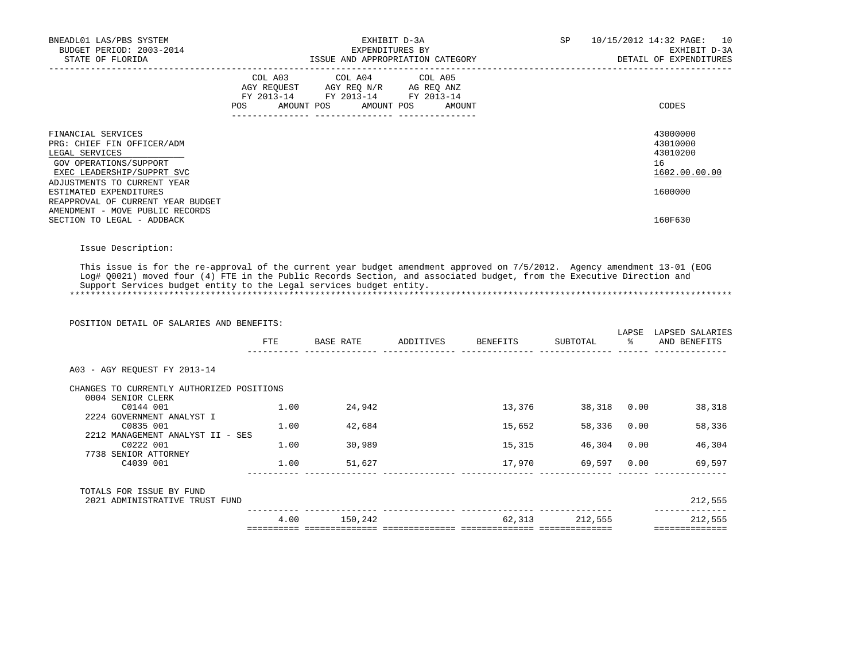| BNEADL01 LAS/PBS SYSTEM<br>BUDGET PERIOD: 2003-2014<br>STATE OF FLORIDA                                                                                   | EXHIBIT D-3A<br>EXPENDITURES BY<br>ISSUE AND APPROPRIATION CATEGORY                                                                         | SP<br>10<br>10/15/2012 14:32 PAGE:<br>EXHIBIT D-3A<br>DETAIL OF EXPENDITURES |
|-----------------------------------------------------------------------------------------------------------------------------------------------------------|---------------------------------------------------------------------------------------------------------------------------------------------|------------------------------------------------------------------------------|
|                                                                                                                                                           | COL A03 COL A04 COL A05<br>AGY REQUEST AGY REQ N/R AG REQ ANZ<br>FY 2013-14 FY 2013-14 FY 2013-14<br>AMOUNT POS AMOUNT POS<br>POS<br>AMOUNT | CODES                                                                        |
| FINANCIAL SERVICES<br>PRG: CHIEF FIN OFFICER/ADM<br>LEGAL SERVICES<br>GOV OPERATIONS/SUPPORT<br>EXEC LEADERSHIP/SUPPRT SVC<br>ADJUSTMENTS TO CURRENT YEAR |                                                                                                                                             | 43000000<br>43010000<br>43010200<br>16<br>1602.00.00.00                      |
| ESTIMATED EXPENDITURES<br>REAPPROVAL OF CURRENT YEAR BUDGET<br>AMENDMENT - MOVE PUBLIC RECORDS                                                            |                                                                                                                                             | 1600000                                                                      |
| SECTION TO LEGAL - ADDBACK                                                                                                                                |                                                                                                                                             | 160F630                                                                      |

## Issue Description:

 This issue is for the re-approval of the current year budget amendment approved on 7/5/2012. Agency amendment 13-01 (EOG Log# Q0021) moved four (4) FTE in the Public Records Section, and associated budget, from the Executive Direction and Support Services budget entity to the Legal services budget entity. \*\*\*\*\*\*\*\*\*\*\*\*\*\*\*\*\*\*\*\*\*\*\*\*\*\*\*\*\*\*\*\*\*\*\*\*\*\*\*\*\*\*\*\*\*\*\*\*\*\*\*\*\*\*\*\*\*\*\*\*\*\*\*\*\*\*\*\*\*\*\*\*\*\*\*\*\*\*\*\*\*\*\*\*\*\*\*\*\*\*\*\*\*\*\*\*\*\*\*\*\*\*\*\*\*\*\*\*\*\*\*\*\*\*\*\*\*\*\*\*\*\*\*\*\*\*\*

| POSITION DETAIL OF SALARIES AND BENEFITS: |      |           |           |                                   |             | LAPSE | LAPSED SALARIES |
|-------------------------------------------|------|-----------|-----------|-----------------------------------|-------------|-------|-----------------|
|                                           | FTE  | BASE RATE | ADDITIVES | BENEFITS                          | SUBTOTAL    |       | AND BENEFITS    |
| A03 - AGY REQUEST FY 2013-14              |      |           |           |                                   |             |       |                 |
| CHANGES TO CURRENTLY AUTHORIZED POSITIONS |      |           |           |                                   |             |       |                 |
| 0004 SENIOR CLERK                         |      |           |           |                                   |             |       |                 |
| C0144 001<br>2224 GOVERNMENT ANALYST I    | 1.00 | 24,942    |           | 13,376                            | 38,318 0.00 |       | 38,318          |
| C0835 001                                 | 1.00 | 42,684    |           | 15,652                            | 58,336      | 0.00  | 58,336          |
| 2212 MANAGEMENT ANALYST II - SES          |      |           |           |                                   |             |       |                 |
| C0222 001                                 | 1.00 | 30,989    |           | 15,315                            | 46,304      | 0.00  | 46,304          |
| 7738 SENIOR ATTORNEY                      |      |           |           |                                   |             |       |                 |
| C4039 001                                 | 1.00 | 51,627    |           | 17,970                            | 69,597 0.00 |       | 69,597          |
| TOTALS FOR ISSUE BY FUND                  |      |           |           |                                   |             |       |                 |
| 2021 ADMINISTRATIVE TRUST FUND            |      |           |           |                                   |             |       | 212,555         |
|                                           | 4.00 | 150,242   |           | 62,313                            | 212,555     |       | 212,555         |
|                                           |      |           |           | _________________________________ |             |       | ==============  |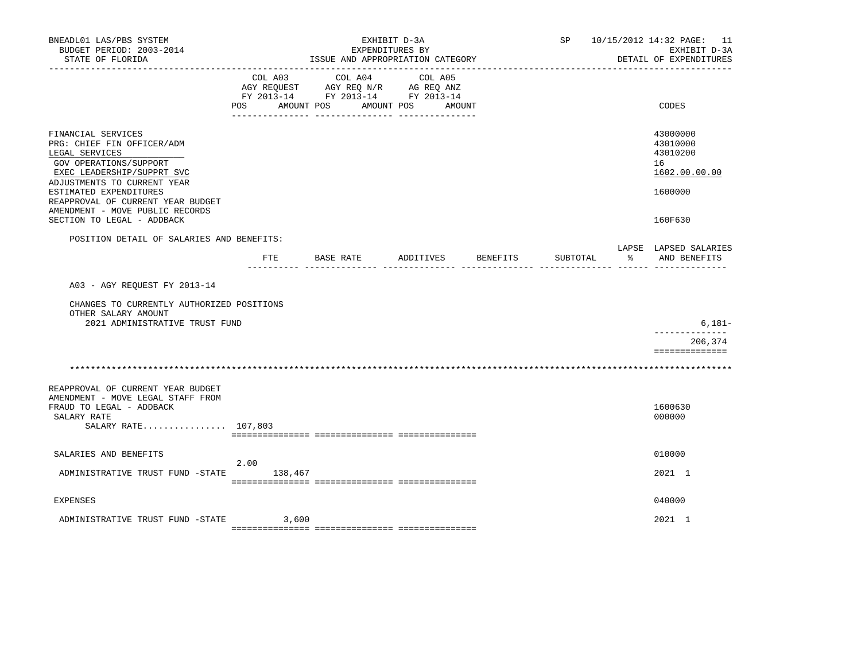| BNEADL01 LAS/PBS SYSTEM<br>BUDGET PERIOD: 2003-2014<br>STATE OF FLORIDA                                                                                   |                                     | ISSUE AND APPROPRIATION CATEGORY                                                  | EXHIBIT D-3A<br>EXPENDITURES BY |          | SP       |               | 10/15/2012 14:32 PAGE: 11<br>EXHIBIT D-3A<br>DETAIL OF EXPENDITURES |
|-----------------------------------------------------------------------------------------------------------------------------------------------------------|-------------------------------------|-----------------------------------------------------------------------------------|---------------------------------|----------|----------|---------------|---------------------------------------------------------------------|
|                                                                                                                                                           | COL A03<br>AMOUNT POS<br><b>POS</b> | COL A04<br>AGY REQUEST AGY REQ N/R AG REQ ANZ<br>FY 2013-14 FY 2013-14 FY 2013-14 | COL A05<br>AMOUNT POS AMOUNT    |          |          |               | CODES                                                               |
| FINANCIAL SERVICES<br>PRG: CHIEF FIN OFFICER/ADM<br>LEGAL SERVICES<br>GOV OPERATIONS/SUPPORT<br>EXEC LEADERSHIP/SUPPRT SVC<br>ADJUSTMENTS TO CURRENT YEAR |                                     |                                                                                   |                                 |          |          |               | 43000000<br>43010000<br>43010200<br>16<br>1602.00.00.00             |
| ESTIMATED EXPENDITURES<br>REAPPROVAL OF CURRENT YEAR BUDGET<br>AMENDMENT - MOVE PUBLIC RECORDS<br>SECTION TO LEGAL - ADDBACK                              |                                     |                                                                                   |                                 |          |          |               | 1600000<br>160F630                                                  |
| POSITION DETAIL OF SALARIES AND BENEFITS:                                                                                                                 | FTE                                 | BASE RATE                                                                         | ADDITIVES                       | BENEFITS | SUBTOTAL | <u> 양전 10</u> | LAPSE LAPSED SALARIES<br>AND BENEFITS                               |
| A03 - AGY REOUEST FY 2013-14<br>CHANGES TO CURRENTLY AUTHORIZED POSITIONS<br>OTHER SALARY AMOUNT<br>2021 ADMINISTRATIVE TRUST FUND                        |                                     |                                                                                   |                                 |          |          |               | $6,181-$                                                            |
|                                                                                                                                                           |                                     |                                                                                   |                                 |          |          |               | . _ _ _ _ _ _ _ _ _ _ _ _<br>206,374<br>==============              |
|                                                                                                                                                           |                                     |                                                                                   |                                 |          |          |               |                                                                     |
| REAPPROVAL OF CURRENT YEAR BUDGET<br>AMENDMENT - MOVE LEGAL STAFF FROM<br>FRAUD TO LEGAL - ADDBACK<br>SALARY RATE<br>SALARY RATE 107,803                  |                                     |                                                                                   |                                 |          |          |               | 1600630<br>000000                                                   |
| SALARIES AND BENEFITS                                                                                                                                     |                                     |                                                                                   |                                 |          |          |               | 010000                                                              |
| ADMINISTRATIVE TRUST FUND -STATE 138,467                                                                                                                  | 2.00                                |                                                                                   |                                 |          |          |               | 2021 1                                                              |
| <b>EXPENSES</b>                                                                                                                                           |                                     |                                                                                   |                                 |          |          |               | 040000                                                              |
| ADMINISTRATIVE TRUST FUND -STATE                                                                                                                          | 3,600                               |                                                                                   |                                 |          |          |               | 2021 1                                                              |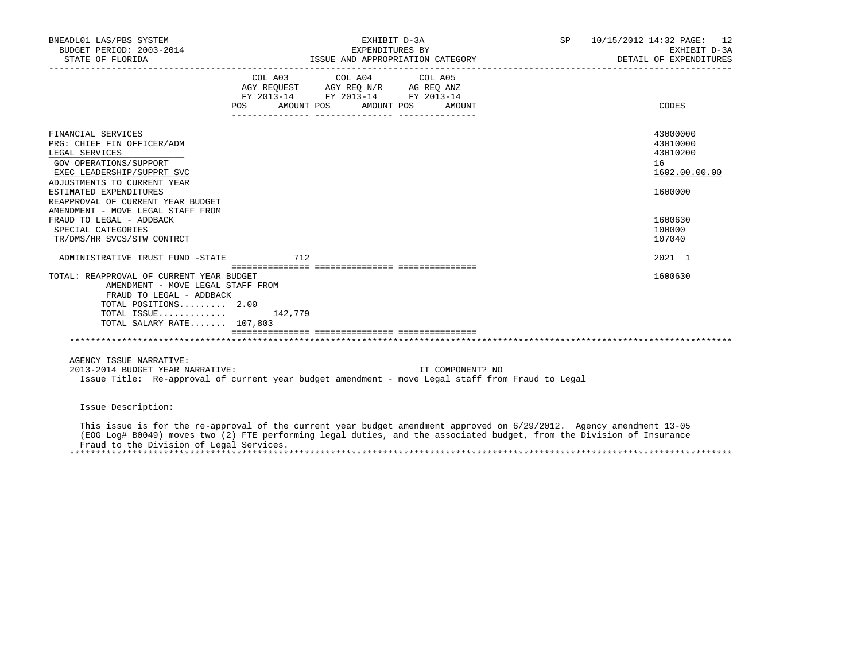| BNEADL01 LAS/PBS SYSTEM<br>BUDGET PERIOD: 2003-2014<br>STATE OF FLORIDA                                                                                                                 | EXHIBIT D-3A<br>EXPENDITURES BY<br>ISSUE AND APPROPRIATION CATEGORY |                                                                                                                                                                                                                        | SP 10/15/2012 14:32 PAGE: 12 | EXHIBIT D-3A<br>DETAIL OF EXPENDITURES |                                                   |
|-----------------------------------------------------------------------------------------------------------------------------------------------------------------------------------------|---------------------------------------------------------------------|------------------------------------------------------------------------------------------------------------------------------------------------------------------------------------------------------------------------|------------------------------|----------------------------------------|---------------------------------------------------|
|                                                                                                                                                                                         | POS AMOUNT POS AMOUNT POS AMOUNT                                    | COL A03 COL A04 COL A05<br>$\begin{tabular}{lllllll} \bf AGY \,\, REQUEST \,\, &\bf AGY \,\, REQ \,\, N/R &\bf AG \,\, REQ \,\, ANZ \\ \bf FY \,\, 2013-14 &\bf FY \,\, 2013-14 &\bf FY \,\, 2013-14 \\ \end{tabular}$ |                              |                                        | CODES                                             |
| FINANCIAL SERVICES<br>PRG: CHIEF FIN OFFICER/ADM<br>LEGAL SERVICES<br>GOV OPERATIONS/SUPPORT<br>EXEC LEADERSHIP/SUPPRT SVC<br>ADJUSTMENTS TO CURRENT YEAR                               |                                                                     |                                                                                                                                                                                                                        |                              | 16                                     | 43000000<br>43010000<br>43010200<br>1602.00.00.00 |
| ESTIMATED EXPENDITURES<br>REAPPROVAL OF CURRENT YEAR BUDGET<br>AMENDMENT - MOVE LEGAL STAFF FROM<br>FRAUD TO LEGAL - ADDBACK<br>SPECIAL CATEGORIES<br>TR/DMS/HR SVCS/STW CONTRCT        |                                                                     |                                                                                                                                                                                                                        |                              |                                        | 1600000<br>1600630<br>100000<br>107040            |
| ADMINISTRATIVE TRUST FUND -STATE 712                                                                                                                                                    |                                                                     |                                                                                                                                                                                                                        |                              |                                        | 2021 1                                            |
| TOTAL: REAPPROVAL OF CURRENT YEAR BUDGET<br>AMENDMENT - MOVE LEGAL STAFF FROM<br>FRAUD TO LEGAL - ADDBACK<br>TOTAL POSITIONS 2.00<br>TOTAL ISSUE $142,779$<br>TOTAL SALARY RATE 107,803 |                                                                     |                                                                                                                                                                                                                        |                              |                                        | 1600630                                           |
|                                                                                                                                                                                         |                                                                     |                                                                                                                                                                                                                        |                              |                                        |                                                   |
| AGENCY ISSUE NARRATIVE:<br>2013-2014 BUDGET YEAR NARRATIVE:<br>Issue Title: Re-approval of current year budget amendment - move Legal staff from Fraud to Legal                         |                                                                     |                                                                                                                                                                                                                        | IT COMPONENT? NO             |                                        |                                                   |
| Issue Description:                                                                                                                                                                      |                                                                     |                                                                                                                                                                                                                        |                              |                                        |                                                   |

 This issue is for the re-approval of the current year budget amendment approved on 6/29/2012. Agency amendment 13-05 (EOG Log# B0049) moves two (2) FTE performing legal duties, and the associated budget, from the Division of Insurance Fraud to the Division of Legal Services. \*\*\*\*\*\*\*\*\*\*\*\*\*\*\*\*\*\*\*\*\*\*\*\*\*\*\*\*\*\*\*\*\*\*\*\*\*\*\*\*\*\*\*\*\*\*\*\*\*\*\*\*\*\*\*\*\*\*\*\*\*\*\*\*\*\*\*\*\*\*\*\*\*\*\*\*\*\*\*\*\*\*\*\*\*\*\*\*\*\*\*\*\*\*\*\*\*\*\*\*\*\*\*\*\*\*\*\*\*\*\*\*\*\*\*\*\*\*\*\*\*\*\*\*\*\*\*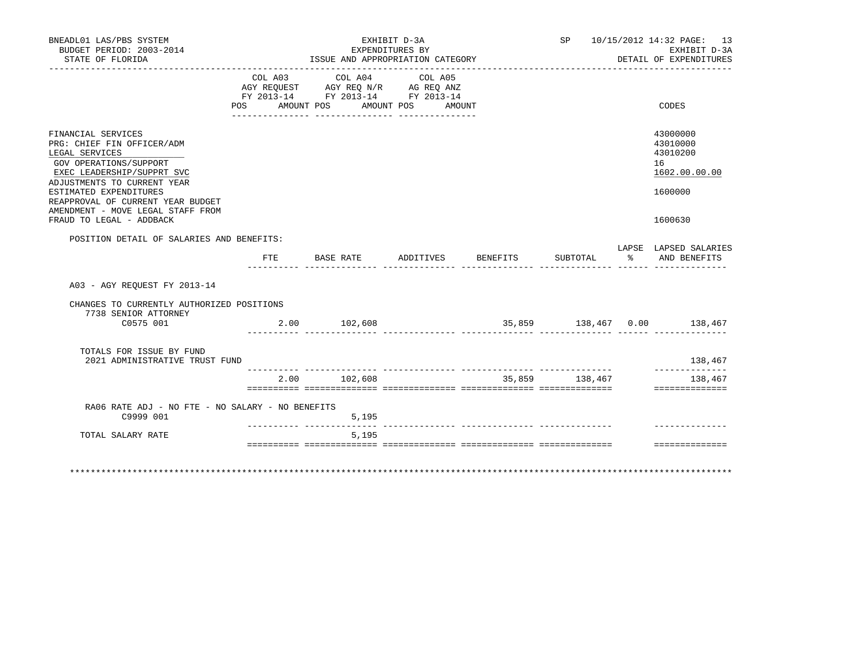| BNEADL01 LAS/PBS SYSTEM<br>BUDGET PERIOD: 2003-2014                                                                                                                                                                                                                                       | EXHIBIT D-3A<br>EXPENDITURES BY |                                                                                           |                              |          | SP 10/15/2012 14:32 PAGE: 13<br>EXHIBIT D-3A |  |                                                                               |  |
|-------------------------------------------------------------------------------------------------------------------------------------------------------------------------------------------------------------------------------------------------------------------------------------------|---------------------------------|-------------------------------------------------------------------------------------------|------------------------------|----------|----------------------------------------------|--|-------------------------------------------------------------------------------|--|
| STATE OF FLORIDA                                                                                                                                                                                                                                                                          |                                 | ISSUE AND APPROPRIATION CATEGORY                                                          |                              |          |                                              |  | DETAIL OF EXPENDITURES                                                        |  |
|                                                                                                                                                                                                                                                                                           | POS<br>AMOUNT POS               | COL A03 COL A04<br>AGY REQUEST AGY REQ N/R AG REQ ANZ<br>FY 2013-14 FY 2013-14 FY 2013-14 | COL A05<br>AMOUNT POS AMOUNT |          |                                              |  | CODES                                                                         |  |
| FINANCIAL SERVICES<br>PRG: CHIEF FIN OFFICER/ADM<br>LEGAL SERVICES<br>GOV OPERATIONS/SUPPORT<br>EXEC LEADERSHIP/SUPPRT SVC<br>ADJUSTMENTS TO CURRENT YEAR<br>ESTIMATED EXPENDITURES<br>REAPPROVAL OF CURRENT YEAR BUDGET<br>AMENDMENT - MOVE LEGAL STAFF FROM<br>FRAUD TO LEGAL - ADDBACK |                                 |                                                                                           |                              |          |                                              |  | 43000000<br>43010000<br>43010200<br>16<br>1602.00.00.00<br>1600000<br>1600630 |  |
| POSITION DETAIL OF SALARIES AND BENEFITS:                                                                                                                                                                                                                                                 |                                 |                                                                                           |                              |          |                                              |  |                                                                               |  |
|                                                                                                                                                                                                                                                                                           | ETE                             | BASE RATE                                                                                 | ADDITIVES                    | BENEFITS | SUBTOTAL                                     |  | LAPSE LAPSED SALARIES<br>% AND BENEFITS                                       |  |
| A03 - AGY REOUEST FY 2013-14                                                                                                                                                                                                                                                              |                                 |                                                                                           |                              |          |                                              |  |                                                                               |  |
| CHANGES TO CURRENTLY AUTHORIZED POSITIONS<br>7738 SENIOR ATTORNEY<br>C0575 001                                                                                                                                                                                                            |                                 | 2.00 102,608                                                                              |                              |          |                                              |  | 35,859 138,467 0.00 138,467                                                   |  |
| TOTALS FOR ISSUE BY FUND<br>2021 ADMINISTRATIVE TRUST FUND                                                                                                                                                                                                                                |                                 |                                                                                           |                              |          |                                              |  | 138,467                                                                       |  |
|                                                                                                                                                                                                                                                                                           | 2.00                            | 102,608                                                                                   |                              |          | 35,859 138,467                               |  | --------------<br>138,467<br>==============                                   |  |
| RA06 RATE ADJ - NO FTE - NO SALARY - NO BENEFITS<br>C9999 001                                                                                                                                                                                                                             |                                 | 5,195                                                                                     |                              |          |                                              |  |                                                                               |  |
| TOTAL SALARY RATE                                                                                                                                                                                                                                                                         |                                 | 5,195                                                                                     |                              |          |                                              |  |                                                                               |  |
|                                                                                                                                                                                                                                                                                           |                                 |                                                                                           |                              |          |                                              |  | ==============                                                                |  |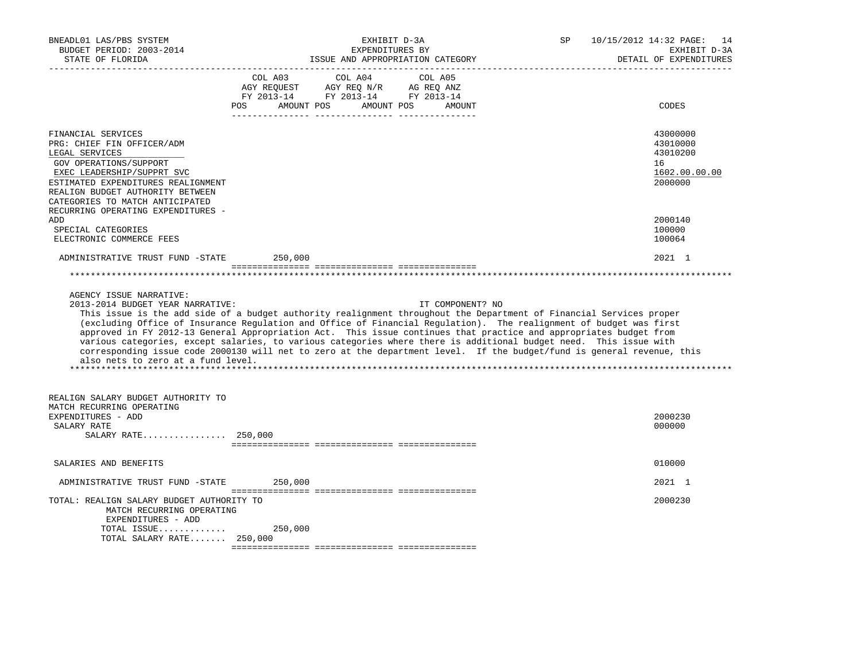| BNEADL01 LAS/PBS SYSTEM<br>BUDGET PERIOD: 2003-2014<br>STATE OF FLORIDA                                                                  | EXHIBIT D-3A<br>EXPENDITURES BY<br>ISSUE AND APPROPRIATION CATEGORY                                                                                                                                                                                                                                                                                                                                                                                                                                                                                                                                                               | 10/15/2012 14:32 PAGE: 14<br>SP<br>EXHIBIT D-3A<br>DETAIL OF EXPENDITURES |
|------------------------------------------------------------------------------------------------------------------------------------------|-----------------------------------------------------------------------------------------------------------------------------------------------------------------------------------------------------------------------------------------------------------------------------------------------------------------------------------------------------------------------------------------------------------------------------------------------------------------------------------------------------------------------------------------------------------------------------------------------------------------------------------|---------------------------------------------------------------------------|
|                                                                                                                                          | $\begin{tabular}{lcccc} CDL A03 & CDL A04 & CDL A05 \\ AGY REQUEST & AGY REQ N/R & AG REQ ANZ \\ FY & 2013-14 & FY & 2013-14 & FY & 2013-14 \end{tabular}$<br>AMOUNT POS AMOUNT POS<br>POS<br>AMOUNT                                                                                                                                                                                                                                                                                                                                                                                                                              | CODES                                                                     |
|                                                                                                                                          |                                                                                                                                                                                                                                                                                                                                                                                                                                                                                                                                                                                                                                   |                                                                           |
| FINANCIAL SERVICES<br>PRG: CHIEF FIN OFFICER/ADM<br>LEGAL SERVICES<br>GOV OPERATIONS/SUPPORT                                             |                                                                                                                                                                                                                                                                                                                                                                                                                                                                                                                                                                                                                                   | 43000000<br>43010000<br>43010200<br>16                                    |
| EXEC LEADERSHIP/SUPPRT SVC<br>ESTIMATED EXPENDITURES REALIGNMENT<br>REALIGN BUDGET AUTHORITY BETWEEN<br>CATEGORIES TO MATCH ANTICIPATED  |                                                                                                                                                                                                                                                                                                                                                                                                                                                                                                                                                                                                                                   | 1602.00.00.00<br>2000000                                                  |
| RECURRING OPERATING EXPENDITURES -                                                                                                       |                                                                                                                                                                                                                                                                                                                                                                                                                                                                                                                                                                                                                                   |                                                                           |
| ADD<br>SPECIAL CATEGORIES<br>ELECTRONIC COMMERCE FEES                                                                                    |                                                                                                                                                                                                                                                                                                                                                                                                                                                                                                                                                                                                                                   | 2000140<br>100000<br>100064                                               |
| ADMINISTRATIVE TRUST FUND -STATE                                                                                                         | 250,000                                                                                                                                                                                                                                                                                                                                                                                                                                                                                                                                                                                                                           | 2021 1                                                                    |
|                                                                                                                                          |                                                                                                                                                                                                                                                                                                                                                                                                                                                                                                                                                                                                                                   |                                                                           |
|                                                                                                                                          |                                                                                                                                                                                                                                                                                                                                                                                                                                                                                                                                                                                                                                   |                                                                           |
| AGENCY ISSUE NARRATIVE:<br>2013-2014 BUDGET YEAR NARRATIVE:<br>also nets to zero at a fund level.                                        | IT COMPONENT? NO<br>This issue is the add side of a budget authority realignment throughout the Department of Financial Services proper<br>(excluding Office of Insurance Regulation and Office of Financial Regulation). The realignment of budget was first<br>approved in FY 2012-13 General Appropriation Act. This issue continues that practice and appropriates budget from<br>various categories, except salaries, to various categories where there is additional budget need. This issue with<br>corresponding issue code 2000130 will net to zero at the department level. If the budget/fund is general revenue, this |                                                                           |
| REALIGN SALARY BUDGET AUTHORITY TO                                                                                                       |                                                                                                                                                                                                                                                                                                                                                                                                                                                                                                                                                                                                                                   |                                                                           |
| MATCH RECURRING OPERATING<br>EXPENDITURES - ADD<br>SALARY RATE<br>SALARY RATE 250,000                                                    |                                                                                                                                                                                                                                                                                                                                                                                                                                                                                                                                                                                                                                   | 2000230<br>000000                                                         |
| SALARIES AND BENEFITS                                                                                                                    |                                                                                                                                                                                                                                                                                                                                                                                                                                                                                                                                                                                                                                   | 010000                                                                    |
|                                                                                                                                          |                                                                                                                                                                                                                                                                                                                                                                                                                                                                                                                                                                                                                                   |                                                                           |
| ADMINISTRATIVE TRUST FUND -STATE                                                                                                         | 250,000                                                                                                                                                                                                                                                                                                                                                                                                                                                                                                                                                                                                                           | $2021$ 1                                                                  |
| TOTAL: REALIGN SALARY BUDGET AUTHORITY TO<br>MATCH RECURRING OPERATING<br>EXPENDITURES - ADD<br>TOTAL ISSUE<br>TOTAL SALARY RATE 250,000 | 250,000                                                                                                                                                                                                                                                                                                                                                                                                                                                                                                                                                                                                                           | 2000230                                                                   |
|                                                                                                                                          |                                                                                                                                                                                                                                                                                                                                                                                                                                                                                                                                                                                                                                   |                                                                           |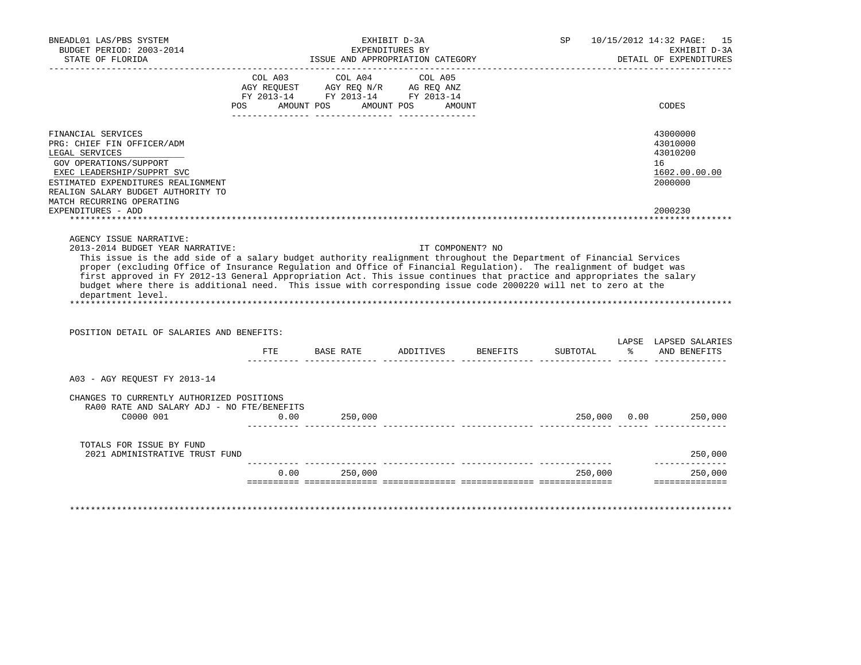| ___________________________________<br>POS AMOUNT POS AMOUNT POS                                                                                     | EXPENDITURES BY<br>ISSUE AND APPROPRIATION CATEGORY<br>COL A03 COL A04 COL A05<br>$\begin{tabular}{lllllllll} \bf AGY \,\,\, REQUEST \,\,\, & \bf AGY \,\, REQ \,\, N/R & \,\, AG \,\, REQ \,\, ANZ \\ \bf FY \,\, 2013-14 & \,\, FY \,\, 2013-14 & \,\, FY \,\, 2013-14 \\ \end{tabular}$<br>AMOUNT |                  |                              | EXHIBIT D-3A<br>DETAIL OF EXPENDITURES<br>CODES                                                                                                                                                                                                                                                                                                                                                                                                                                                                 |
|------------------------------------------------------------------------------------------------------------------------------------------------------|------------------------------------------------------------------------------------------------------------------------------------------------------------------------------------------------------------------------------------------------------------------------------------------------------|------------------|------------------------------|-----------------------------------------------------------------------------------------------------------------------------------------------------------------------------------------------------------------------------------------------------------------------------------------------------------------------------------------------------------------------------------------------------------------------------------------------------------------------------------------------------------------|
|                                                                                                                                                      |                                                                                                                                                                                                                                                                                                      |                  |                              |                                                                                                                                                                                                                                                                                                                                                                                                                                                                                                                 |
|                                                                                                                                                      |                                                                                                                                                                                                                                                                                                      |                  |                              |                                                                                                                                                                                                                                                                                                                                                                                                                                                                                                                 |
|                                                                                                                                                      |                                                                                                                                                                                                                                                                                                      |                  |                              | 43000000<br>43010000<br>43010200<br>16<br>1602.00.00.00<br>2000000                                                                                                                                                                                                                                                                                                                                                                                                                                              |
|                                                                                                                                                      |                                                                                                                                                                                                                                                                                                      |                  |                              | 2000230                                                                                                                                                                                                                                                                                                                                                                                                                                                                                                         |
|                                                                                                                                                      |                                                                                                                                                                                                                                                                                                      |                  |                              |                                                                                                                                                                                                                                                                                                                                                                                                                                                                                                                 |
|                                                                                                                                                      |                                                                                                                                                                                                                                                                                                      | SUBTOTAL         |                              | LAPSE LAPSED SALARIES<br>% AND BENEFITS                                                                                                                                                                                                                                                                                                                                                                                                                                                                         |
|                                                                                                                                                      |                                                                                                                                                                                                                                                                                                      |                  |                              |                                                                                                                                                                                                                                                                                                                                                                                                                                                                                                                 |
| 250,000                                                                                                                                              |                                                                                                                                                                                                                                                                                                      |                  |                              |                                                                                                                                                                                                                                                                                                                                                                                                                                                                                                                 |
|                                                                                                                                                      |                                                                                                                                                                                                                                                                                                      |                  |                              |                                                                                                                                                                                                                                                                                                                                                                                                                                                                                                                 |
|                                                                                                                                                      |                                                                                                                                                                                                                                                                                                      |                  |                              | 250,000<br>--------------                                                                                                                                                                                                                                                                                                                                                                                                                                                                                       |
| POSITION DETAIL OF SALARIES AND BENEFITS:<br>$_{\rm FTE}$<br>CHANGES TO CURRENTLY AUTHORIZED POSITIONS<br>RA00 RATE AND SALARY ADJ - NO FTE/BENEFITS | 0.00                                                                                                                                                                                                                                                                                                 | IT COMPONENT? NO | BASE RATE ADDITIVES BENEFITS | This issue is the add side of a salary budget authority realignment throughout the Department of Financial Services<br>proper (excluding Office of Insurance Regulation and Office of Financial Regulation). The realignment of budget was<br>first approved in FY 2012-13 General Appropriation Act. This issue continues that practice and appropriates the salary<br>budget where there is additional need. This issue with corresponding issue code 2000220 will net to zero at the<br>250,000 0.00 250,000 |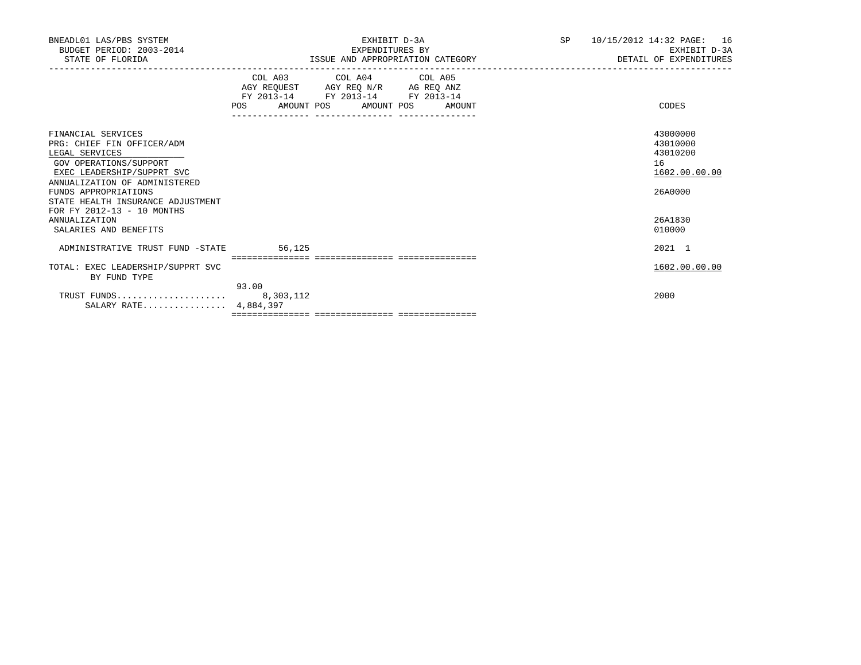| EXHIBIT D-3A<br>EXPENDITURES BY<br>ISSUE AND APPROPRIATION CATEGORY                                                                                                                                                                                                                                                                                                                                                                                                                                           | <b>SP</b><br>10/15/2012 14:32 PAGE:<br>16<br>EXHIBIT D-3A<br>DETAIL OF EXPENDITURES |
|---------------------------------------------------------------------------------------------------------------------------------------------------------------------------------------------------------------------------------------------------------------------------------------------------------------------------------------------------------------------------------------------------------------------------------------------------------------------------------------------------------------|-------------------------------------------------------------------------------------|
| COL A03 COL A04 COL A05<br>$\begin{tabular}{lllllll} \bf AGY \,\, & & & & & & & \\ \bf AGY \,\, & & & & & & & \\ \bf FY \,\, & & & & & & \\ \bf FY \,\, & & & & & & \\ \bf FY \,\, & & & & & & \\ \bf FY \,\, & & & & & & \\ \bf FY \,\, & & & & & \\ \bf FY \,\, & & & & & \\ \bf FY \,\, & & & & & \\ \bf FY \,\, & & & & & \\ \bf FY \,\, & & & & & \\ \bf FY \,\, & & & & & \\ \bf FY \,\, & & & & & \\ \bf FY \,\, & & & & & \\ \bf FY \,\, & & & & & \\ \bf FY \,\$<br>POS AMOUNT POS AMOUNT POS AMOUNT | CODES                                                                               |
|                                                                                                                                                                                                                                                                                                                                                                                                                                                                                                               | 43000000<br>43010000<br>43010200<br>16<br>1602.00.00.00<br>26A0000                  |
|                                                                                                                                                                                                                                                                                                                                                                                                                                                                                                               | 26A1830<br>010000                                                                   |
| 56,125                                                                                                                                                                                                                                                                                                                                                                                                                                                                                                        | 2021 1                                                                              |
|                                                                                                                                                                                                                                                                                                                                                                                                                                                                                                               | 1602.00.00.00                                                                       |
|                                                                                                                                                                                                                                                                                                                                                                                                                                                                                                               | 2000                                                                                |
| STATE HEALTH INSURANCE ADJUSTMENT<br>TOTAL: EXEC LEADERSHIP/SUPPRT SVC                                                                                                                                                                                                                                                                                                                                                                                                                                        | ADMINISTRATIVE TRUST FUND -STATE<br>93.00<br>SALARY RATE 4,884,397                  |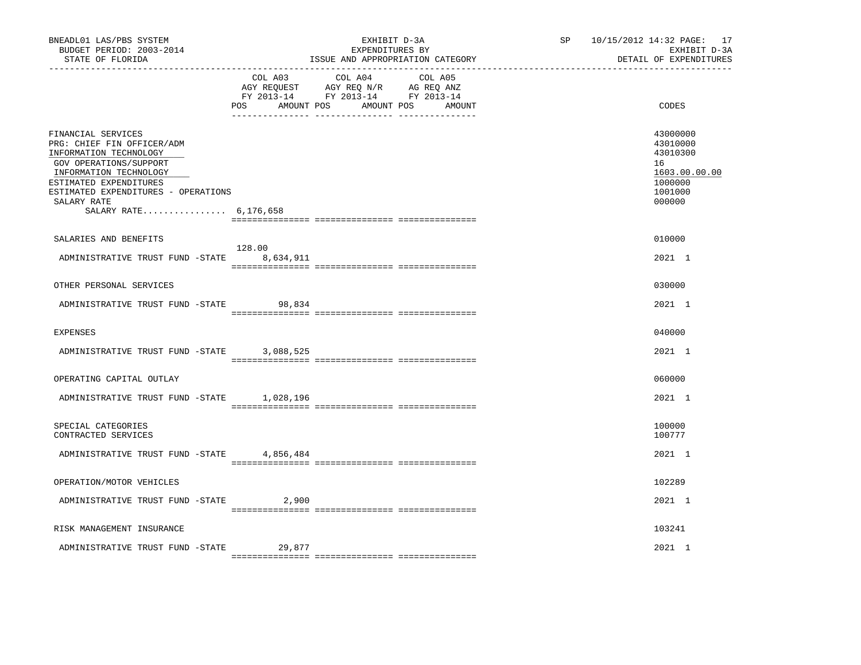| BNEADL01 LAS/PBS SYSTEM<br>BUDGET PERIOD: 2003-2014<br>STATE OF FLORIDA                                                                                                                                                                 |                | EXHIBIT D-3A<br>EXPENDITURES BY<br>ISSUE AND APPROPRIATION CATEGORY                                                          | 10/15/2012 14:32 PAGE: 17<br>SP<br>EXHIBIT D-3A<br>DETAIL OF EXPENDITURES |                                                                                         |  |
|-----------------------------------------------------------------------------------------------------------------------------------------------------------------------------------------------------------------------------------------|----------------|------------------------------------------------------------------------------------------------------------------------------|---------------------------------------------------------------------------|-----------------------------------------------------------------------------------------|--|
|                                                                                                                                                                                                                                         | COL A03<br>POS | COL A04<br>COL A05<br>AGY REQUEST AGY REQ N/R AG REQ ANZ<br>FY 2013-14 FY 2013-14 FY 2013-14<br>AMOUNT POS AMOUNT POS AMOUNT |                                                                           | CODES                                                                                   |  |
| FINANCIAL SERVICES<br>PRG: CHIEF FIN OFFICER/ADM<br>INFORMATION TECHNOLOGY<br>GOV OPERATIONS/SUPPORT<br>INFORMATION TECHNOLOGY<br>ESTIMATED EXPENDITURES<br>ESTIMATED EXPENDITURES - OPERATIONS<br>SALARY RATE<br>SALARY RATE 6,176,658 |                |                                                                                                                              |                                                                           | 43000000<br>43010000<br>43010300<br>16<br>1603.00.00.00<br>1000000<br>1001000<br>000000 |  |
| SALARIES AND BENEFITS                                                                                                                                                                                                                   |                |                                                                                                                              |                                                                           | 010000                                                                                  |  |
| ADMINISTRATIVE TRUST FUND -STATE 8,634,911                                                                                                                                                                                              | 128.00         |                                                                                                                              |                                                                           | 2021 1                                                                                  |  |
| OTHER PERSONAL SERVICES                                                                                                                                                                                                                 |                |                                                                                                                              |                                                                           | 030000                                                                                  |  |
| ADMINISTRATIVE TRUST FUND -STATE                                                                                                                                                                                                        | 98,834         |                                                                                                                              |                                                                           | 2021 1                                                                                  |  |
| <b>EXPENSES</b>                                                                                                                                                                                                                         |                |                                                                                                                              |                                                                           | 040000                                                                                  |  |
| ADMINISTRATIVE TRUST FUND -STATE                                                                                                                                                                                                        | 3,088,525      |                                                                                                                              |                                                                           | 2021 1                                                                                  |  |
| OPERATING CAPITAL OUTLAY                                                                                                                                                                                                                |                |                                                                                                                              |                                                                           | 060000                                                                                  |  |
| ADMINISTRATIVE TRUST FUND -STATE 1,028,196                                                                                                                                                                                              |                |                                                                                                                              |                                                                           | 2021 1                                                                                  |  |
| SPECIAL CATEGORIES<br>CONTRACTED SERVICES                                                                                                                                                                                               |                |                                                                                                                              |                                                                           | 100000<br>100777                                                                        |  |
| ADMINISTRATIVE TRUST FUND -STATE 4,856,484                                                                                                                                                                                              |                |                                                                                                                              |                                                                           | 2021 1                                                                                  |  |
| OPERATION/MOTOR VEHICLES                                                                                                                                                                                                                |                |                                                                                                                              |                                                                           | 102289                                                                                  |  |
| ADMINISTRATIVE TRUST FUND -STATE                                                                                                                                                                                                        | 2,900          |                                                                                                                              |                                                                           | 2021 1                                                                                  |  |
| RISK MANAGEMENT INSURANCE                                                                                                                                                                                                               |                |                                                                                                                              |                                                                           | 103241                                                                                  |  |
| ADMINISTRATIVE TRUST FUND -STATE                                                                                                                                                                                                        | 29,877         |                                                                                                                              |                                                                           | 2021 1                                                                                  |  |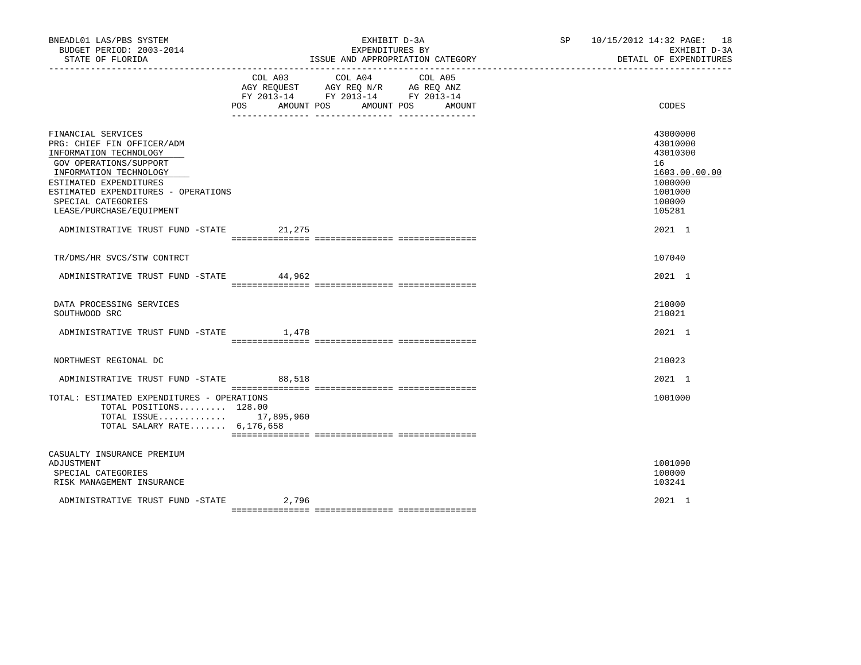| BNEADL01 LAS/PBS SYSTEM<br>BUDGET PERIOD: 2003-2014<br>STATE OF FLORIDA<br>___________________                                                                                                                                                    |                | EXHIBIT D-3A<br>EXPENDITURES BY<br>ISSUE AND APPROPRIATION CATEGORY                                                       | SP 10/15/2012 14:32 PAGE: 18<br>EXHIBIT D-3A<br>DETAIL OF EXPENDITURES                            |
|---------------------------------------------------------------------------------------------------------------------------------------------------------------------------------------------------------------------------------------------------|----------------|---------------------------------------------------------------------------------------------------------------------------|---------------------------------------------------------------------------------------------------|
|                                                                                                                                                                                                                                                   | POS AMOUNT POS | COL A03 COL A04 COL A05<br>AGY REQUEST AGY REQ N/R AG REQ ANZ<br>FY 2013-14 FY 2013-14 FY 2013-14<br>AMOUNT POS<br>AMOUNT | CODES                                                                                             |
| FINANCIAL SERVICES<br>PRG: CHIEF FIN OFFICER/ADM<br>INFORMATION TECHNOLOGY<br>GOV OPERATIONS/SUPPORT<br>INFORMATION TECHNOLOGY<br>ESTIMATED EXPENDITURES<br>ESTIMATED EXPENDITURES - OPERATIONS<br>SPECIAL CATEGORIES<br>LEASE/PURCHASE/EQUIPMENT |                |                                                                                                                           | 43000000<br>43010000<br>43010300<br>16<br>1603.00.00.00<br>1000000<br>1001000<br>100000<br>105281 |
| ADMINISTRATIVE TRUST FUND -STATE 21,275                                                                                                                                                                                                           |                |                                                                                                                           | 2021 1                                                                                            |
| TR/DMS/HR SVCS/STW CONTRCT                                                                                                                                                                                                                        |                |                                                                                                                           | 107040                                                                                            |
| ADMINISTRATIVE TRUST FUND -STATE 44,962                                                                                                                                                                                                           |                |                                                                                                                           | 2021 1                                                                                            |
| DATA PROCESSING SERVICES<br>SOUTHWOOD SRC                                                                                                                                                                                                         |                |                                                                                                                           | 210000<br>210021                                                                                  |
| ADMINISTRATIVE TRUST FUND -STATE 1,478                                                                                                                                                                                                            |                |                                                                                                                           | 2021 1                                                                                            |
| NORTHWEST REGIONAL DC                                                                                                                                                                                                                             |                |                                                                                                                           | 210023                                                                                            |
| ADMINISTRATIVE TRUST FUND -STATE 88,518                                                                                                                                                                                                           |                |                                                                                                                           | 2021 1                                                                                            |
| TOTAL: ESTIMATED EXPENDITURES - OPERATIONS<br>TOTAL POSITIONS 128.00<br>TOTAL ISSUE 17,895,960<br>TOTAL SALARY RATE 6,176,658                                                                                                                     |                |                                                                                                                           | 1001000                                                                                           |
| CASUALTY INSURANCE PREMIUM<br>ADJUSTMENT<br>SPECIAL CATEGORIES<br>RISK MANAGEMENT INSURANCE                                                                                                                                                       |                |                                                                                                                           | 1001090<br>100000<br>103241                                                                       |
| ADMINISTRATIVE TRUST FUND -STATE                                                                                                                                                                                                                  | 2,796          |                                                                                                                           | 2021 1                                                                                            |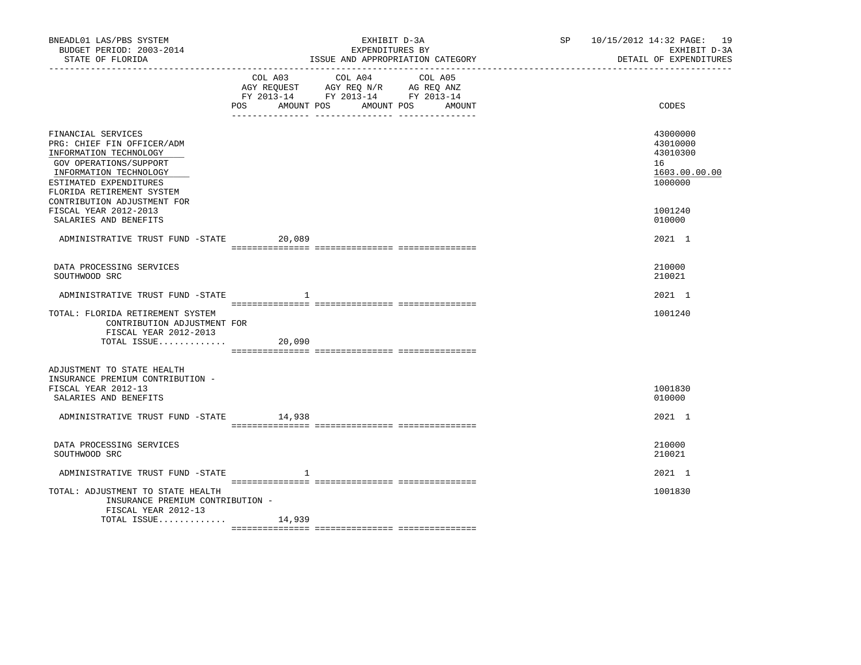| BNEADL01 LAS/PBS SYSTEM<br>BUDGET PERIOD: 2003-2014<br>STATE OF FLORIDA<br>------------------                                                                                         |                      | EXHIBIT D-3A<br>EXPENDITURES BY<br>ISSUE AND APPROPRIATION CATEGORY                                                       | SP 10/15/2012 14:32 PAGE: 19<br>EXHIBIT D-3A<br>DETAIL OF EXPENDITURES |
|---------------------------------------------------------------------------------------------------------------------------------------------------------------------------------------|----------------------|---------------------------------------------------------------------------------------------------------------------------|------------------------------------------------------------------------|
|                                                                                                                                                                                       | POS DO<br>AMOUNT POS | COL A03 COL A04 COL A05<br>AGY REQUEST AGY REQ N/R AG REQ ANZ<br>FY 2013-14 FY 2013-14 FY 2013-14<br>AMOUNT POS<br>AMOUNT | CODES                                                                  |
| FINANCIAL SERVICES<br>PRG: CHIEF FIN OFFICER/ADM<br>INFORMATION TECHNOLOGY<br>GOV OPERATIONS/SUPPORT<br>INFORMATION TECHNOLOGY<br>ESTIMATED EXPENDITURES<br>FLORIDA RETIREMENT SYSTEM |                      |                                                                                                                           | 43000000<br>43010000<br>43010300<br>16<br>1603.00.00.00<br>1000000     |
| CONTRIBUTION ADJUSTMENT FOR<br>FISCAL YEAR 2012-2013<br>SALARIES AND BENEFITS                                                                                                         |                      |                                                                                                                           | 1001240<br>010000                                                      |
| ADMINISTRATIVE TRUST FUND -STATE 20,089                                                                                                                                               |                      |                                                                                                                           | 2021 1                                                                 |
| DATA PROCESSING SERVICES<br>SOUTHWOOD SRC                                                                                                                                             |                      |                                                                                                                           | 210000<br>210021                                                       |
| ADMINISTRATIVE TRUST FUND -STATE                                                                                                                                                      | -1                   |                                                                                                                           | 2021 1                                                                 |
| TOTAL: FLORIDA RETIREMENT SYSTEM<br>CONTRIBUTION ADJUSTMENT FOR<br>FISCAL YEAR 2012-2013<br>TOTAL ISSUE                                                                               | 20,090               |                                                                                                                           | 1001240                                                                |
| ADJUSTMENT TO STATE HEALTH<br>INSURANCE PREMIUM CONTRIBUTION -<br>FISCAL YEAR 2012-13<br>SALARIES AND BENEFITS                                                                        |                      |                                                                                                                           | 1001830<br>010000                                                      |
| ADMINISTRATIVE TRUST FUND -STATE 14,938                                                                                                                                               |                      |                                                                                                                           | 2021 1                                                                 |
| DATA PROCESSING SERVICES<br>SOUTHWOOD SRC                                                                                                                                             |                      |                                                                                                                           | 210000<br>210021                                                       |
| ADMINISTRATIVE TRUST FUND -STATE                                                                                                                                                      | 1                    |                                                                                                                           | 2021 1                                                                 |
| TOTAL: ADJUSTMENT TO STATE HEALTH<br>INSURANCE PREMIUM CONTRIBUTION -<br>FISCAL YEAR 2012-13                                                                                          |                      |                                                                                                                           | 1001830                                                                |
| TOTAL ISSUE $14,939$                                                                                                                                                                  |                      |                                                                                                                           |                                                                        |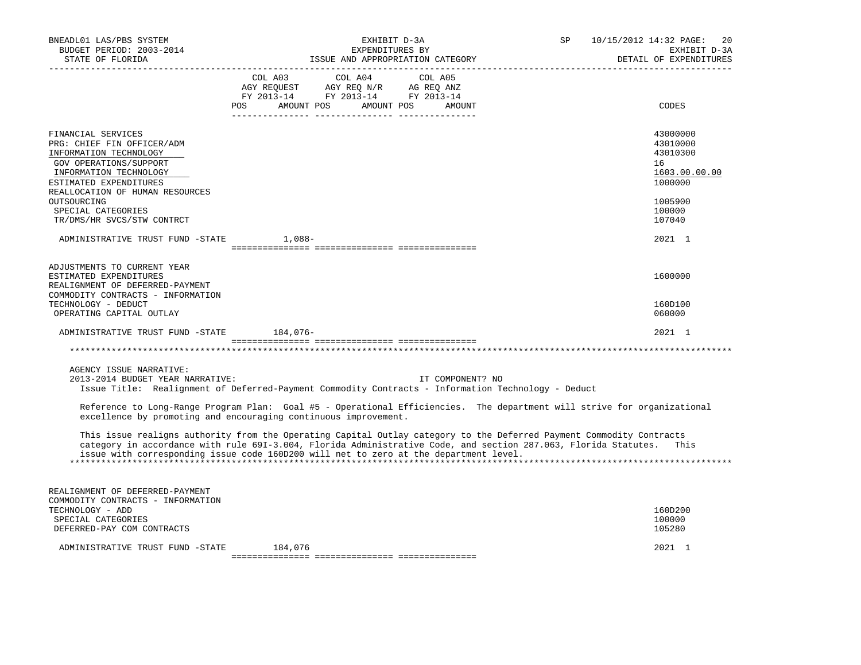| BNEADL01 LAS/PBS SYSTEM<br>BUDGET PERIOD: 2003-2014<br>STATE OF FLORIDA<br>___________________                                                                                                                                                                                                                                                                                                                                                                                                                                                                                                                                                                                                      | EXHIBIT D-3A<br>EXPENDITURES BY<br>ISSUE AND APPROPRIATION CATEGORY                                                                                                                           | SP | 10/15/2012 14:32 PAGE:<br>20<br>EXHIBIT D-3A<br>DETAIL OF EXPENDITURES                                      |
|-----------------------------------------------------------------------------------------------------------------------------------------------------------------------------------------------------------------------------------------------------------------------------------------------------------------------------------------------------------------------------------------------------------------------------------------------------------------------------------------------------------------------------------------------------------------------------------------------------------------------------------------------------------------------------------------------------|-----------------------------------------------------------------------------------------------------------------------------------------------------------------------------------------------|----|-------------------------------------------------------------------------------------------------------------|
| POS                                                                                                                                                                                                                                                                                                                                                                                                                                                                                                                                                                                                                                                                                                 | $\begin{tabular}{lcccc} CDL A03 & CDL A04 & CDL A05 \\ AGY REQUEST & AGY REQ N/R & AG REQ ANZ \\ FY & 2013-14 & FY & 2013-14 & FY & 2013-14 \end{tabular}$<br>AMOUNT POS AMOUNT POS<br>AMOUNT |    | CODES                                                                                                       |
| FINANCIAL SERVICES<br>PRG: CHIEF FIN OFFICER/ADM<br>INFORMATION TECHNOLOGY<br>GOV OPERATIONS/SUPPORT<br>INFORMATION TECHNOLOGY<br>ESTIMATED EXPENDITURES<br>REALLOCATION OF HUMAN RESOURCES<br>OUTSOURCING<br>SPECIAL CATEGORIES<br>TR/DMS/HR SVCS/STW CONTRCT<br>ADMINISTRATIVE TRUST FUND -STATE<br>1,088-                                                                                                                                                                                                                                                                                                                                                                                        |                                                                                                                                                                                               |    | 43000000<br>43010000<br>43010300<br>16<br>1603.00.00.00<br>1000000<br>1005900<br>100000<br>107040<br>2021 1 |
| ADJUSTMENTS TO CURRENT YEAR<br>ESTIMATED EXPENDITURES<br>REALIGNMENT OF DEFERRED-PAYMENT<br>COMMODITY CONTRACTS - INFORMATION<br>TECHNOLOGY - DEDUCT<br>OPERATING CAPITAL OUTLAY                                                                                                                                                                                                                                                                                                                                                                                                                                                                                                                    |                                                                                                                                                                                               |    | 1600000<br>160D100<br>060000                                                                                |
| ADMINISTRATIVE TRUST FUND -STATE 184,076-                                                                                                                                                                                                                                                                                                                                                                                                                                                                                                                                                                                                                                                           |                                                                                                                                                                                               |    | 2021 1                                                                                                      |
| AGENCY ISSUE NARRATIVE:<br>2013-2014 BUDGET YEAR NARRATIVE:<br>Issue Title: Realignment of Deferred-Payment Commodity Contracts - Information Technology - Deduct<br>Reference to Long-Range Program Plan: Goal #5 - Operational Efficiencies. The department will strive for organizational<br>excellence by promoting and encouraging continuous improvement.<br>This issue realigns authority from the Operating Capital Outlay category to the Deferred Payment Commodity Contracts<br>category in accordance with rule 691-3.004, Florida Administrative Code, and section 287.063, Florida Statutes.<br>issue with corresponding issue code 160D200 will net to zero at the department level. | IT COMPONENT? NO                                                                                                                                                                              |    | This                                                                                                        |
| REALIGNMENT OF DEFERRED-PAYMENT<br>COMMODITY CONTRACTS - INFORMATION<br>TECHNOLOGY - ADD<br>SPECIAL CATEGORIES<br>DEFERRED-PAY COM CONTRACTS<br>ADMINISTRATIVE TRUST FUND -STATE<br>184,076                                                                                                                                                                                                                                                                                                                                                                                                                                                                                                         |                                                                                                                                                                                               |    | 160D200<br>100000<br>105280<br>2021 1                                                                       |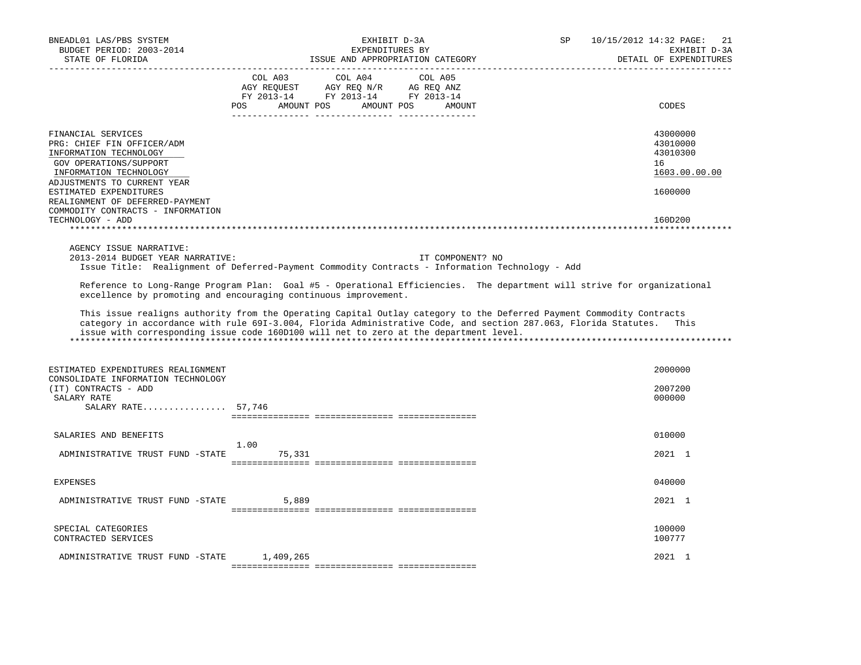| BNEADL01 LAS/PBS SYSTEM<br>BUDGET PERIOD: 2003-2014<br>STATE OF FLORIDA                                                                                                                                                                                                             | EXHIBIT D-3A<br>EXPENDITURES BY<br>ISSUE AND APPROPRIATION CATEGORY                                                                                                                                                                                                                                                              | SP<br>10/15/2012 14:32 PAGE:<br>21<br>EXHIBIT D-3A<br>DETAIL OF EXPENDITURES  |
|-------------------------------------------------------------------------------------------------------------------------------------------------------------------------------------------------------------------------------------------------------------------------------------|----------------------------------------------------------------------------------------------------------------------------------------------------------------------------------------------------------------------------------------------------------------------------------------------------------------------------------|-------------------------------------------------------------------------------|
|                                                                                                                                                                                                                                                                                     | COL A03 COL A04<br>COL A05<br>AGY REQUEST AGY REQ N/R AG REQ ANZ<br>FY 2013-14 FY 2013-14 FY 2013-14<br>POS AMOUNT POS AMOUNT POS AMOUNT                                                                                                                                                                                         | CODES                                                                         |
| FINANCIAL SERVICES<br>PRG: CHIEF FIN OFFICER/ADM<br>INFORMATION TECHNOLOGY<br>GOV OPERATIONS/SUPPORT<br>INFORMATION TECHNOLOGY<br>ADJUSTMENTS TO CURRENT YEAR<br>ESTIMATED EXPENDITURES<br>REALIGNMENT OF DEFERRED-PAYMENT<br>COMMODITY CONTRACTS - INFORMATION<br>TECHNOLOGY - ADD |                                                                                                                                                                                                                                                                                                                                  | 43000000<br>43010000<br>43010300<br>16<br>1603.00.00.00<br>1600000<br>160D200 |
| AGENCY ISSUE NARRATIVE:<br>2013-2014 BUDGET YEAR NARRATIVE:                                                                                                                                                                                                                         | IT COMPONENT? NO<br>Issue Title: Realignment of Deferred-Payment Commodity Contracts - Information Technology - Add<br>Reference to Long-Range Program Plan: Goal #5 - Operational Efficiencies. The department will strive for organizational<br>excellence by promoting and encouraging continuous improvement.                |                                                                               |
|                                                                                                                                                                                                                                                                                     | This issue realigns authority from the Operating Capital Outlay category to the Deferred Payment Commodity Contracts<br>category in accordance with rule 691-3.004, Florida Administrative Code, and section 287.063, Florida Statutes.<br>issue with corresponding issue code 160D100 will net to zero at the department level. | This                                                                          |
| ESTIMATED EXPENDITURES REALIGNMENT<br>CONSOLIDATE INFORMATION TECHNOLOGY<br>(IT) CONTRACTS - ADD<br>SALARY RATE<br>SALARY RATE 57,746                                                                                                                                               |                                                                                                                                                                                                                                                                                                                                  | 2000000<br>2007200<br>000000                                                  |
| SALARIES AND BENEFITS<br>ADMINISTRATIVE TRUST FUND -STATE 75,331                                                                                                                                                                                                                    | 1.00                                                                                                                                                                                                                                                                                                                             | 010000<br>2021 1                                                              |
|                                                                                                                                                                                                                                                                                     |                                                                                                                                                                                                                                                                                                                                  |                                                                               |
| EXPENSES<br>ADMINISTRATIVE TRUST FUND -STATE                                                                                                                                                                                                                                        | 5,889                                                                                                                                                                                                                                                                                                                            | 040000<br>2021 1                                                              |
|                                                                                                                                                                                                                                                                                     |                                                                                                                                                                                                                                                                                                                                  |                                                                               |
| SPECIAL CATEGORIES<br>CONTRACTED SERVICES                                                                                                                                                                                                                                           |                                                                                                                                                                                                                                                                                                                                  | 100000<br>100777                                                              |
| ADMINISTRATIVE TRUST FUND -STATE                                                                                                                                                                                                                                                    | 1,409,265                                                                                                                                                                                                                                                                                                                        | 2021 1                                                                        |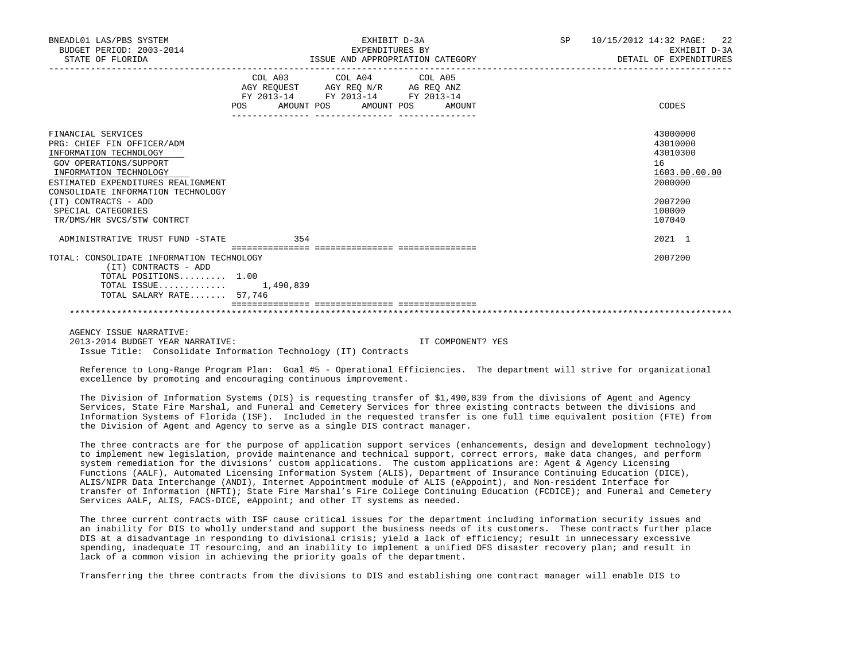| BNEADL01 LAS/PBS SYSTEM<br>BUDGET PERIOD: 2003-2014<br>STATE OF FLORIDA |                                                                                                                                                                                             | EXHIBIT D-3A<br>EXPENDITURES BY<br>ISSUE AND APPROPRIATION CATEGORY | SP <sub>2</sub> | 10/15/2012 14:32 PAGE: 22<br>EXHIBIT D-3A<br>DETAIL OF EXPENDITURES |
|-------------------------------------------------------------------------|---------------------------------------------------------------------------------------------------------------------------------------------------------------------------------------------|---------------------------------------------------------------------|-----------------|---------------------------------------------------------------------|
|                                                                         | COL A03 COL A04 COL A05                                                                                                                                                                     |                                                                     |                 |                                                                     |
|                                                                         | $\begin{tabular}{lllllll} \bf AGY \,\, REQUEST \,\, &\bf AGY \,\, REQ \,\, N/R &\bf AG \,\, REQ \,\, ANZ \\ \bf FY \,\, 2013-14 &\bf FY \,\, 2013-14 &\bf FY \,\, 2013-14 \\ \end{tabular}$ |                                                                     |                 |                                                                     |
|                                                                         | POS AMOUNT POS AMOUNT POS AMOUNT                                                                                                                                                            |                                                                     |                 | CODES                                                               |
|                                                                         |                                                                                                                                                                                             |                                                                     |                 |                                                                     |
| FINANCIAL SERVICES<br>PRG: CHIEF FIN OFFICER/ADM                        |                                                                                                                                                                                             |                                                                     |                 | 43000000<br>43010000                                                |
| INFORMATION TECHNOLOGY                                                  |                                                                                                                                                                                             |                                                                     |                 | 43010300                                                            |
| GOV OPERATIONS/SUPPORT                                                  |                                                                                                                                                                                             |                                                                     |                 | 16                                                                  |
| INFORMATION TECHNOLOGY                                                  |                                                                                                                                                                                             |                                                                     |                 | 1603.00.00.00                                                       |
| ESTIMATED EXPENDITURES REALIGNMENT                                      |                                                                                                                                                                                             |                                                                     |                 | 2000000                                                             |
| CONSOLIDATE INFORMATION TECHNOLOGY                                      |                                                                                                                                                                                             |                                                                     |                 |                                                                     |
| (IT) CONTRACTS - ADD                                                    |                                                                                                                                                                                             |                                                                     |                 | 2007200                                                             |
| SPECIAL CATEGORIES                                                      |                                                                                                                                                                                             |                                                                     |                 | 100000                                                              |
| TR/DMS/HR SVCS/STW CONTRCT                                              |                                                                                                                                                                                             |                                                                     |                 | 107040                                                              |
| ADMINISTRATIVE TRUST FUND -STATE                                        | 354                                                                                                                                                                                         |                                                                     |                 | 2021 1                                                              |
| TOTAL: CONSOLIDATE INFORMATION TECHNOLOGY                               |                                                                                                                                                                                             |                                                                     |                 | 2007200                                                             |
| (IT) CONTRACTS - ADD                                                    |                                                                                                                                                                                             |                                                                     |                 |                                                                     |
| TOTAL POSITIONS 1.00                                                    |                                                                                                                                                                                             |                                                                     |                 |                                                                     |
| TOTAL ISSUE 1,490,839                                                   |                                                                                                                                                                                             |                                                                     |                 |                                                                     |
| TOTAL SALARY RATE 57,746                                                |                                                                                                                                                                                             |                                                                     |                 |                                                                     |
|                                                                         |                                                                                                                                                                                             |                                                                     |                 |                                                                     |

AGENCY ISSUE NARRATIVE:

2013-2014 BUDGET YEAR NARRATIVE: IT COMPONENT? YES Issue Title: Consolidate Information Technology (IT) Contracts

 Reference to Long-Range Program Plan: Goal #5 - Operational Efficiencies. The department will strive for organizational excellence by promoting and encouraging continuous improvement.

 The Division of Information Systems (DIS) is requesting transfer of \$1,490,839 from the divisions of Agent and Agency Services, State Fire Marshal, and Funeral and Cemetery Services for three existing contracts between the divisions and Information Systems of Florida (ISF). Included in the requested transfer is one full time equivalent position (FTE) from the Division of Agent and Agency to serve as a single DIS contract manager.

 The three contracts are for the purpose of application support services (enhancements, design and development technology) to implement new legislation, provide maintenance and technical support, correct errors, make data changes, and perform system remediation for the divisions' custom applications. The custom applications are: Agent & Agency Licensing Functions (AALF), Automated Licensing Information System (ALIS), Department of Insurance Continuing Education (DICE), ALIS/NIPR Data Interchange (ANDI), Internet Appointment module of ALIS (eAppoint), and Non-resident Interface for transfer of Information (NFTI); State Fire Marshal's Fire College Continuing Education (FCDICE); and Funeral and Cemetery Services AALF, ALIS, FACS-DICE, eAppoint; and other IT systems as needed.

 The three current contracts with ISF cause critical issues for the department including information security issues and an inability for DIS to wholly understand and support the business needs of its customers. These contracts further place DIS at a disadvantage in responding to divisional crisis; yield a lack of efficiency; result in unnecessary excessive spending, inadequate IT resourcing, and an inability to implement a unified DFS disaster recovery plan; and result in lack of a common vision in achieving the priority goals of the department.

Transferring the three contracts from the divisions to DIS and establishing one contract manager will enable DIS to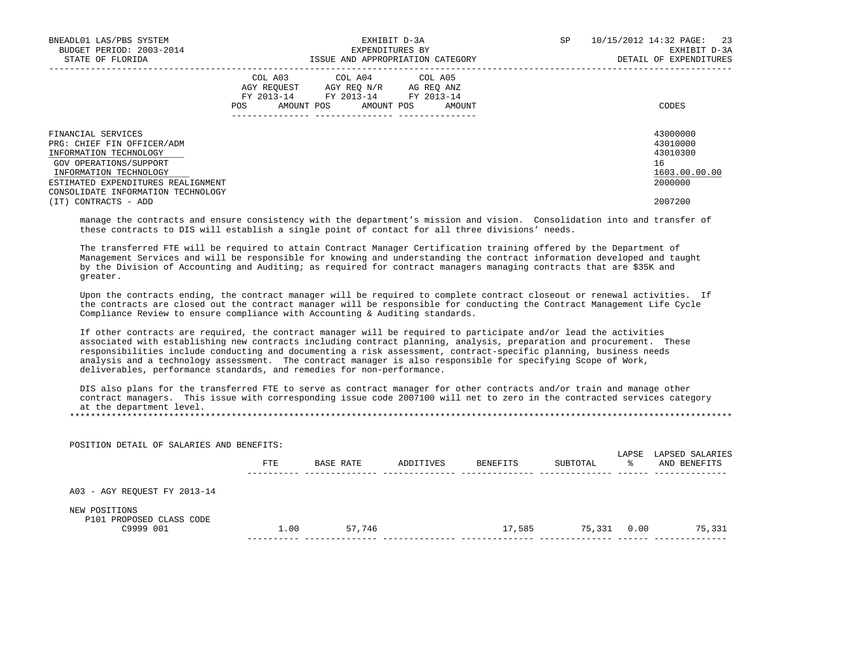| BNEADL01 LAS/PBS SYSTEM            | EXHIBIT D-3A |                                    |                                  | SP | 10/15/2012 14:32 PAGE: 23 |
|------------------------------------|--------------|------------------------------------|----------------------------------|----|---------------------------|
| BUDGET PERIOD: 2003-2014           |              | EXPENDITURES BY                    |                                  |    | EXHIBIT D-3A              |
| STATE OF FLORIDA                   |              |                                    | ISSUE AND APPROPRIATION CATEGORY |    | DETAIL OF EXPENDITURES    |
|                                    |              | COL A03 COL A04 COL A05            |                                  |    |                           |
|                                    |              | AGY REOUEST AGY REO N/R AG REO ANZ |                                  |    |                           |
|                                    |              | FY 2013-14 FY 2013-14 FY 2013-14   |                                  |    |                           |
|                                    | POS          | AMOUNT POS AMOUNT POS              | AMOUNT                           |    | CODES                     |
|                                    |              |                                    |                                  |    |                           |
| FINANCIAL SERVICES                 |              |                                    |                                  |    | 43000000                  |
| PRG: CHIEF FIN OFFICER/ADM         |              |                                    |                                  |    | 43010000                  |
| INFORMATION TECHNOLOGY             |              |                                    |                                  |    | 43010300                  |
| GOV OPERATIONS/SUPPORT             |              |                                    |                                  |    | 16                        |
| INFORMATION TECHNOLOGY             |              |                                    |                                  |    | 1603.00.00.00             |
| ESTIMATED EXPENDITURES REALIGNMENT |              |                                    |                                  |    | 2000000                   |
| CONSOLIDATE INFORMATION TECHNOLOGY |              |                                    |                                  |    |                           |
| (IT) CONTRACTS - ADD               |              |                                    |                                  |    | 2007200                   |

 manage the contracts and ensure consistency with the department's mission and vision. Consolidation into and transfer of these contracts to DIS will establish a single point of contact for all three divisions' needs.

 The transferred FTE will be required to attain Contract Manager Certification training offered by the Department of Management Services and will be responsible for knowing and understanding the contract information developed and taught by the Division of Accounting and Auditing; as required for contract managers managing contracts that are \$35K and greater.

 Upon the contracts ending, the contract manager will be required to complete contract closeout or renewal activities. If the contracts are closed out the contract manager will be responsible for conducting the Contract Management Life Cycle Compliance Review to ensure compliance with Accounting & Auditing standards.

 If other contracts are required, the contract manager will be required to participate and/or lead the activities associated with establishing new contracts including contract planning, analysis, preparation and procurement. These responsibilities include conducting and documenting a risk assessment, contract-specific planning, business needs analysis and a technology assessment. The contract manager is also responsible for specifying Scope of Work, deliverables, performance standards, and remedies for non-performance.

 DIS also plans for the transferred FTE to serve as contract manager for other contracts and/or train and manage other contract managers. This issue with corresponding issue code 2007100 will net to zero in the contracted services category at the department level.

\*\*\*\*\*\*\*\*\*\*\*\*\*\*\*\*\*\*\*\*\*\*\*\*\*\*\*\*\*\*\*\*\*\*\*\*\*\*\*\*\*\*\*\*\*\*\*\*\*\*\*\*\*\*\*\*\*\*\*\*\*\*\*\*\*\*\*\*\*\*\*\*\*\*\*\*\*\*\*\*\*\*\*\*\*\*\*\*\*\*\*\*\*\*\*\*\*\*\*\*\*\*\*\*\*\*\*\*\*\*\*\*\*\*\*\*\*\*\*\*\*\*\*\*\*\*\*

| POSITION DETAIL OF SALARIES AND BENEFITS: |      |           |           |          |          |             |                                 |
|-------------------------------------------|------|-----------|-----------|----------|----------|-------------|---------------------------------|
|                                           | FTE  | BASE RATE | ADDITIVES | BENEFITS | SUBTOTAL | LAPSE<br>°≈ | LAPSED SALARIES<br>AND BENEFITS |
| A03 - AGY REQUEST FY 2013-14              |      |           |           |          |          |             |                                 |
| NEW POSITIONS<br>P101 PROPOSED CLASS CODE |      |           |           |          |          |             |                                 |
| C9999 001                                 | 1.00 | 57,746    |           | 17,585   | 75,331   | 0.00        | 75,331                          |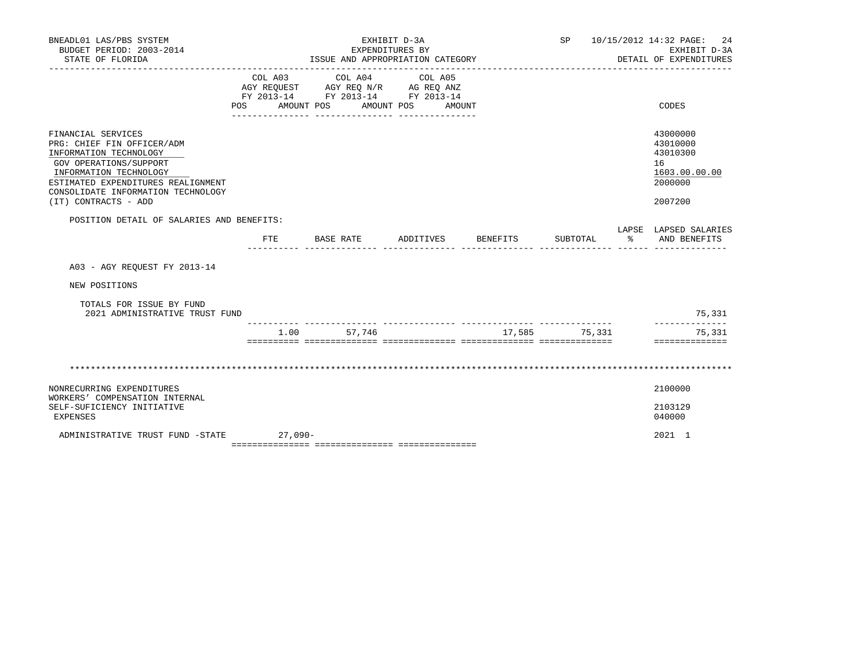| BNEADL01 LAS/PBS SYSTEM<br>BUDGET PERIOD: 2003-2014<br>STATE OF FLORIDA                                                                                                                                                            |                           | EXPENDITURES BY<br>ISSUE AND APPROPRIATION CATEGORY                               | EXHIBIT D-3A                 |                    | SP       | 10/15/2012 14:32 PAGE:<br>EXHIBIT D-3A<br>DETAIL OF EXPENDITURES              | 24     |
|------------------------------------------------------------------------------------------------------------------------------------------------------------------------------------------------------------------------------------|---------------------------|-----------------------------------------------------------------------------------|------------------------------|--------------------|----------|-------------------------------------------------------------------------------|--------|
|                                                                                                                                                                                                                                    | COL A03<br>POS AMOUNT POS | COL A04<br>AGY REQUEST AGY REQ N/R AG REQ ANZ<br>FY 2013-14 FY 2013-14 FY 2013-14 | COL A05<br>AMOUNT POS AMOUNT |                    |          | CODES                                                                         |        |
| FINANCIAL SERVICES<br>PRG: CHIEF FIN OFFICER/ADM<br>INFORMATION TECHNOLOGY<br>GOV OPERATIONS/SUPPORT<br>INFORMATION TECHNOLOGY<br>ESTIMATED EXPENDITURES REALIGNMENT<br>CONSOLIDATE INFORMATION TECHNOLOGY<br>(IT) CONTRACTS - ADD |                           |                                                                                   |                              |                    |          | 43000000<br>43010000<br>43010300<br>16<br>1603.00.00.00<br>2000000<br>2007200 |        |
| POSITION DETAIL OF SALARIES AND BENEFITS:                                                                                                                                                                                          |                           |                                                                                   |                              |                    |          | LAPSE LAPSED SALARIES                                                         |        |
|                                                                                                                                                                                                                                    | FTE.                      | BASE RATE                                                                         |                              | ADDITIVES BENEFITS | SUBTOTAL | $\sim$ $\sim$<br>AND BENEFITS                                                 |        |
| A03 - AGY REQUEST FY 2013-14                                                                                                                                                                                                       |                           |                                                                                   |                              |                    |          |                                                                               |        |
| NEW POSITIONS                                                                                                                                                                                                                      |                           |                                                                                   |                              |                    |          |                                                                               |        |
| TOTALS FOR ISSUE BY FUND<br>2021 ADMINISTRATIVE TRUST FUND                                                                                                                                                                         |                           |                                                                                   |                              |                    |          |                                                                               | 75,331 |
|                                                                                                                                                                                                                                    |                           | 1.00 57.746                                                                       |                              | 17,585             | 75,331   | 75,331<br>==============                                                      |        |
|                                                                                                                                                                                                                                    |                           |                                                                                   |                              |                    |          |                                                                               |        |
| NONRECURRING EXPENDITURES<br>WORKERS' COMPENSATION INTERNAL<br>SELF-SUFICIENCY INITIATIVE<br>EXPENSES                                                                                                                              |                           |                                                                                   |                              |                    |          | 2100000<br>2103129<br>040000                                                  |        |
| ADMINISTRATIVE TRUST FUND -STATE                                                                                                                                                                                                   | $27,090-$                 |                                                                                   |                              |                    |          | 2021 1                                                                        |        |

=============== =============== ===============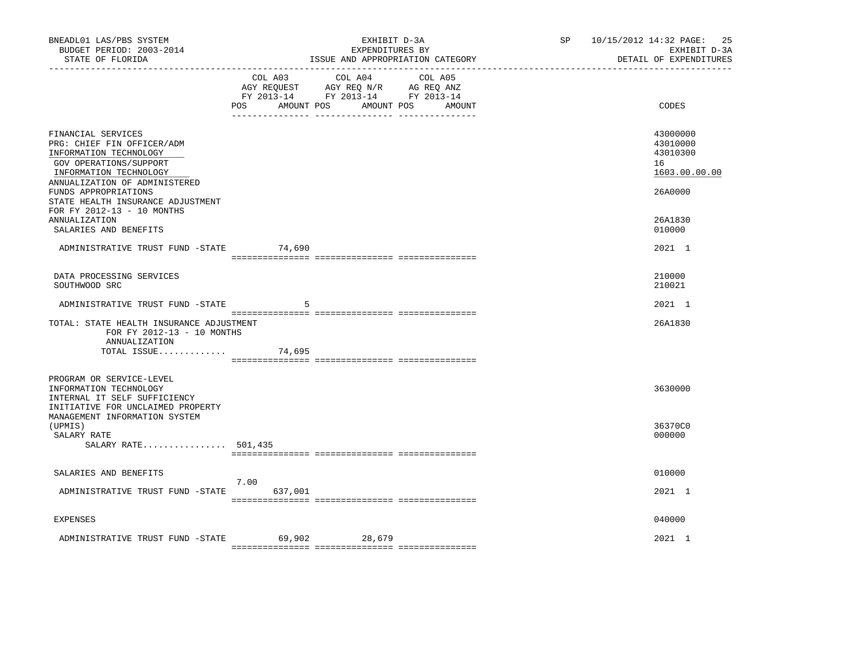| BNEADL01 LAS/PBS SYSTEM<br>BUDGET PERIOD: 2003-2014<br>STATE OF FLORIDA                                                                                         | EXHIBIT D-3A<br>EXPENDITURES BY<br>ISSUE AND APPROPRIATION CATEGORY                                                                      | SP 10/15/2012 14:32 PAGE: | 25<br>EXHIBIT D-3A<br>DETAIL OF EXPENDITURES            |
|-----------------------------------------------------------------------------------------------------------------------------------------------------------------|------------------------------------------------------------------------------------------------------------------------------------------|---------------------------|---------------------------------------------------------|
|                                                                                                                                                                 | COL A03 COL A04 COL A05<br>AGY REQUEST AGY REQ N/R AG REQ ANZ<br>FY 2013-14 FY 2013-14 FY 2013-14<br>POS<br>AMOUNT POS AMOUNT POS AMOUNT |                           | CODES                                                   |
| FINANCIAL SERVICES<br>PRG: CHIEF FIN OFFICER/ADM<br>INFORMATION TECHNOLOGY<br>GOV OPERATIONS/SUPPORT<br>INFORMATION TECHNOLOGY<br>ANNUALIZATION OF ADMINISTERED |                                                                                                                                          |                           | 43000000<br>43010000<br>43010300<br>16<br>1603.00.00.00 |
| FUNDS APPROPRIATIONS<br>STATE HEALTH INSURANCE ADJUSTMENT<br>FOR FY 2012-13 - 10 MONTHS<br>ANNUALIZATION                                                        |                                                                                                                                          |                           | 26A0000<br>26A1830                                      |
| SALARIES AND BENEFITS<br>ADMINISTRATIVE TRUST FUND -STATE 74,690                                                                                                |                                                                                                                                          |                           | 010000<br>2021 1                                        |
| DATA PROCESSING SERVICES<br>SOUTHWOOD SRC                                                                                                                       |                                                                                                                                          |                           | 210000<br>210021                                        |
| ADMINISTRATIVE TRUST FUND -STATE                                                                                                                                | -5                                                                                                                                       |                           | 2021 1                                                  |
| TOTAL: STATE HEALTH INSURANCE ADJUSTMENT<br>FOR FY 2012-13 - 10 MONTHS<br>ANNUALIZATION                                                                         |                                                                                                                                          |                           | 26A1830                                                 |
| TOTAL ISSUE                                                                                                                                                     | 74,695                                                                                                                                   |                           |                                                         |
| PROGRAM OR SERVICE-LEVEL<br>INFORMATION TECHNOLOGY<br>INTERNAL IT SELF SUFFICIENCY<br>INITIATIVE FOR UNCLAIMED PROPERTY<br>MANAGEMENT INFORMATION SYSTEM        |                                                                                                                                          |                           | 3630000                                                 |
| (UPMIS)<br>SALARY RATE<br>SALARY RATE 501,435                                                                                                                   |                                                                                                                                          |                           | 36370C0<br>000000                                       |
| SALARIES AND BENEFITS                                                                                                                                           |                                                                                                                                          |                           | 010000                                                  |
| ADMINISTRATIVE TRUST FUND -STATE 637,001                                                                                                                        | 7.00                                                                                                                                     |                           | 2021 1                                                  |
| EXPENSES                                                                                                                                                        |                                                                                                                                          |                           | 040000                                                  |
| ADMINISTRATIVE TRUST FUND -STATE                                                                                                                                | 69,902 28,679                                                                                                                            |                           | 2021 1                                                  |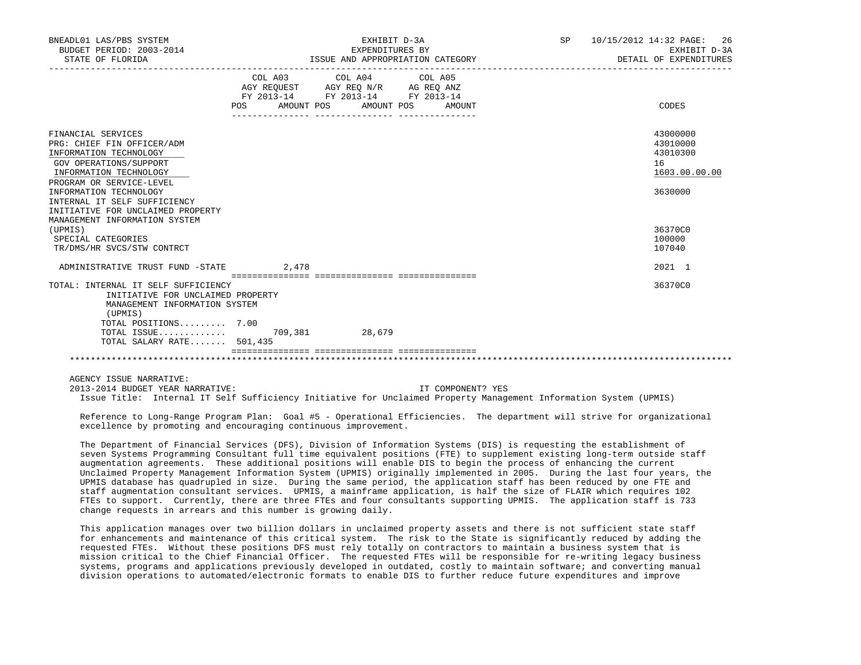| BNEADL01 LAS/PBS SYSTEM<br>BUDGET PERIOD: 2003-2014<br>STATE OF FLORIDA                                                                                    |                           | EXHIBIT D-3A<br>EXPENDITURES BY<br>ISSUE AND APPROPRIATION CATEGORY                               |        | SP | 10/15/2012 14:32 PAGE: 26<br>EXHIBIT D-3A<br>DETAIL OF EXPENDITURES |
|------------------------------------------------------------------------------------------------------------------------------------------------------------|---------------------------|---------------------------------------------------------------------------------------------------|--------|----|---------------------------------------------------------------------|
|                                                                                                                                                            | POS AMOUNT POS AMOUNT POS | COL A03 COL A04 COL A05<br>AGY REQUEST AGY REQ N/R AG REQ ANZ<br>FY 2013-14 FY 2013-14 FY 2013-14 | AMOUNT |    | CODES                                                               |
| FINANCIAL SERVICES<br>PRG: CHIEF FIN OFFICER/ADM<br>INFORMATION TECHNOLOGY<br>GOV OPERATIONS/SUPPORT<br>INFORMATION TECHNOLOGY<br>PROGRAM OR SERVICE-LEVEL |                           |                                                                                                   |        |    | 43000000<br>43010000<br>43010300<br>16<br>1603.00.00.00             |
| INFORMATION TECHNOLOGY<br>INTERNAL IT SELF SUFFICIENCY<br>INITIATIVE FOR UNCLAIMED PROPERTY<br>MANAGEMENT INFORMATION SYSTEM                               |                           |                                                                                                   |        |    | 3630000                                                             |
| (UPMIS)<br>SPECIAL CATEGORIES<br>TR/DMS/HR SVCS/STW CONTRCT                                                                                                |                           |                                                                                                   |        |    | 36370C0<br>100000<br>107040                                         |
| ADMINISTRATIVE TRUST FUND -STATE 2,478                                                                                                                     |                           |                                                                                                   |        |    | 2021 1                                                              |
| TOTAL: INTERNAL IT SELF SUFFICIENCY<br>INITIATIVE FOR UNCLAIMED PROPERTY<br>MANAGEMENT INFORMATION SYSTEM<br>(UPMIS)<br>TOTAL POSITIONS 7.00               |                           |                                                                                                   |        |    | 36370C0                                                             |
| TOTAL ISSUE 709,381 28,679<br>TOTAL SALARY RATE 501,435                                                                                                    |                           |                                                                                                   |        |    |                                                                     |
|                                                                                                                                                            |                           |                                                                                                   |        |    |                                                                     |

AGENCY ISSUE NARRATIVE:

 2013-2014 BUDGET YEAR NARRATIVE: IT COMPONENT? YES Issue Title: Internal IT Self Sufficiency Initiative for Unclaimed Property Management Information System (UPMIS)

 Reference to Long-Range Program Plan: Goal #5 - Operational Efficiencies. The department will strive for organizational excellence by promoting and encouraging continuous improvement.

 The Department of Financial Services (DFS), Division of Information Systems (DIS) is requesting the establishment of seven Systems Programming Consultant full time equivalent positions (FTE) to supplement existing long-term outside staff augmentation agreements. These additional positions will enable DIS to begin the process of enhancing the current Unclaimed Property Management Information System (UPMIS) originally implemented in 2005. During the last four years, the UPMIS database has quadrupled in size. During the same period, the application staff has been reduced by one FTE and staff augmentation consultant services. UPMIS, a mainframe application, is half the size of FLAIR which requires 102 FTEs to support. Currently, there are three FTEs and four consultants supporting UPMIS. The application staff is 733 change requests in arrears and this number is growing daily.

 This application manages over two billion dollars in unclaimed property assets and there is not sufficient state staff for enhancements and maintenance of this critical system. The risk to the State is significantly reduced by adding the requested FTEs. Without these positions DFS must rely totally on contractors to maintain a business system that is mission critical to the Chief Financial Officer. The requested FTEs will be responsible for re-writing legacy business systems, programs and applications previously developed in outdated, costly to maintain software; and converting manual division operations to automated/electronic formats to enable DIS to further reduce future expenditures and improve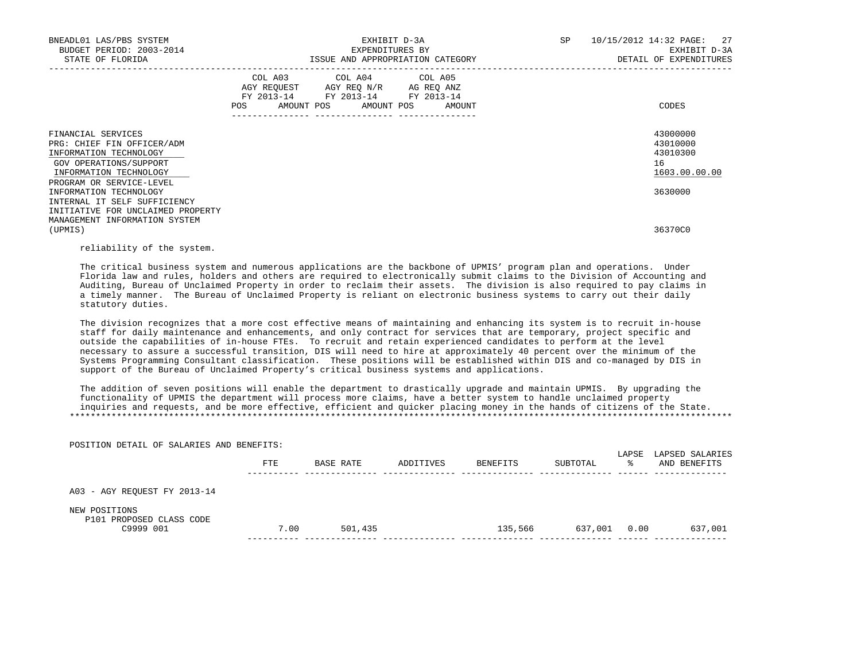| BNEADL01 LAS/PBS SYSTEM<br>BUDGET PERIOD: 2003-2014<br>STATE OF FLORIDA                                                                                    |     | EXHIBIT D-3A<br>EXPENDITURES BY<br>ISSUE AND APPROPRIATION CATEGORY                                                                                  | <b>SP</b> | 10/15/2012 14:32 PAGE: 27<br>EXHIBIT D-3A<br>DETAIL OF EXPENDITURES |
|------------------------------------------------------------------------------------------------------------------------------------------------------------|-----|------------------------------------------------------------------------------------------------------------------------------------------------------|-----------|---------------------------------------------------------------------|
|                                                                                                                                                            | POS | COL A03 COL A04 COL A05<br>AGY REQUEST AGY REQ N/R AG REQ ANZ<br>FY 2013-14 FY 2013-14 FY 2013-14<br>AMOUNT POS AMOUNT POS AMOUNT<br>--------------- |           | CODES                                                               |
| FINANCIAL SERVICES<br>PRG: CHIEF FIN OFFICER/ADM<br>INFORMATION TECHNOLOGY<br>GOV OPERATIONS/SUPPORT<br>INFORMATION TECHNOLOGY<br>PROGRAM OR SERVICE-LEVEL |     |                                                                                                                                                      |           | 43000000<br>43010000<br>43010300<br>16<br>1603.00.00.00             |
| INFORMATION TECHNOLOGY<br>INTERNAL IT SELF SUFFICIENCY                                                                                                     |     |                                                                                                                                                      |           | 3630000                                                             |
| INITIATIVE FOR UNCLAIMED PROPERTY<br>MANAGEMENT INFORMATION SYSTEM<br>(UPMIS)                                                                              |     |                                                                                                                                                      |           | 36370C0                                                             |

reliability of the system.

POSITION DETAIL OF SALARIES AND BENEFITS:

 The critical business system and numerous applications are the backbone of UPMIS' program plan and operations. Under Florida law and rules, holders and others are required to electronically submit claims to the Division of Accounting and Auditing, Bureau of Unclaimed Property in order to reclaim their assets. The division is also required to pay claims in a timely manner. The Bureau of Unclaimed Property is reliant on electronic business systems to carry out their daily statutory duties.

 The division recognizes that a more cost effective means of maintaining and enhancing its system is to recruit in-house staff for daily maintenance and enhancements, and only contract for services that are temporary, project specific and outside the capabilities of in-house FTEs. To recruit and retain experienced candidates to perform at the level necessary to assure a successful transition, DIS will need to hire at approximately 40 percent over the minimum of the Systems Programming Consultant classification. These positions will be established within DIS and co-managed by DIS in support of the Bureau of Unclaimed Property's critical business systems and applications.

 The addition of seven positions will enable the department to drastically upgrade and maintain UPMIS. By upgrading the functionality of UPMIS the department will process more claims, have a better system to handle unclaimed property inquiries and requests, and be more effective, efficient and quicker placing money in the hands of citizens of the State. \*\*\*\*\*\*\*\*\*\*\*\*\*\*\*\*\*\*\*\*\*\*\*\*\*\*\*\*\*\*\*\*\*\*\*\*\*\*\*\*\*\*\*\*\*\*\*\*\*\*\*\*\*\*\*\*\*\*\*\*\*\*\*\*\*\*\*\*\*\*\*\*\*\*\*\*\*\*\*\*\*\*\*\*\*\*\*\*\*\*\*\*\*\*\*\*\*\*\*\*\*\*\*\*\*\*\*\*\*\*\*\*\*\*\*\*\*\*\*\*\*\*\*\*\*\*\*

|                                                        | FTE  | BASE RATE | ADDITIVES | BENEFITS | SUBTOTAL | LAPSE<br>°≈ | LAPSED SALARIES<br>AND BENEFITS |
|--------------------------------------------------------|------|-----------|-----------|----------|----------|-------------|---------------------------------|
| A03 - AGY REQUEST FY 2013-14                           |      |           |           |          |          |             |                                 |
| NEW POSITIONS<br>P101 PROPOSED CLASS CODE<br>C9999 001 | 7.00 | 501,435   |           | 135,566  | 637,001  | 0.00        | 637,001                         |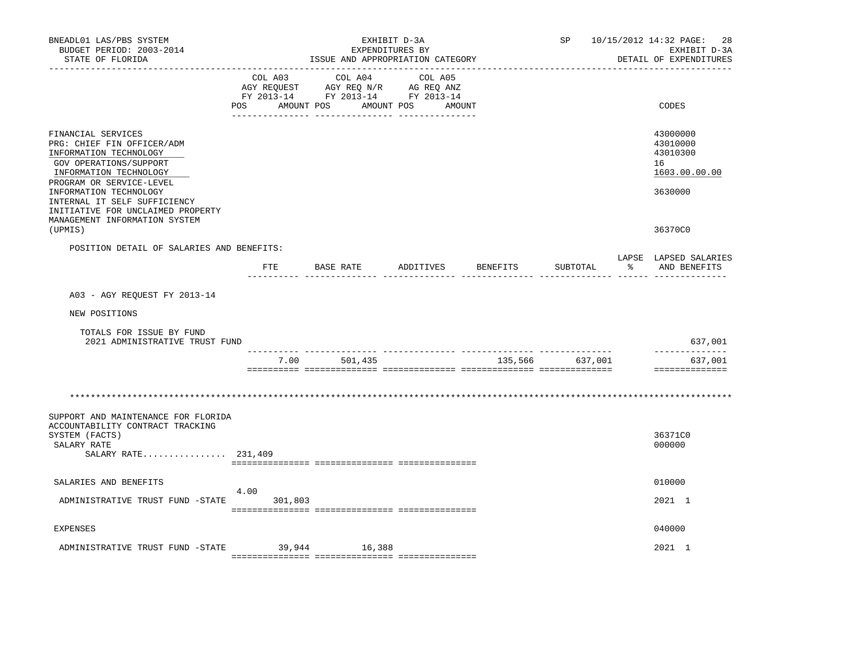| BNEADL01 LAS/PBS SYSTEM<br>BUDGET PERIOD: 2003-2014<br>STATE OF FLORIDA                                                                                    |      | -----------------------------------                                                       |            | EXPENDITURES BY<br>ISSUE AND APPROPRIATION CATEGORY | EXHIBIT D-3A |        |          | SP              | 10/15/2012 14:32 PAGE:<br>28<br>EXHIBIT D-3A<br>DETAIL OF EXPENDITURES |
|------------------------------------------------------------------------------------------------------------------------------------------------------------|------|-------------------------------------------------------------------------------------------|------------|-----------------------------------------------------|--------------|--------|----------|-----------------|------------------------------------------------------------------------|
|                                                                                                                                                            | POS  | COL A03 COL A04<br>AGY REQUEST AGY REQ N/R AG REQ ANZ<br>FY 2013-14 FY 2013-14 FY 2013-14 | AMOUNT POS | AMOUNT POS                                          | COL A05      | AMOUNT |          |                 | CODES                                                                  |
| FINANCIAL SERVICES<br>PRG: CHIEF FIN OFFICER/ADM<br>INFORMATION TECHNOLOGY<br>GOV OPERATIONS/SUPPORT<br>INFORMATION TECHNOLOGY<br>PROGRAM OR SERVICE-LEVEL |      |                                                                                           |            |                                                     |              |        |          |                 | 43000000<br>43010000<br>43010300<br>16<br>1603.00.00.00                |
| INFORMATION TECHNOLOGY<br>INTERNAL IT SELF SUFFICIENCY<br>INITIATIVE FOR UNCLAIMED PROPERTY<br>MANAGEMENT INFORMATION SYSTEM<br>(UPMIS)                    |      |                                                                                           |            |                                                     |              |        |          |                 | 3630000<br>36370C0                                                     |
| POSITION DETAIL OF SALARIES AND BENEFITS:                                                                                                                  |      | FTE BASE RATE                                                                             |            |                                                     | ADDITIVES    |        | BENEFITS | SUBTOTAL        | LAPSE LAPSED SALARIES<br>AND BENEFITS                                  |
| A03 - AGY REQUEST FY 2013-14                                                                                                                               |      |                                                                                           |            |                                                     |              |        |          |                 |                                                                        |
| NEW POSITIONS                                                                                                                                              |      |                                                                                           |            |                                                     |              |        |          |                 |                                                                        |
| TOTALS FOR ISSUE BY FUND<br>2021 ADMINISTRATIVE TRUST FUND                                                                                                 |      |                                                                                           |            |                                                     |              |        |          |                 | 637,001                                                                |
|                                                                                                                                                            |      | 7.00                                                                                      |            | 501,435                                             |              |        |          | 135,566 637,001 | ______________<br>637,001<br>==============                            |
|                                                                                                                                                            |      |                                                                                           |            |                                                     |              |        |          |                 |                                                                        |
| SUPPORT AND MAINTENANCE FOR FLORIDA<br>ACCOUNTABILITY CONTRACT TRACKING<br>SYSTEM (FACTS)<br>SALARY RATE<br>SALARY RATE 231,409                            |      |                                                                                           |            |                                                     |              |        |          |                 | 36371C0<br>000000                                                      |
| SALARIES AND BENEFITS                                                                                                                                      |      |                                                                                           |            |                                                     |              |        |          |                 | 010000                                                                 |
| ADMINISTRATIVE TRUST FUND -STATE                                                                                                                           | 4.00 | 301,803                                                                                   |            |                                                     |              |        |          |                 | 2021 1                                                                 |
| EXPENSES                                                                                                                                                   |      |                                                                                           |            |                                                     |              |        |          |                 | 040000                                                                 |
| ADMINISTRATIVE TRUST FUND -STATE 39,944 16,388                                                                                                             |      |                                                                                           |            |                                                     |              |        |          |                 | 2021 1                                                                 |

=============== =============== ===============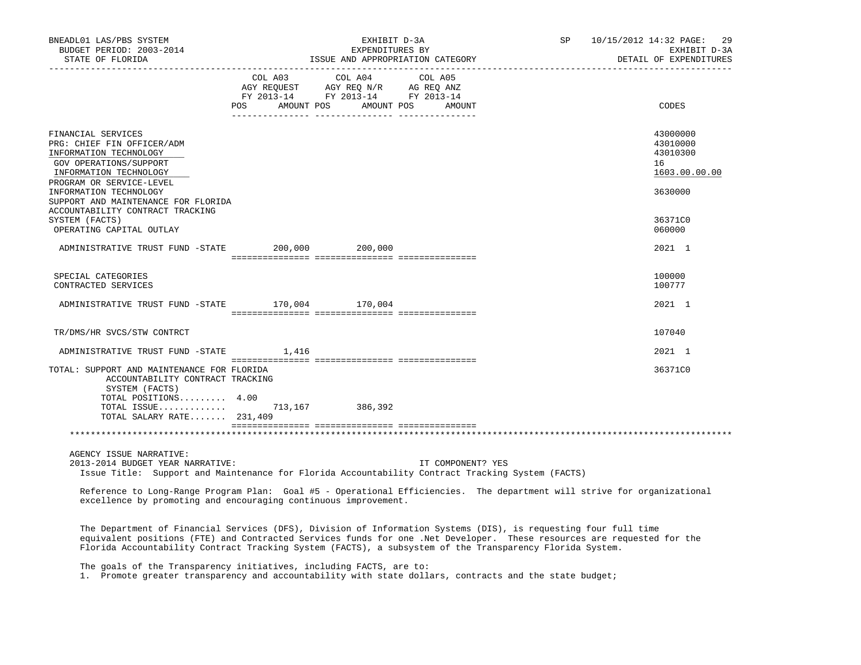| BNEADL01 LAS/PBS SYSTEM<br>BUDGET PERIOD: 2003-2014<br>STATE OF FLORIDA                                                                                                                                                                                                                                                                               |                                  | EXHIBIT D-3A<br>EXPENDITURES BY                                                                                                                            | ISSUE AND APPROPRIATION CATEGORY | SP | 10/15/2012 14:32 PAGE:<br>29<br>EXHIBIT D-3A<br>DETAIL OF EXPENDITURES        |
|-------------------------------------------------------------------------------------------------------------------------------------------------------------------------------------------------------------------------------------------------------------------------------------------------------------------------------------------------------|----------------------------------|------------------------------------------------------------------------------------------------------------------------------------------------------------|----------------------------------|----|-------------------------------------------------------------------------------|
|                                                                                                                                                                                                                                                                                                                                                       | POS AMOUNT POS AMOUNT POS AMOUNT | $\begin{tabular}{lcccc} COL A03 & COL A04 & COL A05 \\ AGY REQUEST & AGY REQ N/R & AG REQ ANZ \\ FY & 2013-14 & FY & 2013-14 & FY & 2013-14 \end{tabular}$ |                                  |    | CODES                                                                         |
| FINANCIAL SERVICES<br>PRG: CHIEF FIN OFFICER/ADM<br>INFORMATION TECHNOLOGY<br>GOV OPERATIONS/SUPPORT<br>INFORMATION TECHNOLOGY<br>PROGRAM OR SERVICE-LEVEL<br>INFORMATION TECHNOLOGY<br>SUPPORT AND MAINTENANCE FOR FLORIDA<br>ACCOUNTABILITY CONTRACT TRACKING<br>SYSTEM (FACTS)                                                                     |                                  |                                                                                                                                                            |                                  |    | 43000000<br>43010000<br>43010300<br>16<br>1603.00.00.00<br>3630000<br>36371C0 |
| OPERATING CAPITAL OUTLAY<br>ADMINISTRATIVE TRUST FUND -STATE 200,000 200,000                                                                                                                                                                                                                                                                          |                                  |                                                                                                                                                            |                                  |    | 060000<br>2021 1                                                              |
| SPECIAL CATEGORIES<br>CONTRACTED SERVICES                                                                                                                                                                                                                                                                                                             |                                  |                                                                                                                                                            |                                  |    | 100000<br>100777                                                              |
| ADMINISTRATIVE TRUST FUND -STATE 170,004 170,004                                                                                                                                                                                                                                                                                                      |                                  |                                                                                                                                                            |                                  |    | 2021 1                                                                        |
| TR/DMS/HR SVCS/STW CONTRCT                                                                                                                                                                                                                                                                                                                            |                                  |                                                                                                                                                            |                                  |    | 107040                                                                        |
| ADMINISTRATIVE TRUST FUND -STATE 1,416                                                                                                                                                                                                                                                                                                                |                                  |                                                                                                                                                            |                                  |    | 2021 1                                                                        |
| TOTAL: SUPPORT AND MAINTENANCE FOR FLORIDA<br>ACCOUNTABILITY CONTRACT TRACKING<br>SYSTEM (FACTS)<br>TOTAL POSITIONS 4.00<br>TOTAL ISSUE 713,167 386,392<br>TOTAL SALARY RATE 231,409                                                                                                                                                                  |                                  |                                                                                                                                                            |                                  |    | 36371C0                                                                       |
|                                                                                                                                                                                                                                                                                                                                                       |                                  |                                                                                                                                                            |                                  |    |                                                                               |
| AGENCY ISSUE NARRATIVE:<br>2013-2014 BUDGET YEAR NARRATIVE:<br>Issue Title: Support and Maintenance for Florida Accountability Contract Tracking System (FACTS)                                                                                                                                                                                       |                                  |                                                                                                                                                            | IT COMPONENT? YES                |    |                                                                               |
| Reference to Long-Range Program Plan: Goal #5 - Operational Efficiencies. The department will strive for organizational<br>excellence by promoting and encouraging continuous improvement.                                                                                                                                                            |                                  |                                                                                                                                                            |                                  |    |                                                                               |
| The Department of Financial Services (DFS), Division of Information Systems (DIS), is requesting four full time<br>equivalent positions (FTE) and Contracted Services funds for one .Net Developer. These resources are requested for the<br>Florida Accountability Contract Tracking System (FACTS), a subsystem of the Transparency Florida System. |                                  |                                                                                                                                                            |                                  |    |                                                                               |

 The goals of the Transparency initiatives, including FACTS, are to: 1. Promote greater transparency and accountability with state dollars, contracts and the state budget;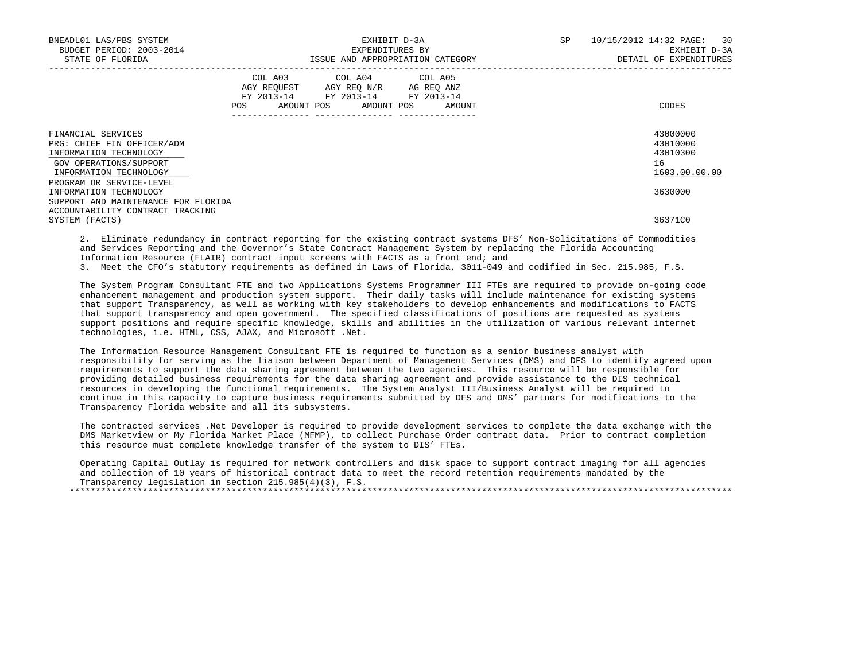| BNEADL01 LAS/PBS SYSTEM<br>BUDGET PERIOD: 2003-2014<br>STATE OF FLORIDA                                                                                    | EXHIBIT D-3A<br>EXPENDITURES BY<br>ISSUE AND APPROPRIATION CATEGORY                                                                   | <b>SP</b> | 10/15/2012 14:32 PAGE: 30<br>EXHIBIT D-3A<br>DETAIL OF EXPENDITURES |                                                         |
|------------------------------------------------------------------------------------------------------------------------------------------------------------|---------------------------------------------------------------------------------------------------------------------------------------|-----------|---------------------------------------------------------------------|---------------------------------------------------------|
|                                                                                                                                                            | COL A03 COL A04 COL A05<br>AGY REQUEST AGY REQ N/R AG REQ ANZ<br>FY 2013-14 FY 2013-14 FY 2013-14<br>POS AMOUNT POS AMOUNT POS AMOUNT |           |                                                                     | CODES                                                   |
| FINANCIAL SERVICES<br>PRG: CHIEF FIN OFFICER/ADM<br>INFORMATION TECHNOLOGY<br>GOV OPERATIONS/SUPPORT<br>INFORMATION TECHNOLOGY<br>PROGRAM OR SERVICE-LEVEL |                                                                                                                                       |           |                                                                     | 43000000<br>43010000<br>43010300<br>16<br>1603.00.00.00 |
| INFORMATION TECHNOLOGY<br>SUPPORT AND MAINTENANCE FOR FLORIDA<br>ACCOUNTABILITY CONTRACT TRACKING<br>SYSTEM (FACTS)                                        |                                                                                                                                       |           |                                                                     | 3630000<br>36371C0                                      |
|                                                                                                                                                            |                                                                                                                                       |           |                                                                     |                                                         |

 2. Eliminate redundancy in contract reporting for the existing contract systems DFS' Non-Solicitations of Commodities and Services Reporting and the Governor's State Contract Management System by replacing the Florida Accounting Information Resource (FLAIR) contract input screens with FACTS as a front end; and 3. Meet the CFO's statutory requirements as defined in Laws of Florida, 3011-049 and codified in Sec. 215.985, F.S.

 The System Program Consultant FTE and two Applications Systems Programmer III FTEs are required to provide on-going code enhancement management and production system support. Their daily tasks will include maintenance for existing systems that support Transparency, as well as working with key stakeholders to develop enhancements and modifications to FACTS that support transparency and open government. The specified classifications of positions are requested as systems support positions and require specific knowledge, skills and abilities in the utilization of various relevant internet technologies, i.e. HTML, CSS, AJAX, and Microsoft .Net.

 The Information Resource Management Consultant FTE is required to function as a senior business analyst with responsibility for serving as the liaison between Department of Management Services (DMS) and DFS to identify agreed upon requirements to support the data sharing agreement between the two agencies. This resource will be responsible for providing detailed business requirements for the data sharing agreement and provide assistance to the DIS technical resources in developing the functional requirements. The System Analyst III/Business Analyst will be required to continue in this capacity to capture business requirements submitted by DFS and DMS' partners for modifications to the Transparency Florida website and all its subsystems.

 The contracted services .Net Developer is required to provide development services to complete the data exchange with the DMS Marketview or My Florida Market Place (MFMP), to collect Purchase Order contract data. Prior to contract completion this resource must complete knowledge transfer of the system to DIS' FTEs.

 Operating Capital Outlay is required for network controllers and disk space to support contract imaging for all agencies and collection of 10 years of historical contract data to meet the record retention requirements mandated by the Transparency legislation in section 215.985(4)(3), F.S. \*\*\*\*\*\*\*\*\*\*\*\*\*\*\*\*\*\*\*\*\*\*\*\*\*\*\*\*\*\*\*\*\*\*\*\*\*\*\*\*\*\*\*\*\*\*\*\*\*\*\*\*\*\*\*\*\*\*\*\*\*\*\*\*\*\*\*\*\*\*\*\*\*\*\*\*\*\*\*\*\*\*\*\*\*\*\*\*\*\*\*\*\*\*\*\*\*\*\*\*\*\*\*\*\*\*\*\*\*\*\*\*\*\*\*\*\*\*\*\*\*\*\*\*\*\*\*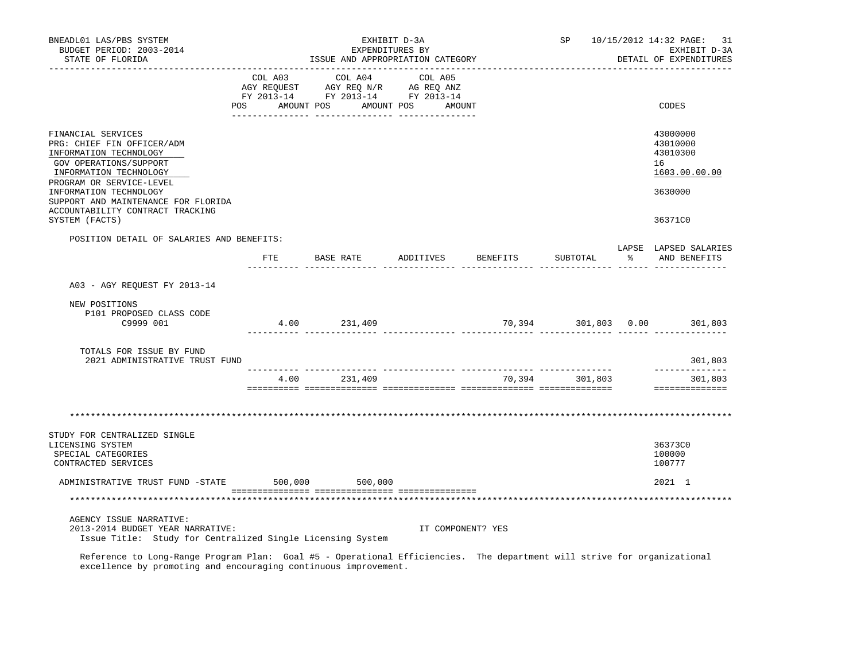| BNEADL01 LAS/PBS SYSTEM<br>BUDGET PERIOD: 2003-2014<br>STATE OF FLORIDA                                                                                                              |                | ISSUE AND APPROPRIATION CATEGORY                                                                                                                           | EXHIBIT D-3A<br>EXPENDITURES BY |          |                |   | SP 10/15/2012 14:32 PAGE: 31<br>EXHIBIT D-3A<br>DETAIL OF EXPENDITURES |
|--------------------------------------------------------------------------------------------------------------------------------------------------------------------------------------|----------------|------------------------------------------------------------------------------------------------------------------------------------------------------------|---------------------------------|----------|----------------|---|------------------------------------------------------------------------|
|                                                                                                                                                                                      | POS AMOUNT POS | $\begin{tabular}{lcccc} CDL A03 & CDL A04 & CDL A05 \\ AGY REQUEST & AGY REQ N/R & AG REQ ANZ \\ FY & 2013-14 & FY & 2013-14 & FY & 2013-14 \end{tabular}$ | AMOUNT POS AMOUNT               |          |                |   | CODES                                                                  |
| FINANCIAL SERVICES<br>PRG: CHIEF FIN OFFICER/ADM<br>INFORMATION TECHNOLOGY<br>GOV OPERATIONS/SUPPORT<br>INFORMATION TECHNOLOGY<br>PROGRAM OR SERVICE-LEVEL<br>INFORMATION TECHNOLOGY |                |                                                                                                                                                            |                                 |          |                |   | 43000000<br>43010000<br>43010300<br>16<br>1603.00.00.00<br>3630000     |
| SUPPORT AND MAINTENANCE FOR FLORIDA<br>ACCOUNTABILITY CONTRACT TRACKING<br>SYSTEM (FACTS)                                                                                            |                |                                                                                                                                                            |                                 |          |                |   | 36371C0                                                                |
| POSITION DETAIL OF SALARIES AND BENEFITS:                                                                                                                                            | FTE            | <b>BASE RATE</b>                                                                                                                                           | ADDITIVES                       | BENEFITS | SUBTOTAL       | ႜ | LAPSE LAPSED SALARIES<br>AND BENEFITS                                  |
| A03 - AGY REQUEST FY 2013-14                                                                                                                                                         |                |                                                                                                                                                            |                                 |          |                |   |                                                                        |
| NEW POSITIONS<br>P101 PROPOSED CLASS CODE<br>C9999 001                                                                                                                               |                | 4.00 231,409                                                                                                                                               |                                 |          |                |   | 70,394 301,803 0.00 301,803                                            |
| TOTALS FOR ISSUE BY FUND<br>2021 ADMINISTRATIVE TRUST FUND                                                                                                                           |                |                                                                                                                                                            |                                 |          |                |   | 301,803                                                                |
|                                                                                                                                                                                      |                | 4.00 231,409                                                                                                                                               |                                 |          | 70,394 301,803 |   | -------------<br>301,803<br>==============                             |
|                                                                                                                                                                                      |                |                                                                                                                                                            |                                 |          |                |   |                                                                        |
| STUDY FOR CENTRALIZED SINGLE<br>LICENSING SYSTEM<br>SPECIAL CATEGORIES<br>CONTRACTED SERVICES                                                                                        |                |                                                                                                                                                            |                                 |          |                |   | 36373C0<br>100000<br>100777                                            |
| ADMINISTRATIVE TRUST FUND -STATE 500,000 500,000                                                                                                                                     |                |                                                                                                                                                            |                                 |          |                |   | 2021 1                                                                 |
|                                                                                                                                                                                      |                |                                                                                                                                                            |                                 |          |                |   |                                                                        |
| AGENCY ISSUE NARRATIVE:<br>2013-2014 BUDGET YEAR NARRATIVE:<br>Issue Title: Study for Centralized Single Licensing System                                                            |                |                                                                                                                                                            | IT COMPONENT? YES               |          |                |   |                                                                        |

 Reference to Long-Range Program Plan: Goal #5 - Operational Efficiencies. The department will strive for organizational excellence by promoting and encouraging continuous improvement.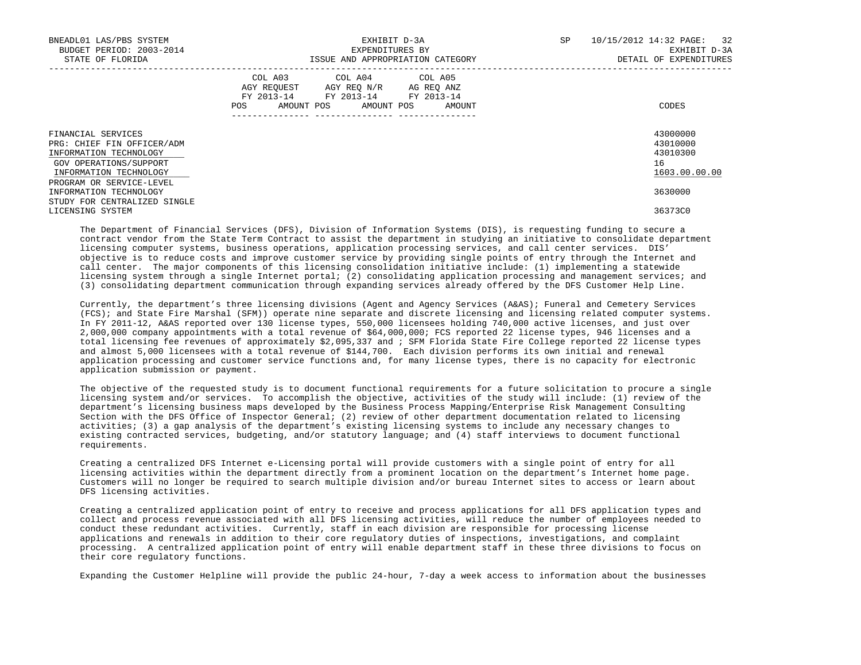| BNEADL01 LAS/PBS SYSTEM<br>BUDGET PERIOD: 2003-2014<br>STATE OF FLORIDA                                                        | EXHIBIT D-3A<br>EXPENDITURES BY<br>ISSUE AND APPROPRIATION CATEGORY                                                                      | 10/15/2012 14:32 PAGE: 32<br>SP<br>EXHIBIT D-3A<br>DETAIL OF EXPENDITURES |
|--------------------------------------------------------------------------------------------------------------------------------|------------------------------------------------------------------------------------------------------------------------------------------|---------------------------------------------------------------------------|
|                                                                                                                                | COL A03 COL A04 COL A05<br>AGY REQUEST AGY REO N/R AG REO ANZ<br>FY 2013-14 FY 2013-14 FY 2013-14<br>AMOUNT POS AMOUNT POS AMOUNT<br>POS | CODES                                                                     |
| FINANCIAL SERVICES<br>PRG: CHIEF FIN OFFICER/ADM<br>INFORMATION TECHNOLOGY<br>GOV OPERATIONS/SUPPORT<br>INFORMATION TECHNOLOGY |                                                                                                                                          | 43000000<br>43010000<br>43010300<br>16<br>1603.00.00.00                   |
| PROGRAM OR SERVICE-LEVEL<br>INFORMATION TECHNOLOGY                                                                             |                                                                                                                                          | 3630000                                                                   |
| STUDY FOR CENTRALIZED SINGLE<br>LICENSING SYSTEM                                                                               |                                                                                                                                          | 36373C0                                                                   |

 The Department of Financial Services (DFS), Division of Information Systems (DIS), is requesting funding to secure a contract vendor from the State Term Contract to assist the department in studying an initiative to consolidate department licensing computer systems, business operations, application processing services, and call center services. DIS' objective is to reduce costs and improve customer service by providing single points of entry through the Internet and call center. The major components of this licensing consolidation initiative include: (1) implementing a statewide licensing system through a single Internet portal; (2) consolidating application processing and management services; and (3) consolidating department communication through expanding services already offered by the DFS Customer Help Line.

 Currently, the department's three licensing divisions (Agent and Agency Services (A&AS); Funeral and Cemetery Services (FCS); and State Fire Marshal (SFM)) operate nine separate and discrete licensing and licensing related computer systems. In FY 2011-12, A&AS reported over 130 license types, 550,000 licensees holding 740,000 active licenses, and just over 2,000,000 company appointments with a total revenue of \$64,000,000; FCS reported 22 license types, 946 licenses and a total licensing fee revenues of approximately \$2,095,337 and ; SFM Florida State Fire College reported 22 license types and almost 5,000 licensees with a total revenue of \$144,700. Each division performs its own initial and renewal application processing and customer service functions and, for many license types, there is no capacity for electronic application submission or payment.

 The objective of the requested study is to document functional requirements for a future solicitation to procure a single licensing system and/or services. To accomplish the objective, activities of the study will include: (1) review of the department's licensing business maps developed by the Business Process Mapping/Enterprise Risk Management Consulting Section with the DFS Office of Inspector General; (2) review of other department documentation related to licensing activities; (3) a gap analysis of the department's existing licensing systems to include any necessary changes to existing contracted services, budgeting, and/or statutory language; and (4) staff interviews to document functional requirements.

 Creating a centralized DFS Internet e-Licensing portal will provide customers with a single point of entry for all licensing activities within the department directly from a prominent location on the department's Internet home page. Customers will no longer be required to search multiple division and/or bureau Internet sites to access or learn about DFS licensing activities.

 Creating a centralized application point of entry to receive and process applications for all DFS application types and collect and process revenue associated with all DFS licensing activities, will reduce the number of employees needed to conduct these redundant activities. Currently, staff in each division are responsible for processing license applications and renewals in addition to their core regulatory duties of inspections, investigations, and complaint processing. A centralized application point of entry will enable department staff in these three divisions to focus on their core regulatory functions.

Expanding the Customer Helpline will provide the public 24-hour, 7-day a week access to information about the businesses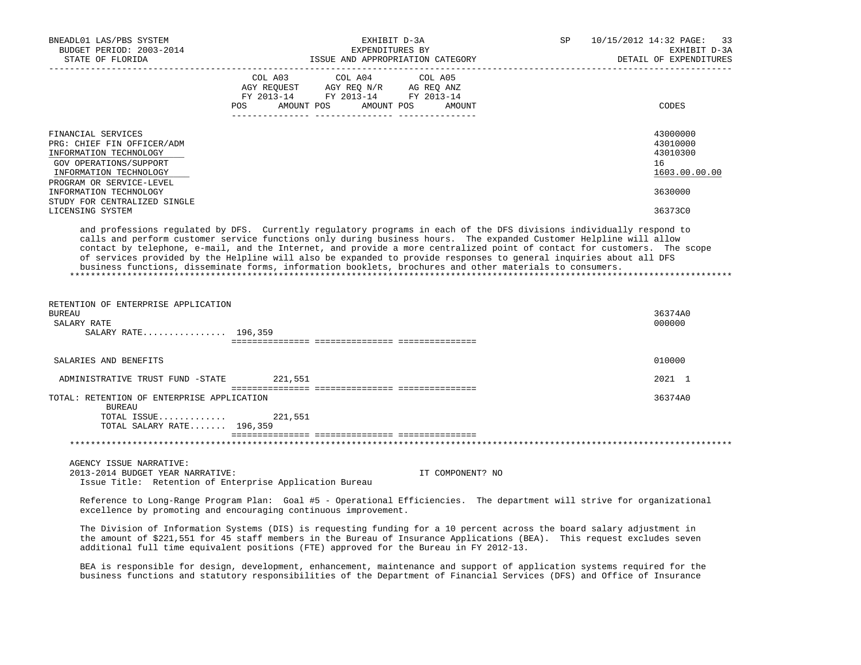| BNEADL01 LAS/PBS SYSTEM                                                                                                                                                                                                                                                                                                                                                                                                                                                      |         |                                                                                                                                                                                                                                           | EXHIBIT D-3A                                        | SP | 10/15/2012 14:32 PAGE:<br>33                                                                                             |
|------------------------------------------------------------------------------------------------------------------------------------------------------------------------------------------------------------------------------------------------------------------------------------------------------------------------------------------------------------------------------------------------------------------------------------------------------------------------------|---------|-------------------------------------------------------------------------------------------------------------------------------------------------------------------------------------------------------------------------------------------|-----------------------------------------------------|----|--------------------------------------------------------------------------------------------------------------------------|
| BUDGET PERIOD: 2003-2014<br>STATE OF FLORIDA                                                                                                                                                                                                                                                                                                                                                                                                                                 |         |                                                                                                                                                                                                                                           | EXPENDITURES BY<br>ISSUE AND APPROPRIATION CATEGORY |    | EXHIBIT D-3A<br>DETAIL OF EXPENDITURES                                                                                   |
|                                                                                                                                                                                                                                                                                                                                                                                                                                                                              | COL A03 | COL A04<br>$\begin{tabular}{lllllll} \bf AGY \;\; RegUEST & \tt AGY \;\; REG \;\; N/R & \tt AG \;\; REG \;\; ANZ \\ \hline \tt FY \;\; 2013-14 & \tt FY \;\; 2013-14 & \tt FY \;\; 2013-14 \\ \end{tabular}$<br>POS AMOUNT POS AMOUNT POS | COL A05<br>AMOUNT                                   |    | CODES                                                                                                                    |
|                                                                                                                                                                                                                                                                                                                                                                                                                                                                              |         |                                                                                                                                                                                                                                           |                                                     |    |                                                                                                                          |
| FINANCIAL SERVICES<br>PRG: CHIEF FIN OFFICER/ADM<br>INFORMATION TECHNOLOGY<br>GOV OPERATIONS/SUPPORT<br>INFORMATION TECHNOLOGY<br>PROGRAM OR SERVICE-LEVEL                                                                                                                                                                                                                                                                                                                   |         |                                                                                                                                                                                                                                           |                                                     |    | 43000000<br>43010000<br>43010300<br>16<br>1603.00.00.00                                                                  |
| INFORMATION TECHNOLOGY                                                                                                                                                                                                                                                                                                                                                                                                                                                       |         |                                                                                                                                                                                                                                           |                                                     |    | 3630000                                                                                                                  |
| STUDY FOR CENTRALIZED SINGLE<br>LICENSING SYSTEM                                                                                                                                                                                                                                                                                                                                                                                                                             |         |                                                                                                                                                                                                                                           |                                                     |    | 36373C0                                                                                                                  |
| and professions regulated by DFS. Currently regulatory programs in each of the DFS divisions individually respond to<br>calls and perform customer service functions only during business hours. The expanded Customer Helpline will allow<br>of services provided by the Helpline will also be expanded to provide responses to general inquiries about all DFS<br>business functions, disseminate forms, information booklets, brochures and other materials to consumers. |         |                                                                                                                                                                                                                                           |                                                     |    | contact by telephone, e-mail, and the Internet, and provide a more centralized point of contact for customers. The scope |
| RETENTION OF ENTERPRISE APPLICATION<br><b>BUREAU</b><br>SALARY RATE                                                                                                                                                                                                                                                                                                                                                                                                          |         |                                                                                                                                                                                                                                           |                                                     |    | 36374A0<br>000000                                                                                                        |
| SALARY RATE 196,359                                                                                                                                                                                                                                                                                                                                                                                                                                                          |         |                                                                                                                                                                                                                                           |                                                     |    |                                                                                                                          |
| SALARIES AND BENEFITS                                                                                                                                                                                                                                                                                                                                                                                                                                                        |         |                                                                                                                                                                                                                                           |                                                     |    | 010000                                                                                                                   |
|                                                                                                                                                                                                                                                                                                                                                                                                                                                                              |         |                                                                                                                                                                                                                                           |                                                     |    |                                                                                                                          |
| ADMINISTRATIVE TRUST FUND -STATE 221,551                                                                                                                                                                                                                                                                                                                                                                                                                                     |         |                                                                                                                                                                                                                                           |                                                     |    | 2021 1                                                                                                                   |
| TOTAL: RETENTION OF ENTERPRISE APPLICATION<br><b>BUREAU</b>                                                                                                                                                                                                                                                                                                                                                                                                                  |         |                                                                                                                                                                                                                                           |                                                     |    | 36374A0                                                                                                                  |
| TOTAL ISSUE $221,551$<br>TOTAL SALARY RATE 196,359                                                                                                                                                                                                                                                                                                                                                                                                                           |         |                                                                                                                                                                                                                                           |                                                     |    |                                                                                                                          |
|                                                                                                                                                                                                                                                                                                                                                                                                                                                                              |         |                                                                                                                                                                                                                                           |                                                     |    |                                                                                                                          |
| AGENCY ISSUE NARRATIVE:<br>2013-2014 BUDGET YEAR NARRATIVE:<br>Issue Title: Retention of Enterprise Application Bureau                                                                                                                                                                                                                                                                                                                                                       |         |                                                                                                                                                                                                                                           | IT COMPONENT? NO                                    |    |                                                                                                                          |
| Reference to Long-Range Program Plan: Goal #5 - Operational Efficiencies. The department will strive for organizational<br>excellence by promoting and encouraging continuous improvement.                                                                                                                                                                                                                                                                                   |         |                                                                                                                                                                                                                                           |                                                     |    |                                                                                                                          |
| The Division of Information Systems (DIS) is requesting funding for a 10 percent across the board salary adjustment in<br>the amount of \$221,551 for 45 staff members in the Bureau of Insurance Applications (BEA). This request excludes seven<br>additional full time equivalent positions (FTE) approved for the Bureau in FY 2012-13.                                                                                                                                  |         |                                                                                                                                                                                                                                           |                                                     |    |                                                                                                                          |
| BEA is responsible for design, development, enhancement, maintenance and support of application systems required for the<br>business functions and statutory responsibilities of the Department of Financial Services (DFS) and Office of Insurance                                                                                                                                                                                                                          |         |                                                                                                                                                                                                                                           |                                                     |    |                                                                                                                          |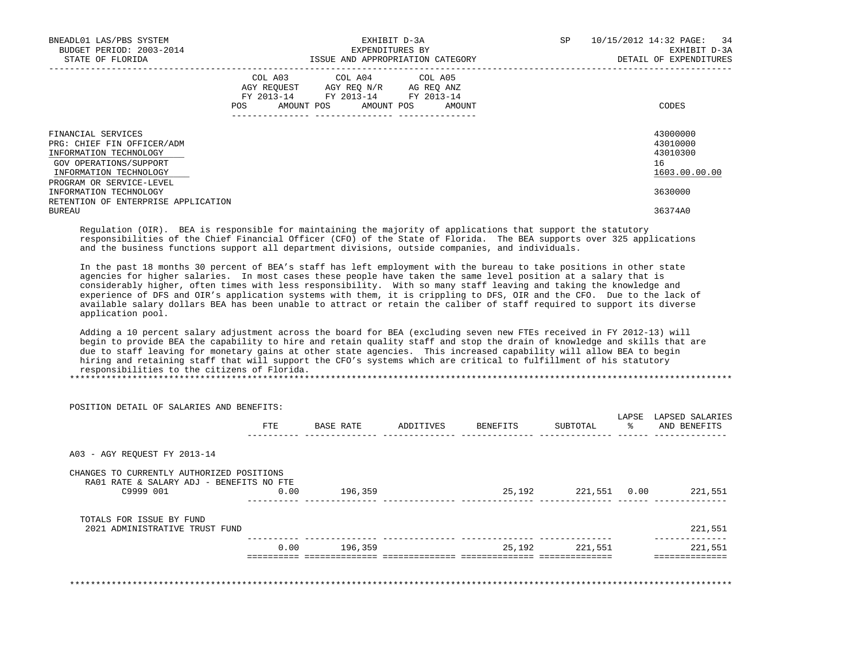| BNEADL01 LAS/PBS SYSTEM<br>BUDGET PERIOD: 2003-2014<br>STATE OF FLORIDA                                                        | EXHIBIT D-3A<br>EXPENDITURES BY<br>ISSUE AND APPROPRIATION CATEGORY                                                                         | SP<br>10/15/2012 14:32 PAGE: 34<br>EXHIBIT D-3A<br>DETAIL OF EXPENDITURES |
|--------------------------------------------------------------------------------------------------------------------------------|---------------------------------------------------------------------------------------------------------------------------------------------|---------------------------------------------------------------------------|
|                                                                                                                                | COL A03 COL A04 COL A05<br>AGY REOUEST AGY REO N/R AG REO ANZ<br>FY 2013-14 FY 2013-14 FY 2013-14<br>AMOUNT POS AMOUNT POS<br>POS<br>AMOUNT | CODES                                                                     |
| FINANCIAL SERVICES<br>PRG: CHIEF FIN OFFICER/ADM<br>INFORMATION TECHNOLOGY<br>GOV OPERATIONS/SUPPORT<br>INFORMATION TECHNOLOGY |                                                                                                                                             | 43000000<br>43010000<br>43010300<br>16<br>1603.00.00.00                   |
| PROGRAM OR SERVICE-LEVEL<br>INFORMATION TECHNOLOGY<br>RETENTION OF ENTERPRISE APPLICATION<br><b>BUREAU</b>                     |                                                                                                                                             | 3630000<br>36374A0                                                        |

 Regulation (OIR). BEA is responsible for maintaining the majority of applications that support the statutory responsibilities of the Chief Financial Officer (CFO) of the State of Florida. The BEA supports over 325 applications and the business functions support all department divisions, outside companies, and individuals.

 In the past 18 months 30 percent of BEA's staff has left employment with the bureau to take positions in other state agencies for higher salaries. In most cases these people have taken the same level position at a salary that is considerably higher, often times with less responsibility. With so many staff leaving and taking the knowledge and experience of DFS and OIR's application systems with them, it is crippling to DFS, OIR and the CFO. Due to the lack of available salary dollars BEA has been unable to attract or retain the caliber of staff required to support its diverse application pool.

 Adding a 10 percent salary adjustment across the board for BEA (excluding seven new FTEs received in FY 2012-13) will begin to provide BEA the capability to hire and retain quality staff and stop the drain of knowledge and skills that are due to staff leaving for monetary gains at other state agencies. This increased capability will allow BEA to begin hiring and retaining staff that will support the CFO's systems which are critical to fulfillment of his statutory responsibilities to the citizens of Florida. \*\*\*\*\*\*\*\*\*\*\*\*\*\*\*\*\*\*\*\*\*\*\*\*\*\*\*\*\*\*\*\*\*\*\*\*\*\*\*\*\*\*\*\*\*\*\*\*\*\*\*\*\*\*\*\*\*\*\*\*\*\*\*\*\*\*\*\*\*\*\*\*\*\*\*\*\*\*\*\*\*\*\*\*\*\*\*\*\*\*\*\*\*\*\*\*\*\*\*\*\*\*\*\*\*\*\*\*\*\*\*\*\*\*\*\*\*\*\*\*\*\*\*\*\*\*\*

 POSITION DETAIL OF SALARIES AND BENEFITS: LAPSE LAPSED SALARIES FTE BASE RATE ADDITIVES BENEFITS SUBTOTAL % AND BENEFITS ---------- -------------- -------------- -------------- -------------- ------ -------------- A03 - AGY REQUEST FY 2013-14 CHANGES TO CURRENTLY AUTHORIZED POSITIONS RA01 RATE & SALARY ADJ - BENEFITS NO FTE<br>C9999 001 0.00 C9999 001 0.00 196,359 25,192 221,551 0.00 221,551 ---------- -------------- -------------- -------------- -------------- ------ -------------- TOTALS FOR ISSUE BY FUND 2021 ADMINISTRATIVE TRUST FUND 221,551 ---------- -------------- -------------- -------------- -------------- -------------- 0.00 196,359 25,192 221,551 221,551 ========== ============== ============== ============== ============== ============== \*\*\*\*\*\*\*\*\*\*\*\*\*\*\*\*\*\*\*\*\*\*\*\*\*\*\*\*\*\*\*\*\*\*\*\*\*\*\*\*\*\*\*\*\*\*\*\*\*\*\*\*\*\*\*\*\*\*\*\*\*\*\*\*\*\*\*\*\*\*\*\*\*\*\*\*\*\*\*\*\*\*\*\*\*\*\*\*\*\*\*\*\*\*\*\*\*\*\*\*\*\*\*\*\*\*\*\*\*\*\*\*\*\*\*\*\*\*\*\*\*\*\*\*\*\*\*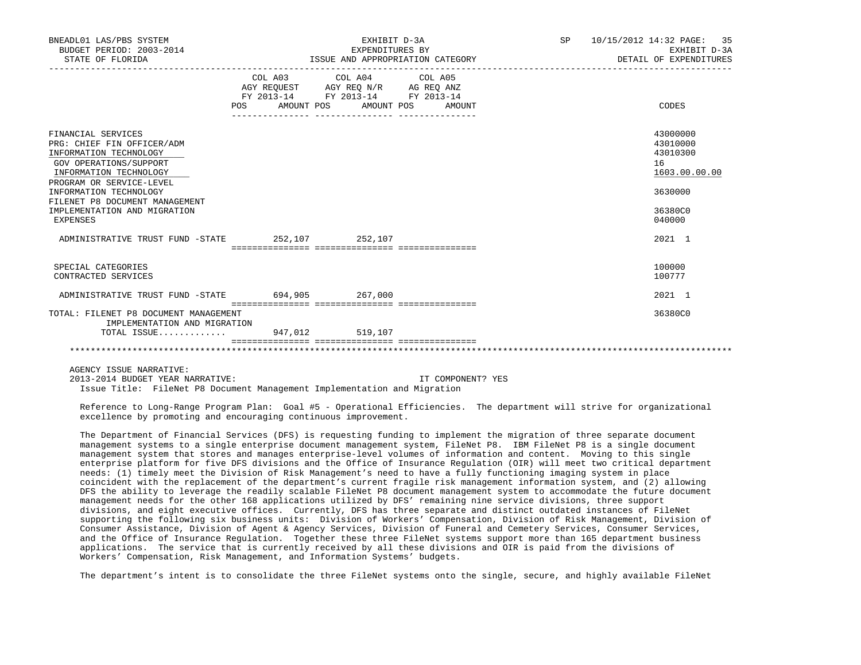| BNEADL01 LAS/PBS SYSTEM<br>BUDGET PERIOD: 2003-2014<br>STATE OF FLORIDA                                                                                                                                                                                                   |                                  | EXHIBIT D-3A<br>EXPENDITURES BY<br>ISSUE AND APPROPRIATION CATEGORY                               | SP 10/15/2012 14:32 PAGE: 35<br>EXHIBIT D-3A<br>DETAIL OF EXPENDITURES |                                                                                         |
|---------------------------------------------------------------------------------------------------------------------------------------------------------------------------------------------------------------------------------------------------------------------------|----------------------------------|---------------------------------------------------------------------------------------------------|------------------------------------------------------------------------|-----------------------------------------------------------------------------------------|
|                                                                                                                                                                                                                                                                           | POS AMOUNT POS AMOUNT POS AMOUNT | COL A03 COL A04 COL A05<br>AGY REQUEST AGY REQ N/R AG REQ ANZ<br>FY 2013-14 FY 2013-14 FY 2013-14 |                                                                        | CODES                                                                                   |
| FINANCIAL SERVICES<br>PRG: CHIEF FIN OFFICER/ADM<br>INFORMATION TECHNOLOGY<br>GOV OPERATIONS/SUPPORT<br>INFORMATION TECHNOLOGY<br>PROGRAM OR SERVICE-LEVEL<br>INFORMATION TECHNOLOGY<br>FILENET P8 DOCUMENT MANAGEMENT<br>IMPLEMENTATION AND MIGRATION<br><b>EXPENSES</b> |                                  |                                                                                                   |                                                                        | 43000000<br>43010000<br>43010300<br>16<br>1603.00.00.00<br>3630000<br>36380C0<br>040000 |
| ADMINISTRATIVE TRUST FUND -STATE 252,107 252,107                                                                                                                                                                                                                          |                                  |                                                                                                   |                                                                        | 2021 1                                                                                  |
| SPECIAL CATEGORIES<br>CONTRACTED SERVICES                                                                                                                                                                                                                                 |                                  |                                                                                                   |                                                                        | 100000<br>100777                                                                        |
| ADMINISTRATIVE TRUST FUND -STATE 694,905 267,000                                                                                                                                                                                                                          |                                  |                                                                                                   |                                                                        | 2021 1                                                                                  |
| TOTAL: FILENET P8 DOCUMENT MANAGEMENT                                                                                                                                                                                                                                     |                                  |                                                                                                   |                                                                        | 36380C0                                                                                 |
| IMPLEMENTATION AND MIGRATION                                                                                                                                                                                                                                              |                                  |                                                                                                   |                                                                        |                                                                                         |
| TOTAL ISSUE 947,012 519,107                                                                                                                                                                                                                                               |                                  |                                                                                                   |                                                                        |                                                                                         |
|                                                                                                                                                                                                                                                                           |                                  |                                                                                                   |                                                                        |                                                                                         |

AGENCY ISSUE NARRATIVE:

 2013-2014 BUDGET YEAR NARRATIVE: IT COMPONENT? YES Issue Title: FileNet P8 Document Management Implementation and Migration

 Reference to Long-Range Program Plan: Goal #5 - Operational Efficiencies. The department will strive for organizational excellence by promoting and encouraging continuous improvement.

 The Department of Financial Services (DFS) is requesting funding to implement the migration of three separate document management systems to a single enterprise document management system, FileNet P8. IBM FileNet P8 is a single document management system that stores and manages enterprise-level volumes of information and content. Moving to this single enterprise platform for five DFS divisions and the Office of Insurance Regulation (OIR) will meet two critical department needs: (1) timely meet the Division of Risk Management's need to have a fully functioning imaging system in place coincident with the replacement of the department's current fragile risk management information system, and (2) allowing DFS the ability to leverage the readily scalable FileNet P8 document management system to accommodate the future document management needs for the other 168 applications utilized by DFS' remaining nine service divisions, three support divisions, and eight executive offices. Currently, DFS has three separate and distinct outdated instances of FileNet supporting the following six business units: Division of Workers' Compensation, Division of Risk Management, Division of Consumer Assistance, Division of Agent & Agency Services, Division of Funeral and Cemetery Services, Consumer Services, and the Office of Insurance Regulation. Together these three FileNet systems support more than 165 department business applications. The service that is currently received by all these divisions and OIR is paid from the divisions of Workers' Compensation, Risk Management, and Information Systems' budgets.

The department's intent is to consolidate the three FileNet systems onto the single, secure, and highly available FileNet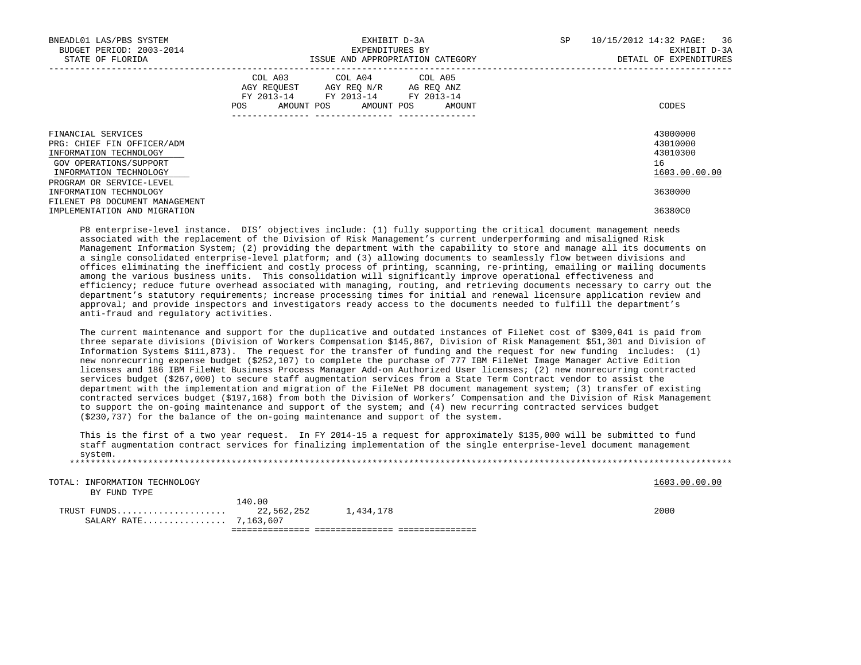| BNEADL01 LAS/PBS SYSTEM<br>BUDGET PERIOD: 2003-2014<br>STATE OF FLORIDA                                                        | EXHIBIT D-3A<br>EXPENDITURES BY<br>ISSUE AND APPROPRIATION CATEGORY |                                                                                                                 |            |        | SP | 36<br>10/15/2012 14:32 PAGE:<br>EXHIBIT D-3A<br>DETAIL OF EXPENDITURES |
|--------------------------------------------------------------------------------------------------------------------------------|---------------------------------------------------------------------|-----------------------------------------------------------------------------------------------------------------|------------|--------|----|------------------------------------------------------------------------|
|                                                                                                                                | POS                                                                 | COL A03 COL A04 COL A05<br>AGY REOUEST AGY REO N/R AG REO ANZ<br>FY 2013-14 FY 2013-14 FY 2013-14<br>AMOUNT POS | AMOUNT POS | AMOUNT |    | CODES                                                                  |
| FINANCIAL SERVICES<br>PRG: CHIEF FIN OFFICER/ADM<br>INFORMATION TECHNOLOGY<br>GOV OPERATIONS/SUPPORT<br>INFORMATION TECHNOLOGY |                                                                     |                                                                                                                 |            |        |    | 43000000<br>43010000<br>43010300<br>16<br>1603.00.00.00                |
| PROGRAM OR SERVICE-LEVEL<br>INFORMATION TECHNOLOGY<br>FILENET P8 DOCUMENT MANAGEMENT                                           |                                                                     |                                                                                                                 |            |        |    | 3630000                                                                |
| IMPLEMENTATION AND MIGRATION                                                                                                   |                                                                     |                                                                                                                 |            |        |    | 36380C0                                                                |

 P8 enterprise-level instance. DIS' objectives include: (1) fully supporting the critical document management needs associated with the replacement of the Division of Risk Management's current underperforming and misaligned Risk Management Information System; (2) providing the department with the capability to store and manage all its documents on a single consolidated enterprise-level platform; and (3) allowing documents to seamlessly flow between divisions and offices eliminating the inefficient and costly process of printing, scanning, re-printing, emailing or mailing documents among the various business units. This consolidation will significantly improve operational effectiveness and efficiency; reduce future overhead associated with managing, routing, and retrieving documents necessary to carry out the department's statutory requirements; increase processing times for initial and renewal licensure application review and approval; and provide inspectors and investigators ready access to the documents needed to fulfill the department's anti-fraud and regulatory activities.

 The current maintenance and support for the duplicative and outdated instances of FileNet cost of \$309,041 is paid from three separate divisions (Division of Workers Compensation \$145,867, Division of Risk Management \$51,301 and Division of Information Systems \$111,873). The request for the transfer of funding and the request for new funding includes: (1) new nonrecurring expense budget (\$252,107) to complete the purchase of 777 IBM FileNet Image Manager Active Edition licenses and 186 IBM FileNet Business Process Manager Add-on Authorized User licenses; (2) new nonrecurring contracted services budget (\$267,000) to secure staff augmentation services from a State Term Contract vendor to assist the department with the implementation and migration of the FileNet P8 document management system; (3) transfer of existing contracted services budget (\$197,168) from both the Division of Workers' Compensation and the Division of Risk Management to support the on-going maintenance and support of the system; and (4) new recurring contracted services budget (\$230,737) for the balance of the on-going maintenance and support of the system.

 This is the first of a two year request. In FY 2014-15 a request for approximately \$135,000 will be submitted to fund staff augmentation contract services for finalizing implementation of the single enterprise-level document management system. \*\*\*\*\*\*\*\*\*\*\*\*\*\*\*\*\*\*\*\*\*\*\*\*\*\*\*\*\*\*\*\*\*\*\*\*\*\*\*\*\*\*\*\*\*\*\*\*\*\*\*\*\*\*\*\*\*\*\*\*\*\*\*\*\*\*\*\*\*\*\*\*\*\*\*\*\*\*\*\*\*\*\*\*\*\*\*\*\*\*\*\*\*\*\*\*\*\*\*\*\*\*\*\*\*\*\*\*\*\*\*\*\*\*\*\*\*\*\*\*\*\*\*\*\*\*\*

TOTAL: INFORMATION TECHNOLOGY 1603.00.00 POINT TOTAL: INFORMATION TECHNOLOGY

 BY FUND TYPE 140.00 TRUST FUNDS..................... 22,562,252 1,434,178 2000 SALARY RATE................ 7,163,607 =============== =============== ===============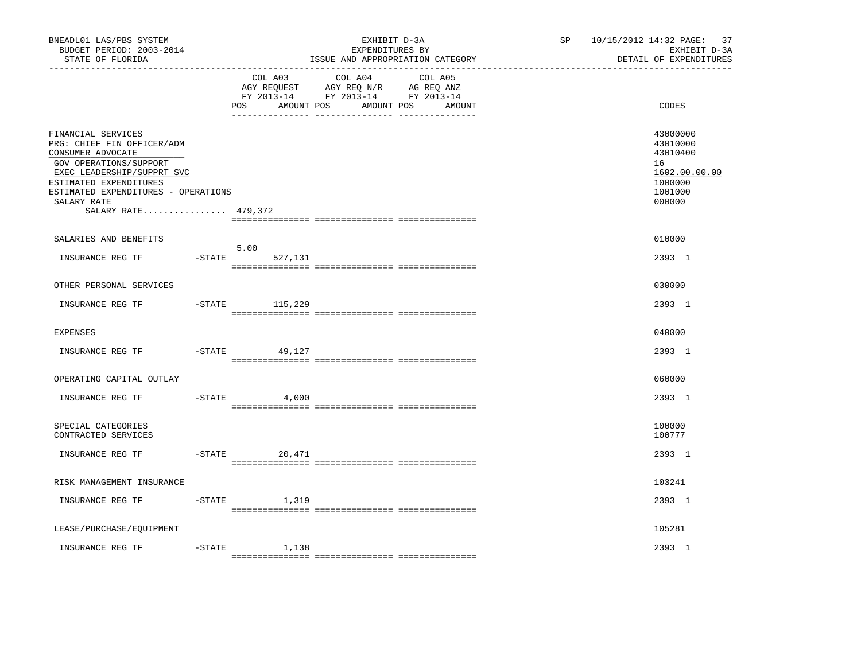| BNEADL01 LAS/PBS SYSTEM<br>BUDGET PERIOD: 2003-2014<br>STATE OF FLORIDA                                                                                                                                                              |           |                              | EXHIBIT D-3A<br>EXPENDITURES BY<br>ISSUE AND APPROPRIATION CATEGORY                                                  | SP 10/15/2012 14:32 PAGE: 37<br>EXHIBIT D-3A<br>DETAIL OF EXPENDITURES                  |
|--------------------------------------------------------------------------------------------------------------------------------------------------------------------------------------------------------------------------------------|-----------|------------------------------|----------------------------------------------------------------------------------------------------------------------|-----------------------------------------------------------------------------------------|
|                                                                                                                                                                                                                                      |           | COL A03<br>POS<br>AMOUNT POS | COL A04<br>COL A05<br>AGY REQUEST AGY REQ N/R AG REQ ANZ<br>FY 2013-14 FY 2013-14 FY 2013-14<br>AMOUNT POS<br>AMOUNT | CODES                                                                                   |
| FINANCIAL SERVICES<br>PRG: CHIEF FIN OFFICER/ADM<br>CONSUMER ADVOCATE<br>GOV OPERATIONS/SUPPORT<br>EXEC LEADERSHIP/SUPPRT SVC<br>ESTIMATED EXPENDITURES<br>ESTIMATED EXPENDITURES - OPERATIONS<br>SALARY RATE<br>SALARY RATE 479,372 |           |                              |                                                                                                                      | 43000000<br>43010000<br>43010400<br>16<br>1602.00.00.00<br>1000000<br>1001000<br>000000 |
| SALARIES AND BENEFITS                                                                                                                                                                                                                |           |                              |                                                                                                                      | 010000                                                                                  |
| INSURANCE REG TF                                                                                                                                                                                                                     | $-$ STATE | 5.00<br>527,131              |                                                                                                                      | 2393 1                                                                                  |
| OTHER PERSONAL SERVICES                                                                                                                                                                                                              |           |                              |                                                                                                                      | 030000                                                                                  |
| INSURANCE REG TF                                                                                                                                                                                                                     |           | $-$ STATE 115, 229           |                                                                                                                      | 2393 1                                                                                  |
| <b>EXPENSES</b>                                                                                                                                                                                                                      |           |                              |                                                                                                                      | 040000                                                                                  |
| INSURANCE REG TF                                                                                                                                                                                                                     | $-$ STATE | 49,127                       |                                                                                                                      | 2393 1                                                                                  |
| OPERATING CAPITAL OUTLAY                                                                                                                                                                                                             |           |                              |                                                                                                                      | 060000                                                                                  |
| INSURANCE REG TF                                                                                                                                                                                                                     | $-$ STATE | 4,000                        |                                                                                                                      | 2393 1                                                                                  |
| SPECIAL CATEGORIES<br>CONTRACTED SERVICES                                                                                                                                                                                            |           |                              |                                                                                                                      | 100000<br>100777                                                                        |
| INSURANCE REG TF                                                                                                                                                                                                                     |           | $-STATE$<br>20,471           |                                                                                                                      | 2393 1                                                                                  |
| RISK MANAGEMENT INSURANCE                                                                                                                                                                                                            |           |                              |                                                                                                                      | 103241                                                                                  |
| INSURANCE REG TF                                                                                                                                                                                                                     | $-$ STATE | 1,319                        |                                                                                                                      | 2393 1                                                                                  |
| LEASE/PURCHASE/EQUIPMENT                                                                                                                                                                                                             |           |                              |                                                                                                                      | 105281                                                                                  |
| INSURANCE REG TF                                                                                                                                                                                                                     | $-STATE$  | 1,138                        |                                                                                                                      | 2393 1                                                                                  |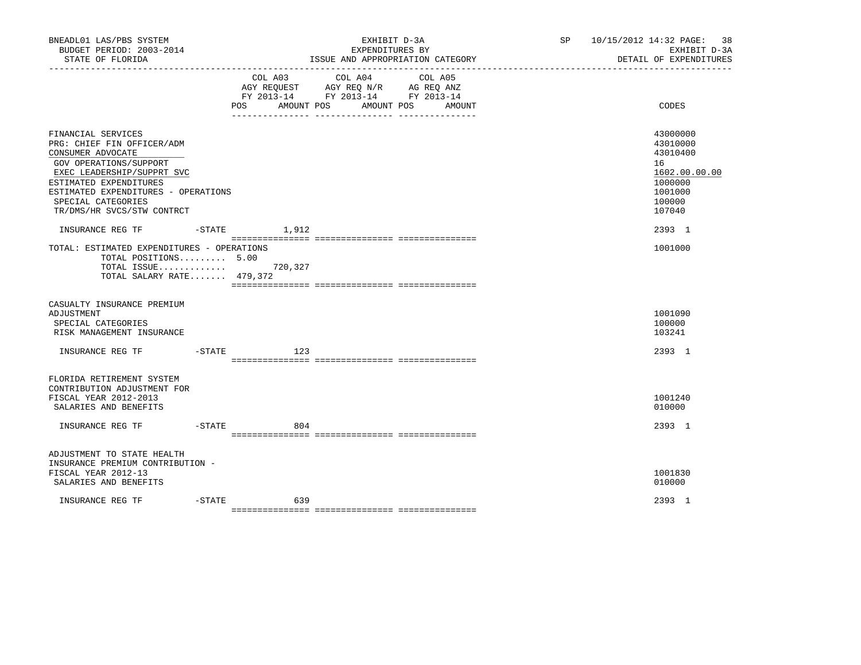| BNEADL01 LAS/PBS SYSTEM<br>BUDGET PERIOD: 2003-2014<br>STATE OF FLORIDA                                                                                                                                                                            |           |                                     | EXHIBIT D-3A<br>EXPENDITURES BY                                                                                                                           | ISSUE AND APPROPRIATION CATEGORY | SP 10/15/2012 14:32 PAGE: 38<br>EXHIBIT D-3A<br>DETAIL OF EXPENDITURES                            |
|----------------------------------------------------------------------------------------------------------------------------------------------------------------------------------------------------------------------------------------------------|-----------|-------------------------------------|-----------------------------------------------------------------------------------------------------------------------------------------------------------|----------------------------------|---------------------------------------------------------------------------------------------------|
|                                                                                                                                                                                                                                                    |           | COL A03<br><b>POS</b><br>AMOUNT POS | _________________________________<br>COL A04<br>AGY REQUEST AGY REQ N/R AG REQ ANZ<br>FY 2013-14 FY 2013-14 FY 2013-14<br>___ ________________ __________ | COL A05<br>AMOUNT POS<br>AMOUNT  | <b>CODES</b>                                                                                      |
| FINANCIAL SERVICES<br>PRG: CHIEF FIN OFFICER/ADM<br>CONSUMER ADVOCATE<br>GOV OPERATIONS/SUPPORT<br>EXEC LEADERSHIP/SUPPRT SVC<br>ESTIMATED EXPENDITURES<br>ESTIMATED EXPENDITURES - OPERATIONS<br>SPECIAL CATEGORIES<br>TR/DMS/HR SVCS/STW CONTRCT |           |                                     |                                                                                                                                                           |                                  | 43000000<br>43010000<br>43010400<br>16<br>1602.00.00.00<br>1000000<br>1001000<br>100000<br>107040 |
| INSURANCE REG TF<br>TOTAL: ESTIMATED EXPENDITURES - OPERATIONS<br>TOTAL POSITIONS 5.00<br>TOTAL ISSUE<br>TOTAL SALARY RATE 479,372                                                                                                                 | $-$ STATE | 1,912<br>720,327                    |                                                                                                                                                           |                                  | 2393 1<br>1001000                                                                                 |
| CASUALTY INSURANCE PREMIUM<br>ADJUSTMENT<br>SPECIAL CATEGORIES<br>RISK MANAGEMENT INSURANCE                                                                                                                                                        |           |                                     |                                                                                                                                                           |                                  | 1001090<br>100000<br>103241                                                                       |
| INSURANCE REG TF                                                                                                                                                                                                                                   | -STATE    | 123                                 |                                                                                                                                                           |                                  | 2393 1                                                                                            |
| FLORIDA RETIREMENT SYSTEM<br>CONTRIBUTION ADJUSTMENT FOR<br>FISCAL YEAR 2012-2013<br>SALARIES AND BENEFITS<br>INSURANCE REG TF                                                                                                                     |           | $-STATE$<br>804                     |                                                                                                                                                           |                                  | 1001240<br>010000<br>2393 1                                                                       |
| ADJUSTMENT TO STATE HEALTH<br>INSURANCE PREMIUM CONTRIBUTION -                                                                                                                                                                                     |           |                                     |                                                                                                                                                           |                                  |                                                                                                   |
| FISCAL YEAR 2012-13<br>SALARIES AND BENEFITS                                                                                                                                                                                                       |           |                                     |                                                                                                                                                           |                                  | 1001830<br>010000                                                                                 |
| INSURANCE REG TF                                                                                                                                                                                                                                   | $-$ STATE | 639                                 |                                                                                                                                                           |                                  | 2393 1                                                                                            |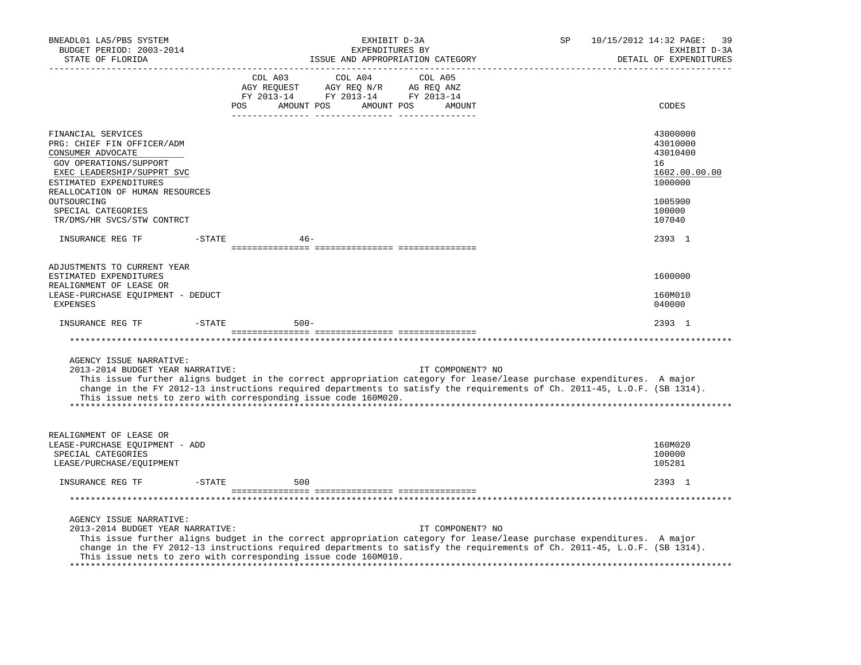| BNEADL01 LAS/PBS SYSTEM<br>BUDGET PERIOD: 2003-2014<br>STATE OF FLORIDA                                                                                                                                                                                                                                                                                                            |                | EXHIBIT D-3A<br>EXPENDITURES BY                                                                                                                                                                                                          | ISSUE AND APPROPRIATION CATEGORY | SP | 10/15/2012 14:32 PAGE:<br>39<br>EXHIBIT D-3A<br>DETAIL OF EXPENDITURES |
|------------------------------------------------------------------------------------------------------------------------------------------------------------------------------------------------------------------------------------------------------------------------------------------------------------------------------------------------------------------------------------|----------------|------------------------------------------------------------------------------------------------------------------------------------------------------------------------------------------------------------------------------------------|----------------------------------|----|------------------------------------------------------------------------|
|                                                                                                                                                                                                                                                                                                                                                                                    | COL A03<br>POS | COL A04<br>$\begin{tabular}{lllllllll} \bf AGY & \bf REQUEST & \bf AGY & \bf REQ & \bf N/R & \bf AG & \bf REQ & \bf ANZ \\ \bf FY & \tt 2013-14 & \bf FY & \tt 2013-14 & \bf FY & \tt 2013-14 \\ \end{tabular}$<br>AMOUNT POS AMOUNT POS | COL A05<br>AMOUNT                |    | CODES                                                                  |
| FINANCIAL SERVICES<br>PRG: CHIEF FIN OFFICER/ADM<br>CONSUMER ADVOCATE<br>GOV OPERATIONS/SUPPORT<br>EXEC LEADERSHIP/SUPPRT SVC<br>ESTIMATED EXPENDITURES<br>REALLOCATION OF HUMAN RESOURCES                                                                                                                                                                                         |                |                                                                                                                                                                                                                                          |                                  |    | 43000000<br>43010000<br>43010400<br>16<br>1602.00.00.00<br>1000000     |
| OUTSOURCING<br>SPECIAL CATEGORIES<br>TR/DMS/HR SVCS/STW CONTRCT                                                                                                                                                                                                                                                                                                                    |                |                                                                                                                                                                                                                                          |                                  |    | 1005900<br>100000<br>107040                                            |
| INSURANCE REG TF                                                                                                                                                                                                                                                                                                                                                                   | $-$ STATE      | $46 -$                                                                                                                                                                                                                                   |                                  |    | 2393 1                                                                 |
| ADJUSTMENTS TO CURRENT YEAR<br>ESTIMATED EXPENDITURES<br>REALIGNMENT OF LEASE OR<br>LEASE-PURCHASE EQUIPMENT - DEDUCT<br>EXPENSES                                                                                                                                                                                                                                                  |                |                                                                                                                                                                                                                                          |                                  |    | 1600000<br>160M010<br>040000                                           |
| INSURANCE REG TF                                                                                                                                                                                                                                                                                                                                                                   | $-$ STATE      | $500 -$                                                                                                                                                                                                                                  |                                  |    | 2393 1                                                                 |
|                                                                                                                                                                                                                                                                                                                                                                                    |                |                                                                                                                                                                                                                                          |                                  |    |                                                                        |
| AGENCY ISSUE NARRATIVE:<br>2013-2014 BUDGET YEAR NARRATIVE:<br>This issue further aligns budget in the correct appropriation category for lease/lease purchase expenditures. A major<br>change in the FY 2012-13 instructions required departments to satisfy the requirements of Ch. 2011-45, L.O.F. (SB 1314).<br>This issue nets to zero with corresponding issue code 160M020. |                |                                                                                                                                                                                                                                          | IT COMPONENT? NO                 |    |                                                                        |
| REALIGNMENT OF LEASE OR<br>LEASE-PURCHASE EQUIPMENT - ADD<br>SPECIAL CATEGORIES<br>LEASE/PURCHASE/EQUIPMENT                                                                                                                                                                                                                                                                        |                |                                                                                                                                                                                                                                          |                                  |    | 160M020<br>100000<br>105281                                            |
| INSURANCE REG TF                                                                                                                                                                                                                                                                                                                                                                   | $-$ STATE      | 500                                                                                                                                                                                                                                      |                                  |    | 2393 1                                                                 |
|                                                                                                                                                                                                                                                                                                                                                                                    |                |                                                                                                                                                                                                                                          |                                  |    |                                                                        |
| AGENCY ISSUE NARRATIVE:<br>2013-2014 BUDGET YEAR NARRATIVE:<br>This issue further aligns budget in the correct appropriation category for lease/lease purchase expenditures. A major<br>change in the FY 2012-13 instructions required departments to satisfy the requirements of Ch. 2011-45, L.O.F. (SB 1314).<br>This issue nets to zero with corresponding issue code 160M010. |                |                                                                                                                                                                                                                                          | IT COMPONENT? NO                 |    |                                                                        |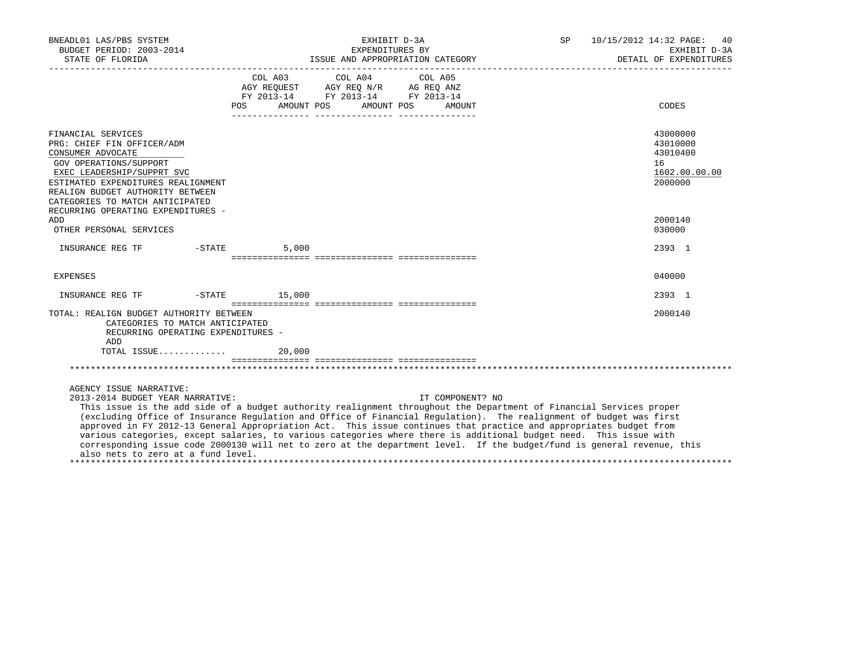| BNEADL01 LAS/PBS SYSTEM<br>BUDGET PERIOD: 2003-2014                                                                                                                                                                                                                                                                                                                                                                                                                                                                                                                                                                                                                                                                |                          | EXHIBIT D-3A<br>EXPENDITURES BY                                                                                                                                                                                                                                                               |                  | SP 10/15/2012 14:32 PAGE: 40 | EXHIBIT D-3A                                                       |
|--------------------------------------------------------------------------------------------------------------------------------------------------------------------------------------------------------------------------------------------------------------------------------------------------------------------------------------------------------------------------------------------------------------------------------------------------------------------------------------------------------------------------------------------------------------------------------------------------------------------------------------------------------------------------------------------------------------------|--------------------------|-----------------------------------------------------------------------------------------------------------------------------------------------------------------------------------------------------------------------------------------------------------------------------------------------|------------------|------------------------------|--------------------------------------------------------------------|
|                                                                                                                                                                                                                                                                                                                                                                                                                                                                                                                                                                                                                                                                                                                    |                          |                                                                                                                                                                                                                                                                                               |                  |                              | DETAIL OF EXPENDITURES                                             |
|                                                                                                                                                                                                                                                                                                                                                                                                                                                                                                                                                                                                                                                                                                                    | AMOUNT POS<br><b>POS</b> | COL A03 COL A04 COL A05<br>$\begin{tabular}{lllllll} \bf AGY \,\, &\bf REQUEST \,\, &\bf AGY \,\, &\bf REQ \,\, &\bf N/R \,\, &\bf AG \,\, &\bf REQ \,\, &\bf ANZ \,\, \\ \bf FY \,\, &\bf 2013-14 \,\, &\bf FY \,\, &\bf 2013-14 \,\, &\bf FY \,\, &\bf 2013-14 \end{tabular}$<br>AMOUNT POS | AMOUNT           |                              | CODES                                                              |
| FINANCIAL SERVICES<br>PRG: CHIEF FIN OFFICER/ADM<br>CONSUMER ADVOCATE<br>GOV OPERATIONS/SUPPORT<br>EXEC LEADERSHIP/SUPPRT SVC<br>ESTIMATED EXPENDITURES REALIGNMENT<br>REALIGN BUDGET AUTHORITY BETWEEN<br>CATEGORIES TO MATCH ANTICIPATED<br>RECURRING OPERATING EXPENDITURES -                                                                                                                                                                                                                                                                                                                                                                                                                                   |                          |                                                                                                                                                                                                                                                                                               |                  |                              | 43000000<br>43010000<br>43010400<br>16<br>1602.00.00.00<br>2000000 |
| ADD.<br>OTHER PERSONAL SERVICES                                                                                                                                                                                                                                                                                                                                                                                                                                                                                                                                                                                                                                                                                    |                          |                                                                                                                                                                                                                                                                                               |                  |                              | 2000140<br>030000                                                  |
| INSURANCE REG TF -STATE                                                                                                                                                                                                                                                                                                                                                                                                                                                                                                                                                                                                                                                                                            | 5.000                    |                                                                                                                                                                                                                                                                                               |                  |                              | 2393 1                                                             |
| EXPENSES                                                                                                                                                                                                                                                                                                                                                                                                                                                                                                                                                                                                                                                                                                           |                          |                                                                                                                                                                                                                                                                                               |                  |                              | 040000                                                             |
| INSURANCE REG TF    -STATE    15,000                                                                                                                                                                                                                                                                                                                                                                                                                                                                                                                                                                                                                                                                               |                          |                                                                                                                                                                                                                                                                                               |                  |                              | 2393 1                                                             |
| TOTAL: REALIGN BUDGET AUTHORITY BETWEEN<br>CATEGORIES TO MATCH ANTICIPATED<br>RECURRING OPERATING EXPENDITURES -<br>ADD                                                                                                                                                                                                                                                                                                                                                                                                                                                                                                                                                                                            |                          |                                                                                                                                                                                                                                                                                               |                  |                              | 2000140                                                            |
| TOTAL ISSUE                                                                                                                                                                                                                                                                                                                                                                                                                                                                                                                                                                                                                                                                                                        | 20,000                   |                                                                                                                                                                                                                                                                                               |                  |                              |                                                                    |
|                                                                                                                                                                                                                                                                                                                                                                                                                                                                                                                                                                                                                                                                                                                    |                          |                                                                                                                                                                                                                                                                                               |                  |                              |                                                                    |
| AGENCY ISSUE NARRATIVE:<br>2013-2014 BUDGET YEAR NARRATIVE:<br>This issue is the add side of a budget authority realignment throughout the Department of Financial Services proper<br>(excluding Office of Insurance Regulation and Office of Financial Regulation). The realignment of budget was first<br>approved in FY 2012-13 General Appropriation Act. This issue continues that practice and appropriates budget from<br>various categories, except salaries, to various categories where there is additional budget need. This issue with<br>corresponding issue code 2000130 will net to zero at the department level. If the budget/fund is general revenue, this<br>also nets to zero at a fund level. |                          |                                                                                                                                                                                                                                                                                               | IT COMPONENT? NO |                              |                                                                    |

\*\*\*\*\*\*\*\*\*\*\*\*\*\*\*\*\*\*\*\*\*\*\*\*\*\*\*\*\*\*\*\*\*\*\*\*\*\*\*\*\*\*\*\*\*\*\*\*\*\*\*\*\*\*\*\*\*\*\*\*\*\*\*\*\*\*\*\*\*\*\*\*\*\*\*\*\*\*\*\*\*\*\*\*\*\*\*\*\*\*\*\*\*\*\*\*\*\*\*\*\*\*\*\*\*\*\*\*\*\*\*\*\*\*\*\*\*\*\*\*\*\*\*\*\*\*\*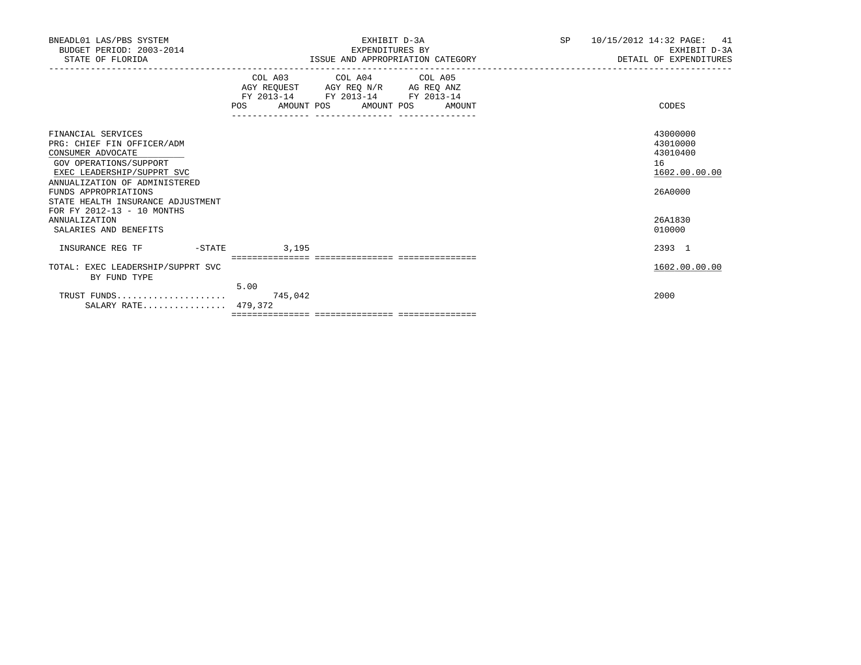| BNEADL01 LAS/PBS SYSTEM<br>BUDGET PERIOD: 2003-2014<br>STATE OF FLORIDA                                                                                                                                                                                   | EXHIBIT D-3A<br>EXPENDITURES BY<br>ISSUE AND APPROPRIATION CATEGORY                                                                                                                                                                                         | SP | 10/15/2012 14:32 PAGE:<br>41<br>EXHIBIT D-3A<br>DETAIL OF EXPENDITURES |
|-----------------------------------------------------------------------------------------------------------------------------------------------------------------------------------------------------------------------------------------------------------|-------------------------------------------------------------------------------------------------------------------------------------------------------------------------------------------------------------------------------------------------------------|----|------------------------------------------------------------------------|
|                                                                                                                                                                                                                                                           | COL A03 COL A04 COL A05<br>$\begin{tabular}{lllllll} AGY & \texttt{REQUEST} & \texttt{AGY} & \texttt{REG} & \texttt{N/R} & \texttt{AG} & \texttt{REQ} & \texttt{ANZ} \end{tabular}$<br>FY 2013-14 FY 2013-14 FY 2013-14<br>POS AMOUNT POS AMOUNT POS AMOUNT |    | CODES                                                                  |
| FINANCIAL SERVICES<br>PRG: CHIEF FIN OFFICER/ADM<br>CONSUMER ADVOCATE<br>GOV OPERATIONS/SUPPORT<br>EXEC LEADERSHIP/SUPPRT SVC<br>ANNUALIZATION OF ADMINISTERED<br>FUNDS APPROPRIATIONS<br>STATE HEALTH INSURANCE ADJUSTMENT<br>FOR FY 2012-13 - 10 MONTHS |                                                                                                                                                                                                                                                             |    | 43000000<br>43010000<br>43010400<br>16<br>1602.00.00.00<br>26A0000     |
| <b>ANNUALIZATION</b><br>SALARIES AND BENEFITS                                                                                                                                                                                                             |                                                                                                                                                                                                                                                             |    | 26A1830<br>010000                                                      |
| INSURANCE REG TF<br>$-STATE$                                                                                                                                                                                                                              | 3,195                                                                                                                                                                                                                                                       |    | 2393 1                                                                 |
| TOTAL: EXEC LEADERSHIP/SUPPRT SVC<br>BY FUND TYPE                                                                                                                                                                                                         | 5.00                                                                                                                                                                                                                                                        |    | 1602.00.00.00                                                          |
| TRUST FUNDS<br>SALARY RATE 479,372                                                                                                                                                                                                                        | 745,042                                                                                                                                                                                                                                                     |    | 2000                                                                   |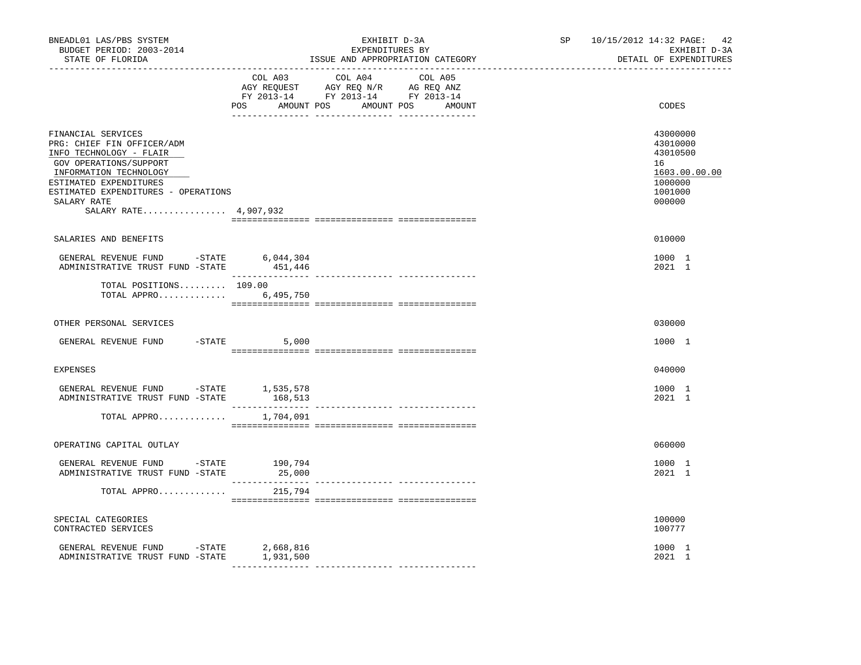| BNEADL01 LAS/PBS SYSTEM<br>BUDGET PERIOD: 2003-2014<br>STATE OF FLORIDA<br>----------------                                                                                                                                                                                                                                                                                                                                                                                                                              | EXHIBIT D-3A<br>EXPENDITURES BY<br>ISSUE AND APPROPRIATION CATEGORY                                                                         | SP 10/15/2012 14:32 PAGE: 42<br>EXHIBIT D-3A<br>DETAIL OF EXPENDITURES                  |
|--------------------------------------------------------------------------------------------------------------------------------------------------------------------------------------------------------------------------------------------------------------------------------------------------------------------------------------------------------------------------------------------------------------------------------------------------------------------------------------------------------------------------|---------------------------------------------------------------------------------------------------------------------------------------------|-----------------------------------------------------------------------------------------|
|                                                                                                                                                                                                                                                                                                                                                                                                                                                                                                                          | COL A03<br>COL A04<br>COL A05<br>AGY REQUEST AGY REQ N/R AG REQ ANZ<br>FY 2013-14 FY 2013-14 FY 2013-14<br>POS AMOUNT POS AMOUNT POS AMOUNT | CODES                                                                                   |
| FINANCIAL SERVICES<br>PRG: CHIEF FIN OFFICER/ADM<br>INFO TECHNOLOGY - FLAIR<br>GOV OPERATIONS/SUPPORT<br>INFORMATION TECHNOLOGY<br>ESTIMATED EXPENDITURES<br>ESTIMATED EXPENDITURES - OPERATIONS<br>SALARY RATE<br>SALARY RATE 4,907,932                                                                                                                                                                                                                                                                                 |                                                                                                                                             | 43000000<br>43010000<br>43010500<br>16<br>1603.00.00.00<br>1000000<br>1001000<br>000000 |
| SALARIES AND BENEFITS                                                                                                                                                                                                                                                                                                                                                                                                                                                                                                    |                                                                                                                                             | 010000                                                                                  |
| ${\small \tt GENERAL REVIEW\quad} \begin{tabular}{lcccc} \multicolumn{2}{c}{\textbf{GENERAL}} \textbf{REVENUE}\end{tabular} \begin{tabular}{lcccc} \multicolumn{2}{c}{\textbf{GENERAL}} \textbf{REVENUE}\end{tabular} \begin{tabular}{lcccc} \multicolumn{2}{c}{\textbf{GINERAL}} \end{tabular} \begin{tabular}{lcccc} \multicolumn{2}{c}{\textbf{A}DMINISTRATIVE}\end{tabular} \end{tabular} \begin{tabular}{lcccc} \multicolumn{2}{c}{\textbf{A}D} \end{tabular} \begin{tabular}{lcccc} \multicolumn{2}{c}{\textbf{A}$ |                                                                                                                                             | 1000 1<br>2021 1                                                                        |
| TOTAL POSITIONS $109.00$<br>TOTAL APPRO 6,495,750                                                                                                                                                                                                                                                                                                                                                                                                                                                                        |                                                                                                                                             |                                                                                         |
| OTHER PERSONAL SERVICES                                                                                                                                                                                                                                                                                                                                                                                                                                                                                                  |                                                                                                                                             | 030000                                                                                  |
| $-STATE$<br>GENERAL REVENUE FUND                                                                                                                                                                                                                                                                                                                                                                                                                                                                                         | 5,000                                                                                                                                       | 1000 1                                                                                  |
| <b>EXPENSES</b>                                                                                                                                                                                                                                                                                                                                                                                                                                                                                                          |                                                                                                                                             | 040000                                                                                  |
| GENERAL REVENUE FUND -STATE 1,535,578<br>ADMINISTRATIVE TRUST FUND -STATE                                                                                                                                                                                                                                                                                                                                                                                                                                                | 168,513                                                                                                                                     | 1000 1<br>2021 1                                                                        |
| TOTAL APPRO                                                                                                                                                                                                                                                                                                                                                                                                                                                                                                              | 1,704,091                                                                                                                                   |                                                                                         |
| OPERATING CAPITAL OUTLAY                                                                                                                                                                                                                                                                                                                                                                                                                                                                                                 |                                                                                                                                             | 060000                                                                                  |
| GENERAL REVENUE FUND -STATE 190,794<br>ADMINISTRATIVE TRUST FUND -STATE                                                                                                                                                                                                                                                                                                                                                                                                                                                  | 25,000                                                                                                                                      | 1000 1<br>2021 1                                                                        |
| TOTAL APPRO                                                                                                                                                                                                                                                                                                                                                                                                                                                                                                              | 215,794                                                                                                                                     |                                                                                         |
| SPECIAL CATEGORIES<br>CONTRACTED SERVICES                                                                                                                                                                                                                                                                                                                                                                                                                                                                                |                                                                                                                                             | 100000<br>100777                                                                        |
| GENERAL REVENUE FUND -STATE 2,668,816<br>ADMINISTRATIVE TRUST FUND -STATE                                                                                                                                                                                                                                                                                                                                                                                                                                                | 1,931,500                                                                                                                                   | 1000 1<br>2021 1                                                                        |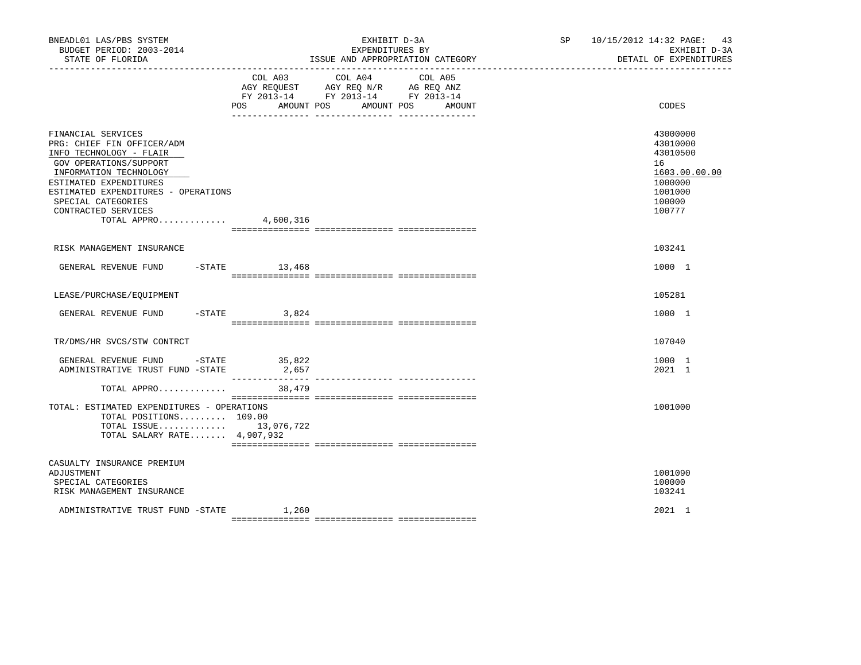| BNEADL01 LAS/PBS SYSTEM<br>BUDGET PERIOD: 2003-2014<br>STATE OF FLORIDA                                                                                                                                                                                                |                 | EXHIBIT D-3A<br>EXPENDITURES BY<br>ISSUE AND APPROPRIATION CATEGORY                                                                                                | SP 10/15/2012 14:32 PAGE: 43<br>EXHIBIT D-3A<br>DETAIL OF EXPENDITURES                            |
|------------------------------------------------------------------------------------------------------------------------------------------------------------------------------------------------------------------------------------------------------------------------|-----------------|--------------------------------------------------------------------------------------------------------------------------------------------------------------------|---------------------------------------------------------------------------------------------------|
|                                                                                                                                                                                                                                                                        | COL A03         | COL A04 COL A05<br>AGY REQUEST AGY REQ N/R AG REQ ANZ<br>FY 2013-14 FY 2013-14 FY 2013-14<br>POS AMOUNT POS AMOUNT POS<br>AMOUNT<br>__ ________________ __________ | CODES                                                                                             |
| FINANCIAL SERVICES<br>PRG: CHIEF FIN OFFICER/ADM<br>INFO TECHNOLOGY - FLAIR<br>GOV OPERATIONS/SUPPORT<br>INFORMATION TECHNOLOGY<br>ESTIMATED EXPENDITURES<br>ESTIMATED EXPENDITURES - OPERATIONS<br>SPECIAL CATEGORIES<br>CONTRACTED SERVICES<br>TOTAL APPRO 4,600,316 |                 |                                                                                                                                                                    | 43000000<br>43010000<br>43010500<br>16<br>1603.00.00.00<br>1000000<br>1001000<br>100000<br>100777 |
| RISK MANAGEMENT INSURANCE                                                                                                                                                                                                                                              |                 |                                                                                                                                                                    | 103241                                                                                            |
| GENERAL REVENUE FUND -STATE 13,468                                                                                                                                                                                                                                     |                 |                                                                                                                                                                    | 1000 1                                                                                            |
| LEASE/PURCHASE/EOUIPMENT                                                                                                                                                                                                                                               |                 |                                                                                                                                                                    | 105281                                                                                            |
| GENERAL REVENUE FUND -STATE 3,824                                                                                                                                                                                                                                      |                 |                                                                                                                                                                    | 1000 1                                                                                            |
| TR/DMS/HR SVCS/STW CONTRCT                                                                                                                                                                                                                                             |                 |                                                                                                                                                                    | 107040                                                                                            |
| GENERAL REVENUE FUND -STATE<br>ADMINISTRATIVE TRUST FUND -STATE                                                                                                                                                                                                        | 35,822<br>2,657 |                                                                                                                                                                    | 1000 1<br>2021 1                                                                                  |
| TOTAL APPRO 38,479                                                                                                                                                                                                                                                     |                 |                                                                                                                                                                    |                                                                                                   |
| TOTAL: ESTIMATED EXPENDITURES - OPERATIONS<br>TOTAL POSITIONS 109.00<br>TOTAL ISSUE 13,076,722<br>TOTAL SALARY RATE 4,907,932                                                                                                                                          |                 |                                                                                                                                                                    | 1001000                                                                                           |
| CASUALTY INSURANCE PREMIUM<br>ADJUSTMENT<br>SPECIAL CATEGORIES<br>RISK MANAGEMENT INSURANCE                                                                                                                                                                            |                 |                                                                                                                                                                    | 1001090<br>100000<br>103241                                                                       |
| ADMINISTRATIVE TRUST FUND -STATE                                                                                                                                                                                                                                       | 1,260           |                                                                                                                                                                    | 2021 1                                                                                            |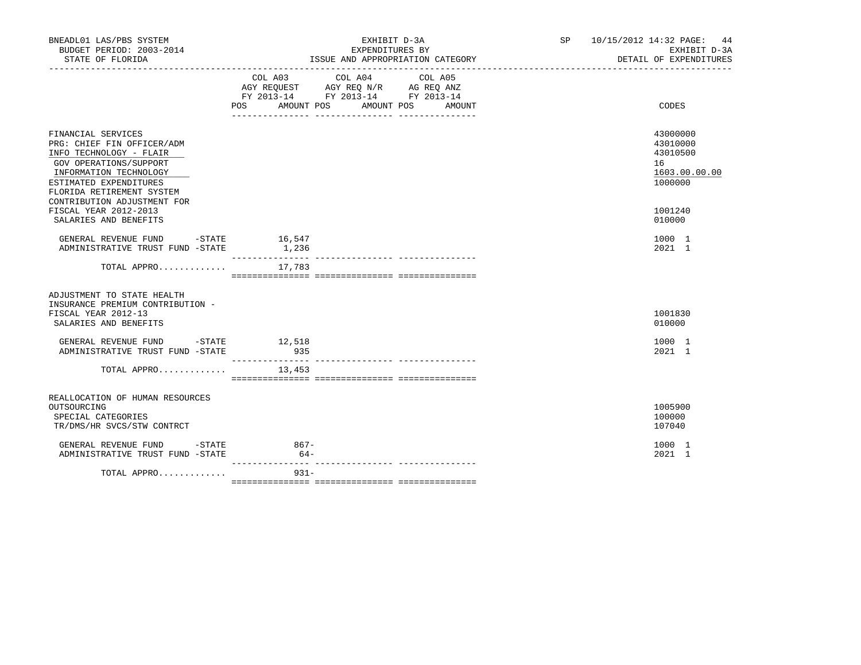| BNEADL01 LAS/PBS SYSTEM<br>BUDGET PERIOD: 2003-2014                                                                                                                                                                                                                     | EXHIBIT D-3A<br>EXPENDITURES BY                                                                                                             | SP 10/15/2012 14:32 PAGE: 44<br>EXHIBIT D-3A<br>DETAIL OF EXPENDITURES                  |
|-------------------------------------------------------------------------------------------------------------------------------------------------------------------------------------------------------------------------------------------------------------------------|---------------------------------------------------------------------------------------------------------------------------------------------|-----------------------------------------------------------------------------------------|
|                                                                                                                                                                                                                                                                         | COL A03 COL A04<br>COL A05<br>AGY REQUEST AGY REQ N/R AG REQ ANZ<br>FY 2013-14 FY 2013-14 FY 2013-14<br>POS AMOUNT POS AMOUNT POS<br>AMOUNT | CODES                                                                                   |
| FINANCIAL SERVICES<br>PRG: CHIEF FIN OFFICER/ADM<br>INFO TECHNOLOGY - FLAIR<br>GOV OPERATIONS/SUPPORT<br>INFORMATION TECHNOLOGY<br>ESTIMATED EXPENDITURES<br>FLORIDA RETIREMENT SYSTEM<br>CONTRIBUTION ADJUSTMENT FOR<br>FISCAL YEAR 2012-2013<br>SALARIES AND BENEFITS |                                                                                                                                             | 43000000<br>43010000<br>43010500<br>16<br>1603.00.00.00<br>1000000<br>1001240<br>010000 |
| GENERAL REVENUE FUND -STATE 16,547<br>ADMINISTRATIVE TRUST FUND -STATE 1,236                                                                                                                                                                                            |                                                                                                                                             | 1000 1<br>2021 1                                                                        |
| TOTAL APPRO $17,783$                                                                                                                                                                                                                                                    |                                                                                                                                             |                                                                                         |
| ADJUSTMENT TO STATE HEALTH<br>INSURANCE PREMIUM CONTRIBUTION -<br>FISCAL YEAR 2012-13<br>SALARIES AND BENEFITS                                                                                                                                                          |                                                                                                                                             | 1001830<br>010000                                                                       |
| GENERAL REVENUE FUND -STATE 12,518<br>ADMINISTRATIVE TRUST FUND -STATE                                                                                                                                                                                                  | 935                                                                                                                                         | 1000 1<br>2021 1                                                                        |
| TOTAL APPRO $13,453$                                                                                                                                                                                                                                                    |                                                                                                                                             |                                                                                         |
| REALLOCATION OF HUMAN RESOURCES<br>OUTSOURCING<br>SPECIAL CATEGORIES<br>TR/DMS/HR SVCS/STW CONTRCT                                                                                                                                                                      |                                                                                                                                             | 1005900<br>100000<br>107040                                                             |
| GENERAL REVENUE FUND - STATE<br>ADMINISTRATIVE TRUST FUND -STATE                                                                                                                                                                                                        | 867-<br>$64-$                                                                                                                               | 1000 1<br>2021 1                                                                        |
| TOTAL APPRO                                                                                                                                                                                                                                                             | $931 -$                                                                                                                                     |                                                                                         |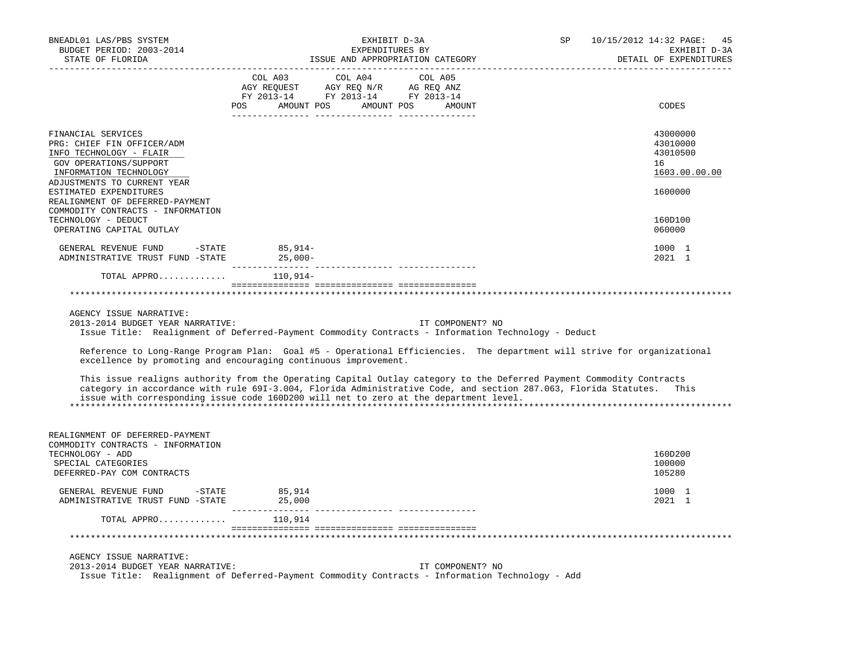| BNEADL01 LAS/PBS SYSTEM<br>BUDGET PERIOD: 2003-2014<br>STATE OF FLORIDA                                                                                                                                                     | EXHIBIT D-3A<br>EXPENDITURES BY<br>ISSUE AND APPROPRIATION CATEGORY                                                                                                                                                                                                                                                                   | SP<br>10/15/2012 14:32 PAGE: 45<br>EXHIBIT D-3A<br>DETAIL OF EXPENDITURES |
|-----------------------------------------------------------------------------------------------------------------------------------------------------------------------------------------------------------------------------|---------------------------------------------------------------------------------------------------------------------------------------------------------------------------------------------------------------------------------------------------------------------------------------------------------------------------------------|---------------------------------------------------------------------------|
|                                                                                                                                                                                                                             | COL A03<br>COL A04<br>COL A05<br>COL A03 COL A04 COL A05<br>AGY REQUEST AGY REQ N/R AG REQ ANZ<br>FY 2013-14 FY 2013-14 FY 2013-14<br>POS AMOUNT POS AMOUNT POS AMOUNT<br>--------- ------<br>-------- ------                                                                                                                         | CODES                                                                     |
| FINANCIAL SERVICES<br>PRG: CHIEF FIN OFFICER/ADM<br>INFO TECHNOLOGY - FLAIR<br>GOV OPERATIONS/SUPPORT<br>INFORMATION TECHNOLOGY<br>ADJUSTMENTS TO CURRENT YEAR<br>ESTIMATED EXPENDITURES<br>REALIGNMENT OF DEFERRED-PAYMENT |                                                                                                                                                                                                                                                                                                                                       | 43000000<br>43010000<br>43010500<br>16<br>1603.00.00.00<br>1600000        |
| COMMODITY CONTRACTS - INFORMATION<br>TECHNOLOGY - DEDUCT<br>OPERATING CAPITAL OUTLAY                                                                                                                                        |                                                                                                                                                                                                                                                                                                                                       | 160D100<br>060000                                                         |
| GENERAL REVENUE FUND -STATE<br>ADMINISTRATIVE TRUST FUND -STATE 25,000-                                                                                                                                                     | 85,914-                                                                                                                                                                                                                                                                                                                               | 1000 1<br>2021 1                                                          |
| TOTAL APPRO                                                                                                                                                                                                                 | _______________<br>110,914–                                                                                                                                                                                                                                                                                                           |                                                                           |
|                                                                                                                                                                                                                             |                                                                                                                                                                                                                                                                                                                                       |                                                                           |
| AGENCY ISSUE NARRATIVE:<br>2013-2014 BUDGET YEAR NARRATIVE:                                                                                                                                                                 | IT COMPONENT? NO<br>Issue Title: Realignment of Deferred-Payment Commodity Contracts - Information Technology - Deduct                                                                                                                                                                                                                |                                                                           |
|                                                                                                                                                                                                                             | Reference to Long-Range Program Plan: Goal #5 - Operational Efficiencies. The department will strive for organizational<br>excellence by promoting and encouraging continuous improvement.                                                                                                                                            |                                                                           |
|                                                                                                                                                                                                                             | This issue realigns authority from the Operating Capital Outlay category to the Deferred Payment Commodity Contracts<br>category in accordance with rule 691-3.004, Florida Administrative Code, and section 287.063, Florida Statutes. This<br>issue with corresponding issue code 160D200 will net to zero at the department level. |                                                                           |
| REALIGNMENT OF DEFERRED-PAYMENT<br>COMMODITY CONTRACTS - INFORMATION<br>TECHNOLOGY - ADD<br>SPECIAL CATEGORIES<br>DEFERRED-PAY COM CONTRACTS                                                                                |                                                                                                                                                                                                                                                                                                                                       | 160D200<br>100000<br>105280                                               |
| GENERAL REVENUE FUND -STATE<br>ADMINISTRATIVE TRUST FUND -STATE                                                                                                                                                             | 85,914<br>25,000                                                                                                                                                                                                                                                                                                                      | 1000 1<br>2021 1                                                          |
| TOTAL APPRO                                                                                                                                                                                                                 | 110,914                                                                                                                                                                                                                                                                                                                               |                                                                           |
|                                                                                                                                                                                                                             |                                                                                                                                                                                                                                                                                                                                       |                                                                           |
| AGENCY ISSUE NARRATIVE:<br>2013-2014 BUDGET YEAR NARRATIVE:                                                                                                                                                                 | IT COMPONENT? NO                                                                                                                                                                                                                                                                                                                      |                                                                           |
|                                                                                                                                                                                                                             | Issue Title: Realignment of Deferred-Payment Commodity Contracts - Information Technology - Add                                                                                                                                                                                                                                       |                                                                           |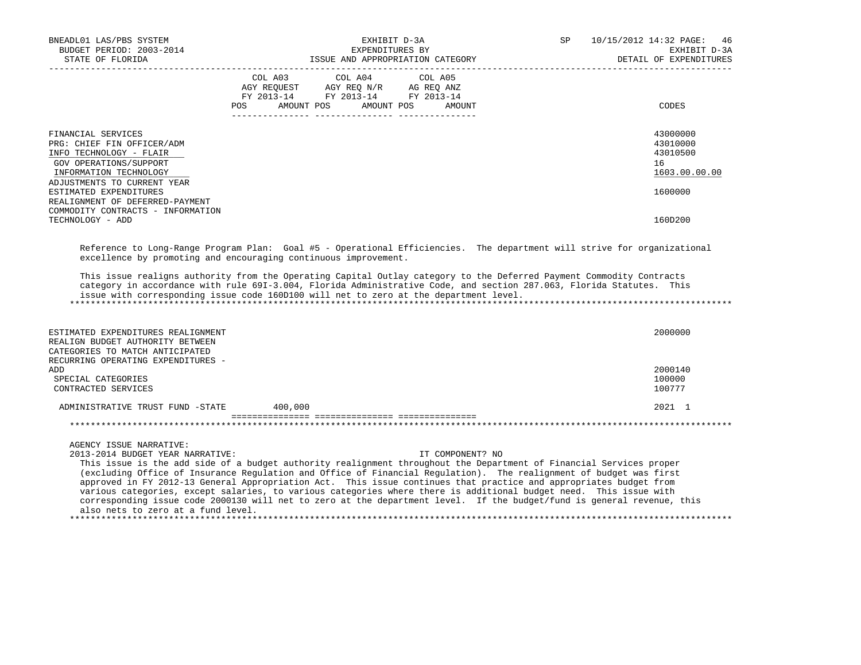| BNEADL01 LAS/PBS SYSTEM<br>BUDGET PERIOD: 2003-2014<br>STATE OF FLORIDA<br>__________________                                                                  | EXHIBIT D-3A<br>EXPENDITURES BY<br>ISSUE AND APPROPRIATION CATEGORY                                                                                                                                                                                                                                                                                                                                                                                                                                                                                                                                                               | 10/15/2012 14:32 PAGE:<br>SP<br>46<br>EXHIBIT D-3A<br>DETAIL OF EXPENDITURES |
|----------------------------------------------------------------------------------------------------------------------------------------------------------------|-----------------------------------------------------------------------------------------------------------------------------------------------------------------------------------------------------------------------------------------------------------------------------------------------------------------------------------------------------------------------------------------------------------------------------------------------------------------------------------------------------------------------------------------------------------------------------------------------------------------------------------|------------------------------------------------------------------------------|
|                                                                                                                                                                | COL A03 COL A04<br>COL A05<br>AGY REQUEST AGY REQ N/R AG REQ ANZ<br>FY 2013-14 FY 2013-14 FY 2013-14<br>AMOUNT POS<br>AMOUNT POS<br>POS<br>AMOUNT                                                                                                                                                                                                                                                                                                                                                                                                                                                                                 | CODES                                                                        |
| FINANCIAL SERVICES<br>PRG: CHIEF FIN OFFICER/ADM<br>INFO TECHNOLOGY - FLAIR<br>GOV OPERATIONS/SUPPORT<br>INFORMATION TECHNOLOGY<br>ADJUSTMENTS TO CURRENT YEAR |                                                                                                                                                                                                                                                                                                                                                                                                                                                                                                                                                                                                                                   | 43000000<br>43010000<br>43010500<br>16<br>1603.00.00.00                      |
| ESTIMATED EXPENDITURES<br>REALIGNMENT OF DEFERRED-PAYMENT<br>COMMODITY CONTRACTS - INFORMATION<br>TECHNOLOGY - ADD                                             |                                                                                                                                                                                                                                                                                                                                                                                                                                                                                                                                                                                                                                   | 1600000<br>160D200                                                           |
|                                                                                                                                                                | This issue realigns authority from the Operating Capital Outlay category to the Deferred Payment Commodity Contracts<br>category in accordance with rule 691-3.004, Florida Administrative Code, and section 287.063, Florida Statutes. This<br>issue with corresponding issue code 160D100 will net to zero at the department level.                                                                                                                                                                                                                                                                                             |                                                                              |
| ESTIMATED EXPENDITURES REALIGNMENT<br>REALIGN BUDGET AUTHORITY BETWEEN<br>CATEGORIES TO MATCH ANTICIPATED<br>RECURRING OPERATING EXPENDITURES -                |                                                                                                                                                                                                                                                                                                                                                                                                                                                                                                                                                                                                                                   | 2000000                                                                      |
| ADD<br>SPECIAL CATEGORIES<br>CONTRACTED SERVICES                                                                                                               |                                                                                                                                                                                                                                                                                                                                                                                                                                                                                                                                                                                                                                   | 2000140<br>100000<br>100777                                                  |
| ADMINISTRATIVE TRUST FUND -STATE                                                                                                                               | 400,000                                                                                                                                                                                                                                                                                                                                                                                                                                                                                                                                                                                                                           | 2021 1                                                                       |
| AGENCY ISSUE NARRATIVE:<br>2013-2014 BUDGET YEAR NARRATIVE:                                                                                                    | IT COMPONENT? NO<br>This issue is the add side of a budget authority realignment throughout the Department of Financial Services proper<br>(excluding Office of Insurance Regulation and Office of Financial Regulation). The realignment of budget was first<br>approved in FY 2012-13 General Appropriation Act. This issue continues that practice and appropriates budget from<br>various categories, except salaries, to various categories where there is additional budget need. This issue with<br>corresponding issue code 2000130 will net to zero at the department level. If the budget/fund is general revenue, this |                                                                              |
| also nets to zero at a fund level.                                                                                                                             |                                                                                                                                                                                                                                                                                                                                                                                                                                                                                                                                                                                                                                   |                                                                              |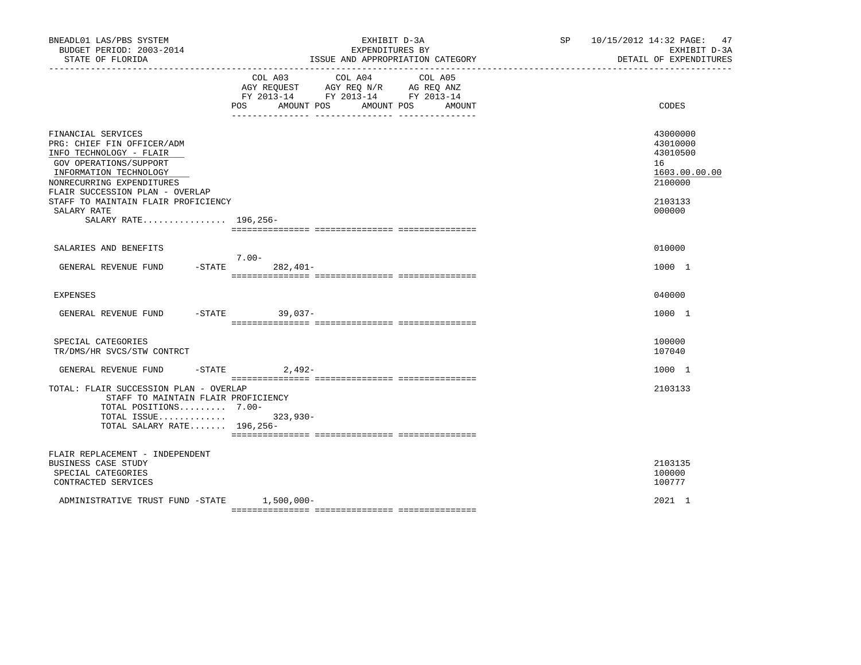| BNEADL01 LAS/PBS SYSTEM<br>BUDGET PERIOD: 2003-2014<br>STATE OF FLORIDA                                                                                                                                                                               | EXHIBIT D-3A<br>EXPENDITURES BY<br>ISSUE AND APPROPRIATION CATEGORY                                                                               | SP 10/15/2012 14:32 PAGE: 47<br>EXHIBIT D-3A<br>DETAIL OF EXPENDITURES                  |
|-------------------------------------------------------------------------------------------------------------------------------------------------------------------------------------------------------------------------------------------------------|---------------------------------------------------------------------------------------------------------------------------------------------------|-----------------------------------------------------------------------------------------|
|                                                                                                                                                                                                                                                       | COL A03 COL A04<br>COL A05<br>AGY REQUEST AGY REQ N/R AG REQ ANZ<br>FY 2013-14 FY 2013-14 FY 2013-14<br>POS<br>AMOUNT POS<br>AMOUNT POS<br>AMOUNT | CODES                                                                                   |
| FINANCIAL SERVICES<br>PRG: CHIEF FIN OFFICER/ADM<br>INFO TECHNOLOGY - FLAIR<br>GOV OPERATIONS/SUPPORT<br>INFORMATION TECHNOLOGY<br>NONRECURRING EXPENDITURES<br>FLAIR SUCCESSION PLAN - OVERLAP<br>STAFF TO MAINTAIN FLAIR PROFICIENCY<br>SALARY RATE |                                                                                                                                                   | 43000000<br>43010000<br>43010500<br>16<br>1603.00.00.00<br>2100000<br>2103133<br>000000 |
| SALARY RATE 196,256-                                                                                                                                                                                                                                  |                                                                                                                                                   |                                                                                         |
| SALARIES AND BENEFITS                                                                                                                                                                                                                                 |                                                                                                                                                   | 010000                                                                                  |
| GENERAL REVENUE FUND                                                                                                                                                                                                                                  | $7.00 -$<br>$-$ STATE<br>282,401-                                                                                                                 | 1000 1                                                                                  |
| <b>EXPENSES</b>                                                                                                                                                                                                                                       |                                                                                                                                                   | 040000                                                                                  |
| GENERAL REVENUE FUND -STATE 39,037-                                                                                                                                                                                                                   |                                                                                                                                                   | 1000 1                                                                                  |
| SPECIAL CATEGORIES<br>TR/DMS/HR SVCS/STW CONTRCT                                                                                                                                                                                                      |                                                                                                                                                   | 100000<br>107040                                                                        |
| GENERAL REVENUE FUND                                                                                                                                                                                                                                  | $-$ STATE 2,492-                                                                                                                                  | 1000 1                                                                                  |
| TOTAL: FLAIR SUCCESSION PLAN - OVERLAP<br>STAFF TO MAINTAIN FLAIR PROFICIENCY<br>TOTAL POSITIONS 7.00-<br>TOTAL ISSUE 323,930-<br>TOTAL SALARY RATE $196.256 -$                                                                                       |                                                                                                                                                   | 2103133                                                                                 |
| FLAIR REPLACEMENT - INDEPENDENT<br>BUSINESS CASE STUDY<br>SPECIAL CATEGORIES<br>CONTRACTED SERVICES                                                                                                                                                   |                                                                                                                                                   | 2103135<br>100000<br>100777                                                             |
| ADMINISTRATIVE TRUST FUND -STATE 1,500,000-                                                                                                                                                                                                           |                                                                                                                                                   | 2021 1                                                                                  |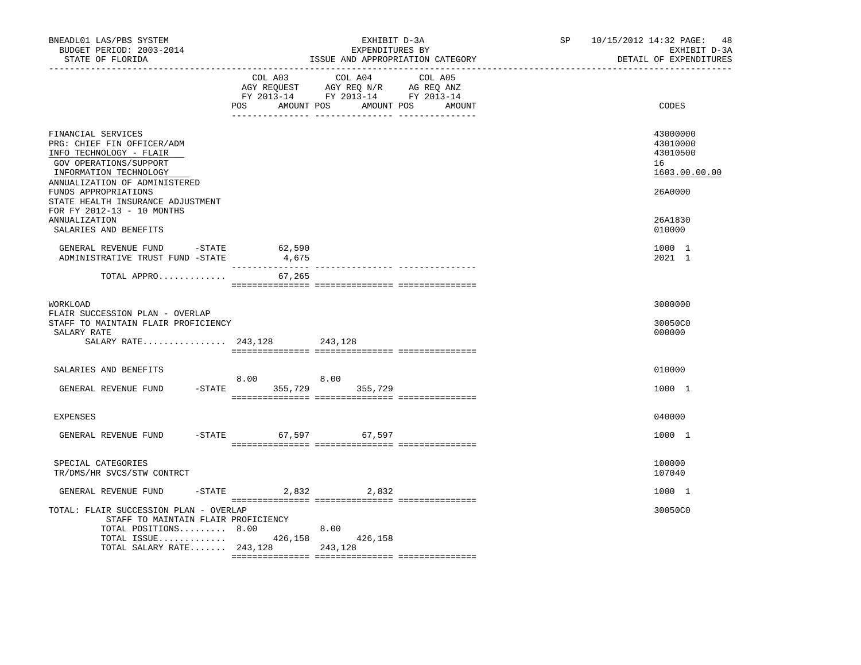| BNEADL01 LAS/PBS SYSTEM<br>BUDGET PERIOD: 2003-2014<br>STATE OF FLORIDA                                                                                                                                                       |                                     | EXHIBIT D-3A<br>EXPENDITURES BY<br>ISSUE AND APPROPRIATION CATEGORY                                                                   | SP 10/15/2012 14:32 PAGE: 48 | EXHIBIT D-3A<br>DETAIL OF EXPENDITURES                             |
|-------------------------------------------------------------------------------------------------------------------------------------------------------------------------------------------------------------------------------|-------------------------------------|---------------------------------------------------------------------------------------------------------------------------------------|------------------------------|--------------------------------------------------------------------|
|                                                                                                                                                                                                                               |                                     | COL A03 COL A04 COL A05<br>AGY REQUEST AGY REQ N/R AG REQ ANZ<br>FY 2013-14 FY 2013-14 FY 2013-14<br>POS AMOUNT POS AMOUNT POS AMOUNT |                              | CODES                                                              |
| FINANCIAL SERVICES<br>PRG: CHIEF FIN OFFICER/ADM<br>INFO TECHNOLOGY - FLAIR<br>GOV OPERATIONS/SUPPORT<br>INFORMATION TECHNOLOGY<br>ANNUALIZATION OF ADMINISTERED<br>FUNDS APPROPRIATIONS<br>STATE HEALTH INSURANCE ADJUSTMENT |                                     |                                                                                                                                       |                              | 43000000<br>43010000<br>43010500<br>16<br>1603.00.00.00<br>26A0000 |
| FOR FY 2012-13 - 10 MONTHS<br><b>ANNUALIZATION</b><br>SALARIES AND BENEFITS                                                                                                                                                   |                                     |                                                                                                                                       |                              | 26A1830<br>010000                                                  |
| GENERAL REVENUE FUND $-$ STATE 62,590<br>ADMINISTRATIVE TRUST FUND -STATE                                                                                                                                                     | 4,675                               |                                                                                                                                       |                              | 1000 1<br>2021 1                                                   |
| TOTAL APPRO                                                                                                                                                                                                                   | 67,265                              |                                                                                                                                       |                              |                                                                    |
| WORKLOAD<br>FLAIR SUCCESSION PLAN - OVERLAP<br>STAFF TO MAINTAIN FLAIR PROFICIENCY<br>SALARY RATE                                                                                                                             |                                     |                                                                                                                                       |                              | 3000000<br>30050C0<br>000000                                       |
| SALARIES AND BENEFITS                                                                                                                                                                                                         |                                     |                                                                                                                                       |                              | 010000                                                             |
| GENERAL REVENUE FUND                                                                                                                                                                                                          | 8.00 8.00<br>-STATE 355,729 355,729 |                                                                                                                                       |                              | 1000 1                                                             |
| <b>EXPENSES</b>                                                                                                                                                                                                               |                                     |                                                                                                                                       |                              | 040000                                                             |
| GENERAL REVENUE FUND -STATE 67,597 67,597                                                                                                                                                                                     |                                     |                                                                                                                                       |                              | 1000 1                                                             |
| SPECIAL CATEGORIES<br>TR/DMS/HR SVCS/STW CONTRCT                                                                                                                                                                              |                                     |                                                                                                                                       |                              | 100000<br>107040                                                   |
| GENERAL REVENUE FUND                                                                                                                                                                                                          | $-STATE$ 2,832 2,832                |                                                                                                                                       |                              | 1000 1                                                             |
| TOTAL: FLAIR SUCCESSION PLAN - OVERLAP<br>STAFF TO MAINTAIN FLAIR PROFICIENCY<br>TOTAL POSITIONS 8.00<br>TOTAL ISSUE $426,158$<br>TOTAL SALARY RATE 243,128                                                                   |                                     | 8.00<br>426,158<br>243,128                                                                                                            |                              | 30050C0                                                            |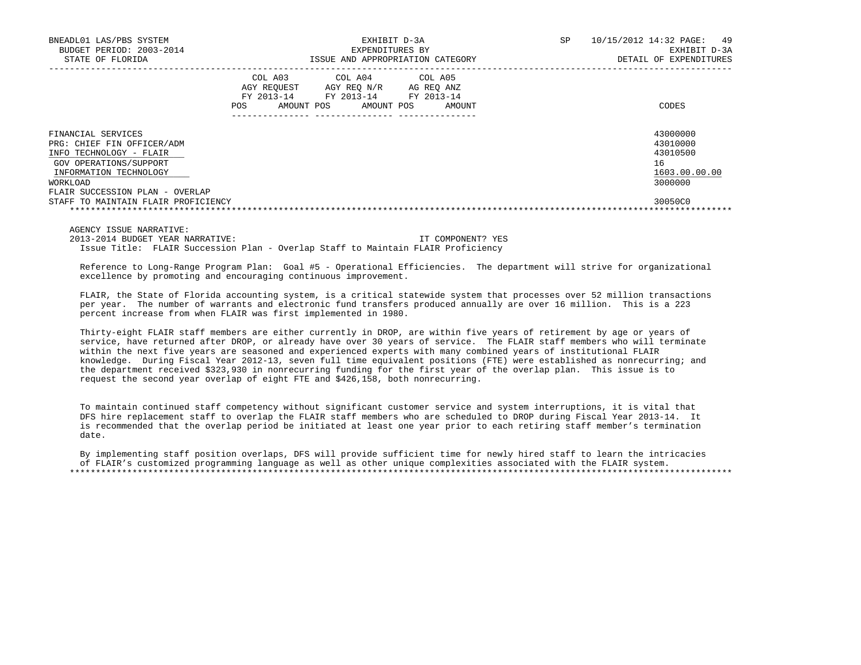| BNEADL01 LAS/PBS SYSTEM<br>BUDGET PERIOD: 2003-2014<br>STATE OF FLORIDA                                                                                                                                               | EXHIBIT D-3A<br>EXPENDITURES BY<br>ISSUE AND APPROPRIATION CATEGORY |                                                                       |                      | 49<br>SP<br>10/15/2012 14:32 PAGE:<br>EXHIBIT D-3A<br>DETAIL OF EXPENDITURES  |
|-----------------------------------------------------------------------------------------------------------------------------------------------------------------------------------------------------------------------|---------------------------------------------------------------------|-----------------------------------------------------------------------|----------------------|-------------------------------------------------------------------------------|
|                                                                                                                                                                                                                       | COL A03<br>AGY REOUEST<br>FY 2013-14<br>POS<br>AMOUNT POS           | COL A04 COL A05<br>AGY REO N/R<br>FY 2013-14 FY 2013-14<br>AMOUNT POS | AG REO ANZ<br>AMOUNT | CODES                                                                         |
| FINANCIAL SERVICES<br>PRG: CHIEF FIN OFFICER/ADM<br>INFO TECHNOLOGY - FLAIR<br>GOV OPERATIONS/SUPPORT<br>INFORMATION TECHNOLOGY<br>WORKLOAD<br>FLAIR SUCCESSION PLAN - OVERLAP<br>STAFF TO MAINTAIN FLAIR PROFICIENCY |                                                                     |                                                                       |                      | 43000000<br>43010000<br>43010500<br>16<br>1603.00.00.00<br>3000000<br>30050C0 |
|                                                                                                                                                                                                                       |                                                                     |                                                                       |                      |                                                                               |

AGENCY ISSUE NARRATIVE:

 2013-2014 BUDGET YEAR NARRATIVE: IT COMPONENT? YES Issue Title: FLAIR Succession Plan - Overlap Staff to Maintain FLAIR Proficiency

 Reference to Long-Range Program Plan: Goal #5 - Operational Efficiencies. The department will strive for organizational excellence by promoting and encouraging continuous improvement.

 FLAIR, the State of Florida accounting system, is a critical statewide system that processes over 52 million transactions per year. The number of warrants and electronic fund transfers produced annually are over 16 million. This is a 223 percent increase from when FLAIR was first implemented in 1980.

 Thirty-eight FLAIR staff members are either currently in DROP, are within five years of retirement by age or years of service, have returned after DROP, or already have over 30 years of service. The FLAIR staff members who will terminate within the next five years are seasoned and experienced experts with many combined years of institutional FLAIR knowledge. During Fiscal Year 2012-13, seven full time equivalent positions (FTE) were established as nonrecurring; and the department received \$323,930 in nonrecurring funding for the first year of the overlap plan. This issue is to request the second year overlap of eight FTE and \$426,158, both nonrecurring.

 To maintain continued staff competency without significant customer service and system interruptions, it is vital that DFS hire replacement staff to overlap the FLAIR staff members who are scheduled to DROP during Fiscal Year 2013-14. It is recommended that the overlap period be initiated at least one year prior to each retiring staff member's termination date.

 By implementing staff position overlaps, DFS will provide sufficient time for newly hired staff to learn the intricacies of FLAIR's customized programming language as well as other unique complexities associated with the FLAIR system. \*\*\*\*\*\*\*\*\*\*\*\*\*\*\*\*\*\*\*\*\*\*\*\*\*\*\*\*\*\*\*\*\*\*\*\*\*\*\*\*\*\*\*\*\*\*\*\*\*\*\*\*\*\*\*\*\*\*\*\*\*\*\*\*\*\*\*\*\*\*\*\*\*\*\*\*\*\*\*\*\*\*\*\*\*\*\*\*\*\*\*\*\*\*\*\*\*\*\*\*\*\*\*\*\*\*\*\*\*\*\*\*\*\*\*\*\*\*\*\*\*\*\*\*\*\*\*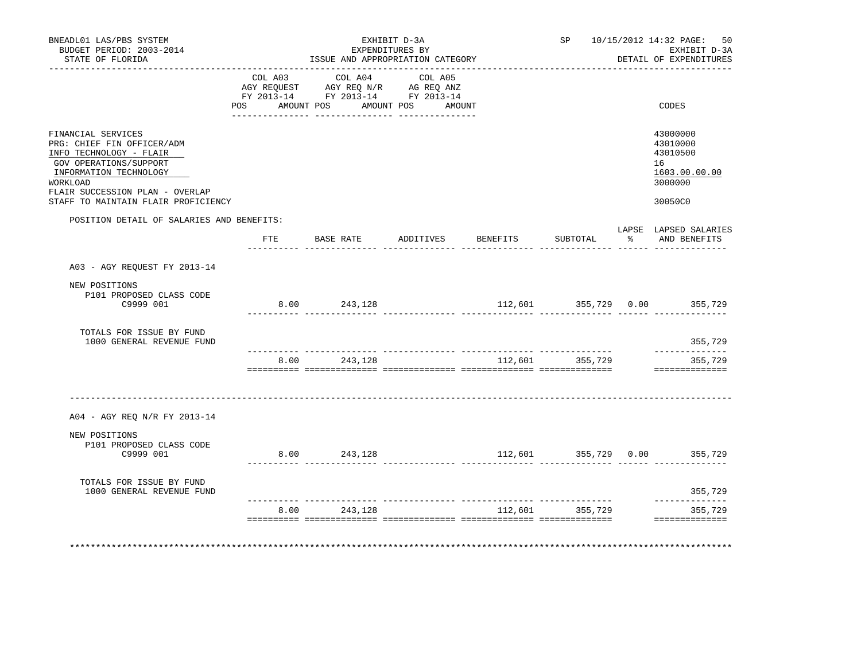| BNEADL01 LAS/PBS SYSTEM<br>BUDGET PERIOD: 2003-2014<br>STATE OF FLORIDA                                                                                                                                               |                | ISSUE AND APPROPRIATION CATEGORY                                                          | EXHIBIT D-3A<br>EXPENDITURES BY |                 |                 |               | SP 10/15/2012 14:32 PAGE: 50<br>EXHIBIT D-3A<br>DETAIL OF EXPENDITURES        |
|-----------------------------------------------------------------------------------------------------------------------------------------------------------------------------------------------------------------------|----------------|-------------------------------------------------------------------------------------------|---------------------------------|-----------------|-----------------|---------------|-------------------------------------------------------------------------------|
|                                                                                                                                                                                                                       | POS AMOUNT POS | COL A03 COL A04<br>AGY REQUEST AGY REQ N/R AG REQ ANZ<br>FY 2013-14 FY 2013-14 FY 2013-14 | COL A05<br>AMOUNT POS AMOUNT    |                 |                 |               | CODES                                                                         |
| FINANCIAL SERVICES<br>PRG: CHIEF FIN OFFICER/ADM<br>INFO TECHNOLOGY - FLAIR<br>GOV OPERATIONS/SUPPORT<br>INFORMATION TECHNOLOGY<br>WORKLOAD<br>FLAIR SUCCESSION PLAN - OVERLAP<br>STAFF TO MAINTAIN FLAIR PROFICIENCY |                |                                                                                           |                                 |                 |                 |               | 43000000<br>43010000<br>43010500<br>16<br>1603.00.00.00<br>3000000<br>30050C0 |
| POSITION DETAIL OF SALARIES AND BENEFITS:                                                                                                                                                                             |                | FTE BASE RATE                                                                             | ADDITIVES                       | <b>BENEFITS</b> | SUBTOTAL        | $\frac{1}{6}$ | LAPSE LAPSED SALARIES<br>AND BENEFITS                                         |
| A03 - AGY REQUEST FY 2013-14                                                                                                                                                                                          |                |                                                                                           |                                 |                 |                 |               |                                                                               |
| NEW POSITIONS<br>P101 PROPOSED CLASS CODE<br>C9999 001                                                                                                                                                                |                | 8.00 243,128                                                                              |                                 |                 |                 |               | 112,601 355,729 0.00 355,729                                                  |
| TOTALS FOR ISSUE BY FUND<br>1000 GENERAL REVENUE FUND                                                                                                                                                                 |                |                                                                                           |                                 |                 |                 |               | 355,729                                                                       |
|                                                                                                                                                                                                                       | 8.00           | 243,128                                                                                   |                                 |                 | 112,601 355,729 |               | ______________<br>355,729<br>==============                                   |
| A04 - AGY REO N/R FY 2013-14                                                                                                                                                                                          |                |                                                                                           |                                 |                 |                 |               |                                                                               |
| NEW POSITIONS<br>P101 PROPOSED CLASS CODE<br>C9999 001                                                                                                                                                                |                | 8.00 243,128                                                                              |                                 |                 |                 |               | 112,601 355,729 0.00 355,729                                                  |
| TOTALS FOR ISSUE BY FUND<br>1000 GENERAL REVENUE FUND                                                                                                                                                                 |                |                                                                                           |                                 |                 |                 |               | 355,729                                                                       |
|                                                                                                                                                                                                                       |                | 8.00 243,128                                                                              |                                 |                 | 112,601 355,729 |               | ______________<br>355,729                                                     |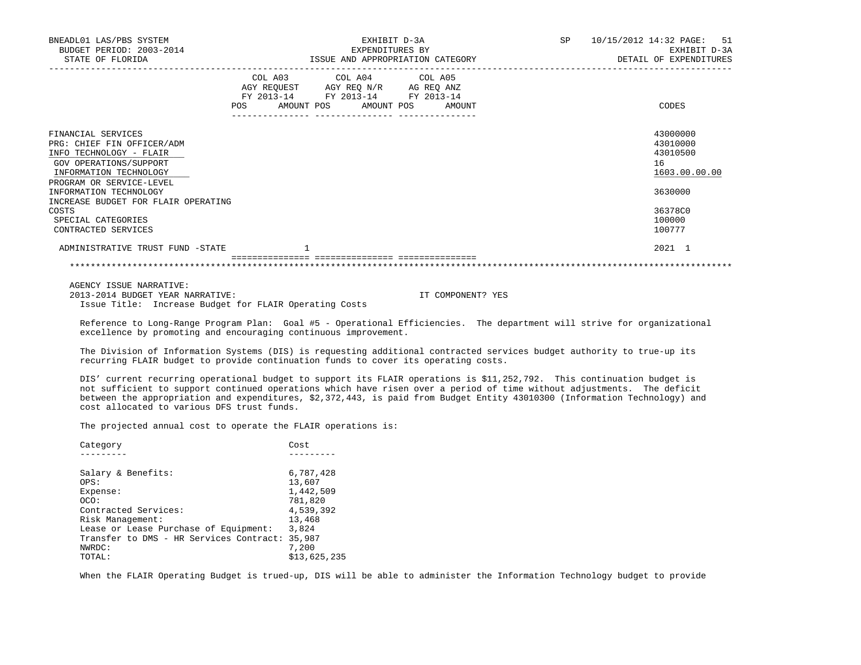| BNEADL01 LAS/PBS SYSTEM<br>BUDGET PERIOD: 2003-2014<br>STATE OF FLORIDA                                                                                     | EXHIBIT D-3A<br>EXPENDITURES BY<br>ISSUE AND APPROPRIATION CATEGORY                                                                   | 10/15/2012 14:32 PAGE: 51<br>SP<br>EXHIBIT D-3A<br>DETAIL OF EXPENDITURES |  |
|-------------------------------------------------------------------------------------------------------------------------------------------------------------|---------------------------------------------------------------------------------------------------------------------------------------|---------------------------------------------------------------------------|--|
|                                                                                                                                                             | COL A03 COL A04 COL A05<br>AGY REQUEST AGY REQ N/R AG REQ ANZ<br>FY 2013-14 FY 2013-14 FY 2013-14<br>POS AMOUNT POS AMOUNT POS AMOUNT | CODES                                                                     |  |
| FINANCIAL SERVICES<br>PRG: CHIEF FIN OFFICER/ADM<br>INFO TECHNOLOGY - FLAIR<br>GOV OPERATIONS/SUPPORT<br>INFORMATION TECHNOLOGY<br>PROGRAM OR SERVICE-LEVEL |                                                                                                                                       | 43000000<br>43010000<br>43010500<br>16<br>1603.00.00.00                   |  |
| INFORMATION TECHNOLOGY<br>INCREASE BUDGET FOR FLAIR OPERATING                                                                                               |                                                                                                                                       | 3630000                                                                   |  |
| COSTS<br>SPECIAL CATEGORIES<br>CONTRACTED SERVICES                                                                                                          |                                                                                                                                       | 36378C0<br>100000<br>100777                                               |  |
| ADMINISTRATIVE TRUST FUND -STATE                                                                                                                            |                                                                                                                                       | 2021 1                                                                    |  |
|                                                                                                                                                             |                                                                                                                                       |                                                                           |  |

 AGENCY ISSUE NARRATIVE: 2013-2014 BUDGET YEAR NARRATIVE: IT COMPONENT? YES Issue Title: Increase Budget for FLAIR Operating Costs

 Reference to Long-Range Program Plan: Goal #5 - Operational Efficiencies. The department will strive for organizational excellence by promoting and encouraging continuous improvement.

 The Division of Information Systems (DIS) is requesting additional contracted services budget authority to true-up its recurring FLAIR budget to provide continuation funds to cover its operating costs.

 DIS' current recurring operational budget to support its FLAIR operations is \$11,252,792. This continuation budget is not sufficient to support continued operations which have risen over a period of time without adjustments. The deficit between the appropriation and expenditures, \$2,372,443, is paid from Budget Entity 43010300 (Information Technology) and cost allocated to various DFS trust funds.

The projected annual cost to operate the FLAIR operations is:

| Category                                | Cost         |
|-----------------------------------------|--------------|
|                                         |              |
| Salary & Benefits:                      | 6,787,428    |
| OPS:                                    | 13,607       |
| Expense:                                | 1,442,509    |
| OCO:                                    | 781,820      |
| Contracted Services:                    | 4,539,392    |
| Risk Management:                        | 13,468       |
| Lease or Lease Purchase of Equipment:   | 3,824        |
| Transfer to DMS - HR Services Contract: | 35,987       |
| NWRDC:                                  | 7,200        |
| TOTAL:                                  | \$13,625,235 |

When the FLAIR Operating Budget is trued-up, DIS will be able to administer the Information Technology budget to provide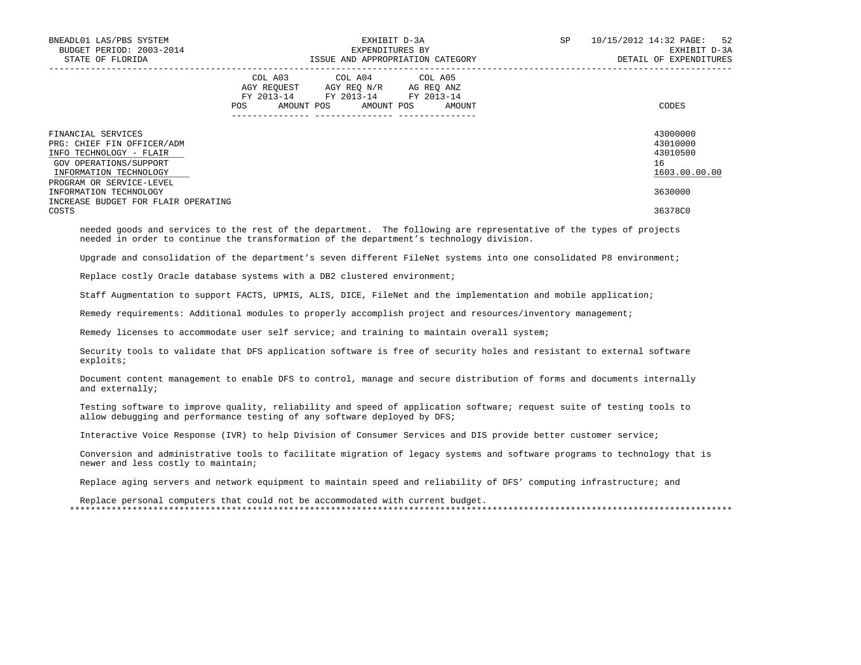| BNEADL01 LAS/PBS SYSTEM<br>BUDGET PERIOD: 2003-2014<br>STATE OF FLORIDA                                                         |     | EXHIBIT D-3A<br>EXPENDITURES BY<br>ISSUE AND APPROPRIATION CATEGORY                                                           | SP     | 10/15/2012 14:32 PAGE: 52<br>EXHIBIT D-3A<br>DETAIL OF EXPENDITURES |                                                         |
|---------------------------------------------------------------------------------------------------------------------------------|-----|-------------------------------------------------------------------------------------------------------------------------------|--------|---------------------------------------------------------------------|---------------------------------------------------------|
|                                                                                                                                 | POS | COL A03 COL A04 COL A05<br>AGY REOUEST AGY REO N/R AG REO ANZ<br>FY 2013-14 FY 2013-14 FY 2013-14<br>AMOUNT POS<br>AMOUNT POS | AMOUNT |                                                                     | CODES                                                   |
| FINANCIAL SERVICES<br>PRG: CHIEF FIN OFFICER/ADM<br>INFO TECHNOLOGY - FLAIR<br>GOV OPERATIONS/SUPPORT<br>INFORMATION TECHNOLOGY |     |                                                                                                                               |        |                                                                     | 43000000<br>43010000<br>43010500<br>16<br>1603.00.00.00 |
| PROGRAM OR SERVICE-LEVEL<br>INFORMATION TECHNOLOGY<br>INCREASE BUDGET FOR FLAIR OPERATING<br>COSTS                              |     |                                                                                                                               |        |                                                                     | 3630000<br>36378C0                                      |

 needed goods and services to the rest of the department. The following are representative of the types of projects needed in order to continue the transformation of the department's technology division.

Upgrade and consolidation of the department's seven different FileNet systems into one consolidated P8 environment;

Replace costly Oracle database systems with a DB2 clustered environment;

Staff Augmentation to support FACTS, UPMIS, ALIS, DICE, FileNet and the implementation and mobile application;

Remedy requirements: Additional modules to properly accomplish project and resources/inventory management;

Remedy licenses to accommodate user self service; and training to maintain overall system;

 Security tools to validate that DFS application software is free of security holes and resistant to external software exploits;

 Document content management to enable DFS to control, manage and secure distribution of forms and documents internally and externally;

 Testing software to improve quality, reliability and speed of application software; request suite of testing tools to allow debugging and performance testing of any software deployed by DFS;

Interactive Voice Response (IVR) to help Division of Consumer Services and DIS provide better customer service;

 Conversion and administrative tools to facilitate migration of legacy systems and software programs to technology that is newer and less costly to maintain;

Replace aging servers and network equipment to maintain speed and reliability of DFS' computing infrastructure; and

 Replace personal computers that could not be accommodated with current budget. \*\*\*\*\*\*\*\*\*\*\*\*\*\*\*\*\*\*\*\*\*\*\*\*\*\*\*\*\*\*\*\*\*\*\*\*\*\*\*\*\*\*\*\*\*\*\*\*\*\*\*\*\*\*\*\*\*\*\*\*\*\*\*\*\*\*\*\*\*\*\*\*\*\*\*\*\*\*\*\*\*\*\*\*\*\*\*\*\*\*\*\*\*\*\*\*\*\*\*\*\*\*\*\*\*\*\*\*\*\*\*\*\*\*\*\*\*\*\*\*\*\*\*\*\*\*\*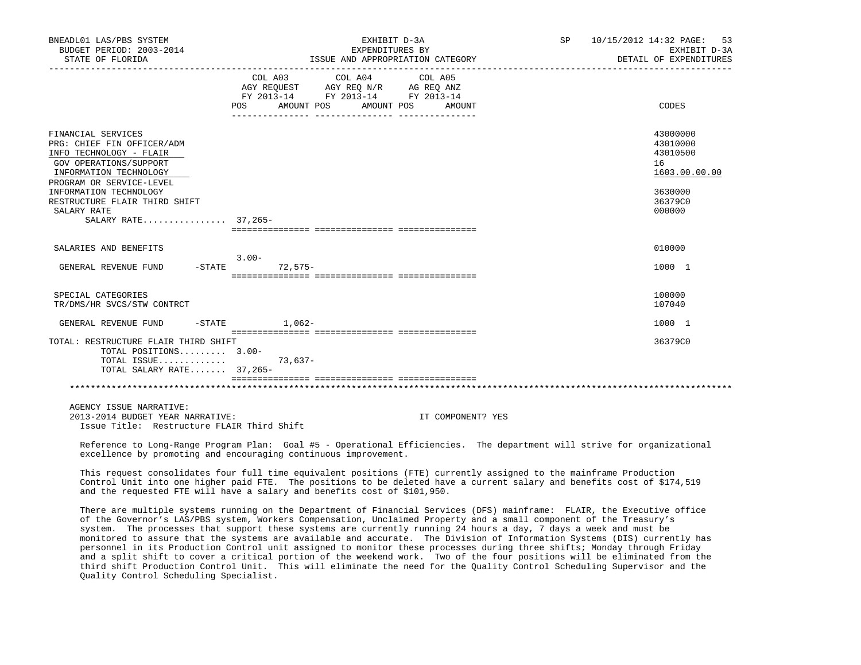| BNEADL01 LAS/PBS SYSTEM<br>BUDGET PERIOD: 2003-2014                                                                                                         | EXHIBIT D-3A<br>EXPENDITURES BY                                                                                                                                                                                                                                                                                 | SP                | 10/15/2012 14:32 PAGE: 53<br>EXHIBIT D-3A               |
|-------------------------------------------------------------------------------------------------------------------------------------------------------------|-----------------------------------------------------------------------------------------------------------------------------------------------------------------------------------------------------------------------------------------------------------------------------------------------------------------|-------------------|---------------------------------------------------------|
| STATE OF FLORIDA                                                                                                                                            | ISSUE AND APPROPRIATION CATEGORY                                                                                                                                                                                                                                                                                |                   | DETAIL OF EXPENDITURES                                  |
|                                                                                                                                                             | COL A03 COL A04<br>$\begin{tabular}{lllllll} \bf AGY \;\; REQUEST \hspace{1cm} AGY \;\; REQ \;\; N/R \hspace{1cm} AG \;\; REQ \;\; ANZ \\ \hline \texttt{FY} \;\; 2013\texttt{-}14 & \texttt{FY} \;\; 2013\texttt{-}14 & \texttt{FY} \;\; 2013\texttt{-}14 \\ \end{tabular}$<br>AMOUNT POS<br>AMOUNT POS<br>POS | COL A05<br>AMOUNT | CODES                                                   |
| FINANCIAL SERVICES<br>PRG: CHIEF FIN OFFICER/ADM<br>INFO TECHNOLOGY - FLAIR<br>GOV OPERATIONS/SUPPORT<br>INFORMATION TECHNOLOGY<br>PROGRAM OR SERVICE-LEVEL |                                                                                                                                                                                                                                                                                                                 |                   | 43000000<br>43010000<br>43010500<br>16<br>1603.00.00.00 |
| INFORMATION TECHNOLOGY<br>RESTRUCTURE FLAIR THIRD SHIFT<br>SALARY RATE<br>SALARY RATE 37,265-                                                               |                                                                                                                                                                                                                                                                                                                 |                   | 3630000<br>36379C0<br>000000                            |
| SALARIES AND BENEFITS                                                                                                                                       |                                                                                                                                                                                                                                                                                                                 |                   | 010000                                                  |
| GENERAL REVENUE FUND -STATE                                                                                                                                 | $3.00 -$<br>72,575-                                                                                                                                                                                                                                                                                             |                   | 1000 1                                                  |
| SPECIAL CATEGORIES<br>TR/DMS/HR SVCS/STW CONTRCT                                                                                                            |                                                                                                                                                                                                                                                                                                                 |                   | 100000<br>107040                                        |
| GENERAL REVENUE FUND                                                                                                                                        | $-$ STATE $1.062-$                                                                                                                                                                                                                                                                                              |                   | 1000 1                                                  |
| TOTAL: RESTRUCTURE FLAIR THIRD SHIFT<br>TOTAL POSITIONS 3.00-<br>TOTAL ISSUE<br>TOTAL SALARY RATE 37,265-                                                   | 73,637-                                                                                                                                                                                                                                                                                                         |                   | 36379C0                                                 |
|                                                                                                                                                             |                                                                                                                                                                                                                                                                                                                 |                   |                                                         |
| AGENCY ISSUE NARRATIVE:<br>2013-2014 BUDGET YEAR NARRATIVE:<br>Issue Title: Restructure FLAIR Third Shift                                                   |                                                                                                                                                                                                                                                                                                                 | IT COMPONENT? YES |                                                         |
|                                                                                                                                                             | Reference to Long-Range Program Plan: Goal #5 - Operational Efficiencies. The department will strive for organizational<br>excellence by promoting and encouraging continuous improvement.                                                                                                                      |                   |                                                         |

 This request consolidates four full time equivalent positions (FTE) currently assigned to the mainframe Production Control Unit into one higher paid FTE. The positions to be deleted have a current salary and benefits cost of \$174,519 and the requested FTE will have a salary and benefits cost of \$101,950.

 There are multiple systems running on the Department of Financial Services (DFS) mainframe: FLAIR, the Executive office of the Governor's LAS/PBS system, Workers Compensation, Unclaimed Property and a small component of the Treasury's system. The processes that support these systems are currently running 24 hours a day, 7 days a week and must be monitored to assure that the systems are available and accurate. The Division of Information Systems (DIS) currently has personnel in its Production Control unit assigned to monitor these processes during three shifts; Monday through Friday and a split shift to cover a critical portion of the weekend work. Two of the four positions will be eliminated from the third shift Production Control Unit. This will eliminate the need for the Quality Control Scheduling Supervisor and the Quality Control Scheduling Specialist.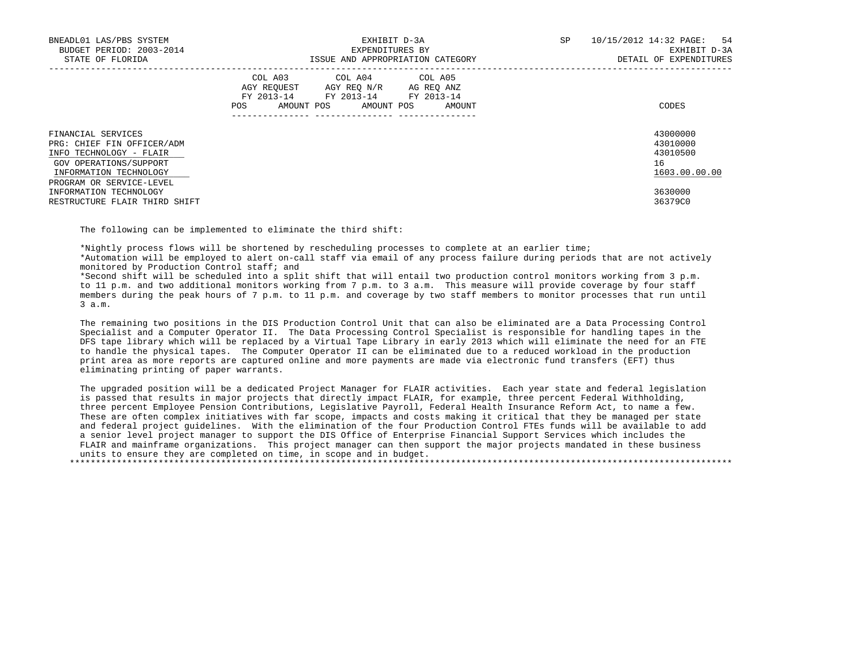| BNEADL01 LAS/PBS SYSTEM<br>BUDGET PERIOD: 2003-2014<br>STATE OF FLORIDA                                                                                     | EXHIBIT D-3A<br>EXPENDITURES BY<br>ISSUE AND APPROPRIATION CATEGORY                                                                         | SP<br>10/15/2012 14:32 PAGE: 54<br>EXHIBIT D-3A<br>DETAIL OF EXPENDITURES |
|-------------------------------------------------------------------------------------------------------------------------------------------------------------|---------------------------------------------------------------------------------------------------------------------------------------------|---------------------------------------------------------------------------|
|                                                                                                                                                             | COL A03 COL A04 COL A05<br>AGY REOUEST AGY REO N/R<br>AG REO ANZ<br>FY 2013-14 FY 2013-14 FY 2013-14<br>POS<br>AMOUNT POS AMOUNT POS AMOUNT | CODES                                                                     |
| FINANCIAL SERVICES<br>PRG: CHIEF FIN OFFICER/ADM<br>INFO TECHNOLOGY - FLAIR<br>GOV OPERATIONS/SUPPORT<br>INFORMATION TECHNOLOGY<br>PROGRAM OR SERVICE-LEVEL |                                                                                                                                             | 43000000<br>43010000<br>43010500<br>16<br>1603.00.00.00                   |
| INFORMATION TECHNOLOGY<br>RESTRUCTURE FLAIR THIRD SHIFT                                                                                                     |                                                                                                                                             | 3630000<br>36379C0                                                        |

The following can be implemented to eliminate the third shift:

\*Nightly process flows will be shortened by rescheduling processes to complete at an earlier time;

 \*Automation will be employed to alert on-call staff via email of any process failure during periods that are not actively monitored by Production Control staff; and

 \*Second shift will be scheduled into a split shift that will entail two production control monitors working from 3 p.m. to 11 p.m. and two additional monitors working from 7 p.m. to 3 a.m. This measure will provide coverage by four staff members during the peak hours of 7 p.m. to 11 p.m. and coverage by two staff members to monitor processes that run until 3 a.m.

 The remaining two positions in the DIS Production Control Unit that can also be eliminated are a Data Processing Control Specialist and a Computer Operator II. The Data Processing Control Specialist is responsible for handling tapes in the DFS tape library which will be replaced by a Virtual Tape Library in early 2013 which will eliminate the need for an FTE to handle the physical tapes. The Computer Operator II can be eliminated due to a reduced workload in the production print area as more reports are captured online and more payments are made via electronic fund transfers (EFT) thus eliminating printing of paper warrants.

 The upgraded position will be a dedicated Project Manager for FLAIR activities. Each year state and federal legislation is passed that results in major projects that directly impact FLAIR, for example, three percent Federal Withholding, three percent Employee Pension Contributions, Legislative Payroll, Federal Health Insurance Reform Act, to name a few. These are often complex initiatives with far scope, impacts and costs making it critical that they be managed per state and federal project guidelines. With the elimination of the four Production Control FTEs funds will be available to add a senior level project manager to support the DIS Office of Enterprise Financial Support Services which includes the FLAIR and mainframe organizations. This project manager can then support the major projects mandated in these business units to ensure they are completed on time, in scope and in budget. \*\*\*\*\*\*\*\*\*\*\*\*\*\*\*\*\*\*\*\*\*\*\*\*\*\*\*\*\*\*\*\*\*\*\*\*\*\*\*\*\*\*\*\*\*\*\*\*\*\*\*\*\*\*\*\*\*\*\*\*\*\*\*\*\*\*\*\*\*\*\*\*\*\*\*\*\*\*\*\*\*\*\*\*\*\*\*\*\*\*\*\*\*\*\*\*\*\*\*\*\*\*\*\*\*\*\*\*\*\*\*\*\*\*\*\*\*\*\*\*\*\*\*\*\*\*\*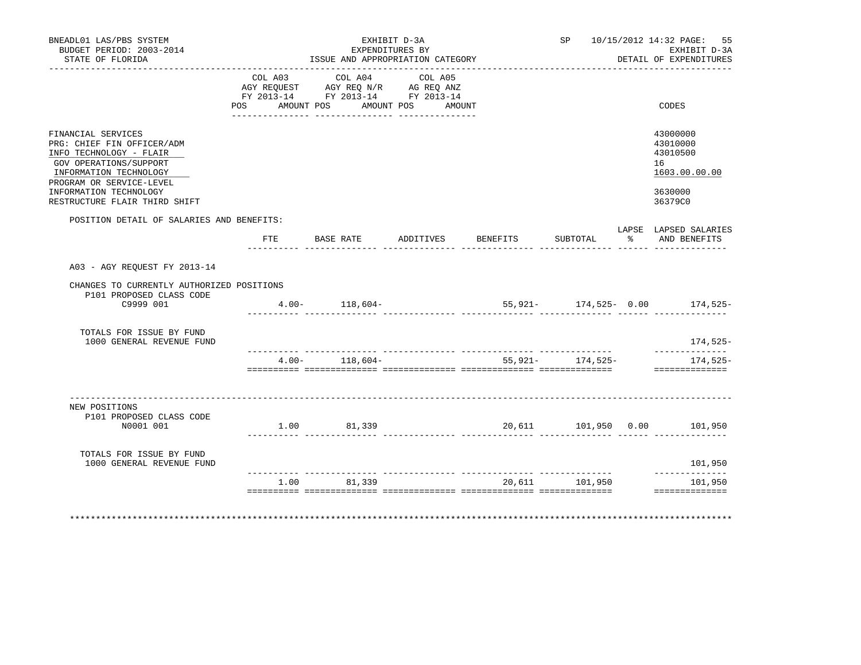| BNEADL01 LAS/PBS SYSTEM<br>BUDGET PERIOD: 2003-2014<br>STATE OF FLORIDA                                                                                                                                                |         | ISSUE AND APPROPRIATION CATEGORY                                                                                                                                                                                                           | EXHIBIT D-3A<br>EXPENDITURES BY |                              |                  | SP 10/15/2012 14:32 PAGE: 55<br>EXHIBIT D-3A<br>DETAIL OF EXPENDITURES        |
|------------------------------------------------------------------------------------------------------------------------------------------------------------------------------------------------------------------------|---------|--------------------------------------------------------------------------------------------------------------------------------------------------------------------------------------------------------------------------------------------|---------------------------------|------------------------------|------------------|-------------------------------------------------------------------------------|
|                                                                                                                                                                                                                        | COL A03 | COL A04<br>$\begin{tabular}{lllllll} \bf AGY \,\, REQUEST \,\, &\bf AGY \,\, REQ \,\, N/R &\bf AG \,\, REQ \,\, ANZ \\ \bf FY \,\, 2013-14 &\bf FY \,\, 2013-14 &\bf FY \,\, 2013-14 \\ \end{tabular}$<br>POS AMOUNT POS AMOUNT POS AMOUNT | COL A05                         |                              |                  | CODES                                                                         |
| FINANCIAL SERVICES<br>PRG: CHIEF FIN OFFICER/ADM<br>INFO TECHNOLOGY - FLAIR<br>GOV OPERATIONS/SUPPORT<br>INFORMATION TECHNOLOGY<br>PROGRAM OR SERVICE-LEVEL<br>INFORMATION TECHNOLOGY<br>RESTRUCTURE FLAIR THIRD SHIFT |         |                                                                                                                                                                                                                                            |                                 |                              |                  | 43000000<br>43010000<br>43010500<br>16<br>1603.00.00.00<br>3630000<br>36379C0 |
| POSITION DETAIL OF SALARIES AND BENEFITS:                                                                                                                                                                              |         |                                                                                                                                                                                                                                            |                                 |                              |                  | LAPSE LAPSED SALARIES                                                         |
|                                                                                                                                                                                                                        | FTE     |                                                                                                                                                                                                                                            |                                 | BASE RATE ADDITIVES BENEFITS | SUBTOTAL         | % AND BENEFITS                                                                |
| A03 - AGY REQUEST FY 2013-14                                                                                                                                                                                           |         |                                                                                                                                                                                                                                            |                                 |                              |                  |                                                                               |
| CHANGES TO CURRENTLY AUTHORIZED POSITIONS<br>P101 PROPOSED CLASS CODE<br>C9999 001                                                                                                                                     |         | $4.00 - 118,604 -$                                                                                                                                                                                                                         |                                 |                              |                  | $55,921-$ 174,525- 0.00 174,525-                                              |
| TOTALS FOR ISSUE BY FUND<br>1000 GENERAL REVENUE FUND                                                                                                                                                                  |         |                                                                                                                                                                                                                                            |                                 |                              |                  | 174,525-                                                                      |
|                                                                                                                                                                                                                        |         | $4.00 - 118,604 -$                                                                                                                                                                                                                         |                                 |                              | 55,921- 174,525- | ______________<br>174,525-<br>==============                                  |
| NEW POSITIONS<br>P101 PROPOSED CLASS CODE<br>N0001 001                                                                                                                                                                 |         | 1.00 81,339                                                                                                                                                                                                                                |                                 | 20,611 101,950 0.00 101,950  |                  |                                                                               |
| TOTALS FOR ISSUE BY FUND<br>1000 GENERAL REVENUE FUND                                                                                                                                                                  |         |                                                                                                                                                                                                                                            |                                 |                              |                  | 101,950                                                                       |
|                                                                                                                                                                                                                        | 1.00    | 81,339                                                                                                                                                                                                                                     |                                 | 20,611                       | 101,950          | --------------<br>101,950                                                     |
| **************************************                                                                                                                                                                                 |         |                                                                                                                                                                                                                                            |                                 |                              |                  | ************************                                                      |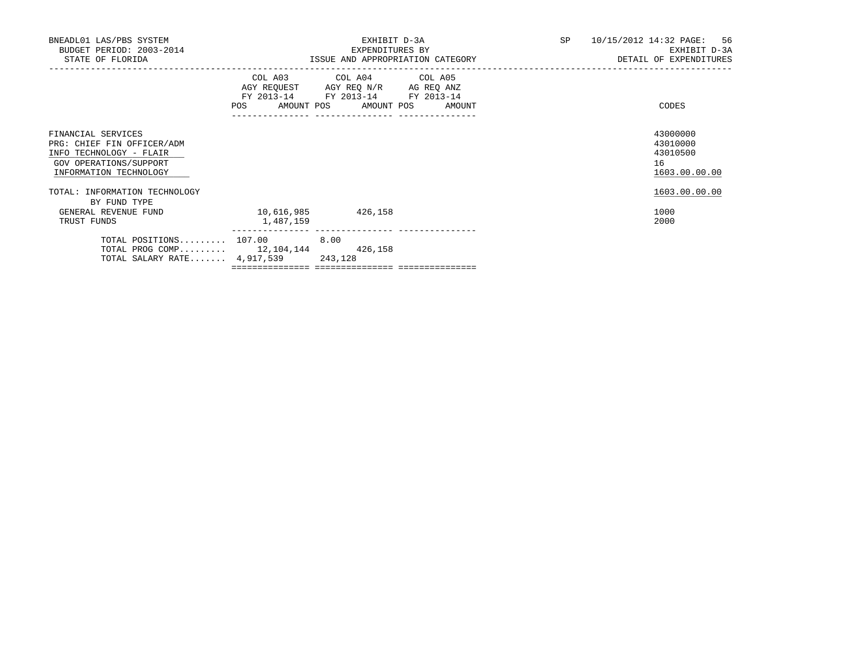| BNEADL01 LAS/PBS SYSTEM<br>BUDGET PERIOD: 2003-2014<br>STATE OF FLORIDA                                                         |                                  | EXPENDITURES BY                                                                                   | EXHIBIT D-3A | ISSUE AND APPROPRIATION CATEGORY | SP <sub>2</sub> | 10/15/2012 14:32 PAGE: 56<br>EXHIBIT D-3A<br>DETAIL OF EXPENDITURES |
|---------------------------------------------------------------------------------------------------------------------------------|----------------------------------|---------------------------------------------------------------------------------------------------|--------------|----------------------------------|-----------------|---------------------------------------------------------------------|
|                                                                                                                                 | POS AMOUNT POS AMOUNT POS AMOUNT | COL A03 COL A04 COL A05<br>AGY REQUEST AGY REQ N/R AG REQ ANZ<br>FY 2013-14 FY 2013-14 FY 2013-14 |              |                                  |                 | CODES                                                               |
| FINANCIAL SERVICES<br>PRG: CHIEF FIN OFFICER/ADM<br>INFO TECHNOLOGY - FLAIR<br>GOV OPERATIONS/SUPPORT<br>INFORMATION TECHNOLOGY |                                  |                                                                                                   |              |                                  |                 | 43000000<br>43010000<br>43010500<br>16<br>1603.00.00.00             |
| TOTAL: INFORMATION TECHNOLOGY<br>BY FUND TYPE                                                                                   |                                  |                                                                                                   |              |                                  |                 | 1603.00.00.00                                                       |
| GENERAL REVENUE FUND<br>TRUST FUNDS                                                                                             | 10,616,985<br>1,487,159          | 426,158                                                                                           |              |                                  |                 | 1000<br>2000                                                        |
| TOTAL POSITIONS $107.00$ 8.00<br>TOTAL PROG COMP 12, 104, 144 426, 158<br>TOTAL SALARY RATE 4,917,539 243,128                   |                                  | ----------- ---------------                                                                       |              |                                  |                 |                                                                     |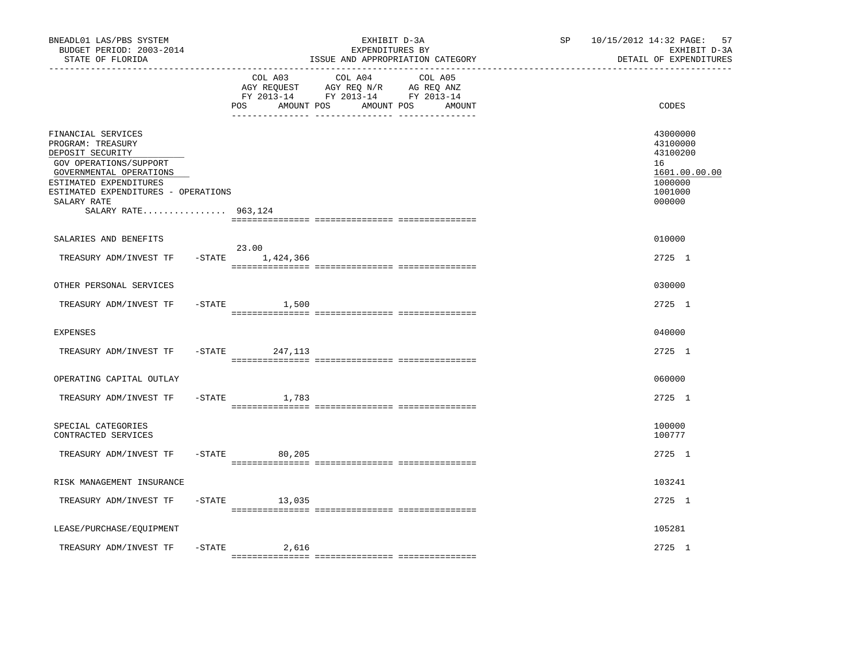| BUDGET PERIOD: 2003-2014<br>STATE OF FLORIDA                                                                                                                                                                            |                                  | EXPENDITURES BY<br>ISSUE AND APPROPRIATION CATEGORY                                                                                | 10/15/2012 14:32 PAGE: 57<br>EXHIBIT D-3A<br>DETAIL OF EXPENDITURES                     |
|-------------------------------------------------------------------------------------------------------------------------------------------------------------------------------------------------------------------------|----------------------------------|------------------------------------------------------------------------------------------------------------------------------------|-----------------------------------------------------------------------------------------|
|                                                                                                                                                                                                                         | COL A03<br>POS.                  | COL A04<br>COL A05<br>AGY REQUEST AGY REQ N/R AG REQ ANZ<br>FY 2013-14 FY 2013-14 FY 2013-14<br>AMOUNT POS<br>AMOUNT POS<br>AMOUNT | CODES                                                                                   |
| FINANCIAL SERVICES<br>PROGRAM: TREASURY<br>DEPOSIT SECURITY<br>GOV OPERATIONS/SUPPORT<br>GOVERNMENTAL OPERATIONS<br>ESTIMATED EXPENDITURES<br>ESTIMATED EXPENDITURES - OPERATIONS<br>SALARY RATE<br>SALARY RATE 963,124 |                                  |                                                                                                                                    | 43000000<br>43100000<br>43100200<br>16<br>1601.00.00.00<br>1000000<br>1001000<br>000000 |
| SALARIES AND BENEFITS                                                                                                                                                                                                   |                                  |                                                                                                                                    | 010000                                                                                  |
| TREASURY ADM/INVEST TF                                                                                                                                                                                                  | 23.00<br>$-$ STATE $1, 424, 366$ |                                                                                                                                    | 2725 1                                                                                  |
| OTHER PERSONAL SERVICES                                                                                                                                                                                                 |                                  |                                                                                                                                    | 030000                                                                                  |
| TREASURY ADM/INVEST TF                                                                                                                                                                                                  | $-$ STATE $1,500$                |                                                                                                                                    | 2725 1                                                                                  |
| <b>EXPENSES</b>                                                                                                                                                                                                         |                                  |                                                                                                                                    | 040000                                                                                  |
| TREASURY ADM/INVEST TF                                                                                                                                                                                                  | -STATE 247,113                   |                                                                                                                                    | 2725 1                                                                                  |
| OPERATING CAPITAL OUTLAY                                                                                                                                                                                                |                                  |                                                                                                                                    | 060000                                                                                  |
| TREASURY ADM/INVEST TF                                                                                                                                                                                                  | $-$ STATE<br>1,783               |                                                                                                                                    | 2725 1                                                                                  |
| SPECIAL CATEGORIES<br>CONTRACTED SERVICES                                                                                                                                                                               |                                  |                                                                                                                                    | 100000<br>100777                                                                        |
| TREASURY ADM/INVEST TF                                                                                                                                                                                                  | $-$ STATE<br>80,205              |                                                                                                                                    | 2725 1                                                                                  |
| RISK MANAGEMENT INSURANCE                                                                                                                                                                                               |                                  |                                                                                                                                    | 103241                                                                                  |
| TREASURY ADM/INVEST TF                                                                                                                                                                                                  | $-$ STATE 13,035                 |                                                                                                                                    | 2725 1                                                                                  |
| LEASE/PURCHASE/EQUIPMENT                                                                                                                                                                                                |                                  |                                                                                                                                    | 105281                                                                                  |
| TREASURY ADM/INVEST TF                                                                                                                                                                                                  | $-$ STATE<br>2,616               |                                                                                                                                    | 2725 1                                                                                  |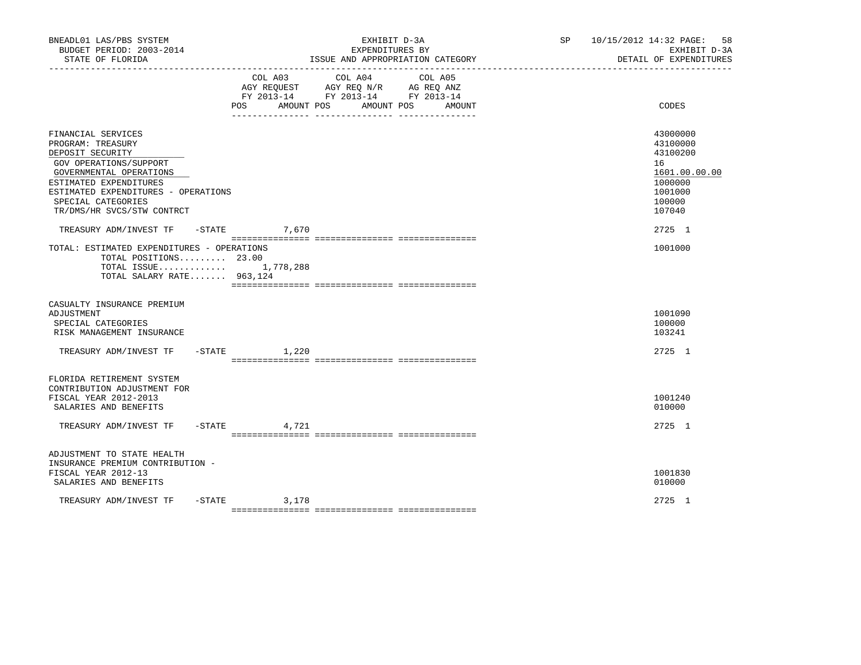| BNEADL01 LAS/PBS SYSTEM<br>BUDGET PERIOD: 2003-2014<br>STATE OF FLORIDA                                                                                                                                                               |                              |                                                                                                                                                                                                                                                                              | EXHIBIT D-3A<br>EXPENDITURES BY<br>ISSUE AND APPROPRIATION CATEGORY | SP <sub>2</sub> | 10/15/2012 14:32 PAGE:<br>58<br>EXHIBIT D-3A<br>DETAIL OF EXPENDITURES                            |
|---------------------------------------------------------------------------------------------------------------------------------------------------------------------------------------------------------------------------------------|------------------------------|------------------------------------------------------------------------------------------------------------------------------------------------------------------------------------------------------------------------------------------------------------------------------|---------------------------------------------------------------------|-----------------|---------------------------------------------------------------------------------------------------|
|                                                                                                                                                                                                                                       | COL A03<br>AMOUNT POS<br>POS | COL A04<br>COL A05<br>$\begin{tabular}{lllllll} \bf AGY \,\, REQUEST \,\, &\bf AGY \,\, REQ \,\, N/R &\bf AG \,\, REQ \,\, ANZ \\ \bf FY \,\, 2013-14 &\bf FY \,\, 2013-14 &\bf FY \,\, 2013-14 \\ \end{tabular}$<br>AMOUNT POS<br>AMOUNT<br>___ ________________ __________ |                                                                     | CODES           |                                                                                                   |
| FINANCIAL SERVICES<br>PROGRAM: TREASURY<br>DEPOSIT SECURITY<br>GOV OPERATIONS/SUPPORT<br>GOVERNMENTAL OPERATIONS<br>ESTIMATED EXPENDITURES<br>ESTIMATED EXPENDITURES - OPERATIONS<br>SPECIAL CATEGORIES<br>TR/DMS/HR SVCS/STW CONTRCT |                              |                                                                                                                                                                                                                                                                              |                                                                     |                 | 43000000<br>43100000<br>43100200<br>16<br>1601.00.00.00<br>1000000<br>1001000<br>100000<br>107040 |
| TREASURY ADM/INVEST TF                                                                                                                                                                                                                |                              | $-STATE$ 7,670                                                                                                                                                                                                                                                               |                                                                     |                 | 2725 1                                                                                            |
| TOTAL: ESTIMATED EXPENDITURES - OPERATIONS<br>TOTAL POSITIONS 23.00<br>TOTAL ISSUE $1,778,288$<br>TOTAL SALARY RATE 963,124                                                                                                           |                              |                                                                                                                                                                                                                                                                              |                                                                     |                 | 1001000                                                                                           |
| CASUALTY INSURANCE PREMIUM<br>ADJUSTMENT<br>SPECIAL CATEGORIES<br>RISK MANAGEMENT INSURANCE                                                                                                                                           |                              |                                                                                                                                                                                                                                                                              |                                                                     |                 | 1001090<br>100000<br>103241                                                                       |
| TREASURY ADM/INVEST TF -STATE 1,220                                                                                                                                                                                                   |                              |                                                                                                                                                                                                                                                                              |                                                                     |                 | 2725 1                                                                                            |
| FLORIDA RETIREMENT SYSTEM<br>CONTRIBUTION ADJUSTMENT FOR<br>FISCAL YEAR 2012-2013<br>SALARIES AND BENEFITS<br>TREASURY ADM/INVEST TF -STATE                                                                                           |                              | 4,721                                                                                                                                                                                                                                                                        |                                                                     |                 | 1001240<br>010000<br>2725 1                                                                       |
|                                                                                                                                                                                                                                       |                              |                                                                                                                                                                                                                                                                              |                                                                     |                 |                                                                                                   |
| ADJUSTMENT TO STATE HEALTH<br>INSURANCE PREMIUM CONTRIBUTION -<br>FISCAL YEAR 2012-13<br>SALARIES AND BENEFITS                                                                                                                        |                              |                                                                                                                                                                                                                                                                              |                                                                     |                 | 1001830<br>010000                                                                                 |
| TREASURY ADM/INVEST TF                                                                                                                                                                                                                |                              | $-STATE$ 3, 178                                                                                                                                                                                                                                                              |                                                                     |                 | 2725 1                                                                                            |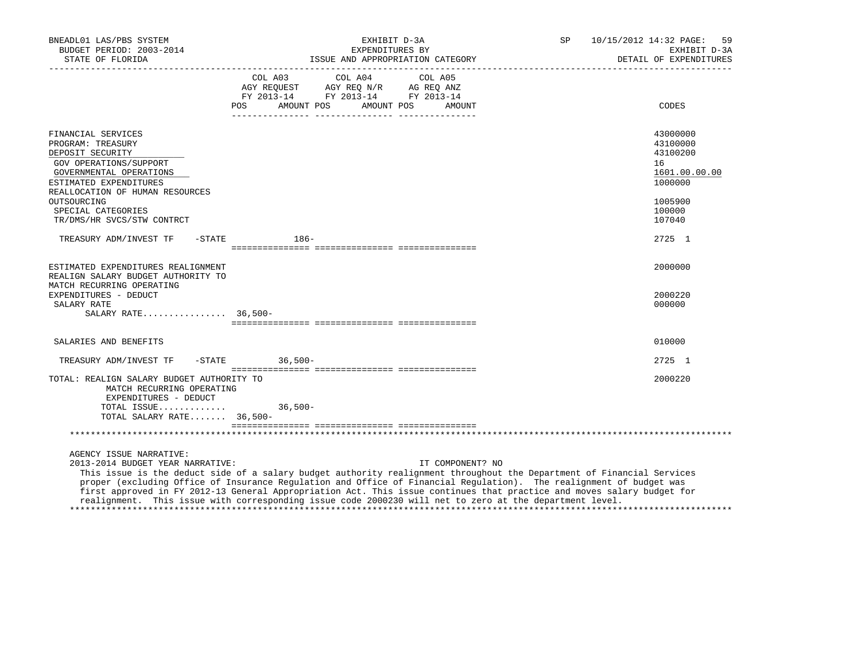| BNEADL01 LAS/PBS SYSTEM<br>BUDGET PERIOD: 2003-2014<br>STATE OF FLORIDA<br>______________________________________                                                             | EXHIBIT D-3A<br>EXPENDITURES BY<br>ISSUE AND APPROPRIATION CATEGORY                                                                                                                                                                                                                                                                                                                                                                                                                                    | SP<br>10/15/2012 14:32 PAGE:<br>59<br>EXHIBIT D-3A<br>DETAIL OF EXPENDITURES |
|-------------------------------------------------------------------------------------------------------------------------------------------------------------------------------|--------------------------------------------------------------------------------------------------------------------------------------------------------------------------------------------------------------------------------------------------------------------------------------------------------------------------------------------------------------------------------------------------------------------------------------------------------------------------------------------------------|------------------------------------------------------------------------------|
|                                                                                                                                                                               | COL A03 COL A04 COL A05<br>AGY REQUEST AGY REQ N/R AG REQ ANZ<br>FY 2013-14 FY 2013-14 FY 2013-14<br>POS AMOUNT POS AMOUNT POS<br>AMOUNT                                                                                                                                                                                                                                                                                                                                                               | CODES                                                                        |
| FINANCIAL SERVICES<br>PROGRAM: TREASURY<br>DEPOSIT SECURITY<br>GOV OPERATIONS/SUPPORT<br>GOVERNMENTAL OPERATIONS<br>ESTIMATED EXPENDITURES<br>REALLOCATION OF HUMAN RESOURCES |                                                                                                                                                                                                                                                                                                                                                                                                                                                                                                        | 43000000<br>43100000<br>43100200<br>16<br>1601.00.00.00<br>1000000           |
| OUTSOURCING<br>SPECIAL CATEGORIES<br>TR/DMS/HR SVCS/STW CONTRCT                                                                                                               |                                                                                                                                                                                                                                                                                                                                                                                                                                                                                                        | 1005900<br>100000<br>107040                                                  |
| TREASURY ADM/INVEST TF                                                                                                                                                        | $-$ STATE $186-$                                                                                                                                                                                                                                                                                                                                                                                                                                                                                       | 2725 1                                                                       |
| ESTIMATED EXPENDITURES REALIGNMENT<br>REALIGN SALARY BUDGET AUTHORITY TO<br>MATCH RECURRING OPERATING<br>EXPENDITURES - DEDUCT<br>SALARY RATE<br>SALARY RATE 36,500-          |                                                                                                                                                                                                                                                                                                                                                                                                                                                                                                        | 2000000<br>2000220<br>000000                                                 |
| SALARIES AND BENEFITS                                                                                                                                                         |                                                                                                                                                                                                                                                                                                                                                                                                                                                                                                        | 010000                                                                       |
| TREASURY ADM/INVEST TF -STATE 36,500-                                                                                                                                         |                                                                                                                                                                                                                                                                                                                                                                                                                                                                                                        | 2725 1                                                                       |
| TOTAL: REALIGN SALARY BUDGET AUTHORITY TO<br>MATCH RECURRING OPERATING<br>EXPENDITURES - DEDUCT                                                                               |                                                                                                                                                                                                                                                                                                                                                                                                                                                                                                        | 2000220                                                                      |
| TOTAL ISSUE<br>TOTAL SALARY RATE 36,500-                                                                                                                                      | $36,500-$                                                                                                                                                                                                                                                                                                                                                                                                                                                                                              |                                                                              |
|                                                                                                                                                                               |                                                                                                                                                                                                                                                                                                                                                                                                                                                                                                        |                                                                              |
| AGENCY ISSUE NARRATIVE:<br>2013-2014 BUDGET YEAR NARRATIVE:                                                                                                                   | IT COMPONENT? NO<br>This issue is the deduct side of a salary budget authority realignment throughout the Department of Financial Services<br>proper (excluding Office of Insurance Regulation and Office of Financial Regulation). The realignment of budget was<br>first approved in FY 2012-13 General Appropriation Act. This issue continues that practice and moves salary budget for<br>realignment. This issue with corresponding issue code 2000230 will net to zero at the department level. |                                                                              |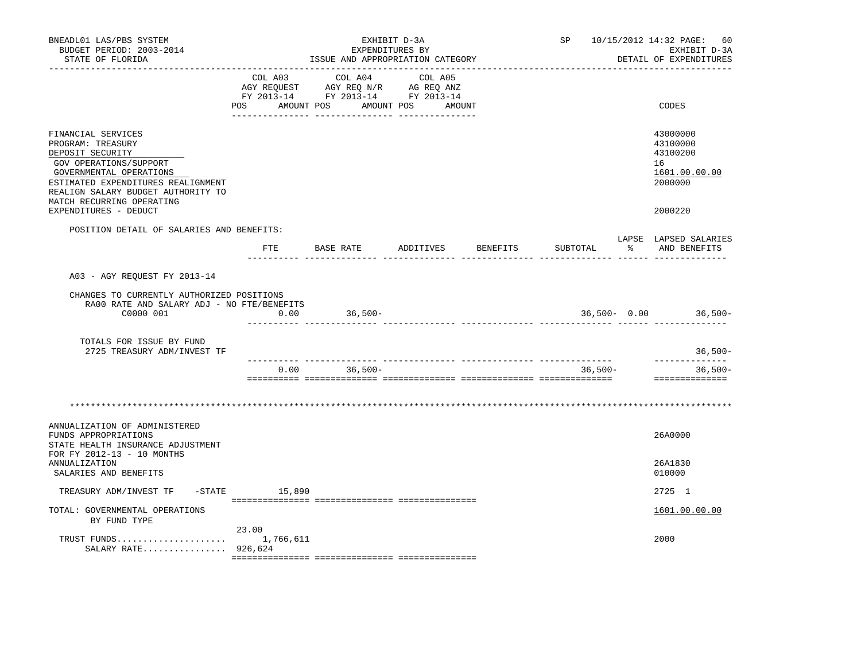| BNEADL01 LAS/PBS SYSTEM<br>BUDGET PERIOD: 2003-2014<br>STATE OF FLORIDA                                                                                                                                                   |                              | ISSUE AND APPROPRIATION CATEGORY                                                  | EXHIBIT D-3A<br>EXPENDITURES BY |          | SP        |   | 10/15/2012 14:32 PAGE:<br>60<br>EXHIBIT D-3A<br>DETAIL OF EXPENDITURES |
|---------------------------------------------------------------------------------------------------------------------------------------------------------------------------------------------------------------------------|------------------------------|-----------------------------------------------------------------------------------|---------------------------------|----------|-----------|---|------------------------------------------------------------------------|
|                                                                                                                                                                                                                           | COL A03<br>POS<br>AMOUNT POS | COL A04<br>AGY REQUEST AGY REQ N/R AG REQ ANZ<br>FY 2013-14 FY 2013-14 FY 2013-14 | COL A05<br>AMOUNT POS AMOUNT    |          |           |   | CODES                                                                  |
|                                                                                                                                                                                                                           |                              |                                                                                   |                                 |          |           |   |                                                                        |
| FINANCIAL SERVICES<br>PROGRAM: TREASURY<br>DEPOSIT SECURITY<br>GOV OPERATIONS/SUPPORT<br>GOVERNMENTAL OPERATIONS<br>ESTIMATED EXPENDITURES REALIGNMENT<br>REALIGN SALARY BUDGET AUTHORITY TO<br>MATCH RECURRING OPERATING |                              |                                                                                   |                                 |          |           |   | 43000000<br>43100000<br>43100200<br>16<br>1601.00.00.00<br>2000000     |
| EXPENDITURES - DEDUCT                                                                                                                                                                                                     |                              |                                                                                   |                                 |          |           |   | 2000220                                                                |
| POSITION DETAIL OF SALARIES AND BENEFITS:                                                                                                                                                                                 | $_{\rm FTE}$                 | BASE RATE                                                                         | ADDITIVES                       | BENEFITS | SUBTOTAL  | ႜ | LAPSE LAPSED SALARIES<br>AND BENEFITS                                  |
| A03 - AGY REQUEST FY 2013-14                                                                                                                                                                                              |                              |                                                                                   |                                 |          |           |   |                                                                        |
|                                                                                                                                                                                                                           |                              |                                                                                   |                                 |          |           |   |                                                                        |
| CHANGES TO CURRENTLY AUTHORIZED POSITIONS<br>RA00 RATE AND SALARY ADJ - NO FTE/BENEFITS<br>C0000 001                                                                                                                      | 0.00                         | $36,500-$                                                                         |                                 |          |           |   | $36,500 - 0.00$ 36,500-                                                |
| TOTALS FOR ISSUE BY FUND<br>2725 TREASURY ADM/INVEST TF                                                                                                                                                                   |                              |                                                                                   |                                 |          |           |   | $36,500-$                                                              |
|                                                                                                                                                                                                                           | 0.00                         | $36,500-$                                                                         |                                 |          | $36,500-$ |   | ______________<br>$36,500-$                                            |
|                                                                                                                                                                                                                           |                              |                                                                                   |                                 |          |           |   | ==============                                                         |
|                                                                                                                                                                                                                           |                              |                                                                                   |                                 |          |           |   |                                                                        |
| ANNUALIZATION OF ADMINISTERED<br>FUNDS APPROPRIATIONS<br>STATE HEALTH INSURANCE ADJUSTMENT                                                                                                                                |                              |                                                                                   |                                 |          |           |   | 26A0000                                                                |
| FOR FY 2012-13 - 10 MONTHS<br>ANNUALIZATION<br>SALARIES AND BENEFITS                                                                                                                                                      |                              |                                                                                   |                                 |          |           |   | 26A1830<br>010000                                                      |
| $-STATE$<br>TREASURY ADM/INVEST TF                                                                                                                                                                                        | 15,890                       |                                                                                   |                                 |          |           |   | 2725 1                                                                 |
| TOTAL: GOVERNMENTAL OPERATIONS<br>BY FUND TYPE                                                                                                                                                                            |                              |                                                                                   |                                 |          |           |   | 1601.00.00.00                                                          |
| SALARY RATE 926,624                                                                                                                                                                                                       | 23.00                        |                                                                                   |                                 |          |           |   | 2000                                                                   |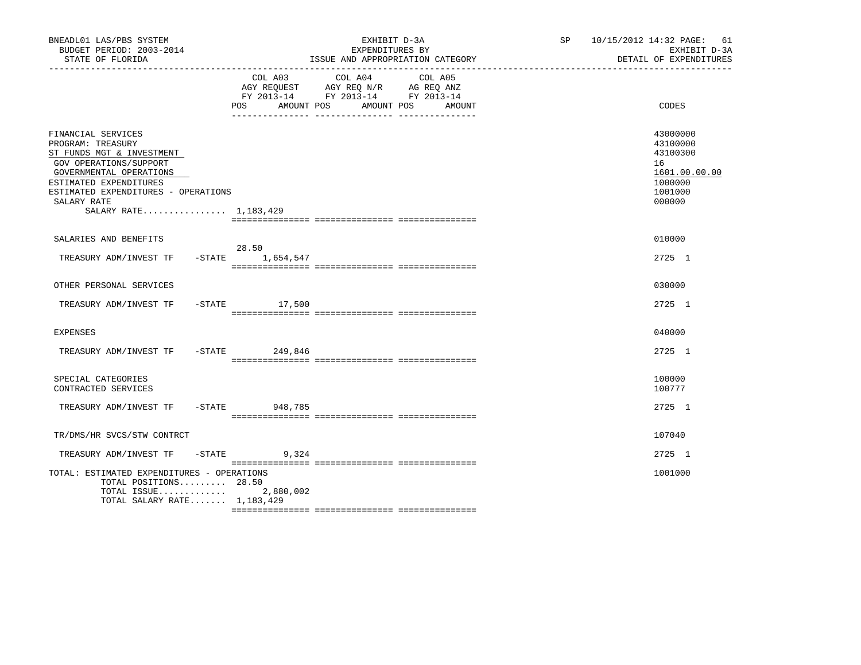| BNEADL01 LAS/PBS SYSTEM<br>BUDGET PERIOD: 2003-2014<br>STATE OF FLORIDA                                                                                                                                                            |                   | EXHIBIT D-3A<br>EXPENDITURES BY<br>ISSUE AND APPROPRIATION CATEGORY                                                       | SP 10/15/2012 14:32 PAGE: 61<br>EXHIBIT D-3A<br>DETAIL OF EXPENDITURES                  |
|------------------------------------------------------------------------------------------------------------------------------------------------------------------------------------------------------------------------------------|-------------------|---------------------------------------------------------------------------------------------------------------------------|-----------------------------------------------------------------------------------------|
|                                                                                                                                                                                                                                    | POS<br>AMOUNT POS | COL A03 COL A04 COL A05<br>AGY REQUEST AGY REQ N/R AG REQ ANZ<br>FY 2013-14 FY 2013-14 FY 2013-14<br>AMOUNT POS<br>AMOUNT | CODES                                                                                   |
| FINANCIAL SERVICES<br>PROGRAM: TREASURY<br>ST FUNDS MGT & INVESTMENT<br>GOV OPERATIONS/SUPPORT<br>GOVERNMENTAL OPERATIONS<br>ESTIMATED EXPENDITURES<br>ESTIMATED EXPENDITURES - OPERATIONS<br>SALARY RATE<br>SALARY RATE 1,183,429 |                   |                                                                                                                           | 43000000<br>43100000<br>43100300<br>16<br>1601.00.00.00<br>1000000<br>1001000<br>000000 |
| SALARIES AND BENEFITS                                                                                                                                                                                                              |                   |                                                                                                                           | 010000                                                                                  |
| TREASURY ADM/INVEST TF -STATE 1,654,547                                                                                                                                                                                            | 28.50             |                                                                                                                           | 2725 1                                                                                  |
| OTHER PERSONAL SERVICES                                                                                                                                                                                                            |                   |                                                                                                                           | 030000                                                                                  |
| TREASURY ADM/INVEST TF                                                                                                                                                                                                             | $-$ STATE 17,500  |                                                                                                                           | 2725 1                                                                                  |
| EXPENSES                                                                                                                                                                                                                           |                   |                                                                                                                           | 040000                                                                                  |
| TREASURY ADM/INVEST TF -STATE 249,846                                                                                                                                                                                              |                   |                                                                                                                           | 2725 1                                                                                  |
| SPECIAL CATEGORIES<br>CONTRACTED SERVICES                                                                                                                                                                                          |                   |                                                                                                                           | 100000<br>100777                                                                        |
| TREASURY ADM/INVEST TF                                                                                                                                                                                                             | -STATE 948,785    |                                                                                                                           | 2725 1                                                                                  |
| TR/DMS/HR SVCS/STW CONTRCT                                                                                                                                                                                                         |                   |                                                                                                                           | 107040                                                                                  |
| TREASURY ADM/INVEST TF                                                                                                                                                                                                             | $-STATE$ 9,324    |                                                                                                                           | 2725 1                                                                                  |
| TOTAL: ESTIMATED EXPENDITURES - OPERATIONS<br>TOTAL POSITIONS 28.50<br>TOTAL ISSUE<br>TOTAL SALARY RATE 1,183,429                                                                                                                  | 2,880,002         |                                                                                                                           | 1001000                                                                                 |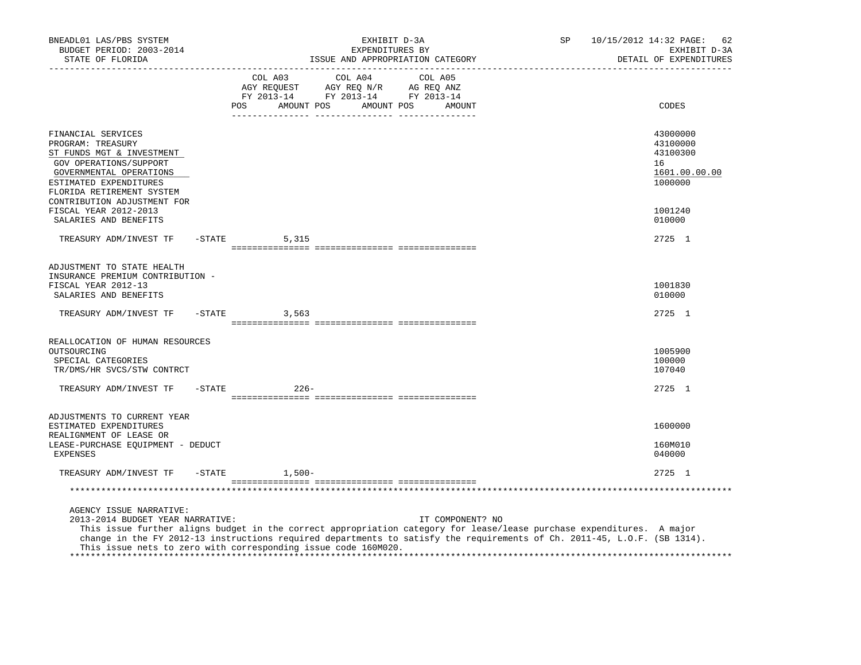| BNEADL01 LAS/PBS SYSTEM<br>BUDGET PERIOD: 2003-2014<br>STATE OF FLORIDA                                                                                                          |           |                                                                                          |            | EXHIBIT D-3A<br>EXPENDITURES BY<br>ISSUE AND APPROPRIATION CATEGORY |         |                  | SP                                                                                                                                                                                                                                                | 10/15/2012 14:32 PAGE:<br>62<br>EXHIBIT D-3A<br>DETAIL OF EXPENDITURES |
|----------------------------------------------------------------------------------------------------------------------------------------------------------------------------------|-----------|------------------------------------------------------------------------------------------|------------|---------------------------------------------------------------------|---------|------------------|---------------------------------------------------------------------------------------------------------------------------------------------------------------------------------------------------------------------------------------------------|------------------------------------------------------------------------|
|                                                                                                                                                                                  |           | COL A03<br>AGY REQUEST AGY REQ N/R AG REQ ANZ<br>FY 2013-14 FY 2013-14 FY 2013-14<br>POS | AMOUNT POS | COL A04<br>AMOUNT POS                                               | COL A05 | AMOUNT           |                                                                                                                                                                                                                                                   | CODES                                                                  |
|                                                                                                                                                                                  |           |                                                                                          |            |                                                                     |         |                  |                                                                                                                                                                                                                                                   |                                                                        |
| FINANCIAL SERVICES<br>PROGRAM: TREASURY<br>ST FUNDS MGT & INVESTMENT<br>GOV OPERATIONS/SUPPORT<br>GOVERNMENTAL OPERATIONS<br>ESTIMATED EXPENDITURES<br>FLORIDA RETIREMENT SYSTEM |           |                                                                                          |            |                                                                     |         |                  |                                                                                                                                                                                                                                                   | 43000000<br>43100000<br>43100300<br>16<br>1601.00.00.00<br>1000000     |
| CONTRIBUTION ADJUSTMENT FOR<br>FISCAL YEAR 2012-2013<br>SALARIES AND BENEFITS                                                                                                    |           |                                                                                          |            |                                                                     |         |                  |                                                                                                                                                                                                                                                   | 1001240<br>010000                                                      |
| TREASURY ADM/INVEST TF                                                                                                                                                           | -STATE    | 5,315                                                                                    |            |                                                                     |         |                  |                                                                                                                                                                                                                                                   | 2725 1                                                                 |
| ADJUSTMENT TO STATE HEALTH<br>INSURANCE PREMIUM CONTRIBUTION -<br>FISCAL YEAR 2012-13<br>SALARIES AND BENEFITS                                                                   |           |                                                                                          |            |                                                                     |         |                  |                                                                                                                                                                                                                                                   | 1001830<br>010000                                                      |
| TREASURY ADM/INVEST TF                                                                                                                                                           |           | $-STATE$<br>3,563                                                                        |            |                                                                     |         |                  |                                                                                                                                                                                                                                                   | 2725 1                                                                 |
|                                                                                                                                                                                  |           |                                                                                          |            |                                                                     |         |                  |                                                                                                                                                                                                                                                   |                                                                        |
| REALLOCATION OF HUMAN RESOURCES<br>OUTSOURCING<br>SPECIAL CATEGORIES<br>TR/DMS/HR SVCS/STW CONTRCT                                                                               |           |                                                                                          |            |                                                                     |         |                  |                                                                                                                                                                                                                                                   | 1005900<br>100000<br>107040                                            |
| TREASURY ADM/INVEST TF                                                                                                                                                           | $-$ STATE | $226 -$                                                                                  |            |                                                                     |         |                  |                                                                                                                                                                                                                                                   | 2725 1                                                                 |
| ADJUSTMENTS TO CURRENT YEAR                                                                                                                                                      |           |                                                                                          |            |                                                                     |         |                  |                                                                                                                                                                                                                                                   |                                                                        |
| ESTIMATED EXPENDITURES                                                                                                                                                           |           |                                                                                          |            |                                                                     |         |                  |                                                                                                                                                                                                                                                   | 1600000                                                                |
| REALIGNMENT OF LEASE OR<br>LEASE-PURCHASE EQUIPMENT - DEDUCT<br>EXPENSES                                                                                                         |           |                                                                                          |            |                                                                     |         |                  |                                                                                                                                                                                                                                                   | 160M010<br>040000                                                      |
| TREASURY ADM/INVEST TF                                                                                                                                                           | $-$ STATE | $1,500-$                                                                                 |            |                                                                     |         |                  |                                                                                                                                                                                                                                                   | 2725 1                                                                 |
|                                                                                                                                                                                  |           |                                                                                          |            |                                                                     |         |                  |                                                                                                                                                                                                                                                   |                                                                        |
| AGENCY ISSUE NARRATIVE:<br>2013-2014 BUDGET YEAR NARRATIVE:<br>This issue nets to zero with corresponding issue code 160M020.                                                    |           |                                                                                          |            |                                                                     |         | IT COMPONENT? NO | This issue further aligns budget in the correct appropriation category for lease/lease purchase expenditures. A major<br>change in the FY 2012-13 instructions required departments to satisfy the requirements of Ch. 2011-45, L.O.F. (SB 1314). |                                                                        |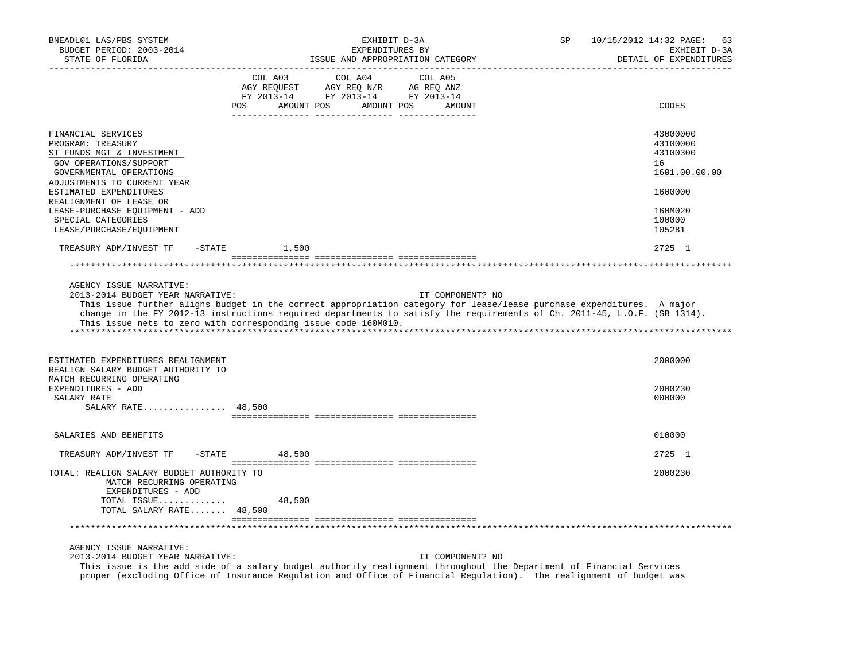| BNEADL01 LAS/PBS SYSTEM<br>BUDGET PERIOD: 2003-2014<br>STATE OF FLORIDA                                                                                  | EXHIBIT D-3A<br>EXPENDITURES BY<br>ISSUE AND APPROPRIATION CATEGORY                                                                                                                                                                                                                                                                     | SP | 10/15/2012 14:32 PAGE:<br>63<br>EXHIBIT D-3A<br>DETAIL OF EXPENDITURES |
|----------------------------------------------------------------------------------------------------------------------------------------------------------|-----------------------------------------------------------------------------------------------------------------------------------------------------------------------------------------------------------------------------------------------------------------------------------------------------------------------------------------|----|------------------------------------------------------------------------|
|                                                                                                                                                          | COL A03<br>COL A04<br>COL A05<br>AGY REQUEST AGY REQ N/R AG REQ ANZ<br>FY 2013-14 FY 2013-14 FY 2013-14<br>POS AMOUNT POS AMOUNT POS AMOUNT                                                                                                                                                                                             |    | CODES                                                                  |
| FINANCIAL SERVICES<br>PROGRAM: TREASURY<br>ST FUNDS MGT & INVESTMENT<br>GOV OPERATIONS/SUPPORT<br>GOVERNMENTAL OPERATIONS<br>ADJUSTMENTS TO CURRENT YEAR |                                                                                                                                                                                                                                                                                                                                         |    | 43000000<br>43100000<br>43100300<br>16<br>1601.00.00.00                |
| ESTIMATED EXPENDITURES<br>REALIGNMENT OF LEASE OR<br>LEASE-PURCHASE EQUIPMENT - ADD<br>SPECIAL CATEGORIES                                                |                                                                                                                                                                                                                                                                                                                                         |    | 1600000<br>160M020<br>100000                                           |
| LEASE/PURCHASE/EQUIPMENT                                                                                                                                 |                                                                                                                                                                                                                                                                                                                                         |    | 105281                                                                 |
| TREASURY ADM/INVEST TF                                                                                                                                   | $-$ STATE<br>1,500                                                                                                                                                                                                                                                                                                                      |    | 2725 1                                                                 |
|                                                                                                                                                          |                                                                                                                                                                                                                                                                                                                                         |    |                                                                        |
| AGENCY ISSUE NARRATIVE:<br>2013-2014 BUDGET YEAR NARRATIVE:                                                                                              | IT COMPONENT? NO<br>This issue further aligns budget in the correct appropriation category for lease/lease purchase expenditures. A major<br>change in the FY 2012-13 instructions required departments to satisfy the requirements of Ch. 2011-45, L.O.F. (SB 1314).<br>This issue nets to zero with corresponding issue code 160M010. |    |                                                                        |
| ESTIMATED EXPENDITURES REALIGNMENT<br>REALIGN SALARY BUDGET AUTHORITY TO<br>MATCH RECURRING OPERATING                                                    |                                                                                                                                                                                                                                                                                                                                         |    | 2000000                                                                |
| EXPENDITURES - ADD<br>SALARY RATE<br>SALARY RATE 48,500                                                                                                  |                                                                                                                                                                                                                                                                                                                                         |    | 2000230<br>000000                                                      |
|                                                                                                                                                          |                                                                                                                                                                                                                                                                                                                                         |    |                                                                        |
| SALARIES AND BENEFITS                                                                                                                                    |                                                                                                                                                                                                                                                                                                                                         |    | 010000                                                                 |
| TREASURY ADM/INVEST TF - STATE                                                                                                                           | 48,500                                                                                                                                                                                                                                                                                                                                  |    | 2725 1                                                                 |
| TOTAL: REALIGN SALARY BUDGET AUTHORITY TO<br>MATCH RECURRING OPERATING<br>EXPENDITURES - ADD                                                             |                                                                                                                                                                                                                                                                                                                                         |    | 2000230                                                                |
| TOTAL ISSUE<br>TOTAL SALARY RATE 48,500                                                                                                                  | 48,500                                                                                                                                                                                                                                                                                                                                  |    |                                                                        |
|                                                                                                                                                          |                                                                                                                                                                                                                                                                                                                                         |    |                                                                        |
| AGENCY ISSUE NARRATIVE:<br>2013-2014 BUDGET YEAR NARRATIVE:                                                                                              | IT COMPONENT? NO<br>This issue is the add side of a salary budget authority realignment throughout the Department of Financial Services<br>proper (excluding Office of Insurance Regulation and Office of Financial Regulation). The realignment of budget was                                                                          |    |                                                                        |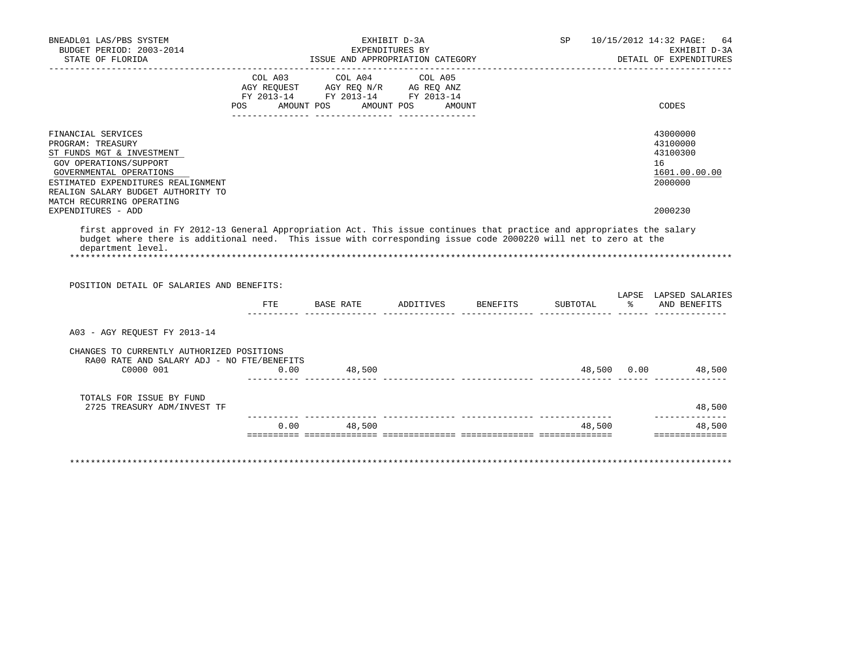| BUDGET PERIOD: 2003-2014<br>STATE OF FLORIDA            | COL A03 COL A04<br>AGY REQUEST AGY REQ N/R AG REQ ANZ |               | EXPENDITURES BY<br>ISSUE AND APPROPRIATION CATEGORY |        |                                            |
|---------------------------------------------------------|-------------------------------------------------------|---------------|-----------------------------------------------------|--------|--------------------------------------------|
|                                                         |                                                       |               |                                                     |        | EXHIBIT D-3A<br>DETAIL OF EXPENDITURES     |
|                                                         |                                                       |               | COL A05                                             |        |                                            |
|                                                         |                                                       |               |                                                     |        |                                            |
|                                                         |                                                       |               | FY 2013-14 FY 2013-14 FY 2013-14                    |        |                                            |
|                                                         |                                                       |               | POS AMOUNT POS AMOUNT POS AMOUNT                    |        | CODES                                      |
| FINANCIAL SERVICES                                      |                                                       |               |                                                     |        | 43000000                                   |
| PROGRAM: TREASURY                                       |                                                       |               |                                                     |        | 43100000                                   |
| ST FUNDS MGT & INVESTMENT                               |                                                       |               |                                                     |        | 43100300                                   |
| GOV OPERATIONS/SUPPORT                                  |                                                       |               |                                                     |        | 16                                         |
| GOVERNMENTAL OPERATIONS                                 |                                                       |               |                                                     |        | 1601.00.00.00                              |
| ESTIMATED EXPENDITURES REALIGNMENT                      |                                                       |               |                                                     |        | 2000000                                    |
| REALIGN SALARY BUDGET AUTHORITY TO                      |                                                       |               |                                                     |        |                                            |
| MATCH RECURRING OPERATING                               |                                                       |               |                                                     |        |                                            |
| EXPENDITURES - ADD                                      |                                                       |               |                                                     |        | 2000230                                    |
| POSITION DETAIL OF SALARIES AND BENEFITS:               |                                                       |               | FTE BASE RATE ADDITIVES BENEFITS                    |        | LAPSE LAPSED SALARIES                      |
|                                                         |                                                       |               |                                                     |        |                                            |
|                                                         |                                                       |               |                                                     |        | SUBTOTAL % AND BENEFITS                    |
| A03 - AGY REOUEST FY 2013-14                            |                                                       |               |                                                     |        |                                            |
| CHANGES TO CURRENTLY AUTHORIZED POSITIONS               |                                                       |               |                                                     |        |                                            |
| RA00 RATE AND SALARY ADJ - NO FTE/BENEFITS              |                                                       |               |                                                     |        |                                            |
| C0000 001                                               | 0.00                                                  | 48,500        |                                                     |        | 48,500 0.00 48,500                         |
|                                                         |                                                       |               |                                                     |        |                                            |
| TOTALS FOR ISSUE BY FUND<br>2725 TREASURY ADM/INVEST TF |                                                       |               |                                                     |        | 48,500                                     |
|                                                         |                                                       | $0.00$ 48,500 |                                                     | 48,500 | ______________<br>48,500<br>============== |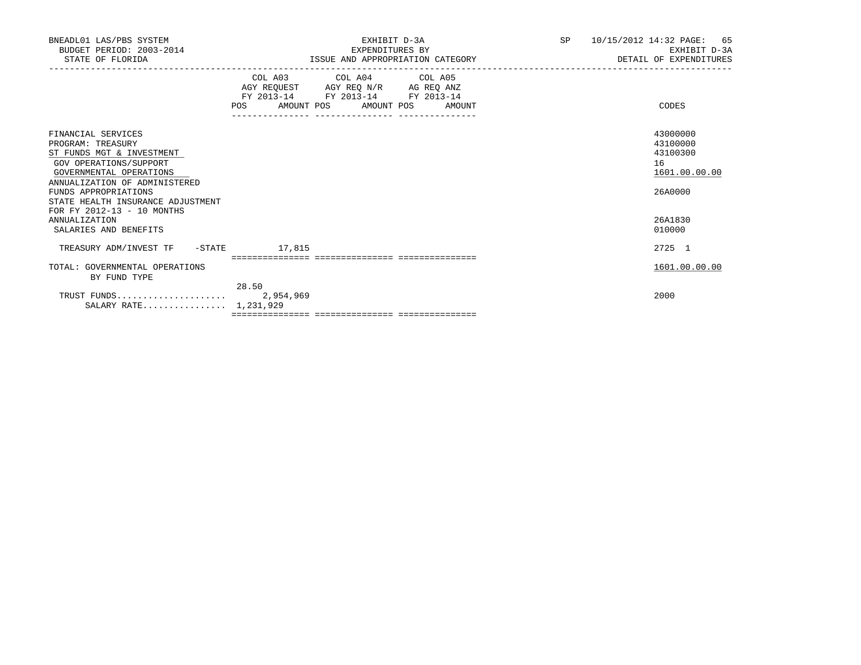| BNEADL01 LAS/PBS SYSTEM<br>BUDGET PERIOD: 2003-2014<br>STATE OF FLORIDA                                                                                                                                                                               | EXHIBIT D-3A<br>EXPENDITURES BY<br>ISSUE AND APPROPRIATION CATEGORY                             | SP <sub>2</sub> | 10/15/2012 14:32 PAGE: 65<br>EXHIBIT D-3A<br>DETAIL OF EXPENDITURES |
|-------------------------------------------------------------------------------------------------------------------------------------------------------------------------------------------------------------------------------------------------------|-------------------------------------------------------------------------------------------------|-----------------|---------------------------------------------------------------------|
|                                                                                                                                                                                                                                                       | COL A03 COL A04 COL A05<br>FY 2013-14 FY 2013-14 FY 2013-14<br>POS AMOUNT POS AMOUNT POS AMOUNT |                 | CODES                                                               |
| FINANCIAL SERVICES<br>PROGRAM: TREASURY<br>ST FUNDS MGT & INVESTMENT<br>GOV OPERATIONS/SUPPORT<br>GOVERNMENTAL OPERATIONS<br>ANNUALIZATION OF ADMINISTERED<br>FUNDS APPROPRIATIONS<br>STATE HEALTH INSURANCE ADJUSTMENT<br>FOR FY 2012-13 - 10 MONTHS |                                                                                                 |                 | 43000000<br>43100000<br>43100300<br>16<br>1601.00.00.00<br>26A0000  |
| <b>ANNUALIZATION</b><br>SALARIES AND BENEFITS                                                                                                                                                                                                         |                                                                                                 |                 | 26A1830<br>010000                                                   |
| TREASURY ADM/INVEST TF -STATE                                                                                                                                                                                                                         | 17,815                                                                                          |                 | 2725 1                                                              |
| TOTAL: GOVERNMENTAL OPERATIONS<br>BY FUND TYPE                                                                                                                                                                                                        | 28.50                                                                                           |                 | 1601.00.00.00                                                       |
| SALARY RATE 1,231,929                                                                                                                                                                                                                                 |                                                                                                 |                 | 2000                                                                |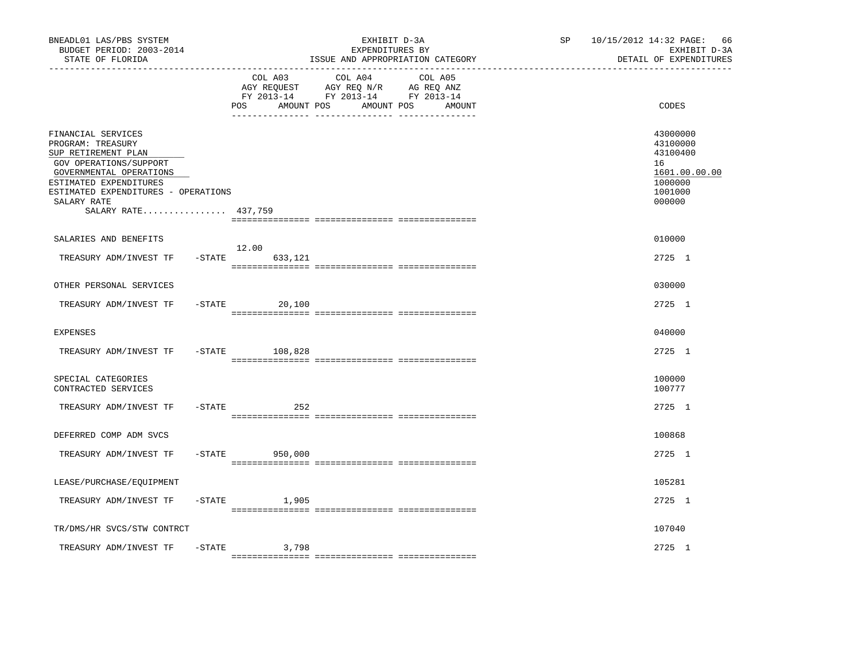| BNEADL01 LAS/PBS SYSTEM<br>BUDGET PERIOD: 2003-2014<br>STATE OF FLORIDA                                                                                                                                                    |           |                               | EXHIBIT D-3A<br>EXPENDITURES BY<br>ISSUE AND APPROPRIATION CATEGORY                                                  | SP | 10/15/2012 14:32 PAGE: 66<br>EXHIBIT D-3A<br>DETAIL OF EXPENDITURES                     |
|----------------------------------------------------------------------------------------------------------------------------------------------------------------------------------------------------------------------------|-----------|-------------------------------|----------------------------------------------------------------------------------------------------------------------|----|-----------------------------------------------------------------------------------------|
|                                                                                                                                                                                                                            |           | COL A03<br>AMOUNT POS<br>POS. | COL A04<br>COL A05<br>AGY REQUEST AGY REQ N/R AG REQ ANZ<br>FY 2013-14 FY 2013-14 FY 2013-14<br>AMOUNT POS<br>AMOUNT |    | CODES                                                                                   |
| FINANCIAL SERVICES<br>PROGRAM: TREASURY<br>SUP RETIREMENT PLAN<br>GOV OPERATIONS/SUPPORT<br>GOVERNMENTAL OPERATIONS<br>ESTIMATED EXPENDITURES<br>ESTIMATED EXPENDITURES - OPERATIONS<br>SALARY RATE<br>SALARY RATE 437,759 |           |                               |                                                                                                                      |    | 43000000<br>43100000<br>43100400<br>16<br>1601.00.00.00<br>1000000<br>1001000<br>000000 |
| SALARIES AND BENEFITS                                                                                                                                                                                                      |           |                               |                                                                                                                      |    | 010000                                                                                  |
| TREASURY ADM/INVEST TF                                                                                                                                                                                                     | $-$ STATE | 12.00<br>633,121              |                                                                                                                      |    | 2725 1                                                                                  |
| OTHER PERSONAL SERVICES                                                                                                                                                                                                    |           |                               |                                                                                                                      |    | 030000                                                                                  |
| TREASURY ADM/INVEST TF                                                                                                                                                                                                     |           | $-STATE$<br>20,100            |                                                                                                                      |    | 2725 1                                                                                  |
| <b>EXPENSES</b>                                                                                                                                                                                                            |           |                               |                                                                                                                      |    | 040000                                                                                  |
| TREASURY ADM/INVEST TF                                                                                                                                                                                                     | $-$ STATE | 108,828                       |                                                                                                                      |    | 2725 1                                                                                  |
| SPECIAL CATEGORIES<br>CONTRACTED SERVICES                                                                                                                                                                                  |           |                               |                                                                                                                      |    | 100000<br>100777                                                                        |
| TREASURY ADM/INVEST TF                                                                                                                                                                                                     | -STATE    | 252                           |                                                                                                                      |    | 2725 1                                                                                  |
| DEFERRED COMP ADM SVCS                                                                                                                                                                                                     |           |                               |                                                                                                                      |    | 100868                                                                                  |
| TREASURY ADM/INVEST TF                                                                                                                                                                                                     | $-$ STATE | 950,000                       |                                                                                                                      |    | 2725 1                                                                                  |
| LEASE/PURCHASE/EQUIPMENT                                                                                                                                                                                                   |           |                               |                                                                                                                      |    | 105281                                                                                  |
| TREASURY ADM/INVEST TF                                                                                                                                                                                                     | -STATE    | 1,905                         |                                                                                                                      |    | 2725 1                                                                                  |
| TR/DMS/HR SVCS/STW CONTRCT                                                                                                                                                                                                 |           |                               |                                                                                                                      |    | 107040                                                                                  |
| TREASURY ADM/INVEST TF                                                                                                                                                                                                     | $-$ STATE | 3,798                         |                                                                                                                      |    | 2725 1                                                                                  |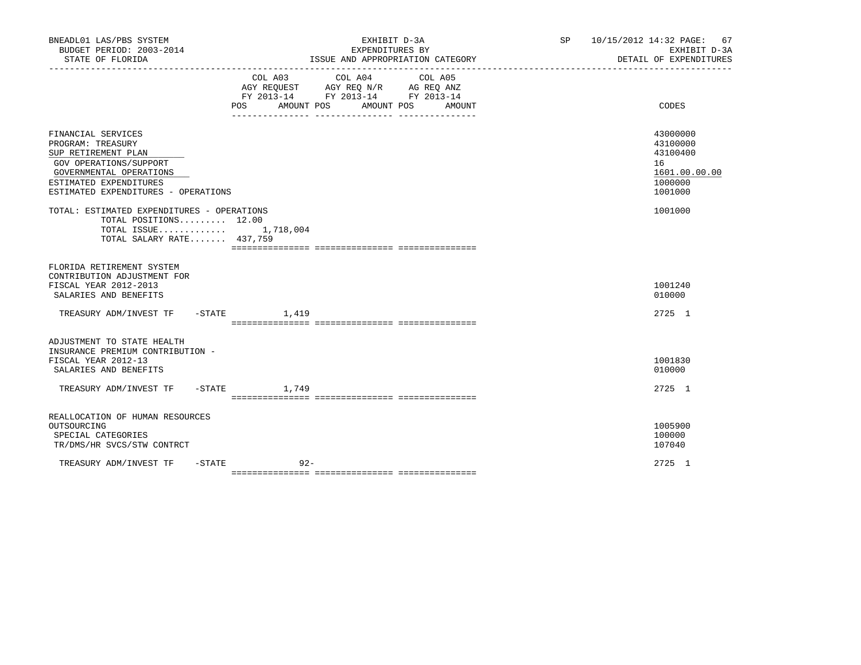| BNEADL01 LAS/PBS SYSTEM<br>BUDGET PERIOD: 2003-2014<br>STATE OF FLORIDA                                                                                                              | EXHIBIT D-3A<br>EXPENDITURES BY<br>ISSUE AND APPROPRIATION CATEGORY                                                                   | SP 10/15/2012 14:32 PAGE: 67<br>EXHIBIT D-3A<br>DETAIL OF EXPENDITURES        |
|--------------------------------------------------------------------------------------------------------------------------------------------------------------------------------------|---------------------------------------------------------------------------------------------------------------------------------------|-------------------------------------------------------------------------------|
|                                                                                                                                                                                      | COL A03 COL A04 COL A05<br>AGY REQUEST AGY REQ N/R AG REQ ANZ<br>FY 2013-14 FY 2013-14 FY 2013-14<br>POS AMOUNT POS AMOUNT POS AMOUNT | CODES                                                                         |
| FINANCIAL SERVICES<br>PROGRAM: TREASURY<br>SUP RETIREMENT PLAN<br>GOV OPERATIONS/SUPPORT<br>GOVERNMENTAL OPERATIONS<br>ESTIMATED EXPENDITURES<br>ESTIMATED EXPENDITURES - OPERATIONS |                                                                                                                                       | 43000000<br>43100000<br>43100400<br>16<br>1601.00.00.00<br>1000000<br>1001000 |
| TOTAL: ESTIMATED EXPENDITURES - OPERATIONS<br>TOTAL POSITIONS 12.00<br>TOTAL ISSUE $1,718,004$<br>TOTAL SALARY RATE 437,759                                                          |                                                                                                                                       | 1001000                                                                       |
| FLORIDA RETIREMENT SYSTEM<br>CONTRIBUTION ADJUSTMENT FOR<br>FISCAL YEAR 2012-2013<br>SALARIES AND BENEFITS                                                                           |                                                                                                                                       | 1001240<br>010000                                                             |
| TREASURY ADM/INVEST TF -STATE 1,419                                                                                                                                                  |                                                                                                                                       | $2725 \quad 1$                                                                |
| ADJUSTMENT TO STATE HEALTH<br>INSURANCE PREMIUM CONTRIBUTION -<br>FISCAL YEAR 2012-13<br>SALARIES AND BENEFITS<br>TREASURY ADM/INVEST TF -STATE 1,749                                |                                                                                                                                       | 1001830<br>010000<br>2725 1                                                   |
| REALLOCATION OF HUMAN RESOURCES<br>OUTSOURCING<br>SPECIAL CATEGORIES<br>TR/DMS/HR SVCS/STW CONTRCT                                                                                   |                                                                                                                                       | 1005900<br>100000<br>107040                                                   |
| $-$ STATE<br>TREASURY ADM/INVEST TF                                                                                                                                                  | $92 -$                                                                                                                                | 2725 1                                                                        |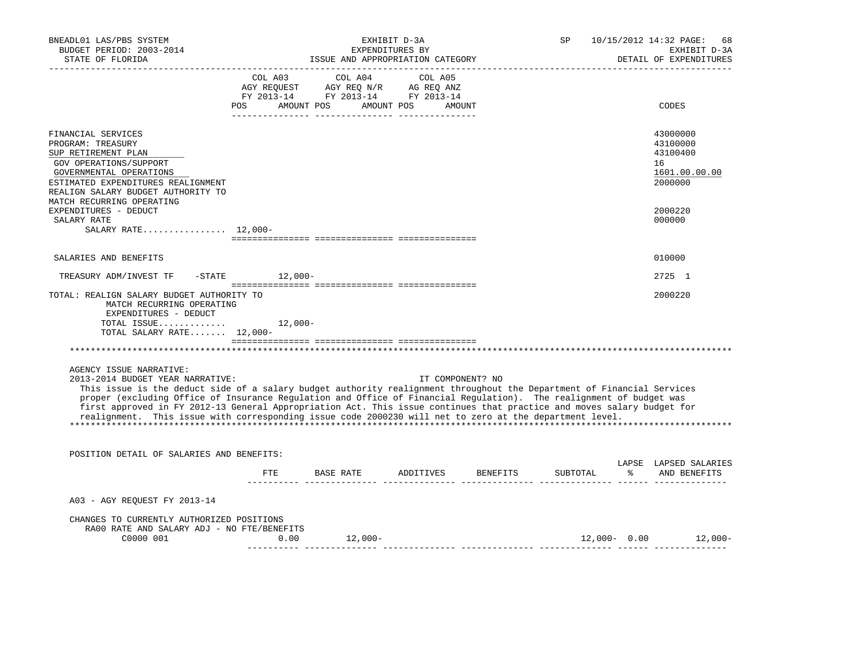| BNEADL01 LAS/PBS SYSTEM<br>BUDGET PERIOD: 2003-2014<br>STATE OF FLORIDA                                                                                                                                                                                                                                                                                                                                                                                                                                                                           |             | ISSUE AND APPROPRIATION CATEGORY                                                                                                                           | EXHIBIT D-3A<br>EXPENDITURES BY |                                                          |  | SP 10/15/2012 14:32 PAGE:<br>68<br>EXHIBIT D-3A<br>DETAIL OF EXPENDITURES |
|---------------------------------------------------------------------------------------------------------------------------------------------------------------------------------------------------------------------------------------------------------------------------------------------------------------------------------------------------------------------------------------------------------------------------------------------------------------------------------------------------------------------------------------------------|-------------|------------------------------------------------------------------------------------------------------------------------------------------------------------|---------------------------------|----------------------------------------------------------|--|---------------------------------------------------------------------------|
|                                                                                                                                                                                                                                                                                                                                                                                                                                                                                                                                                   |             | $\begin{tabular}{lcccc} COL A03 & COL A04 & COL A05 \\ AGY REQUEST & AGY REQ N/R & AG REQ ANZ \\ FY & 2013-14 & FY & 2013-14 & FY & 2013-14 \end{tabular}$ |                                 |                                                          |  |                                                                           |
|                                                                                                                                                                                                                                                                                                                                                                                                                                                                                                                                                   |             | POS AMOUNT POS AMOUNT POS AMOUNT                                                                                                                           |                                 |                                                          |  | CODES                                                                     |
| FINANCIAL SERVICES<br>PROGRAM: TREASURY<br>SUP RETIREMENT PLAN<br>GOV OPERATIONS/SUPPORT<br>GOVERNMENTAL OPERATIONS<br>ESTIMATED EXPENDITURES REALIGNMENT<br>REALIGN SALARY BUDGET AUTHORITY TO                                                                                                                                                                                                                                                                                                                                                   |             |                                                                                                                                                            |                                 |                                                          |  | 43000000<br>43100000<br>43100400<br>16<br>1601.00.00.00<br>2000000        |
| MATCH RECURRING OPERATING<br>EXPENDITURES - DEDUCT<br>SALARY RATE                                                                                                                                                                                                                                                                                                                                                                                                                                                                                 |             |                                                                                                                                                            |                                 |                                                          |  | 2000220<br>000000                                                         |
| SALARY RATE $12,000-$                                                                                                                                                                                                                                                                                                                                                                                                                                                                                                                             |             |                                                                                                                                                            |                                 |                                                          |  |                                                                           |
| SALARIES AND BENEFITS                                                                                                                                                                                                                                                                                                                                                                                                                                                                                                                             |             |                                                                                                                                                            |                                 |                                                          |  | 010000                                                                    |
| TREASURY ADM/INVEST TF -STATE 12,000-                                                                                                                                                                                                                                                                                                                                                                                                                                                                                                             |             |                                                                                                                                                            |                                 |                                                          |  | 2725 1                                                                    |
| TOTAL: REALIGN SALARY BUDGET AUTHORITY TO<br>MATCH RECURRING OPERATING<br>EXPENDITURES - DEDUCT<br>TOTAL ISSUE<br>TOTAL SALARY RATE 12,000-                                                                                                                                                                                                                                                                                                                                                                                                       | $12,000-$   |                                                                                                                                                            |                                 |                                                          |  | 2000220                                                                   |
|                                                                                                                                                                                                                                                                                                                                                                                                                                                                                                                                                   |             |                                                                                                                                                            |                                 |                                                          |  |                                                                           |
| AGENCY ISSUE NARRATIVE:<br>2013-2014 BUDGET YEAR NARRATIVE:<br>This issue is the deduct side of a salary budget authority realignment throughout the Department of Financial Services<br>proper (excluding Office of Insurance Regulation and Office of Financial Regulation). The realignment of budget was<br>first approved in FY 2012-13 General Appropriation Act. This issue continues that practice and moves salary budget for<br>realignment. This issue with corresponding issue code 2000230 will net to zero at the department level. |             |                                                                                                                                                            |                                 | IT COMPONENT? NO                                         |  |                                                                           |
| POSITION DETAIL OF SALARIES AND BENEFITS:                                                                                                                                                                                                                                                                                                                                                                                                                                                                                                         |             |                                                                                                                                                            |                                 |                                                          |  |                                                                           |
|                                                                                                                                                                                                                                                                                                                                                                                                                                                                                                                                                   |             |                                                                                                                                                            |                                 | FTE BASE RATE ADDITIVES BENEFITS SUBTOTAL % AND BENEFITS |  | LAPSE LAPSED SALARIES                                                     |
| A03 - AGY REQUEST FY 2013-14                                                                                                                                                                                                                                                                                                                                                                                                                                                                                                                      |             |                                                                                                                                                            |                                 |                                                          |  |                                                                           |
| CHANGES TO CURRENTLY AUTHORIZED POSITIONS<br>RA00 RATE AND SALARY ADJ - NO FTE/BENEFITS<br>C0000 001                                                                                                                                                                                                                                                                                                                                                                                                                                              | $\sim 0.00$ | 12,000-                                                                                                                                                    |                                 |                                                          |  | $12,000 - 0.00$ 12,000-                                                   |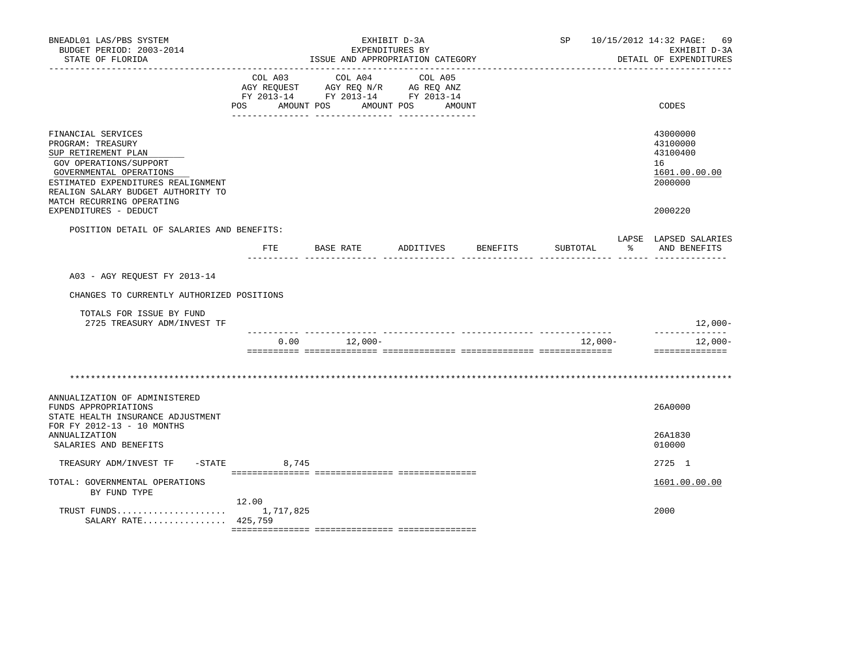| BNEADL01 LAS/PBS SYSTEM<br>BUDGET PERIOD: 2003-2014<br>STATE OF FLORIDA                                                                                                                                                      |                | ISSUE AND APPROPRIATION CATEGORY                                                          | EXHIBIT D-3A<br>EXPENDITURES BY |          |          |               | SP 10/15/2012 14:32 PAGE: 69<br>EXHIBIT D-3A<br>DETAIL OF EXPENDITURES |
|------------------------------------------------------------------------------------------------------------------------------------------------------------------------------------------------------------------------------|----------------|-------------------------------------------------------------------------------------------|---------------------------------|----------|----------|---------------|------------------------------------------------------------------------|
|                                                                                                                                                                                                                              | POS AMOUNT POS | COL A03 COL A04<br>AGY REQUEST AGY REQ N/R AG REQ ANZ<br>FY 2013-14 FY 2013-14 FY 2013-14 | COL A05<br>AMOUNT POS AMOUNT    |          |          |               | CODES                                                                  |
| FINANCIAL SERVICES<br>PROGRAM: TREASURY<br>SUP RETIREMENT PLAN<br>GOV OPERATIONS/SUPPORT<br>GOVERNMENTAL OPERATIONS<br>ESTIMATED EXPENDITURES REALIGNMENT<br>REALIGN SALARY BUDGET AUTHORITY TO<br>MATCH RECURRING OPERATING |                |                                                                                           |                                 |          |          |               | 43000000<br>43100000<br>43100400<br>16<br>1601.00.00.00<br>2000000     |
| EXPENDITURES - DEDUCT                                                                                                                                                                                                        |                |                                                                                           |                                 |          |          |               | 2000220                                                                |
| POSITION DETAIL OF SALARIES AND BENEFITS:                                                                                                                                                                                    | $_{\rm FTE}$   | BASE RATE                                                                                 | ADDITIVES                       | BENEFITS | SUBTOTAL | $\sim$ $\sim$ | LAPSE LAPSED SALARIES<br>AND BENEFITS                                  |
| A03 - AGY REOUEST FY 2013-14<br>CHANGES TO CURRENTLY AUTHORIZED POSITIONS<br>TOTALS FOR ISSUE BY FUND<br>2725 TREASURY ADM/INVEST TF                                                                                         |                |                                                                                           |                                 |          |          |               | 12,000-                                                                |
|                                                                                                                                                                                                                              |                | _____ _______________ ______________<br>$0.00$ 12,000-                                    |                                 |          | 12,000-  |               | --------------<br>12,000-                                              |
|                                                                                                                                                                                                                              |                |                                                                                           |                                 |          |          |               | ==============                                                         |
| ANNUALIZATION OF ADMINISTERED<br>FUNDS APPROPRIATIONS<br>STATE HEALTH INSURANCE ADJUSTMENT<br>FOR FY 2012-13 - 10 MONTHS                                                                                                     |                |                                                                                           |                                 |          |          |               | 26A0000                                                                |
| <b>ANNUALIZATION</b><br>SALARIES AND BENEFITS                                                                                                                                                                                |                |                                                                                           |                                 |          |          |               | 26A1830<br>010000                                                      |
| TREASURY ADM/INVEST TF                                                                                                                                                                                                       | $-STATE$ 8,745 |                                                                                           |                                 |          |          |               | 2725 1                                                                 |
| TOTAL: GOVERNMENTAL OPERATIONS<br>BY FUND TYPE                                                                                                                                                                               |                |                                                                                           |                                 |          |          |               | 1601.00.00.00                                                          |
| SALARY RATE 425,759                                                                                                                                                                                                          | 12.00          |                                                                                           |                                 |          |          |               | 2000                                                                   |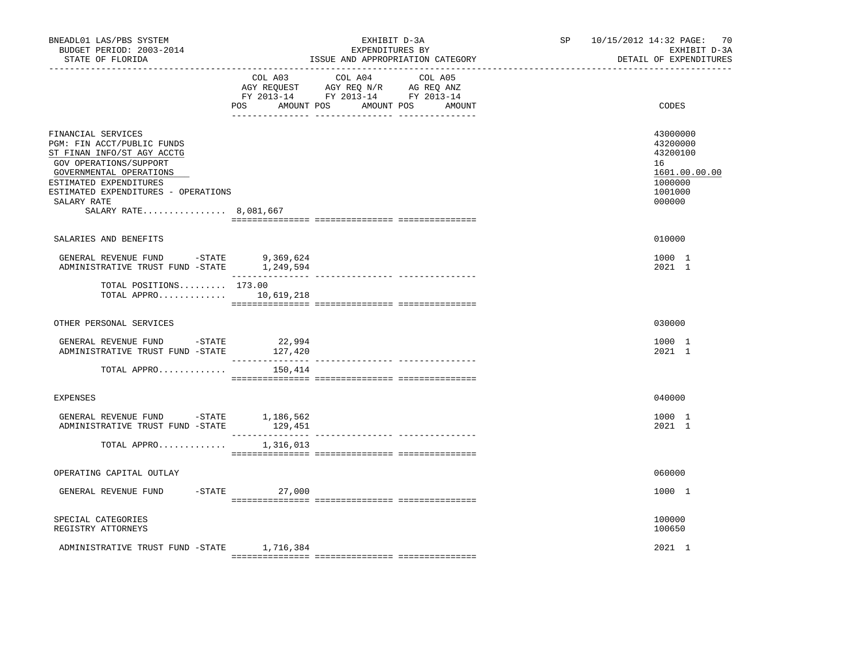| BNEADL01 LAS/PBS SYSTEM<br>BUDGET PERIOD: 2003-2014<br>STATE OF FLORIDA                                                                                                                                                                      |                   | EXHIBIT D-3A<br>EXPENDITURES BY<br>ISSUE AND APPROPRIATION CATEGORY                                                               | SP 10/15/2012 14:32 PAGE: 70<br>EXHIBIT D-3A<br>DETAIL OF EXPENDITURES                  |
|----------------------------------------------------------------------------------------------------------------------------------------------------------------------------------------------------------------------------------------------|-------------------|-----------------------------------------------------------------------------------------------------------------------------------|-----------------------------------------------------------------------------------------|
|                                                                                                                                                                                                                                              | POS               | COL A03 COL A04 COL A05<br>AGY REQUEST AGY REQ N/R AG REQ ANZ<br>FY 2013-14 FY 2013-14 FY 2013-14<br>AMOUNT POS AMOUNT POS AMOUNT | CODES                                                                                   |
| FINANCIAL SERVICES<br>PGM: FIN ACCT/PUBLIC FUNDS<br>ST FINAN INFO/ST AGY ACCTG<br>GOV OPERATIONS/SUPPORT<br>GOVERNMENTAL OPERATIONS<br>ESTIMATED EXPENDITURES<br>ESTIMATED EXPENDITURES - OPERATIONS<br>SALARY RATE<br>SALARY RATE 8,081,667 |                   |                                                                                                                                   | 43000000<br>43200000<br>43200100<br>16<br>1601.00.00.00<br>1000000<br>1001000<br>000000 |
| SALARIES AND BENEFITS                                                                                                                                                                                                                        |                   |                                                                                                                                   | 010000                                                                                  |
| GENERAL REVENUE FUND -STATE<br>ADMINISTRATIVE TRUST FUND -STATE 1,249,594                                                                                                                                                                    | 9,369,624         |                                                                                                                                   | 1000 1<br>2021 1                                                                        |
| TOTAL POSITIONS 173.00<br>TOTAL APPRO $10,619,218$                                                                                                                                                                                           |                   |                                                                                                                                   |                                                                                         |
| OTHER PERSONAL SERVICES                                                                                                                                                                                                                      |                   |                                                                                                                                   | 030000                                                                                  |
| GENERAL REVENUE FUND -STATE<br>ADMINISTRATIVE TRUST FUND -STATE                                                                                                                                                                              | 22,994<br>127,420 |                                                                                                                                   | 1000 1<br>2021 1                                                                        |
| TOTAL APPRO                                                                                                                                                                                                                                  | 150,414           |                                                                                                                                   |                                                                                         |
| <b>EXPENSES</b>                                                                                                                                                                                                                              |                   |                                                                                                                                   | 040000                                                                                  |
| GENERAL REVENUE FUND $-$ STATE 1,186,562<br>ADMINISTRATIVE TRUST FUND -STATE                                                                                                                                                                 | 129,451           |                                                                                                                                   | 1000 1<br>2021 1                                                                        |
| TOTAL APPRO $1,316,013$                                                                                                                                                                                                                      |                   |                                                                                                                                   |                                                                                         |
| OPERATING CAPITAL OUTLAY                                                                                                                                                                                                                     |                   |                                                                                                                                   | 060000                                                                                  |
| GENERAL REVENUE FUND                                                                                                                                                                                                                         | $-$ STATE 27,000  |                                                                                                                                   | 1000 1                                                                                  |
| SPECIAL CATEGORIES<br>REGISTRY ATTORNEYS                                                                                                                                                                                                     |                   |                                                                                                                                   | 100000<br>100650                                                                        |
| ADMINISTRATIVE TRUST FUND -STATE 1,716,384                                                                                                                                                                                                   |                   |                                                                                                                                   | 2021 1                                                                                  |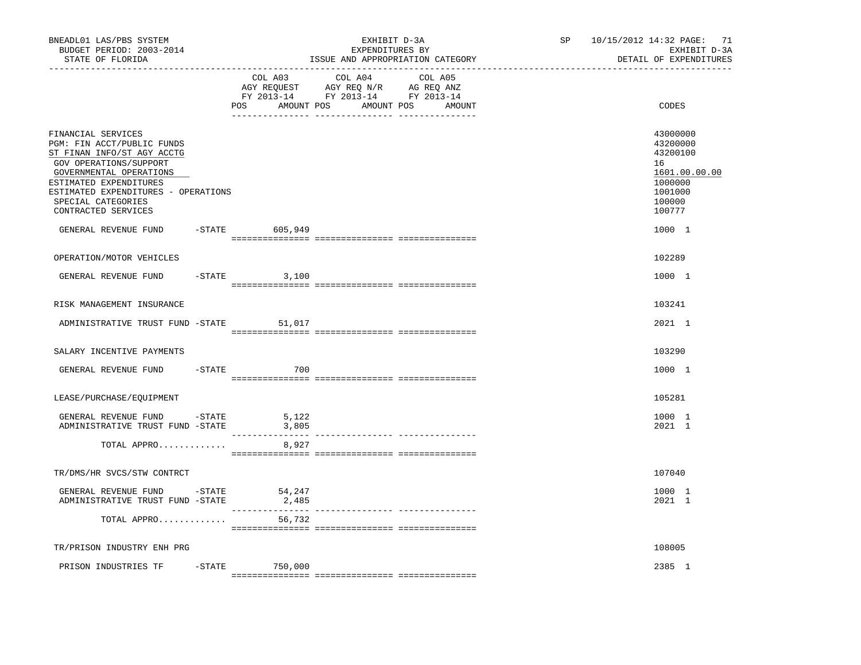| BNEADL01 LAS/PBS SYSTEM<br>BUDGET PERIOD: 2003-2014<br>STATE OF FLORIDA                                                                                                                                                                           |                    | EXHIBIT D-3A<br>EXPENDITURES BY<br>ISSUE AND APPROPRIATION CATEGORY                                                              | SP 10/15/2012 14:32 PAGE: 71<br>EXHIBIT D-3A<br>DETAIL OF EXPENDITURES                            |
|---------------------------------------------------------------------------------------------------------------------------------------------------------------------------------------------------------------------------------------------------|--------------------|----------------------------------------------------------------------------------------------------------------------------------|---------------------------------------------------------------------------------------------------|
|                                                                                                                                                                                                                                                   | COL A03            | COL A04<br>COL A05<br>AGY REQUEST AGY REQ N/R AG REQ ANZ<br>FY 2013-14 FY 2013-14 FY 2013-14<br>POS AMOUNT POS AMOUNT POS AMOUNT | CODES                                                                                             |
| FINANCIAL SERVICES<br>PGM: FIN ACCT/PUBLIC FUNDS<br>ST FINAN INFO/ST AGY ACCTG<br>GOV OPERATIONS/SUPPORT<br>GOVERNMENTAL OPERATIONS<br>ESTIMATED EXPENDITURES<br>ESTIMATED EXPENDITURES - OPERATIONS<br>SPECIAL CATEGORIES<br>CONTRACTED SERVICES |                    |                                                                                                                                  | 43000000<br>43200000<br>43200100<br>16<br>1601.00.00.00<br>1000000<br>1001000<br>100000<br>100777 |
| GENERAL REVENUE FUND                                                                                                                                                                                                                              | -STATE 605,949     |                                                                                                                                  | 1000 1                                                                                            |
| OPERATION/MOTOR VEHICLES                                                                                                                                                                                                                          |                    |                                                                                                                                  | 102289                                                                                            |
| GENERAL REVENUE FUND                                                                                                                                                                                                                              | $-$ STATE<br>3,100 |                                                                                                                                  | 1000 1                                                                                            |
| RISK MANAGEMENT INSURANCE                                                                                                                                                                                                                         |                    |                                                                                                                                  | 103241                                                                                            |
| ADMINISTRATIVE TRUST FUND -STATE                                                                                                                                                                                                                  | 51,017             |                                                                                                                                  | 2021 1                                                                                            |
| SALARY INCENTIVE PAYMENTS                                                                                                                                                                                                                         |                    |                                                                                                                                  | 103290                                                                                            |
| GENERAL REVENUE FUND                                                                                                                                                                                                                              | $-STATE$<br>700    |                                                                                                                                  | 1000 1                                                                                            |
| LEASE/PURCHASE/EQUIPMENT                                                                                                                                                                                                                          |                    |                                                                                                                                  | 105281                                                                                            |
| GENERAL REVENUE FUND -STATE<br>ADMINISTRATIVE TRUST FUND -STATE                                                                                                                                                                                   | 5,122<br>3,805     |                                                                                                                                  | 1000 1<br>2021 1                                                                                  |
| TOTAL APPRO                                                                                                                                                                                                                                       | 8,927              |                                                                                                                                  |                                                                                                   |
| TR/DMS/HR SVCS/STW CONTRCT                                                                                                                                                                                                                        |                    |                                                                                                                                  | 107040                                                                                            |
| GENERAL REVENUE FUND -STATE<br>ADMINISTRATIVE TRUST FUND -STATE                                                                                                                                                                                   | 54,247<br>2,485    |                                                                                                                                  | 1000 1<br>2021 1                                                                                  |
| TOTAL APPRO                                                                                                                                                                                                                                       | 56,732             |                                                                                                                                  |                                                                                                   |
| TR/PRISON INDUSTRY ENH PRG                                                                                                                                                                                                                        |                    |                                                                                                                                  | 108005                                                                                            |
| PRISON INDUSTRIES TF -STATE 750,000                                                                                                                                                                                                               |                    |                                                                                                                                  | 2385 1                                                                                            |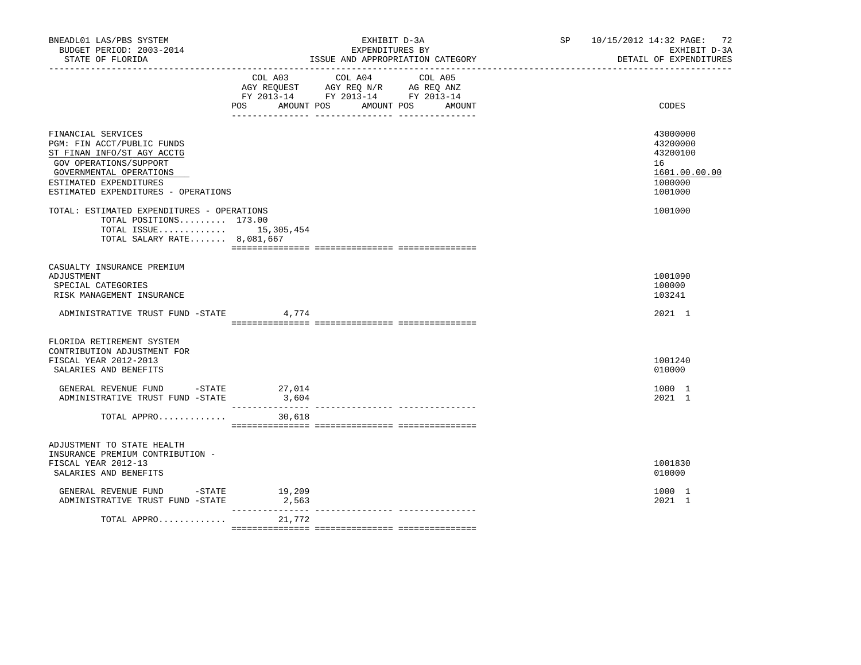| BNEADL01 LAS/PBS SYSTEM<br>BUDGET PERIOD: 2003-2014<br>STATE OF FLORIDA<br>--------------------                                                                                                      | EXHIBIT D-3A<br>EXPENDITURES BY<br>ISSUE AND APPROPRIATION CATEGORY |                                                                                                                               |        | SP 10/15/2012 14:32 PAGE: 72<br>EXHIBIT D-3A<br>DETAIL OF EXPENDITURES        |  |
|------------------------------------------------------------------------------------------------------------------------------------------------------------------------------------------------------|---------------------------------------------------------------------|-------------------------------------------------------------------------------------------------------------------------------|--------|-------------------------------------------------------------------------------|--|
|                                                                                                                                                                                                      | POS                                                                 | COL A03 COL A04 COL A05<br>AGY REQUEST AGY REQ N/R AG REQ ANZ<br>FY 2013-14 FY 2013-14 FY 2013-14<br>AMOUNT POS<br>AMOUNT POS | AMOUNT | CODES                                                                         |  |
| FINANCIAL SERVICES<br>PGM: FIN ACCT/PUBLIC FUNDS<br>ST FINAN INFO/ST AGY ACCTG<br>GOV OPERATIONS/SUPPORT<br>GOVERNMENTAL OPERATIONS<br>ESTIMATED EXPENDITURES<br>ESTIMATED EXPENDITURES - OPERATIONS |                                                                     |                                                                                                                               |        | 43000000<br>43200000<br>43200100<br>16<br>1601.00.00.00<br>1000000<br>1001000 |  |
| TOTAL: ESTIMATED EXPENDITURES - OPERATIONS<br>TOTAL POSITIONS 173.00<br>TOTAL ISSUE 15,305,454<br>TOTAL SALARY RATE 8,081,667                                                                        |                                                                     |                                                                                                                               |        | 1001000                                                                       |  |
| CASUALTY INSURANCE PREMIUM<br>ADJUSTMENT<br>SPECIAL CATEGORIES<br>RISK MANAGEMENT INSURANCE                                                                                                          |                                                                     |                                                                                                                               |        | 1001090<br>100000<br>103241                                                   |  |
| ADMINISTRATIVE TRUST FUND -STATE                                                                                                                                                                     | 4,774                                                               |                                                                                                                               |        | 2021 1                                                                        |  |
| FLORIDA RETIREMENT SYSTEM<br>CONTRIBUTION ADJUSTMENT FOR<br>FISCAL YEAR 2012-2013<br>SALARIES AND BENEFITS<br>GENERAL REVENUE FUND -STATE 27,014                                                     |                                                                     |                                                                                                                               |        | 1001240<br>010000<br>1000 1                                                   |  |
| ADMINISTRATIVE TRUST FUND -STATE<br>TOTAL APPRO                                                                                                                                                      | 3,604<br>30,618                                                     |                                                                                                                               |        | 2021 1                                                                        |  |
| ADJUSTMENT TO STATE HEALTH<br>INSURANCE PREMIUM CONTRIBUTION -<br>FISCAL YEAR 2012-13<br>SALARIES AND BENEFITS                                                                                       |                                                                     |                                                                                                                               |        | 1001830<br>010000                                                             |  |
| GENERAL REVENUE FUND -STATE<br>ADMINISTRATIVE TRUST FUND -STATE                                                                                                                                      | 19,209<br>2,563                                                     |                                                                                                                               |        | 1000 1<br>2021 1                                                              |  |
| TOTAL APPRO                                                                                                                                                                                          | 21,772                                                              |                                                                                                                               |        |                                                                               |  |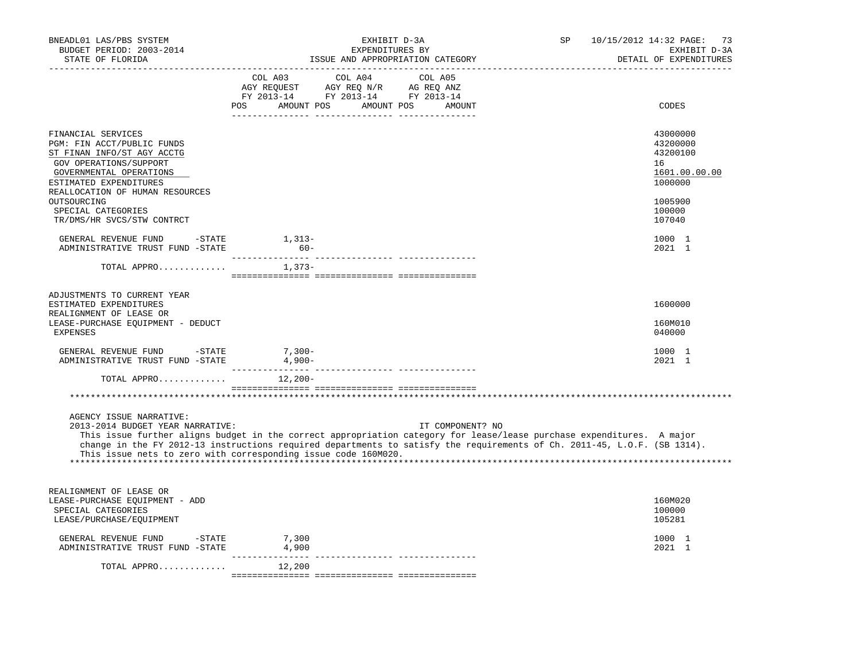| BNEADL01 LAS/PBS SYSTEM<br>BUDGET PERIOD: 2003-2014<br>STATE OF FLORIDA<br>-------------------                                                                | SP<br>EXHIBIT D-3A<br>EXPENDITURES BY<br>ISSUE AND APPROPRIATION CATEGORY                                                                                                                                                                                                                                                               | 10/15/2012 14:32 PAGE: 73<br>EXHIBIT D-3A<br>DETAIL OF EXPENDITURES |
|---------------------------------------------------------------------------------------------------------------------------------------------------------------|-----------------------------------------------------------------------------------------------------------------------------------------------------------------------------------------------------------------------------------------------------------------------------------------------------------------------------------------|---------------------------------------------------------------------|
|                                                                                                                                                               | $\begin{tabular}{lcccc} COL A03 & COL A04 & COL A05 \\ AGY REQUEST & AGY REQ N/R & AG REQ ANZ \\ FY & 2013-14 & FY & 2013-14 & FY & 2013-14 \end{tabular}$<br>POS AMOUNT POS AMOUNT POS AMOUNT                                                                                                                                          | CODES                                                               |
| FINANCIAL SERVICES<br>PGM: FIN ACCT/PUBLIC FUNDS<br>ST FINAN INFO/ST AGY ACCTG<br>GOV OPERATIONS/SUPPORT<br>GOVERNMENTAL OPERATIONS<br>ESTIMATED EXPENDITURES |                                                                                                                                                                                                                                                                                                                                         | 43000000<br>43200000<br>43200100<br>16<br>1601.00.00.00<br>1000000  |
| REALLOCATION OF HUMAN RESOURCES<br>OUTSOURCING<br>SPECIAL CATEGORIES<br>TR/DMS/HR SVCS/STW CONTRCT                                                            |                                                                                                                                                                                                                                                                                                                                         | 1005900<br>100000<br>107040                                         |
| GENERAL REVENUE FUND -STATE 1,313-<br>ADMINISTRATIVE TRUST FUND -STATE                                                                                        | $60 -$                                                                                                                                                                                                                                                                                                                                  | 1000 1<br>2021 1                                                    |
| TOTAL APPRO                                                                                                                                                   | $1,373-$                                                                                                                                                                                                                                                                                                                                |                                                                     |
| ADJUSTMENTS TO CURRENT YEAR<br>ESTIMATED EXPENDITURES<br>REALIGNMENT OF LEASE OR<br>LEASE-PURCHASE EOUIPMENT - DEDUCT<br><b>EXPENSES</b>                      |                                                                                                                                                                                                                                                                                                                                         | 1600000<br>160M010<br>040000                                        |
| GENERAL REVENUE FUND -STATE<br>ADMINISTRATIVE TRUST FUND -STATE                                                                                               | $7,300-$<br>4,900-                                                                                                                                                                                                                                                                                                                      | 1000 1<br>2021 1                                                    |
| TOTAL APPRO                                                                                                                                                   | $12,200-$                                                                                                                                                                                                                                                                                                                               |                                                                     |
|                                                                                                                                                               |                                                                                                                                                                                                                                                                                                                                         |                                                                     |
| AGENCY ISSUE NARRATIVE:<br>2013-2014 BUDGET YEAR NARRATIVE:                                                                                                   | IT COMPONENT? NO<br>This issue further aligns budget in the correct appropriation category for lease/lease purchase expenditures. A major<br>change in the FY 2012-13 instructions required departments to satisfy the requirements of Ch. 2011-45, L.O.F. (SB 1314).<br>This issue nets to zero with corresponding issue code 160M020. |                                                                     |
| REALIGNMENT OF LEASE OR<br>LEASE-PURCHASE EQUIPMENT - ADD<br>SPECIAL CATEGORIES<br>LEASE/PURCHASE/EQUIPMENT                                                   |                                                                                                                                                                                                                                                                                                                                         | 160M020<br>100000<br>105281                                         |
| GENERAL REVENUE FUND -STATE<br>ADMINISTRATIVE TRUST FUND -STATE                                                                                               | 7,300<br>4,900                                                                                                                                                                                                                                                                                                                          | 1000 1<br>2021 1                                                    |
| TOTAL APPRO $12,200$                                                                                                                                          |                                                                                                                                                                                                                                                                                                                                         |                                                                     |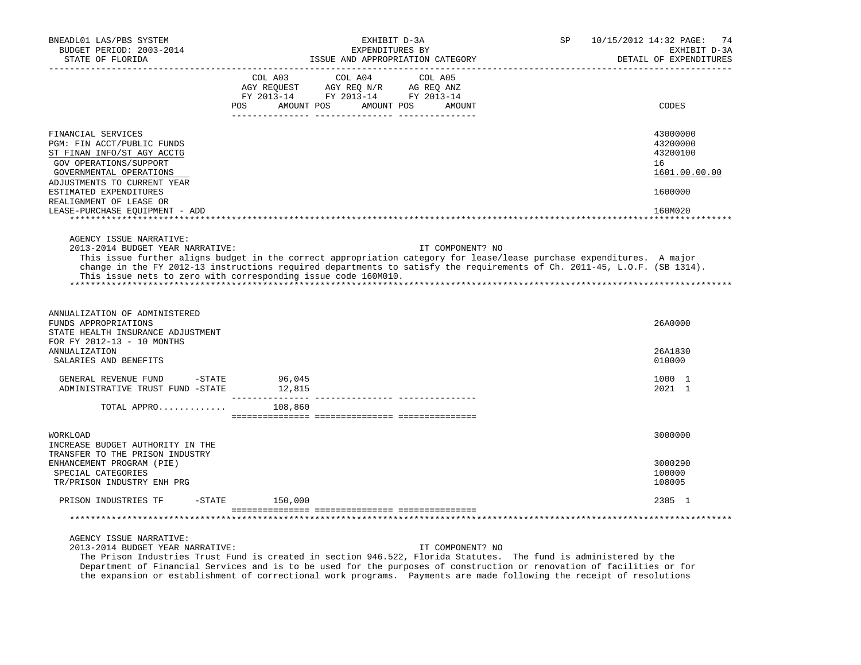| BNEADL01 LAS/PBS SYSTEM<br>BUDGET PERIOD: 2003-2014<br>STATE OF FLORIDA                                                                                            | EXHIBIT D-3A<br>EXPENDITURES BY<br>ISSUE AND APPROPRIATION CATEGORY                                                                        | 10/15/2012 14:32 PAGE:<br>SP.<br>74<br>EXHIBIT D-3A<br>DETAIL OF EXPENDITURES                                                                                                                                                                                         |
|--------------------------------------------------------------------------------------------------------------------------------------------------------------------|--------------------------------------------------------------------------------------------------------------------------------------------|-----------------------------------------------------------------------------------------------------------------------------------------------------------------------------------------------------------------------------------------------------------------------|
|                                                                                                                                                                    | COL A03<br>COL A04<br>COL A05<br>AGY REQUEST AGY REQ N/R AG REQ ANZ<br>FY 2013-14 FY 2013-14 FY 2013-14<br>POS<br>AMOUNT POS<br>AMOUNT POS | CODES<br>AMOUNT                                                                                                                                                                                                                                                       |
| FINANCIAL SERVICES<br>PGM: FIN ACCT/PUBLIC FUNDS<br>ST FINAN INFO/ST AGY ACCTG<br>GOV OPERATIONS/SUPPORT<br>GOVERNMENTAL OPERATIONS<br>ADJUSTMENTS TO CURRENT YEAR |                                                                                                                                            | 43000000<br>43200000<br>43200100<br>16<br>1601.00.00.00                                                                                                                                                                                                               |
| ESTIMATED EXPENDITURES<br>REALIGNMENT OF LEASE OR<br>LEASE-PURCHASE EOUIPMENT - ADD                                                                                |                                                                                                                                            | 1600000<br>160M020                                                                                                                                                                                                                                                    |
| AGENCY ISSUE NARRATIVE:<br>2013-2014 BUDGET YEAR NARRATIVE:                                                                                                        | This issue nets to zero with corresponding issue code 160M010.                                                                             | IT COMPONENT? NO<br>This issue further aligns budget in the correct appropriation category for lease/lease purchase expenditures. A major<br>change in the FY 2012-13 instructions required departments to satisfy the requirements of Ch. 2011-45, L.O.F. (SB 1314). |
| ANNUALIZATION OF ADMINISTERED<br>FUNDS APPROPRIATIONS<br>STATE HEALTH INSURANCE ADJUSTMENT<br>FOR FY 2012-13 - 10 MONTHS                                           |                                                                                                                                            | 26A0000                                                                                                                                                                                                                                                               |
| <b>ANNUALIZATION</b><br>SALARIES AND BENEFITS                                                                                                                      |                                                                                                                                            | 26A1830<br>010000                                                                                                                                                                                                                                                     |
| GENERAL REVENUE FUND<br>-STATE<br>ADMINISTRATIVE TRUST FUND -STATE                                                                                                 | 96,045<br>12,815<br>________________                                                                                                       | 1000 1<br>2021 1                                                                                                                                                                                                                                                      |
| TOTAL APPRO                                                                                                                                                        | 108,860                                                                                                                                    |                                                                                                                                                                                                                                                                       |
| WORKLOAD<br>INCREASE BUDGET AUTHORITY IN THE                                                                                                                       |                                                                                                                                            | 3000000                                                                                                                                                                                                                                                               |
| TRANSFER TO THE PRISON INDUSTRY<br>ENHANCEMENT PROGRAM (PIE)<br>SPECIAL CATEGORIES<br>TR/PRISON INDUSTRY ENH PRG                                                   |                                                                                                                                            | 3000290<br>100000<br>108005                                                                                                                                                                                                                                           |
| PRISON INDUSTRIES TF<br>-STATE                                                                                                                                     | 150,000                                                                                                                                    | 2385 1                                                                                                                                                                                                                                                                |
|                                                                                                                                                                    |                                                                                                                                            |                                                                                                                                                                                                                                                                       |
| AGENCY ISSUE NARRATIVE:                                                                                                                                            |                                                                                                                                            |                                                                                                                                                                                                                                                                       |

2013-2014 BUDGET YEAR NARRATIVE: IT COMPONENT? NO

 The Prison Industries Trust Fund is created in section 946.522, Florida Statutes. The fund is administered by the Department of Financial Services and is to be used for the purposes of construction or renovation of facilities or for the expansion or establishment of correctional work programs. Payments are made following the receipt of resolutions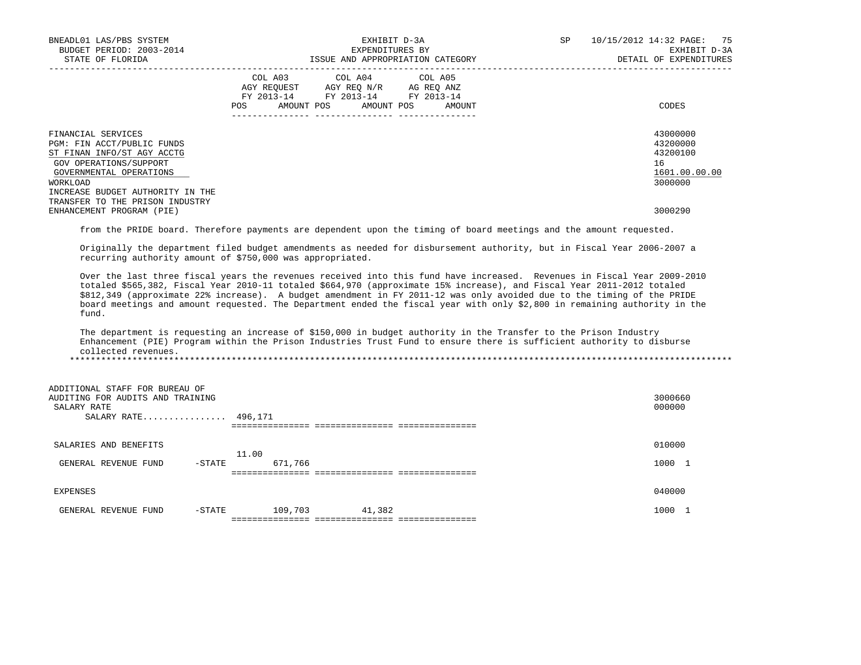| BNEADL01 LAS/PBS SYSTEM<br>BUDGET PERIOD: 2003-2014<br>STATE OF FLORIDA                                                                                                             | EXHIBIT D-3A<br>EXPENDITURES BY<br>ISSUE AND APPROPRIATION CATEGORY                                                                         | 10/15/2012 14:32 PAGE: 75<br>SP<br>EXHIBIT D-3A<br>DETAIL OF EXPENDITURES |
|-------------------------------------------------------------------------------------------------------------------------------------------------------------------------------------|---------------------------------------------------------------------------------------------------------------------------------------------|---------------------------------------------------------------------------|
|                                                                                                                                                                                     | COL A03 COL A04 COL A05<br>AGY REQUEST AGY REQ N/R AG REQ ANZ<br>FY 2013-14 FY 2013-14 FY 2013-14<br>AMOUNT POS AMOUNT POS<br>POS<br>AMOUNT | CODES                                                                     |
| FINANCIAL SERVICES<br>PGM: FIN ACCT/PUBLIC FUNDS<br>ST FINAN INFO/ST AGY ACCTG<br>GOV OPERATIONS/SUPPORT<br>GOVERNMENTAL OPERATIONS<br>WORKLOAD<br>INCREASE BUDGET AUTHORITY IN THE |                                                                                                                                             | 43000000<br>43200000<br>43200100<br>16<br>1601.00.00.00<br>3000000        |
| TRANSFER TO THE PRISON INDUSTRY<br>ENHANCEMENT PROGRAM (PIE)                                                                                                                        |                                                                                                                                             | 3000290                                                                   |

from the PRIDE board. Therefore payments are dependent upon the timing of board meetings and the amount requested.

 Originally the department filed budget amendments as needed for disbursement authority, but in Fiscal Year 2006-2007 a recurring authority amount of \$750,000 was appropriated.

 Over the last three fiscal years the revenues received into this fund have increased. Revenues in Fiscal Year 2009-2010 totaled \$565,382, Fiscal Year 2010-11 totaled \$664,970 (approximate 15% increase), and Fiscal Year 2011-2012 totaled \$812,349 (approximate 22% increase). A budget amendment in FY 2011-12 was only avoided due to the timing of the PRIDE board meetings and amount requested. The Department ended the fiscal year with only \$2,800 in remaining authority in the fund.

 The department is requesting an increase of \$150,000 in budget authority in the Transfer to the Prison Industry Enhancement (PIE) Program within the Prison Industries Trust Fund to ensure there is sufficient authority to disburse collected revenues. \*\*\*\*\*\*\*\*\*\*\*\*\*\*\*\*\*\*\*\*\*\*\*\*\*\*\*\*\*\*\*\*\*\*\*\*\*\*\*\*\*\*\*\*\*\*\*\*\*\*\*\*\*\*\*\*\*\*\*\*\*\*\*\*\*\*\*\*\*\*\*\*\*\*\*\*\*\*\*\*\*\*\*\*\*\*\*\*\*\*\*\*\*\*\*\*\*\*\*\*\*\*\*\*\*\*\*\*\*\*\*\*\*\*\*\*\*\*\*\*\*\*\*\*\*\*\*

 ADDITIONAL STAFF FOR BUREAU OF AUDITING FOR AUDITS AND TRAINING<br>SALARY RATE (1000000)  $\,$ SALARY RATE  $\,$  000000  $\,$  SALARY RATE................ 496,171 =============== =============== =============== SALARIES AND BENEFITS 010000 11.00<br>571.766 -STATE GENERAL REVENUE FUND -STATE 671,766 600 0000 1 contract to the state of the state of the state of the state of the state of the state of the state of the state of the state of the state of the state of the state of the sta =============== =============== =============== EXPENSES 040000 GENERAL REVENUE FUND -STATE 109,703 41,382 1000 1 =============== =============== ===============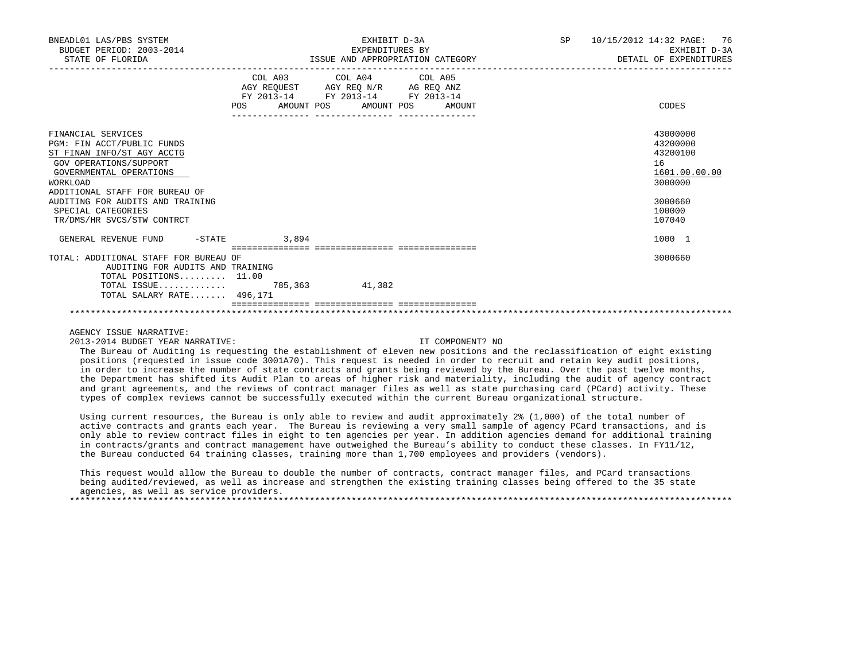| BNEADL01 LAS/PBS SYSTEM<br>BUDGET PERIOD: 2003-2014<br>STATE OF FLORIDA                                                                                                                                                                            |            | EXHIBIT D-3A<br>EXPENDITURES BY<br>ISSUE AND APPROPRIATION CATEGORY                               | 76<br>SP<br>10/15/2012 14:32 PAGE:<br>EXHIBIT D-3A<br>DETAIL OF EXPENDITURES |                                                                                         |  |
|----------------------------------------------------------------------------------------------------------------------------------------------------------------------------------------------------------------------------------------------------|------------|---------------------------------------------------------------------------------------------------|------------------------------------------------------------------------------|-----------------------------------------------------------------------------------------|--|
|                                                                                                                                                                                                                                                    |            | COL A03 COL A04 COL A05<br>AGY REQUEST AGY REQ N/R AG REQ ANZ<br>FY 2013-14 FY 2013-14 FY 2013-14 |                                                                              |                                                                                         |  |
|                                                                                                                                                                                                                                                    | <b>POS</b> | AMOUNT POS AMOUNT POS AMOUNT                                                                      |                                                                              | CODES                                                                                   |  |
| FINANCIAL SERVICES<br>PGM: FIN ACCT/PUBLIC FUNDS<br>ST FINAN INFO/ST AGY ACCTG<br>GOV OPERATIONS/SUPPORT<br>GOVERNMENTAL OPERATIONS<br><b>WORKLOAD</b><br>ADDITIONAL STAFF FOR BUREAU OF<br>AUDITING FOR AUDITS AND TRAINING<br>SPECIAL CATEGORIES |            |                                                                                                   |                                                                              | 43000000<br>43200000<br>43200100<br>16<br>1601.00.00.00<br>3000000<br>3000660<br>100000 |  |
| TR/DMS/HR SVCS/STW CONTRCT                                                                                                                                                                                                                         |            |                                                                                                   |                                                                              | 107040                                                                                  |  |
| $-$ STATE<br>GENERAL REVENUE FUND                                                                                                                                                                                                                  | 3.894      |                                                                                                   |                                                                              | 1000 1                                                                                  |  |
| TOTAL: ADDITIONAL STAFF FOR BUREAU OF<br>AUDITING FOR AUDITS AND TRAINING<br>TOTAL POSITIONS $11.00$                                                                                                                                               |            |                                                                                                   |                                                                              | 3000660                                                                                 |  |
| TOTAL SALARY RATE 496,171                                                                                                                                                                                                                          |            | 41,382                                                                                            |                                                                              |                                                                                         |  |
|                                                                                                                                                                                                                                                    |            |                                                                                                   |                                                                              |                                                                                         |  |

2013-2014 BUDGET YEAR NARRATIVE: IT COMPONENT? NO

 The Bureau of Auditing is requesting the establishment of eleven new positions and the reclassification of eight existing positions (requested in issue code 3001A70). This request is needed in order to recruit and retain key audit positions, in order to increase the number of state contracts and grants being reviewed by the Bureau. Over the past twelve months, the Department has shifted its Audit Plan to areas of higher risk and materiality, including the audit of agency contract and grant agreements, and the reviews of contract manager files as well as state purchasing card (PCard) activity. These types of complex reviews cannot be successfully executed within the current Bureau organizational structure.

 Using current resources, the Bureau is only able to review and audit approximately 2% (1,000) of the total number of active contracts and grants each year. The Bureau is reviewing a very small sample of agency PCard transactions, and is only able to review contract files in eight to ten agencies per year. In addition agencies demand for additional training in contracts/grants and contract management have outweighed the Bureau's ability to conduct these classes. In FY11/12, the Bureau conducted 64 training classes, training more than 1,700 employees and providers (vendors).

This request would allow the Bureau to double the number of contracts, contract manager files, and PCard transactions being audited/reviewed, as well as increase and strengthen the existing training classes being offered to the 35 state agencies, as well as service providers. \*\*\*\*\*\*\*\*\*\*\*\*\*\*\*\*\*\*\*\*\*\*\*\*\*\*\*\*\*\*\*\*\*\*\*\*\*\*\*\*\*\*\*\*\*\*\*\*\*\*\*\*\*\*\*\*\*\*\*\*\*\*\*\*\*\*\*\*\*\*\*\*\*\*\*\*\*\*\*\*\*\*\*\*\*\*\*\*\*\*\*\*\*\*\*\*\*\*\*\*\*\*\*\*\*\*\*\*\*\*\*\*\*\*\*\*\*\*\*\*\*\*\*\*\*\*\*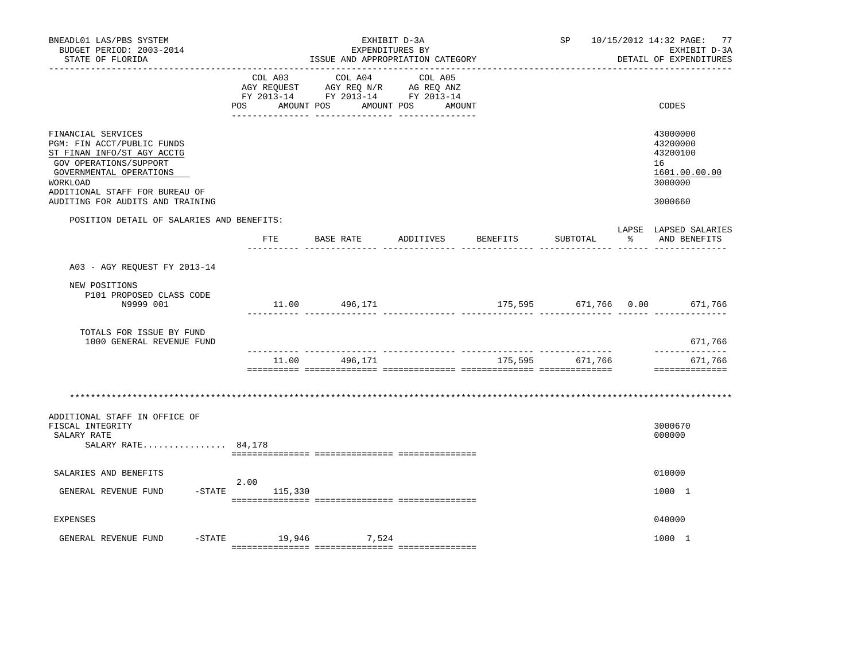| COL A04<br>COL A03<br>COL A05<br>AGY REQUEST AGY REQ N/R AG REQ ANZ<br>FY 2013-14 FY 2013-14 FY 2013-14<br>AMOUNT POS<br>AMOUNT POS<br>POS<br>AMOUNT                                                                  |                                                                               |
|-----------------------------------------------------------------------------------------------------------------------------------------------------------------------------------------------------------------------|-------------------------------------------------------------------------------|
|                                                                                                                                                                                                                       | CODES                                                                         |
| FINANCIAL SERVICES<br>PGM: FIN ACCT/PUBLIC FUNDS<br>ST FINAN INFO/ST AGY ACCTG<br>GOV OPERATIONS/SUPPORT<br>GOVERNMENTAL OPERATIONS<br>WORKLOAD<br>ADDITIONAL STAFF FOR BUREAU OF<br>AUDITING FOR AUDITS AND TRAINING | 43000000<br>43200000<br>43200100<br>16<br>1601.00.00.00<br>3000000<br>3000660 |
| POSITION DETAIL OF SALARIES AND BENEFITS:<br>FTE<br>BASE RATE<br>ADDITIVES<br>BENEFITS<br>SUBTOTAL<br>$\frac{1}{6}$                                                                                                   | LAPSE LAPSED SALARIES<br>AND BENEFITS                                         |
|                                                                                                                                                                                                                       |                                                                               |
| A03 - AGY REOUEST FY 2013-14                                                                                                                                                                                          |                                                                               |
| NEW POSITIONS<br>P101 PROPOSED CLASS CODE<br>175,595 671,766 0.00 671,766<br>N9999 001<br>11.00 496,171<br>------------- -------                                                                                      |                                                                               |
| TOTALS FOR ISSUE BY FUND<br>1000 GENERAL REVENUE FUND                                                                                                                                                                 | 671,766                                                                       |
| 496,171<br>175,595 671,766<br>11.00                                                                                                                                                                                   | --------------<br>671,766<br>==============                                   |
|                                                                                                                                                                                                                       |                                                                               |
| ADDITIONAL STAFF IN OFFICE OF<br>FISCAL INTEGRITY<br>SALARY RATE<br>SALARY RATE 84,178                                                                                                                                | 3000670<br>000000                                                             |
| SALARIES AND BENEFITS                                                                                                                                                                                                 | 010000                                                                        |
| 2.00<br>$-$ STATE 115,330<br>GENERAL REVENUE FUND                                                                                                                                                                     | 1000 1                                                                        |
| <b>EXPENSES</b>                                                                                                                                                                                                       | 040000                                                                        |
| -STATE 19,946 7,524<br>GENERAL REVENUE FUND                                                                                                                                                                           | 1000 1                                                                        |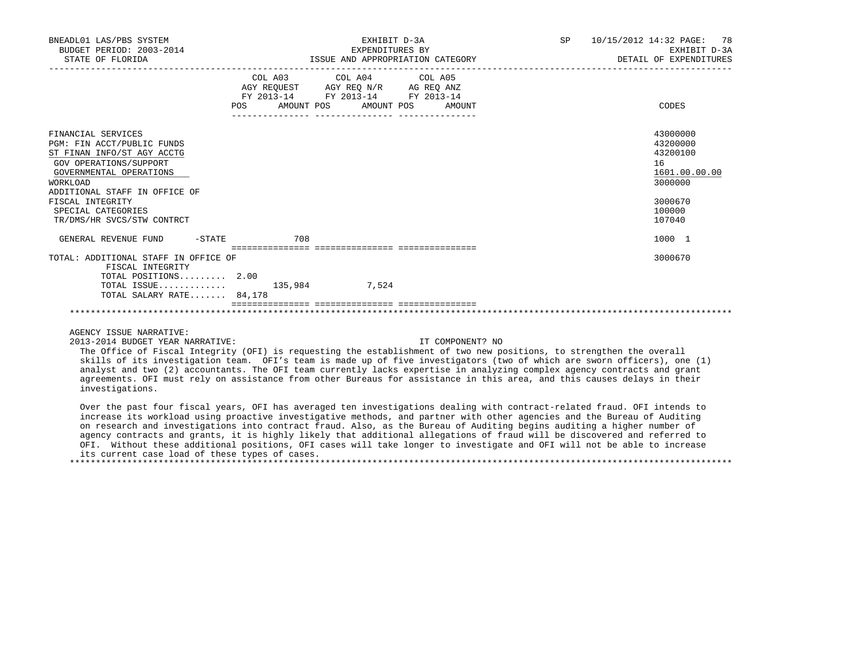| BNEADL01 LAS/PBS SYSTEM<br>BUDGET PERIOD: 2003-2014<br>STATE OF FLORIDA                                                                                |                                      | EXHIBIT D-3A<br>EXPENDITURES BY<br>ISSUE AND APPROPRIATION CATEGORY                                                               | 10/15/2012 14:32 PAGE:<br>78<br><b>SP</b><br>EXHIBIT D-3A<br>DETAIL OF EXPENDITURES |                                                                    |  |
|--------------------------------------------------------------------------------------------------------------------------------------------------------|--------------------------------------|-----------------------------------------------------------------------------------------------------------------------------------|-------------------------------------------------------------------------------------|--------------------------------------------------------------------|--|
|                                                                                                                                                        | <b>POS</b>                           | COL A03 COL A04 COL A05<br>AGY REQUEST AGY REQ N/R AG REQ ANZ<br>FY 2013-14 FY 2013-14 FY 2013-14<br>AMOUNT POS AMOUNT POS AMOUNT |                                                                                     | CODES                                                              |  |
|                                                                                                                                                        |                                      |                                                                                                                                   |                                                                                     |                                                                    |  |
| FINANCIAL SERVICES<br>PGM: FIN ACCT/PUBLIC FUNDS<br>ST FINAN INFO/ST AGY ACCTG<br>GOV OPERATIONS/SUPPORT<br>GOVERNMENTAL OPERATIONS<br><b>WORKLOAD</b> |                                      |                                                                                                                                   |                                                                                     | 43000000<br>43200000<br>43200100<br>16<br>1601.00.00.00<br>3000000 |  |
| ADDITIONAL STAFF IN OFFICE OF<br>FISCAL INTEGRITY<br>SPECIAL CATEGORIES<br>TR/DMS/HR SVCS/STW CONTRCT                                                  |                                      |                                                                                                                                   |                                                                                     | 3000670<br>100000<br>107040                                        |  |
| GENERAL REVENUE FUND<br>$-STATE$                                                                                                                       | 708                                  |                                                                                                                                   |                                                                                     | 1000 1                                                             |  |
| TOTAL: ADDITIONAL STAFF IN OFFICE OF<br>FISCAL INTEGRITY<br>TOTAL POSITIONS 2.00<br>TOTAL ISSUE $135,984$                                              | ____________________________________ | 7,524                                                                                                                             |                                                                                     | 3000670                                                            |  |
| TOTAL SALARY RATE 84,178                                                                                                                               |                                      |                                                                                                                                   |                                                                                     |                                                                    |  |
|                                                                                                                                                        |                                      |                                                                                                                                   |                                                                                     |                                                                    |  |

2013-2014 BUDGET YEAR NARRATIVE: IT COMPONENT? NO

 The Office of Fiscal Integrity (OFI) is requesting the establishment of two new positions, to strengthen the overall skills of its investigation team. OFI's team is made up of five investigators (two of which are sworn officers), one (1) analyst and two (2) accountants. The OFI team currently lacks expertise in analyzing complex agency contracts and grant agreements. OFI must rely on assistance from other Bureaus for assistance in this area, and this causes delays in their investigations.

 Over the past four fiscal years, OFI has averaged ten investigations dealing with contract-related fraud. OFI intends to increase its workload using proactive investigative methods, and partner with other agencies and the Bureau of Auditing on research and investigations into contract fraud. Also, as the Bureau of Auditing begins auditing a higher number of agency contracts and grants, it is highly likely that additional allegations of fraud will be discovered and referred to OFI. Without these additional positions, OFI cases will take longer to investigate and OFI will not be able to increase its current case load of these types of cases. \*\*\*\*\*\*\*\*\*\*\*\*\*\*\*\*\*\*\*\*\*\*\*\*\*\*\*\*\*\*\*\*\*\*\*\*\*\*\*\*\*\*\*\*\*\*\*\*\*\*\*\*\*\*\*\*\*\*\*\*\*\*\*\*\*\*\*\*\*\*\*\*\*\*\*\*\*\*\*\*\*\*\*\*\*\*\*\*\*\*\*\*\*\*\*\*\*\*\*\*\*\*\*\*\*\*\*\*\*\*\*\*\*\*\*\*\*\*\*\*\*\*\*\*\*\*\*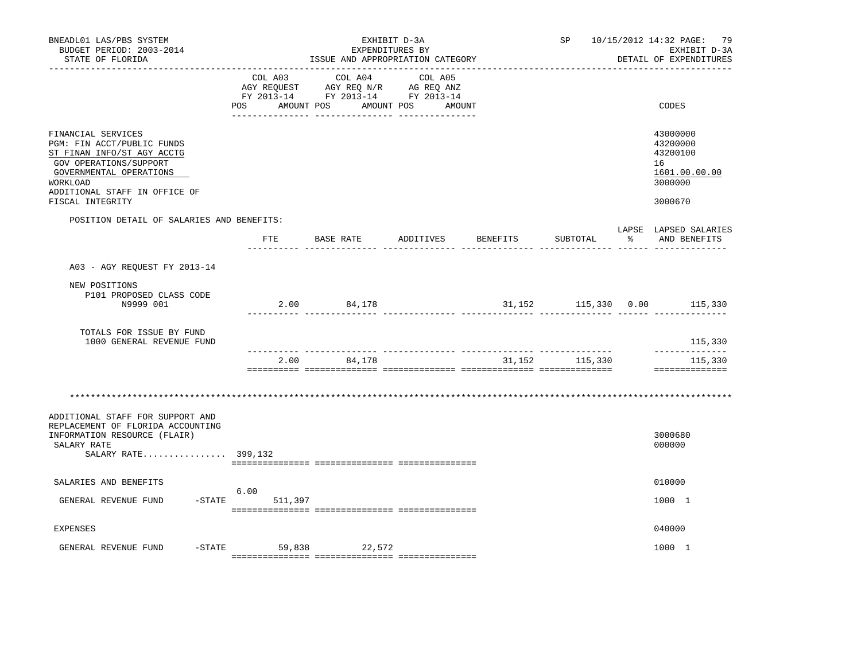| BNEADL01 LAS/PBS SYSTEM<br>BUDGET PERIOD: 2003-2014<br>STATE OF FLORIDA                                                                                                                              | ISSUE AND APPROPRIATION CATEGORY | SP                                                                                                                            | 10/15/2012 14:32 PAGE: 79<br>EXHIBIT D-3A<br>DETAIL OF EXPENDITURES |  |                  |                                                                               |
|------------------------------------------------------------------------------------------------------------------------------------------------------------------------------------------------------|----------------------------------|-------------------------------------------------------------------------------------------------------------------------------|---------------------------------------------------------------------|--|------------------|-------------------------------------------------------------------------------|
|                                                                                                                                                                                                      | POS AMOUNT POS                   | COL A03 COL A04<br>AGY REQUEST AGY REQ N/R AG REQ ANZ<br>FY 2013-14 FY 2013-14 FY 2013-14<br>____ ________________ __________ | COL A05<br>AMOUNT POS<br>AMOUNT                                     |  |                  | CODES                                                                         |
| FINANCIAL SERVICES<br>PGM: FIN ACCT/PUBLIC FUNDS<br>ST FINAN INFO/ST AGY ACCTG<br>GOV OPERATIONS/SUPPORT<br>GOVERNMENTAL OPERATIONS<br>WORKLOAD<br>ADDITIONAL STAFF IN OFFICE OF<br>FISCAL INTEGRITY |                                  |                                                                                                                               |                                                                     |  |                  | 43000000<br>43200000<br>43200100<br>16<br>1601.00.00.00<br>3000000<br>3000670 |
| POSITION DETAIL OF SALARIES AND BENEFITS:                                                                                                                                                            |                                  |                                                                                                                               |                                                                     |  |                  | LAPSE LAPSED SALARIES                                                         |
|                                                                                                                                                                                                      |                                  | FTE BASE RATE ADDITIVES BENEFITS                                                                                              |                                                                     |  | SUBTOTAL         | % AND BENEFITS                                                                |
| A03 - AGY REQUEST FY 2013-14                                                                                                                                                                         |                                  |                                                                                                                               |                                                                     |  |                  |                                                                               |
| NEW POSITIONS<br>P101 PROPOSED CLASS CODE<br>N9999 001                                                                                                                                               |                                  | 2.00 84,178                                                                                                                   |                                                                     |  |                  | 31,152 115,330 0.00 115,330                                                   |
| TOTALS FOR ISSUE BY FUND<br>1000 GENERAL REVENUE FUND                                                                                                                                                |                                  |                                                                                                                               |                                                                     |  |                  | 115,330                                                                       |
|                                                                                                                                                                                                      |                                  | 2.00 84,178                                                                                                                   |                                                                     |  | 31, 152 115, 330 | ______________<br>115,330<br>==============                                   |
|                                                                                                                                                                                                      |                                  |                                                                                                                               |                                                                     |  |                  |                                                                               |
| ADDITIONAL STAFF FOR SUPPORT AND<br>REPLACEMENT OF FLORIDA ACCOUNTING<br>INFORMATION RESOURCE (FLAIR)<br>SALARY RATE<br>SALARY RATE 399,132                                                          |                                  |                                                                                                                               |                                                                     |  |                  | 3000680<br>000000                                                             |
| SALARIES AND BENEFITS<br>GENERAL REVENUE FUND<br>$-$ STATE                                                                                                                                           | 6.00<br>511,397                  |                                                                                                                               |                                                                     |  |                  | 010000<br>1000 1                                                              |
| EXPENSES                                                                                                                                                                                             |                                  |                                                                                                                               |                                                                     |  |                  | 040000                                                                        |
| GENERAL REVENUE FUND                                                                                                                                                                                 | $-STATE$ 59,838                  | 22,572                                                                                                                        |                                                                     |  |                  | 1000 1                                                                        |

=============== =============== ===============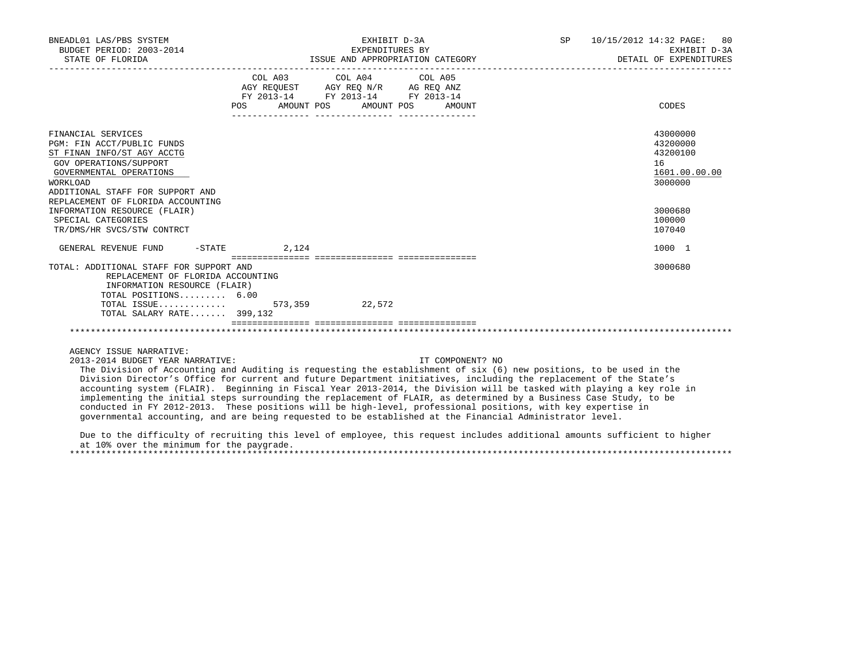| BNEADL01 LAS/PBS SYSTEM<br>BUDGET PERIOD: 2003-2014<br>STATE OF FLORIDA                                                                                                                         |                                  | EXHIBIT D-3A<br>EXPENDITURES BY<br>ISSUE AND APPROPRIATION CATEGORY                                                                                                         | SP 10/15/2012 14:32 PAGE: 80<br>EXHIBIT D-3A<br>DETAIL OF EXPENDITURES |                                                                    |
|-------------------------------------------------------------------------------------------------------------------------------------------------------------------------------------------------|----------------------------------|-----------------------------------------------------------------------------------------------------------------------------------------------------------------------------|------------------------------------------------------------------------|--------------------------------------------------------------------|
|                                                                                                                                                                                                 | POS AMOUNT POS AMOUNT POS AMOUNT | COL A03 COL A04 COL A05<br>$\begin{tabular}{lllllll} AGY & \texttt{REQUEST} & \texttt{AGY REQ N/R} & \texttt{AG REQ ANZ} \end{tabular}$<br>FY 2013-14 FY 2013-14 FY 2013-14 |                                                                        | CODES                                                              |
| FINANCIAL SERVICES<br>PGM: FIN ACCT/PUBLIC FUNDS<br>ST FINAN INFO/ST AGY ACCTG<br>GOV OPERATIONS/SUPPORT<br>GOVERNMENTAL OPERATIONS<br>WORKLOAD<br>ADDITIONAL STAFF FOR SUPPORT AND             |                                  |                                                                                                                                                                             |                                                                        | 43000000<br>43200000<br>43200100<br>16<br>1601.00.00.00<br>3000000 |
| REPLACEMENT OF FLORIDA ACCOUNTING<br>INFORMATION RESOURCE (FLAIR)<br>SPECIAL CATEGORIES<br>TR/DMS/HR SVCS/STW CONTRCT                                                                           |                                  |                                                                                                                                                                             |                                                                        | 3000680<br>100000<br>107040                                        |
| GENERAL REVENUE FUND -STATE 2,124                                                                                                                                                               |                                  |                                                                                                                                                                             |                                                                        | 1000 1                                                             |
| TOTAL: ADDITIONAL STAFF FOR SUPPORT AND<br>REPLACEMENT OF FLORIDA ACCOUNTING<br>INFORMATION RESOURCE (FLAIR)<br>TOTAL POSITIONS 6.00<br>TOTAL ISSUE 573,359 22,572<br>TOTAL SALARY RATE 399,132 | ================================ |                                                                                                                                                                             |                                                                        | 3000680                                                            |
|                                                                                                                                                                                                 |                                  |                                                                                                                                                                             |                                                                        |                                                                    |

2013-2014 BUDGET YEAR NARRATIVE: IT COMPONENT? NO

 The Division of Accounting and Auditing is requesting the establishment of six (6) new positions, to be used in the Division Director's Office for current and future Department initiatives, including the replacement of the State's accounting system (FLAIR). Beginning in Fiscal Year 2013-2014, the Division will be tasked with playing a key role in implementing the initial steps surrounding the replacement of FLAIR, as determined by a Business Case Study, to be conducted in FY 2012-2013. These positions will be high-level, professional positions, with key expertise in governmental accounting, and are being requested to be established at the Financial Administrator level.

 Due to the difficulty of recruiting this level of employee, this request includes additional amounts sufficient to higher at 10% over the minimum for the paygrade.

\*\*\*\*\*\*\*\*\*\*\*\*\*\*\*\*\*\*\*\*\*\*\*\*\*\*\*\*\*\*\*\*\*\*\*\*\*\*\*\*\*\*\*\*\*\*\*\*\*\*\*\*\*\*\*\*\*\*\*\*\*\*\*\*\*\*\*\*\*\*\*\*\*\*\*\*\*\*\*\*\*\*\*\*\*\*\*\*\*\*\*\*\*\*\*\*\*\*\*\*\*\*\*\*\*\*\*\*\*\*\*\*\*\*\*\*\*\*\*\*\*\*\*\*\*\*\*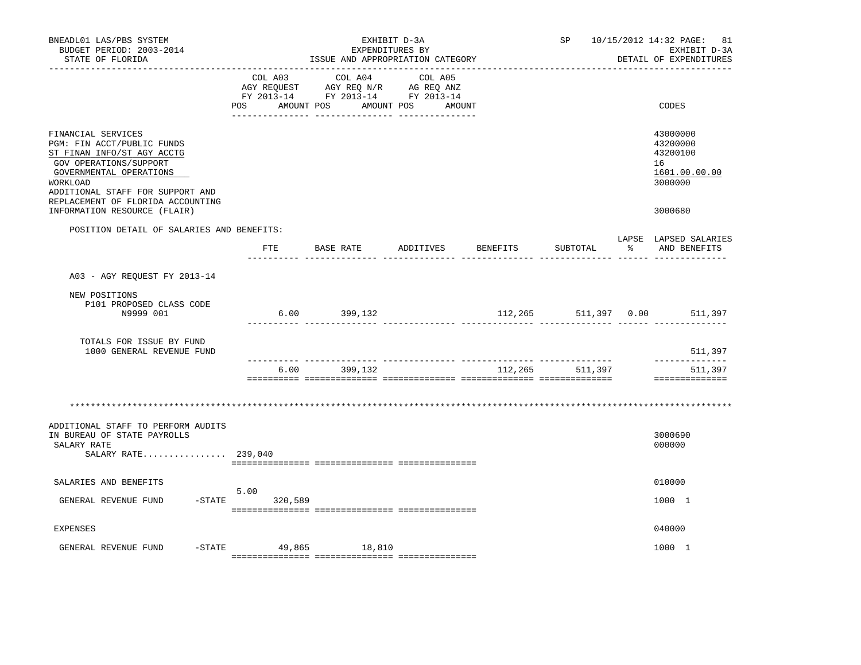| BNEADL01 LAS/PBS SYSTEM<br>BUDGET PERIOD: 2003-2014<br>STATE OF FLORIDA                                                                                                                                                  |                              | SP                                                                                |                              | 10/15/2012 14:32 PAGE: 81<br>EXHIBIT D-3A<br>DETAIL OF EXPENDITURES |                 |   |                                                                    |
|--------------------------------------------------------------------------------------------------------------------------------------------------------------------------------------------------------------------------|------------------------------|-----------------------------------------------------------------------------------|------------------------------|---------------------------------------------------------------------|-----------------|---|--------------------------------------------------------------------|
|                                                                                                                                                                                                                          | COL A03<br>POS<br>AMOUNT POS | COL A04<br>AGY REQUEST AGY REQ N/R AG REQ ANZ<br>FY 2013-14 FY 2013-14 FY 2013-14 | COL A05<br>AMOUNT POS AMOUNT |                                                                     |                 |   | CODES                                                              |
| FINANCIAL SERVICES<br>PGM: FIN ACCT/PUBLIC FUNDS<br>ST FINAN INFO/ST AGY ACCTG<br>GOV OPERATIONS/SUPPORT<br>GOVERNMENTAL OPERATIONS<br>WORKLOAD<br>ADDITIONAL STAFF FOR SUPPORT AND<br>REPLACEMENT OF FLORIDA ACCOUNTING |                              |                                                                                   |                              |                                                                     |                 |   | 43000000<br>43200000<br>43200100<br>16<br>1601.00.00.00<br>3000000 |
| INFORMATION RESOURCE (FLAIR)                                                                                                                                                                                             |                              |                                                                                   |                              |                                                                     |                 |   | 3000680                                                            |
| POSITION DETAIL OF SALARIES AND BENEFITS:                                                                                                                                                                                |                              | FTE BASE RATE ADDITIVES                                                           |                              | BENEFITS                                                            | SUBTOTAL        | ႜ | LAPSE LAPSED SALARIES<br>AND BENEFITS                              |
| A03 - AGY REOUEST FY 2013-14                                                                                                                                                                                             |                              |                                                                                   |                              |                                                                     |                 |   |                                                                    |
| NEW POSITIONS<br>P101 PROPOSED CLASS CODE<br>N9999 001                                                                                                                                                                   |                              | $6.00$ 399,132                                                                    |                              | 112,265                                                             |                 |   | 511,397 0.00 511,397                                               |
| TOTALS FOR ISSUE BY FUND<br>1000 GENERAL REVENUE FUND                                                                                                                                                                    |                              |                                                                                   |                              |                                                                     |                 |   | 511,397                                                            |
|                                                                                                                                                                                                                          | 6.00                         | 399,132                                                                           |                              |                                                                     | 112,265 511,397 |   | -----------<br>511,397<br>==============                           |
|                                                                                                                                                                                                                          |                              |                                                                                   |                              |                                                                     |                 |   |                                                                    |
| ADDITIONAL STAFF TO PERFORM AUDITS<br>IN BUREAU OF STATE PAYROLLS<br>SALARY RATE<br>SALARY RATE 239,040                                                                                                                  |                              |                                                                                   |                              |                                                                     |                 |   | 3000690<br>000000                                                  |
| SALARIES AND BENEFITS                                                                                                                                                                                                    | 5.00                         |                                                                                   |                              |                                                                     |                 |   | 010000                                                             |
| GENERAL REVENUE FUND                                                                                                                                                                                                     | $-STATE$<br>320,589          |                                                                                   |                              |                                                                     |                 |   | 1000 1                                                             |
| <b>EXPENSES</b>                                                                                                                                                                                                          |                              |                                                                                   |                              |                                                                     |                 |   | 040000                                                             |
| $-$ STATE<br>GENERAL REVENUE FUND                                                                                                                                                                                        |                              | 49,865 18,810                                                                     |                              |                                                                     |                 |   | 1000 1                                                             |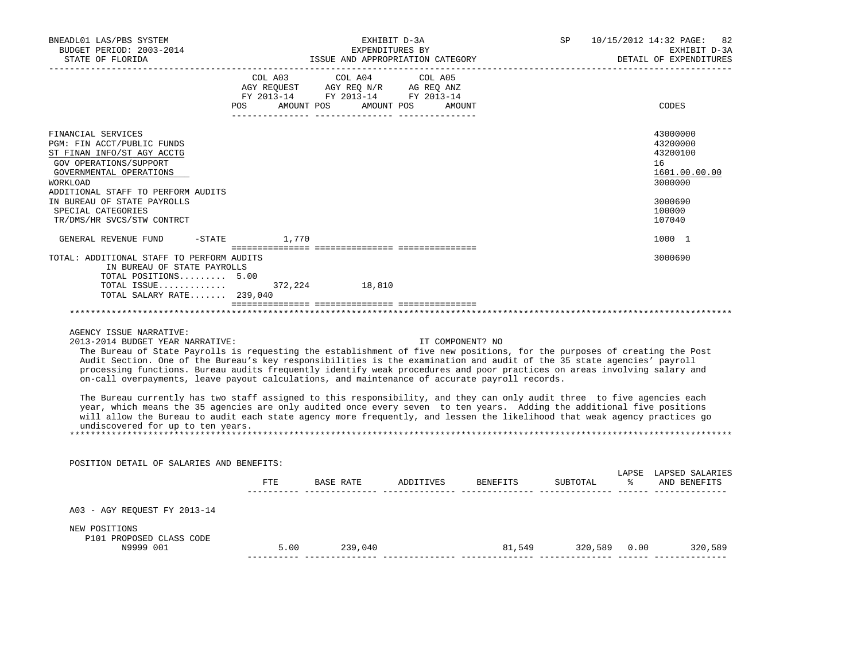| BNEADL01 LAS/PBS SYSTEM<br>BUDGET PERIOD: 2003-2014<br>STATE OF FLORIDA                                                                                                                                                                                                                                                                                                                                                                                                                                                                                                                                                                                                                                                                                                                                                                                                                                                                                                                                                                                                                                   |                                                      | EXHIBIT D-3A<br>EXPENDITURES BY<br>ND APPPOPPIATION<br>ISSUE AND APPROPRIATION CATEGORY |                  | <b>DETAIL</b>                                            | SP 10/15/2012 14:32 PAGE: 82<br>EXHIBIT D-3A<br>DETAIL OF EXPENDITURES |                                                                    |
|-----------------------------------------------------------------------------------------------------------------------------------------------------------------------------------------------------------------------------------------------------------------------------------------------------------------------------------------------------------------------------------------------------------------------------------------------------------------------------------------------------------------------------------------------------------------------------------------------------------------------------------------------------------------------------------------------------------------------------------------------------------------------------------------------------------------------------------------------------------------------------------------------------------------------------------------------------------------------------------------------------------------------------------------------------------------------------------------------------------|------------------------------------------------------|-----------------------------------------------------------------------------------------|------------------|----------------------------------------------------------|------------------------------------------------------------------------|--------------------------------------------------------------------|
|                                                                                                                                                                                                                                                                                                                                                                                                                                                                                                                                                                                                                                                                                                                                                                                                                                                                                                                                                                                                                                                                                                           | COL A03 COL A04 COL A05<br>POS AMOUNT POS AMOUNT POS | -----------------------------                                                           | AMOUNT           |                                                          |                                                                        | CODES                                                              |
| FINANCIAL SERVICES<br>PGM: FIN ACCT/PUBLIC FUNDS<br>ST FINAN INFO/ST AGY ACCTG<br>GOV OPERATIONS/SUPPORT<br>GOVERNMENTAL OPERATIONS<br>WORKLOAD                                                                                                                                                                                                                                                                                                                                                                                                                                                                                                                                                                                                                                                                                                                                                                                                                                                                                                                                                           |                                                      |                                                                                         |                  |                                                          |                                                                        | 43000000<br>43200000<br>43200100<br>16<br>1601.00.00.00<br>3000000 |
| ADDITIONAL STAFF TO PERFORM AUDITS<br>IN BUREAU OF STATE PAYROLLS<br>SPECIAL CATEGORIES<br>TR/DMS/HR SVCS/STW CONTRCT                                                                                                                                                                                                                                                                                                                                                                                                                                                                                                                                                                                                                                                                                                                                                                                                                                                                                                                                                                                     |                                                      |                                                                                         |                  |                                                          |                                                                        | 3000690<br>100000<br>107040                                        |
| GENERAL REVENUE FUND                                                                                                                                                                                                                                                                                                                                                                                                                                                                                                                                                                                                                                                                                                                                                                                                                                                                                                                                                                                                                                                                                      | $-$ STATE 1,770                                      |                                                                                         |                  |                                                          |                                                                        | 1000 1                                                             |
| TOTAL: ADDITIONAL STAFF TO PERFORM AUDITS<br>IN BUREAU OF STATE PAYROLLS<br>TOTAL POSITIONS 5.00<br>TOTAL SALARY RATE $239,040$<br>AGENCY ISSUE NARRATIVE:<br>2013-2014 BUDGET YEAR NARRATIVE:<br>The Bureau of State Payrolls is requesting the establishment of five new positions, for the purposes of creating the Post<br>Audit Section. One of the Bureau's key responsibilities is the examination and audit of the 35 state agencies' payroll<br>processing functions. Bureau audits frequently identify weak procedures and poor practices on areas involving salary and<br>on-call overpayments, leave payout calculations, and maintenance of accurate payroll records.<br>The Bureau currently has two staff assigned to this responsibility, and they can only audit three to five agencies each<br>year, which means the 35 agencies are only audited once every seven to ten years. Adding the additional five positions<br>will allow the Bureau to audit each state agency more frequently, and lessen the likelihood that weak agency practices go<br>undiscovered for up to ten years. |                                                      |                                                                                         | IT COMPONENT? NO |                                                          |                                                                        | 3000690                                                            |
| POSITION DETAIL OF SALARIES AND BENEFITS:                                                                                                                                                                                                                                                                                                                                                                                                                                                                                                                                                                                                                                                                                                                                                                                                                                                                                                                                                                                                                                                                 |                                                      |                                                                                         |                  |                                                          |                                                                        |                                                                    |
|                                                                                                                                                                                                                                                                                                                                                                                                                                                                                                                                                                                                                                                                                                                                                                                                                                                                                                                                                                                                                                                                                                           |                                                      |                                                                                         |                  | FTE BASE RATE ADDITIVES BENEFITS SUBTOTAL % AND BENEFITS |                                                                        | LAPSE LAPSED SALARIES                                              |
| A03 - AGY REOUEST FY 2013-14                                                                                                                                                                                                                                                                                                                                                                                                                                                                                                                                                                                                                                                                                                                                                                                                                                                                                                                                                                                                                                                                              |                                                      |                                                                                         |                  |                                                          |                                                                        |                                                                    |
| NEW POSITIONS<br>P101 PROPOSED CLASS CODE<br>N9999 001                                                                                                                                                                                                                                                                                                                                                                                                                                                                                                                                                                                                                                                                                                                                                                                                                                                                                                                                                                                                                                                    |                                                      | 5.00 239,040                                                                            |                  | $5.00$ 239,040 $320,589$ 0.00 $320,589$ 0.00 $320,589$   |                                                                        |                                                                    |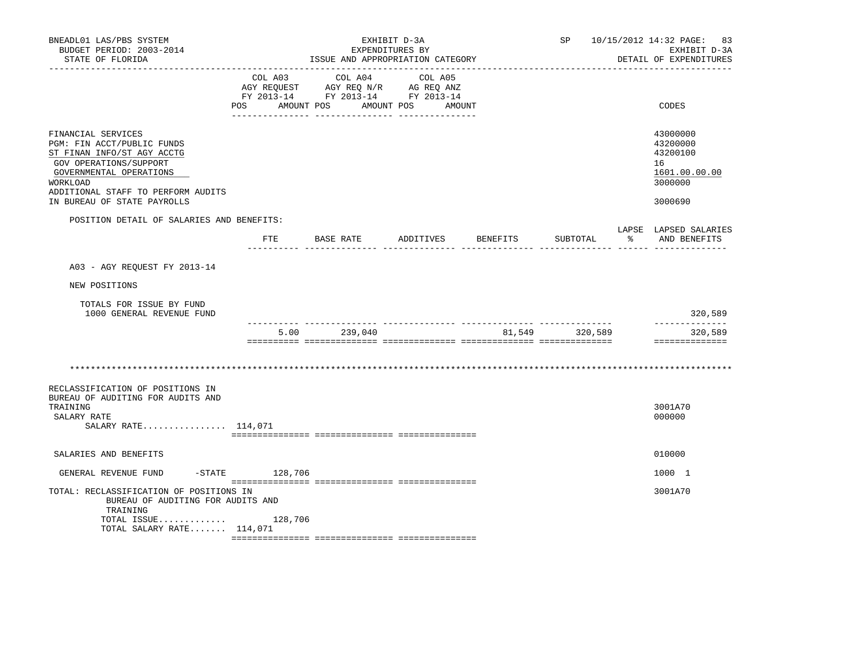| BNEADL01 LAS/PBS SYSTEM<br>BUDGET PERIOD: 2003-2014<br>STATE OF FLORIDA                                                                                                                                              |                   |                                                                                                                               |                                 | SP 10/15/2012 14:32 PAGE: 83<br>EXHIBIT D-3A<br>DETAIL OF EXPENDITURES |                         |     |                                                                               |
|----------------------------------------------------------------------------------------------------------------------------------------------------------------------------------------------------------------------|-------------------|-------------------------------------------------------------------------------------------------------------------------------|---------------------------------|------------------------------------------------------------------------|-------------------------|-----|-------------------------------------------------------------------------------|
| --------------                                                                                                                                                                                                       | POS AMOUNT POS    | ISSUE AND APPROPRIATION CATEGORY<br>COL A03 COL A04<br>AGY REQUEST AGY REQ N/R AG REQ ANZ<br>FY 2013-14 FY 2013-14 FY 2013-14 | COL A05<br>AMOUNT POS<br>AMOUNT |                                                                        |                         |     | CODES                                                                         |
| FINANCIAL SERVICES<br>PGM: FIN ACCT/PUBLIC FUNDS<br>ST FINAN INFO/ST AGY ACCTG<br>GOV OPERATIONS/SUPPORT<br>GOVERNMENTAL OPERATIONS<br>WORKLOAD<br>ADDITIONAL STAFF TO PERFORM AUDITS<br>IN BUREAU OF STATE PAYROLLS |                   |                                                                                                                               |                                 |                                                                        |                         |     | 43000000<br>43200000<br>43200100<br>16<br>1601.00.00.00<br>3000000<br>3000690 |
| POSITION DETAIL OF SALARIES AND BENEFITS:                                                                                                                                                                            | FTE               | BASE RATE                                                                                                                     | ADDITIVES BENEFITS              |                                                                        | SUBTOTAL                | - 왕 | LAPSE LAPSED SALARIES<br>AND BENEFITS                                         |
|                                                                                                                                                                                                                      |                   |                                                                                                                               |                                 |                                                                        | <u>--------- ------</u> |     |                                                                               |
| A03 - AGY REQUEST FY 2013-14                                                                                                                                                                                         |                   |                                                                                                                               |                                 |                                                                        |                         |     |                                                                               |
| NEW POSITIONS                                                                                                                                                                                                        |                   |                                                                                                                               |                                 |                                                                        |                         |     |                                                                               |
| TOTALS FOR ISSUE BY FUND<br>1000 GENERAL REVENUE FUND                                                                                                                                                                |                   |                                                                                                                               |                                 |                                                                        |                         |     | 320,589                                                                       |
|                                                                                                                                                                                                                      | 5.00              | 239,040                                                                                                                       |                                 |                                                                        | 81,549 320,589          |     | --------------<br>320,589                                                     |
|                                                                                                                                                                                                                      |                   |                                                                                                                               |                                 |                                                                        |                         |     | ==============                                                                |
|                                                                                                                                                                                                                      |                   |                                                                                                                               |                                 |                                                                        |                         |     |                                                                               |
| RECLASSIFICATION OF POSITIONS IN<br>BUREAU OF AUDITING FOR AUDITS AND<br>TRAINING<br>SALARY RATE<br>SALARY RATE 114,071                                                                                              |                   |                                                                                                                               |                                 |                                                                        |                         |     | 3001A70<br>000000                                                             |
| SALARIES AND BENEFITS                                                                                                                                                                                                |                   |                                                                                                                               |                                 |                                                                        |                         |     | 010000                                                                        |
| GENERAL REVENUE FUND                                                                                                                                                                                                 | $-$ STATE 128,706 |                                                                                                                               |                                 |                                                                        |                         |     | 1000 1                                                                        |
| TOTAL: RECLASSIFICATION OF POSITIONS IN<br>BUREAU OF AUDITING FOR AUDITS AND<br>TRAINING<br>TOTAL ISSUE $128,706$                                                                                                    |                   |                                                                                                                               |                                 |                                                                        |                         |     | 3001A70                                                                       |
| TOTAL SALARY RATE 114,071                                                                                                                                                                                            |                   |                                                                                                                               |                                 |                                                                        |                         |     |                                                                               |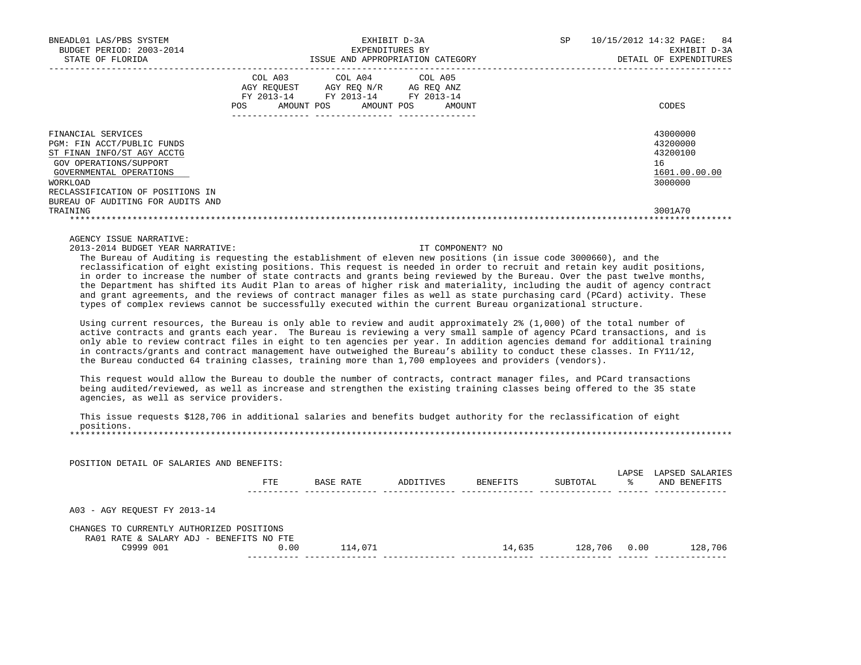| BNEADL01 LAS/PBS SYSTEM<br>BUDGET PERIOD: 2003-2014<br>STATE OF FLORIDA                                                                                |                                                           | EXHIBIT D-3A<br>EXPENDITURES BY<br>ISSUE AND APPROPRIATION CATEGORY | SP                                                    | 84<br>10/15/2012 14:32 PAGE:<br>EXHIBIT D-3A<br>DETAIL OF EXPENDITURES |                                                                    |
|--------------------------------------------------------------------------------------------------------------------------------------------------------|-----------------------------------------------------------|---------------------------------------------------------------------|-------------------------------------------------------|------------------------------------------------------------------------|--------------------------------------------------------------------|
|                                                                                                                                                        | COL A03<br>AGY REOUEST<br>FY 2013-14<br>AMOUNT POS<br>POS | AGY REO N/R<br>FY 2013-14<br>AMOUNT POS                             | COL A04 COL A05<br>AG REO ANZ<br>FY 2013-14<br>AMOUNT |                                                                        | CODES                                                              |
| FINANCIAL SERVICES<br>PGM: FIN ACCT/PUBLIC FUNDS<br>ST FINAN INFO/ST AGY ACCTG<br>GOV OPERATIONS/SUPPORT<br>GOVERNMENTAL OPERATIONS<br><b>WORKLOAD</b> |                                                           |                                                                     |                                                       |                                                                        | 43000000<br>43200000<br>43200100<br>16<br>1601.00.00.00<br>3000000 |
| RECLASSIFICATION OF POSITIONS IN<br>BUREAU OF AUDITING FOR AUDITS AND<br>TRAINING                                                                      |                                                           |                                                                     |                                                       |                                                                        | 3001A70                                                            |

2013-2014 BUDGET YEAR NARRATIVE: IT COMPONENT? NO

 The Bureau of Auditing is requesting the establishment of eleven new positions (in issue code 3000660), and the reclassification of eight existing positions. This request is needed in order to recruit and retain key audit positions, in order to increase the number of state contracts and grants being reviewed by the Bureau. Over the past twelve months, the Department has shifted its Audit Plan to areas of higher risk and materiality, including the audit of agency contract and grant agreements, and the reviews of contract manager files as well as state purchasing card (PCard) activity. These types of complex reviews cannot be successfully executed within the current Bureau organizational structure.

 Using current resources, the Bureau is only able to review and audit approximately 2% (1,000) of the total number of active contracts and grants each year. The Bureau is reviewing a very small sample of agency PCard transactions, and is only able to review contract files in eight to ten agencies per year. In addition agencies demand for additional training in contracts/grants and contract management have outweighed the Bureau's ability to conduct these classes. In FY11/12, the Bureau conducted 64 training classes, training more than 1,700 employees and providers (vendors).

This request would allow the Bureau to double the number of contracts, contract manager files, and PCard transactions being audited/reviewed, as well as increase and strengthen the existing training classes being offered to the 35 state agencies, as well as service providers.

 This issue requests \$128,706 in additional salaries and benefits budget authority for the reclassification of eight positions. \*\*\*\*\*\*\*\*\*\*\*\*\*\*\*\*\*\*\*\*\*\*\*\*\*\*\*\*\*\*\*\*\*\*\*\*\*\*\*\*\*\*\*\*\*\*\*\*\*\*\*\*\*\*\*\*\*\*\*\*\*\*\*\*\*\*\*\*\*\*\*\*\*\*\*\*\*\*\*\*\*\*\*\*\*\*\*\*\*\*\*\*\*\*\*\*\*\*\*\*\*\*\*\*\*\*\*\*\*\*\*\*\*\*\*\*\*\*\*\*\*\*\*\*\*\*\*

 POSITION DETAIL OF SALARIES AND BENEFITS: LAPSE LAPSED SALARIES<br>% AND BENEFITS FTE BASE RATE ADDITIVES BENEFITS SUBTOTAL ---------- -------------- -------------- -------------- -------------- ------ -------------- A03 - AGY REQUEST FY 2013-14 CHANGES TO CURRENTLY AUTHORIZED POSITIONS RA01 RATE & SALARY ADJ - BENEFITS NO FTE C9999 001 0.00 114,071 14,635 128,706 0.00 128,706 ---------- -------------- -------------- -------------- -------------- ------ --------------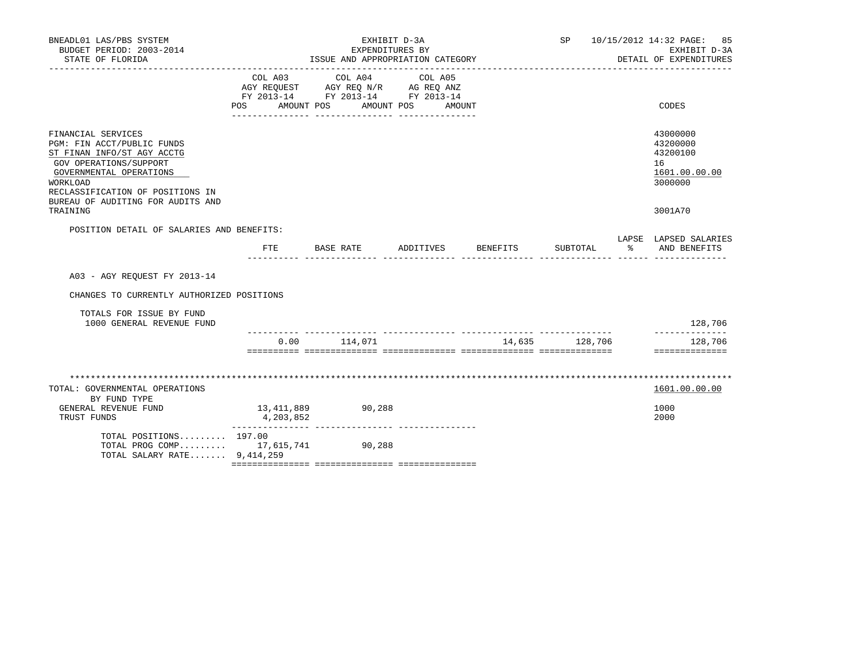| BNEADL01 LAS/PBS SYSTEM<br>BUDGET PERIOD: 2003-2014<br>STATE OF FLORIDA                                                                                                                                                              |                              | EXHIBIT D-3A<br>EXPENDITURES BY<br>ISSUE AND APPROPRIATION CATEGORY               |                                 |          |                |    | SP 10/15/2012 14:32 PAGE: 85<br>EXHIBIT D-3A<br>DETAIL OF EXPENDITURES        |
|--------------------------------------------------------------------------------------------------------------------------------------------------------------------------------------------------------------------------------------|------------------------------|-----------------------------------------------------------------------------------|---------------------------------|----------|----------------|----|-------------------------------------------------------------------------------|
|                                                                                                                                                                                                                                      | COL A03<br>POS<br>AMOUNT POS | COL A04<br>AGY REQUEST AGY REQ N/R AG REQ ANZ<br>FY 2013-14 FY 2013-14 FY 2013-14 | COL A05<br>AMOUNT POS<br>AMOUNT |          |                |    | CODES                                                                         |
| FINANCIAL SERVICES<br>PGM: FIN ACCT/PUBLIC FUNDS<br>ST FINAN INFO/ST AGY ACCTG<br>GOV OPERATIONS/SUPPORT<br>GOVERNMENTAL OPERATIONS<br>WORKLOAD<br>RECLASSIFICATION OF POSITIONS IN<br>BUREAU OF AUDITING FOR AUDITS AND<br>TRAINING |                              |                                                                                   |                                 |          |                |    | 43000000<br>43200000<br>43200100<br>16<br>1601.00.00.00<br>3000000<br>3001A70 |
|                                                                                                                                                                                                                                      |                              |                                                                                   |                                 |          |                |    |                                                                               |
| POSITION DETAIL OF SALARIES AND BENEFITS:                                                                                                                                                                                            |                              | FTE BASE RATE                                                                     | ADDITIVES                       | BENEFITS | SUBTOTAL       | ႜႂ | LAPSE LAPSED SALARIES<br>AND BENEFITS                                         |
| A03 - AGY REOUEST FY 2013-14                                                                                                                                                                                                         |                              |                                                                                   |                                 |          |                |    |                                                                               |
| CHANGES TO CURRENTLY AUTHORIZED POSITIONS                                                                                                                                                                                            |                              |                                                                                   |                                 |          |                |    |                                                                               |
| TOTALS FOR ISSUE BY FUND<br>1000 GENERAL REVENUE FUND                                                                                                                                                                                |                              |                                                                                   |                                 |          |                |    | 128,706                                                                       |
|                                                                                                                                                                                                                                      | 0.00                         | 114,071                                                                           |                                 |          | 14,635 128,706 |    | ____________<br>128,706<br>==============                                     |
|                                                                                                                                                                                                                                      |                              |                                                                                   |                                 |          |                |    |                                                                               |
| TOTAL: GOVERNMENTAL OPERATIONS<br>BY FUND TYPE                                                                                                                                                                                       |                              |                                                                                   |                                 |          |                |    | 1601.00.00.00                                                                 |
| GENERAL REVENUE FUND<br>TRUST FUNDS                                                                                                                                                                                                  | 13,411,889<br>4,203,852      | 90,288                                                                            |                                 |          |                |    | 1000<br>2000                                                                  |
| TOTAL POSITIONS 197.00<br>TOTAL PROG COMP 17,615,741 90,288<br>TOTAL SALARY RATE 9,414,259                                                                                                                                           |                              |                                                                                   |                                 |          |                |    |                                                                               |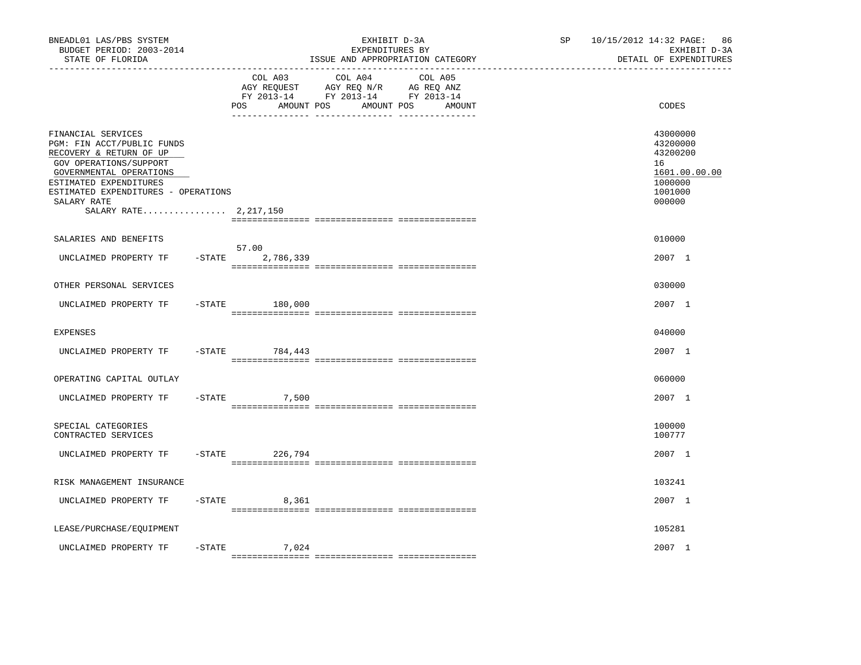| BNEADL01 LAS/PBS SYSTEM<br>BUDGET PERIOD: 2003-2014<br>STATE OF FLORIDA                                                                                                                                                                   |                                 | EXHIBIT D-3A<br>EXPENDITURES BY<br>ISSUE AND APPROPRIATION CATEGORY                                                                                        | SP | 10/15/2012 14:32 PAGE: 86<br>EXHIBIT D-3A<br>DETAIL OF EXPENDITURES                     |
|-------------------------------------------------------------------------------------------------------------------------------------------------------------------------------------------------------------------------------------------|---------------------------------|------------------------------------------------------------------------------------------------------------------------------------------------------------|----|-----------------------------------------------------------------------------------------|
|                                                                                                                                                                                                                                           | COL A03<br>AMOUNT POS<br>POS    | COL A04<br>COL A05<br>AGY REQUEST AGY REQ N/R AG REQ ANZ<br>FY 2013-14 FY 2013-14 FY 2013-14<br>AMOUNT POS AMOUNT<br>_____ ________________ ______________ |    | CODES                                                                                   |
| FINANCIAL SERVICES<br>PGM: FIN ACCT/PUBLIC FUNDS<br>RECOVERY & RETURN OF UP<br>GOV OPERATIONS/SUPPORT<br>GOVERNMENTAL OPERATIONS<br>ESTIMATED EXPENDITURES<br>ESTIMATED EXPENDITURES - OPERATIONS<br>SALARY RATE<br>SALARY RATE 2,217,150 |                                 |                                                                                                                                                            |    | 43000000<br>43200000<br>43200200<br>16<br>1601.00.00.00<br>1000000<br>1001000<br>000000 |
| SALARIES AND BENEFITS                                                                                                                                                                                                                     |                                 |                                                                                                                                                            |    | 010000                                                                                  |
| UNCLAIMED PROPERTY TF                                                                                                                                                                                                                     | 57.00<br>$-$ STATE<br>2,786,339 |                                                                                                                                                            |    | 2007 1                                                                                  |
| OTHER PERSONAL SERVICES                                                                                                                                                                                                                   |                                 |                                                                                                                                                            |    | 030000                                                                                  |
| UNCLAIMED PROPERTY TF                                                                                                                                                                                                                     | $-STATE$ 180,000                |                                                                                                                                                            |    | 2007 1                                                                                  |
| <b>EXPENSES</b>                                                                                                                                                                                                                           |                                 |                                                                                                                                                            |    | 040000                                                                                  |
| UNCLAIMED PROPERTY TF                                                                                                                                                                                                                     | $-$ STATE<br>784,443            |                                                                                                                                                            |    | 2007 1                                                                                  |
| OPERATING CAPITAL OUTLAY                                                                                                                                                                                                                  |                                 |                                                                                                                                                            |    | 060000                                                                                  |
| UNCLAIMED PROPERTY TF                                                                                                                                                                                                                     | $-$ STATE<br>7,500              |                                                                                                                                                            |    | 2007 1                                                                                  |
| SPECIAL CATEGORIES<br>CONTRACTED SERVICES                                                                                                                                                                                                 |                                 |                                                                                                                                                            |    | 100000<br>100777                                                                        |
| UNCLAIMED PROPERTY TF                                                                                                                                                                                                                     | $-$ STATE<br>226,794            |                                                                                                                                                            |    | 2007 1                                                                                  |
| RISK MANAGEMENT INSURANCE                                                                                                                                                                                                                 |                                 |                                                                                                                                                            |    | 103241                                                                                  |
| UNCLAIMED PROPERTY TF                                                                                                                                                                                                                     | $-$ STATE 8,361                 |                                                                                                                                                            |    | 2007 1                                                                                  |
| LEASE/PURCHASE/EQUIPMENT                                                                                                                                                                                                                  |                                 |                                                                                                                                                            |    | 105281                                                                                  |
| $-STATE$<br>UNCLAIMED PROPERTY TF                                                                                                                                                                                                         | 7,024                           |                                                                                                                                                            |    | 2007 1                                                                                  |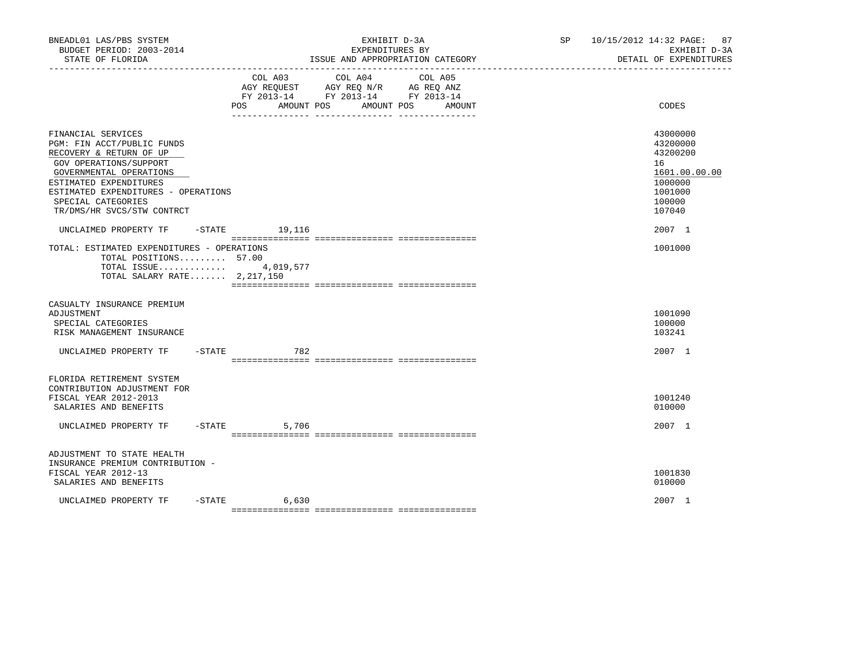| BNEADL01 LAS/PBS SYSTEM<br>BUDGET PERIOD: 2003-2014<br>STATE OF FLORIDA                                                                                                                                                                               |           |                               | EXPENDITURES BY                                                                                 | EXHIBIT D-3A<br>ISSUE AND APPROPRIATION CATEGORY | SP 10/15/2012 14:32 PAGE: 87<br>EXHIBIT D-3A<br>DETAIL OF EXPENDITURES                            |
|-------------------------------------------------------------------------------------------------------------------------------------------------------------------------------------------------------------------------------------------------------|-----------|-------------------------------|-------------------------------------------------------------------------------------------------|--------------------------------------------------|---------------------------------------------------------------------------------------------------|
|                                                                                                                                                                                                                                                       |           | COL A03<br>POS.<br>AMOUNT POS | COL A04<br>AGY REQUEST AGY REQ N/R AG REQ ANZ<br>FY 2013-14 FY 2013-14 FY 2013-14<br>AMOUNT POS | COL A05<br>AMOUNT                                | CODES                                                                                             |
| FINANCIAL SERVICES<br>PGM: FIN ACCT/PUBLIC FUNDS<br>RECOVERY & RETURN OF UP<br>GOV OPERATIONS/SUPPORT<br>GOVERNMENTAL OPERATIONS<br>ESTIMATED EXPENDITURES<br>ESTIMATED EXPENDITURES - OPERATIONS<br>SPECIAL CATEGORIES<br>TR/DMS/HR SVCS/STW CONTRCT |           |                               |                                                                                                 |                                                  | 43000000<br>43200000<br>43200200<br>16<br>1601.00.00.00<br>1000000<br>1001000<br>100000<br>107040 |
| UNCLAIMED PROPERTY TF<br>TOTAL: ESTIMATED EXPENDITURES - OPERATIONS<br>TOTAL POSITIONS 57.00<br>TOTAL ISSUE 4,019,577<br>TOTAL SALARY RATE 2,217,150                                                                                                  |           | $-$ STATE $19, 116$           |                                                                                                 |                                                  | 2007 1<br>1001000                                                                                 |
| CASUALTY INSURANCE PREMIUM<br>ADJUSTMENT<br>SPECIAL CATEGORIES<br>RISK MANAGEMENT INSURANCE                                                                                                                                                           |           |                               |                                                                                                 |                                                  | 1001090<br>100000<br>103241                                                                       |
| UNCLAIMED PROPERTY TF                                                                                                                                                                                                                                 | $-$ STATE | 782                           |                                                                                                 |                                                  | 2007 1                                                                                            |
| FLORIDA RETIREMENT SYSTEM<br>CONTRIBUTION ADJUSTMENT FOR<br>FISCAL YEAR 2012-2013<br>SALARIES AND BENEFITS<br>UNCLAIMED PROPERTY TF                                                                                                                   |           | $-STATE$<br>5,706             |                                                                                                 |                                                  | 1001240<br>010000<br>2007 1                                                                       |
| ADJUSTMENT TO STATE HEALTH<br>INSURANCE PREMIUM CONTRIBUTION -<br>FISCAL YEAR 2012-13<br>SALARIES AND BENEFITS                                                                                                                                        |           |                               |                                                                                                 |                                                  | 1001830<br>010000                                                                                 |
| UNCLAIMED PROPERTY TF                                                                                                                                                                                                                                 | $-$ STATE | 6,630                         |                                                                                                 |                                                  | 2007 1                                                                                            |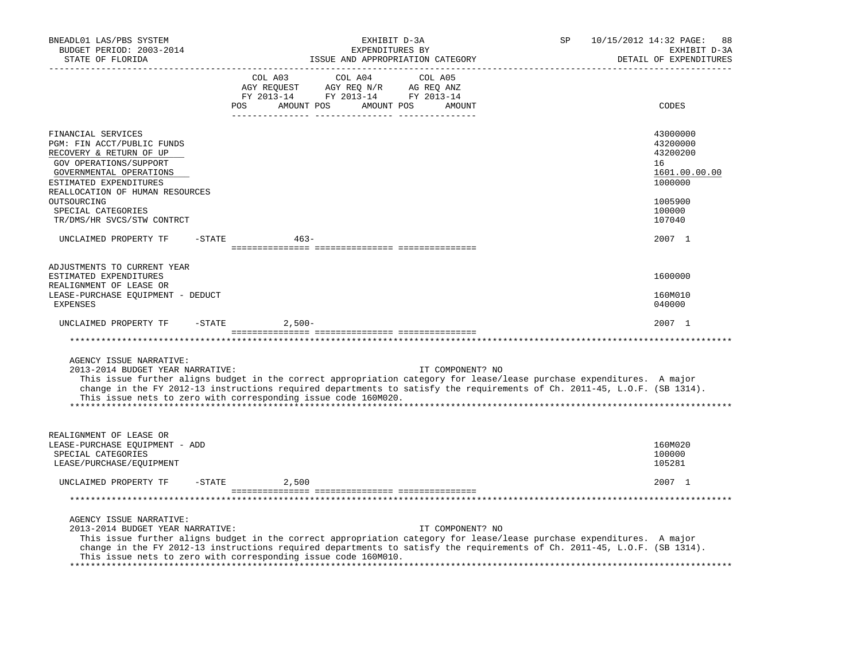| BNEADL01 LAS/PBS SYSTEM<br>BUDGET PERIOD: 2003-2014<br>STATE OF FLORIDA                                                                                                                       | EXHIBIT D-3A<br>SP<br>EXPENDITURES BY<br>ISSUE AND APPROPRIATION CATEGORY                                                                                                                                                                                                                                                               | 10/15/2012 14:32 PAGE:<br>88<br>EXHIBIT D-3A<br>DETAIL OF EXPENDITURES |
|-----------------------------------------------------------------------------------------------------------------------------------------------------------------------------------------------|-----------------------------------------------------------------------------------------------------------------------------------------------------------------------------------------------------------------------------------------------------------------------------------------------------------------------------------------|------------------------------------------------------------------------|
|                                                                                                                                                                                               | COL A03<br>COL A04<br>COL A05<br>AGY REQUEST AGY REQ N/R AG REQ ANZ<br>FY 2013-14 FY 2013-14 FY 2013-14<br>POS<br>AMOUNT POS AMOUNT POS<br>AMOUNT                                                                                                                                                                                       | CODES                                                                  |
| FINANCIAL SERVICES<br>PGM: FIN ACCT/PUBLIC FUNDS<br>RECOVERY & RETURN OF UP<br>GOV OPERATIONS/SUPPORT<br>GOVERNMENTAL OPERATIONS<br>ESTIMATED EXPENDITURES<br>REALLOCATION OF HUMAN RESOURCES |                                                                                                                                                                                                                                                                                                                                         | 43000000<br>43200000<br>43200200<br>16<br>1601.00.00.00<br>1000000     |
| OUTSOURCING<br>SPECIAL CATEGORIES<br>TR/DMS/HR SVCS/STW CONTRCT                                                                                                                               |                                                                                                                                                                                                                                                                                                                                         | 1005900<br>100000<br>107040                                            |
| $-$ STATE<br>UNCLAIMED PROPERTY TF                                                                                                                                                            | $463 -$                                                                                                                                                                                                                                                                                                                                 | 2007 1                                                                 |
| ADJUSTMENTS TO CURRENT YEAR<br>ESTIMATED EXPENDITURES<br>REALIGNMENT OF LEASE OR<br>LEASE-PURCHASE EQUIPMENT - DEDUCT<br>EXPENSES                                                             |                                                                                                                                                                                                                                                                                                                                         | 1600000<br>160M010<br>040000                                           |
| UNCLAIMED PROPERTY TF<br>$-$ STATE                                                                                                                                                            | $2,500-$                                                                                                                                                                                                                                                                                                                                | 2007 1                                                                 |
|                                                                                                                                                                                               |                                                                                                                                                                                                                                                                                                                                         |                                                                        |
| AGENCY ISSUE NARRATIVE:<br>2013-2014 BUDGET YEAR NARRATIVE:                                                                                                                                   | IT COMPONENT? NO<br>This issue further aligns budget in the correct appropriation category for lease/lease purchase expenditures. A major<br>change in the FY 2012-13 instructions required departments to satisfy the requirements of Ch. 2011-45, L.O.F. (SB 1314).<br>This issue nets to zero with corresponding issue code 160M020. |                                                                        |
| REALIGNMENT OF LEASE OR<br>LEASE-PURCHASE EQUIPMENT - ADD<br>SPECIAL CATEGORIES<br>LEASE/PURCHASE/EQUIPMENT                                                                                   |                                                                                                                                                                                                                                                                                                                                         | 160M020<br>100000<br>105281                                            |
| UNCLAIMED PROPERTY TF<br>$-$ STATE                                                                                                                                                            | 2,500                                                                                                                                                                                                                                                                                                                                   | 2007 1                                                                 |
|                                                                                                                                                                                               |                                                                                                                                                                                                                                                                                                                                         |                                                                        |
| AGENCY ISSUE NARRATIVE:<br>2013-2014 BUDGET YEAR NARRATIVE:                                                                                                                                   | IT COMPONENT? NO<br>This issue further aligns budget in the correct appropriation category for lease/lease purchase expenditures. A major<br>change in the FY 2012-13 instructions required departments to satisfy the requirements of Ch. 2011-45, L.O.F. (SB 1314).<br>This issue nets to zero with corresponding issue code 160M010. |                                                                        |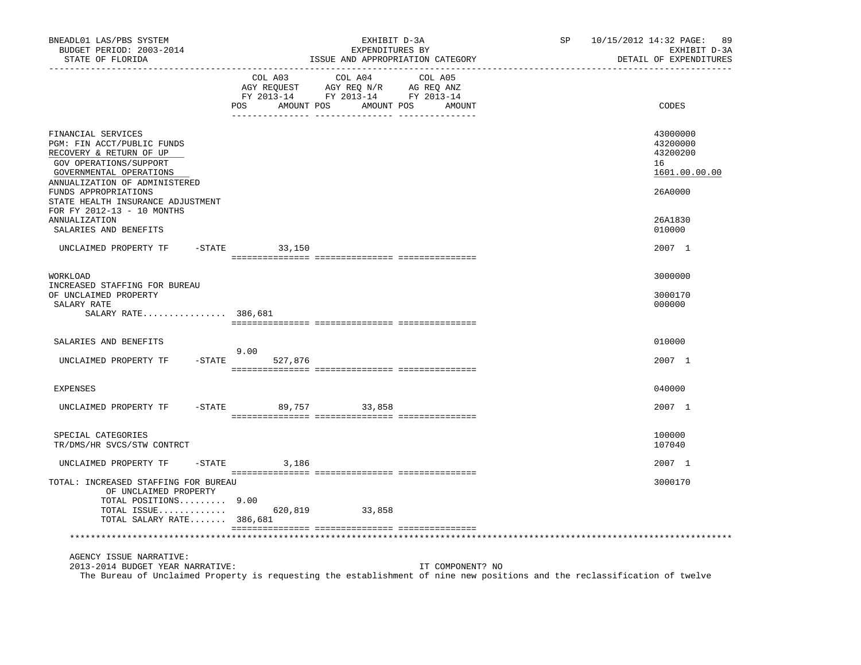| BNEADL01 LAS/PBS SYSTEM<br>BUDGET PERIOD: 2003-2014<br>STATE OF FLORIDA                                                                                                                                                                                                       |                           | EXHIBIT D-3A<br>EXPENDITURES BY<br>ISSUE AND APPROPRIATION CATEGORY                       | 10/15/2012 14:32 PAGE: 89<br>SP<br>EXHIBIT D-3A<br>DETAIL OF EXPENDITURES                                                 |
|-------------------------------------------------------------------------------------------------------------------------------------------------------------------------------------------------------------------------------------------------------------------------------|---------------------------|-------------------------------------------------------------------------------------------|---------------------------------------------------------------------------------------------------------------------------|
|                                                                                                                                                                                                                                                                               | COL A03<br>POS AMOUNT POS | COL A04<br>COL A05<br>NG REQUEST<br>FY 2013-14 FY 2013-14 FY 2013-14<br>AMOUNT POS AMOUNT | CODES                                                                                                                     |
| FINANCIAL SERVICES<br>PGM: FIN ACCT/PUBLIC FUNDS<br>RECOVERY & RETURN OF UP<br>GOV OPERATIONS/SUPPORT<br>GOVERNMENTAL OPERATIONS<br>ANNUALIZATION OF ADMINISTERED<br>FUNDS APPROPRIATIONS<br>STATE HEALTH INSURANCE ADJUSTMENT<br>FOR FY 2012-13 - 10 MONTHS<br>ANNUALIZATION |                           |                                                                                           | 43000000<br>43200000<br>43200200<br>16<br>1601.00.00.00<br>26A0000<br>26A1830                                             |
| SALARIES AND BENEFITS<br>UNCLAIMED PROPERTY TF -STATE 33,150                                                                                                                                                                                                                  |                           |                                                                                           | 010000<br>2007 1                                                                                                          |
|                                                                                                                                                                                                                                                                               |                           |                                                                                           |                                                                                                                           |
| WORKLOAD<br>INCREASED STAFFING FOR BUREAU                                                                                                                                                                                                                                     |                           |                                                                                           | 3000000                                                                                                                   |
| OF UNCLAIMED PROPERTY<br>SALARY RATE<br>SALARY RATE 386,681                                                                                                                                                                                                                   |                           |                                                                                           | 3000170<br>000000                                                                                                         |
|                                                                                                                                                                                                                                                                               |                           |                                                                                           |                                                                                                                           |
| SALARIES AND BENEFITS                                                                                                                                                                                                                                                         | 9.00                      |                                                                                           | 010000                                                                                                                    |
| UNCLAIMED PROPERTY TF -STATE                                                                                                                                                                                                                                                  | 527,876                   |                                                                                           | 2007 1                                                                                                                    |
| <b>EXPENSES</b>                                                                                                                                                                                                                                                               |                           |                                                                                           | 040000                                                                                                                    |
| UNCLAIMED PROPERTY TF                                                                                                                                                                                                                                                         | -STATE 89,757 33,858      |                                                                                           | 2007 1                                                                                                                    |
| SPECIAL CATEGORIES<br>TR/DMS/HR SVCS/STW CONTRCT                                                                                                                                                                                                                              |                           |                                                                                           | 100000<br>107040                                                                                                          |
| UNCLAIMED PROPERTY TF                                                                                                                                                                                                                                                         | $-$ STATE 3, 186          |                                                                                           | 2007 1                                                                                                                    |
| TOTAL: INCREASED STAFFING FOR BUREAU<br>OF UNCLAIMED PROPERTY                                                                                                                                                                                                                 |                           |                                                                                           | 3000170                                                                                                                   |
| TOTAL POSITIONS 9.00<br>TOTAL ISSUE 620,819 33,858<br>TOTAL SALARY RATE 386,681                                                                                                                                                                                               |                           |                                                                                           |                                                                                                                           |
|                                                                                                                                                                                                                                                                               |                           |                                                                                           |                                                                                                                           |
| AGENCY ISSUE NARRATIVE:<br>2013-2014 BUDGET YEAR NARRATIVE:                                                                                                                                                                                                                   |                           | IT COMPONENT? NO                                                                          | The Bureau of Unclaimed Property is requesting the establishment of nine new positions and the reclassification of twelve |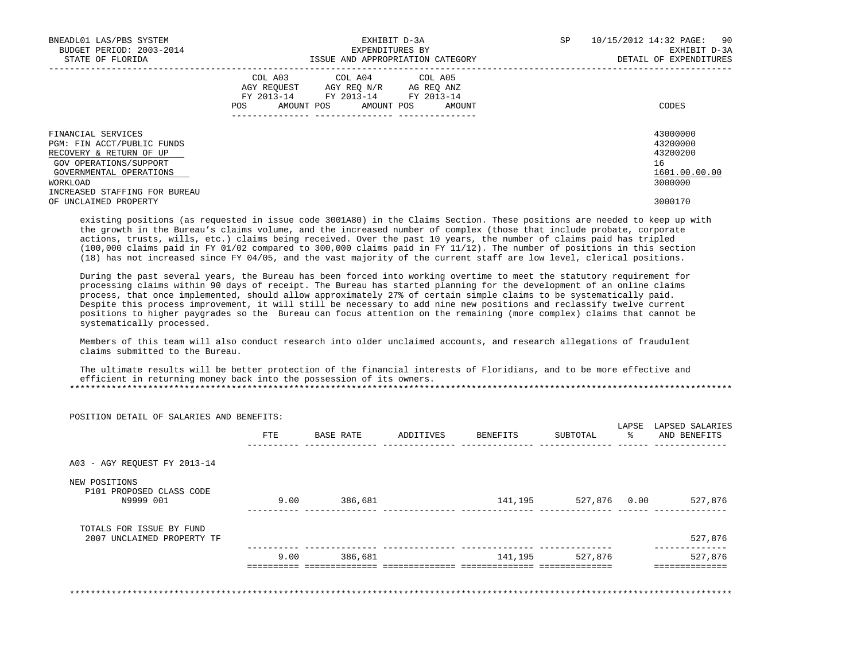| BNEADL01 LAS/PBS SYSTEM<br>BUDGET PERIOD: 2003-2014<br>STATE OF FLORIDA                                                                      | EXHIBIT D-3A<br>EXPENDITURES BY<br>ISSUE AND APPROPRIATION CATEGORY                                                                         | 10/15/2012 14:32 PAGE: 90<br>SP<br>EXHIBIT D-3A<br>DETAIL OF EXPENDITURES |
|----------------------------------------------------------------------------------------------------------------------------------------------|---------------------------------------------------------------------------------------------------------------------------------------------|---------------------------------------------------------------------------|
|                                                                                                                                              | COL A03 COL A04 COL A05<br>AGY REQUEST AGY REQ N/R AG REQ ANZ<br>FY 2013-14 FY 2013-14 FY 2013-14<br>AMOUNT POS AMOUNT POS<br>POS<br>AMOUNT | CODES                                                                     |
| FINANCIAL SERVICES<br>PGM: FIN ACCT/PUBLIC FUNDS<br>RECOVERY & RETURN OF UP<br>GOV OPERATIONS/SUPPORT<br>GOVERNMENTAL OPERATIONS<br>WORKLOAD |                                                                                                                                             | 43000000<br>43200000<br>43200200<br>16<br>1601.00.00.00<br>3000000        |
| INCREASED STAFFING FOR BUREAU<br>OF UNCLAIMED PROPERTY                                                                                       |                                                                                                                                             | 3000170                                                                   |

 existing positions (as requested in issue code 3001A80) in the Claims Section. These positions are needed to keep up with the growth in the Bureau's claims volume, and the increased number of complex (those that include probate, corporate actions, trusts, wills, etc.) claims being received. Over the past 10 years, the number of claims paid has tripled (100,000 claims paid in FY 01/02 compared to 300,000 claims paid in FY 11/12). The number of positions in this section (18) has not increased since FY 04/05, and the vast majority of the current staff are low level, clerical positions.

 During the past several years, the Bureau has been forced into working overtime to meet the statutory requirement for processing claims within 90 days of receipt. The Bureau has started planning for the development of an online claims process, that once implemented, should allow approximately 27% of certain simple claims to be systematically paid. Despite this process improvement, it will still be necessary to add nine new positions and reclassify twelve current positions to higher paygrades so the Bureau can focus attention on the remaining (more complex) claims that cannot be systematically processed.

 Members of this team will also conduct research into older unclaimed accounts, and research allegations of fraudulent claims submitted to the Bureau.

POSITION DETAIL OF SALARIES AND BENEFITS:

 The ultimate results will be better protection of the financial interests of Floridians, and to be more effective and efficient in returning money back into the possession of its owners.

| POSITION DETAIL OF SALARIES AND BENEFITS:              | FTE  | BASE RATE | ADDITIVES | BENEFITS | SUBTOTAL | LAPSE | LAPSED SALARIES<br>AND BENEFITS |
|--------------------------------------------------------|------|-----------|-----------|----------|----------|-------|---------------------------------|
|                                                        |      |           |           |          |          |       |                                 |
| A03 - AGY REQUEST FY 2013-14                           |      |           |           |          |          |       |                                 |
| NEW POSITIONS<br>P101 PROPOSED CLASS CODE<br>N9999 001 | 9.00 | 386,681   |           | 141,195  | 527,876  | 0.00  | 527,876                         |
| TOTALS FOR ISSUE BY FUND<br>2007 UNCLAIMED PROPERTY TF |      |           |           |          |          |       | 527,876                         |
|                                                        | 9.00 | 386,681   |           | 141,195  | 527,876  |       | 527,876                         |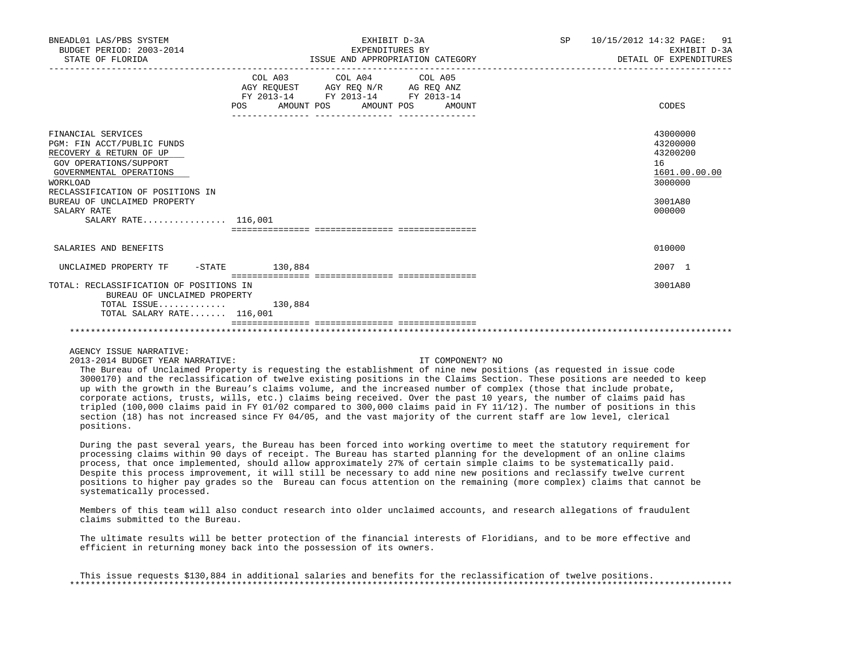| BNEADL01 LAS/PBS SYSTEM<br>BUDGET PERIOD: 2003-2014<br>STATE OF FLORIDA                                                                                                                                                                                |                   | EXHIBIT D-3A<br>EXPENDITURES BY<br>ISSUE AND APPROPRIATION CATEGORY                                                                                                                                                                                                                                                      | SP 10/15/2012 14:32 PAGE: 91<br>EXHIBIT D-3A<br>DETAIL OF EXPENDITURES |                                                                                         |
|--------------------------------------------------------------------------------------------------------------------------------------------------------------------------------------------------------------------------------------------------------|-------------------|--------------------------------------------------------------------------------------------------------------------------------------------------------------------------------------------------------------------------------------------------------------------------------------------------------------------------|------------------------------------------------------------------------|-----------------------------------------------------------------------------------------|
|                                                                                                                                                                                                                                                        | AMOUNT POS<br>POS | COL A03 COL A04 COL A05<br>$\begin{tabular}{lllllll} \bf AGY \,\, &\bf REQUEST \,\, &\bf AGY \,\, &\bf REQ \,\, &\bf N/R \,\, &\bf AG \,\, &\bf REQ \,\, &\bf ANZ \,\, \\ \bf FY \,\, &\bf 2013-14 \,\, &\bf FY \,\, &\bf 2013-14 \,\, &\bf FY \,\, &\bf 2013-14 \end{tabular}$<br>_____________________________________ | AMOUNT POS AMOUNT                                                      | CODES                                                                                   |
| FINANCIAL SERVICES<br>PGM: FIN ACCT/PUBLIC FUNDS<br>RECOVERY & RETURN OF UP<br>GOV OPERATIONS/SUPPORT<br>GOVERNMENTAL OPERATIONS<br>WORKLOAD<br>RECLASSIFICATION OF POSITIONS IN<br>BUREAU OF UNCLAIMED PROPERTY<br>SALARY RATE<br>SALARY RATE 116,001 |                   |                                                                                                                                                                                                                                                                                                                          |                                                                        | 43000000<br>43200000<br>43200200<br>16<br>1601.00.00.00<br>3000000<br>3001A80<br>000000 |
| SALARIES AND BENEFITS                                                                                                                                                                                                                                  |                   |                                                                                                                                                                                                                                                                                                                          |                                                                        | 010000                                                                                  |
| UNCLAIMED PROPERTY TF                                                                                                                                                                                                                                  | $-STATE$ 130,884  |                                                                                                                                                                                                                                                                                                                          |                                                                        | 2007 1                                                                                  |
| TOTAL: RECLASSIFICATION OF POSITIONS IN<br>BUREAU OF UNCLAIMED PROPERTY<br>TOTAL ISSUE<br>TOTAL SALARY RATE 116,001                                                                                                                                    | 130,884           |                                                                                                                                                                                                                                                                                                                          |                                                                        | 3001A80                                                                                 |
|                                                                                                                                                                                                                                                        |                   |                                                                                                                                                                                                                                                                                                                          |                                                                        |                                                                                         |

2013-2014 BUDGET YEAR NARRATIVE: IT COMPONENT? NO

 The Bureau of Unclaimed Property is requesting the establishment of nine new positions (as requested in issue code 3000170) and the reclassification of twelve existing positions in the Claims Section. These positions are needed to keep up with the growth in the Bureau's claims volume, and the increased number of complex (those that include probate, corporate actions, trusts, wills, etc.) claims being received. Over the past 10 years, the number of claims paid has tripled (100,000 claims paid in FY 01/02 compared to 300,000 claims paid in FY 11/12). The number of positions in this section (18) has not increased since FY 04/05, and the vast majority of the current staff are low level, clerical positions.

 During the past several years, the Bureau has been forced into working overtime to meet the statutory requirement for processing claims within 90 days of receipt. The Bureau has started planning for the development of an online claims process, that once implemented, should allow approximately 27% of certain simple claims to be systematically paid. Despite this process improvement, it will still be necessary to add nine new positions and reclassify twelve current positions to higher pay grades so the Bureau can focus attention on the remaining (more complex) claims that cannot be systematically processed.

 Members of this team will also conduct research into older unclaimed accounts, and research allegations of fraudulent claims submitted to the Bureau.

 The ultimate results will be better protection of the financial interests of Floridians, and to be more effective and efficient in returning money back into the possession of its owners.

 This issue requests \$130,884 in additional salaries and benefits for the reclassification of twelve positions. \*\*\*\*\*\*\*\*\*\*\*\*\*\*\*\*\*\*\*\*\*\*\*\*\*\*\*\*\*\*\*\*\*\*\*\*\*\*\*\*\*\*\*\*\*\*\*\*\*\*\*\*\*\*\*\*\*\*\*\*\*\*\*\*\*\*\*\*\*\*\*\*\*\*\*\*\*\*\*\*\*\*\*\*\*\*\*\*\*\*\*\*\*\*\*\*\*\*\*\*\*\*\*\*\*\*\*\*\*\*\*\*\*\*\*\*\*\*\*\*\*\*\*\*\*\*\*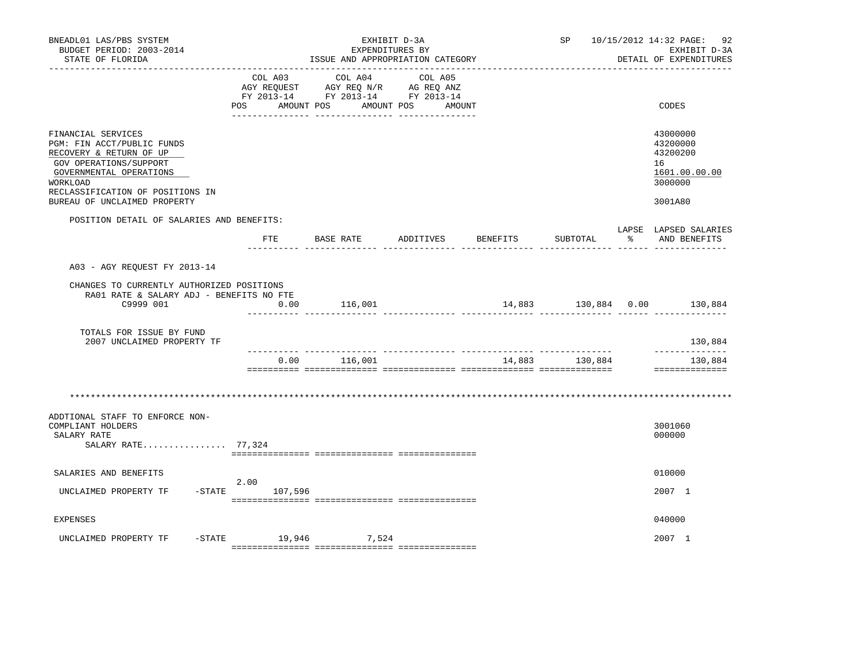| BNEADL01 LAS/PBS SYSTEM<br>BUDGET PERIOD: 2003-2014<br>STATE OF FLORIDA                                                                                                                                                 |                     | ISSUE AND APPROPRIATION CATEGORY                                                          | EXHIBIT D-3A<br>EXPENDITURES BY |                | SP 10/15/2012 14:32 PAGE: 92<br>EXHIBIT D-3A<br>DETAIL OF EXPENDITURES        |
|-------------------------------------------------------------------------------------------------------------------------------------------------------------------------------------------------------------------------|---------------------|-------------------------------------------------------------------------------------------|---------------------------------|----------------|-------------------------------------------------------------------------------|
|                                                                                                                                                                                                                         |                     | COL A03 COL A04<br>AGY REQUEST AGY REQ N/R AG REQ ANZ<br>FY 2013-14 FY 2013-14 FY 2013-14 | COL A05                         |                |                                                                               |
|                                                                                                                                                                                                                         | POS<br>AMOUNT POS   |                                                                                           | AMOUNT POS AMOUNT               |                | CODES                                                                         |
| FINANCIAL SERVICES<br>PGM: FIN ACCT/PUBLIC FUNDS<br>RECOVERY & RETURN OF UP<br>GOV OPERATIONS/SUPPORT<br>GOVERNMENTAL OPERATIONS<br><b>WORKLOAD</b><br>RECLASSIFICATION OF POSITIONS IN<br>BUREAU OF UNCLAIMED PROPERTY |                     |                                                                                           |                                 |                | 43000000<br>43200000<br>43200200<br>16<br>1601.00.00.00<br>3000000<br>3001A80 |
| POSITION DETAIL OF SALARIES AND BENEFITS:                                                                                                                                                                               |                     |                                                                                           |                                 |                | LAPSE LAPSED SALARIES                                                         |
|                                                                                                                                                                                                                         |                     | FTE BASE RATE ADDITIVES BENEFITS                                                          |                                 | SUBTOTAL       | % AND BENEFITS                                                                |
| A03 - AGY REQUEST FY 2013-14                                                                                                                                                                                            |                     |                                                                                           |                                 |                |                                                                               |
| CHANGES TO CURRENTLY AUTHORIZED POSITIONS                                                                                                                                                                               |                     |                                                                                           |                                 |                |                                                                               |
| RA01 RATE & SALARY ADJ - BENEFITS NO FTE<br>C9999 001                                                                                                                                                                   | 0.00                | 116,001                                                                                   |                                 |                | 14,883 130,884 0.00 130,884                                                   |
| TOTALS FOR ISSUE BY FUND<br>2007 UNCLAIMED PROPERTY TF                                                                                                                                                                  |                     |                                                                                           |                                 |                | 130,884                                                                       |
|                                                                                                                                                                                                                         |                     | $0.00$ 116,001                                                                            |                                 | 14,883 130,884 | _____________<br>130,884<br>==============                                    |
|                                                                                                                                                                                                                         |                     |                                                                                           |                                 |                |                                                                               |
| ADDTIONAL STAFF TO ENFORCE NON-<br>COMPLIANT HOLDERS<br>SALARY RATE<br>SALARY RATE 77,324                                                                                                                               |                     |                                                                                           |                                 |                | 3001060<br>000000                                                             |
|                                                                                                                                                                                                                         |                     |                                                                                           |                                 |                |                                                                               |
| SALARIES AND BENEFITS                                                                                                                                                                                                   | 2.00                |                                                                                           |                                 |                | 010000                                                                        |
| UNCLAIMED PROPERTY TF -STATE 107,596                                                                                                                                                                                    |                     |                                                                                           |                                 |                | 2007 1                                                                        |
| <b>EXPENSES</b>                                                                                                                                                                                                         |                     |                                                                                           |                                 |                | 040000                                                                        |
| UNCLAIMED PROPERTY TF                                                                                                                                                                                                   | -STATE 19,946 7,524 |                                                                                           |                                 |                | 2007 1                                                                        |
|                                                                                                                                                                                                                         |                     |                                                                                           |                                 |                |                                                                               |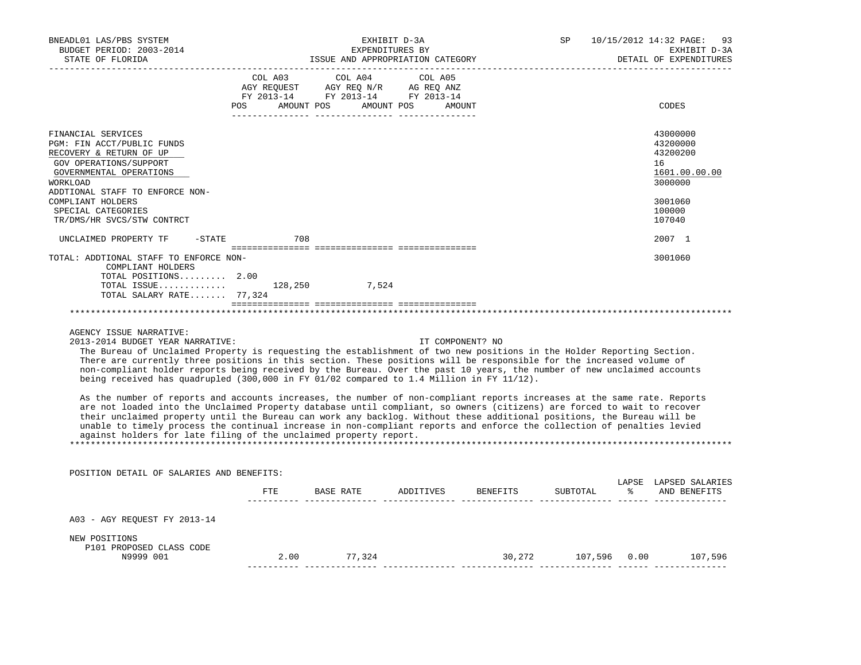| BNEADL01 LAS/PBS SYSTEM<br>BUDGET PERIOD: 2003-2014<br>STATE OF FLORIDA                                                                                                                                                                                                                                       |     | EXHIBIT D-3A<br>EXPENDITURES BY                                                                                                | ISSUE AND APPROPRIATION CATEGORY | SP <sub>2</sub>                                                                                                                                                                                                               | 10/15/2012 14:32 PAGE: 93<br>EXHIBIT D-3A<br>DETAIL OF EXPENDITURES                               |
|---------------------------------------------------------------------------------------------------------------------------------------------------------------------------------------------------------------------------------------------------------------------------------------------------------------|-----|--------------------------------------------------------------------------------------------------------------------------------|----------------------------------|-------------------------------------------------------------------------------------------------------------------------------------------------------------------------------------------------------------------------------|---------------------------------------------------------------------------------------------------|
|                                                                                                                                                                                                                                                                                                               |     | COL A03 COL A04 COL A05<br>AGY REQUEST AGY REQ N/R AG REQ ANZ<br>FY 2013-14 FY 2013-14 FY 2013-14<br>POS AMOUNT POS AMOUNT POS | AMOUNT                           |                                                                                                                                                                                                                               | CODES                                                                                             |
| FINANCIAL SERVICES<br>PGM: FIN ACCT/PUBLIC FUNDS<br>RECOVERY & RETURN OF UP<br>GOV OPERATIONS/SUPPORT<br>GOVERNMENTAL OPERATIONS<br><b>WORKLOAD</b><br>ADDTIONAL STAFF TO ENFORCE NON-<br>COMPLIANT HOLDERS<br>SPECIAL CATEGORIES<br>TR/DMS/HR SVCS/STW CONTRCT                                               |     |                                                                                                                                |                                  |                                                                                                                                                                                                                               | 43000000<br>43200000<br>43200200<br>16<br>1601.00.00.00<br>3000000<br>3001060<br>100000<br>107040 |
| UNCLAIMED PROPERTY TF - STATE                                                                                                                                                                                                                                                                                 | 708 |                                                                                                                                |                                  |                                                                                                                                                                                                                               | 2007 1                                                                                            |
| TOTAL: ADDTIONAL STAFF TO ENFORCE NON-<br>COMPLIANT HOLDERS<br>TOTAL POSITIONS 2.00<br>TOTAL ISSUE 128,250 7,524<br>TOTAL SALARY RATE 77,324                                                                                                                                                                  |     |                                                                                                                                |                                  |                                                                                                                                                                                                                               | 3001060                                                                                           |
| AGENCY ISSUE NARRATIVE:<br>2013-2014 BUDGET YEAR NARRATIVE:<br>The Bureau of Unclaimed Property is requesting the establishment of two new positions in the Holder Reporting Section.<br>There are currently three positions in this section. These positions will be responsible for the increased volume of |     |                                                                                                                                | IT COMPONENT? NO                 | . The state of the state of the state of the state of the state of the state of the state of the state of the state of the state of the state of the state of the state of the state of the state of the state of the state o |                                                                                                   |

 non-compliant holder reports being received by the Bureau. Over the past 10 years, the number of new unclaimed accounts being received has quadrupled (300,000 in FY 01/02 compared to 1.4 Million in FY 11/12).

 As the number of reports and accounts increases, the number of non-compliant reports increases at the same rate. Reports are not loaded into the Unclaimed Property database until compliant, so owners (citizens) are forced to wait to recover their unclaimed property until the Bureau can work any backlog. Without these additional positions, the Bureau will be unable to timely process the continual increase in non-compliant reports and enforce the collection of penalties levied against holders for late filing of the unclaimed property report. \*\*\*\*\*\*\*\*\*\*\*\*\*\*\*\*\*\*\*\*\*\*\*\*\*\*\*\*\*\*\*\*\*\*\*\*\*\*\*\*\*\*\*\*\*\*\*\*\*\*\*\*\*\*\*\*\*\*\*\*\*\*\*\*\*\*\*\*\*\*\*\*\*\*\*\*\*\*\*\*\*\*\*\*\*\*\*\*\*\*\*\*\*\*\*\*\*\*\*\*\*\*\*\*\*\*\*\*\*\*\*\*\*\*\*\*\*\*\*\*\*\*\*\*\*\*\*

 POSITION DETAIL OF SALARIES AND BENEFITS: LAPSE LAPSED SALARIES

|                                           | FTE  | BASE RATE | ADDITIVES | BENEFITS | SUBTOTAL | °    | - ARIO BRITINING BR<br>AND BENEFITS |
|-------------------------------------------|------|-----------|-----------|----------|----------|------|-------------------------------------|
| A03 - AGY REQUEST FY 2013-14              |      |           |           |          |          |      |                                     |
| NEW POSITIONS<br>P101 PROPOSED CLASS CODE |      |           |           |          |          |      |                                     |
| N9999 001                                 | 2.00 | 77.324    |           | 30,272   | 107,596  | 0.00 | 107,596                             |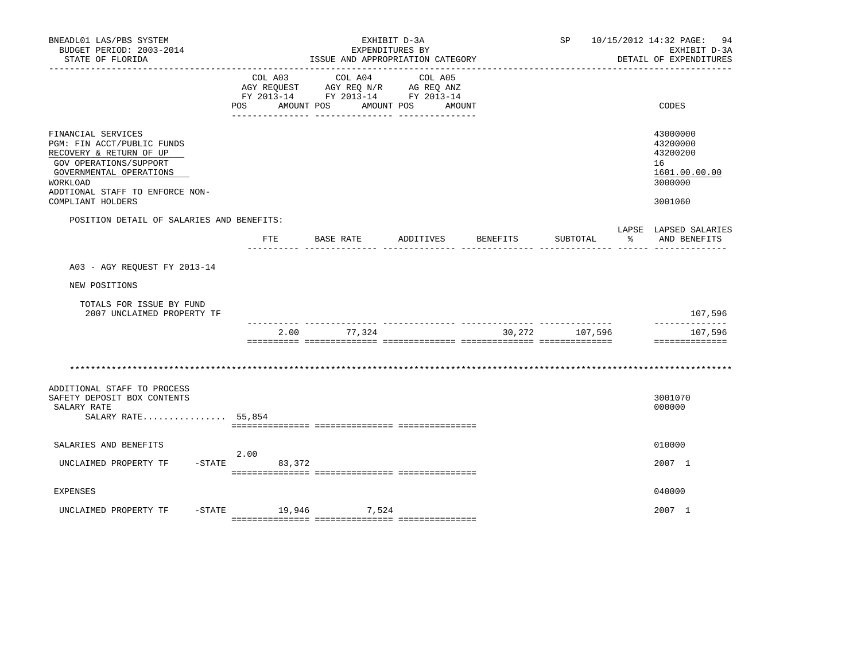| BNEADL01 LAS/PBS SYSTEM<br>BUDGET PERIOD: 2003-2014<br>STATE OF FLORIDA                                                                                                                              |                              | ISSUE AND APPROPRIATION CATEGORY                                                                | EXHIBIT D-3A<br>EXPENDITURES BY |          |          | SP 10/15/2012 14:32 PAGE: 94<br>EXHIBIT D-3A<br>DETAIL OF EXPENDITURES        |
|------------------------------------------------------------------------------------------------------------------------------------------------------------------------------------------------------|------------------------------|-------------------------------------------------------------------------------------------------|---------------------------------|----------|----------|-------------------------------------------------------------------------------|
|                                                                                                                                                                                                      | COL A03<br>AMOUNT POS<br>POS | COL A04<br>AGY REQUEST AGY REQ N/R AG REQ ANZ<br>FY 2013-14 FY 2013-14 FY 2013-14<br>AMOUNT POS | COL A05<br>AMOUNT               |          |          | CODES                                                                         |
| FINANCIAL SERVICES<br>PGM: FIN ACCT/PUBLIC FUNDS<br>RECOVERY & RETURN OF UP<br>GOV OPERATIONS/SUPPORT<br>GOVERNMENTAL OPERATIONS<br>WORKLOAD<br>ADDTIONAL STAFF TO ENFORCE NON-<br>COMPLIANT HOLDERS |                              |                                                                                                 |                                 |          |          | 43000000<br>43200000<br>43200200<br>16<br>1601.00.00.00<br>3000000<br>3001060 |
| POSITION DETAIL OF SALARIES AND BENEFITS:                                                                                                                                                            | FTE                          | BASE RATE                                                                                       | ADDITIVES                       | BENEFITS | SUBTOTAL | LAPSE LAPSED SALARIES<br>AND BENEFITS                                         |
| A03 - AGY REQUEST FY 2013-14                                                                                                                                                                         |                              |                                                                                                 |                                 |          |          |                                                                               |
| NEW POSITIONS                                                                                                                                                                                        |                              |                                                                                                 |                                 |          |          |                                                                               |
| TOTALS FOR ISSUE BY FUND<br>2007 UNCLAIMED PROPERTY TF                                                                                                                                               |                              |                                                                                                 |                                 |          |          | 107,596<br>--------------                                                     |
|                                                                                                                                                                                                      | 2.00                         | 77,324                                                                                          |                                 | 30,272   | 107,596  | 107,596<br>==============                                                     |
| ADDITIONAL STAFF TO PROCESS<br>SAFETY DEPOSIT BOX CONTENTS<br>SALARY RATE<br>SALARY RATE 55,854                                                                                                      |                              |                                                                                                 |                                 |          |          | 3001070<br>000000                                                             |
| SALARIES AND BENEFITS                                                                                                                                                                                | 2.00                         |                                                                                                 |                                 |          |          | 010000                                                                        |
| UNCLAIMED PROPERTY TF                                                                                                                                                                                | $-STATE$ 83,372              |                                                                                                 |                                 |          |          | 2007 1                                                                        |
| <b>EXPENSES</b>                                                                                                                                                                                      |                              |                                                                                                 |                                 |          |          | 040000                                                                        |
| UNCLAIMED PROPERTY TF                                                                                                                                                                                | -STATE 19,946 7,524          |                                                                                                 |                                 |          |          | 2007 1                                                                        |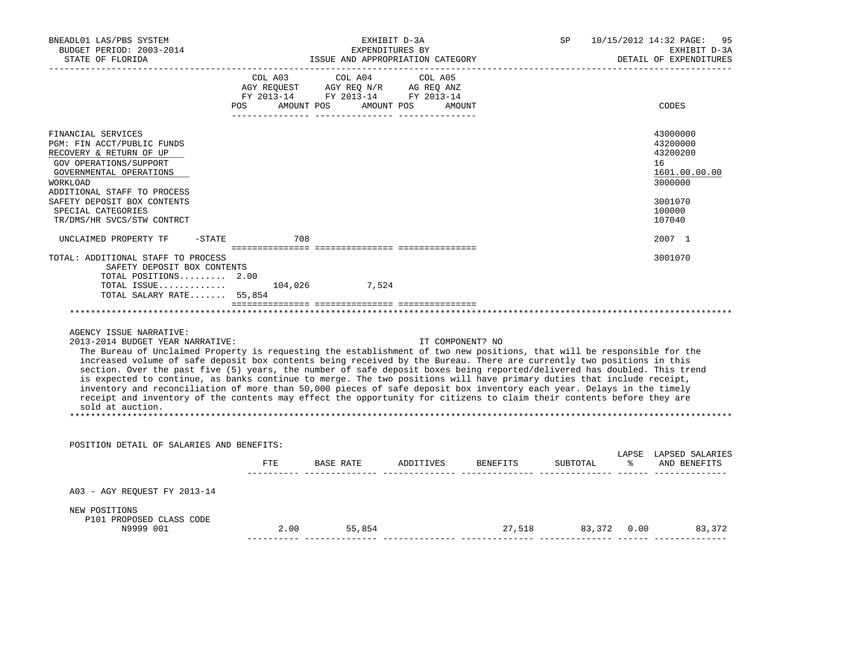| BNEADL01 LAS/PBS SYSTEM<br>BUDGET PERIOD: 2003-2014<br>STATE OF FLORIDA                                                                                                                                                                                                                                                                                                                                                                                                                                                 |     | EXHIBIT D-3A<br>EXPENDITURES BY<br>ISSUE AND APPROPRIATION CATEGORY                                                |                   | SP       | 10/15/2012 14:32 PAGE:<br>95<br>EXHIBIT D-3A<br>DETAIL OF EXPENDITURES |
|-------------------------------------------------------------------------------------------------------------------------------------------------------------------------------------------------------------------------------------------------------------------------------------------------------------------------------------------------------------------------------------------------------------------------------------------------------------------------------------------------------------------------|-----|--------------------------------------------------------------------------------------------------------------------|-------------------|----------|------------------------------------------------------------------------|
| POS                                                                                                                                                                                                                                                                                                                                                                                                                                                                                                                     |     | COL A03 COL A04<br>AGY REQUEST AGY REQ N/R AG REQ ANZ<br>FY 2013-14 FY 2013-14 FY 2013-14<br>AMOUNT POS AMOUNT POS | COL A05<br>AMOUNT |          | CODES                                                                  |
| FINANCIAL SERVICES<br>PGM: FIN ACCT/PUBLIC FUNDS<br>RECOVERY & RETURN OF UP<br>GOV OPERATIONS/SUPPORT<br>GOVERNMENTAL OPERATIONS<br>WORKLOAD<br>ADDITIONAL STAFF TO PROCESS                                                                                                                                                                                                                                                                                                                                             |     |                                                                                                                    |                   |          | 43000000<br>43200000<br>43200200<br>16<br>1601.00.00.00<br>3000000     |
| SAFETY DEPOSIT BOX CONTENTS<br>SPECIAL CATEGORIES<br>TR/DMS/HR SVCS/STW CONTRCT                                                                                                                                                                                                                                                                                                                                                                                                                                         |     |                                                                                                                    |                   |          | 3001070<br>100000<br>107040                                            |
| UNCLAIMED PROPERTY TF<br>$-$ STATE                                                                                                                                                                                                                                                                                                                                                                                                                                                                                      | 708 |                                                                                                                    |                   |          | 2007 1                                                                 |
| TOTAL: ADDITIONAL STAFF TO PROCESS<br>SAFETY DEPOSIT BOX CONTENTS<br>TOTAL POSITIONS 2.00<br>TOTAL ISSUE 104,026 7,524<br>TOTAL SALARY RATE 55,854<br>AGENCY ISSUE NARRATIVE:<br>2013-2014 BUDGET YEAR NARRATIVE:<br>The Bureau of Unclaimed Property is requesting the establishment of two new positions, that will be responsible for the<br>increased volume of safe deposit box contents being received by the Bureau. There are currently two positions in this                                                   |     |                                                                                                                    | IT COMPONENT? NO  |          | 3001070                                                                |
| section. Over the past five (5) years, the number of safe deposit boxes being reported/delivered has doubled. This trend<br>is expected to continue, as banks continue to merge. The two positions will have primary duties that include receipt,<br>inventory and reconciliation of more than 50,000 pieces of safe deposit box inventory each year. Delays in the timely<br>receipt and inventory of the contents may effect the opportunity for citizens to claim their contents before they are<br>sold at auction. |     |                                                                                                                    |                   |          |                                                                        |
| POSITION DETAIL OF SALARIES AND BENEFITS:                                                                                                                                                                                                                                                                                                                                                                                                                                                                               |     |                                                                                                                    |                   |          |                                                                        |
|                                                                                                                                                                                                                                                                                                                                                                                                                                                                                                                         | FTE | BASE RATE ADDITIVES BENEFITS                                                                                       |                   | SUBTOTAL | LAPSE LAPSED SALARIES<br>% AND BENEFITS                                |
| A03 - AGY REQUEST FY 2013-14                                                                                                                                                                                                                                                                                                                                                                                                                                                                                            |     |                                                                                                                    |                   |          |                                                                        |
| NEW POSITIONS<br>P101 PROPOSED CLASS CODE<br>N9999 001                                                                                                                                                                                                                                                                                                                                                                                                                                                                  |     | 2.00 55,854                                                                                                        |                   |          | 27,518 83,372 0.00 83,372                                              |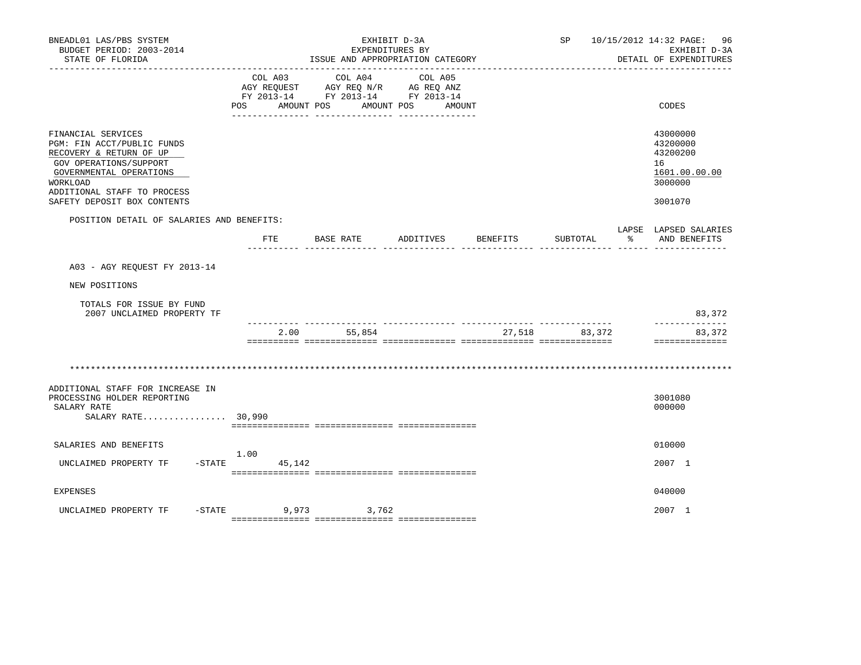| BNEADL01 LAS/PBS SYSTEM<br>BUDGET PERIOD: 2003-2014<br>STATE OF FLORIDA                                                                                                                                    |                              | EXPENDITURES BY<br>ISSUE AND APPROPRIATION CATEGORY                                             | EXHIBIT D-3A      |          | SP <sub>2</sub>                |    | 10/15/2012 14:32 PAGE: 96<br>EXHIBIT D-3A<br>DETAIL OF EXPENDITURES           |
|------------------------------------------------------------------------------------------------------------------------------------------------------------------------------------------------------------|------------------------------|-------------------------------------------------------------------------------------------------|-------------------|----------|--------------------------------|----|-------------------------------------------------------------------------------|
|                                                                                                                                                                                                            | COL A03<br>AMOUNT POS<br>POS | COL A04<br>AGY REQUEST AGY REQ N/R AG REQ ANZ<br>FY 2013-14 FY 2013-14 FY 2013-14<br>AMOUNT POS | COL A05<br>AMOUNT |          |                                |    | CODES                                                                         |
| FINANCIAL SERVICES<br>PGM: FIN ACCT/PUBLIC FUNDS<br>RECOVERY & RETURN OF UP<br>GOV OPERATIONS/SUPPORT<br>GOVERNMENTAL OPERATIONS<br>WORKLOAD<br>ADDITIONAL STAFF TO PROCESS<br>SAFETY DEPOSIT BOX CONTENTS |                              |                                                                                                 |                   |          |                                |    | 43000000<br>43200000<br>43200200<br>16<br>1601.00.00.00<br>3000000<br>3001070 |
| POSITION DETAIL OF SALARIES AND BENEFITS:                                                                                                                                                                  | FTE                          | <b>BASE RATE</b>                                                                                | ADDITIVES         | BENEFITS | SUBTOTAL                       | ႜၟ | LAPSE LAPSED SALARIES<br>AND BENEFITS                                         |
| A03 - AGY REOUEST FY 2013-14                                                                                                                                                                               |                              |                                                                                                 |                   |          |                                |    |                                                                               |
| NEW POSITIONS                                                                                                                                                                                              |                              |                                                                                                 |                   |          |                                |    |                                                                               |
| TOTALS FOR ISSUE BY FUND<br>2007 UNCLAIMED PROPERTY TF                                                                                                                                                     |                              |                                                                                                 |                   |          |                                |    | 83,372                                                                        |
|                                                                                                                                                                                                            | 2.00                         | 55,854                                                                                          |                   | 27,518   | ____________________<br>83,372 |    | --------------<br>83,372<br>==============                                    |
|                                                                                                                                                                                                            |                              |                                                                                                 |                   |          |                                |    |                                                                               |
| ADDITIONAL STAFF FOR INCREASE IN<br>PROCESSING HOLDER REPORTING<br>SALARY RATE<br>SALARY RATE 30,990                                                                                                       |                              |                                                                                                 |                   |          |                                |    | 3001080<br>000000                                                             |
| SALARIES AND BENEFITS                                                                                                                                                                                      |                              |                                                                                                 |                   |          |                                |    | 010000                                                                        |
| UNCLAIMED PROPERTY TF                                                                                                                                                                                      | 1.00<br>$-STATE$<br>45,142   |                                                                                                 |                   |          |                                |    | 2007 1                                                                        |
| <b>EXPENSES</b>                                                                                                                                                                                            |                              |                                                                                                 |                   |          |                                |    | 040000                                                                        |
| $-STATE$<br>UNCLAIMED PROPERTY TF                                                                                                                                                                          |                              | 9,973 3,762                                                                                     |                   |          |                                |    | 2007 1                                                                        |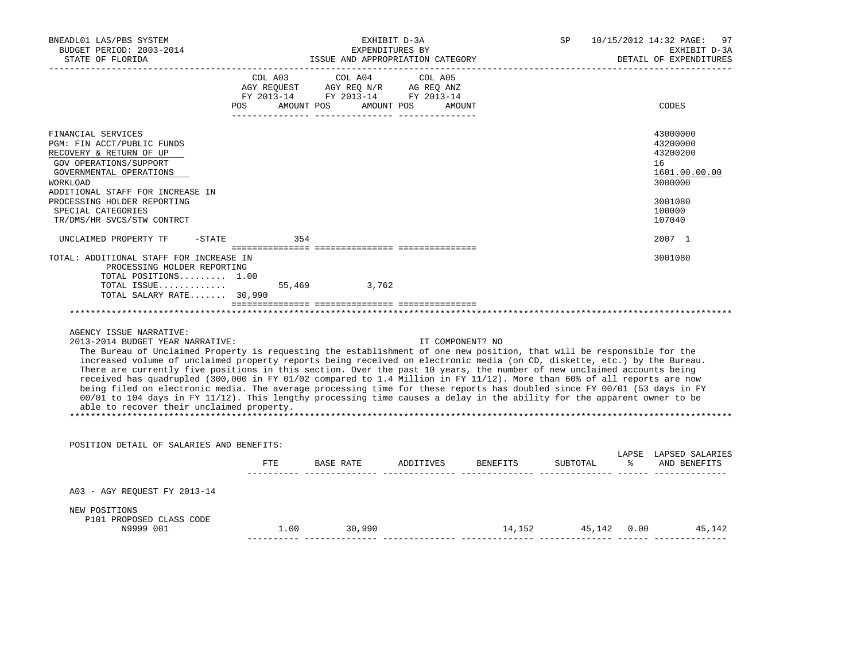| BNEADL01 LAS/PBS SYSTEM<br>BUDGET PERIOD: 2003-2014<br>STATE OF FLORIDA                                                                                                                                                                                                                                                                                                                                                                                                                                                                                                                                                                                                                                                                                                                                                                                                                                                                                    |        | ISSUE AND APPROPRIATION CATEGORY                                                                                           | EXHIBIT D-3A<br>EXPENDITURES BY |                                    | SP       | 10/15/2012 14:32 PAGE:<br>97<br>EXHIBIT D-3A<br>DETAIL OF EXPENDITURES                  |
|------------------------------------------------------------------------------------------------------------------------------------------------------------------------------------------------------------------------------------------------------------------------------------------------------------------------------------------------------------------------------------------------------------------------------------------------------------------------------------------------------------------------------------------------------------------------------------------------------------------------------------------------------------------------------------------------------------------------------------------------------------------------------------------------------------------------------------------------------------------------------------------------------------------------------------------------------------|--------|----------------------------------------------------------------------------------------------------------------------------|---------------------------------|------------------------------------|----------|-----------------------------------------------------------------------------------------|
|                                                                                                                                                                                                                                                                                                                                                                                                                                                                                                                                                                                                                                                                                                                                                                                                                                                                                                                                                            | POS DO | COL A03 COL A04 COL A05<br>AGY REQUEST AGY REQ N/R AG REQ ANZ<br>FY 2013-14 FY 2013-14 FY 2013-14<br>AMOUNT POS AMOUNT POS | AMOUNT                          |                                    |          | CODES                                                                                   |
| FINANCIAL SERVICES<br>PGM: FIN ACCT/PUBLIC FUNDS<br>RECOVERY & RETURN OF UP<br>GOV OPERATIONS/SUPPORT<br>GOVERNMENTAL OPERATIONS<br>WORKLOAD<br>ADDITIONAL STAFF FOR INCREASE IN<br>PROCESSING HOLDER REPORTING<br>SPECIAL CATEGORIES                                                                                                                                                                                                                                                                                                                                                                                                                                                                                                                                                                                                                                                                                                                      |        |                                                                                                                            |                                 |                                    |          | 43000000<br>43200000<br>43200200<br>16<br>1601.00.00.00<br>3000000<br>3001080<br>100000 |
| TR/DMS/HR SVCS/STW CONTRCT                                                                                                                                                                                                                                                                                                                                                                                                                                                                                                                                                                                                                                                                                                                                                                                                                                                                                                                                 |        |                                                                                                                            |                                 |                                    |          | 107040                                                                                  |
| UNCLAIMED PROPERTY TF<br>$-$ STATE<br>TOTAL: ADDITIONAL STAFF FOR INCREASE IN                                                                                                                                                                                                                                                                                                                                                                                                                                                                                                                                                                                                                                                                                                                                                                                                                                                                              | 354    |                                                                                                                            |                                 |                                    |          | 2007 1<br>3001080                                                                       |
| TOTAL POSITIONS 1.00<br>TOTAL ISSUE 55,469 3,762<br>TOTAL SALARY RATE 30,990<br>AGENCY ISSUE NARRATIVE:<br>2013-2014 BUDGET YEAR NARRATIVE:<br>The Bureau of Unclaimed Property is requesting the establishment of one new position, that will be responsible for the<br>increased volume of unclaimed property reports being received on electronic media (on CD, diskette, etc.) by the Bureau.<br>There are currently five positions in this section. Over the past 10 years, the number of new unclaimed accounts being<br>received has quadrupled (300,000 in FY 01/02 compared to 1.4 Million in FY 11/12). More than 60% of all reports are now<br>being filed on electronic media. The average processing time for these reports has doubled since FY 00/01 (53 days in FY<br>00/01 to 104 days in FY 11/12). This lengthy processing time causes a delay in the ability for the apparent owner to be<br>able to recover their unclaimed property. |        |                                                                                                                            | IT COMPONENT? NO                |                                    |          |                                                                                         |
| POSITION DETAIL OF SALARIES AND BENEFITS:                                                                                                                                                                                                                                                                                                                                                                                                                                                                                                                                                                                                                                                                                                                                                                                                                                                                                                                  |        |                                                                                                                            |                                 |                                    |          |                                                                                         |
|                                                                                                                                                                                                                                                                                                                                                                                                                                                                                                                                                                                                                                                                                                                                                                                                                                                                                                                                                            |        |                                                                                                                            |                                 | FTE BASE RATE ADDITIVES BENEFITS   | SUBTOTAL | LAPSE LAPSED SALARIES<br>% AND BENEFITS                                                 |
| A03 - AGY REQUEST FY 2013-14                                                                                                                                                                                                                                                                                                                                                                                                                                                                                                                                                                                                                                                                                                                                                                                                                                                                                                                               |        |                                                                                                                            |                                 |                                    |          |                                                                                         |
| NEW POSITIONS<br>P101 PROPOSED CLASS CODE<br>N9999 001                                                                                                                                                                                                                                                                                                                                                                                                                                                                                                                                                                                                                                                                                                                                                                                                                                                                                                     |        | $1.00$ 30,990                                                                                                              |                                 | 14, 152   45, 142   0.00   45, 142 |          |                                                                                         |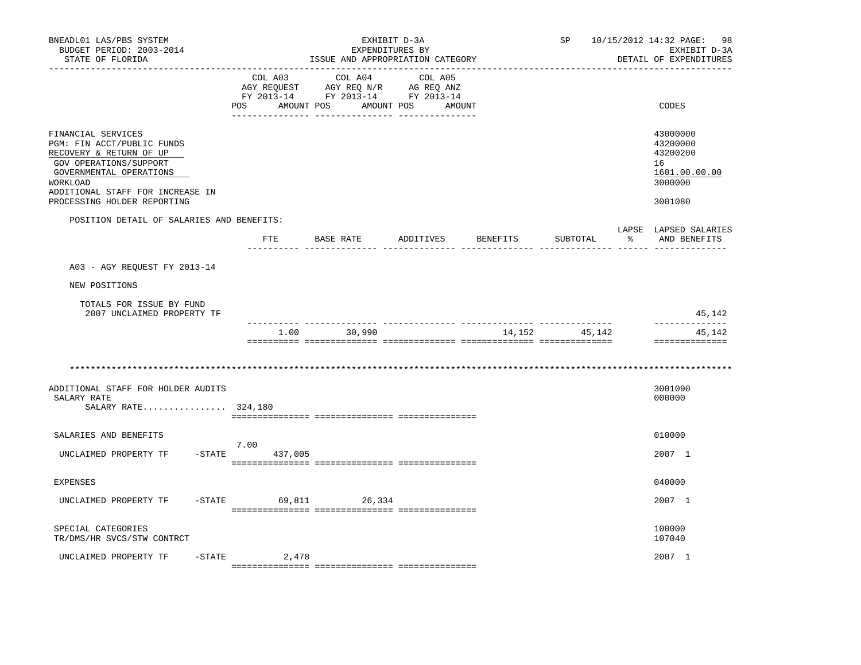| BNEADL01 LAS/PBS SYSTEM<br>BUDGET PERIOD: 2003-2014<br>STATE OF FLORIDA                                                                                                                                         |                              | ISSUE AND APPROPRIATION CATEGORY                                                                | EXHIBIT D-3A<br>EXPENDITURES BY |          | SP       | 10/15/2012 14:32 PAGE:<br>-98<br>EXHIBIT D-3A<br>DETAIL OF EXPENDITURES       |
|-----------------------------------------------------------------------------------------------------------------------------------------------------------------------------------------------------------------|------------------------------|-------------------------------------------------------------------------------------------------|---------------------------------|----------|----------|-------------------------------------------------------------------------------|
|                                                                                                                                                                                                                 | COL A03<br>POS<br>AMOUNT POS | COL A04<br>AGY REQUEST AGY REQ N/R AG REQ ANZ<br>FY 2013-14 FY 2013-14 FY 2013-14<br>AMOUNT POS | COL A05<br>AMOUNT               |          |          | CODES                                                                         |
| FINANCIAL SERVICES<br>PGM: FIN ACCT/PUBLIC FUNDS<br>RECOVERY & RETURN OF UP<br>GOV OPERATIONS/SUPPORT<br>GOVERNMENTAL OPERATIONS<br>WORKLOAD<br>ADDITIONAL STAFF FOR INCREASE IN<br>PROCESSING HOLDER REPORTING |                              |                                                                                                 |                                 |          |          | 43000000<br>43200000<br>43200200<br>16<br>1601.00.00.00<br>3000000<br>3001080 |
|                                                                                                                                                                                                                 |                              |                                                                                                 |                                 |          |          |                                                                               |
| POSITION DETAIL OF SALARIES AND BENEFITS:                                                                                                                                                                       |                              | FTE BASE RATE ADDITIVES                                                                         |                                 | BENEFITS | SUBTOTAL | LAPSE LAPSED SALARIES<br>ႜ<br>AND BENEFITS                                    |
|                                                                                                                                                                                                                 |                              |                                                                                                 |                                 |          |          |                                                                               |
| A03 - AGY REOUEST FY 2013-14                                                                                                                                                                                    |                              |                                                                                                 |                                 |          |          |                                                                               |
| NEW POSITIONS                                                                                                                                                                                                   |                              |                                                                                                 |                                 |          |          |                                                                               |
| TOTALS FOR ISSUE BY FUND<br>2007 UNCLAIMED PROPERTY TF                                                                                                                                                          |                              |                                                                                                 |                                 |          |          | 45,142                                                                        |
|                                                                                                                                                                                                                 | 1.00                         | 30,990                                                                                          |                                 | 14,152   | 45,142   | 45,142<br>==============                                                      |
|                                                                                                                                                                                                                 |                              |                                                                                                 |                                 |          |          |                                                                               |
| ADDITIONAL STAFF FOR HOLDER AUDITS<br>SALARY RATE<br>SALARY RATE 324,180                                                                                                                                        |                              |                                                                                                 |                                 |          |          | 3001090<br>000000                                                             |
| SALARIES AND BENEFITS                                                                                                                                                                                           |                              |                                                                                                 |                                 |          |          | 010000                                                                        |
| $-$ STATE<br>UNCLAIMED PROPERTY TF                                                                                                                                                                              | 7.00<br>437,005              |                                                                                                 |                                 |          |          | 2007 1                                                                        |
| <b>EXPENSES</b>                                                                                                                                                                                                 |                              |                                                                                                 |                                 |          |          | 040000                                                                        |
| $-STATE$<br>UNCLAIMED PROPERTY TF                                                                                                                                                                               |                              | 69,811<br>26,334                                                                                |                                 |          |          | 2007 1                                                                        |
| SPECIAL CATEGORIES<br>TR/DMS/HR SVCS/STW CONTRCT                                                                                                                                                                |                              |                                                                                                 |                                 |          |          | 100000<br>107040                                                              |
| UNCLAIMED PROPERTY TF<br>$-$ STATE                                                                                                                                                                              | 2,478                        |                                                                                                 |                                 |          |          | 2007 1                                                                        |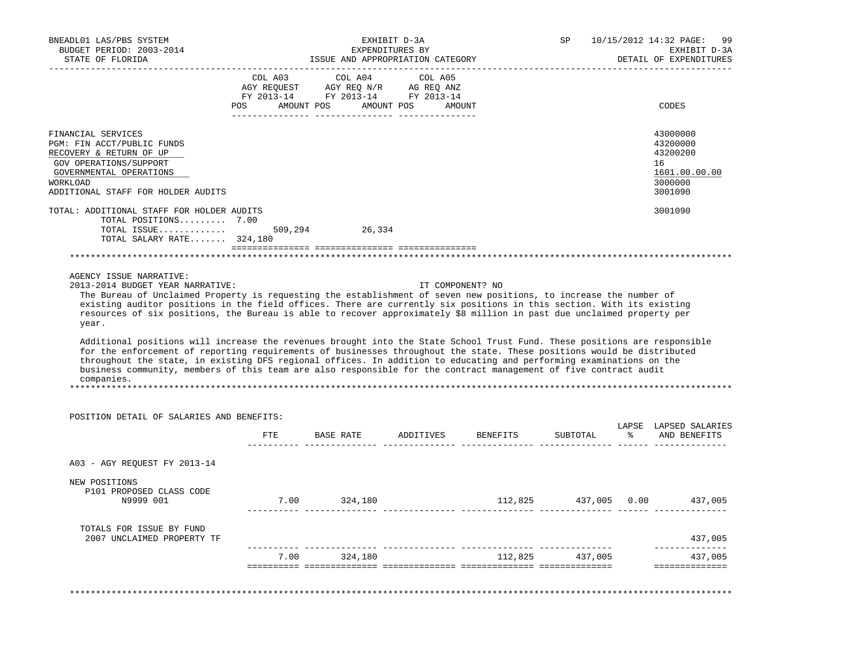| BNEADL01 LAS/PBS SYSTEM<br>BUDGET PERIOD: 2003-2014                                                                                                                                                                                           |         |                                                                                                                                                                                                     | EXHIBIT D-3A<br>EXPENDITURES BY |                  | SP.             | 10/15/2012 14:32 PAGE:<br>99<br>EXHIBIT D-3A |
|-----------------------------------------------------------------------------------------------------------------------------------------------------------------------------------------------------------------------------------------------|---------|-----------------------------------------------------------------------------------------------------------------------------------------------------------------------------------------------------|---------------------------------|------------------|-----------------|----------------------------------------------|
| STATE OF FLORIDA                                                                                                                                                                                                                              |         | ISSUE AND APPROPRIATION CATEGORY                                                                                                                                                                    |                                 |                  |                 | DETAIL OF EXPENDITURES                       |
|                                                                                                                                                                                                                                               |         | COL A03 COL A04                                                                                                                                                                                     | COL A05                         |                  |                 |                                              |
|                                                                                                                                                                                                                                               |         | $\begin{tabular}{lllllllll} \bf AGY \;\; RegUEST & \tt AGY \;\; REG \;\; N/R & \tt AG \;\; REG \;\; ANZ \\ \hline \tt FY \;\; 2013-14 & \tt FY \;\; 2013-14 & \tt FY \;\; 2013-14 \\ \end{tabular}$ |                                 |                  |                 |                                              |
|                                                                                                                                                                                                                                               |         | POS AMOUNT POS AMOUNT POS AMOUNT                                                                                                                                                                    |                                 |                  |                 | CODES                                        |
|                                                                                                                                                                                                                                               |         |                                                                                                                                                                                                     |                                 |                  |                 |                                              |
| FINANCIAL SERVICES                                                                                                                                                                                                                            |         |                                                                                                                                                                                                     |                                 |                  |                 | 43000000                                     |
| PGM: FIN ACCT/PUBLIC FUNDS                                                                                                                                                                                                                    |         |                                                                                                                                                                                                     |                                 |                  |                 | 43200000                                     |
| RECOVERY & RETURN OF UP                                                                                                                                                                                                                       |         |                                                                                                                                                                                                     |                                 |                  |                 | 43200200                                     |
| GOV OPERATIONS/SUPPORT<br>GOVERNMENTAL OPERATIONS                                                                                                                                                                                             |         |                                                                                                                                                                                                     |                                 |                  |                 | 16<br>1601.00.00.00                          |
| <b>WORKLOAD</b>                                                                                                                                                                                                                               |         |                                                                                                                                                                                                     |                                 |                  |                 | 3000000                                      |
| ADDITIONAL STAFF FOR HOLDER AUDITS                                                                                                                                                                                                            |         |                                                                                                                                                                                                     |                                 |                  |                 | 3001090                                      |
| TOTAL: ADDITIONAL STAFF FOR HOLDER AUDITS                                                                                                                                                                                                     |         |                                                                                                                                                                                                     |                                 |                  |                 | 3001090                                      |
| TOTAL POSITIONS 7.00                                                                                                                                                                                                                          |         |                                                                                                                                                                                                     |                                 |                  |                 |                                              |
| TOTAL ISSUE<br>TOTAL SALARY RATE 324,180                                                                                                                                                                                                      | 509,294 | 26,334                                                                                                                                                                                              |                                 |                  |                 |                                              |
|                                                                                                                                                                                                                                               |         |                                                                                                                                                                                                     |                                 |                  |                 |                                              |
|                                                                                                                                                                                                                                               |         |                                                                                                                                                                                                     |                                 |                  |                 |                                              |
| AGENCY ISSUE NARRATIVE:<br>2013-2014 BUDGET YEAR NARRATIVE:                                                                                                                                                                                   |         |                                                                                                                                                                                                     |                                 | IT COMPONENT? NO |                 |                                              |
| The Bureau of Unclaimed Property is requesting the establishment of seven new positions, to increase the number of                                                                                                                            |         |                                                                                                                                                                                                     |                                 |                  |                 |                                              |
| existing auditor positions in the field offices. There are currently six positions in this section. With its existing                                                                                                                         |         |                                                                                                                                                                                                     |                                 |                  |                 |                                              |
| resources of six positions, the Bureau is able to recover approximately \$8 million in past due unclaimed property per                                                                                                                        |         |                                                                                                                                                                                                     |                                 |                  |                 |                                              |
| year.                                                                                                                                                                                                                                         |         |                                                                                                                                                                                                     |                                 |                  |                 |                                              |
|                                                                                                                                                                                                                                               |         |                                                                                                                                                                                                     |                                 |                  |                 |                                              |
| Additional positions will increase the revenues brought into the State School Trust Fund. These positions are responsible                                                                                                                     |         |                                                                                                                                                                                                     |                                 |                  |                 |                                              |
| for the enforcement of reporting requirements of businesses throughout the state. These positions would be distributed<br>throughout the state, in existing DFS regional offices. In addition to educating and performing examinations on the |         |                                                                                                                                                                                                     |                                 |                  |                 |                                              |
| business community, members of this team are also responsible for the contract management of five contract audit                                                                                                                              |         |                                                                                                                                                                                                     |                                 |                  |                 |                                              |
| companies.                                                                                                                                                                                                                                    |         |                                                                                                                                                                                                     |                                 |                  |                 |                                              |
|                                                                                                                                                                                                                                               |         |                                                                                                                                                                                                     |                                 |                  |                 |                                              |
|                                                                                                                                                                                                                                               |         |                                                                                                                                                                                                     |                                 |                  |                 |                                              |
| POSITION DETAIL OF SALARIES AND BENEFITS:                                                                                                                                                                                                     |         |                                                                                                                                                                                                     |                                 |                  |                 | LAPSE LAPSED SALARIES                        |
|                                                                                                                                                                                                                                               |         | FTE BASE RATE ADDITIVES BENEFITS                                                                                                                                                                    |                                 |                  |                 | SUBTOTAL % AND BENEFITS                      |
| A03 - AGY REQUEST FY 2013-14                                                                                                                                                                                                                  |         |                                                                                                                                                                                                     |                                 |                  |                 |                                              |
| NEW POSITIONS                                                                                                                                                                                                                                 |         |                                                                                                                                                                                                     |                                 |                  |                 |                                              |
| P101 PROPOSED CLASS CODE                                                                                                                                                                                                                      |         |                                                                                                                                                                                                     |                                 |                  |                 |                                              |
| N9999 001                                                                                                                                                                                                                                     |         | 7.00 324,180                                                                                                                                                                                        |                                 |                  |                 | 112,825 437,005 0.00 437,005                 |
|                                                                                                                                                                                                                                               |         |                                                                                                                                                                                                     |                                 |                  |                 |                                              |
| TOTALS FOR ISSUE BY FUND                                                                                                                                                                                                                      |         |                                                                                                                                                                                                     |                                 |                  |                 |                                              |
| 2007 UNCLAIMED PROPERTY TF                                                                                                                                                                                                                    |         |                                                                                                                                                                                                     |                                 |                  |                 | 437,005<br>______________                    |
|                                                                                                                                                                                                                                               |         | 7.00 324,180                                                                                                                                                                                        |                                 |                  | 112,825 437,005 | 437,005                                      |
|                                                                                                                                                                                                                                               |         |                                                                                                                                                                                                     |                                 |                  |                 | _______________                              |
|                                                                                                                                                                                                                                               |         |                                                                                                                                                                                                     |                                 |                  |                 |                                              |
|                                                                                                                                                                                                                                               |         |                                                                                                                                                                                                     |                                 |                  |                 |                                              |
|                                                                                                                                                                                                                                               |         |                                                                                                                                                                                                     |                                 |                  |                 |                                              |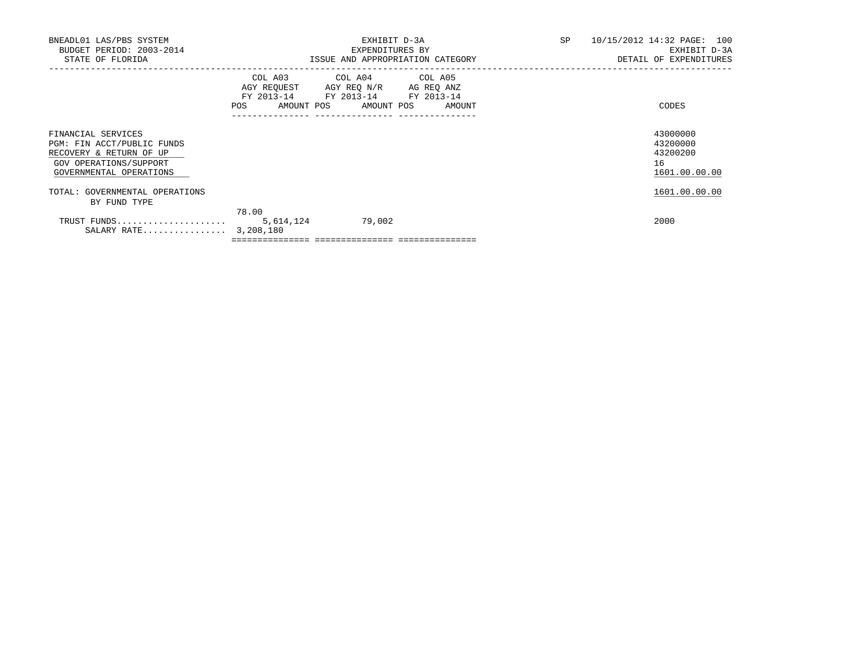| BNEADL01 LAS/PBS SYSTEM<br>BUDGET PERIOD: 2003-2014<br>STATE OF FLORIDA                                                          |                                                                                                                | EXHIBIT D-3A<br>EXPENDITURES BY<br>ISSUE AND APPROPRIATION CATEGORY                                                               | SP | 10/15/2012 14:32 PAGE: 100<br>EXHIBIT D-3A<br>DETAIL OF EXPENDITURES |
|----------------------------------------------------------------------------------------------------------------------------------|----------------------------------------------------------------------------------------------------------------|-----------------------------------------------------------------------------------------------------------------------------------|----|----------------------------------------------------------------------|
|                                                                                                                                  | POS FOR THE POST OF THE STATE STATE STATE STATE STATE STATE STATE STATE STATE STATE STATE STATE STATE STATE ST | COL A03 COL A04 COL A05<br>AGY REQUEST AGY REQ N/R AG REQ ANZ<br>FY 2013-14 FY 2013-14 FY 2013-14<br>AMOUNT POS AMOUNT POS AMOUNT |    | CODES                                                                |
| FINANCIAL SERVICES<br>PGM: FIN ACCT/PUBLIC FUNDS<br>RECOVERY & RETURN OF UP<br>GOV OPERATIONS/SUPPORT<br>GOVERNMENTAL OPERATIONS |                                                                                                                |                                                                                                                                   |    | 43000000<br>43200000<br>43200200<br>16<br>1601.00.00.00              |
| TOTAL: GOVERNMENTAL OPERATIONS<br>BY FUND TYPE                                                                                   |                                                                                                                |                                                                                                                                   |    | 1601.00.00.00                                                        |
| TRUST FUNDS<br>SALARY RATE 3,208,180                                                                                             | 78.00<br>5,614,124                                                                                             | 79,002                                                                                                                            |    | 2000                                                                 |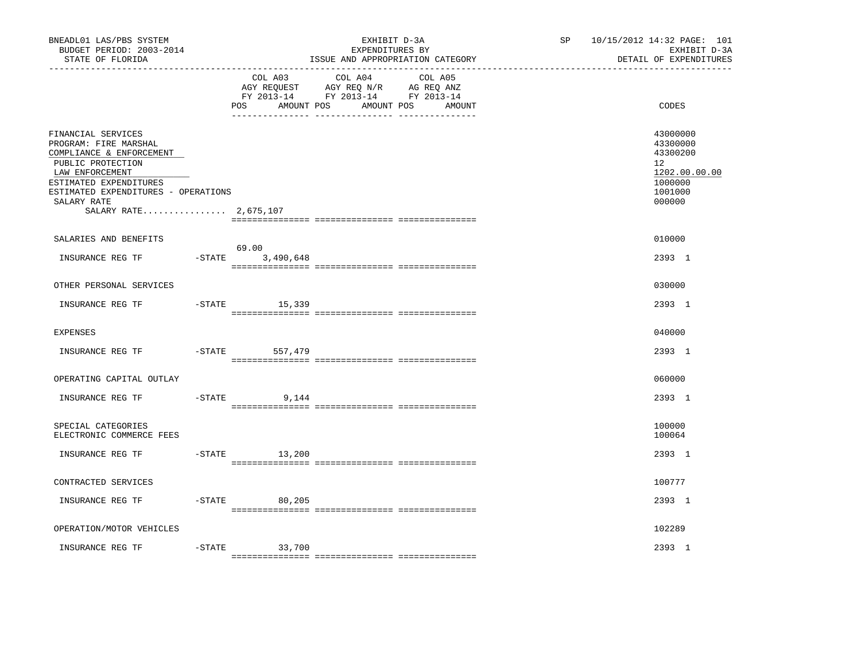| BNEADL01 LAS/PBS SYSTEM<br>BUDGET PERIOD: 2003-2014<br>STATE OF FLORIDA                                                                                                                                                  |           |                                     | EXHIBIT D-3A<br>EXPENDITURES BY<br>ISSUE AND APPROPRIATION CATEGORY                                               | SP <sub>2</sub> | 10/15/2012 14:32 PAGE: 101<br>EXHIBIT D-3A<br>DETAIL OF EXPENDITURES                    |
|--------------------------------------------------------------------------------------------------------------------------------------------------------------------------------------------------------------------------|-----------|-------------------------------------|-------------------------------------------------------------------------------------------------------------------|-----------------|-----------------------------------------------------------------------------------------|
|                                                                                                                                                                                                                          |           | COL A03<br>AMOUNT POS<br><b>POS</b> | COL A04 COL A05<br>AGY REQUEST AGY REQ N/R AG REQ ANZ<br>FY 2013-14 FY 2013-14 FY 2013-14<br>AMOUNT POS<br>AMOUNT |                 | CODES                                                                                   |
| FINANCIAL SERVICES<br>PROGRAM: FIRE MARSHAL<br>COMPLIANCE & ENFORCEMENT<br>PUBLIC PROTECTION<br>LAW ENFORCEMENT<br>ESTIMATED EXPENDITURES<br>ESTIMATED EXPENDITURES - OPERATIONS<br>SALARY RATE<br>SALARY RATE 2,675,107 |           |                                     |                                                                                                                   |                 | 43000000<br>43300000<br>43300200<br>12<br>1202.00.00.00<br>1000000<br>1001000<br>000000 |
| SALARIES AND BENEFITS                                                                                                                                                                                                    |           |                                     |                                                                                                                   |                 | 010000                                                                                  |
| INSURANCE REG TF                                                                                                                                                                                                         | $-STATE$  | 69.00<br>3,490,648                  |                                                                                                                   |                 | 2393 1                                                                                  |
| OTHER PERSONAL SERVICES                                                                                                                                                                                                  |           |                                     |                                                                                                                   |                 | 030000                                                                                  |
| INSURANCE REG TF                                                                                                                                                                                                         |           | $-STATE$ 15,339                     |                                                                                                                   |                 | 2393 1                                                                                  |
| <b>EXPENSES</b>                                                                                                                                                                                                          |           |                                     |                                                                                                                   |                 | 040000                                                                                  |
| INSURANCE REG TF                                                                                                                                                                                                         | $-$ STATE | 557,479                             |                                                                                                                   |                 | 2393 1                                                                                  |
| OPERATING CAPITAL OUTLAY                                                                                                                                                                                                 |           |                                     |                                                                                                                   |                 | 060000                                                                                  |
| INSURANCE REG TF                                                                                                                                                                                                         |           | $-$ STATE<br>9,144                  |                                                                                                                   |                 | 2393 1                                                                                  |
| SPECIAL CATEGORIES<br>ELECTRONIC COMMERCE FEES                                                                                                                                                                           |           |                                     |                                                                                                                   |                 | 100000<br>100064                                                                        |
| INSURANCE REG TF                                                                                                                                                                                                         |           | $-$ STATE 13, 200                   |                                                                                                                   |                 | 2393 1                                                                                  |
| CONTRACTED SERVICES                                                                                                                                                                                                      |           |                                     |                                                                                                                   |                 | 100777                                                                                  |
| INSURANCE REG TF                                                                                                                                                                                                         |           | $-STATE$<br>80,205                  |                                                                                                                   |                 | 2393 1                                                                                  |
| OPERATION/MOTOR VEHICLES                                                                                                                                                                                                 |           |                                     |                                                                                                                   |                 | 102289                                                                                  |
| INSURANCE REG TF                                                                                                                                                                                                         | $-$ STATE | 33,700                              |                                                                                                                   |                 | 2393 1                                                                                  |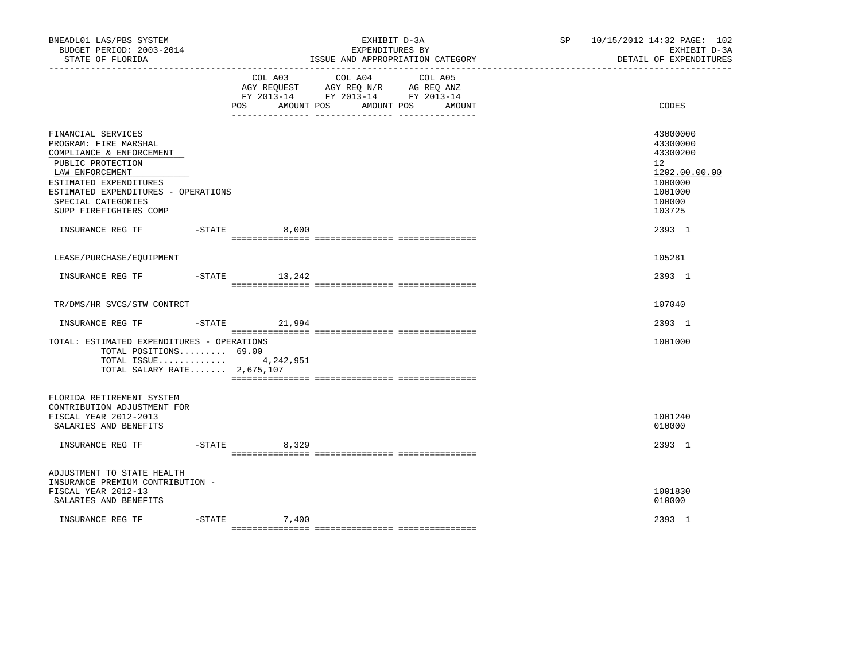| BNEADL01 LAS/PBS SYSTEM<br>BUDGET PERIOD: 2003-2014<br>STATE OF FLORIDA<br>-----------------                                                                                                                                     |           |                   | EXHIBIT D-3A<br>EXPENDITURES BY<br>ISSUE AND APPROPRIATION CATEGORY                                                       | SP 10/15/2012 14:32 PAGE: 102<br>EXHIBIT D-3A<br>DETAIL OF EXPENDITURES                           |
|----------------------------------------------------------------------------------------------------------------------------------------------------------------------------------------------------------------------------------|-----------|-------------------|---------------------------------------------------------------------------------------------------------------------------|---------------------------------------------------------------------------------------------------|
|                                                                                                                                                                                                                                  |           | POS<br>AMOUNT POS | COL A03 COL A04 COL A05<br>AGY REQUEST AGY REQ N/R AG REQ ANZ<br>FY 2013-14 FY 2013-14 FY 2013-14<br>AMOUNT POS<br>AMOUNT | CODES                                                                                             |
| FINANCIAL SERVICES<br>PROGRAM: FIRE MARSHAL<br>COMPLIANCE & ENFORCEMENT<br>PUBLIC PROTECTION<br>LAW ENFORCEMENT<br>ESTIMATED EXPENDITURES<br>ESTIMATED EXPENDITURES - OPERATIONS<br>SPECIAL CATEGORIES<br>SUPP FIREFIGHTERS COMP |           |                   |                                                                                                                           | 43000000<br>43300000<br>43300200<br>12<br>1202.00.00.00<br>1000000<br>1001000<br>100000<br>103725 |
|                                                                                                                                                                                                                                  |           | 8,000             |                                                                                                                           | 2393 1                                                                                            |
| LEASE/PURCHASE/EQUIPMENT                                                                                                                                                                                                         |           |                   |                                                                                                                           | 105281                                                                                            |
| INSURANCE REG TF                                                                                                                                                                                                                 | -STATE    | 13,242            |                                                                                                                           | 2393 1                                                                                            |
| TR/DMS/HR SVCS/STW CONTRCT                                                                                                                                                                                                       |           |                   |                                                                                                                           | 107040                                                                                            |
|                                                                                                                                                                                                                                  |           |                   |                                                                                                                           | 2393 1                                                                                            |
| TOTAL: ESTIMATED EXPENDITURES - OPERATIONS<br>TOTAL POSITIONS 69.00<br>TOTAL ISSUE 4,242,951<br>TOTAL SALARY RATE $2,675,107$                                                                                                    |           |                   |                                                                                                                           | 1001000                                                                                           |
| FLORIDA RETIREMENT SYSTEM<br>CONTRIBUTION ADJUSTMENT FOR<br>FISCAL YEAR 2012-2013<br>SALARIES AND BENEFITS                                                                                                                       |           |                   |                                                                                                                           | 1001240<br>010000                                                                                 |
| INSURANCE REG TF                                                                                                                                                                                                                 | $-$ STATE | 8,329             |                                                                                                                           | 2393 1                                                                                            |
| ADJUSTMENT TO STATE HEALTH<br>INSURANCE PREMIUM CONTRIBUTION -<br>FISCAL YEAR 2012-13<br>SALARIES AND BENEFITS                                                                                                                   |           |                   |                                                                                                                           | 1001830<br>010000                                                                                 |
| INSURANCE REG TF                                                                                                                                                                                                                 | $-$ STATE | 7,400             |                                                                                                                           | 2393 1                                                                                            |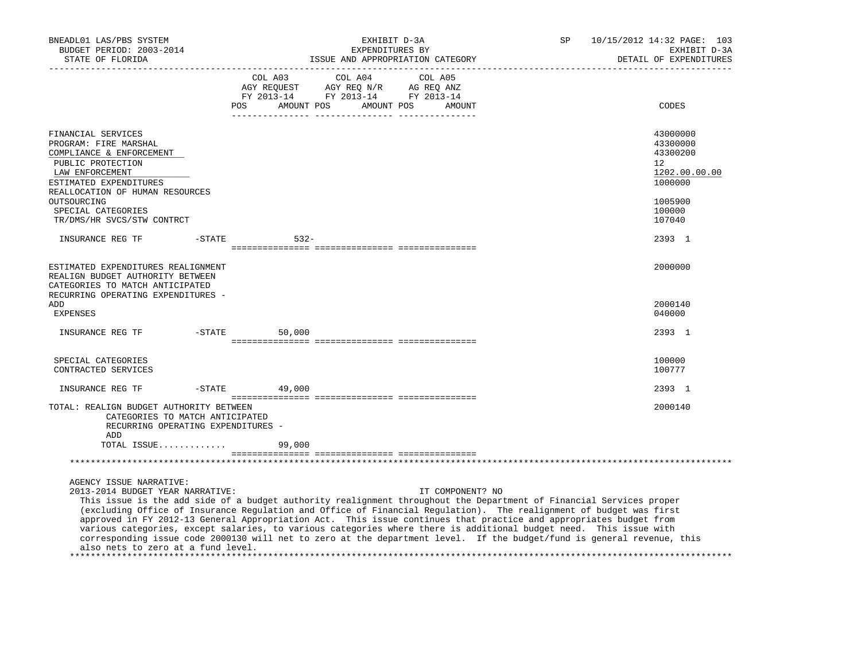| BNEADL01 LAS/PBS SYSTEM<br>BUDGET PERIOD: 2003-2014<br>STATE OF FLORIDA<br>------------------                                                                                                                                                                                                                                                                                                                                                                                                                                                                                                                                                                                |           |                                     | EXHIBIT D-3A<br>EXPENDITURES BY                                                                 | ISSUE AND APPROPRIATION CATEGORY | SP | 10/15/2012 14:32 PAGE: 103<br>EXHIBIT D-3A<br>DETAIL OF EXPENDITURES         |
|------------------------------------------------------------------------------------------------------------------------------------------------------------------------------------------------------------------------------------------------------------------------------------------------------------------------------------------------------------------------------------------------------------------------------------------------------------------------------------------------------------------------------------------------------------------------------------------------------------------------------------------------------------------------------|-----------|-------------------------------------|-------------------------------------------------------------------------------------------------|----------------------------------|----|------------------------------------------------------------------------------|
|                                                                                                                                                                                                                                                                                                                                                                                                                                                                                                                                                                                                                                                                              |           | COL A03<br>AMOUNT POS<br><b>POS</b> | COL A04<br>AGY REQUEST AGY REQ N/R AG REQ ANZ<br>FY 2013-14 FY 2013-14 FY 2013-14<br>AMOUNT POS | COL A05<br>AMOUNT                |    | CODES                                                                        |
| FINANCIAL SERVICES<br>PROGRAM: FIRE MARSHAL<br>COMPLIANCE & ENFORCEMENT<br>PUBLIC PROTECTION<br>LAW ENFORCEMENT<br>ESTIMATED EXPENDITURES<br>REALLOCATION OF HUMAN RESOURCES                                                                                                                                                                                                                                                                                                                                                                                                                                                                                                 |           |                                     |                                                                                                 |                                  |    | 43000000<br>43300000<br>43300200<br>$12^{\circ}$<br>1202.00.00.00<br>1000000 |
| OUTSOURCING<br>SPECIAL CATEGORIES<br>TR/DMS/HR SVCS/STW CONTRCT                                                                                                                                                                                                                                                                                                                                                                                                                                                                                                                                                                                                              |           |                                     |                                                                                                 |                                  |    | 1005900<br>100000<br>107040                                                  |
| INSURANCE REG TF                                                                                                                                                                                                                                                                                                                                                                                                                                                                                                                                                                                                                                                             | $-$ STATE | $532 -$                             |                                                                                                 |                                  |    | 2393 1                                                                       |
| ESTIMATED EXPENDITURES REALIGNMENT<br>REALIGN BUDGET AUTHORITY BETWEEN<br>CATEGORIES TO MATCH ANTICIPATED<br>RECURRING OPERATING EXPENDITURES -                                                                                                                                                                                                                                                                                                                                                                                                                                                                                                                              |           |                                     |                                                                                                 |                                  |    | 2000000                                                                      |
| ADD<br><b>EXPENSES</b>                                                                                                                                                                                                                                                                                                                                                                                                                                                                                                                                                                                                                                                       |           |                                     |                                                                                                 |                                  |    | 2000140<br>040000                                                            |
| INSURANCE REG TF                                                                                                                                                                                                                                                                                                                                                                                                                                                                                                                                                                                                                                                             | -STATE    | 50,000                              |                                                                                                 |                                  |    | 2393 1                                                                       |
| SPECIAL CATEGORIES<br>CONTRACTED SERVICES                                                                                                                                                                                                                                                                                                                                                                                                                                                                                                                                                                                                                                    |           |                                     |                                                                                                 |                                  |    | 100000<br>100777                                                             |
| INSURANCE REG TF                                                                                                                                                                                                                                                                                                                                                                                                                                                                                                                                                                                                                                                             | $-$ STATE | 49,000                              |                                                                                                 |                                  |    | 2393 1                                                                       |
| TOTAL: REALIGN BUDGET AUTHORITY BETWEEN<br>CATEGORIES TO MATCH ANTICIPATED<br>RECURRING OPERATING EXPENDITURES -<br>ADD                                                                                                                                                                                                                                                                                                                                                                                                                                                                                                                                                      |           |                                     |                                                                                                 |                                  |    | 2000140                                                                      |
| TOTAL ISSUE                                                                                                                                                                                                                                                                                                                                                                                                                                                                                                                                                                                                                                                                  |           | 99,000                              |                                                                                                 |                                  |    |                                                                              |
|                                                                                                                                                                                                                                                                                                                                                                                                                                                                                                                                                                                                                                                                              |           |                                     |                                                                                                 |                                  |    |                                                                              |
| AGENCY ISSUE NARRATIVE:<br>2013-2014 BUDGET YEAR NARRATIVE:<br>This issue is the add side of a budget authority realignment throughout the Department of Financial Services proper<br>(excluding Office of Insurance Regulation and Office of Financial Regulation). The realignment of budget was first<br>approved in FY 2012-13 General Appropriation Act. This issue continues that practice and appropriates budget from<br>various categories, except salaries, to various categories where there is additional budget need. This issue with<br>corresponding issue code 2000130 will net to zero at the department level. If the budget/fund is general revenue, this |           |                                     |                                                                                                 | IT COMPONENT? NO                 |    |                                                                              |

also nets to zero at a fund level.

\*\*\*\*\*\*\*\*\*\*\*\*\*\*\*\*\*\*\*\*\*\*\*\*\*\*\*\*\*\*\*\*\*\*\*\*\*\*\*\*\*\*\*\*\*\*\*\*\*\*\*\*\*\*\*\*\*\*\*\*\*\*\*\*\*\*\*\*\*\*\*\*\*\*\*\*\*\*\*\*\*\*\*\*\*\*\*\*\*\*\*\*\*\*\*\*\*\*\*\*\*\*\*\*\*\*\*\*\*\*\*\*\*\*\*\*\*\*\*\*\*\*\*\*\*\*\*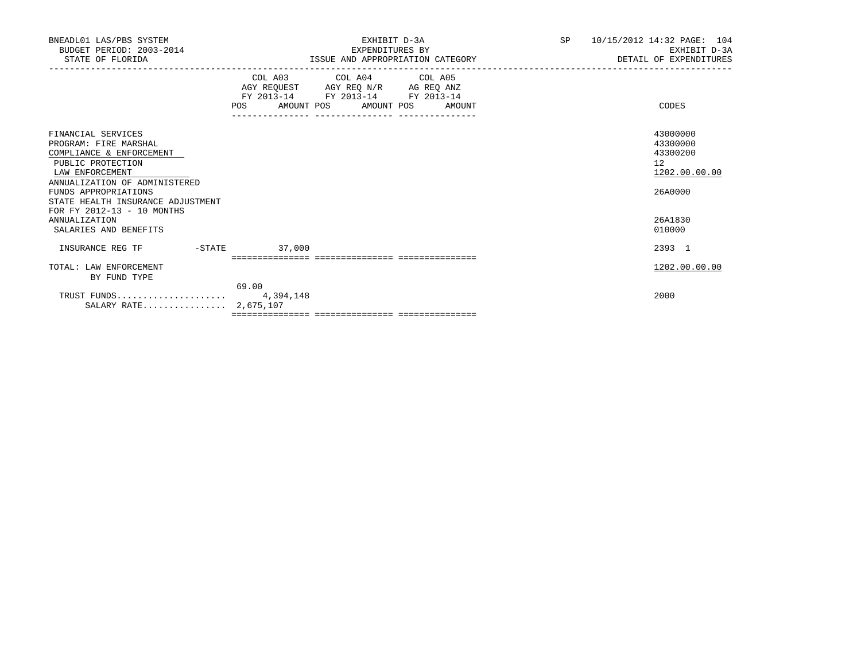| BNEADL01 LAS/PBS SYSTEM<br>BUDGET PERIOD: 2003-2014<br>STATE OF FLORIDA                                                                                                                                                                     | EXHIBIT D-3A<br>EXPENDITURES BY<br>ISSUE AND APPROPRIATION CATEGORY                                                                                      | SP | 10/15/2012 14:32 PAGE: 104<br>EXHIBIT D-3A<br>DETAIL OF EXPENDITURES |
|---------------------------------------------------------------------------------------------------------------------------------------------------------------------------------------------------------------------------------------------|----------------------------------------------------------------------------------------------------------------------------------------------------------|----|----------------------------------------------------------------------|
|                                                                                                                                                                                                                                             | COL A03 COL A04 COL A05<br>AGY REQUEST AGY REQ N/R AG REQ ANZ<br>FY 2013-14 FY 2013-14 FY 2013-14<br>POS AMOUNT POS AMOUNT POS AMOUNT<br>--------------- |    | CODES                                                                |
| FINANCIAL SERVICES<br>PROGRAM: FIRE MARSHAL<br>COMPLIANCE & ENFORCEMENT<br>PUBLIC PROTECTION<br>LAW ENFORCEMENT<br>ANNUALIZATION OF ADMINISTERED<br>FUNDS APPROPRIATIONS<br>STATE HEALTH INSURANCE ADJUSTMENT<br>FOR FY 2012-13 - 10 MONTHS |                                                                                                                                                          |    | 43000000<br>43300000<br>43300200<br>12<br>1202.00.00.00<br>26A0000   |
| <b>ANNUALIZATION</b><br>SALARIES AND BENEFITS                                                                                                                                                                                               |                                                                                                                                                          |    | 26A1830<br>010000                                                    |
| $-STATE$<br>INSURANCE REG TF                                                                                                                                                                                                                | 37,000                                                                                                                                                   |    | 2393 1                                                               |
| TOTAL: LAW ENFORCEMENT<br>BY FUND TYPE                                                                                                                                                                                                      | 69.00                                                                                                                                                    |    | 1202.00.00.00                                                        |
| SALARY RATE 2,675,107                                                                                                                                                                                                                       |                                                                                                                                                          |    | 2000                                                                 |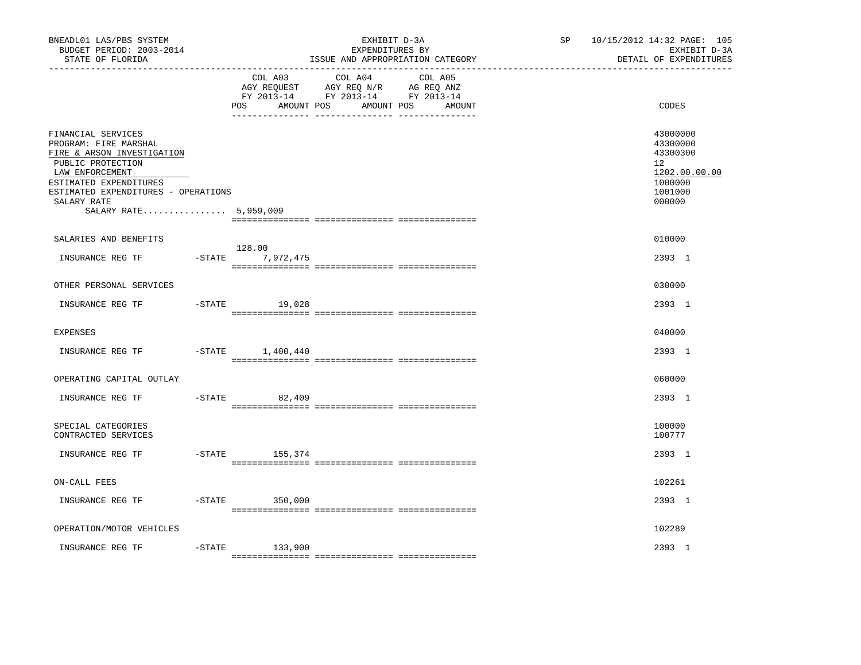| BNEADL01 LAS/PBS SYSTEM<br>BUDGET PERIOD: 2003-2014<br>STATE OF FLORIDA                                                                                                                                                    |                              | EXHIBIT D-3A<br>EXPENDITURES BY<br>ISSUE AND APPROPRIATION CATEGORY                                            | SP and the set of the set of the set of the set of the set of the set of the set of the set of the set of the set of the set of the set of the set of the set of the set of the set of the set of the set of the set of the se | 10/15/2012 14:32 PAGE: 105<br>EXHIBIT D-3A<br>DETAIL OF EXPENDITURES                    |
|----------------------------------------------------------------------------------------------------------------------------------------------------------------------------------------------------------------------------|------------------------------|----------------------------------------------------------------------------------------------------------------|--------------------------------------------------------------------------------------------------------------------------------------------------------------------------------------------------------------------------------|-----------------------------------------------------------------------------------------|
|                                                                                                                                                                                                                            | COL A03<br>POS<br>AMOUNT POS | COL A04 COL A05<br>AGY REQUEST AGY REQ N/R AG REQ ANZ<br>FY 2013-14 FY 2013-14 FY 2013-14<br>AMOUNT POS AMOUNT |                                                                                                                                                                                                                                | CODES                                                                                   |
| FINANCIAL SERVICES<br>PROGRAM: FIRE MARSHAL<br>FIRE & ARSON INVESTIGATION<br>PUBLIC PROTECTION<br>LAW ENFORCEMENT<br>ESTIMATED EXPENDITURES<br>ESTIMATED EXPENDITURES - OPERATIONS<br>SALARY RATE<br>SALARY RATE 5,959,009 |                              |                                                                                                                |                                                                                                                                                                                                                                | 43000000<br>43300000<br>43300300<br>12<br>1202.00.00.00<br>1000000<br>1001000<br>000000 |
| SALARIES AND BENEFITS                                                                                                                                                                                                      |                              |                                                                                                                |                                                                                                                                                                                                                                | 010000                                                                                  |
| INSURANCE REG TF                                                                                                                                                                                                           | 128.00<br>-STATE 7,972,475   |                                                                                                                |                                                                                                                                                                                                                                | 2393 1                                                                                  |
| OTHER PERSONAL SERVICES                                                                                                                                                                                                    |                              |                                                                                                                |                                                                                                                                                                                                                                | 030000                                                                                  |
| INSURANCE REG TF                                                                                                                                                                                                           | $-STATE$ 19,028              |                                                                                                                |                                                                                                                                                                                                                                | 2393 1                                                                                  |
| <b>EXPENSES</b>                                                                                                                                                                                                            |                              |                                                                                                                |                                                                                                                                                                                                                                | 040000                                                                                  |
| INSURANCE REG TF                                                                                                                                                                                                           | $-$ STATE $1,400,440$        |                                                                                                                |                                                                                                                                                                                                                                | 2393 1                                                                                  |
| OPERATING CAPITAL OUTLAY                                                                                                                                                                                                   |                              |                                                                                                                |                                                                                                                                                                                                                                | 060000                                                                                  |
| INSURANCE REG TF                                                                                                                                                                                                           | $-$ STATE<br>82,409          |                                                                                                                |                                                                                                                                                                                                                                | 2393 1                                                                                  |
| SPECIAL CATEGORIES<br>CONTRACTED SERVICES                                                                                                                                                                                  |                              |                                                                                                                |                                                                                                                                                                                                                                | 100000<br>100777                                                                        |
| INSURANCE REG TF                                                                                                                                                                                                           | -STATE 155,374               |                                                                                                                |                                                                                                                                                                                                                                | 2393 1                                                                                  |
| ON-CALL FEES                                                                                                                                                                                                               |                              |                                                                                                                |                                                                                                                                                                                                                                | 102261                                                                                  |
| INSURANCE REG TF                                                                                                                                                                                                           | $-STATE$ 350,000             |                                                                                                                |                                                                                                                                                                                                                                | 2393 1                                                                                  |
| OPERATION/MOTOR VEHICLES                                                                                                                                                                                                   |                              |                                                                                                                |                                                                                                                                                                                                                                | 102289                                                                                  |
| $-$ STATE<br>INSURANCE REG TF                                                                                                                                                                                              | 133,900                      |                                                                                                                |                                                                                                                                                                                                                                | 2393 1                                                                                  |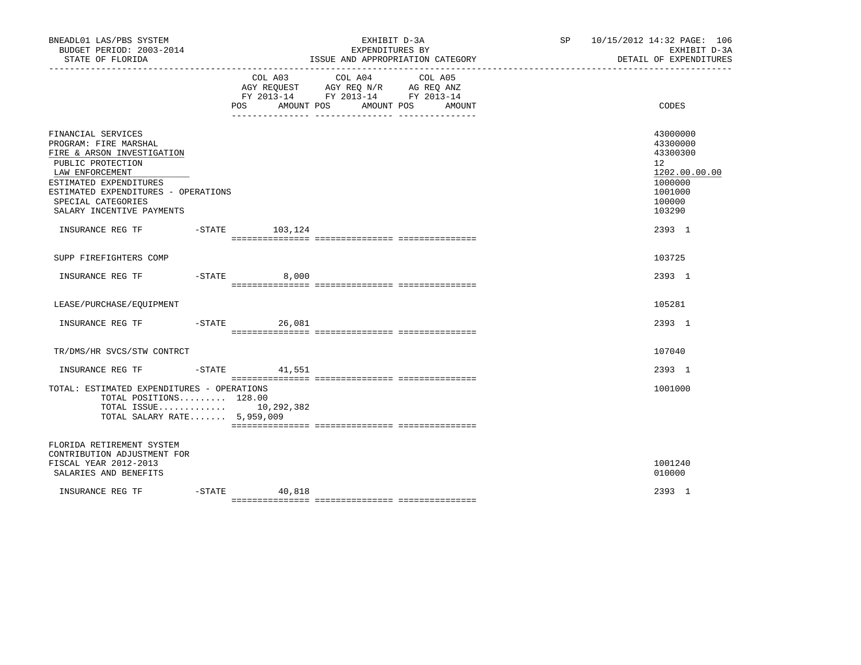| BNEADL01 LAS/PBS SYSTEM<br>BUDGET PERIOD: 2003-2014<br>STATE OF FLORIDA                                                                                                                                                               |           |                              | EXHIBIT D-3A<br>EXPENDITURES BY<br>ISSUE AND APPROPRIATION CATEGORY                                                                                                                                                                                                      | SP <sub>2</sub> | 10/15/2012 14:32 PAGE: 106<br>EXHIBIT D-3A<br>DETAIL OF EXPENDITURES                              |  |
|---------------------------------------------------------------------------------------------------------------------------------------------------------------------------------------------------------------------------------------|-----------|------------------------------|--------------------------------------------------------------------------------------------------------------------------------------------------------------------------------------------------------------------------------------------------------------------------|-----------------|---------------------------------------------------------------------------------------------------|--|
|                                                                                                                                                                                                                                       |           | COL A03<br>AMOUNT POS<br>POS | COL A04<br>COL A05<br>$\begin{tabular}{lllllll} \bf AGY \,\, REQUEST \,\, &\bf AGY \,\, REQ \,\, N/R &\bf AG \,\, REQ \,\, ANZ \\ \bf FY \,\, 2013-14 &\bf FY \,\, 2013-14 &\bf FY \,\, 2013-14 \\ \end{tabular}$<br>AMOUNT POS AMOUNT<br>__ ________________ __________ |                 | CODES                                                                                             |  |
| FINANCIAL SERVICES<br>PROGRAM: FIRE MARSHAL<br>FIRE & ARSON INVESTIGATION<br>PUBLIC PROTECTION<br>LAW ENFORCEMENT<br>ESTIMATED EXPENDITURES<br>ESTIMATED EXPENDITURES - OPERATIONS<br>SPECIAL CATEGORIES<br>SALARY INCENTIVE PAYMENTS |           |                              |                                                                                                                                                                                                                                                                          |                 | 43000000<br>43300000<br>43300300<br>12<br>1202.00.00.00<br>1000000<br>1001000<br>100000<br>103290 |  |
| INSURANCE REG TF    -STATE    103,124                                                                                                                                                                                                 |           |                              |                                                                                                                                                                                                                                                                          |                 | 2393 1                                                                                            |  |
| SUPP FIREFIGHTERS COMP                                                                                                                                                                                                                |           |                              |                                                                                                                                                                                                                                                                          |                 | 103725                                                                                            |  |
| INSURANCE REG TF                                                                                                                                                                                                                      |           | $-$ STATE 8,000              |                                                                                                                                                                                                                                                                          |                 | 2393 1                                                                                            |  |
| LEASE/PURCHASE/EOUIPMENT                                                                                                                                                                                                              |           |                              |                                                                                                                                                                                                                                                                          |                 | 105281                                                                                            |  |
|                                                                                                                                                                                                                                       |           | 26,081                       |                                                                                                                                                                                                                                                                          |                 | 2393 1                                                                                            |  |
| TR/DMS/HR SVCS/STW CONTRCT                                                                                                                                                                                                            |           |                              |                                                                                                                                                                                                                                                                          |                 | 107040                                                                                            |  |
| INSURANCE REG TF                                                                                                                                                                                                                      |           | $-$ STATE 41,551             |                                                                                                                                                                                                                                                                          |                 | 2393 1                                                                                            |  |
| TOTAL: ESTIMATED EXPENDITURES - OPERATIONS<br>TOTAL POSITIONS 128.00<br>TOTAL ISSUE 10,292,382<br>TOTAL SALARY RATE 5,959,009                                                                                                         |           |                              |                                                                                                                                                                                                                                                                          |                 | 1001000                                                                                           |  |
| FLORIDA RETIREMENT SYSTEM<br>CONTRIBUTION ADJUSTMENT FOR<br>FISCAL YEAR 2012-2013<br>SALARIES AND BENEFITS                                                                                                                            |           |                              |                                                                                                                                                                                                                                                                          |                 | 1001240<br>010000                                                                                 |  |
| INSURANCE REG TF                                                                                                                                                                                                                      | $-$ STATE | 40,818                       |                                                                                                                                                                                                                                                                          |                 | 2393 1                                                                                            |  |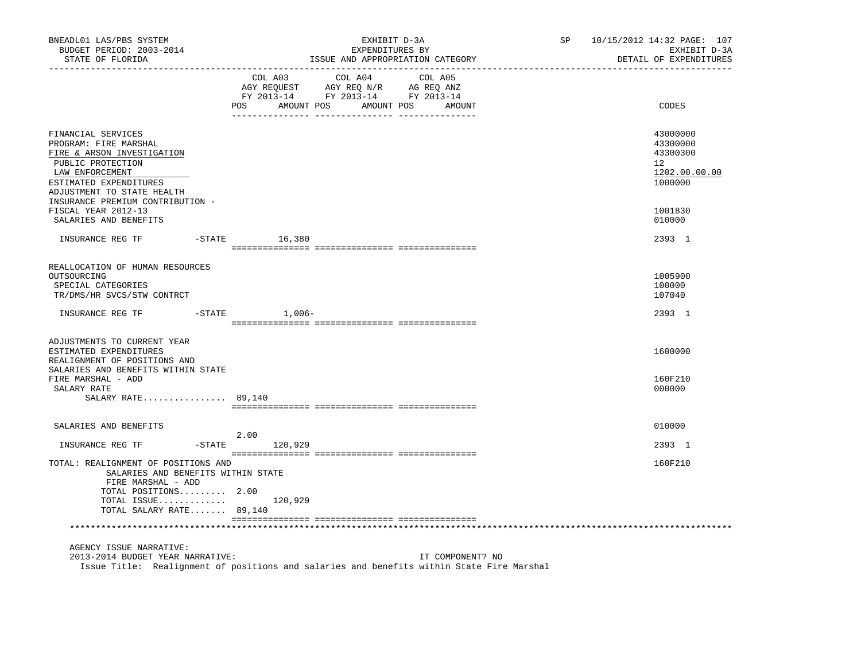| BNEADL01 LAS/PBS SYSTEM<br>BUDGET PERIOD: 2003-2014<br>STATE OF FLORIDA                                                                                                   |                | EXHIBIT D-3A<br>EXPENDITURES BY<br>ISSUE AND APPROPRIATION CATEGORY                                                       | SP 10/15/2012 14:32 PAGE: 107<br>EXHIBIT D-3A<br>DETAIL OF EXPENDITURES |
|---------------------------------------------------------------------------------------------------------------------------------------------------------------------------|----------------|---------------------------------------------------------------------------------------------------------------------------|-------------------------------------------------------------------------|
|                                                                                                                                                                           | COL A03<br>POS | COL A04 COL A05<br>AGY REQUEST AGY REQ N/R AG REQ ANZ<br>FY 2013-14 FY 2013-14 FY 2013-14<br>AMOUNT POS AMOUNT POS AMOUNT | CODES                                                                   |
|                                                                                                                                                                           |                |                                                                                                                           |                                                                         |
| FINANCIAL SERVICES<br>PROGRAM: FIRE MARSHAL<br>FIRE & ARSON INVESTIGATION<br>PUBLIC PROTECTION<br>LAW ENFORCEMENT<br>ESTIMATED EXPENDITURES<br>ADJUSTMENT TO STATE HEALTH |                |                                                                                                                           | 43000000<br>43300000<br>43300300<br>12<br>1202.00.00.00<br>1000000      |
| INSURANCE PREMIUM CONTRIBUTION -<br>FISCAL YEAR 2012-13                                                                                                                   |                |                                                                                                                           | 1001830                                                                 |
| SALARIES AND BENEFITS                                                                                                                                                     |                |                                                                                                                           | 010000                                                                  |
| INSURANCE REG TF    -STATE    16,380                                                                                                                                      |                |                                                                                                                           | 2393 1                                                                  |
| REALLOCATION OF HUMAN RESOURCES<br>OUTSOURCING<br>SPECIAL CATEGORIES<br>TR/DMS/HR SVCS/STW CONTRCT                                                                        |                |                                                                                                                           | 1005900<br>100000<br>107040                                             |
| INSURANCE REG TF    -STATE                                                                                                                                                | 1,006-         |                                                                                                                           | 2393 1                                                                  |
| ADJUSTMENTS TO CURRENT YEAR<br>ESTIMATED EXPENDITURES<br>REALIGNMENT OF POSITIONS AND<br>SALARIES AND BENEFITS WITHIN STATE                                               |                |                                                                                                                           | 1600000                                                                 |
| FIRE MARSHAL - ADD                                                                                                                                                        |                |                                                                                                                           | 160F210                                                                 |
| SALARY RATE<br>SALARY RATE 89,140                                                                                                                                         |                |                                                                                                                           | 000000                                                                  |
|                                                                                                                                                                           |                |                                                                                                                           |                                                                         |
| SALARIES AND BENEFITS                                                                                                                                                     | 2.00           |                                                                                                                           | 010000                                                                  |
| INSURANCE REG TF                                                                                                                                                          | -STATE 120,929 |                                                                                                                           | 2393 1                                                                  |
| TOTAL: REALIGNMENT OF POSITIONS AND<br>SALARIES AND BENEFITS WITHIN STATE<br>FIRE MARSHAL - ADD                                                                           |                |                                                                                                                           | 160F210                                                                 |
| TOTAL POSITIONS 2.00<br>TOTAL ISSUE $120,929$                                                                                                                             |                |                                                                                                                           |                                                                         |
| TOTAL SALARY RATE 89,140                                                                                                                                                  |                |                                                                                                                           |                                                                         |
|                                                                                                                                                                           |                |                                                                                                                           |                                                                         |
| AGENCY ISSUE NARRATIVE:                                                                                                                                                   |                |                                                                                                                           |                                                                         |
| 2013-2014 BUDGET YEAR NARRATIVE:                                                                                                                                          |                | IT COMPONENT? NO<br>Issue Title: Realignment of positions and salaries and benefits within State Fire Marshal             |                                                                         |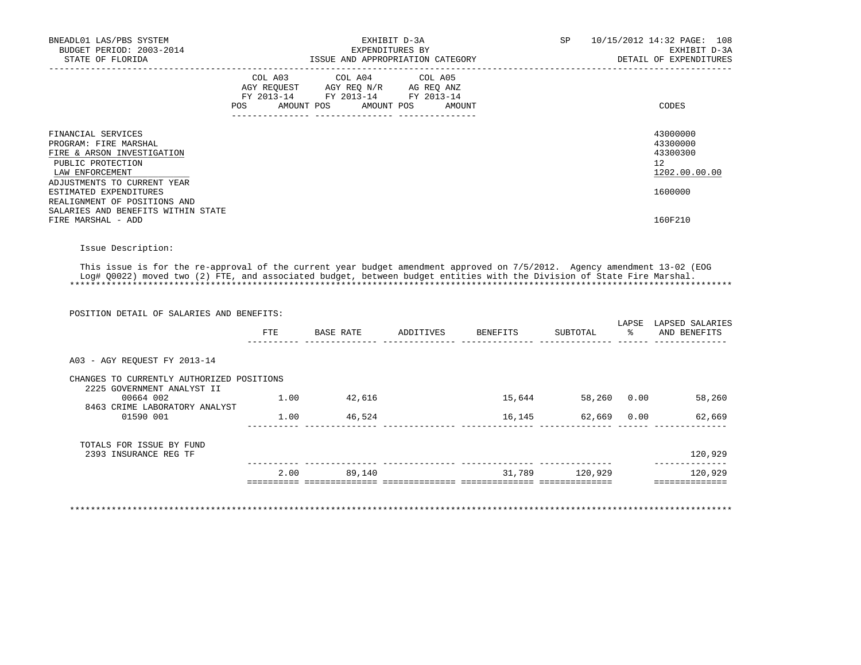| BNEADL01 LAS/PBS SYSTEM<br>BUDGET PERIOD: 2003-2014<br>STATE OF FLORIDA                                                                          |     | EXHIBIT D-3A<br>EXPENDITURES BY<br>ISSUE AND APPROPRIATION CATEGORY                                                        | SP     | 10/15/2012 14:32 PAGE: 108<br>EXHIBIT D-3A<br>DETAIL OF EXPENDITURES |                                                         |
|--------------------------------------------------------------------------------------------------------------------------------------------------|-----|----------------------------------------------------------------------------------------------------------------------------|--------|----------------------------------------------------------------------|---------------------------------------------------------|
|                                                                                                                                                  | POS | COL A03 COL A04 COL A05<br>AGY REQUEST AGY REQ N/R AG REQ ANZ<br>FY 2013-14 FY 2013-14 FY 2013-14<br>AMOUNT POS AMOUNT POS | AMOUNT |                                                                      | CODES                                                   |
| FINANCIAL SERVICES<br>PROGRAM: FIRE MARSHAL<br>FIRE & ARSON INVESTIGATION<br>PUBLIC PROTECTION<br>LAW ENFORCEMENT<br>ADJUSTMENTS TO CURRENT YEAR |     |                                                                                                                            |        |                                                                      | 43000000<br>43300000<br>43300300<br>12<br>1202.00.00.00 |
| ESTIMATED EXPENDITURES<br>REALIGNMENT OF POSITIONS AND                                                                                           |     |                                                                                                                            |        |                                                                      | 1600000                                                 |
| SALARIES AND BENEFITS WITHIN STATE<br>FIRE MARSHAL - ADD                                                                                         |     |                                                                                                                            |        |                                                                      | 160F210                                                 |

## Issue Description:

 This issue is for the re-approval of the current year budget amendment approved on 7/5/2012. Agency amendment 13-02 (EOG Log# Q0022) moved two (2) FTE, and associated budget, between budget entities with the Division of State Fire Marshal. \*\*\*\*\*\*\*\*\*\*\*\*\*\*\*\*\*\*\*\*\*\*\*\*\*\*\*\*\*\*\*\*\*\*\*\*\*\*\*\*\*\*\*\*\*\*\*\*\*\*\*\*\*\*\*\*\*\*\*\*\*\*\*\*\*\*\*\*\*\*\*\*\*\*\*\*\*\*\*\*\*\*\*\*\*\*\*\*\*\*\*\*\*\*\*\*\*\*\*\*\*\*\*\*\*\*\*\*\*\*\*\*\*\*\*\*\*\*\*\*\*\*\*\*\*\*\*

|      |                                           |           |          |          | LAPSE  | LAPSED SALARIES |
|------|-------------------------------------------|-----------|----------|----------|--------|-----------------|
| FTE  | BASE RATE                                 | ADDITIVES | BENEFITS | SUBTOTAL |        | AND BENEFITS    |
|      |                                           |           |          |          |        |                 |
|      |                                           |           |          |          |        |                 |
| 1.00 | 42,616                                    |           | 15,644   | 58,260   | 0.00   | 58,260          |
| 1.00 | 46,524                                    |           |          |          |        | 62,669          |
|      |                                           |           |          |          |        |                 |
|      |                                           |           |          |          |        | 120,929         |
| 2.00 | 89,140                                    |           | 31,789   | 120,929  |        | 120,929         |
|      |                                           |           |          |          |        |                 |
|      | CHANGES TO CURRENTLY AUTHORIZED POSITIONS |           |          |          | 16,145 | 62,669 0.00     |

\*\*\*\*\*\*\*\*\*\*\*\*\*\*\*\*\*\*\*\*\*\*\*\*\*\*\*\*\*\*\*\*\*\*\*\*\*\*\*\*\*\*\*\*\*\*\*\*\*\*\*\*\*\*\*\*\*\*\*\*\*\*\*\*\*\*\*\*\*\*\*\*\*\*\*\*\*\*\*\*\*\*\*\*\*\*\*\*\*\*\*\*\*\*\*\*\*\*\*\*\*\*\*\*\*\*\*\*\*\*\*\*\*\*\*\*\*\*\*\*\*\*\*\*\*\*\*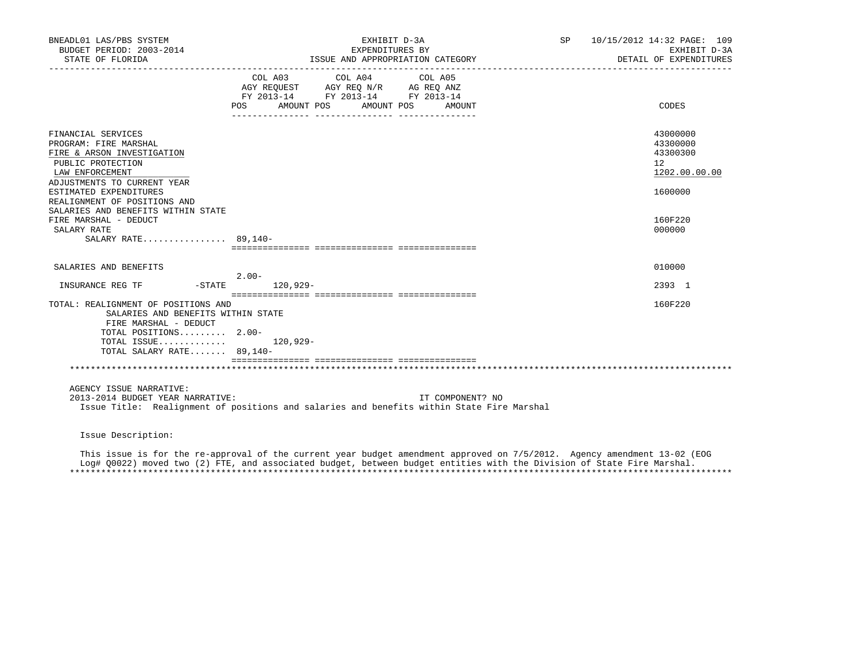| BNEADL01 LAS/PBS SYSTEM<br>BUDGET PERIOD: 2003-2014<br>STATE OF FLORIDA                                                                                                            | EXHIBIT D-3A<br>EXPENDITURES BY<br>ISSUE AND APPROPRIATION CATEGORY                                                                                                                               | SP 10/15/2012 14:32 PAGE: 109<br>EXHIBIT D-3A<br>DETAIL OF EXPENDITURES |
|------------------------------------------------------------------------------------------------------------------------------------------------------------------------------------|---------------------------------------------------------------------------------------------------------------------------------------------------------------------------------------------------|-------------------------------------------------------------------------|
|                                                                                                                                                                                    | $\begin{tabular}{lcccc} COL A03 & COL A04 & COL A05 \\ AGY REQUEST & AGY REQ N/R & AG REQ ANZ \\ FY & 2013-14 & FY & 2013-14 & FY & 2013-14 \end{tabular}$<br>POS AMOUNT POS<br>AMOUNT POS AMOUNT | CODES                                                                   |
| FINANCIAL SERVICES<br>PROGRAM: FIRE MARSHAL<br>FIRE & ARSON INVESTIGATION<br>PUBLIC PROTECTION<br>LAW ENFORCEMENT<br>ADJUSTMENTS TO CURRENT YEAR                                   |                                                                                                                                                                                                   | 43000000<br>43300000<br>43300300<br>12 <sup>°</sup><br>1202.00.00.00    |
| ESTIMATED EXPENDITURES<br>REALIGNMENT OF POSITIONS AND<br>SALARIES AND BENEFITS WITHIN STATE<br>FIRE MARSHAL - DEDUCT<br>SALARY RATE<br>SALARY RATE 89,140-                        |                                                                                                                                                                                                   | 1600000<br>160F220<br>000000                                            |
|                                                                                                                                                                                    |                                                                                                                                                                                                   |                                                                         |
| SALARIES AND BENEFITS                                                                                                                                                              | $2.00-$                                                                                                                                                                                           | 010000                                                                  |
| INSURANCE REG TF                                                                                                                                                                   | -STATE 120,929-                                                                                                                                                                                   | 2393 1                                                                  |
| TOTAL: REALIGNMENT OF POSITIONS AND<br>SALARIES AND BENEFITS WITHIN STATE<br>FIRE MARSHAL - DEDUCT<br>TOTAL POSITIONS 2.00-<br>TOTAL ISSUE $120,929-$<br>TOTAL SALARY RATE 89,140- |                                                                                                                                                                                                   | 160F220                                                                 |
|                                                                                                                                                                                    |                                                                                                                                                                                                   |                                                                         |
| AGENCY ISSUE NARRATIVE:<br>2013-2014 BUDGET YEAR NARRATIVE:                                                                                                                        | IT COMPONENT? NO<br>Issue Title: Realignment of positions and salaries and benefits within State Fire Marshal                                                                                     |                                                                         |

Issue Description:

 This issue is for the re-approval of the current year budget amendment approved on 7/5/2012. Agency amendment 13-02 (EOG Log# Q0022) moved two (2) FTE, and associated budget, between budget entities with the Division of State Fire Marshal. \*\*\*\*\*\*\*\*\*\*\*\*\*\*\*\*\*\*\*\*\*\*\*\*\*\*\*\*\*\*\*\*\*\*\*\*\*\*\*\*\*\*\*\*\*\*\*\*\*\*\*\*\*\*\*\*\*\*\*\*\*\*\*\*\*\*\*\*\*\*\*\*\*\*\*\*\*\*\*\*\*\*\*\*\*\*\*\*\*\*\*\*\*\*\*\*\*\*\*\*\*\*\*\*\*\*\*\*\*\*\*\*\*\*\*\*\*\*\*\*\*\*\*\*\*\*\*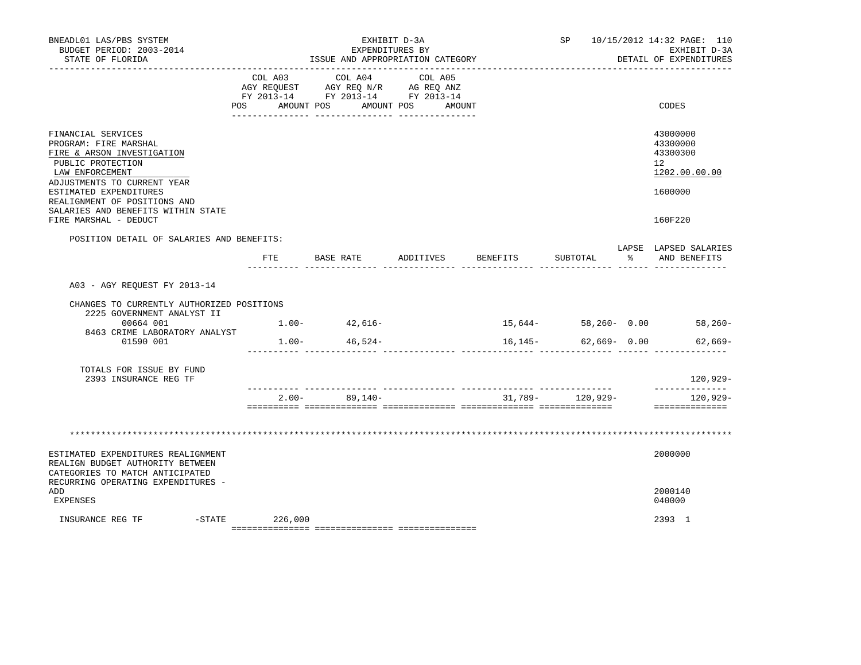| BNEADL01 LAS/PBS SYSTEM<br>BUDGET PERIOD: 2003-2014<br>STATE OF FLORIDA                                                                          |                   |                   | EXHIBIT D-3A<br>EXPENDITURES BY<br>ISSUE AND APPROPRIATION CATEGORY                                                   |           |                      | SP 10/15/2012 14:32 PAGE: 110<br>EXHIBIT D-3A<br>DETAIL OF EXPENDITURES |
|--------------------------------------------------------------------------------------------------------------------------------------------------|-------------------|-------------------|-----------------------------------------------------------------------------------------------------------------------|-----------|----------------------|-------------------------------------------------------------------------|
|                                                                                                                                                  | COL A03           | COL A04           | COL A05<br>AGY REQUEST AGY REQ N/R AG REQ ANZ<br>FY 2013-14 FY 2013-14 FY 2013-14<br>POS AMOUNT POS AMOUNT POS AMOUNT |           |                      | CODES                                                                   |
| FINANCIAL SERVICES<br>PROGRAM: FIRE MARSHAL<br>FIRE & ARSON INVESTIGATION<br>PUBLIC PROTECTION<br>LAW ENFORCEMENT<br>ADJUSTMENTS TO CURRENT YEAR |                   |                   |                                                                                                                       |           |                      | 43000000<br>43300000<br>43300300<br>12 <sup>°</sup><br>1202.00.00.00    |
| ESTIMATED EXPENDITURES<br>REALIGNMENT OF POSITIONS AND<br>SALARIES AND BENEFITS WITHIN STATE<br>FIRE MARSHAL - DEDUCT                            |                   |                   |                                                                                                                       |           |                      | 1600000<br>160F220                                                      |
| POSITION DETAIL OF SALARIES AND BENEFITS:                                                                                                        |                   | FTE BASE RATE     | ADDITIVES                                                                                                             | BENEFITS  | SUBTOTAL             | LAPSE LAPSED SALARIES<br>AND BENEFITS                                   |
| A03 - AGY REOUEST FY 2013-14                                                                                                                     |                   |                   |                                                                                                                       |           |                      |                                                                         |
| CHANGES TO CURRENTLY AUTHORIZED POSITIONS                                                                                                        |                   |                   |                                                                                                                       |           |                      |                                                                         |
| 2225 GOVERNMENT ANALYST II<br>00664 001<br>8463 CRIME LABORATORY ANALYST                                                                         |                   | $1.00 - 42,616 -$ |                                                                                                                       | $15,644-$ |                      | $58,260 - 0.00$ 58,260-                                                 |
| 01590 001                                                                                                                                        | $1.00 -$          | 46,524-           |                                                                                                                       | 16,145-   | 62,669- 0.00         | $62,669-$                                                               |
| TOTALS FOR ISSUE BY FUND<br>2393 INSURANCE REG TF                                                                                                |                   |                   |                                                                                                                       |           |                      | 120,929-                                                                |
|                                                                                                                                                  | $2.00 -$          | $89,140-$         |                                                                                                                       |           | $31,789 - 120,929 -$ | $120.929 -$<br>==============                                           |
|                                                                                                                                                  |                   |                   |                                                                                                                       |           |                      |                                                                         |
|                                                                                                                                                  |                   |                   |                                                                                                                       |           |                      |                                                                         |
| ESTIMATED EXPENDITURES REALIGNMENT<br>REALIGN BUDGET AUTHORITY BETWEEN<br>CATEGORIES TO MATCH ANTICIPATED<br>RECURRING OPERATING EXPENDITURES -  |                   |                   |                                                                                                                       |           |                      | 2000000                                                                 |
| ADD<br>EXPENSES                                                                                                                                  |                   |                   |                                                                                                                       |           |                      | 2000140<br>040000                                                       |
| INSURANCE REG TF                                                                                                                                 | $-$ STATE 226,000 |                   |                                                                                                                       |           |                      | 2393 1                                                                  |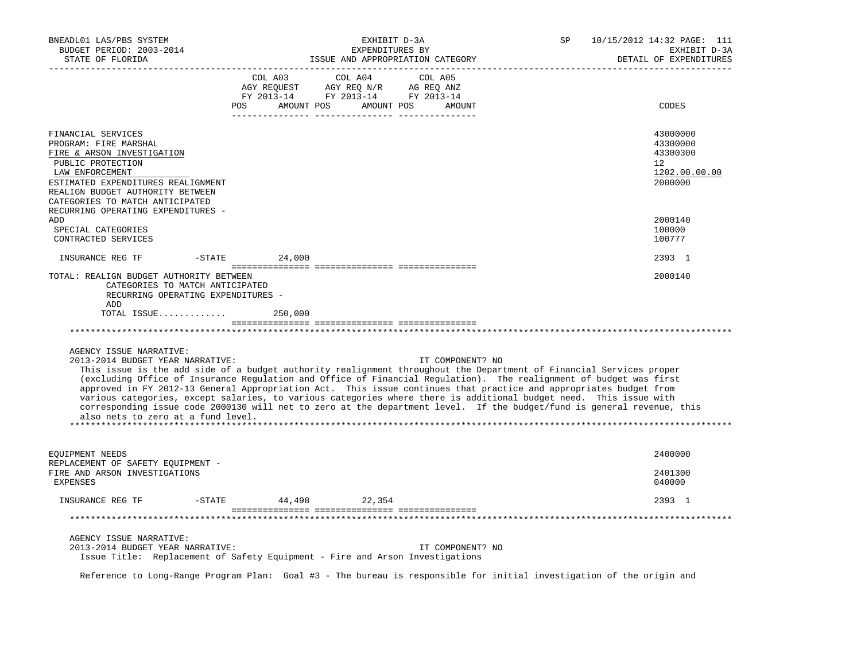| BNEADL01 LAS/PBS SYSTEM<br>BUDGET PERIOD: 2003-2014<br>STATE OF FLORIDA                                                                                                                                                        | EXHIBIT D-3A<br>EXPENDITURES BY                                                                                                  | SP<br>ISSUE AND APPROPRIATION CATEGORY                                                                                                                                                                                                                                                                                                                                                                                                                                                                                                                                                                                            | 10/15/2012 14:32 PAGE: 111<br>EXHIBIT D-3A<br>DETAIL OF EXPENDITURES            |
|--------------------------------------------------------------------------------------------------------------------------------------------------------------------------------------------------------------------------------|----------------------------------------------------------------------------------------------------------------------------------|-----------------------------------------------------------------------------------------------------------------------------------------------------------------------------------------------------------------------------------------------------------------------------------------------------------------------------------------------------------------------------------------------------------------------------------------------------------------------------------------------------------------------------------------------------------------------------------------------------------------------------------|---------------------------------------------------------------------------------|
|                                                                                                                                                                                                                                | COL A03<br>COL A04<br>AGY REQUEST AGY REQ N/R AG REQ ANZ<br>FY 2013-14 FY 2013-14 FY 2013-14<br>POS AMOUNT POS AMOUNT POS AMOUNT | COL A05                                                                                                                                                                                                                                                                                                                                                                                                                                                                                                                                                                                                                           | CODES                                                                           |
| FINANCIAL SERVICES<br>PROGRAM: FIRE MARSHAL<br>FIRE & ARSON INVESTIGATION<br>PUBLIC PROTECTION<br>LAW ENFORCEMENT<br>ESTIMATED EXPENDITURES REALIGNMENT<br>REALIGN BUDGET AUTHORITY BETWEEN<br>CATEGORIES TO MATCH ANTICIPATED |                                                                                                                                  |                                                                                                                                                                                                                                                                                                                                                                                                                                                                                                                                                                                                                                   | 43000000<br>43300000<br>43300300<br>12 <sup>°</sup><br>1202.00.00.00<br>2000000 |
| RECURRING OPERATING EXPENDITURES -<br>ADD<br>SPECIAL CATEGORIES<br>CONTRACTED SERVICES                                                                                                                                         |                                                                                                                                  |                                                                                                                                                                                                                                                                                                                                                                                                                                                                                                                                                                                                                                   | 2000140<br>100000<br>100777                                                     |
| INSURANCE REG TF<br>$-$ STATE                                                                                                                                                                                                  | 24,000                                                                                                                           |                                                                                                                                                                                                                                                                                                                                                                                                                                                                                                                                                                                                                                   | 2393 1                                                                          |
| TOTAL: REALIGN BUDGET AUTHORITY BETWEEN<br>CATEGORIES TO MATCH ANTICIPATED<br>RECURRING OPERATING EXPENDITURES -<br>ADD<br>AGENCY ISSUE NARRATIVE:<br>2013-2014 BUDGET YEAR NARRATIVE:<br>also nets to zero at a fund level.   |                                                                                                                                  | IT COMPONENT? NO<br>This issue is the add side of a budget authority realignment throughout the Department of Financial Services proper<br>(excluding Office of Insurance Regulation and Office of Financial Regulation). The realignment of budget was first<br>approved in FY 2012-13 General Appropriation Act. This issue continues that practice and appropriates budget from<br>various categories, except salaries, to various categories where there is additional budget need. This issue with<br>corresponding issue code 2000130 will net to zero at the department level. If the budget/fund is general revenue, this | 2000140                                                                         |
| EQUIPMENT NEEDS<br>REPLACEMENT OF SAFETY EQUIPMENT -<br>FIRE AND ARSON INVESTIGATIONS<br><b>EXPENSES</b>                                                                                                                       |                                                                                                                                  |                                                                                                                                                                                                                                                                                                                                                                                                                                                                                                                                                                                                                                   | 2400000<br>2401300<br>040000                                                    |
| $-$ STATE<br>INSURANCE REG TF                                                                                                                                                                                                  | 44,498 22,354                                                                                                                    |                                                                                                                                                                                                                                                                                                                                                                                                                                                                                                                                                                                                                                   | 2393 1                                                                          |
|                                                                                                                                                                                                                                |                                                                                                                                  |                                                                                                                                                                                                                                                                                                                                                                                                                                                                                                                                                                                                                                   |                                                                                 |
| AGENCY ISSUE NARRATIVE:<br>2013-2014 BUDGET YEAR NARRATIVE:                                                                                                                                                                    | Issue Title: Replacement of Safety Equipment - Fire and Arson Investigations                                                     | IT COMPONENT? NO                                                                                                                                                                                                                                                                                                                                                                                                                                                                                                                                                                                                                  |                                                                                 |

Reference to Long-Range Program Plan: Goal #3 - The bureau is responsible for initial investigation of the origin and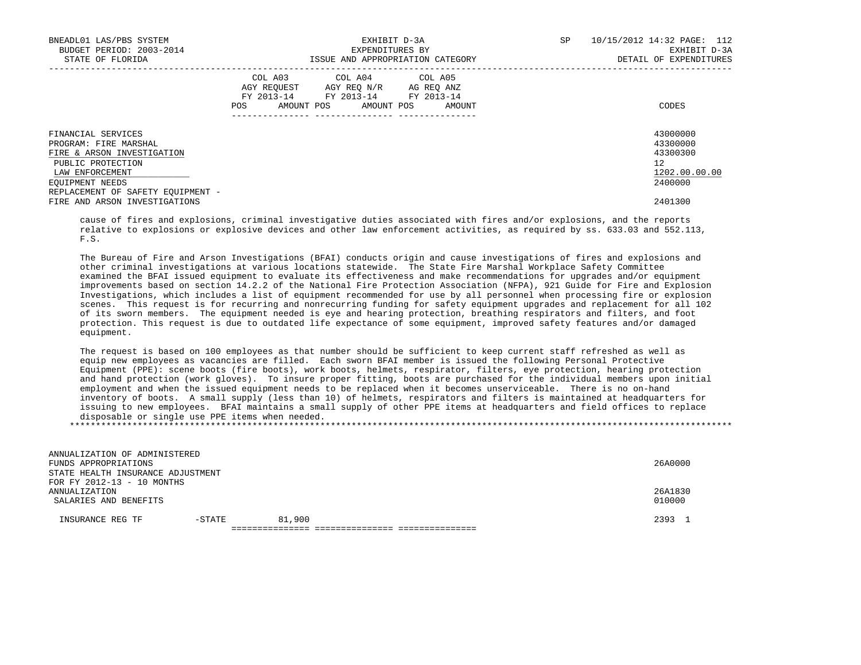| BNEADL01 LAS/PBS SYSTEM<br>BUDGET PERIOD: 2003-2014<br>STATE OF FLORIDA                                                                                                   | EXHIBIT D-3A<br>EXPENDITURES BY<br>ISSUE AND APPROPRIATION CATEGORY                                                                         | SP<br>10/15/2012 14:32 PAGE: 112<br>EXHIBIT D-3A<br>DETAIL OF EXPENDITURES |
|---------------------------------------------------------------------------------------------------------------------------------------------------------------------------|---------------------------------------------------------------------------------------------------------------------------------------------|----------------------------------------------------------------------------|
|                                                                                                                                                                           | COL A03 COL A04 COL A05<br>AGY REQUEST AGY REQ N/R AG REQ ANZ<br>FY 2013-14 FY 2013-14 FY 2013-14<br>AMOUNT POS AMOUNT POS<br>AMOUNT<br>POS | CODES                                                                      |
| FINANCIAL SERVICES<br>PROGRAM: FIRE MARSHAL<br>FIRE & ARSON INVESTIGATION<br>PUBLIC PROTECTION<br>LAW ENFORCEMENT<br>EOUIPMENT NEEDS<br>REPLACEMENT OF SAFETY EOUIPMENT - |                                                                                                                                             | 43000000<br>43300000<br>43300300<br>12<br>1202.00.00.00<br>2400000         |
| FIRE AND ARSON INVESTIGATIONS                                                                                                                                             |                                                                                                                                             | 2401300                                                                    |

 cause of fires and explosions, criminal investigative duties associated with fires and/or explosions, and the reports relative to explosions or explosive devices and other law enforcement activities, as required by ss. 633.03 and 552.113, F.S.

 The Bureau of Fire and Arson Investigations (BFAI) conducts origin and cause investigations of fires and explosions and other criminal investigations at various locations statewide. The State Fire Marshal Workplace Safety Committee examined the BFAI issued equipment to evaluate its effectiveness and make recommendations for upgrades and/or equipment improvements based on section 14.2.2 of the National Fire Protection Association (NFPA), 921 Guide for Fire and Explosion Investigations, which includes a list of equipment recommended for use by all personnel when processing fire or explosion scenes. This request is for recurring and nonrecurring funding for safety equipment upgrades and replacement for all 102 of its sworn members. The equipment needed is eye and hearing protection, breathing respirators and filters, and foot protection. This request is due to outdated life expectance of some equipment, improved safety features and/or damaged equipment.

 The request is based on 100 employees as that number should be sufficient to keep current staff refreshed as well as equip new employees as vacancies are filled. Each sworn BFAI member is issued the following Personal Protective Equipment (PPE): scene boots (fire boots), work boots, helmets, respirator, filters, eye protection, hearing protection and hand protection (work gloves). To insure proper fitting, boots are purchased for the individual members upon initial employment and when the issued equipment needs to be replaced when it becomes unserviceable. There is no on-hand inventory of boots. A small supply (less than 10) of helmets, respirators and filters is maintained at headquarters for issuing to new employees. BFAI maintains a small supply of other PPE items at headquarters and field offices to replace disposable or single use PPE items when needed. \*\*\*\*\*\*\*\*\*\*\*\*\*\*\*\*\*\*\*\*\*\*\*\*\*\*\*\*\*\*\*\*\*\*\*\*\*\*\*\*\*\*\*\*\*\*\*\*\*\*\*\*\*\*\*\*\*\*\*\*\*\*\*\*\*\*\*\*\*\*\*\*\*\*\*\*\*\*\*\*\*\*\*\*\*\*\*\*\*\*\*\*\*\*\*\*\*\*\*\*\*\*\*\*\*\*\*\*\*\*\*\*\*\*\*\*\*\*\*\*\*\*\*\*\*\*\*

| ANNUALIZATION OF ADMINISTERED     |        |        |         |
|-----------------------------------|--------|--------|---------|
| FUNDS APPROPRIATIONS              |        |        | 26A0000 |
| STATE HEALTH INSURANCE ADJUSTMENT |        |        |         |
| FOR FY 2012-13 - 10 MONTHS        |        |        |         |
| ANNUALIZATION                     |        |        | 26A1830 |
| SALARIES AND BENEFITS             |        |        | 010000  |
|                                   |        |        |         |
| INSURANCE REG TF                  | -STATE | 81,900 | 2393    |
|                                   |        |        |         |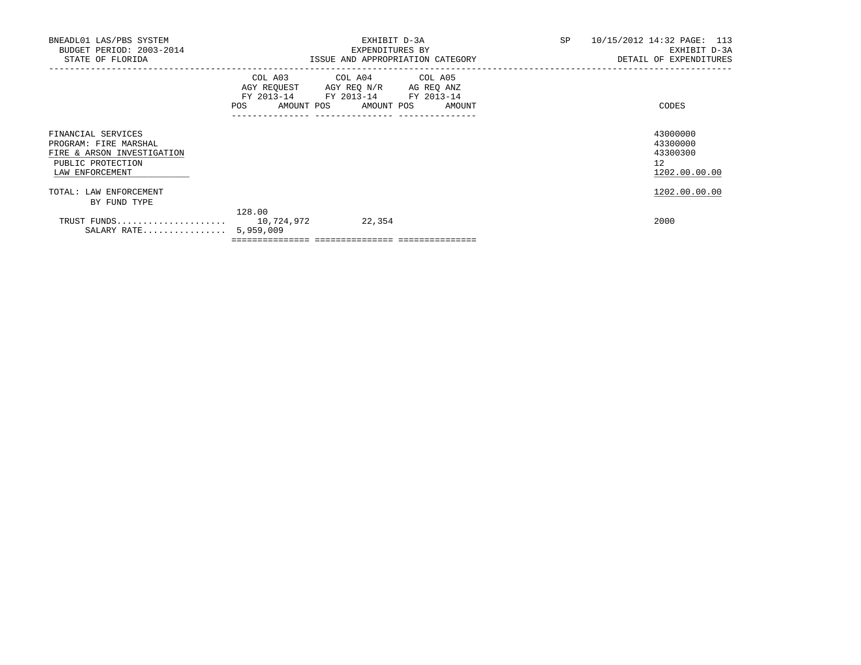| BNEADL01 LAS/PBS SYSTEM<br>BUDGET PERIOD: 2003-2014<br>STATE OF FLORIDA                                           |         | EXHIBIT D-3A<br>EXPENDITURES BY<br>ISSUE AND APPROPRIATION CATEGORY                                                                                   | SP<br>10/15/2012 14:32 PAGE: 113<br>DETAIL OF EXPENDITURES           | EXHIBIT D-3A |
|-------------------------------------------------------------------------------------------------------------------|---------|-------------------------------------------------------------------------------------------------------------------------------------------------------|----------------------------------------------------------------------|--------------|
|                                                                                                                   | POS FOR | COL A03 COL A04 COL A05<br>AGY REQUEST AGY REQ N/R AG REQ ANZ<br>FY 2013-14 FY 2013-14 FY 2013-14<br>AMOUNT POS AMOUNT POS AMOUNT<br>---------------- | CODES                                                                |              |
| FINANCIAL SERVICES<br>PROGRAM: FIRE MARSHAL<br>FIRE & ARSON INVESTIGATION<br>PUBLIC PROTECTION<br>LAW ENFORCEMENT |         |                                                                                                                                                       | 43000000<br>43300000<br>43300300<br>12 <sup>°</sup><br>1202.00.00.00 |              |
| TOTAL: LAW ENFORCEMENT<br>BY FUND TYPE                                                                            |         |                                                                                                                                                       | 1202.00.00.00                                                        |              |
| TRUST FUNDS 10,724,972<br>SALARY RATE 5,959,009                                                                   | 128.00  | 22,354                                                                                                                                                | 2000                                                                 |              |

 $=$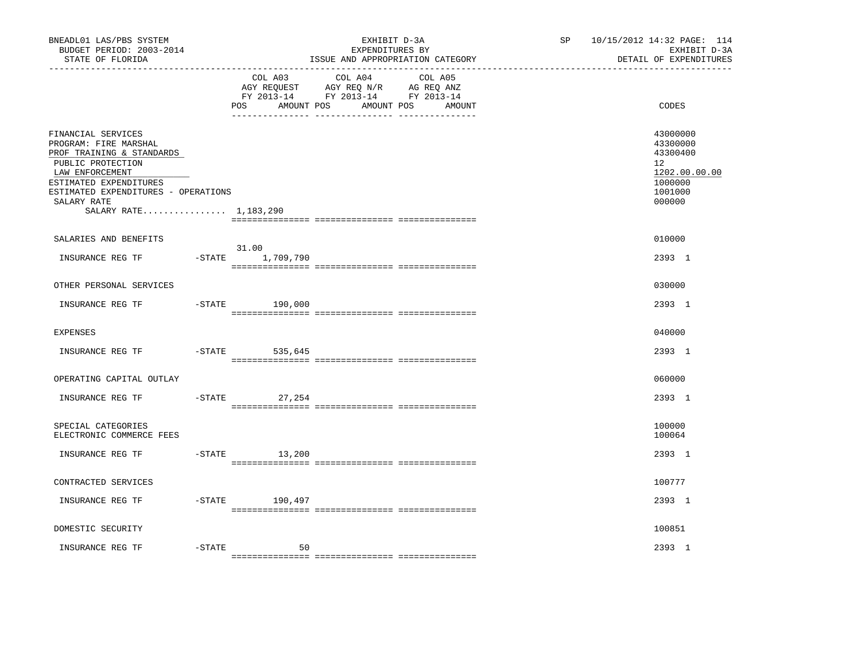| BNEADL01 LAS/PBS SYSTEM<br>BUDGET PERIOD: 2003-2014<br>STATE OF FLORIDA<br>-----------------                                                                                                                              |           |                              | EXHIBIT D-3A<br>EXPENDITURES BY<br>ISSUE AND APPROPRIATION CATEGORY                                               | SP <sub>2</sub> | 10/15/2012 14:32 PAGE: 114<br>EXHIBIT D-3A<br>DETAIL OF EXPENDITURES                    |
|---------------------------------------------------------------------------------------------------------------------------------------------------------------------------------------------------------------------------|-----------|------------------------------|-------------------------------------------------------------------------------------------------------------------|-----------------|-----------------------------------------------------------------------------------------|
|                                                                                                                                                                                                                           |           | COL A03<br>POS<br>AMOUNT POS | COL A04<br>COL A05<br>AGY REQUEST AGY REQ N/R AG REQ ANZ<br>FY 2013-14 FY 2013-14 FY 2013-14<br>AMOUNT POS AMOUNT |                 | CODES                                                                                   |
| FINANCIAL SERVICES<br>PROGRAM: FIRE MARSHAL<br>PROF TRAINING & STANDARDS<br>PUBLIC PROTECTION<br>LAW ENFORCEMENT<br>ESTIMATED EXPENDITURES<br>ESTIMATED EXPENDITURES - OPERATIONS<br>SALARY RATE<br>SALARY RATE 1,183,290 |           |                              |                                                                                                                   |                 | 43000000<br>43300000<br>43300400<br>12<br>1202.00.00.00<br>1000000<br>1001000<br>000000 |
| SALARIES AND BENEFITS                                                                                                                                                                                                     |           |                              |                                                                                                                   |                 | 010000                                                                                  |
| INSURANCE REG TF                                                                                                                                                                                                          |           | 31.00<br>-STATE 1,709,790    |                                                                                                                   |                 | 2393 1                                                                                  |
| OTHER PERSONAL SERVICES                                                                                                                                                                                                   |           |                              |                                                                                                                   |                 | 030000                                                                                  |
| INSURANCE REG TF                                                                                                                                                                                                          |           | $-$ STATE 190,000            |                                                                                                                   |                 | 2393 1                                                                                  |
| <b>EXPENSES</b>                                                                                                                                                                                                           |           |                              |                                                                                                                   |                 | 040000                                                                                  |
| INSURANCE REG TF                                                                                                                                                                                                          | $-$ STATE | 535,645                      |                                                                                                                   |                 | 2393 1                                                                                  |
| OPERATING CAPITAL OUTLAY                                                                                                                                                                                                  |           |                              |                                                                                                                   |                 | 060000                                                                                  |
| INSURANCE REG TF                                                                                                                                                                                                          | $-$ STATE | 27,254                       |                                                                                                                   |                 | 2393 1                                                                                  |
| SPECIAL CATEGORIES<br>ELECTRONIC COMMERCE FEES                                                                                                                                                                            |           |                              |                                                                                                                   |                 | 100000<br>100064                                                                        |
| INSURANCE REG TF                                                                                                                                                                                                          |           | $-STATE$ 13,200              |                                                                                                                   |                 | 2393 1                                                                                  |
| CONTRACTED SERVICES                                                                                                                                                                                                       |           |                              |                                                                                                                   |                 | 100777                                                                                  |
| INSURANCE REG TF                                                                                                                                                                                                          |           | -STATE 190,497               |                                                                                                                   |                 | 2393 1                                                                                  |
| DOMESTIC SECURITY                                                                                                                                                                                                         |           |                              |                                                                                                                   |                 | 100851                                                                                  |
| INSURANCE REG TF                                                                                                                                                                                                          | $-$ STATE | 50                           |                                                                                                                   |                 | 2393 1                                                                                  |
|                                                                                                                                                                                                                           |           |                              |                                                                                                                   |                 |                                                                                         |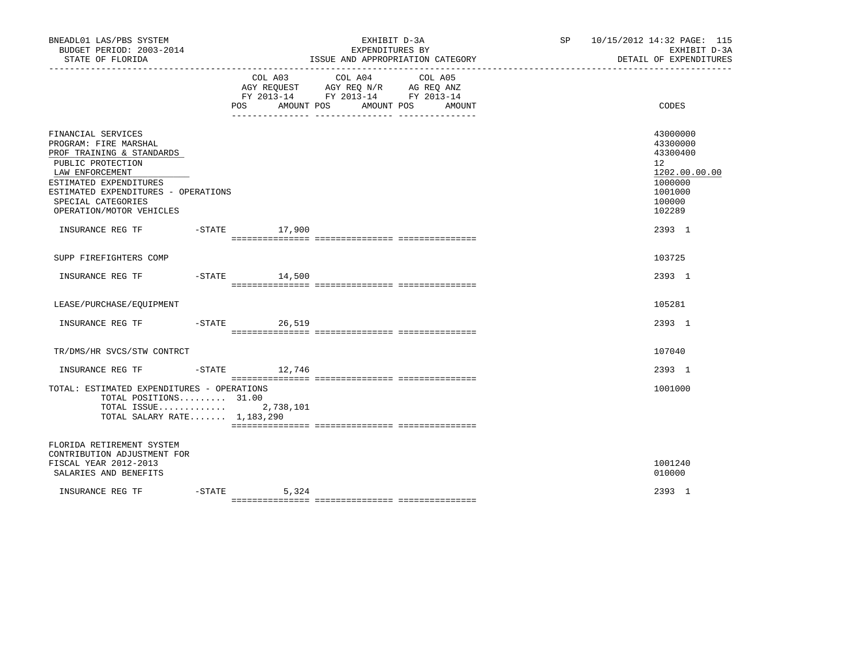| BNEADL01 LAS/PBS SYSTEM<br>BUDGET PERIOD: 2003-2014<br>STATE OF FLORIDA                                                                                                                                                             |           |                              | EXHIBIT D-3A<br>EXPENDITURES BY<br>ISSUE AND APPROPRIATION CATEGORY                                                                                                                                                                                                       | SP | 10/15/2012 14:32 PAGE: 115<br>EXHIBIT D-3A<br>DETAIL OF EXPENDITURES                              |
|-------------------------------------------------------------------------------------------------------------------------------------------------------------------------------------------------------------------------------------|-----------|------------------------------|---------------------------------------------------------------------------------------------------------------------------------------------------------------------------------------------------------------------------------------------------------------------------|----|---------------------------------------------------------------------------------------------------|
|                                                                                                                                                                                                                                     |           | COL A03<br>POS<br>AMOUNT POS | COL A04<br>COL A05<br>$\begin{tabular}{lllllll} \bf AGY \,\, REQUEST \,\, &\bf AGY \,\, REQ \,\, N/R &\bf AG \,\, REQ \,\, ANZ \\ \bf FY \,\, 2013-14 &\bf FY \,\, 2013-14 &\bf FY \,\, 2013-14 \\ \end{tabular}$<br>AMOUNT POS<br>AMOUNT<br>_ ________________ _________ |    | CODES                                                                                             |
| FINANCIAL SERVICES<br>PROGRAM: FIRE MARSHAL<br>PROF TRAINING & STANDARDS<br>PUBLIC PROTECTION<br>LAW ENFORCEMENT<br>ESTIMATED EXPENDITURES<br>ESTIMATED EXPENDITURES - OPERATIONS<br>SPECIAL CATEGORIES<br>OPERATION/MOTOR VEHICLES |           |                              |                                                                                                                                                                                                                                                                           |    | 43000000<br>43300000<br>43300400<br>12<br>1202.00.00.00<br>1000000<br>1001000<br>100000<br>102289 |
| INSURANCE REG TF                                                                                                                                                                                                                    |           | -STATE 17,900                |                                                                                                                                                                                                                                                                           |    | 2393 1                                                                                            |
| SUPP FIREFIGHTERS COMP                                                                                                                                                                                                              |           |                              |                                                                                                                                                                                                                                                                           |    | 103725                                                                                            |
| INSURANCE REG TF                                                                                                                                                                                                                    |           | $-$ STATE $14,500$           |                                                                                                                                                                                                                                                                           |    | 2393 1                                                                                            |
| LEASE/PURCHASE/EOUIPMENT                                                                                                                                                                                                            |           |                              |                                                                                                                                                                                                                                                                           |    | 105281                                                                                            |
|                                                                                                                                                                                                                                     |           | 26,519                       |                                                                                                                                                                                                                                                                           |    | 2393 1                                                                                            |
| TR/DMS/HR SVCS/STW CONTRCT                                                                                                                                                                                                          |           |                              |                                                                                                                                                                                                                                                                           |    | 107040                                                                                            |
| INSURANCE REG TF                                                                                                                                                                                                                    |           | $-$ STATE 12,746             |                                                                                                                                                                                                                                                                           |    | 2393 1                                                                                            |
| TOTAL: ESTIMATED EXPENDITURES - OPERATIONS<br>TOTAL POSITIONS $31.00$<br>TOTAL ISSUE 2,738,101<br>TOTAL SALARY RATE 1,183,290                                                                                                       |           |                              |                                                                                                                                                                                                                                                                           |    | 1001000                                                                                           |
| FLORIDA RETIREMENT SYSTEM<br>CONTRIBUTION ADJUSTMENT FOR<br>FISCAL YEAR 2012-2013<br>SALARIES AND BENEFITS                                                                                                                          |           |                              |                                                                                                                                                                                                                                                                           |    | 1001240<br>010000                                                                                 |
| INSURANCE REG TF                                                                                                                                                                                                                    | $-$ STATE | 5,324                        |                                                                                                                                                                                                                                                                           |    | 2393 1                                                                                            |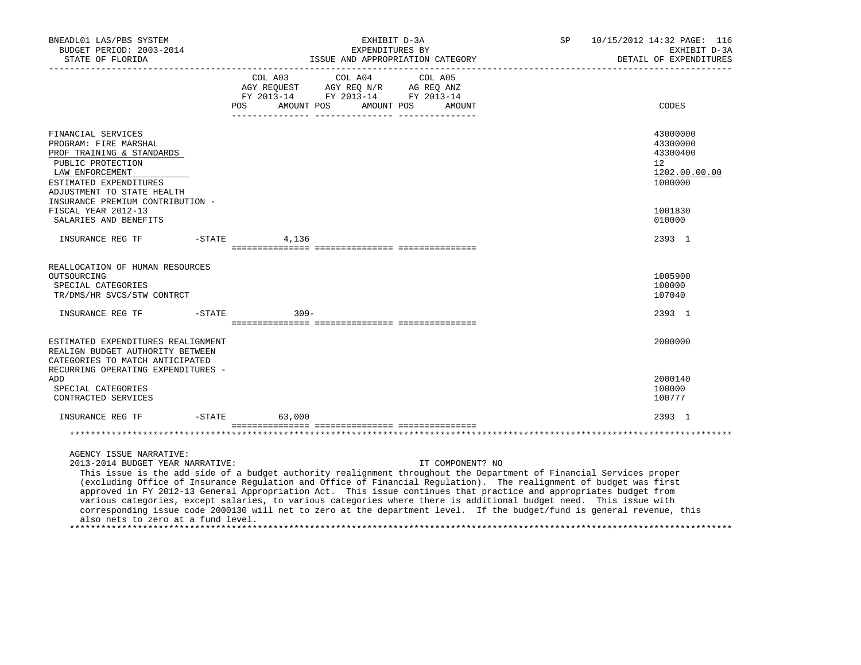| BNEADL01 LAS/PBS SYSTEM<br>BUDGET PERIOD: 2003-2014<br>STATE OF FLORIDA<br>------------------                                                                                                                                                                                                                                                                                                                                                                                                                                                                                                                                                                                                                      |           |            | EXHIBIT D-3A<br>EXPENDITURES BY                                                                                                                                                                                              | ISSUE AND APPROPRIATION CATEGORY | SP | 10/15/2012 14:32 PAGE: 116<br>EXHIBIT D-3A<br>DETAIL OF EXPENDITURES |  |
|--------------------------------------------------------------------------------------------------------------------------------------------------------------------------------------------------------------------------------------------------------------------------------------------------------------------------------------------------------------------------------------------------------------------------------------------------------------------------------------------------------------------------------------------------------------------------------------------------------------------------------------------------------------------------------------------------------------------|-----------|------------|------------------------------------------------------------------------------------------------------------------------------------------------------------------------------------------------------------------------------|----------------------------------|----|----------------------------------------------------------------------|--|
|                                                                                                                                                                                                                                                                                                                                                                                                                                                                                                                                                                                                                                                                                                                    | POS       | AMOUNT POS | COL A03 COL A04<br>$\begin{tabular}{lllllll} \bf AGY \,\, REQUEST \,\, &\bf AGY \,\, REQ \,\, N/R &\bf AG \,\, REQ \,\, ANZ \\ \bf FY \,\, 2013-14 &\bf FY \,\, 2013-14 &\bf FY \,\, 2013-14 \\ \end{tabular}$<br>AMOUNT POS | COL A05<br>AMOUNT                |    | CODES                                                                |  |
| FINANCIAL SERVICES<br>PROGRAM: FIRE MARSHAL<br>PROF TRAINING & STANDARDS<br>PUBLIC PROTECTION<br>LAW ENFORCEMENT<br>ESTIMATED EXPENDITURES<br>ADJUSTMENT TO STATE HEALTH                                                                                                                                                                                                                                                                                                                                                                                                                                                                                                                                           |           |            |                                                                                                                                                                                                                              |                                  |    | 43000000<br>43300000<br>43300400<br>12<br>1202.00.00.00<br>1000000   |  |
| INSURANCE PREMIUM CONTRIBUTION -<br>FISCAL YEAR 2012-13<br>SALARIES AND BENEFITS                                                                                                                                                                                                                                                                                                                                                                                                                                                                                                                                                                                                                                   |           |            |                                                                                                                                                                                                                              |                                  |    | 1001830<br>010000                                                    |  |
| INSURANCE REG TF -STATE                                                                                                                                                                                                                                                                                                                                                                                                                                                                                                                                                                                                                                                                                            |           | 4,136      |                                                                                                                                                                                                                              |                                  |    | 2393 1                                                               |  |
|                                                                                                                                                                                                                                                                                                                                                                                                                                                                                                                                                                                                                                                                                                                    |           |            |                                                                                                                                                                                                                              |                                  |    |                                                                      |  |
| REALLOCATION OF HUMAN RESOURCES<br>OUTSOURCING<br>SPECIAL CATEGORIES<br>TR/DMS/HR SVCS/STW CONTRCT                                                                                                                                                                                                                                                                                                                                                                                                                                                                                                                                                                                                                 |           |            |                                                                                                                                                                                                                              |                                  |    | 1005900<br>100000<br>107040                                          |  |
| INSURANCE REG TF                                                                                                                                                                                                                                                                                                                                                                                                                                                                                                                                                                                                                                                                                                   | $-$ STATE | $309 -$    |                                                                                                                                                                                                                              |                                  |    | 2393 1                                                               |  |
|                                                                                                                                                                                                                                                                                                                                                                                                                                                                                                                                                                                                                                                                                                                    |           |            |                                                                                                                                                                                                                              |                                  |    |                                                                      |  |
| ESTIMATED EXPENDITURES REALIGNMENT<br>REALIGN BUDGET AUTHORITY BETWEEN<br>CATEGORIES TO MATCH ANTICIPATED<br>RECURRING OPERATING EXPENDITURES -                                                                                                                                                                                                                                                                                                                                                                                                                                                                                                                                                                    |           |            |                                                                                                                                                                                                                              |                                  |    | 2000000                                                              |  |
| ADD<br>SPECIAL CATEGORIES<br>CONTRACTED SERVICES                                                                                                                                                                                                                                                                                                                                                                                                                                                                                                                                                                                                                                                                   |           |            |                                                                                                                                                                                                                              |                                  |    | 2000140<br>100000<br>100777                                          |  |
| INSURANCE REG TF                                                                                                                                                                                                                                                                                                                                                                                                                                                                                                                                                                                                                                                                                                   | $-$ STATE | 63,000     |                                                                                                                                                                                                                              |                                  |    | 2393 1                                                               |  |
|                                                                                                                                                                                                                                                                                                                                                                                                                                                                                                                                                                                                                                                                                                                    |           |            |                                                                                                                                                                                                                              |                                  |    |                                                                      |  |
| AGENCY ISSUE NARRATIVE:<br>2013-2014 BUDGET YEAR NARRATIVE:<br>This issue is the add side of a budget authority realignment throughout the Department of Financial Services proper<br>(excluding Office of Insurance Regulation and Office of Financial Regulation). The realignment of budget was first<br>approved in FY 2012-13 General Appropriation Act. This issue continues that practice and appropriates budget from<br>various categories, except salaries, to various categories where there is additional budget need. This issue with<br>corresponding issue code 2000130 will net to zero at the department level. If the budget/fund is general revenue, this<br>also nets to zero at a fund level. |           |            |                                                                                                                                                                                                                              | IT COMPONENT? NO                 |    |                                                                      |  |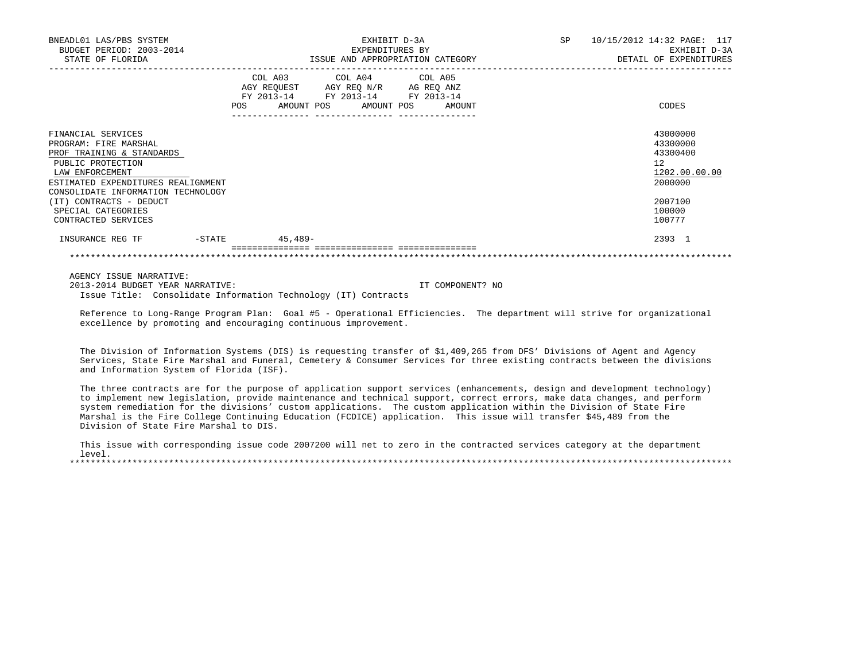| BNEADL01 LAS/PBS SYSTEM<br>BUDGET PERIOD: 2003-2014<br>STATE OF FLORIDA                                                                                                                      | EXHIBIT D-3A<br>EXPENDITURES BY<br>ISSUE AND APPROPRIATION CATEGORY                                                                                               | <b>SP</b> | 10/15/2012 14:32 PAGE: 117<br>EXHIBIT D-3A<br>DETAIL OF EXPENDITURES |
|----------------------------------------------------------------------------------------------------------------------------------------------------------------------------------------------|-------------------------------------------------------------------------------------------------------------------------------------------------------------------|-----------|----------------------------------------------------------------------|
|                                                                                                                                                                                              | COL A03<br>COL A04 COL A05<br>AGY REQUEST AGY REQ N/R<br>AG REO ANZ<br>FY 2013-14<br>FY 2013-14<br>FY 2013-14<br>AMOUNT POS<br><b>POS</b><br>AMOUNT POS<br>AMOUNT |           | CODES                                                                |
| FINANCIAL SERVICES<br>PROGRAM: FIRE MARSHAL<br>PROF TRAINING & STANDARDS<br>PUBLIC PROTECTION<br>LAW ENFORCEMENT<br>ESTIMATED EXPENDITURES REALIGNMENT<br>CONSOLIDATE INFORMATION TECHNOLOGY |                                                                                                                                                                   |           | 43000000<br>43300000<br>43300400<br>12<br>1202.00.00.00<br>2000000   |
| (IT) CONTRACTS - DEDUCT<br>SPECIAL CATEGORIES<br>CONTRACTED SERVICES                                                                                                                         |                                                                                                                                                                   |           | 2007100<br>100000<br>100777                                          |
| INSURANCE REG TF<br>$-$ STATE                                                                                                                                                                | $45,489-$                                                                                                                                                         |           | 2393 1                                                               |

AGENCY ISSUE NARRATIVE:

 2013-2014 BUDGET YEAR NARRATIVE: IT COMPONENT? NO Issue Title: Consolidate Information Technology (IT) Contracts

 Reference to Long-Range Program Plan: Goal #5 - Operational Efficiencies. The department will strive for organizational excellence by promoting and encouraging continuous improvement.

 The Division of Information Systems (DIS) is requesting transfer of \$1,409,265 from DFS' Divisions of Agent and Agency Services, State Fire Marshal and Funeral, Cemetery & Consumer Services for three existing contracts between the divisions and Information System of Florida (ISF).

 The three contracts are for the purpose of application support services (enhancements, design and development technology) to implement new legislation, provide maintenance and technical support, correct errors, make data changes, and perform system remediation for the divisions' custom applications. The custom application within the Division of State Fire Marshal is the Fire College Continuing Education (FCDICE) application. This issue will transfer \$45,489 from the Division of State Fire Marshal to DIS.

 This issue with corresponding issue code 2007200 will net to zero in the contracted services category at the department level. \*\*\*\*\*\*\*\*\*\*\*\*\*\*\*\*\*\*\*\*\*\*\*\*\*\*\*\*\*\*\*\*\*\*\*\*\*\*\*\*\*\*\*\*\*\*\*\*\*\*\*\*\*\*\*\*\*\*\*\*\*\*\*\*\*\*\*\*\*\*\*\*\*\*\*\*\*\*\*\*\*\*\*\*\*\*\*\*\*\*\*\*\*\*\*\*\*\*\*\*\*\*\*\*\*\*\*\*\*\*\*\*\*\*\*\*\*\*\*\*\*\*\*\*\*\*\*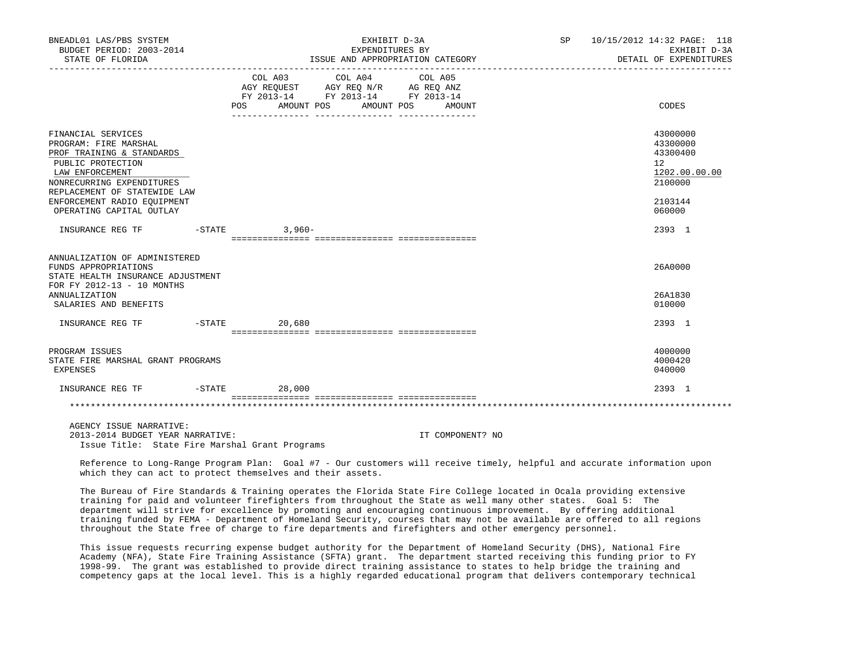| BNEADL01 LAS/PBS SYSTEM<br>BUDGET PERIOD: 2003-2014<br>STATE OF FLORIDA                                                                                                                                                                  | EXHIBIT D-3A<br>EXPENDITURES BY<br>ISSUE AND APPROPRIATION CATEGORY                                                                             | SP 10/15/2012 14:32 PAGE: 118<br>EXHIBIT D-3A<br>DETAIL OF EXPENDITURES                 |
|------------------------------------------------------------------------------------------------------------------------------------------------------------------------------------------------------------------------------------------|-------------------------------------------------------------------------------------------------------------------------------------------------|-----------------------------------------------------------------------------------------|
|                                                                                                                                                                                                                                          | COL A03 COL A04 COL A05<br>AGY REQUEST AGY REQ N/R AG REQ ANZ<br>FY 2013-14 FY 2013-14 FY 2013-14<br>AMOUNT POS AMOUNT POS AMOUNT<br><b>POS</b> | CODES                                                                                   |
| FINANCIAL SERVICES<br>PROGRAM: FIRE MARSHAL<br>PROF TRAINING & STANDARDS<br>PUBLIC PROTECTION<br>LAW ENFORCEMENT<br>NONRECURRING EXPENDITURES<br>REPLACEMENT OF STATEWIDE LAW<br>ENFORCEMENT RADIO EOUIPMENT<br>OPERATING CAPITAL OUTLAY |                                                                                                                                                 | 43000000<br>43300000<br>43300400<br>12<br>1202.00.00.00<br>2100000<br>2103144<br>060000 |
| INSURANCE REG TF                                                                                                                                                                                                                         | $-STATE$ 3,960-                                                                                                                                 | 2393 1                                                                                  |
| ANNUALIZATION OF ADMINISTERED<br>FUNDS APPROPRIATIONS<br>STATE HEALTH INSURANCE ADJUSTMENT<br>FOR FY 2012-13 - 10 MONTHS<br><b>ANNUALIZATION</b><br>SALARIES AND BENEFITS                                                                |                                                                                                                                                 | 26A0000<br>26A1830<br>010000                                                            |
| INSURANCE REG TF                                                                                                                                                                                                                         | $-STATE$ 20,680                                                                                                                                 | 2393 1                                                                                  |
| PROGRAM ISSUES<br>STATE FIRE MARSHAL GRANT PROGRAMS<br>EXPENSES                                                                                                                                                                          |                                                                                                                                                 | 4000000<br>4000420<br>040000                                                            |
| INSURANCE REG TF                                                                                                                                                                                                                         | $-STATE$<br>28,000                                                                                                                              | 2393 1                                                                                  |
|                                                                                                                                                                                                                                          |                                                                                                                                                 |                                                                                         |

 AGENCY ISSUE NARRATIVE: 2013-2014 BUDGET YEAR NARRATIVE: IT COMPONENT? NO Issue Title: State Fire Marshal Grant Programs

 Reference to Long-Range Program Plan: Goal #7 - Our customers will receive timely, helpful and accurate information upon which they can act to protect themselves and their assets.

 The Bureau of Fire Standards & Training operates the Florida State Fire College located in Ocala providing extensive training for paid and volunteer firefighters from throughout the State as well many other states. Goal 5: The department will strive for excellence by promoting and encouraging continuous improvement. By offering additional training funded by FEMA - Department of Homeland Security, courses that may not be available are offered to all regions throughout the State free of charge to fire departments and firefighters and other emergency personnel.

 This issue requests recurring expense budget authority for the Department of Homeland Security (DHS), National Fire Academy (NFA), State Fire Training Assistance (SFTA) grant. The department started receiving this funding prior to FY 1998-99. The grant was established to provide direct training assistance to states to help bridge the training and competency gaps at the local level. This is a highly regarded educational program that delivers contemporary technical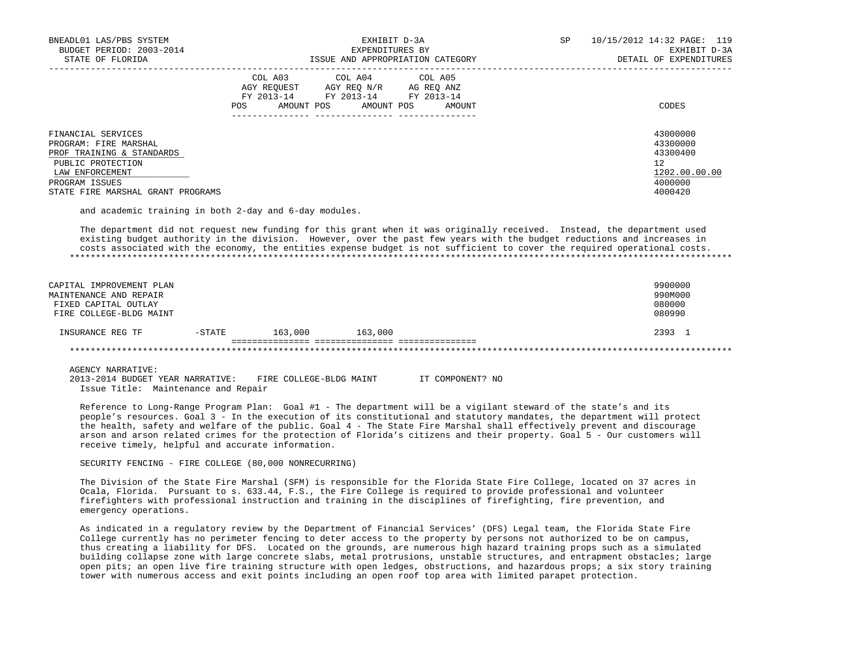| BNEADL01 LAS/PBS SYSTEM<br>BUDGET PERIOD: 2003-2014<br>STATE OF FLORIDA  | EXHIBIT D-3A<br>EXPENDITURES BY<br>ISSUE AND APPROPRIATION CATEGORY                                                                                     | 10/15/2012 14:32 PAGE: 119<br>SP<br>EXHIBIT D-3A<br>DETAIL OF EXPENDITURES |
|--------------------------------------------------------------------------|---------------------------------------------------------------------------------------------------------------------------------------------------------|----------------------------------------------------------------------------|
|                                                                          | COL A03 COL A04 COL A05<br>AGY REOUEST<br>AGY REO N/R<br>AG REO ANZ<br>FY 2013-14<br>FY 2013-14 FY 2013-14<br>AMOUNT POS<br>AMOUNT POS<br>POS<br>AMOUNT | CODES                                                                      |
| FINANCIAL SERVICES<br>PROGRAM: FIRE MARSHAL<br>PROF TRAINING & STANDARDS |                                                                                                                                                         | 43000000<br>43300000<br>43300400                                           |
| PUBLIC PROTECTION<br>LAW ENFORCEMENT<br>PROGRAM ISSUES                   |                                                                                                                                                         | 12<br>1202.00.00.00<br>4000000                                             |
| STATE FIRE MARSHAL GRANT PROGRAMS                                        |                                                                                                                                                         | 4000420                                                                    |

and academic training in both 2-day and 6-day modules.

 The department did not request new funding for this grant when it was originally received. Instead, the department used existing budget authority in the division. However, over the past few years with the budget reductions and increases in costs associated with the economy, the entities expense budget is not sufficient to cover the required operational costs. \*\*\*\*\*\*\*\*\*\*\*\*\*\*\*\*\*\*\*\*\*\*\*\*\*\*\*\*\*\*\*\*\*\*\*\*\*\*\*\*\*\*\*\*\*\*\*\*\*\*\*\*\*\*\*\*\*\*\*\*\*\*\*\*\*\*\*\*\*\*\*\*\*\*\*\*\*\*\*\*\*\*\*\*\*\*\*\*\*\*\*\*\*\*\*\*\*\*\*\*\*\*\*\*\*\*\*\*\*\*\*\*\*\*\*\*\*\*\*\*\*\*\*\*\*\*\*

| CAPITAL IMPROVEMENT PLAN<br>MAINTENANCE AND REPAIR<br>FIXED CAPITAL OUTLAY<br>FIRE COLLEGE-BLDG MAINT |           |         |         | 9900000<br>990M000<br>080000<br>080990 |
|-------------------------------------------------------------------------------------------------------|-----------|---------|---------|----------------------------------------|
| INSURANCE REG TF                                                                                      | $-$ STATE | 163,000 | 163,000 | 2393 1                                 |
|                                                                                                       |           |         |         |                                        |

AGENCY NARRATIVE:

 2013-2014 BUDGET YEAR NARRATIVE: FIRE COLLEGE-BLDG MAINT IT COMPONENT? NO Issue Title: Maintenance and Repair

 Reference to Long-Range Program Plan: Goal #1 - The department will be a vigilant steward of the state's and its people's resources. Goal 3 - In the execution of its constitutional and statutory mandates, the department will protect the health, safety and welfare of the public. Goal 4 - The State Fire Marshal shall effectively prevent and discourage arson and arson related crimes for the protection of Florida's citizens and their property. Goal 5 - Our customers will receive timely, helpful and accurate information.

SECURITY FENCING - FIRE COLLEGE (80,000 NONRECURRING)

 The Division of the State Fire Marshal (SFM) is responsible for the Florida State Fire College, located on 37 acres in Ocala, Florida. Pursuant to s. 633.44, F.S., the Fire College is required to provide professional and volunteer firefighters with professional instruction and training in the disciplines of firefighting, fire prevention, and emergency operations.

 As indicated in a regulatory review by the Department of Financial Services' (DFS) Legal team, the Florida State Fire College currently has no perimeter fencing to deter access to the property by persons not authorized to be on campus, thus creating a liability for DFS. Located on the grounds, are numerous high hazard training props such as a simulated building collapse zone with large concrete slabs, metal protrusions, unstable structures, and entrapment obstacles; large open pits; an open live fire training structure with open ledges, obstructions, and hazardous props; a six story training tower with numerous access and exit points including an open roof top area with limited parapet protection.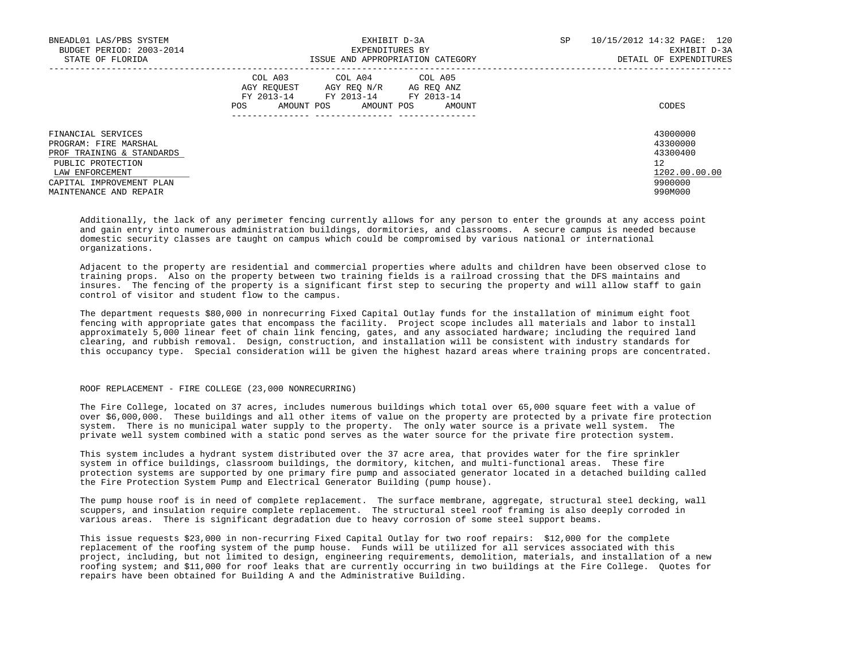| BNEADL01 LAS/PBS SYSTEM<br>BUDGET PERIOD: 2003-2014<br>STATE OF FLORIDA                                                                                                | EXHIBIT D-3A<br>EXPENDITURES BY<br>ISSUE AND APPROPRIATION CATEGORY                                                                               | SP<br>10/15/2012 14:32 PAGE: 120<br>EXHIBIT D-3A<br>DETAIL OF EXPENDITURES    |
|------------------------------------------------------------------------------------------------------------------------------------------------------------------------|---------------------------------------------------------------------------------------------------------------------------------------------------|-------------------------------------------------------------------------------|
|                                                                                                                                                                        | COL A03 COL A04 COL A05<br>AGY REOUEST<br>AGY REO N/R AG REO ANZ<br>FY 2013-14<br>FY 2013-14 FY 2013-14<br>AMOUNT POS AMOUNT POS<br>POS<br>AMOUNT | CODES                                                                         |
| FINANCIAL SERVICES<br>PROGRAM: FIRE MARSHAL<br>PROF TRAINING & STANDARDS<br>PUBLIC PROTECTION<br>LAW ENFORCEMENT<br>CAPITAL IMPROVEMENT PLAN<br>MAINTENANCE AND REPAIR |                                                                                                                                                   | 43000000<br>43300000<br>43300400<br>12<br>1202.00.00.00<br>9900000<br>990M000 |

 Additionally, the lack of any perimeter fencing currently allows for any person to enter the grounds at any access point and gain entry into numerous administration buildings, dormitories, and classrooms. A secure campus is needed because domestic security classes are taught on campus which could be compromised by various national or international organizations.

 Adjacent to the property are residential and commercial properties where adults and children have been observed close to training props. Also on the property between two training fields is a railroad crossing that the DFS maintains and insures. The fencing of the property is a significant first step to securing the property and will allow staff to gain control of visitor and student flow to the campus.

 The department requests \$80,000 in nonrecurring Fixed Capital Outlay funds for the installation of minimum eight foot fencing with appropriate gates that encompass the facility. Project scope includes all materials and labor to install approximately 5,000 linear feet of chain link fencing, gates, and any associated hardware; including the required land clearing, and rubbish removal. Design, construction, and installation will be consistent with industry standards for this occupancy type. Special consideration will be given the highest hazard areas where training props are concentrated.

## ROOF REPLACEMENT - FIRE COLLEGE (23,000 NONRECURRING)

 The Fire College, located on 37 acres, includes numerous buildings which total over 65,000 square feet with a value of over \$6,000,000. These buildings and all other items of value on the property are protected by a private fire protection system. There is no municipal water supply to the property. The only water source is a private well system. The private well system combined with a static pond serves as the water source for the private fire protection system.

 This system includes a hydrant system distributed over the 37 acre area, that provides water for the fire sprinkler system in office buildings, classroom buildings, the dormitory, kitchen, and multi-functional areas. These fire protection systems are supported by one primary fire pump and associated generator located in a detached building called the Fire Protection System Pump and Electrical Generator Building (pump house).

 The pump house roof is in need of complete replacement. The surface membrane, aggregate, structural steel decking, wall scuppers, and insulation require complete replacement. The structural steel roof framing is also deeply corroded in various areas. There is significant degradation due to heavy corrosion of some steel support beams.

 This issue requests \$23,000 in non-recurring Fixed Capital Outlay for two roof repairs: \$12,000 for the complete replacement of the roofing system of the pump house. Funds will be utilized for all services associated with this project, including, but not limited to design, engineering requirements, demolition, materials, and installation of a new roofing system; and \$11,000 for roof leaks that are currently occurring in two buildings at the Fire College. Quotes for repairs have been obtained for Building A and the Administrative Building.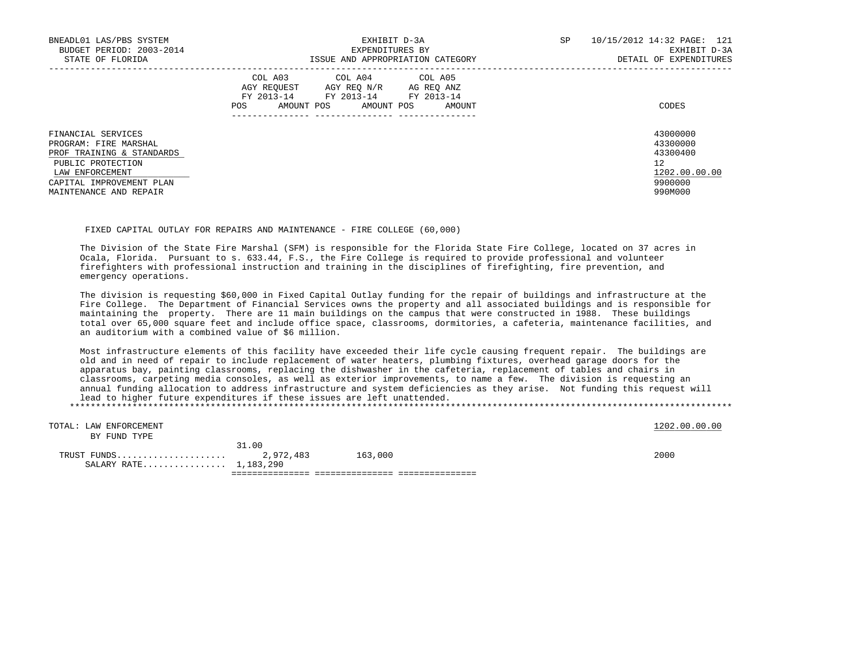| BNEADL01 LAS/PBS SYSTEM<br>BUDGET PERIOD: 2003-2014                                                              | EXHIBIT D-3A<br>EXPENDITURES BY                                                                                                                         | SP | 10/15/2012 14:32 PAGE: 121<br>EXHIBIT D-3A              |
|------------------------------------------------------------------------------------------------------------------|---------------------------------------------------------------------------------------------------------------------------------------------------------|----|---------------------------------------------------------|
| STATE OF FLORIDA                                                                                                 | ISSUE AND APPROPRIATION CATEGORY                                                                                                                        |    | DETAIL OF EXPENDITURES                                  |
|                                                                                                                  | COL A03 COL A04 COL A05<br>AGY REOUEST<br>AGY REO N/R<br>AG REO ANZ<br>FY 2013-14 FY 2013-14<br>FY 2013-14<br>AMOUNT POS<br>AMOUNT POS<br>AMOUNT<br>POS |    | CODES                                                   |
| FINANCIAL SERVICES<br>PROGRAM: FIRE MARSHAL<br>PROF TRAINING & STANDARDS<br>PUBLIC PROTECTION<br>LAW ENFORCEMENT |                                                                                                                                                         |    | 43000000<br>43300000<br>43300400<br>12<br>1202.00.00.00 |
| CAPITAL IMPROVEMENT PLAN<br>MAINTENANCE AND REPAIR                                                               |                                                                                                                                                         |    | 9900000<br>990M000                                      |

## FIXED CAPITAL OUTLAY FOR REPAIRS AND MAINTENANCE - FIRE COLLEGE (60,000)

 The Division of the State Fire Marshal (SFM) is responsible for the Florida State Fire College, located on 37 acres in Ocala, Florida. Pursuant to s. 633.44, F.S., the Fire College is required to provide professional and volunteer firefighters with professional instruction and training in the disciplines of firefighting, fire prevention, and emergency operations.

 The division is requesting \$60,000 in Fixed Capital Outlay funding for the repair of buildings and infrastructure at the Fire College. The Department of Financial Services owns the property and all associated buildings and is responsible for maintaining the property. There are 11 main buildings on the campus that were constructed in 1988. These buildings total over 65,000 square feet and include office space, classrooms, dormitories, a cafeteria, maintenance facilities, and an auditorium with a combined value of \$6 million.

 Most infrastructure elements of this facility have exceeded their life cycle causing frequent repair. The buildings are old and in need of repair to include replacement of water heaters, plumbing fixtures, overhead garage doors for the apparatus bay, painting classrooms, replacing the dishwasher in the cafeteria, replacement of tables and chairs in classrooms, carpeting media consoles, as well as exterior improvements, to name a few. The division is requesting an annual funding allocation to address infrastructure and system deficiencies as they arise. Not funding this request will lead to higher future expenditures if these issues are left unattended. \*\*\*\*\*\*\*\*\*\*\*\*\*\*\*\*\*\*\*\*\*\*\*\*\*\*\*\*\*\*\*\*\*\*\*\*\*\*\*\*\*\*\*\*\*\*\*\*\*\*\*\*\*\*\*\*\*\*\*\*\*\*\*\*\*\*\*\*\*\*\*\*\*\*\*\*\*\*\*\*\*\*\*\*\*\*\*\*\*\*\*\*\*\*\*\*\*\*\*\*\*\*\*\*\*\*\*\*\*\*\*\*\*\*\*\*\*\*\*\*\*\*\*\*\*\*\*

TOTAL: LAW ENFORCEMENT 1202.00.00 COLORED 1202.00.00 COLORED 1202.00.00 COLORED 1202.00.00 COLORED 1202.00 COLOR BY FUND TYPE 31.00 TRUST FUNDS..................... 2,972,483 163,000 2000 SALARY RATE................ 1,183,290 =============== =============== ===============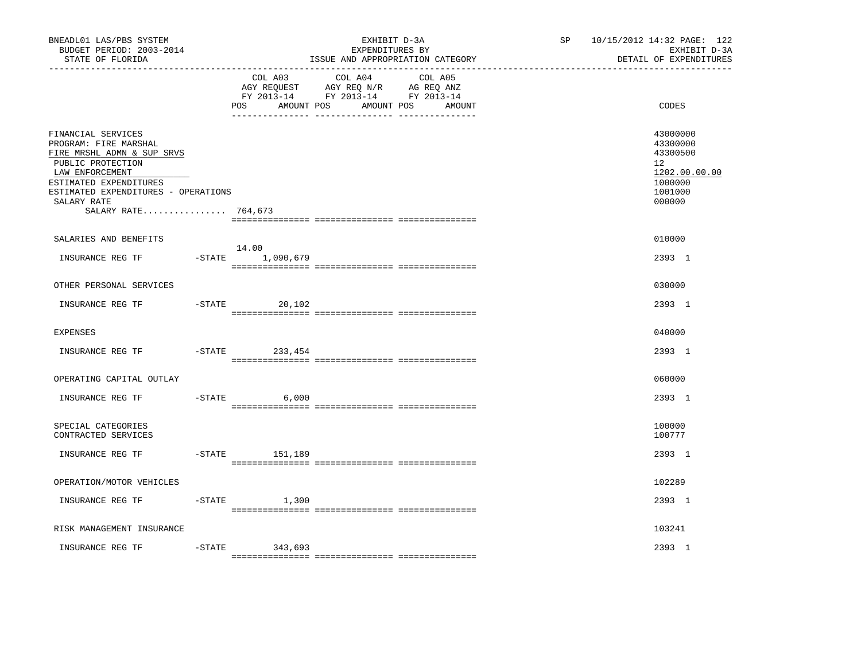| BNEADL01 LAS/PBS SYSTEM<br>BUDGET PERIOD: 2003-2014<br>STATE OF FLORIDA                                                                                                                                                  |           |                                     | EXHIBIT D-3A<br>EXPENDITURES BY<br>ISSUE AND APPROPRIATION CATEGORY                                               | SP <sub>2</sub> | 10/15/2012 14:32 PAGE: 122<br>EXHIBIT D-3A<br>DETAIL OF EXPENDITURES                    |
|--------------------------------------------------------------------------------------------------------------------------------------------------------------------------------------------------------------------------|-----------|-------------------------------------|-------------------------------------------------------------------------------------------------------------------|-----------------|-----------------------------------------------------------------------------------------|
|                                                                                                                                                                                                                          |           | COL A03<br>AMOUNT POS<br><b>POS</b> | COL A04 COL A05<br>AGY REQUEST AGY REQ N/R AG REQ ANZ<br>FY 2013-14 FY 2013-14 FY 2013-14<br>AMOUNT POS<br>AMOUNT |                 | CODES                                                                                   |
| FINANCIAL SERVICES<br>PROGRAM: FIRE MARSHAL<br>FIRE MRSHL ADMN & SUP SRVS<br>PUBLIC PROTECTION<br>LAW ENFORCEMENT<br>ESTIMATED EXPENDITURES<br>ESTIMATED EXPENDITURES - OPERATIONS<br>SALARY RATE<br>SALARY RATE 764,673 |           |                                     |                                                                                                                   |                 | 43000000<br>43300000<br>43300500<br>12<br>1202.00.00.00<br>1000000<br>1001000<br>000000 |
| SALARIES AND BENEFITS                                                                                                                                                                                                    |           |                                     |                                                                                                                   |                 | 010000                                                                                  |
| INSURANCE REG TF                                                                                                                                                                                                         |           | 14.00<br>$-STATE$ 1,090,679         |                                                                                                                   |                 | 2393 1                                                                                  |
| OTHER PERSONAL SERVICES                                                                                                                                                                                                  |           |                                     |                                                                                                                   |                 | 030000                                                                                  |
| INSURANCE REG TF                                                                                                                                                                                                         |           | $-STATE$<br>20,102                  |                                                                                                                   |                 | 2393 1                                                                                  |
| <b>EXPENSES</b>                                                                                                                                                                                                          |           |                                     |                                                                                                                   |                 | 040000                                                                                  |
| INSURANCE REG TF                                                                                                                                                                                                         | $-$ STATE | 233,454                             |                                                                                                                   |                 | 2393 1                                                                                  |
| OPERATING CAPITAL OUTLAY                                                                                                                                                                                                 |           |                                     |                                                                                                                   |                 | 060000                                                                                  |
| INSURANCE REG TF                                                                                                                                                                                                         |           | $-$ STATE<br>6,000                  |                                                                                                                   |                 | 2393 1                                                                                  |
| SPECIAL CATEGORIES<br>CONTRACTED SERVICES                                                                                                                                                                                |           |                                     |                                                                                                                   |                 | 100000<br>100777                                                                        |
| INSURANCE REG TF                                                                                                                                                                                                         | $-$ STATE | 151,189                             |                                                                                                                   |                 | 2393 1                                                                                  |
| OPERATION/MOTOR VEHICLES                                                                                                                                                                                                 |           |                                     |                                                                                                                   |                 | 102289                                                                                  |
| INSURANCE REG TF                                                                                                                                                                                                         |           | $-$ STATE 1,300                     |                                                                                                                   |                 | 2393 1                                                                                  |
| RISK MANAGEMENT INSURANCE                                                                                                                                                                                                |           |                                     |                                                                                                                   |                 | 103241                                                                                  |
| INSURANCE REG TF                                                                                                                                                                                                         | $-$ STATE | 343,693                             |                                                                                                                   |                 | 2393 1                                                                                  |
|                                                                                                                                                                                                                          |           |                                     |                                                                                                                   |                 |                                                                                         |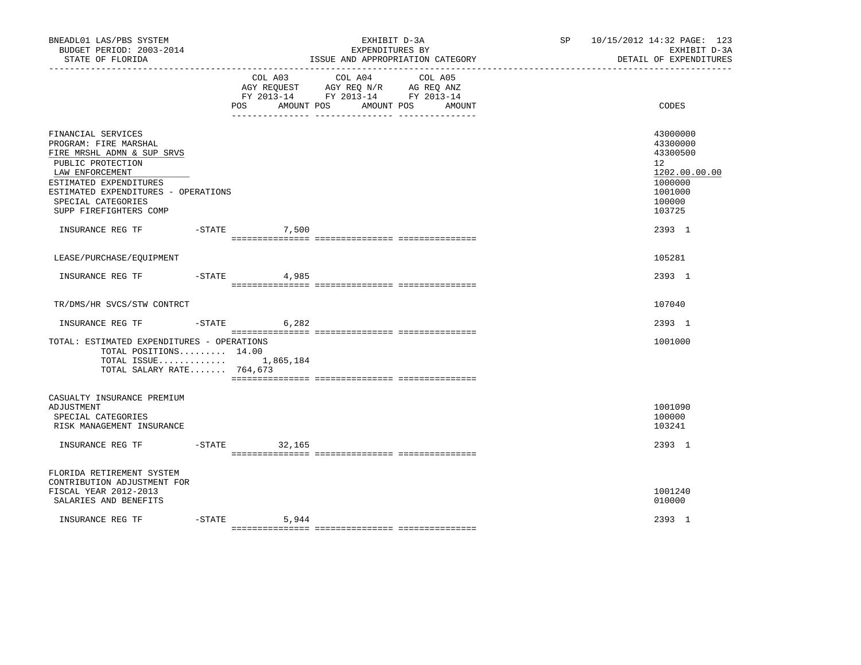| BNEADL01 LAS/PBS SYSTEM<br>BUDGET PERIOD: 2003-2014<br>STATE OF FLORIDA<br>---------------                                                                                                                                         |           |                              | EXHIBIT D-3A<br>EXPENDITURES BY<br>ISSUE AND APPROPRIATION CATEGORY                                                  | SP <sub>2</sub> | 10/15/2012 14:32 PAGE: 123<br>EXHIBIT D-3A<br>DETAIL OF EXPENDITURES                              |
|------------------------------------------------------------------------------------------------------------------------------------------------------------------------------------------------------------------------------------|-----------|------------------------------|----------------------------------------------------------------------------------------------------------------------|-----------------|---------------------------------------------------------------------------------------------------|
|                                                                                                                                                                                                                                    |           | COL A03<br>POS<br>AMOUNT POS | COL A04<br>COL A05<br>AGY REQUEST AGY REQ N/R AG REQ ANZ<br>FY 2013-14 FY 2013-14 FY 2013-14<br>AMOUNT POS<br>AMOUNT |                 | CODES                                                                                             |
| FINANCIAL SERVICES<br>PROGRAM: FIRE MARSHAL<br>FIRE MRSHL ADMN & SUP SRVS<br>PUBLIC PROTECTION<br>LAW ENFORCEMENT<br>ESTIMATED EXPENDITURES<br>ESTIMATED EXPENDITURES - OPERATIONS<br>SPECIAL CATEGORIES<br>SUPP FIREFIGHTERS COMP |           |                              |                                                                                                                      |                 | 43000000<br>43300000<br>43300500<br>12<br>1202.00.00.00<br>1000000<br>1001000<br>100000<br>103725 |
| INSURANCE REG TF                                                                                                                                                                                                                   | $-$ STATE | 7,500                        |                                                                                                                      |                 | 2393 1                                                                                            |
| LEASE/PURCHASE/EQUIPMENT                                                                                                                                                                                                           |           |                              |                                                                                                                      |                 | 105281                                                                                            |
| INSURANCE REG TF                                                                                                                                                                                                                   | $-$ STATE | 4,985                        |                                                                                                                      |                 | 2393 1                                                                                            |
| TR/DMS/HR SVCS/STW CONTRCT                                                                                                                                                                                                         |           |                              |                                                                                                                      |                 | 107040                                                                                            |
| INSURANCE REG TF                                                                                                                                                                                                                   | $-$ STATE | 6,282                        |                                                                                                                      |                 | 2393 1                                                                                            |
| TOTAL: ESTIMATED EXPENDITURES - OPERATIONS<br>TOTAL POSITIONS 14.00<br>TOTAL ISSUE 1,865,184<br>TOTAL SALARY RATE 764,673                                                                                                          |           |                              |                                                                                                                      |                 | 1001000                                                                                           |
| CASUALTY INSURANCE PREMIUM<br>ADJUSTMENT<br>SPECIAL CATEGORIES<br>RISK MANAGEMENT INSURANCE                                                                                                                                        |           |                              |                                                                                                                      |                 | 1001090<br>100000<br>103241                                                                       |
| INSURANCE REG TF                                                                                                                                                                                                                   |           | $-STATE$<br>32,165           |                                                                                                                      |                 | 2393 1                                                                                            |
| FLORIDA RETIREMENT SYSTEM<br>CONTRIBUTION ADJUSTMENT FOR<br>FISCAL YEAR 2012-2013<br>SALARIES AND BENEFITS                                                                                                                         |           |                              |                                                                                                                      |                 | 1001240<br>010000                                                                                 |
| INSURANCE REG TF                                                                                                                                                                                                                   | $-$ STATE | 5,944                        |                                                                                                                      |                 | 2393 1                                                                                            |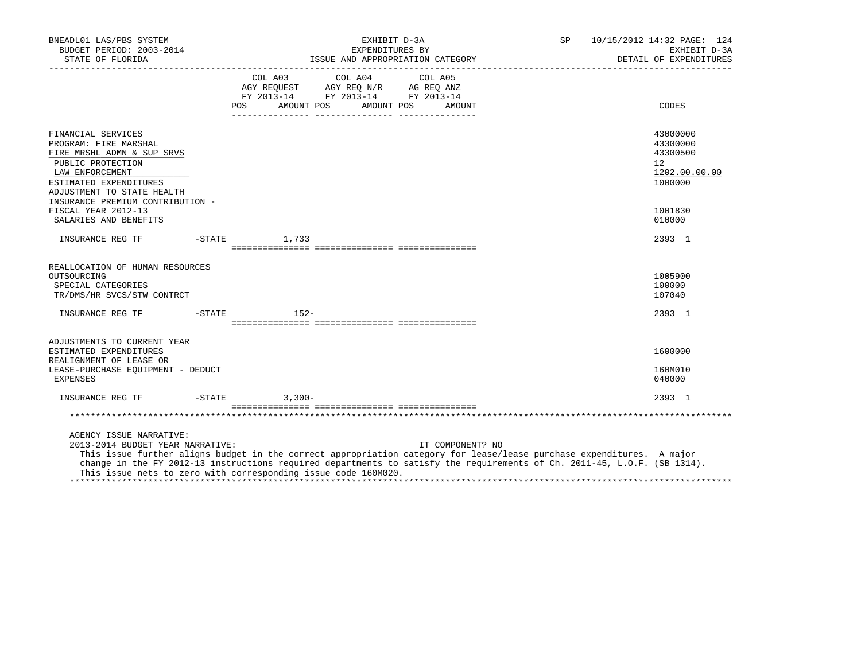| BNEADL01 LAS/PBS SYSTEM<br>BUDGET PERIOD: 2003-2014<br>STATE OF FLORIDA                                                                                                                                       | EXHIBIT D-3A<br>SP<br>EXPENDITURES BY                                                                                                                                                                                                                                                                                                   | 10/15/2012 14:32 PAGE: 124<br>EXHIBIT D-3A<br>DETAIL OF EXPENDITURES |
|---------------------------------------------------------------------------------------------------------------------------------------------------------------------------------------------------------------|-----------------------------------------------------------------------------------------------------------------------------------------------------------------------------------------------------------------------------------------------------------------------------------------------------------------------------------------|----------------------------------------------------------------------|
|                                                                                                                                                                                                               | COL A03 COL A04 COL A05<br>AGY REQUEST AGY REQ N/R AG REQ ANZ<br>FY 2013-14 FY 2013-14 FY 2013-14<br>POS AMOUNT POS AMOUNT POS<br>AMOUNT                                                                                                                                                                                                | CODES                                                                |
| FINANCIAL SERVICES<br>PROGRAM: FIRE MARSHAL<br>FIRE MRSHL ADMN & SUP SRVS<br>PUBLIC PROTECTION<br>LAW ENFORCEMENT<br>ESTIMATED EXPENDITURES<br>ADJUSTMENT TO STATE HEALTH<br>INSURANCE PREMIUM CONTRIBUTION - |                                                                                                                                                                                                                                                                                                                                         | 43000000<br>43300000<br>43300500<br>12<br>1202.00.00.00<br>1000000   |
| FISCAL YEAR 2012-13<br>SALARIES AND BENEFITS                                                                                                                                                                  |                                                                                                                                                                                                                                                                                                                                         | 1001830<br>010000                                                    |
| INSURANCE REG TF                                                                                                                                                                                              | $-STATE$<br>1,733                                                                                                                                                                                                                                                                                                                       | 2393 1                                                               |
| REALLOCATION OF HUMAN RESOURCES<br>OUTSOURCING<br>SPECIAL CATEGORIES<br>TR/DMS/HR SVCS/STW CONTRCT<br>INSURANCE REG TF                                                                                        | -STATE 152-                                                                                                                                                                                                                                                                                                                             | 1005900<br>100000<br>107040<br>2393 1                                |
|                                                                                                                                                                                                               |                                                                                                                                                                                                                                                                                                                                         |                                                                      |
| ADJUSTMENTS TO CURRENT YEAR<br>ESTIMATED EXPENDITURES<br>REALIGNMENT OF LEASE OR<br>LEASE-PURCHASE EOUIPMENT - DEDUCT<br>EXPENSES                                                                             |                                                                                                                                                                                                                                                                                                                                         | 1600000<br>160M010<br>040000                                         |
|                                                                                                                                                                                                               |                                                                                                                                                                                                                                                                                                                                         | 2393 1                                                               |
|                                                                                                                                                                                                               |                                                                                                                                                                                                                                                                                                                                         |                                                                      |
| AGENCY ISSUE NARRATIVE:<br>2013-2014 BUDGET YEAR NARRATIVE:                                                                                                                                                   | IT COMPONENT? NO<br>This issue further aligns budget in the correct appropriation category for lease/lease purchase expenditures. A major<br>change in the FY 2012-13 instructions required departments to satisfy the requirements of Ch. 2011-45, L.O.F. (SB 1314).<br>This issue nets to zero with corresponding issue code 160M020. |                                                                      |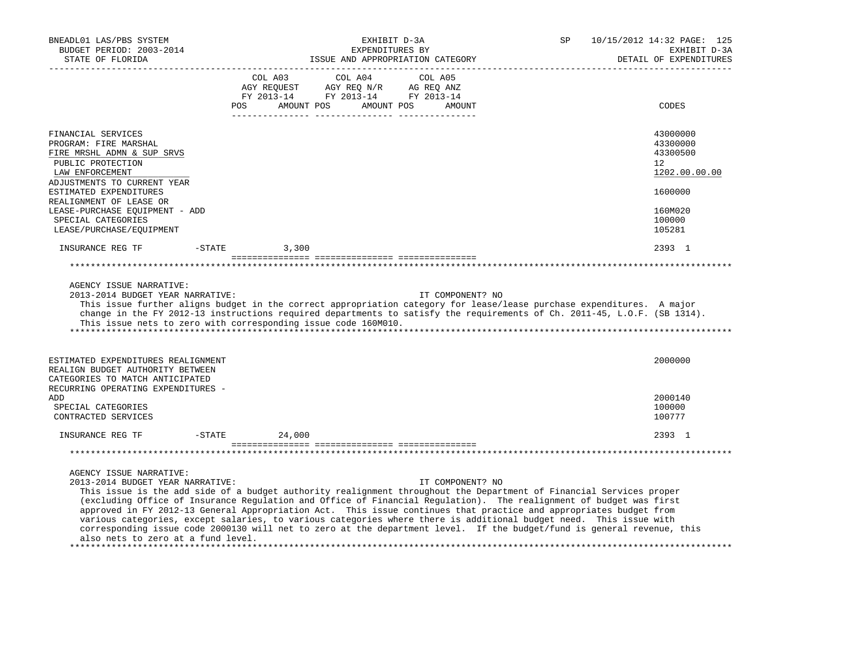| BNEADL01 LAS/PBS SYSTEM<br>BUDGET PERIOD: 2003-2014<br>STATE OF FLORIDA                                                                                                                                                                                                                                                                                                                                                                                                                                                                                                                                                                                                                                                                                     | EXHIBIT D-3A<br>EXPENDITURES BY<br>ISSUE AND APPROPRIATION CATEGORY |                                                                                                    |                                     |                  | SP | 10/15/2012 14:32 PAGE: 125<br>EXHIBIT D-3A<br>DETAIL OF EXPENDITURES |
|-------------------------------------------------------------------------------------------------------------------------------------------------------------------------------------------------------------------------------------------------------------------------------------------------------------------------------------------------------------------------------------------------------------------------------------------------------------------------------------------------------------------------------------------------------------------------------------------------------------------------------------------------------------------------------------------------------------------------------------------------------------|---------------------------------------------------------------------|----------------------------------------------------------------------------------------------------|-------------------------------------|------------------|----|----------------------------------------------------------------------|
|                                                                                                                                                                                                                                                                                                                                                                                                                                                                                                                                                                                                                                                                                                                                                             | <b>POS</b>                                                          | COL A03<br>COL A04<br>AGY REQUEST<br>AGY REQ N/R<br>FY 2013-14 FY 2013-14 FY 2013-14<br>AMOUNT POS | COL A05<br>AG REQ ANZ<br>AMOUNT POS | AMOUNT           |    | CODES                                                                |
| FINANCIAL SERVICES<br>PROGRAM: FIRE MARSHAL<br>FIRE MRSHL ADMN & SUP SRVS<br>PUBLIC PROTECTION<br>LAW ENFORCEMENT                                                                                                                                                                                                                                                                                                                                                                                                                                                                                                                                                                                                                                           |                                                                     |                                                                                                    |                                     |                  |    | 43000000<br>43300000<br>43300500<br>12<br>1202.00.00.00              |
| ADJUSTMENTS TO CURRENT YEAR<br>ESTIMATED EXPENDITURES<br>REALIGNMENT OF LEASE OR<br>LEASE-PURCHASE EQUIPMENT - ADD<br>SPECIAL CATEGORIES<br>LEASE/PURCHASE/EQUIPMENT                                                                                                                                                                                                                                                                                                                                                                                                                                                                                                                                                                                        |                                                                     |                                                                                                    |                                     |                  |    | 1600000<br>160M020<br>100000<br>105281                               |
| INSURANCE REG TF                                                                                                                                                                                                                                                                                                                                                                                                                                                                                                                                                                                                                                                                                                                                            | $-$ STATE                                                           | 3,300                                                                                              |                                     |                  |    | 2393 1                                                               |
|                                                                                                                                                                                                                                                                                                                                                                                                                                                                                                                                                                                                                                                                                                                                                             |                                                                     |                                                                                                    |                                     |                  |    |                                                                      |
| AGENCY ISSUE NARRATIVE:<br>2013-2014 BUDGET YEAR NARRATIVE:<br>This issue further aligns budget in the correct appropriation category for lease/lease purchase expenditures. A major<br>change in the FY 2012-13 instructions required departments to satisfy the requirements of Ch. 2011-45, L.O.F. (SB 1314).<br>This issue nets to zero with corresponding issue code 160M010.                                                                                                                                                                                                                                                                                                                                                                          |                                                                     |                                                                                                    |                                     | IT COMPONENT? NO |    |                                                                      |
| ESTIMATED EXPENDITURES REALIGNMENT<br>REALIGN BUDGET AUTHORITY BETWEEN<br>CATEGORIES TO MATCH ANTICIPATED                                                                                                                                                                                                                                                                                                                                                                                                                                                                                                                                                                                                                                                   |                                                                     |                                                                                                    |                                     |                  |    | 2000000                                                              |
| RECURRING OPERATING EXPENDITURES -<br>ADD<br>SPECIAL CATEGORIES<br>CONTRACTED SERVICES                                                                                                                                                                                                                                                                                                                                                                                                                                                                                                                                                                                                                                                                      |                                                                     |                                                                                                    |                                     |                  |    | 2000140<br>100000<br>100777                                          |
| INSURANCE REG TF                                                                                                                                                                                                                                                                                                                                                                                                                                                                                                                                                                                                                                                                                                                                            | $-$ STATE                                                           | 24,000                                                                                             |                                     |                  |    | 2393 1                                                               |
|                                                                                                                                                                                                                                                                                                                                                                                                                                                                                                                                                                                                                                                                                                                                                             |                                                                     |                                                                                                    |                                     |                  |    |                                                                      |
| AGENCY ISSUE NARRATIVE:<br>2013-2014 BUDGET YEAR NARRATIVE:<br>This issue is the add side of a budget authority realignment throughout the Department of Financial Services proper<br>(excluding Office of Insurance Regulation and Office of Financial Regulation). The realignment of budget was first<br>approved in FY 2012-13 General Appropriation Act. This issue continues that practice and appropriates budget from<br>various categories, except salaries, to various categories where there is additional budget need. This issue with<br>corresponding issue code 2000130 will net to zero at the department level. If the budget/fund is general revenue, this<br>also nets to zero at a fund level.<br>************************************* |                                                                     |                                                                                                    |                                     | IT COMPONENT? NO |    |                                                                      |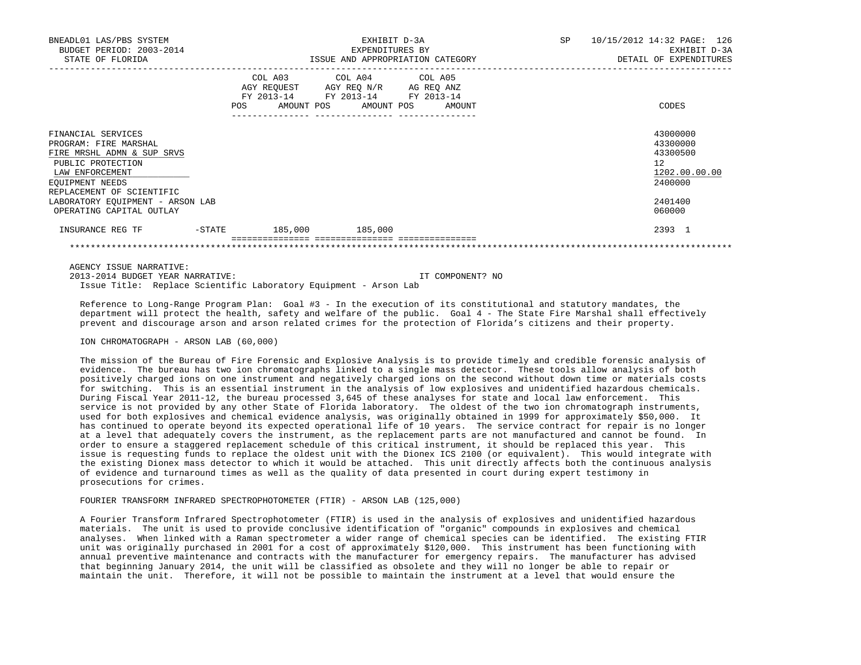| BNEADL01 LAS/PBS SYSTEM<br>BUDGET PERIOD: 2003-2014<br>STATE OF FLORIDA                                                                                           |        |                 | EXHIBIT D-3A<br>EXPENDITURES BY<br>ISSUE AND APPROPRIATION CATEGORY                                                               | SP | 10/15/2012 14:32 PAGE: 126<br>EXHIBIT D-3A<br>DETAIL OF EXPENDITURES |                                                                    |
|-------------------------------------------------------------------------------------------------------------------------------------------------------------------|--------|-----------------|-----------------------------------------------------------------------------------------------------------------------------------|----|----------------------------------------------------------------------|--------------------------------------------------------------------|
|                                                                                                                                                                   |        | POS             | COL A03 COL A04 COL A05<br>AGY REQUEST AGY REQ N/R AG REQ ANZ<br>FY 2013-14 FY 2013-14 FY 2013-14<br>AMOUNT POS AMOUNT POS AMOUNT |    |                                                                      | CODES                                                              |
| FINANCIAL SERVICES<br>PROGRAM: FIRE MARSHAL<br>FIRE MRSHL ADMN & SUP SRVS<br>PUBLIC PROTECTION<br>LAW ENFORCEMENT<br>EQUIPMENT NEEDS<br>REPLACEMENT OF SCIENTIFIC |        |                 |                                                                                                                                   |    |                                                                      | 43000000<br>43300000<br>43300500<br>12<br>1202.00.00.00<br>2400000 |
| LABORATORY EQUIPMENT - ARSON LAB<br>OPERATING CAPITAL OUTLAY                                                                                                      |        |                 |                                                                                                                                   |    |                                                                      | 2401400<br>060000                                                  |
| INSURANCE REG TF                                                                                                                                                  | -STATE | 185,000 185,000 |                                                                                                                                   |    |                                                                      | 2393 1                                                             |

AGENCY ISSUE NARRATIVE:

 2013-2014 BUDGET YEAR NARRATIVE: IT COMPONENT? NO Issue Title: Replace Scientific Laboratory Equipment - Arson Lab

 Reference to Long-Range Program Plan: Goal #3 - In the execution of its constitutional and statutory mandates, the department will protect the health, safety and welfare of the public. Goal 4 - The State Fire Marshal shall effectively prevent and discourage arson and arson related crimes for the protection of Florida's citizens and their property.

\*\*\*\*\*\*\*\*\*\*\*\*\*\*\*\*\*\*\*\*\*\*\*\*\*\*\*\*\*\*\*\*\*\*\*\*\*\*\*\*\*\*\*\*\*\*\*\*\*\*\*\*\*\*\*\*\*\*\*\*\*\*\*\*\*\*\*\*\*\*\*\*\*\*\*\*\*\*\*\*\*\*\*\*\*\*\*\*\*\*\*\*\*\*\*\*\*\*\*\*\*\*\*\*\*\*\*\*\*\*\*\*\*\*\*\*\*\*\*\*\*\*\*\*\*\*\*

ION CHROMATOGRAPH - ARSON LAB (60,000)

 The mission of the Bureau of Fire Forensic and Explosive Analysis is to provide timely and credible forensic analysis of evidence. The bureau has two ion chromatographs linked to a single mass detector. These tools allow analysis of both positively charged ions on one instrument and negatively charged ions on the second without down time or materials costs for switching. This is an essential instrument in the analysis of low explosives and unidentified hazardous chemicals. During Fiscal Year 2011-12, the bureau processed 3,645 of these analyses for state and local law enforcement. This service is not provided by any other State of Florida laboratory. The oldest of the two ion chromatograph instruments, used for both explosives and chemical evidence analysis, was originally obtained in 1999 for approximately \$50,000. It has continued to operate beyond its expected operational life of 10 years. The service contract for repair is no longer at a level that adequately covers the instrument, as the replacement parts are not manufactured and cannot be found. In order to ensure a staggered replacement schedule of this critical instrument, it should be replaced this year. This issue is requesting funds to replace the oldest unit with the Dionex ICS 2100 (or equivalent). This would integrate with the existing Dionex mass detector to which it would be attached. This unit directly affects both the continuous analysis of evidence and turnaround times as well as the quality of data presented in court during expert testimony in prosecutions for crimes.

## FOURIER TRANSFORM INFRARED SPECTROPHOTOMETER (FTIR) - ARSON LAB (125,000)

 A Fourier Transform Infrared Spectrophotometer (FTIR) is used in the analysis of explosives and unidentified hazardous materials. The unit is used to provide conclusive identification of "organic" compounds in explosives and chemical analyses. When linked with a Raman spectrometer a wider range of chemical species can be identified. The existing FTIR unit was originally purchased in 2001 for a cost of approximately \$120,000. This instrument has been functioning with annual preventive maintenance and contracts with the manufacturer for emergency repairs. The manufacturer has advised that beginning January 2014, the unit will be classified as obsolete and they will no longer be able to repair or maintain the unit. Therefore, it will not be possible to maintain the instrument at a level that would ensure the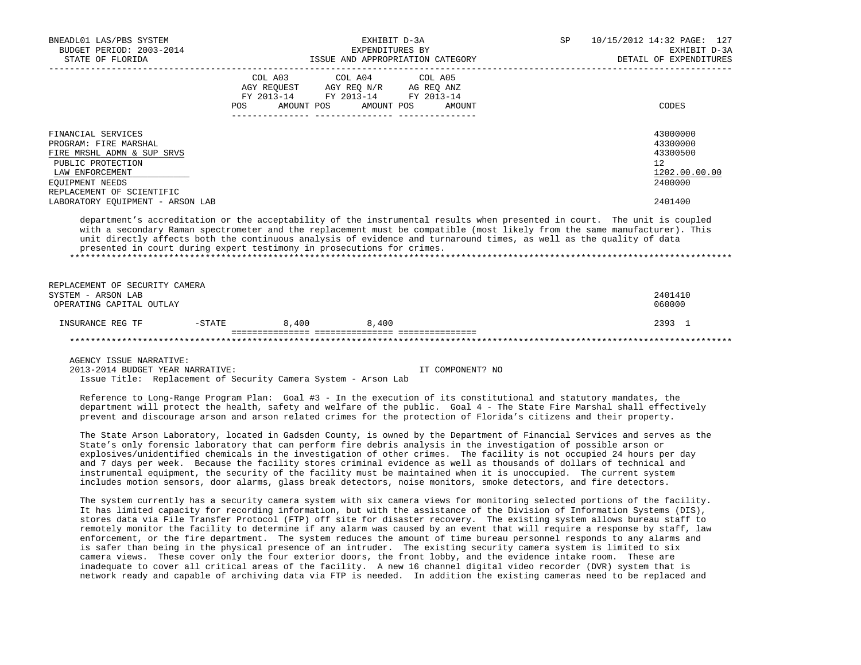| BNEADL01 LAS/PBS SYSTEM<br>BUDGET PERIOD: 2003-2014<br>STATE OF FLORIDA<br>-------------------                                                                    | EXHIBIT D-3A<br>EXPENDITURES BY<br>ISSUE AND APPROPRIATION CATEGORY                                                                                                                                                                                                                                                                                                                                                                                                                                                                                                                                                                                                                                                                                                                                                                                                                                                                                                                                       | SP<br>10/15/2012 14:32 PAGE: 127<br>EXHIBIT D-3A<br>DETAIL OF EXPENDITURES |
|-------------------------------------------------------------------------------------------------------------------------------------------------------------------|-----------------------------------------------------------------------------------------------------------------------------------------------------------------------------------------------------------------------------------------------------------------------------------------------------------------------------------------------------------------------------------------------------------------------------------------------------------------------------------------------------------------------------------------------------------------------------------------------------------------------------------------------------------------------------------------------------------------------------------------------------------------------------------------------------------------------------------------------------------------------------------------------------------------------------------------------------------------------------------------------------------|----------------------------------------------------------------------------|
|                                                                                                                                                                   | COL A03<br>COL A04<br>COL A05<br>$\begin{tabular}{lllllllll} \bf AGY \,\, & & & & & & & & \\ \bf AGY \,\, & & & & & & & \\ \bf FY \,\, & & & & & & & \\ \bf FY \,\, & & & & & & & \\ \bf FY \,\, & & & & & & \\ \bf ZY & & & & & & \\ \bf ZZ & & & & & & \\ \bf ZZ & & & & & & \\ \bf ZZ & & & & & & \\ \bf ZZ & & & & & & \\ \bf ZZ & & & & & & \\ \bf ZZ & & & & & & \\ \bf ZZ & & & & & & \\ \bf ZZ & & & & & & \\ \bf ZZ & & & & & & \\ \bf ZZ & & & & & & \\ \bf ZZ & & & & & & \\ \bf ZZ$<br>AMOUNT POS<br>AMOUNT POS<br>POS<br>AMOUNT                                                                                                                                                                                                                                                                                                                                                                                                                                                              | CODES                                                                      |
| FINANCIAL SERVICES<br>PROGRAM: FIRE MARSHAL<br>FIRE MRSHL ADMN & SUP SRVS<br>PUBLIC PROTECTION<br>LAW ENFORCEMENT<br>EQUIPMENT NEEDS<br>REPLACEMENT OF SCIENTIFIC |                                                                                                                                                                                                                                                                                                                                                                                                                                                                                                                                                                                                                                                                                                                                                                                                                                                                                                                                                                                                           | 43000000<br>43300000<br>43300500<br>12<br>1202.00.00.00<br>2400000         |
| LABORATORY EQUIPMENT - ARSON LAB                                                                                                                                  | department's accreditation or the acceptability of the instrumental results when presented in court. The unit is coupled<br>with a secondary Raman spectrometer and the replacement must be compatible (most likely from the same manufacturer). This<br>unit directly affects both the continuous analysis of evidence and turnaround times, as well as the quality of data<br>presented in court during expert testimony in prosecutions for crimes.                                                                                                                                                                                                                                                                                                                                                                                                                                                                                                                                                    | 2401400                                                                    |
| REPLACEMENT OF SECURITY CAMERA<br>SYSTEM - ARSON LAB<br>OPERATING CAPITAL OUTLAY                                                                                  |                                                                                                                                                                                                                                                                                                                                                                                                                                                                                                                                                                                                                                                                                                                                                                                                                                                                                                                                                                                                           | 2401410<br>060000                                                          |
| INSURANCE REG TF                                                                                                                                                  | $-$ STATE 8,400 8,400                                                                                                                                                                                                                                                                                                                                                                                                                                                                                                                                                                                                                                                                                                                                                                                                                                                                                                                                                                                     | 2393 1                                                                     |
|                                                                                                                                                                   |                                                                                                                                                                                                                                                                                                                                                                                                                                                                                                                                                                                                                                                                                                                                                                                                                                                                                                                                                                                                           |                                                                            |
| AGENCY ISSUE NARRATIVE:<br>2013-2014 BUDGET YEAR NARRATIVE:                                                                                                       | IT COMPONENT? NO<br>Issue Title: Replacement of Security Camera System - Arson Lab<br>Reference to Long-Range Program Plan: Goal #3 - In the execution of its constitutional and statutory mandates, the<br>department will protect the health, safety and welfare of the public. Goal 4 - The State Fire Marshal shall effectively<br>prevent and discourage arson and arson related crimes for the protection of Florida's citizens and their property.                                                                                                                                                                                                                                                                                                                                                                                                                                                                                                                                                 |                                                                            |
|                                                                                                                                                                   | The State Arson Laboratory, located in Gadsden County, is owned by the Department of Financial Services and serves as the<br>State's only forensic laboratory that can perform fire debris analysis in the investigation of possible arson or<br>explosives/unidentified chemicals in the investigation of other crimes. The facility is not occupied 24 hours per day<br>and 7 days per week. Because the facility stores criminal evidence as well as thousands of dollars of technical and<br>instrumental equipment, the security of the facility must be maintained when it is unoccupied. The current system<br>includes motion sensors, door alarms, glass break detectors, noise monitors, smoke detectors, and fire detectors.                                                                                                                                                                                                                                                                   |                                                                            |
|                                                                                                                                                                   | The system currently has a security camera system with six camera views for monitoring selected portions of the facility.<br>It has limited capacity for recording information, but with the assistance of the Division of Information Systems (DIS),<br>stores data via File Transfer Protocol (FTP) off site for disaster recovery. The existing system allows bureau staff to<br>remotely monitor the facility to determine if any alarm was caused by an event that will require a response by staff, law<br>enforcement, or the fire department. The system reduces the amount of time bureau personnel responds to any alarms and<br>is safer than being in the physical presence of an intruder. The existing security camera system is limited to six<br>camera views. These cover only the four exterior doors, the front lobby, and the evidence intake room. These are<br>inadequate to cover all critical areas of the facility. A new 16 channel digital video recorder (DVR) system that is |                                                                            |

network ready and capable of archiving data via FTP is needed. In addition the existing cameras need to be replaced and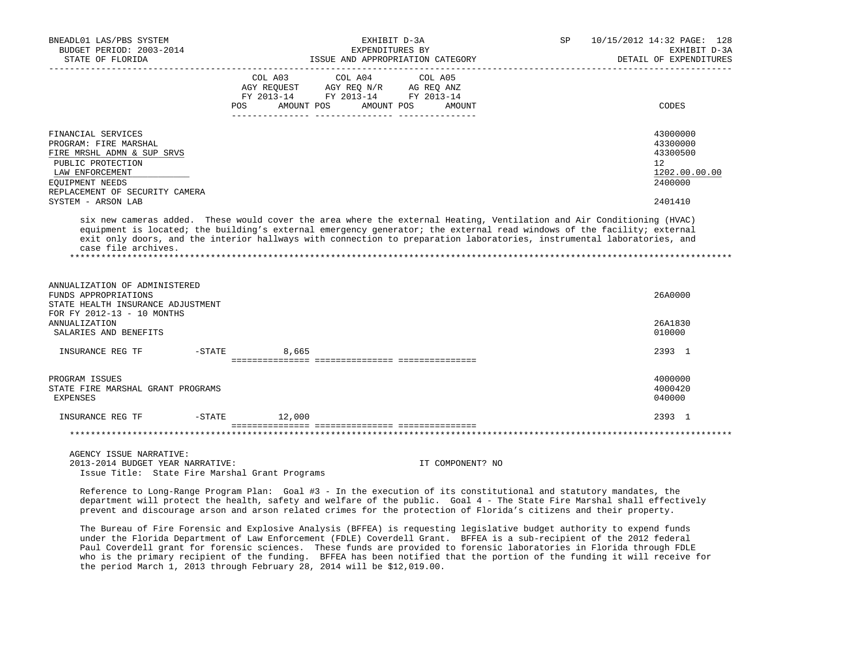| BNEADL01 LAS/PBS SYSTEM<br>BUDGET PERIOD: 2003-2014                                                                                                                                                                                                                                                                                                                                               |                    | EXHIBIT D-3A<br>EXPENDITURES BY                                                                 |                                 | SP | 10/15/2012 14:32 PAGE: 128<br>EXHIBIT D-3A                                    |
|---------------------------------------------------------------------------------------------------------------------------------------------------------------------------------------------------------------------------------------------------------------------------------------------------------------------------------------------------------------------------------------------------|--------------------|-------------------------------------------------------------------------------------------------|---------------------------------|----|-------------------------------------------------------------------------------|
| STATE OF FLORIDA<br>-------------------                                                                                                                                                                                                                                                                                                                                                           |                    | ISSUE AND APPROPRIATION CATEGORY                                                                |                                 |    | DETAIL OF EXPENDITURES                                                        |
|                                                                                                                                                                                                                                                                                                                                                                                                   | COL A03<br>POS     | COL A04<br>AGY REQUEST AGY REQ N/R AG REQ ANZ<br>FY 2013-14 FY 2013-14 FY 2013-14<br>AMOUNT POS | COL A05<br>AMOUNT POS<br>AMOUNT |    | CODES                                                                         |
| FINANCIAL SERVICES<br>PROGRAM: FIRE MARSHAL<br>FIRE MRSHL ADMN & SUP SRVS<br>PUBLIC PROTECTION<br>LAW ENFORCEMENT<br>EOUIPMENT NEEDS<br>REPLACEMENT OF SECURITY CAMERA<br>SYSTEM - ARSON LAB                                                                                                                                                                                                      |                    |                                                                                                 |                                 |    | 43000000<br>43300000<br>43300500<br>12<br>1202.00.00.00<br>2400000<br>2401410 |
| six new cameras added.  These would cover the area where the external Heating, Ventilation and Air Conditioning (HVAC)<br>equipment is located; the building's external emergency generator; the external read windows of the facility; external<br>exit only doors, and the interior hallways with connection to preparation laboratories, instrumental laboratories, and<br>case file archives. |                    |                                                                                                 |                                 |    |                                                                               |
| ANNUALIZATION OF ADMINISTERED<br>FUNDS APPROPRIATIONS<br>STATE HEALTH INSURANCE ADJUSTMENT<br>FOR FY 2012-13 - 10 MONTHS                                                                                                                                                                                                                                                                          |                    |                                                                                                 |                                 |    | 26A0000                                                                       |
| <b>ANNUALIZATION</b><br>SALARIES AND BENEFITS                                                                                                                                                                                                                                                                                                                                                     |                    |                                                                                                 |                                 |    | 26A1830<br>010000                                                             |
| INSURANCE REG TF                                                                                                                                                                                                                                                                                                                                                                                  | $-$ STATE<br>8,665 |                                                                                                 |                                 |    | 2393 1                                                                        |
| PROGRAM ISSUES<br>STATE FIRE MARSHAL GRANT PROGRAMS<br>EXPENSES                                                                                                                                                                                                                                                                                                                                   |                    |                                                                                                 |                                 |    | 4000000<br>4000420<br>040000                                                  |
| $-$ STATE<br>INSURANCE REG TF                                                                                                                                                                                                                                                                                                                                                                     | 12,000             |                                                                                                 |                                 |    | 2393 1                                                                        |
|                                                                                                                                                                                                                                                                                                                                                                                                   |                    |                                                                                                 |                                 |    |                                                                               |
| AGENCY ISSUE NARRATIVE:<br>2013-2014 BUDGET YEAR NARRATIVE:<br>Issue Title: State Fire Marshal Grant Programs                                                                                                                                                                                                                                                                                     |                    |                                                                                                 | IT COMPONENT? NO                |    |                                                                               |
| Reference to Long-Range Program Plan: Goal #3 - In the execution of its constitutional and statutory mandates, the<br>department will protect the health, safety and welfare of the public. Goal 4 - The State Fire Marshal shall effectively                                                                                                                                                     |                    |                                                                                                 |                                 |    |                                                                               |

prevent and discourage arson and arson related crimes for the protection of Florida's citizens and their property.

 The Bureau of Fire Forensic and Explosive Analysis (BFFEA) is requesting legislative budget authority to expend funds under the Florida Department of Law Enforcement (FDLE) Coverdell Grant. BFFEA is a sub-recipient of the 2012 federal Paul Coverdell grant for forensic sciences. These funds are provided to forensic laboratories in Florida through FDLE who is the primary recipient of the funding. BFFEA has been notified that the portion of the funding it will receive for the period March 1, 2013 through February 28, 2014 will be \$12,019.00.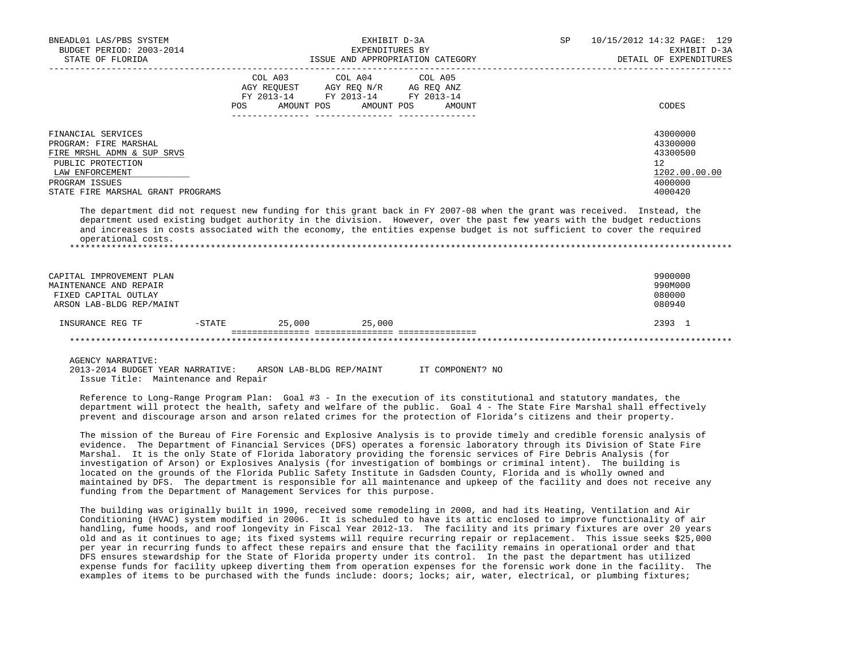| BNEADL01 LAS/PBS SYSTEM<br>BUDGET PERIOD: 2003-2014<br>STATE OF FLORIDA                                                                                                                                                                                                                                                                                                                                                                                                                                                                                                       | EXHIBIT D-3A<br>EXPENDITURES BY<br>ISSUE AND APPROPRIATION CATEGORY |                                                                                                                                       |  |  |  |  | SP | 10/15/2012 14:32 PAGE: 129<br>EXHIBIT D-3A<br>DETAIL OF EXPENDITURES                       |
|-------------------------------------------------------------------------------------------------------------------------------------------------------------------------------------------------------------------------------------------------------------------------------------------------------------------------------------------------------------------------------------------------------------------------------------------------------------------------------------------------------------------------------------------------------------------------------|---------------------------------------------------------------------|---------------------------------------------------------------------------------------------------------------------------------------|--|--|--|--|----|--------------------------------------------------------------------------------------------|
|                                                                                                                                                                                                                                                                                                                                                                                                                                                                                                                                                                               |                                                                     | COL A03 COL A04 COL A05<br>AGY REQUEST AGY REQ N/R AG REQ ANZ<br>FY 2013-14 FY 2013-14 FY 2013-14<br>POS AMOUNT POS AMOUNT POS AMOUNT |  |  |  |  |    | CODES                                                                                      |
| FINANCIAL SERVICES<br>PROGRAM: FIRE MARSHAL<br>FIRE MRSHL ADMN & SUP SRVS<br>PUBLIC PROTECTION<br>LAW ENFORCEMENT<br>PROGRAM ISSUES<br>STATE FIRE MARSHAL GRANT PROGRAMS<br>The department did not request new funding for this grant back in FY 2007-08 when the grant was received. Instead, the<br>department used existing budget authority in the division. However, over the past few years with the budget reductions<br>and increases in costs associated with the economy, the entities expense budget is not sufficient to cover the required<br>operational costs. |                                                                     |                                                                                                                                       |  |  |  |  |    | 43000000<br>43300000<br>43300500<br>12 <sup>°</sup><br>1202.00.00.00<br>4000000<br>4000420 |
| CAPITAL IMPROVEMENT PLAN<br>MAINTENANCE AND REPAIR<br>FIXED CAPITAL OUTLAY<br>ARSON LAB-BLDG REP/MAINT                                                                                                                                                                                                                                                                                                                                                                                                                                                                        |                                                                     |                                                                                                                                       |  |  |  |  |    | 9900000<br>990M000<br>080000<br>080940                                                     |
| $-$ STATE 25,000 25,000<br>INSURANCE REG TF                                                                                                                                                                                                                                                                                                                                                                                                                                                                                                                                   |                                                                     |                                                                                                                                       |  |  |  |  |    | 2393 1                                                                                     |
| AGENCY NARRATIVE:                                                                                                                                                                                                                                                                                                                                                                                                                                                                                                                                                             |                                                                     |                                                                                                                                       |  |  |  |  |    |                                                                                            |

 2013-2014 BUDGET YEAR NARRATIVE: ARSON LAB-BLDG REP/MAINT IT COMPONENT? NO Issue Title: Maintenance and Repair

 Reference to Long-Range Program Plan: Goal #3 - In the execution of its constitutional and statutory mandates, the department will protect the health, safety and welfare of the public. Goal 4 - The State Fire Marshal shall effectively prevent and discourage arson and arson related crimes for the protection of Florida's citizens and their property.

 The mission of the Bureau of Fire Forensic and Explosive Analysis is to provide timely and credible forensic analysis of evidence. The Department of Financial Services (DFS) operates a forensic laboratory through its Division of State Fire Marshal. It is the only State of Florida laboratory providing the forensic services of Fire Debris Analysis (for investigation of Arson) or Explosives Analysis (for investigation of bombings or criminal intent). The building is located on the grounds of the Florida Public Safety Institute in Gadsden County, Florida and is wholly owned and maintained by DFS. The department is responsible for all maintenance and upkeep of the facility and does not receive any funding from the Department of Management Services for this purpose.

 The building was originally built in 1990, received some remodeling in 2000, and had its Heating, Ventilation and Air Conditioning (HVAC) system modified in 2006. It is scheduled to have its attic enclosed to improve functionality of air handling, fume hoods, and roof longevity in Fiscal Year 2012-13. The facility and its primary fixtures are over 20 years old and as it continues to age; its fixed systems will require recurring repair or replacement. This issue seeks \$25,000 per year in recurring funds to affect these repairs and ensure that the facility remains in operational order and that DFS ensures stewardship for the State of Florida property under its control. In the past the department has utilized expense funds for facility upkeep diverting them from operation expenses for the forensic work done in the facility. The examples of items to be purchased with the funds include: doors; locks; air, water, electrical, or plumbing fixtures;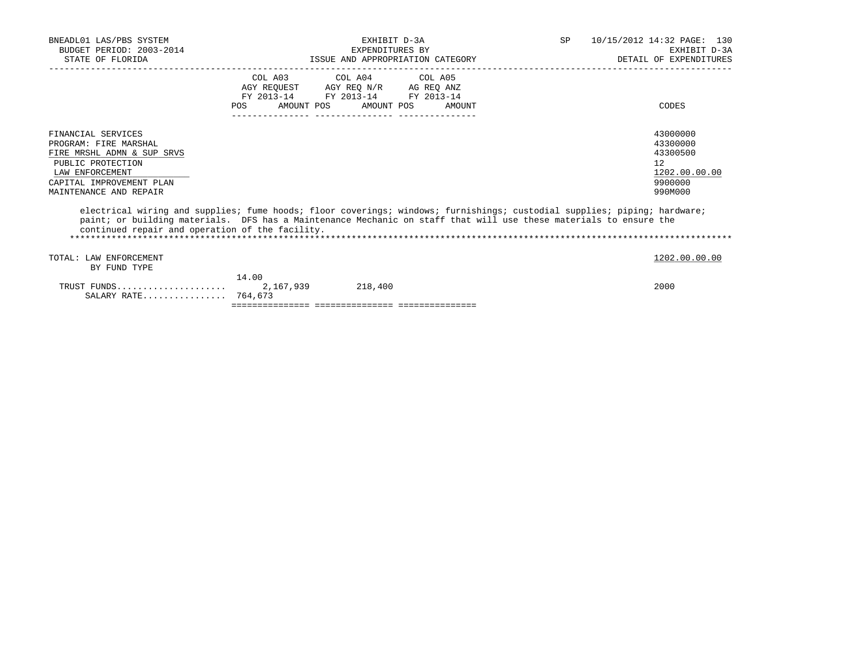| BNEADL01 LAS/PBS SYSTEM<br>BUDGET PERIOD: 2003-2014<br>STATE OF FLORIDA                                                                                                 |                    | EXHIBIT D-3A<br>EXPENDITURES BY<br>ISSUE AND APPROPRIATION CATEGORY                                                        |        | 10/15/2012 14:32 PAGE: 130<br>SP<br>EXHIBIT D-3A<br>DETAIL OF EXPENDITURES                                               |
|-------------------------------------------------------------------------------------------------------------------------------------------------------------------------|--------------------|----------------------------------------------------------------------------------------------------------------------------|--------|--------------------------------------------------------------------------------------------------------------------------|
|                                                                                                                                                                         | POS                | COL A03 COL A04 COL A05<br>AGY REQUEST AGY REQ N/R AG REQ ANZ<br>FY 2013-14 FY 2013-14 FY 2013-14<br>AMOUNT POS AMOUNT POS | AMOUNT | CODES                                                                                                                    |
| FINANCIAL SERVICES<br>PROGRAM: FIRE MARSHAL<br>FIRE MRSHL ADMN & SUP SRVS<br>PUBLIC PROTECTION<br>LAW ENFORCEMENT<br>CAPITAL IMPROVEMENT PLAN<br>MAINTENANCE AND REPAIR |                    |                                                                                                                            |        | 43000000<br>43300000<br>43300500<br>12<br>1202.00.00.00<br>9900000<br>990M000                                            |
| paint; or building materials. DFS has a Maintenance Mechanic on staff that will use these materials to ensure the<br>continued repair and operation of the facility.    |                    |                                                                                                                            |        | electrical wiring and supplies; fume hoods; floor coverings; windows; furnishings; custodial supplies; piping; hardware; |
| TOTAL: LAW ENFORCEMENT<br>BY FUND TYPE                                                                                                                                  |                    |                                                                                                                            |        | 1202.00.00.00                                                                                                            |
| TRUST FUNDS<br>SALARY RATE 764,673                                                                                                                                      | 14.00<br>2,167,939 | 218,400                                                                                                                    |        | 2000                                                                                                                     |

=============== =============== ===============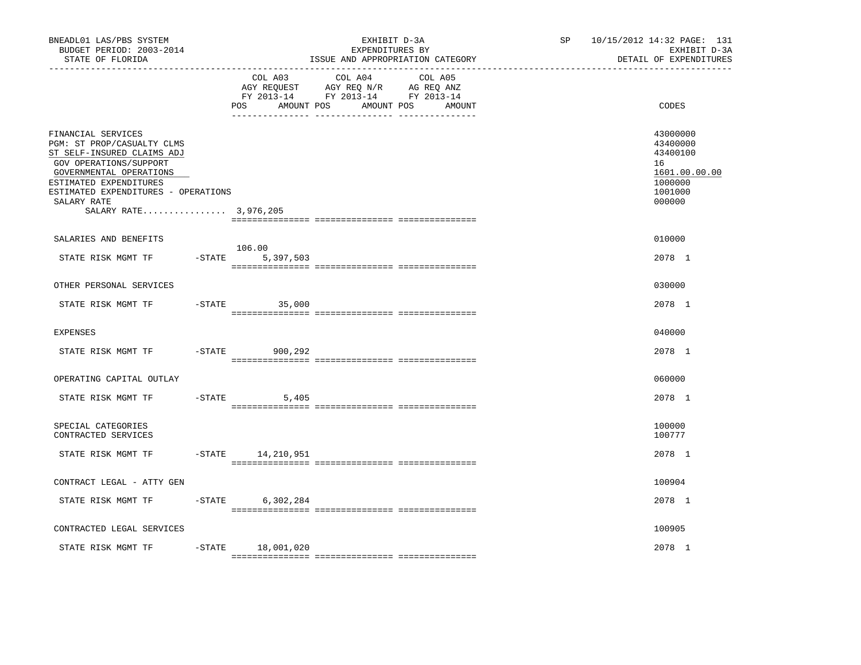| BNEADL01 LAS/PBS SYSTEM<br>BUDGET PERIOD: 2003-2014<br>STATE OF FLORIDA<br>---------------                                                                                                                                                   |           |                              | EXHIBIT D-3A<br>EXPENDITURES BY<br>ISSUE AND APPROPRIATION CATEGORY                                               | 10/15/2012 14:32 PAGE: 131<br>SP<br>EXHIBIT D-3A<br>DETAIL OF EXPENDITURES |                                                                                         |  |  |
|----------------------------------------------------------------------------------------------------------------------------------------------------------------------------------------------------------------------------------------------|-----------|------------------------------|-------------------------------------------------------------------------------------------------------------------|----------------------------------------------------------------------------|-----------------------------------------------------------------------------------------|--|--|
|                                                                                                                                                                                                                                              |           | COL A03<br>AMOUNT POS<br>POS | COL A04<br>COL A05<br>AGY REQUEST AGY REQ N/R AG REQ ANZ<br>FY 2013-14 FY 2013-14 FY 2013-14<br>AMOUNT POS AMOUNT |                                                                            | CODES                                                                                   |  |  |
| FINANCIAL SERVICES<br>PGM: ST PROP/CASUALTY CLMS<br>ST SELF-INSURED CLAIMS ADJ<br>GOV OPERATIONS/SUPPORT<br>GOVERNMENTAL OPERATIONS<br>ESTIMATED EXPENDITURES<br>ESTIMATED EXPENDITURES - OPERATIONS<br>SALARY RATE<br>SALARY RATE 3,976,205 |           |                              |                                                                                                                   |                                                                            | 43000000<br>43400000<br>43400100<br>16<br>1601.00.00.00<br>1000000<br>1001000<br>000000 |  |  |
| SALARIES AND BENEFITS                                                                                                                                                                                                                        |           |                              |                                                                                                                   |                                                                            | 010000                                                                                  |  |  |
| STATE RISK MGMT TF                                                                                                                                                                                                                           | $-$ STATE | 106.00<br>5,397,503          |                                                                                                                   |                                                                            | 2078 1                                                                                  |  |  |
| OTHER PERSONAL SERVICES                                                                                                                                                                                                                      |           |                              |                                                                                                                   |                                                                            | 030000                                                                                  |  |  |
| STATE RISK MGMT TF                                                                                                                                                                                                                           |           | $-STATE$<br>35,000           |                                                                                                                   |                                                                            | 2078 1                                                                                  |  |  |
| <b>EXPENSES</b>                                                                                                                                                                                                                              |           |                              |                                                                                                                   |                                                                            | 040000                                                                                  |  |  |
| STATE RISK MGMT TF                                                                                                                                                                                                                           | $-$ STATE | 900,292                      |                                                                                                                   |                                                                            | 2078 1                                                                                  |  |  |
| OPERATING CAPITAL OUTLAY                                                                                                                                                                                                                     |           |                              |                                                                                                                   |                                                                            | 060000                                                                                  |  |  |
| STATE RISK MGMT TF                                                                                                                                                                                                                           |           | $-$ STATE<br>5,405           |                                                                                                                   |                                                                            | 2078 1                                                                                  |  |  |
| SPECIAL CATEGORIES<br>CONTRACTED SERVICES                                                                                                                                                                                                    |           |                              |                                                                                                                   |                                                                            | 100000<br>100777                                                                        |  |  |
| STATE RISK MGMT TF                                                                                                                                                                                                                           |           | -STATE 14,210,951            |                                                                                                                   |                                                                            | 2078 1                                                                                  |  |  |
| CONTRACT LEGAL - ATTY GEN                                                                                                                                                                                                                    |           |                              |                                                                                                                   |                                                                            | 100904                                                                                  |  |  |
| STATE RISK MGMT TF                                                                                                                                                                                                                           | $-$ STATE | 6,302,284                    |                                                                                                                   |                                                                            | 2078 1                                                                                  |  |  |
| CONTRACTED LEGAL SERVICES                                                                                                                                                                                                                    |           |                              |                                                                                                                   |                                                                            | 100905                                                                                  |  |  |
| STATE RISK MGMT TF                                                                                                                                                                                                                           | $-$ STATE | 18,001,020                   |                                                                                                                   |                                                                            | 2078 1                                                                                  |  |  |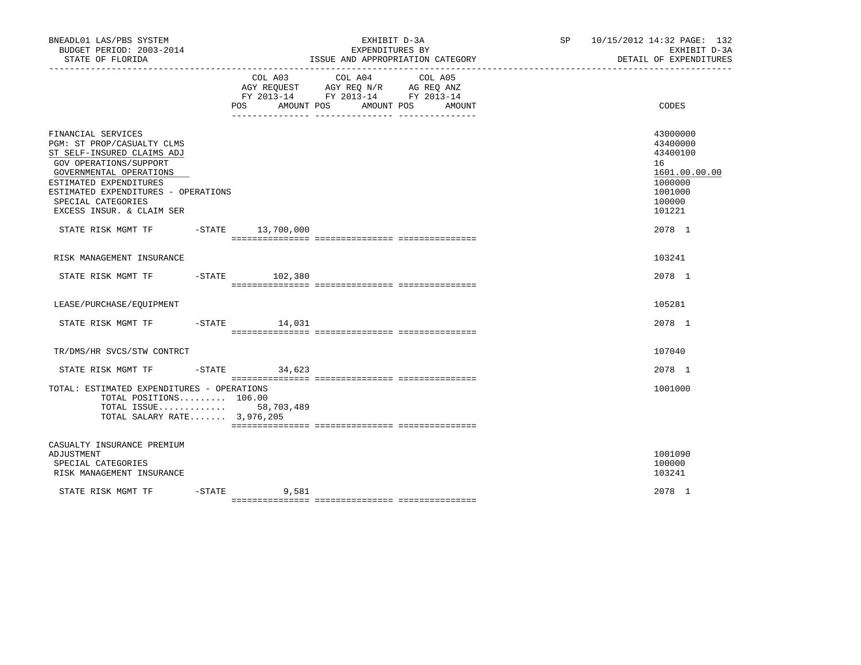| BNEADL01 LAS/PBS SYSTEM<br>BUDGET PERIOD: 2003-2014<br>STATE OF FLORIDA                                                                                                                                                                                 |                              | EXHIBIT D-3A<br>EXPENDITURES BY<br>ISSUE AND APPROPRIATION CATEGORY                                                                                                                                                                        | 10/15/2012 14:32 PAGE: 132<br>SP <sub>2</sub><br>EXHIBIT D-3A<br>DETAIL OF EXPENDITURES           |
|---------------------------------------------------------------------------------------------------------------------------------------------------------------------------------------------------------------------------------------------------------|------------------------------|--------------------------------------------------------------------------------------------------------------------------------------------------------------------------------------------------------------------------------------------|---------------------------------------------------------------------------------------------------|
|                                                                                                                                                                                                                                                         | COL A03<br>AMOUNT POS<br>POS | COL A04<br>COL A05<br>$\begin{tabular}{lllllll} AGY & \texttt{REQUEST} & \texttt{AGY} & \texttt{REG} & \texttt{N/R} & \texttt{AG} & \texttt{REQ} & \texttt{ANZ} \end{tabular}$<br>FY 2013-14 FY 2013-14 FY 2013-14<br>AMOUNT POS<br>AMOUNT | CODES                                                                                             |
| FINANCIAL SERVICES<br>PGM: ST PROP/CASUALTY CLMS<br>ST SELF-INSURED CLAIMS ADJ<br>GOV OPERATIONS/SUPPORT<br>GOVERNMENTAL OPERATIONS<br>ESTIMATED EXPENDITURES<br>ESTIMATED EXPENDITURES - OPERATIONS<br>SPECIAL CATEGORIES<br>EXCESS INSUR. & CLAIM SER |                              |                                                                                                                                                                                                                                            | 43000000<br>43400000<br>43400100<br>16<br>1601.00.00.00<br>1000000<br>1001000<br>100000<br>101221 |
| STATE RISK MGMT TF -STATE 13,700,000                                                                                                                                                                                                                    |                              |                                                                                                                                                                                                                                            | 2078 1                                                                                            |
| RISK MANAGEMENT INSURANCE                                                                                                                                                                                                                               |                              |                                                                                                                                                                                                                                            | 103241                                                                                            |
| STATE RISK MGMT TF -STATE 102,380                                                                                                                                                                                                                       |                              |                                                                                                                                                                                                                                            | 2078 1                                                                                            |
| LEASE/PURCHASE/EQUIPMENT                                                                                                                                                                                                                                |                              |                                                                                                                                                                                                                                            | 105281                                                                                            |
| STATE RISK MGMT TF                                                                                                                                                                                                                                      | -STATE 14,031                |                                                                                                                                                                                                                                            | 2078 1                                                                                            |
| TR/DMS/HR SVCS/STW CONTRCT                                                                                                                                                                                                                              |                              |                                                                                                                                                                                                                                            | 107040                                                                                            |
| STATE RISK MGMT TF                                                                                                                                                                                                                                      | $-STATE$ 34,623              |                                                                                                                                                                                                                                            | 2078 1                                                                                            |
| TOTAL: ESTIMATED EXPENDITURES - OPERATIONS<br>TOTAL POSITIONS 106.00<br>TOTAL ISSUE 58,703,489<br>TOTAL SALARY RATE 3,976,205                                                                                                                           |                              |                                                                                                                                                                                                                                            | 1001000                                                                                           |
| CASUALTY INSURANCE PREMIUM<br>ADJUSTMENT<br>SPECIAL CATEGORIES<br>RISK MANAGEMENT INSURANCE                                                                                                                                                             |                              |                                                                                                                                                                                                                                            | 1001090<br>100000<br>103241                                                                       |
| STATE RISK MGMT TF                                                                                                                                                                                                                                      | $-STATE$ 9,581               |                                                                                                                                                                                                                                            | 2078 1                                                                                            |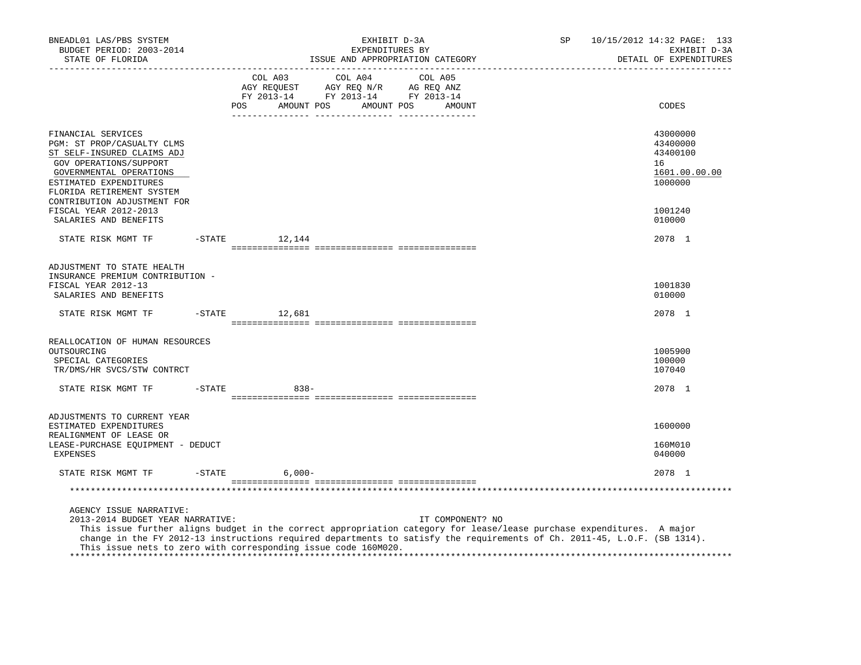| BNEADL01 LAS/PBS SYSTEM<br>BUDGET PERIOD: 2003-2014<br>STATE OF FLORIDA                                                                                                                                                                                                                                                                                                            |           | SP<br>EXHIBIT D-3A<br>EXPENDITURES BY<br>ISSUE AND APPROPRIATION CATEGORY |                                                                                                                                                                                                                               |  |                       | 10/15/2012 14:32 PAGE: 133<br>EXHIBIT D-3A<br>DETAIL OF EXPENDITURES |                  |  |  |                                                                    |
|------------------------------------------------------------------------------------------------------------------------------------------------------------------------------------------------------------------------------------------------------------------------------------------------------------------------------------------------------------------------------------|-----------|---------------------------------------------------------------------------|-------------------------------------------------------------------------------------------------------------------------------------------------------------------------------------------------------------------------------|--|-----------------------|----------------------------------------------------------------------|------------------|--|--|--------------------------------------------------------------------|
|                                                                                                                                                                                                                                                                                                                                                                                    |           | POS                                                                       | COL A03<br>$\begin{tabular}{lllllllll} \bf AGY & \bf REQUEST & \bf AGY & \bf REQ & \bf N/R & \bf AG & \bf REQ & \bf ANZ \\ \bf FY & \tt 2013-14 & \bf FY & \tt 2013-14 & \bf FY & \tt 2013-14 \\ \end{tabular}$<br>AMOUNT POS |  | COL A04<br>AMOUNT POS | COL A05                                                              | AMOUNT           |  |  | CODES                                                              |
| FINANCIAL SERVICES<br>PGM: ST PROP/CASUALTY CLMS<br>ST SELF-INSURED CLAIMS ADJ<br>GOV OPERATIONS/SUPPORT<br>GOVERNMENTAL OPERATIONS<br>ESTIMATED EXPENDITURES<br>FLORIDA RETIREMENT SYSTEM<br>CONTRIBUTION ADJUSTMENT FOR                                                                                                                                                          |           |                                                                           |                                                                                                                                                                                                                               |  |                       |                                                                      |                  |  |  | 43000000<br>43400000<br>43400100<br>16<br>1601.00.00.00<br>1000000 |
| FISCAL YEAR 2012-2013<br>SALARIES AND BENEFITS                                                                                                                                                                                                                                                                                                                                     |           |                                                                           |                                                                                                                                                                                                                               |  |                       |                                                                      |                  |  |  | 1001240<br>010000                                                  |
| STATE RISK MGMT TF                                                                                                                                                                                                                                                                                                                                                                 | $-$ STATE |                                                                           | 12,144                                                                                                                                                                                                                        |  |                       |                                                                      |                  |  |  | 2078 1                                                             |
| ADJUSTMENT TO STATE HEALTH<br>INSURANCE PREMIUM CONTRIBUTION -<br>FISCAL YEAR 2012-13<br>SALARIES AND BENEFITS                                                                                                                                                                                                                                                                     |           |                                                                           |                                                                                                                                                                                                                               |  |                       |                                                                      |                  |  |  | 1001830<br>010000                                                  |
| STATE RISK MGMT TF                                                                                                                                                                                                                                                                                                                                                                 | $-$ STATE |                                                                           | 12,681                                                                                                                                                                                                                        |  |                       |                                                                      |                  |  |  | 2078 1                                                             |
| REALLOCATION OF HUMAN RESOURCES<br>OUTSOURCING<br>SPECIAL CATEGORIES<br>TR/DMS/HR SVCS/STW CONTRCT                                                                                                                                                                                                                                                                                 |           |                                                                           |                                                                                                                                                                                                                               |  |                       |                                                                      |                  |  |  | 1005900<br>100000<br>107040                                        |
| STATE RISK MGMT TF                                                                                                                                                                                                                                                                                                                                                                 | $-$ STATE |                                                                           | $838 -$                                                                                                                                                                                                                       |  |                       |                                                                      |                  |  |  | 2078 1                                                             |
| ADJUSTMENTS TO CURRENT YEAR<br>ESTIMATED EXPENDITURES<br>REALIGNMENT OF LEASE OR<br>LEASE-PURCHASE EQUIPMENT - DEDUCT                                                                                                                                                                                                                                                              |           |                                                                           |                                                                                                                                                                                                                               |  |                       |                                                                      |                  |  |  | 1600000<br>160M010                                                 |
| EXPENSES                                                                                                                                                                                                                                                                                                                                                                           |           |                                                                           |                                                                                                                                                                                                                               |  |                       |                                                                      |                  |  |  | 040000                                                             |
| STATE RISK MGMT TF                                                                                                                                                                                                                                                                                                                                                                 | $-$ STATE |                                                                           | $6,000-$                                                                                                                                                                                                                      |  |                       |                                                                      |                  |  |  | 2078 1                                                             |
| AGENCY ISSUE NARRATIVE:<br>2013-2014 BUDGET YEAR NARRATIVE:<br>This issue further aligns budget in the correct appropriation category for lease/lease purchase expenditures. A major<br>change in the FY 2012-13 instructions required departments to satisfy the requirements of Ch. 2011-45, L.O.F. (SB 1314).<br>This issue nets to zero with corresponding issue code 160M020. |           |                                                                           |                                                                                                                                                                                                                               |  |                       |                                                                      | IT COMPONENT? NO |  |  |                                                                    |
|                                                                                                                                                                                                                                                                                                                                                                                    |           |                                                                           |                                                                                                                                                                                                                               |  |                       |                                                                      |                  |  |  |                                                                    |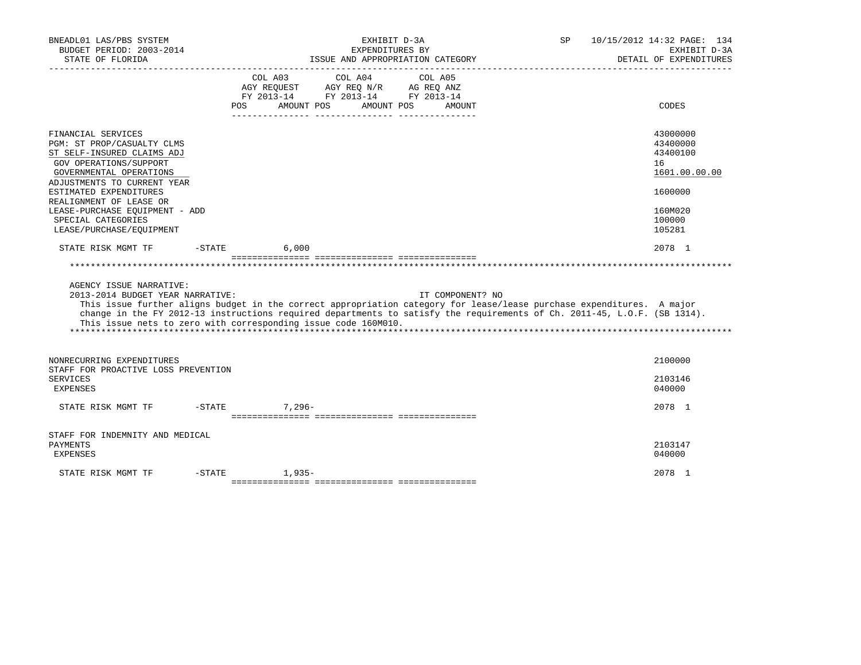| BNEADL01 LAS/PBS SYSTEM<br>BUDGET PERIOD: 2003-2014<br>STATE OF FLORIDA                                                                                                                      |                    |                                                                                      | EXHIBIT D-3A<br>EXPENDITURES BY<br>ISSUE AND APPROPRIATION CATEGORY |         |                  | SP.                                                                                                                                                                                                                                               | 10/15/2012 14:32 PAGE: 134<br>EXHIBIT D-3A<br>DETAIL OF EXPENDITURES |
|----------------------------------------------------------------------------------------------------------------------------------------------------------------------------------------------|--------------------|--------------------------------------------------------------------------------------|---------------------------------------------------------------------|---------|------------------|---------------------------------------------------------------------------------------------------------------------------------------------------------------------------------------------------------------------------------------------------|----------------------------------------------------------------------|
|                                                                                                                                                                                              | COL A03<br>POS FOR | AGY REQUEST AGY REQ N/R AG REQ ANZ<br>FY 2013-14 FY 2013-14 FY 2013-14<br>AMOUNT POS | COL A04<br>AMOUNT POS                                               | COL A05 | AMOUNT           |                                                                                                                                                                                                                                                   | CODES                                                                |
| FINANCIAL SERVICES<br>PGM: ST PROP/CASUALTY CLMS<br>ST SELF-INSURED CLAIMS ADJ<br>GOV OPERATIONS/SUPPORT<br>GOVERNMENTAL OPERATIONS<br>ADJUSTMENTS TO CURRENT YEAR<br>ESTIMATED EXPENDITURES |                    |                                                                                      |                                                                     |         |                  |                                                                                                                                                                                                                                                   | 43000000<br>43400000<br>43400100<br>16<br>1601.00.00.00<br>1600000   |
| REALIGNMENT OF LEASE OR<br>LEASE-PURCHASE EOUIPMENT - ADD<br>SPECIAL CATEGORIES<br>LEASE/PURCHASE/EOUIPMENT                                                                                  |                    |                                                                                      |                                                                     |         |                  |                                                                                                                                                                                                                                                   | 160M020<br>100000<br>105281                                          |
| $-$ STATE<br>STATE RISK MGMT TF                                                                                                                                                              |                    | 6.000                                                                                |                                                                     |         |                  |                                                                                                                                                                                                                                                   | 2078 1                                                               |
|                                                                                                                                                                                              |                    |                                                                                      |                                                                     |         |                  |                                                                                                                                                                                                                                                   |                                                                      |
| AGENCY ISSUE NARRATIVE:<br>2013-2014 BUDGET YEAR NARRATIVE:<br>This issue nets to zero with corresponding issue code 160M010.                                                                |                    |                                                                                      |                                                                     |         | IT COMPONENT? NO | This issue further aligns budget in the correct appropriation category for lease/lease purchase expenditures. A major<br>change in the FY 2012-13 instructions required departments to satisfy the requirements of Ch. 2011-45, L.O.F. (SB 1314). |                                                                      |
| NONRECURRING EXPENDITURES<br>STAFF FOR PROACTIVE LOSS PREVENTION<br><b>SERVICES</b><br>EXPENSES                                                                                              |                    |                                                                                      |                                                                     |         |                  |                                                                                                                                                                                                                                                   | 2100000<br>2103146<br>040000                                         |
| $-$ STATE<br>STATE RISK MGMT TF                                                                                                                                                              |                    | $7.296 -$                                                                            |                                                                     |         |                  |                                                                                                                                                                                                                                                   | 2078 1                                                               |
| STAFF FOR INDEMNITY AND MEDICAL<br>PAYMENTS<br><b>EXPENSES</b>                                                                                                                               |                    |                                                                                      |                                                                     |         |                  |                                                                                                                                                                                                                                                   | 2103147<br>040000                                                    |
| STATE RISK MGMT TF<br>$-STATE$                                                                                                                                                               |                    | $1.935-$                                                                             |                                                                     |         |                  |                                                                                                                                                                                                                                                   | 2078 1                                                               |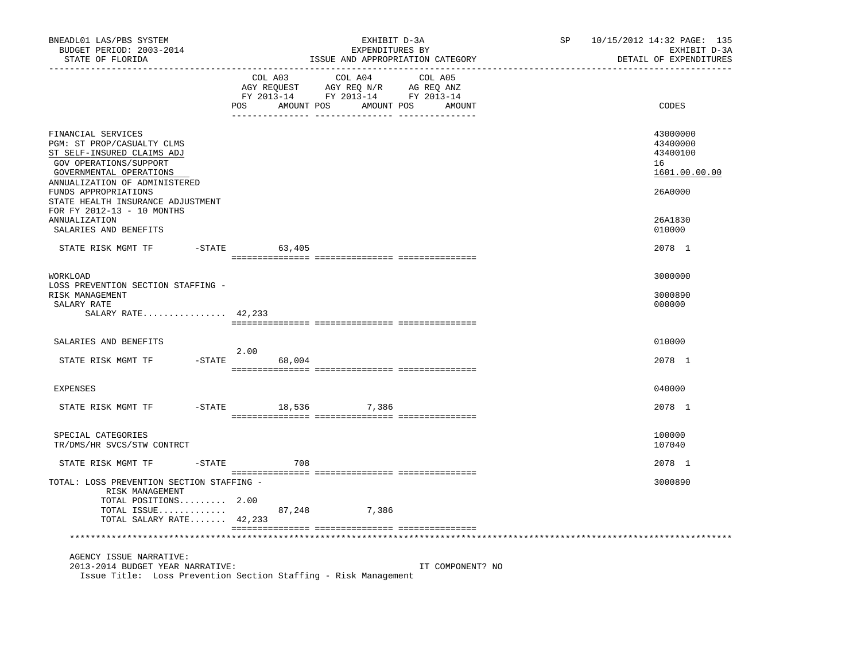| BNEADL01 LAS/PBS SYSTEM<br>BUDGET PERIOD: 2003-2014<br>STATE OF FLORIDA                                                                                                                      |                           | EXHIBIT D-3A<br>EXPENDITURES BY<br>ISSUE AND APPROPRIATION CATEGORY               | --------------               | 10/15/2012 14:32 PAGE: 135<br>SP<br>EXHIBIT D-3A<br>DETAIL OF EXPENDITURES |                                                                    |  |  |  |
|----------------------------------------------------------------------------------------------------------------------------------------------------------------------------------------------|---------------------------|-----------------------------------------------------------------------------------|------------------------------|----------------------------------------------------------------------------|--------------------------------------------------------------------|--|--|--|
|                                                                                                                                                                                              | COL A03<br>POS AMOUNT POS | COL A04<br>AGY REQUEST AGY REQ N/R AG REQ ANZ<br>FY 2013-14 FY 2013-14 FY 2013-14 | COL A05<br>AMOUNT POS AMOUNT |                                                                            | CODES                                                              |  |  |  |
| FINANCIAL SERVICES<br>PGM: ST PROP/CASUALTY CLMS<br>ST SELF-INSURED CLAIMS ADJ<br>GOV OPERATIONS/SUPPORT<br>GOVERNMENTAL OPERATIONS<br>ANNUALIZATION OF ADMINISTERED<br>FUNDS APPROPRIATIONS |                           |                                                                                   |                              |                                                                            | 43000000<br>43400000<br>43400100<br>16<br>1601.00.00.00<br>26A0000 |  |  |  |
| STATE HEALTH INSURANCE ADJUSTMENT<br>FOR FY 2012-13 - 10 MONTHS<br>ANNUALIZATION<br>SALARIES AND BENEFITS                                                                                    |                           |                                                                                   |                              |                                                                            | 26A1830<br>010000                                                  |  |  |  |
| STATE RISK MGMT TF                                                                                                                                                                           | $-$ STATE 63,405          |                                                                                   |                              |                                                                            | 2078 1                                                             |  |  |  |
| WORKLOAD                                                                                                                                                                                     |                           |                                                                                   |                              |                                                                            | 3000000                                                            |  |  |  |
| LOSS PREVENTION SECTION STAFFING -<br>RISK MANAGEMENT<br>SALARY RATE<br>SALARY RATE 42,233                                                                                                   |                           |                                                                                   |                              |                                                                            | 3000890<br>000000                                                  |  |  |  |
|                                                                                                                                                                                              |                           |                                                                                   |                              |                                                                            |                                                                    |  |  |  |
| SALARIES AND BENEFITS                                                                                                                                                                        | 2.00                      |                                                                                   |                              |                                                                            | 010000                                                             |  |  |  |
| STATE RISK MGMT TF                                                                                                                                                                           | $-STATE$<br>68,004        |                                                                                   |                              |                                                                            | 2078 1                                                             |  |  |  |
| EXPENSES                                                                                                                                                                                     |                           |                                                                                   |                              |                                                                            | 040000                                                             |  |  |  |
| STATE RISK MGMT TF                                                                                                                                                                           | -STATE 18,536 7,386       |                                                                                   |                              |                                                                            | 2078 1                                                             |  |  |  |
| SPECIAL CATEGORIES<br>TR/DMS/HR SVCS/STW CONTRCT                                                                                                                                             |                           |                                                                                   |                              |                                                                            | 100000<br>107040                                                   |  |  |  |
| -STATE<br>STATE RISK MGMT TF                                                                                                                                                                 | 708                       |                                                                                   |                              |                                                                            | 2078 1                                                             |  |  |  |
| TOTAL: LOSS PREVENTION SECTION STAFFING -<br>RISK MANAGEMENT<br>TOTAL POSITIONS 2.00<br>TOTAL ISSUE<br>TOTAL SALARY RATE 42,233                                                              | 87,248                    | 7,386                                                                             |                              |                                                                            | 3000890                                                            |  |  |  |
|                                                                                                                                                                                              |                           |                                                                                   |                              |                                                                            |                                                                    |  |  |  |
|                                                                                                                                                                                              |                           |                                                                                   |                              |                                                                            |                                                                    |  |  |  |
| AGENCY ISSUE NARRATIVE:<br>2013-2014 BUDGET YEAR NARRATIVE:<br>Issue Title: Loss Prevention Section Staffing - Risk Management                                                               |                           |                                                                                   | IT COMPONENT? NO             |                                                                            |                                                                    |  |  |  |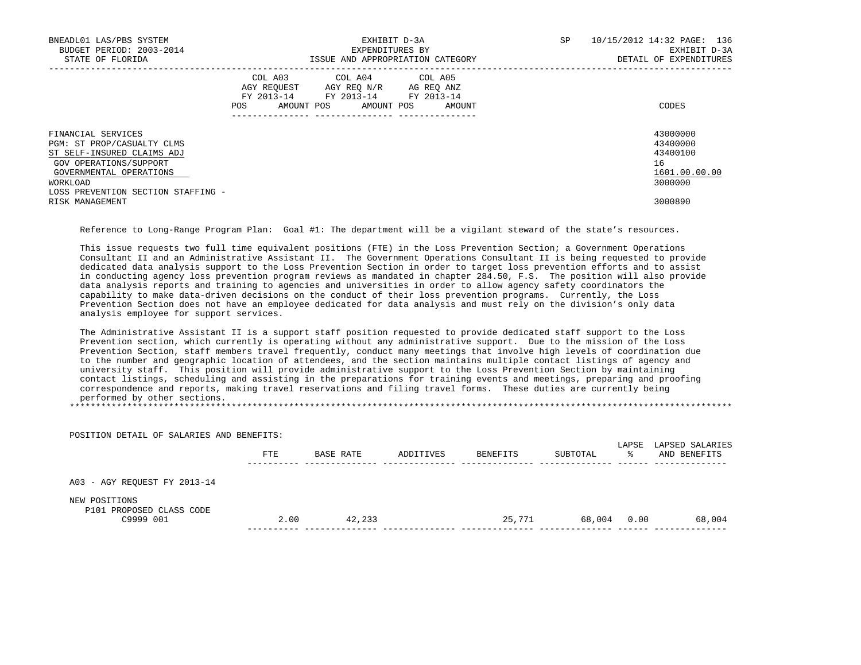| BNEADL01 LAS/PBS SYSTEM<br>BUDGET PERIOD: 2003-2014<br>STATE OF FLORIDA                                                                                                               |                                                                                                  | EXHIBIT D-3A<br>EXPENDITURES BY<br>ISSUE AND APPROPRIATION CATEGORY | SP. | 10/15/2012 14:32 PAGE: 136<br>EXHIBIT D-3A<br>DETAIL OF EXPENDITURES |
|---------------------------------------------------------------------------------------------------------------------------------------------------------------------------------------|--------------------------------------------------------------------------------------------------|---------------------------------------------------------------------|-----|----------------------------------------------------------------------|
|                                                                                                                                                                                       | COL A03 COL A04 COL A05<br>AGY REOUEST AGY REO N/R<br>FY 2013-14<br>AMOUNT POS AMOUNT POS<br>POS | AG REQ ANZ<br>FY 2013-14 FY 2013-14<br>AMOUNT                       |     | CODES                                                                |
| FINANCIAL SERVICES<br>PGM: ST PROP/CASUALTY CLMS<br>ST SELF-INSURED CLAIMS ADJ<br>GOV OPERATIONS/SUPPORT<br>GOVERNMENTAL OPERATIONS<br>WORKLOAD<br>LOSS PREVENTION SECTION STAFFING - |                                                                                                  |                                                                     |     | 43000000<br>43400000<br>43400100<br>16<br>1601.00.00.00<br>3000000   |
| RISK MANAGEMENT                                                                                                                                                                       |                                                                                                  |                                                                     |     | 3000890                                                              |

Reference to Long-Range Program Plan: Goal #1: The department will be a vigilant steward of the state's resources.

This issue requests two full time equivalent positions (FTE) in the Loss Prevention Section; a Government Operations Consultant II and an Administrative Assistant II. The Government Operations Consultant II is being requested to provide dedicated data analysis support to the Loss Prevention Section in order to target loss prevention efforts and to assist in conducting agency loss prevention program reviews as mandated in chapter 284.50, F.S. The position will also provide data analysis reports and training to agencies and universities in order to allow agency safety coordinators the capability to make data-driven decisions on the conduct of their loss prevention programs. Currently, the Loss Prevention Section does not have an employee dedicated for data analysis and must rely on the division's only data analysis employee for support services.

 The Administrative Assistant II is a support staff position requested to provide dedicated staff support to the Loss Prevention section, which currently is operating without any administrative support. Due to the mission of the Loss Prevention Section, staff members travel frequently, conduct many meetings that involve high levels of coordination due to the number and geographic location of attendees, and the section maintains multiple contact listings of agency and university staff. This position will provide administrative support to the Loss Prevention Section by maintaining contact listings, scheduling and assisting in the preparations for training events and meetings, preparing and proofing correspondence and reports, making travel reservations and filing travel forms. These duties are currently being performed by other sections.

\*\*\*\*\*\*\*\*\*\*\*\*\*\*\*\*\*\*\*\*\*\*\*\*\*\*\*\*\*\*\*\*\*\*\*\*\*\*\*\*\*\*\*\*\*\*\*\*\*\*\*\*\*\*\*\*\*\*\*\*\*\*\*\*\*\*\*\*\*\*\*\*\*\*\*\*\*\*\*\*\*\*\*\*\*\*\*\*\*\*\*\*\*\*\*\*\*\*\*\*\*\*\*\*\*\*\*\*\*\*\*\*\*\*\*\*\*\*\*\*\*\*\*\*\*\*\*

| POSITION DETAIL OF SALARIES AND BENEFITS: |      |           |           |          |          |             |                                 |
|-------------------------------------------|------|-----------|-----------|----------|----------|-------------|---------------------------------|
|                                           | FTE  | BASE RATE | ADDITIVES | BENEFITS | SUBTOTAL | LAPSE<br>°≈ | LAPSED SALARIES<br>AND BENEFITS |
| A03 - AGY REQUEST FY 2013-14              |      |           |           |          |          |             |                                 |
| NEW POSITIONS<br>P101 PROPOSED CLASS CODE |      |           |           |          |          |             |                                 |
| C9999 001                                 | 2.00 | 42,233    |           | 25,771   | 68,004   | 0.00        | 68,004                          |
|                                           |      |           |           |          |          |             |                                 |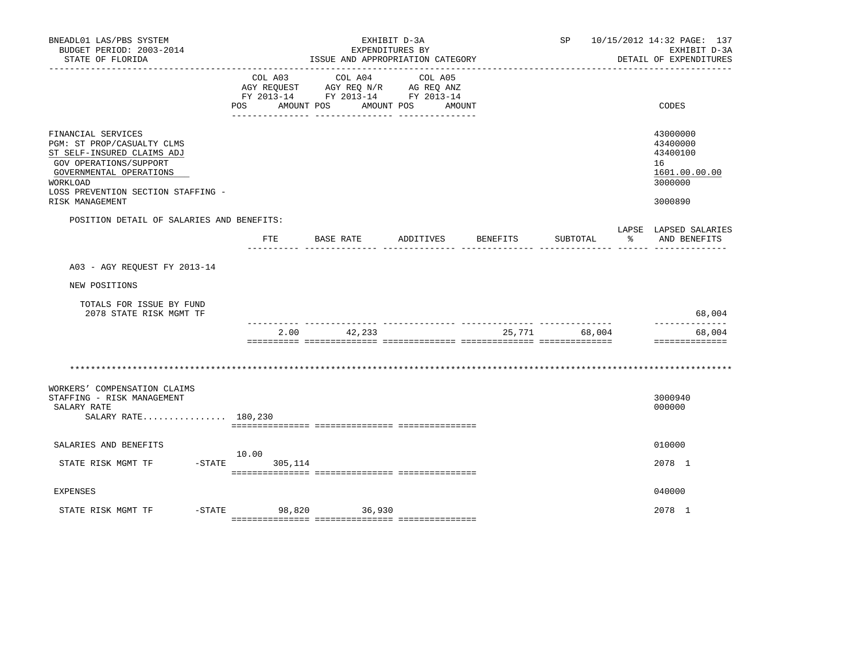| BNEADL01 LAS/PBS SYSTEM<br>BUDGET PERIOD: 2003-2014<br>STATE OF FLORIDA                                                                                                                                  |                                                                  | ISSUE AND APPROPRIATION CATEGORY                            | EXHIBIT D-3A<br>EXPENDITURES BY |          | SP       |              | 10/15/2012 14:32 PAGE: 137<br>EXHIBIT D-3A<br>DETAIL OF EXPENDITURES          |
|----------------------------------------------------------------------------------------------------------------------------------------------------------------------------------------------------------|------------------------------------------------------------------|-------------------------------------------------------------|---------------------------------|----------|----------|--------------|-------------------------------------------------------------------------------|
|                                                                                                                                                                                                          | COL A03<br>FY 2013-14 FY 2013-14 FY 2013-14<br>AMOUNT POS<br>POS | COL A04<br>AGY REQUEST AGY REQ N/R AG REQ ANZ<br>AMOUNT POS | COL A05<br>AMOUNT               |          |          |              | CODES                                                                         |
| FINANCIAL SERVICES<br>PGM: ST PROP/CASUALTY CLMS<br>ST SELF-INSURED CLAIMS ADJ<br>GOV OPERATIONS/SUPPORT<br>GOVERNMENTAL OPERATIONS<br>WORKLOAD<br>LOSS PREVENTION SECTION STAFFING -<br>RISK MANAGEMENT |                                                                  |                                                             |                                 |          |          |              | 43000000<br>43400000<br>43400100<br>16<br>1601.00.00.00<br>3000000<br>3000890 |
| POSITION DETAIL OF SALARIES AND BENEFITS:                                                                                                                                                                | FTE                                                              | BASE RATE                                                   | ADDITIVES                       | BENEFITS | SUBTOTAL | $\mathbb{R}$ | LAPSE LAPSED SALARIES<br>AND BENEFITS                                         |
| A03 - AGY REOUEST FY 2013-14                                                                                                                                                                             |                                                                  |                                                             |                                 |          |          |              |                                                                               |
| NEW POSITIONS                                                                                                                                                                                            |                                                                  |                                                             |                                 |          |          |              |                                                                               |
| TOTALS FOR ISSUE BY FUND<br>2078 STATE RISK MGMT TF                                                                                                                                                      |                                                                  |                                                             |                                 |          |          |              | 68,004                                                                        |
|                                                                                                                                                                                                          | 2.00                                                             | 42,233                                                      |                                 | 25,771   | 68,004   |              | --------------<br>68,004<br>==============                                    |
|                                                                                                                                                                                                          |                                                                  |                                                             |                                 |          |          |              |                                                                               |
| WORKERS' COMPENSATION CLAIMS<br>STAFFING - RISK MANAGEMENT<br>SALARY RATE<br>SALARY RATE 180,230                                                                                                         |                                                                  |                                                             |                                 |          |          |              | 3000940<br>000000                                                             |
| SALARIES AND BENEFITS                                                                                                                                                                                    |                                                                  |                                                             |                                 |          |          |              | 010000                                                                        |
| STATE RISK MGMT TF                                                                                                                                                                                       | 10.00<br>$-STATE$<br>305,114                                     |                                                             |                                 |          |          |              | 2078 1                                                                        |
| <b>EXPENSES</b>                                                                                                                                                                                          |                                                                  |                                                             |                                 |          |          |              | 040000                                                                        |
| $-$ STATE<br>STATE RISK MGMT TF                                                                                                                                                                          | 98,820 36,930                                                    |                                                             |                                 |          |          |              | 2078 1                                                                        |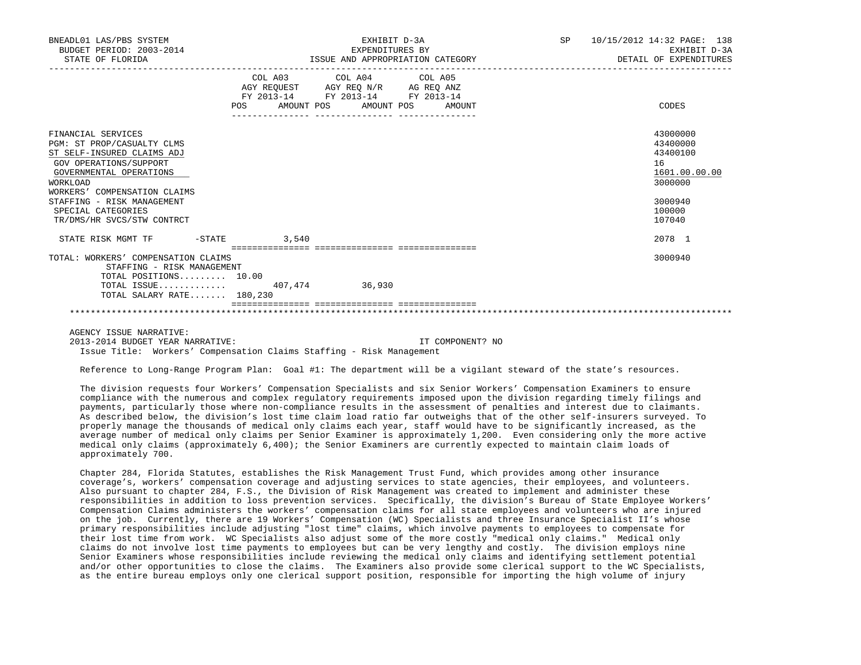| BNEADL01 LAS/PBS SYSTEM<br>BUDGET PERIOD: 2003-2014<br>STATE OF FLORIDA                                                                                                                                                                                                  |                | EXHIBIT D-3A<br>EXPENDITURES BY<br>ISSUE AND APPROPRIATION CATEGORY                                                                   | SP <sub>2</sub> | 10/15/2012 14:32 PAGE: 138<br>EXHIBIT D-3A<br>DETAIL OF EXPENDITURES                              |
|--------------------------------------------------------------------------------------------------------------------------------------------------------------------------------------------------------------------------------------------------------------------------|----------------|---------------------------------------------------------------------------------------------------------------------------------------|-----------------|---------------------------------------------------------------------------------------------------|
|                                                                                                                                                                                                                                                                          |                | COL A03 COL A04 COL A05<br>AGY REQUEST AGY REQ N/R AG REQ ANZ<br>FY 2013-14 FY 2013-14 FY 2013-14<br>POS AMOUNT POS AMOUNT POS AMOUNT |                 | CODES                                                                                             |
| FINANCIAL SERVICES<br>PGM: ST PROP/CASUALTY CLMS<br>ST SELF-INSURED CLAIMS ADJ<br>GOV OPERATIONS/SUPPORT<br>GOVERNMENTAL OPERATIONS<br><b>WORKLOAD</b><br>WORKERS' COMPENSATION CLAIMS<br>STAFFING - RISK MANAGEMENT<br>SPECIAL CATEGORIES<br>TR/DMS/HR SVCS/STW CONTRCT |                |                                                                                                                                       |                 | 43000000<br>43400000<br>43400100<br>16<br>1601.00.00.00<br>3000000<br>3000940<br>100000<br>107040 |
| STATE RISK MGMT TF                                                                                                                                                                                                                                                       | $-STATE$ 3,540 |                                                                                                                                       |                 | 2078 1                                                                                            |
| TOTAL: WORKERS' COMPENSATION CLAIMS<br>STAFFING - RISK MANAGEMENT<br>TOTAL POSITIONS $10.00$<br>TOTAL ISSUE 407.474 36.930<br>TOTAL SALARY RATE $180.230$                                                                                                                |                |                                                                                                                                       |                 | 3000940                                                                                           |
|                                                                                                                                                                                                                                                                          |                |                                                                                                                                       |                 |                                                                                                   |

AGENCY ISSUE NARRATIVE:

2013-2014 BUDGET YEAR NARRATIVE: IT COMPONENT? NO

Issue Title: Workers' Compensation Claims Staffing - Risk Management

Reference to Long-Range Program Plan: Goal #1: The department will be a vigilant steward of the state's resources.

 The division requests four Workers' Compensation Specialists and six Senior Workers' Compensation Examiners to ensure compliance with the numerous and complex regulatory requirements imposed upon the division regarding timely filings and payments, particularly those where non-compliance results in the assessment of penalties and interest due to claimants. As described below, the division's lost time claim load ratio far outweighs that of the other self-insurers surveyed. To properly manage the thousands of medical only claims each year, staff would have to be significantly increased, as the average number of medical only claims per Senior Examiner is approximately 1,200. Even considering only the more active medical only claims (approximately 6,400); the Senior Examiners are currently expected to maintain claim loads of approximately 700.

 Chapter 284, Florida Statutes, establishes the Risk Management Trust Fund, which provides among other insurance coverage's, workers' compensation coverage and adjusting services to state agencies, their employees, and volunteers. Also pursuant to chapter 284, F.S., the Division of Risk Management was created to implement and administer these responsibilities in addition to loss prevention services. Specifically, the division's Bureau of State Employee Workers' Compensation Claims administers the workers' compensation claims for all state employees and volunteers who are injured on the job. Currently, there are 19 Workers' Compensation (WC) Specialists and three Insurance Specialist II's whose primary responsibilities include adjusting "lost time" claims, which involve payments to employees to compensate for their lost time from work. WC Specialists also adjust some of the more costly "medical only claims." Medical only claims do not involve lost time payments to employees but can be very lengthy and costly. The division employs nine Senior Examiners whose responsibilities include reviewing the medical only claims and identifying settlement potential and/or other opportunities to close the claims. The Examiners also provide some clerical support to the WC Specialists, as the entire bureau employs only one clerical support position, responsible for importing the high volume of injury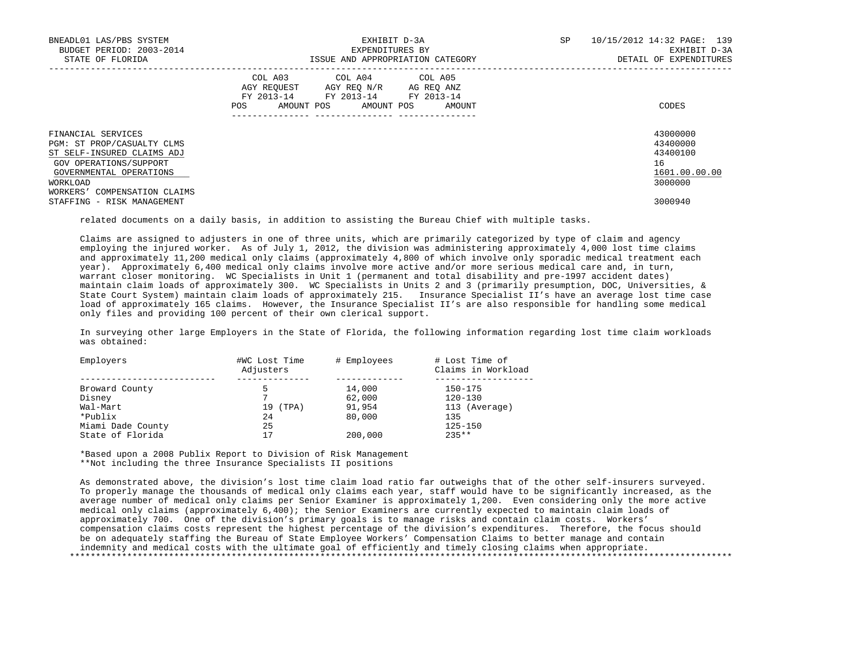| BNEADL01 LAS/PBS SYSTEM<br>BUDGET PERIOD: 2003-2014<br>STATE OF FLORIDA                                                                                                         | EXHIBIT D-3A<br>EXPENDITURES BY<br>ISSUE AND APPROPRIATION CATEGORY                                                                                     | SP<br>10/15/2012 14:32 PAGE: 139<br>EXHIBIT D-3A<br>DETAIL OF EXPENDITURES |
|---------------------------------------------------------------------------------------------------------------------------------------------------------------------------------|---------------------------------------------------------------------------------------------------------------------------------------------------------|----------------------------------------------------------------------------|
|                                                                                                                                                                                 | COL A03 COL A04 COL A05<br>AGY REOUEST<br>AGY REO N/R<br>AG REO ANZ<br>FY 2013-14 FY 2013-14<br>FY 2013-14<br>AMOUNT POS<br>AMOUNT POS<br>POS<br>AMOUNT | CODES                                                                      |
| FINANCIAL SERVICES<br>PGM: ST PROP/CASUALTY CLMS<br>ST SELF-INSURED CLAIMS ADJ<br>GOV OPERATIONS/SUPPORT<br>GOVERNMENTAL OPERATIONS<br>WORKLOAD<br>WORKERS' COMPENSATION CLAIMS |                                                                                                                                                         | 43000000<br>43400000<br>43400100<br>16<br>1601.00.00.00<br>3000000         |
| STAFFING - RISK MANAGEMENT                                                                                                                                                      |                                                                                                                                                         | 3000940                                                                    |

related documents on a daily basis, in addition to assisting the Bureau Chief with multiple tasks.

 Claims are assigned to adjusters in one of three units, which are primarily categorized by type of claim and agency employing the injured worker. As of July 1, 2012, the division was administering approximately 4,000 lost time claims and approximately 11,200 medical only claims (approximately 4,800 of which involve only sporadic medical treatment each year). Approximately 6,400 medical only claims involve more active and/or more serious medical care and, in turn, warrant closer monitoring. WC Specialists in Unit 1 (permanent and total disability and pre-1997 accident dates) maintain claim loads of approximately 300. WC Specialists in Units 2 and 3 (primarily presumption, DOC, Universities, & State Court System) maintain claim loads of approximately 215. Insurance Specialist II's have an average lost time case load of approximately 165 claims. However, the Insurance Specialist II's are also responsible for handling some medical only files and providing 100 percent of their own clerical support.

 In surveying other large Employers in the State of Florida, the following information regarding lost time claim workloads was obtained:

| Employers         | #WC Lost Time<br>Adjusters | # Employees | # Lost Time of<br>Claims in Workload |
|-------------------|----------------------------|-------------|--------------------------------------|
| Broward County    |                            | 14,000      | 150-175                              |
| Disney            |                            | 62,000      | $120 - 130$                          |
| Wal-Mart          | (TPA)<br>19                | 91,954      | 113 (Average)                        |
| *Publix           | 24                         | 80,000      | 135                                  |
| Miami Dade County | 25                         |             | $125 - 150$                          |
| State of Florida  |                            | 200,000     | $235**$                              |

 \*Based upon a 2008 Publix Report to Division of Risk Management \*\*Not including the three Insurance Specialists II positions

 As demonstrated above, the division's lost time claim load ratio far outweighs that of the other self-insurers surveyed. To properly manage the thousands of medical only claims each year, staff would have to be significantly increased, as the average number of medical only claims per Senior Examiner is approximately 1,200. Even considering only the more active medical only claims (approximately 6,400); the Senior Examiners are currently expected to maintain claim loads of approximately 700. One of the division's primary goals is to manage risks and contain claim costs. Workers' compensation claims costs represent the highest percentage of the division's expenditures. Therefore, the focus should be on adequately staffing the Bureau of State Employee Workers' Compensation Claims to better manage and contain indemnity and medical costs with the ultimate goal of efficiently and timely closing claims when appropriate. \*\*\*\*\*\*\*\*\*\*\*\*\*\*\*\*\*\*\*\*\*\*\*\*\*\*\*\*\*\*\*\*\*\*\*\*\*\*\*\*\*\*\*\*\*\*\*\*\*\*\*\*\*\*\*\*\*\*\*\*\*\*\*\*\*\*\*\*\*\*\*\*\*\*\*\*\*\*\*\*\*\*\*\*\*\*\*\*\*\*\*\*\*\*\*\*\*\*\*\*\*\*\*\*\*\*\*\*\*\*\*\*\*\*\*\*\*\*\*\*\*\*\*\*\*\*\*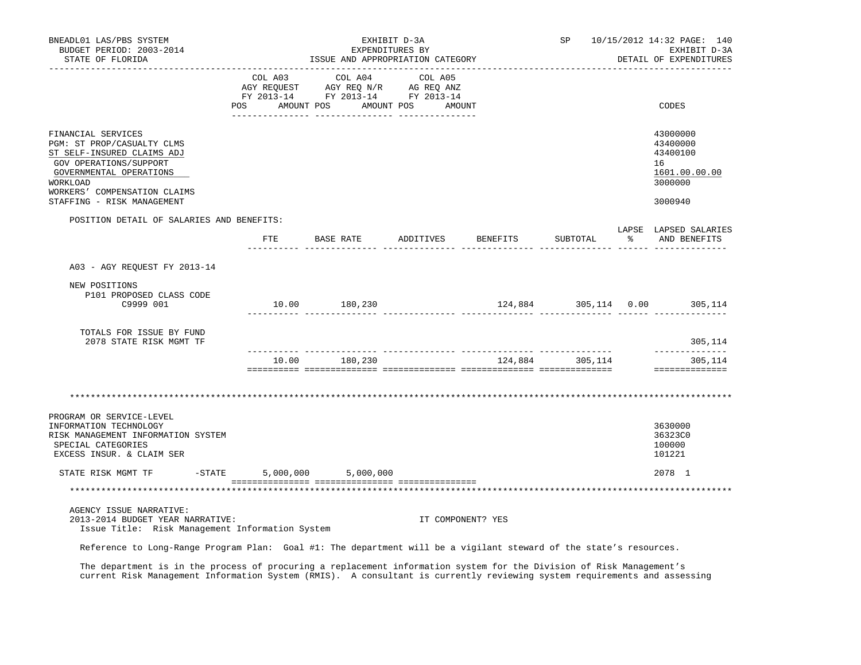| BNEADL01 LAS/PBS SYSTEM<br>BUDGET PERIOD: 2003-2014<br>STATE OF FLORIDA                                                                                                                                                              |                | ISSUE AND APPROPRIATION CATEGORY                                                                                  | EXHIBIT D-3A<br>EXPENDITURES BY |          |                 | SP 10/15/2012 14:32 PAGE: 140<br>EXHIBIT D-3A<br>DETAIL OF EXPENDITURES       |
|--------------------------------------------------------------------------------------------------------------------------------------------------------------------------------------------------------------------------------------|----------------|-------------------------------------------------------------------------------------------------------------------|---------------------------------|----------|-----------------|-------------------------------------------------------------------------------|
|                                                                                                                                                                                                                                      | COL A03<br>POS | COL A04<br>AGY REQUEST AGY REQ N/R AG REQ ANZ<br>FY 2013-14 FY 2013-14 FY 2013-14<br>AMOUNT POS AMOUNT POS AMOUNT | COL A05                         |          |                 | CODES                                                                         |
| FINANCIAL SERVICES<br>PGM: ST PROP/CASUALTY CLMS<br>ST SELF-INSURED CLAIMS ADJ<br>GOV OPERATIONS/SUPPORT<br>GOVERNMENTAL OPERATIONS<br><b>WORKLOAD</b><br>WORKERS' COMPENSATION CLAIMS<br>STAFFING - RISK MANAGEMENT                 |                |                                                                                                                   |                                 |          |                 | 43000000<br>43400000<br>43400100<br>16<br>1601.00.00.00<br>3000000<br>3000940 |
| POSITION DETAIL OF SALARIES AND BENEFITS:                                                                                                                                                                                            |                |                                                                                                                   |                                 |          |                 | LAPSE LAPSED SALARIES                                                         |
|                                                                                                                                                                                                                                      | FTE            | BASE RATE                                                                                                         | ADDITIVES                       | BENEFITS | SUBTOTAL        | % AND BENEFITS                                                                |
| A03 - AGY REQUEST FY 2013-14                                                                                                                                                                                                         |                |                                                                                                                   |                                 |          |                 |                                                                               |
| NEW POSITIONS<br>P101 PROPOSED CLASS CODE<br>C9999 001                                                                                                                                                                               |                |                                                                                                                   |                                 |          |                 | 124,884 305,114 0.00 305,114                                                  |
| TOTALS FOR ISSUE BY FUND<br>2078 STATE RISK MGMT TF                                                                                                                                                                                  |                |                                                                                                                   |                                 |          |                 | 305,114                                                                       |
|                                                                                                                                                                                                                                      |                | 10.00 180,230                                                                                                     |                                 |          | 124,884 305,114 | --------------<br>305,114<br>==============                                   |
| PROGRAM OR SERVICE-LEVEL<br>INFORMATION TECHNOLOGY<br>RISK MANAGEMENT INFORMATION SYSTEM<br>SPECIAL CATEGORIES<br>EXCESS INSUR. & CLAIM SER                                                                                          |                |                                                                                                                   |                                 |          |                 | 3630000<br>36323C0<br>100000<br>101221                                        |
| STATE RISK MGMT TF<br>$-$ STATE                                                                                                                                                                                                      | 5,000,000      | 5,000,000                                                                                                         |                                 |          |                 | 2078 1                                                                        |
|                                                                                                                                                                                                                                      |                |                                                                                                                   |                                 |          |                 |                                                                               |
| AGENCY ISSUE NARRATIVE:<br>2013-2014 BUDGET YEAR NARRATIVE:<br>Issue Title: Risk Management Information System<br>Reference to Long-Range Program Plan: Goal #1: The department will be a vigilant steward of the state's resources. |                |                                                                                                                   | IT COMPONENT? YES               |          |                 |                                                                               |

 The department is in the process of procuring a replacement information system for the Division of Risk Management's current Risk Management Information System (RMIS). A consultant is currently reviewing system requirements and assessing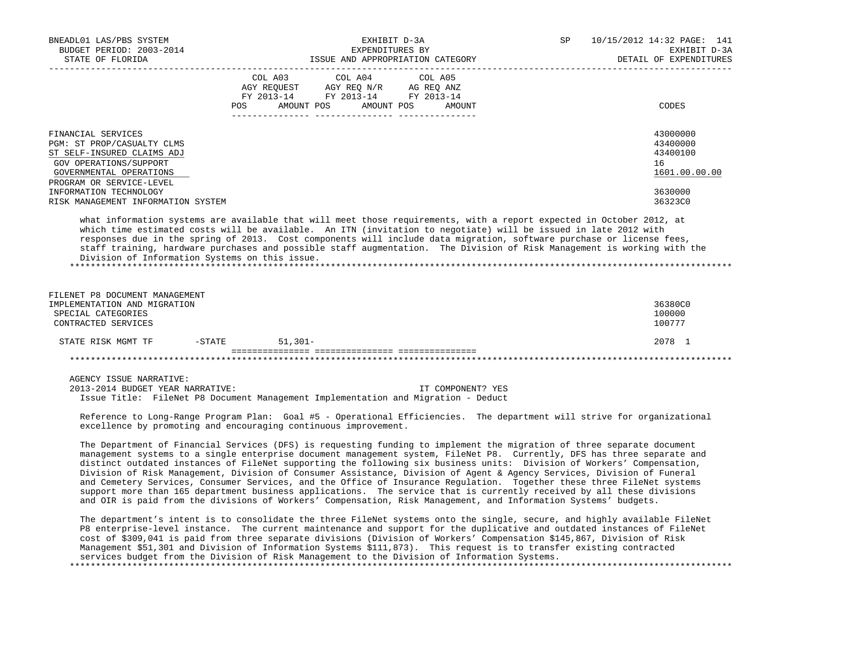| BNEADL01 LAS/PBS SYSTEM<br>____________________                                                                                                                                                                                                                                                                                                                                                                                                                                                                                                                                                                                                                                                                                                                                                                                                                             | EXHIBIT D-3A<br>EXPENDITURES BY<br>BUDGET PERIOD: 2003-2014<br>STATE OF FLORIDA STATE OF STATE OF STATE AND APPROPRIATION CATEGORY |                                                                                                                                                                                                                                                                                                                                                                                                                                                    |                   | <b>SP</b> SP SP SP | 10/15/2012 14:32 PAGE: 141<br>EXHIBIT D-3A<br>DETAIL OF EXPENDITURES |
|-----------------------------------------------------------------------------------------------------------------------------------------------------------------------------------------------------------------------------------------------------------------------------------------------------------------------------------------------------------------------------------------------------------------------------------------------------------------------------------------------------------------------------------------------------------------------------------------------------------------------------------------------------------------------------------------------------------------------------------------------------------------------------------------------------------------------------------------------------------------------------|------------------------------------------------------------------------------------------------------------------------------------|----------------------------------------------------------------------------------------------------------------------------------------------------------------------------------------------------------------------------------------------------------------------------------------------------------------------------------------------------------------------------------------------------------------------------------------------------|-------------------|--------------------|----------------------------------------------------------------------|
|                                                                                                                                                                                                                                                                                                                                                                                                                                                                                                                                                                                                                                                                                                                                                                                                                                                                             | POS                                                                                                                                | $\begin{tabular}{lllllllllllll} &\multicolumn{4}{c }{\text{COL A03}} &\multicolumn{4}{c }{\text{COL A04}} &\multicolumn{4}{c }{\text{COL A05}}\\ &\multicolumn{4}{c }{\text{AGY REQUEST}} &\multicolumn{4}{c }{\text{AGY REQ N/R}} &\multicolumn{4}{c }{\text{AG REQ ANZ}}\\ &\multicolumn{4}{c }{\text{FGY A03--14}} &\multicolumn{4}{c }{\text{FGY A013--14}} &\multicolumn{4}{c }{\text{FC A013--14}}\\ \end{tabular}$<br>AMOUNT POS AMOUNT POS | AMOUNT            |                    | CODES                                                                |
| FINANCIAL SERVICES<br>PGM: ST PROP/CASUALTY CLMS<br>ST SELF-INSURED CLAIMS ADJ<br>GOV OPERATIONS/SUPPORT<br>GOVERNMENTAL OPERATIONS<br>PROGRAM OR SERVICE-LEVEL                                                                                                                                                                                                                                                                                                                                                                                                                                                                                                                                                                                                                                                                                                             |                                                                                                                                    |                                                                                                                                                                                                                                                                                                                                                                                                                                                    |                   |                    | 43000000<br>43400000<br>43400100<br>16<br>1601.00.00.00              |
| INFORMATION TECHNOLOGY<br>RISK MANAGEMENT INFORMATION SYSTEM                                                                                                                                                                                                                                                                                                                                                                                                                                                                                                                                                                                                                                                                                                                                                                                                                |                                                                                                                                    |                                                                                                                                                                                                                                                                                                                                                                                                                                                    |                   |                    | 3630000<br>36323C0                                                   |
| what information systems are available that will meet those requirements, with a report expected in October 2012, at<br>which time estimated costs will be available. An ITN (invitation to negotiate) will be issued in late 2012 with<br>responses due in the spring of 2013. Cost components will include data migration, software purchase or license fees,<br>staff training, hardware purchases and possible staff augmentation. The Division of Risk Management is working with the<br>Division of Information Systems on this issue.                                                                                                                                                                                                                                                                                                                                |                                                                                                                                    |                                                                                                                                                                                                                                                                                                                                                                                                                                                    |                   |                    |                                                                      |
| FILENET P8 DOCUMENT MANAGEMENT<br>IMPLEMENTATION AND MIGRATION<br>SPECIAL CATEGORIES<br>CONTRACTED SERVICES                                                                                                                                                                                                                                                                                                                                                                                                                                                                                                                                                                                                                                                                                                                                                                 |                                                                                                                                    |                                                                                                                                                                                                                                                                                                                                                                                                                                                    |                   |                    | 36380C0<br>100000<br>100777                                          |
| STATE RISK MGMT TF -STATE 51,301-                                                                                                                                                                                                                                                                                                                                                                                                                                                                                                                                                                                                                                                                                                                                                                                                                                           |                                                                                                                                    |                                                                                                                                                                                                                                                                                                                                                                                                                                                    |                   |                    | 2078 1                                                               |
|                                                                                                                                                                                                                                                                                                                                                                                                                                                                                                                                                                                                                                                                                                                                                                                                                                                                             |                                                                                                                                    |                                                                                                                                                                                                                                                                                                                                                                                                                                                    |                   |                    |                                                                      |
| AGENCY ISSUE NARRATIVE:<br>2013-2014 BUDGET YEAR NARRATIVE:<br>Issue Title: FileNet P8 Document Management Implementation and Migration - Deduct<br>Reference to Long-Range Program Plan: Goal #5 - Operational Efficiencies. The department will strive for organizational<br>excellence by promoting and encouraging continuous improvement.                                                                                                                                                                                                                                                                                                                                                                                                                                                                                                                              |                                                                                                                                    |                                                                                                                                                                                                                                                                                                                                                                                                                                                    | IT COMPONENT? YES |                    |                                                                      |
| The Department of Financial Services (DFS) is requesting funding to implement the migration of three separate document<br>management systems to a single enterprise document management system, FileNet P8. Currently, DFS has three separate and<br>distinct outdated instances of FileNet supporting the following six business units: Division of Workers' Compensation,<br>Division of Risk Management, Division of Consumer Assistance, Division of Agent & Agency Services, Division of Funeral<br>and Cemetery Services, Consumer Services, and the Office of Insurance Regulation. Together these three FileNet systems<br>support more than 165 department business applications. The service that is currently received by all these divisions<br>and OIR is paid from the divisions of Workers' Compensation, Risk Management, and Information Systems' budgets. |                                                                                                                                    |                                                                                                                                                                                                                                                                                                                                                                                                                                                    |                   |                    |                                                                      |
| The department's intent is to consolidate the three FileNet systems onto the single, secure, and highly available FileNet<br>P8 enterprise-level instance. The current maintenance and support for the duplicative and outdated instances of FileNet                                                                                                                                                                                                                                                                                                                                                                                                                                                                                                                                                                                                                        |                                                                                                                                    |                                                                                                                                                                                                                                                                                                                                                                                                                                                    |                   |                    |                                                                      |

 cost of \$309,041 is paid from three separate divisions (Division of Workers' Compensation \$145,867, Division of Risk Management \$51,301 and Division of Information Systems \$111,873). This request is to transfer existing contracted services budget from the Division of Risk Management to the Division of Information Systems.

\*\*\*\*\*\*\*\*\*\*\*\*\*\*\*\*\*\*\*\*\*\*\*\*\*\*\*\*\*\*\*\*\*\*\*\*\*\*\*\*\*\*\*\*\*\*\*\*\*\*\*\*\*\*\*\*\*\*\*\*\*\*\*\*\*\*\*\*\*\*\*\*\*\*\*\*\*\*\*\*\*\*\*\*\*\*\*\*\*\*\*\*\*\*\*\*\*\*\*\*\*\*\*\*\*\*\*\*\*\*\*\*\*\*\*\*\*\*\*\*\*\*\*\*\*\*\*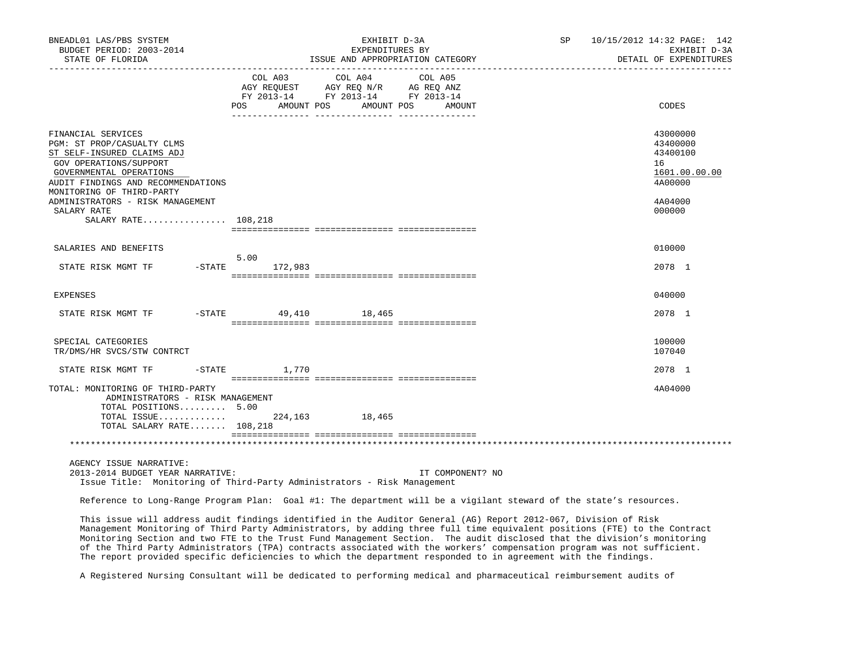| BNEADL01 LAS/PBS SYSTEM<br>BUDGET PERIOD: 2003-2014<br>STATE OF FLORIDA                                                                                                                                                                                                                                                                                                                                                                                                                                                                                                                                              |                      | EXHIBIT D-3A<br>EXPENDITURES BY<br>ISSUE AND APPROPRIATION CATEGORY                                        | SP                | 10/15/2012 14:32 PAGE: 142<br>EXHIBIT D-3A<br>DETAIL OF EXPENDITURES |                                                                    |  |
|----------------------------------------------------------------------------------------------------------------------------------------------------------------------------------------------------------------------------------------------------------------------------------------------------------------------------------------------------------------------------------------------------------------------------------------------------------------------------------------------------------------------------------------------------------------------------------------------------------------------|----------------------|------------------------------------------------------------------------------------------------------------|-------------------|----------------------------------------------------------------------|--------------------------------------------------------------------|--|
|                                                                                                                                                                                                                                                                                                                                                                                                                                                                                                                                                                                                                      | COL A03<br>POS       | COL A04<br>AGY REQUEST AGY REQ N/R AG REQ ANZ<br>FY 2013-14 FY 2013-14 FY 2013-14<br>AMOUNT POS AMOUNT POS | COL A05<br>AMOUNT |                                                                      | CODES                                                              |  |
| FINANCIAL SERVICES<br>PGM: ST PROP/CASUALTY CLMS<br>ST SELF-INSURED CLAIMS ADJ<br>GOV OPERATIONS/SUPPORT<br>GOVERNMENTAL OPERATIONS<br>AUDIT FINDINGS AND RECOMMENDATIONS<br>MONITORING OF THIRD-PARTY                                                                                                                                                                                                                                                                                                                                                                                                               |                      |                                                                                                            |                   |                                                                      | 43000000<br>43400000<br>43400100<br>16<br>1601.00.00.00<br>4A00000 |  |
| ADMINISTRATORS - RISK MANAGEMENT<br>SALARY RATE<br>SALARY RATE 108,218                                                                                                                                                                                                                                                                                                                                                                                                                                                                                                                                               |                      |                                                                                                            |                   |                                                                      | 4A04000<br>000000                                                  |  |
| SALARIES AND BENEFITS                                                                                                                                                                                                                                                                                                                                                                                                                                                                                                                                                                                                |                      |                                                                                                            |                   |                                                                      | 010000                                                             |  |
| $-$ STATE<br>STATE RISK MGMT TF                                                                                                                                                                                                                                                                                                                                                                                                                                                                                                                                                                                      | 5.00<br>172,983      |                                                                                                            |                   |                                                                      | 2078 1                                                             |  |
| <b>EXPENSES</b>                                                                                                                                                                                                                                                                                                                                                                                                                                                                                                                                                                                                      |                      |                                                                                                            |                   |                                                                      | 040000                                                             |  |
| STATE RISK MGMT TF                                                                                                                                                                                                                                                                                                                                                                                                                                                                                                                                                                                                   | -STATE 49,410 18,465 |                                                                                                            |                   |                                                                      | 2078 1                                                             |  |
| SPECIAL CATEGORIES<br>TR/DMS/HR SVCS/STW CONTRCT                                                                                                                                                                                                                                                                                                                                                                                                                                                                                                                                                                     |                      |                                                                                                            |                   |                                                                      | 100000<br>107040                                                   |  |
| STATE RISK MGMT TF<br>$-$ STATE                                                                                                                                                                                                                                                                                                                                                                                                                                                                                                                                                                                      | 1,770                |                                                                                                            |                   |                                                                      | 2078 1                                                             |  |
| TOTAL: MONITORING OF THIRD-PARTY<br>ADMINISTRATORS - RISK MANAGEMENT<br>TOTAL POSITIONS 5.00                                                                                                                                                                                                                                                                                                                                                                                                                                                                                                                         |                      |                                                                                                            |                   |                                                                      | 4A04000                                                            |  |
| TOTAL ISSUE<br>TOTAL SALARY RATE 108,218                                                                                                                                                                                                                                                                                                                                                                                                                                                                                                                                                                             |                      | 224, 163 18, 465                                                                                           |                   |                                                                      |                                                                    |  |
|                                                                                                                                                                                                                                                                                                                                                                                                                                                                                                                                                                                                                      |                      |                                                                                                            |                   |                                                                      |                                                                    |  |
| AGENCY ISSUE NARRATIVE:<br>2013-2014 BUDGET YEAR NARRATIVE:                                                                                                                                                                                                                                                                                                                                                                                                                                                                                                                                                          |                      |                                                                                                            | IT COMPONENT? NO  |                                                                      |                                                                    |  |
| Issue Title: Monitoring of Third-Party Administrators - Risk Management                                                                                                                                                                                                                                                                                                                                                                                                                                                                                                                                              |                      |                                                                                                            |                   |                                                                      |                                                                    |  |
| Reference to Long-Range Program Plan: Goal #1: The department will be a vigilant steward of the state's resources.                                                                                                                                                                                                                                                                                                                                                                                                                                                                                                   |                      |                                                                                                            |                   |                                                                      |                                                                    |  |
| This issue will address audit findings identified in the Auditor General (AG) Report 2012-067, Division of Risk<br>Management Monitoring of Third Party Administrators, by adding three full time equivalent positions (FTE) to the Contract<br>Monitoring Section and two FTE to the Trust Fund Management Section. The audit disclosed that the division's monitoring<br>of the Third Party Administrators (TPA) contracts associated with the workers' compensation program was not sufficient.<br>The report provided specific deficiencies to which the department responded to in agreement with the findings. |                      |                                                                                                            |                   |                                                                      |                                                                    |  |

A Registered Nursing Consultant will be dedicated to performing medical and pharmaceutical reimbursement audits of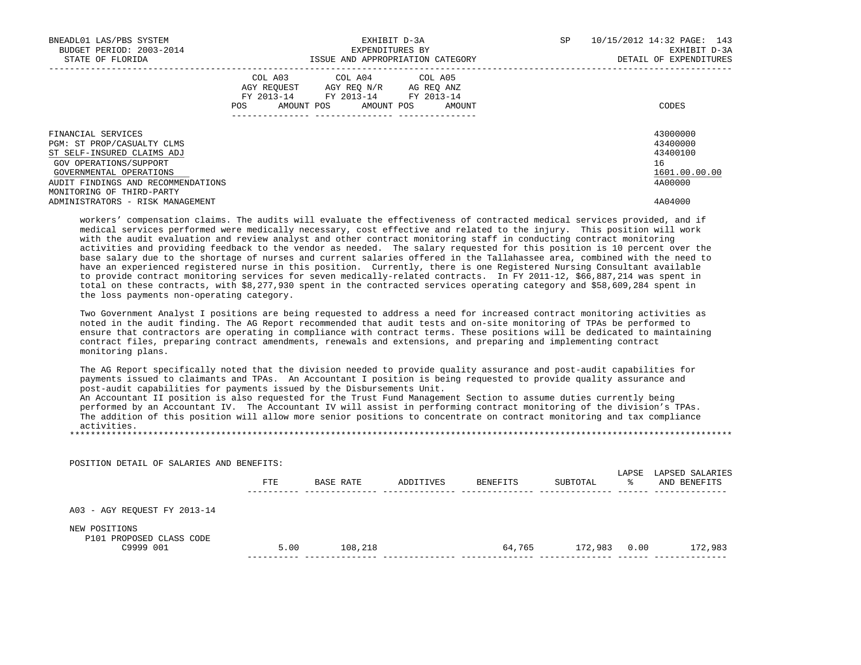| BNEADL01 LAS/PBS SYSTEM<br>BUDGET PERIOD: 2003-2014<br>STATE OF FLORIDA                                                                                                                                |                   | EXHIBIT D-3A<br>EXPENDITURES BY<br>ISSUE AND APPROPRIATION CATEGORY                                             | SP     | 10/15/2012 14:32 PAGE: 143<br>EXHIBIT D-3A<br>DETAIL OF EXPENDITURES |  |  |
|--------------------------------------------------------------------------------------------------------------------------------------------------------------------------------------------------------|-------------------|-----------------------------------------------------------------------------------------------------------------|--------|----------------------------------------------------------------------|--|--|
|                                                                                                                                                                                                        | AMOUNT POS<br>POS | COL A03 COL A04 COL A05<br>AGY REOUEST AGY REO N/R AG REO ANZ<br>FY 2013-14 FY 2013-14 FY 2013-14<br>AMOUNT POS | AMOUNT | CODES                                                                |  |  |
| FINANCIAL SERVICES<br>PGM: ST PROP/CASUALTY CLMS<br>ST SELF-INSURED CLAIMS ADJ<br>GOV OPERATIONS/SUPPORT<br>GOVERNMENTAL OPERATIONS<br>AUDIT FINDINGS AND RECOMMENDATIONS<br>MONITORING OF THIRD-PARTY |                   |                                                                                                                 |        | 43000000<br>43400000<br>43400100<br>16<br>1601.00.00.00<br>4A00000   |  |  |
| ADMINISTRATORS - RISK MANAGEMENT                                                                                                                                                                       |                   |                                                                                                                 |        | 4A04000                                                              |  |  |

 workers' compensation claims. The audits will evaluate the effectiveness of contracted medical services provided, and if medical services performed were medically necessary, cost effective and related to the injury. This position will work with the audit evaluation and review analyst and other contract monitoring staff in conducting contract monitoring activities and providing feedback to the vendor as needed. The salary requested for this position is 10 percent over the base salary due to the shortage of nurses and current salaries offered in the Tallahassee area, combined with the need to have an experienced registered nurse in this position. Currently, there is one Registered Nursing Consultant available to provide contract monitoring services for seven medically-related contracts. In FY 2011-12, \$66,887,214 was spent in total on these contracts, with \$8,277,930 spent in the contracted services operating category and \$58,609,284 spent in the loss payments non-operating category.

 Two Government Analyst I positions are being requested to address a need for increased contract monitoring activities as noted in the audit finding. The AG Report recommended that audit tests and on-site monitoring of TPAs be performed to ensure that contractors are operating in compliance with contract terms. These positions will be dedicated to maintaining contract files, preparing contract amendments, renewals and extensions, and preparing and implementing contract monitoring plans.

 The AG Report specifically noted that the division needed to provide quality assurance and post-audit capabilities for payments issued to claimants and TPAs. An Accountant I position is being requested to provide quality assurance and post-audit capabilities for payments issued by the Disbursements Unit.

 An Accountant II position is also requested for the Trust Fund Management Section to assume duties currently being performed by an Accountant IV. The Accountant IV will assist in performing contract monitoring of the division's TPAs. The addition of this position will allow more senior positions to concentrate on contract monitoring and tax compliance activities. \*\*\*\*\*\*\*\*\*\*\*\*\*\*\*\*\*\*\*\*\*\*\*\*\*\*\*\*\*\*\*\*\*\*\*\*\*\*\*\*\*\*\*\*\*\*\*\*\*\*\*\*\*\*\*\*\*\*\*\*\*\*\*\*\*\*\*\*\*\*\*\*\*\*\*\*\*\*\*\*\*\*\*\*\*\*\*\*\*\*\*\*\*\*\*\*\*\*\*\*\*\*\*\*\*\*\*\*\*\*\*\*\*\*\*\*\*\*\*\*\*\*\*\*\*\*\*

 POSITION DETAIL OF SALARIES AND BENEFITS: LAPSE LAPSED SALARIES<br>% AND BENEFITS FTE BASE RATE ADDITIVES BENEFITS SUBTOTAL ---------- -------------- -------------- -------------- -------------- ------ -------------- A03 - AGY REQUEST FY 2013-14 NEW POSITIONS P101 PROPOSED CLASS CODE C9999 001 5.00 108,218 64,765 172,983 0.00 172,983 ---------- -------------- -------------- -------------- -------------- ------ --------------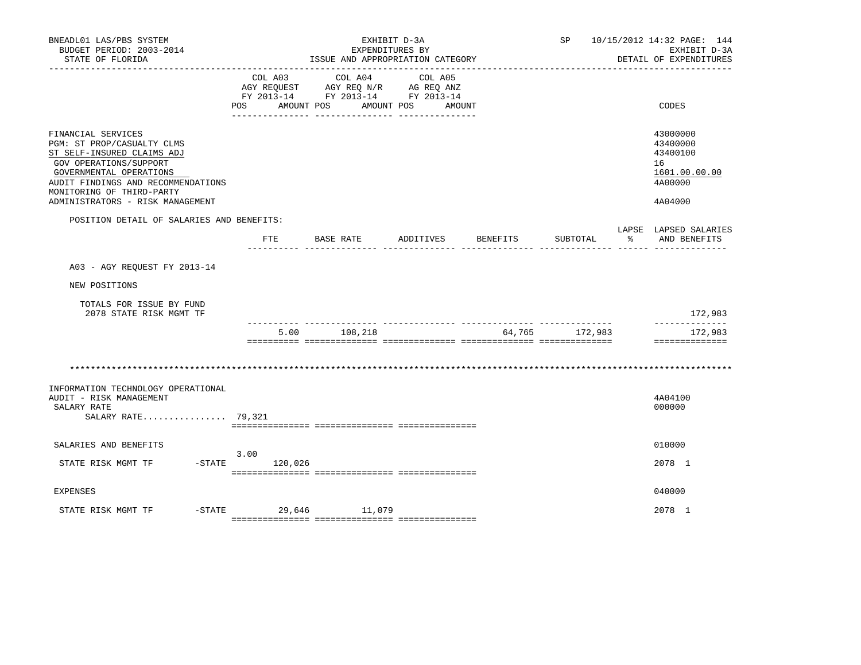| BNEADL01 LAS/PBS SYSTEM<br>BUDGET PERIOD: 2003-2014<br>STATE OF FLORIDA                                                                                                                                                                    | EXHIBIT D-3A<br>EXPENDITURES BY<br>ISSUE AND APPROPRIATION CATEGORY |                                                                                                 |                    |        | SP 10/15/2012 14:32 PAGE: 144<br>EXHIBIT D-3A<br>DETAIL OF EXPENDITURES |  |                                                                               |
|--------------------------------------------------------------------------------------------------------------------------------------------------------------------------------------------------------------------------------------------|---------------------------------------------------------------------|-------------------------------------------------------------------------------------------------|--------------------|--------|-------------------------------------------------------------------------|--|-------------------------------------------------------------------------------|
|                                                                                                                                                                                                                                            | COL A03<br>POS<br>AMOUNT POS                                        | COL A04<br>AGY REQUEST AGY REQ N/R AG REQ ANZ<br>FY 2013-14 FY 2013-14 FY 2013-14<br>AMOUNT POS | COL A05<br>AMOUNT  |        |                                                                         |  | CODES                                                                         |
| FINANCIAL SERVICES<br>PGM: ST PROP/CASUALTY CLMS<br>ST SELF-INSURED CLAIMS ADJ<br>GOV OPERATIONS/SUPPORT<br>GOVERNMENTAL OPERATIONS<br>AUDIT FINDINGS AND RECOMMENDATIONS<br>MONITORING OF THIRD-PARTY<br>ADMINISTRATORS - RISK MANAGEMENT |                                                                     |                                                                                                 |                    |        |                                                                         |  | 43000000<br>43400000<br>43400100<br>16<br>1601.00.00.00<br>4A00000<br>4A04000 |
| POSITION DETAIL OF SALARIES AND BENEFITS:                                                                                                                                                                                                  | $_{\rm FTE}$                                                        | BASE RATE                                                                                       | ADDITIVES BENEFITS |        | SUBTOTAL                                                                |  | LAPSE LAPSED SALARIES<br>AND BENEFITS                                         |
| A03 - AGY REQUEST FY 2013-14                                                                                                                                                                                                               |                                                                     |                                                                                                 |                    |        |                                                                         |  |                                                                               |
| NEW POSITIONS                                                                                                                                                                                                                              |                                                                     |                                                                                                 |                    |        |                                                                         |  |                                                                               |
| TOTALS FOR ISSUE BY FUND<br>2078 STATE RISK MGMT TF                                                                                                                                                                                        |                                                                     |                                                                                                 |                    |        |                                                                         |  | 172,983                                                                       |
|                                                                                                                                                                                                                                            | 5.00                                                                | 108,218                                                                                         |                    | 64,765 | 172,983                                                                 |  | --------------<br>172,983<br>==============                                   |
| INFORMATION TECHNOLOGY OPERATIONAL<br>AUDIT - RISK MANAGEMENT<br>SALARY RATE<br>SALARY RATE 79,321                                                                                                                                         |                                                                     |                                                                                                 |                    |        |                                                                         |  | 4A04100<br>000000                                                             |
| SALARIES AND BENEFITS                                                                                                                                                                                                                      |                                                                     |                                                                                                 |                    |        |                                                                         |  | 010000                                                                        |
| STATE RISK MGMT TF                                                                                                                                                                                                                         | 3.00<br>$-STATE$ 120,026                                            |                                                                                                 |                    |        |                                                                         |  | 2078 1                                                                        |
| <b>EXPENSES</b>                                                                                                                                                                                                                            |                                                                     |                                                                                                 |                    |        |                                                                         |  | 040000                                                                        |
| STATE RISK MGMT TF                                                                                                                                                                                                                         | -STATE 29,646 11,079                                                |                                                                                                 |                    |        |                                                                         |  | 2078 1                                                                        |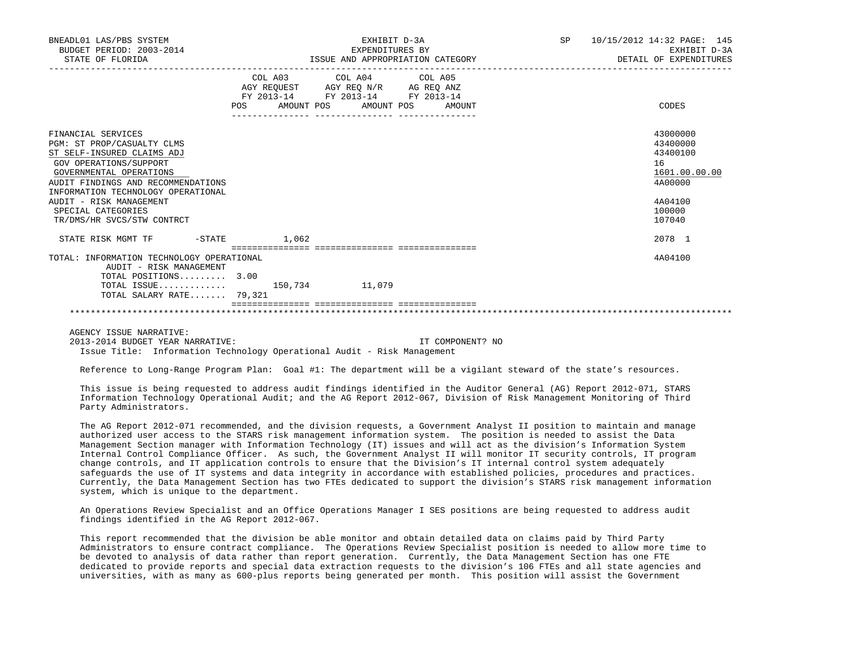| BNEADL01 LAS/PBS SYSTEM<br>BUDGET PERIOD: 2003-2014<br>STATE OF FLORIDA |       | EXHIBIT D-3A<br>EXPENDITURES BY<br>ISSUE AND APPROPRIATION CATEGORY                                                                                                                                                                                                                                                                                                                                                                                            | SP | 10/15/2012 14:32 PAGE: 145<br>EXHIBIT D-3A<br>DETAIL OF EXPENDITURES |
|-------------------------------------------------------------------------|-------|----------------------------------------------------------------------------------------------------------------------------------------------------------------------------------------------------------------------------------------------------------------------------------------------------------------------------------------------------------------------------------------------------------------------------------------------------------------|----|----------------------------------------------------------------------|
|                                                                         |       | COL A03 COL A04 COL A05                                                                                                                                                                                                                                                                                                                                                                                                                                        |    |                                                                      |
|                                                                         |       | $\begin{tabular}{lllllll} \bf AGY \,\, & & & & & & & \\ \bf AGY \,\, & & & & & & \\ \bf FY \,\, & & & & & & \\ \bf FY \,\, & & & & & & \\ \bf FY \,\, & & & & & \\ \bf ZY & & & & & & \\ \bf ZZ & & & & & & \\ \bf ZZ & & & & & & \\ \bf ZZ & & & & & & \\ \bf ZZ & & & & & & \\ \bf ZZ & & & & & & \\ \bf ZZ & & & & & & \\ \bf ZZ & & & & & & \\ \bf ZZ & & & & & & \\ \bf ZZ & & & & & & \\ \bf ZZ & & & & & & \\ \bf ZZ & & & & & & \\ \bf ZZ & & & & & &$ |    |                                                                      |
|                                                                         |       | POS AMOUNT POS AMOUNT POS AMOUNT                                                                                                                                                                                                                                                                                                                                                                                                                               |    | CODES                                                                |
| FINANCIAL SERVICES                                                      |       |                                                                                                                                                                                                                                                                                                                                                                                                                                                                |    | 43000000                                                             |
| PGM: ST PROP/CASUALTY CLMS                                              |       |                                                                                                                                                                                                                                                                                                                                                                                                                                                                |    | 43400000                                                             |
| ST SELF-INSURED CLAIMS ADJ                                              |       |                                                                                                                                                                                                                                                                                                                                                                                                                                                                |    | 43400100                                                             |
| GOV OPERATIONS/SUPPORT                                                  |       |                                                                                                                                                                                                                                                                                                                                                                                                                                                                |    | 16                                                                   |
| GOVERNMENTAL OPERATIONS                                                 |       |                                                                                                                                                                                                                                                                                                                                                                                                                                                                |    | 1601.00.00.00                                                        |
| AUDIT FINDINGS AND RECOMMENDATIONS                                      |       |                                                                                                                                                                                                                                                                                                                                                                                                                                                                |    | 4A00000                                                              |
| INFORMATION TECHNOLOGY OPERATIONAL                                      |       |                                                                                                                                                                                                                                                                                                                                                                                                                                                                |    |                                                                      |
| AUDIT - RISK MANAGEMENT                                                 |       |                                                                                                                                                                                                                                                                                                                                                                                                                                                                |    | 4A04100                                                              |
| SPECIAL CATEGORIES                                                      |       |                                                                                                                                                                                                                                                                                                                                                                                                                                                                |    | 100000                                                               |
| TR/DMS/HR SVCS/STW CONTRCT                                              |       |                                                                                                                                                                                                                                                                                                                                                                                                                                                                |    | 107040                                                               |
| STATE RISK MGMT TF<br>$-$ STATE                                         | 1.062 |                                                                                                                                                                                                                                                                                                                                                                                                                                                                |    | 2078 1                                                               |
| TOTAL: INFORMATION TECHNOLOGY OPERATIONAL                               |       |                                                                                                                                                                                                                                                                                                                                                                                                                                                                |    | 4A04100                                                              |
| AUDIT - RISK MANAGEMENT                                                 |       |                                                                                                                                                                                                                                                                                                                                                                                                                                                                |    |                                                                      |
| TOTAL POSITIONS 3.00                                                    |       |                                                                                                                                                                                                                                                                                                                                                                                                                                                                |    |                                                                      |
| TOTAL ISSUE 150,734 11,079                                              |       |                                                                                                                                                                                                                                                                                                                                                                                                                                                                |    |                                                                      |
| TOTAL SALARY RATE 79,321                                                |       |                                                                                                                                                                                                                                                                                                                                                                                                                                                                |    |                                                                      |
|                                                                         |       |                                                                                                                                                                                                                                                                                                                                                                                                                                                                |    |                                                                      |
|                                                                         |       |                                                                                                                                                                                                                                                                                                                                                                                                                                                                |    |                                                                      |

AGENCY ISSUE NARRATIVE:

 2013-2014 BUDGET YEAR NARRATIVE: IT COMPONENT? NO Issue Title: Information Technology Operational Audit - Risk Management

Reference to Long-Range Program Plan: Goal #1: The department will be a vigilant steward of the state's resources.

 This issue is being requested to address audit findings identified in the Auditor General (AG) Report 2012-071, STARS Information Technology Operational Audit; and the AG Report 2012-067, Division of Risk Management Monitoring of Third Party Administrators.

 The AG Report 2012-071 recommended, and the division requests, a Government Analyst II position to maintain and manage authorized user access to the STARS risk management information system. The position is needed to assist the Data Management Section manager with Information Technology (IT) issues and will act as the division's Information System Internal Control Compliance Officer. As such, the Government Analyst II will monitor IT security controls, IT program change controls, and IT application controls to ensure that the Division's IT internal control system adequately safeguards the use of IT systems and data integrity in accordance with established policies, procedures and practices. Currently, the Data Management Section has two FTEs dedicated to support the division's STARS risk management information system, which is unique to the department.

 An Operations Review Specialist and an Office Operations Manager I SES positions are being requested to address audit findings identified in the AG Report 2012-067.

 This report recommended that the division be able monitor and obtain detailed data on claims paid by Third Party Administrators to ensure contract compliance. The Operations Review Specialist position is needed to allow more time to be devoted to analysis of data rather than report generation. Currently, the Data Management Section has one FTE dedicated to provide reports and special data extraction requests to the division's 106 FTEs and all state agencies and universities, with as many as 600-plus reports being generated per month. This position will assist the Government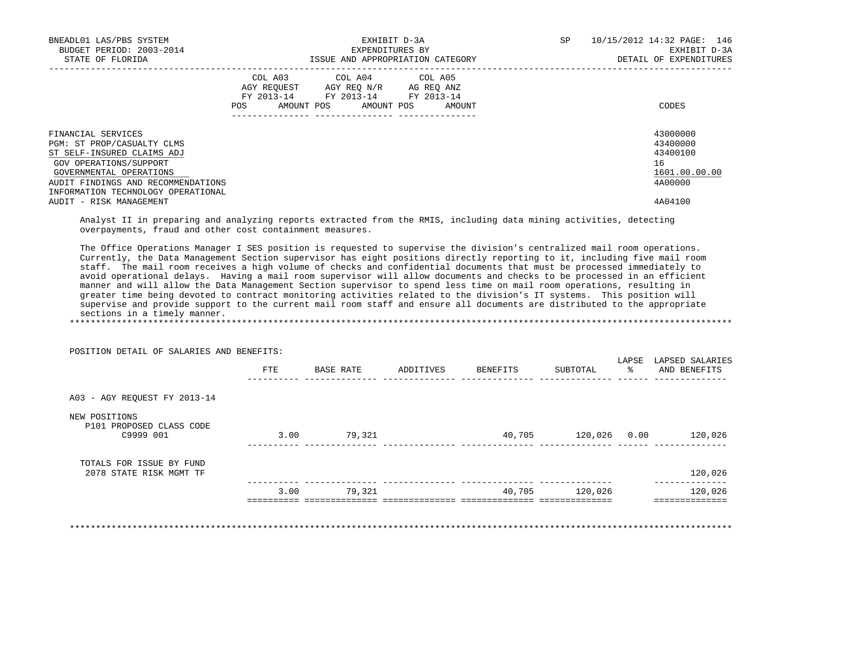| BNEADL01 LAS/PBS SYSTEM<br>BUDGET PERIOD: 2003-2014<br>STATE OF FLORIDA                                                                                                                                                                                                                                                                                                                                                                                                                                                                                                                                                                                                                                                                                                                     | ISSUE AND APPROPRIATION CATEGORY                                                                                                      | EXHIBIT D-3A<br>EXPENDITURES BY |                                  | SP             |               | 10/15/2012 14:32 PAGE: 146<br>EXHIBIT D-3A<br>DETAIL OF EXPENDITURES |
|---------------------------------------------------------------------------------------------------------------------------------------------------------------------------------------------------------------------------------------------------------------------------------------------------------------------------------------------------------------------------------------------------------------------------------------------------------------------------------------------------------------------------------------------------------------------------------------------------------------------------------------------------------------------------------------------------------------------------------------------------------------------------------------------|---------------------------------------------------------------------------------------------------------------------------------------|---------------------------------|----------------------------------|----------------|---------------|----------------------------------------------------------------------|
|                                                                                                                                                                                                                                                                                                                                                                                                                                                                                                                                                                                                                                                                                                                                                                                             | COL A03 COL A04 COL A05<br>AGY REQUEST AGY REQ N/R AG REQ ANZ<br>FY 2013-14 FY 2013-14 FY 2013-14<br>POS AMOUNT POS AMOUNT POS AMOUNT |                                 |                                  |                |               | CODES                                                                |
| FINANCIAL SERVICES<br>PGM: ST PROP/CASUALTY CLMS<br>ST SELF-INSURED CLAIMS ADJ<br>GOV OPERATIONS/SUPPORT<br>GOVERNMENTAL OPERATIONS<br>AUDIT FINDINGS AND RECOMMENDATIONS<br>INFORMATION TECHNOLOGY OPERATIONAL                                                                                                                                                                                                                                                                                                                                                                                                                                                                                                                                                                             |                                                                                                                                       |                                 |                                  |                |               | 43000000<br>43400000<br>43400100<br>16<br>1601.00.00.00<br>4A00000   |
| AUDIT - RISK MANAGEMENT<br>Analyst II in preparing and analyzing reports extracted from the RMIS, including data mining activities, detecting<br>overpayments, fraud and other cost containment measures.                                                                                                                                                                                                                                                                                                                                                                                                                                                                                                                                                                                   |                                                                                                                                       |                                 |                                  |                |               | 4A04100                                                              |
| Currently, the Data Management Section supervisor has eight positions directly reporting to it, including five mail room<br>staff. The mail room receives a high volume of checks and confidential documents that must be processed immediately to<br>avoid operational delays. Having a mail room supervisor will allow documents and checks to be processed in an efficient<br>manner and will allow the Data Management Section supervisor to spend less time on mail room operations, resulting in<br>greater time being devoted to contract monitoring activities related to the division's IT systems. This position will<br>supervise and provide support to the current mail room staff and ensure all documents are distributed to the appropriate<br>sections in a timely manner. |                                                                                                                                       |                                 |                                  |                |               |                                                                      |
| POSITION DETAIL OF SALARIES AND BENEFITS:                                                                                                                                                                                                                                                                                                                                                                                                                                                                                                                                                                                                                                                                                                                                                   |                                                                                                                                       |                                 | FTE BASE RATE ADDITIVES BENEFITS | SUBTOTAL       | $\frac{1}{6}$ | LAPSE LAPSED SALARIES<br>AND BENEFITS                                |
| A03 - AGY REQUEST FY 2013-14                                                                                                                                                                                                                                                                                                                                                                                                                                                                                                                                                                                                                                                                                                                                                                |                                                                                                                                       |                                 |                                  |                |               |                                                                      |
| NEW POSITIONS<br>P101 PROPOSED CLASS CODE<br>C9999 001                                                                                                                                                                                                                                                                                                                                                                                                                                                                                                                                                                                                                                                                                                                                      | 3.00 79,321                                                                                                                           |                                 | 40,705 120,026 0.00 120,026      |                |               |                                                                      |
| TOTALS FOR ISSUE BY FUND<br>2078 STATE RISK MGMT TF                                                                                                                                                                                                                                                                                                                                                                                                                                                                                                                                                                                                                                                                                                                                         |                                                                                                                                       |                                 |                                  |                |               | 120,026                                                              |
|                                                                                                                                                                                                                                                                                                                                                                                                                                                                                                                                                                                                                                                                                                                                                                                             | 3.00 79.321                                                                                                                           |                                 |                                  | 40,705 120,026 |               | _______________<br>120,026<br>==============                         |

\*\*\*\*\*\*\*\*\*\*\*\*\*\*\*\*\*\*\*\*\*\*\*\*\*\*\*\*\*\*\*\*\*\*\*\*\*\*\*\*\*\*\*\*\*\*\*\*\*\*\*\*\*\*\*\*\*\*\*\*\*\*\*\*\*\*\*\*\*\*\*\*\*\*\*\*\*\*\*\*\*\*\*\*\*\*\*\*\*\*\*\*\*\*\*\*\*\*\*\*\*\*\*\*\*\*\*\*\*\*\*\*\*\*\*\*\*\*\*\*\*\*\*\*\*\*\*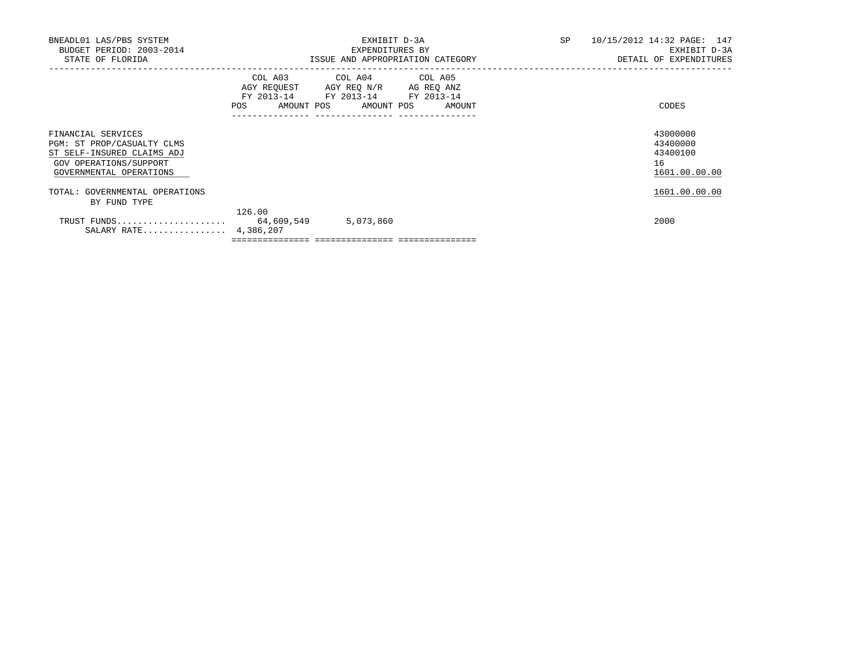| BNEADL01 LAS/PBS SYSTEM<br>BUDGET PERIOD: 2003-2014<br>STATE OF FLORIDA                                                             |        | EXHIBIT D-3A<br>EXPENDITURES BY<br>ISSUE AND APPROPRIATION CATEGORY                                                                  | <b>SP</b> | 10/15/2012 14:32 PAGE: 147<br>EXHIBIT D-3A<br>DETAIL OF EXPENDITURES |
|-------------------------------------------------------------------------------------------------------------------------------------|--------|--------------------------------------------------------------------------------------------------------------------------------------|-----------|----------------------------------------------------------------------|
|                                                                                                                                     | POS    | COL A03 COL A04 COL A05<br>AGY REQUEST AGY REQ N/R AG REQ ANZ<br>FY 2013-14 FY 2013-14 FY 2013-14<br>AMOUNT POS AMOUNT POS<br>AMOUNT |           | CODES                                                                |
| FINANCIAL SERVICES<br>PGM: ST PROP/CASUALTY CLMS<br>ST SELF-INSURED CLAIMS ADJ<br>GOV OPERATIONS/SUPPORT<br>GOVERNMENTAL OPERATIONS |        |                                                                                                                                      |           | 43000000<br>43400000<br>43400100<br>16<br>1601.00.00.00              |
| TOTAL: GOVERNMENTAL OPERATIONS<br>BY FUND TYPE                                                                                      |        |                                                                                                                                      |           | 1601.00.00.00                                                        |
| TRUST FUNDS 64,609,549<br>SALARY RATE 4,386,207                                                                                     | 126.00 | 5,073,860                                                                                                                            |           | 2000                                                                 |

 $=$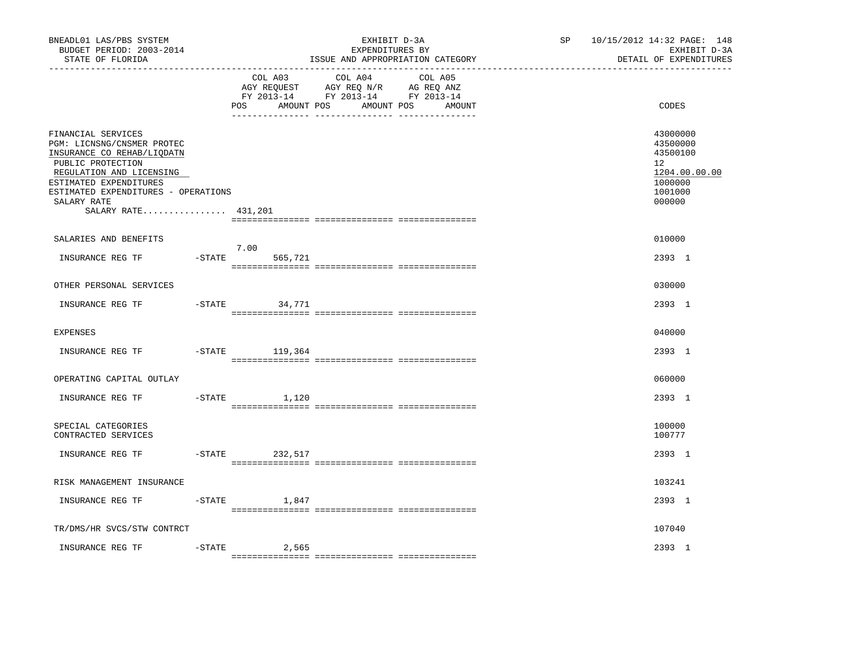| BNEADL01 LAS/PBS SYSTEM<br>BUDGET PERIOD: 2003-2014<br>STATE OF FLORIDA                                                                                                                                                                |           |                               | EXHIBIT D-3A<br>EXPENDITURES BY<br>ISSUE AND APPROPRIATION CATEGORY                                                  | SP | 10/15/2012 14:32 PAGE: 148<br>EXHIBIT D-3A<br>DETAIL OF EXPENDITURES                    |
|----------------------------------------------------------------------------------------------------------------------------------------------------------------------------------------------------------------------------------------|-----------|-------------------------------|----------------------------------------------------------------------------------------------------------------------|----|-----------------------------------------------------------------------------------------|
|                                                                                                                                                                                                                                        |           | COL A03<br>AMOUNT POS<br>POS. | COL A04<br>COL A05<br>AGY REQUEST AGY REQ N/R AG REQ ANZ<br>FY 2013-14 FY 2013-14 FY 2013-14<br>AMOUNT POS<br>AMOUNT |    | CODES                                                                                   |
| FINANCIAL SERVICES<br>PGM: LICNSNG/CNSMER PROTEC<br>INSURANCE CO REHAB/LIQDATN<br>PUBLIC PROTECTION<br>REGULATION AND LICENSING<br>ESTIMATED EXPENDITURES<br>ESTIMATED EXPENDITURES - OPERATIONS<br>SALARY RATE<br>SALARY RATE 431,201 |           |                               |                                                                                                                      |    | 43000000<br>43500000<br>43500100<br>12<br>1204.00.00.00<br>1000000<br>1001000<br>000000 |
| SALARIES AND BENEFITS                                                                                                                                                                                                                  |           |                               |                                                                                                                      |    | 010000                                                                                  |
| INSURANCE REG TF                                                                                                                                                                                                                       | $-$ STATE | 7.00<br>565,721               |                                                                                                                      |    | 2393 1                                                                                  |
| OTHER PERSONAL SERVICES                                                                                                                                                                                                                |           |                               |                                                                                                                      |    | 030000                                                                                  |
| INSURANCE REG TF                                                                                                                                                                                                                       |           | $-STATE$<br>34,771            |                                                                                                                      |    | 2393 1                                                                                  |
| <b>EXPENSES</b>                                                                                                                                                                                                                        |           |                               |                                                                                                                      |    | 040000                                                                                  |
| INSURANCE REG TF                                                                                                                                                                                                                       | $-$ STATE | 119,364                       |                                                                                                                      |    | 2393 1                                                                                  |
| OPERATING CAPITAL OUTLAY                                                                                                                                                                                                               |           |                               |                                                                                                                      |    | 060000                                                                                  |
| INSURANCE REG TF                                                                                                                                                                                                                       | $-$ STATE | 1,120                         |                                                                                                                      |    | 2393 1                                                                                  |
| SPECIAL CATEGORIES<br>CONTRACTED SERVICES                                                                                                                                                                                              |           |                               |                                                                                                                      |    | 100000<br>100777                                                                        |
| INSURANCE REG TF                                                                                                                                                                                                                       | $-$ STATE | 232,517                       |                                                                                                                      |    | 2393 1                                                                                  |
| RISK MANAGEMENT INSURANCE                                                                                                                                                                                                              |           |                               |                                                                                                                      |    | 103241                                                                                  |
| INSURANCE REG TF                                                                                                                                                                                                                       | $-$ STATE | 1,847                         |                                                                                                                      |    | 2393 1                                                                                  |
| TR/DMS/HR SVCS/STW CONTRCT                                                                                                                                                                                                             |           |                               |                                                                                                                      |    | 107040                                                                                  |
| INSURANCE REG TF                                                                                                                                                                                                                       | $-STATE$  | 2,565                         |                                                                                                                      |    | 2393 1                                                                                  |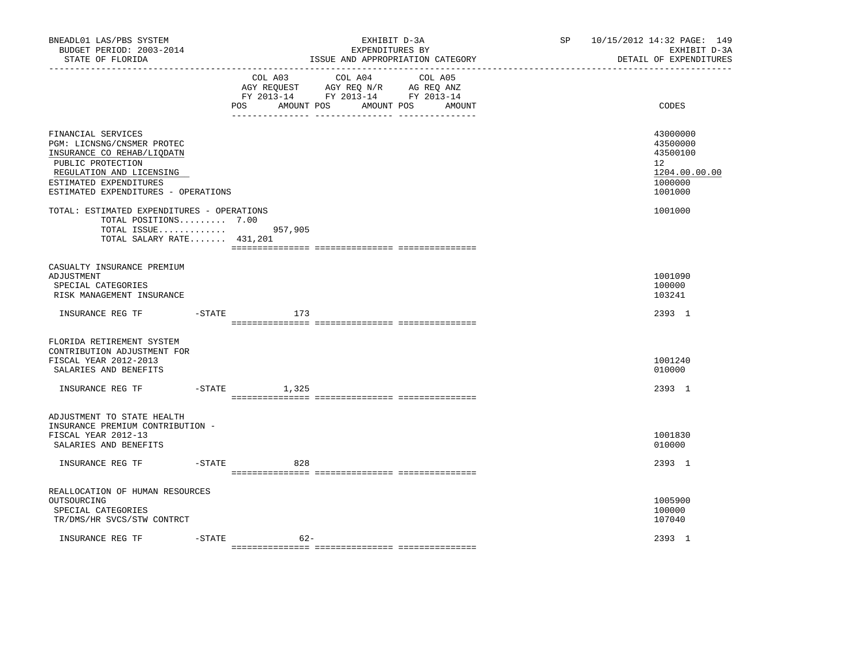| BNEADL01 LAS/PBS SYSTEM<br>BUDGET PERIOD: 2003-2014<br>STATE OF FLORIDA                                                                                                                          |          |                   | EXHIBIT D-3A<br>EXPENDITURES BY<br>ISSUE AND APPROPRIATION CATEGORY                                     |                   | SP | 10/15/2012 14:32 PAGE: 149<br>EXHIBIT D-3A<br>DETAIL OF EXPENDITURES          |
|--------------------------------------------------------------------------------------------------------------------------------------------------------------------------------------------------|----------|-------------------|---------------------------------------------------------------------------------------------------------|-------------------|----|-------------------------------------------------------------------------------|
|                                                                                                                                                                                                  |          | POS<br>AMOUNT POS | COL A03 COL A04<br>AGY REQUEST AGY REQ N/R AG REQ ANZ<br>FY 2013-14 FY 2013-14 FY 2013-14<br>AMOUNT POS | COL A05<br>AMOUNT |    | CODES                                                                         |
| FINANCIAL SERVICES<br>PGM: LICNSNG/CNSMER PROTEC<br>INSURANCE CO REHAB/LIQDATN<br>PUBLIC PROTECTION<br>REGULATION AND LICENSING<br>ESTIMATED EXPENDITURES<br>ESTIMATED EXPENDITURES - OPERATIONS |          |                   |                                                                                                         |                   |    | 43000000<br>43500000<br>43500100<br>12<br>1204.00.00.00<br>1000000<br>1001000 |
| TOTAL: ESTIMATED EXPENDITURES - OPERATIONS<br>TOTAL POSITIONS 7.00<br>TOTAL ISSUE<br>TOTAL SALARY RATE 431,201                                                                                   |          | 957,905           |                                                                                                         |                   |    | 1001000                                                                       |
| CASUALTY INSURANCE PREMIUM<br>ADJUSTMENT<br>SPECIAL CATEGORIES<br>RISK MANAGEMENT INSURANCE                                                                                                      |          |                   |                                                                                                         |                   |    | 1001090<br>100000<br>103241                                                   |
| INSURANCE REG TF                                                                                                                                                                                 | -STATE   | 173               |                                                                                                         |                   |    | 2393 1                                                                        |
| FLORIDA RETIREMENT SYSTEM<br>CONTRIBUTION ADJUSTMENT FOR<br>FISCAL YEAR 2012-2013<br>SALARIES AND BENEFITS                                                                                       |          |                   |                                                                                                         |                   |    | 1001240<br>010000                                                             |
| INSURANCE REG TF FTATE                                                                                                                                                                           |          | 1,325             |                                                                                                         |                   |    | 2393 1                                                                        |
| ADJUSTMENT TO STATE HEALTH<br>INSURANCE PREMIUM CONTRIBUTION -<br>FISCAL YEAR 2012-13<br>SALARIES AND BENEFITS                                                                                   |          |                   |                                                                                                         |                   |    | 1001830<br>010000                                                             |
| INSURANCE REG TF                                                                                                                                                                                 | -STATE   | 828               |                                                                                                         |                   |    | 2393 1                                                                        |
| REALLOCATION OF HUMAN RESOURCES<br>OUTSOURCING<br>SPECIAL CATEGORIES<br>TR/DMS/HR SVCS/STW CONTRCT                                                                                               |          |                   |                                                                                                         |                   |    | 1005900<br>100000<br>107040                                                   |
| INSURANCE REG TF                                                                                                                                                                                 | $-STATE$ | $62 -$            |                                                                                                         |                   |    | 2393 1                                                                        |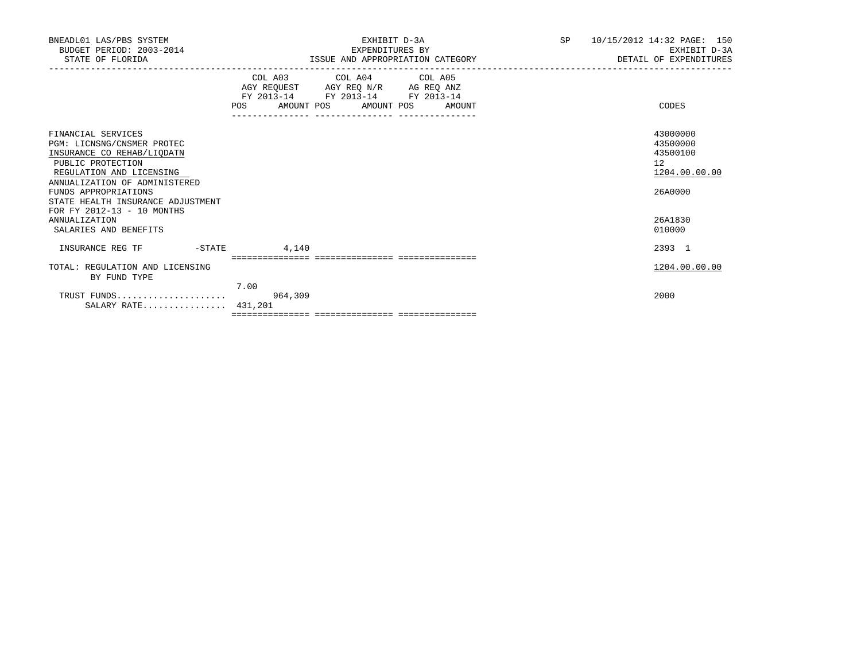| BNEADL01 LAS/PBS SYSTEM<br>BUDGET PERIOD: 2003-2014<br>STATE OF FLORIDA                                                                                                                                                                                     | EXHIBIT D-3A<br>EXPENDITURES BY<br>ISSUE AND APPROPRIATION CATEGORY                                                                                                                                                      | SP | 10/15/2012 14:32 PAGE: 150<br>EXHIBIT D-3A<br>DETAIL OF EXPENDITURES |
|-------------------------------------------------------------------------------------------------------------------------------------------------------------------------------------------------------------------------------------------------------------|--------------------------------------------------------------------------------------------------------------------------------------------------------------------------------------------------------------------------|----|----------------------------------------------------------------------|
|                                                                                                                                                                                                                                                             | COL A03 COL A04 COL A05<br>$\begin{tabular}{lllllll} AGY & \texttt{REQUEST} & \texttt{AGY REQ} \texttt{N/R} & \texttt{AG REQ ANZ} \end{tabular}$<br>FY 2013-14 FY 2013-14 FY 2013-14<br>POS AMOUNT POS AMOUNT POS AMOUNT |    | CODES                                                                |
| FINANCIAL SERVICES<br>PGM: LICNSNG/CNSMER PROTEC<br>INSURANCE CO REHAB/LIODATN<br>PUBLIC PROTECTION<br>REGULATION AND LICENSING<br>ANNUALIZATION OF ADMINISTERED<br>FUNDS APPROPRIATIONS<br>STATE HEALTH INSURANCE ADJUSTMENT<br>FOR FY 2012-13 - 10 MONTHS |                                                                                                                                                                                                                          |    | 43000000<br>43500000<br>43500100<br>12<br>1204.00.00.00<br>26A0000   |
| ANNUALIZATION<br>SALARIES AND BENEFITS                                                                                                                                                                                                                      |                                                                                                                                                                                                                          |    | 26A1830<br>010000                                                    |
| INSURANCE REG TF<br>$-STATE$                                                                                                                                                                                                                                | 4,140                                                                                                                                                                                                                    |    | 2393 1                                                               |
| TOTAL: REGULATION AND LICENSING<br>BY FUND TYPE                                                                                                                                                                                                             | 7.00                                                                                                                                                                                                                     |    | 1204.00.00.00                                                        |
| TRUST FUNDS<br>SALARY RATE 431,201                                                                                                                                                                                                                          | 964,309                                                                                                                                                                                                                  |    | 2000                                                                 |
|                                                                                                                                                                                                                                                             |                                                                                                                                                                                                                          |    |                                                                      |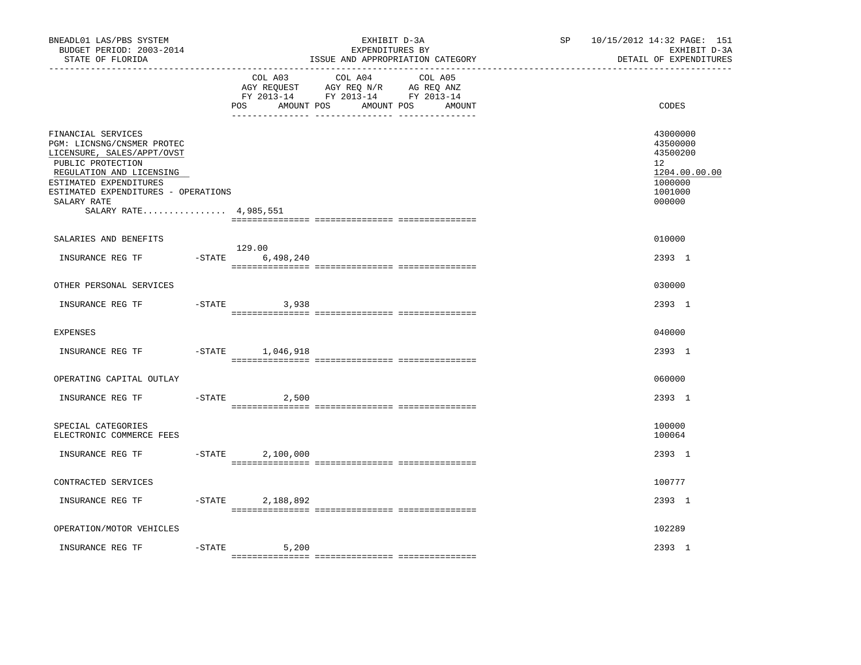| BNEADL01 LAS/PBS SYSTEM<br>BUDGET PERIOD: 2003-2014<br>STATE OF FLORIDA                                                                                                                                                                  |           |                                     | EXHIBIT D-3A<br>EXPENDITURES BY<br>ISSUE AND APPROPRIATION CATEGORY                                                  | SP <sub>2</sub> | 10/15/2012 14:32 PAGE: 151<br>EXHIBIT D-3A<br>DETAIL OF EXPENDITURES                    |
|------------------------------------------------------------------------------------------------------------------------------------------------------------------------------------------------------------------------------------------|-----------|-------------------------------------|----------------------------------------------------------------------------------------------------------------------|-----------------|-----------------------------------------------------------------------------------------|
|                                                                                                                                                                                                                                          |           | COL A03<br>AMOUNT POS<br><b>POS</b> | COL A04<br>COL A05<br>AGY REQUEST AGY REQ N/R AG REQ ANZ<br>FY 2013-14 FY 2013-14 FY 2013-14<br>AMOUNT POS<br>AMOUNT |                 | CODES                                                                                   |
| FINANCIAL SERVICES<br>PGM: LICNSNG/CNSMER PROTEC<br>LICENSURE, SALES/APPT/OVST<br>PUBLIC PROTECTION<br>REGULATION AND LICENSING<br>ESTIMATED EXPENDITURES<br>ESTIMATED EXPENDITURES - OPERATIONS<br>SALARY RATE<br>SALARY RATE 4,985,551 |           |                                     |                                                                                                                      |                 | 43000000<br>43500000<br>43500200<br>12<br>1204.00.00.00<br>1000000<br>1001000<br>000000 |
| SALARIES AND BENEFITS                                                                                                                                                                                                                    |           |                                     |                                                                                                                      |                 | 010000                                                                                  |
| INSURANCE REG TF                                                                                                                                                                                                                         | $-$ STATE | 129.00<br>6,498,240                 |                                                                                                                      |                 | 2393 1                                                                                  |
| OTHER PERSONAL SERVICES                                                                                                                                                                                                                  |           |                                     |                                                                                                                      |                 | 030000                                                                                  |
| INSURANCE REG TF                                                                                                                                                                                                                         |           | $-STATE$ 3,938                      |                                                                                                                      |                 | 2393 1                                                                                  |
| <b>EXPENSES</b>                                                                                                                                                                                                                          |           |                                     |                                                                                                                      |                 | 040000                                                                                  |
| INSURANCE REG TF                                                                                                                                                                                                                         |           | $-STATE$ 1,046,918                  |                                                                                                                      |                 | 2393 1                                                                                  |
| OPERATING CAPITAL OUTLAY                                                                                                                                                                                                                 |           |                                     |                                                                                                                      |                 | 060000                                                                                  |
| INSURANCE REG TF                                                                                                                                                                                                                         | $-$ STATE | 2,500                               |                                                                                                                      |                 | 2393 1                                                                                  |
| SPECIAL CATEGORIES<br>ELECTRONIC COMMERCE FEES                                                                                                                                                                                           |           |                                     |                                                                                                                      |                 | 100000<br>100064                                                                        |
| INSURANCE REG TF                                                                                                                                                                                                                         | $-$ STATE | 2,100,000                           |                                                                                                                      |                 | 2393 1                                                                                  |
| CONTRACTED SERVICES                                                                                                                                                                                                                      |           |                                     |                                                                                                                      |                 | 100777                                                                                  |
| INSURANCE REG TF                                                                                                                                                                                                                         | $-$ STATE | 2,188,892                           |                                                                                                                      |                 | 2393 1                                                                                  |
| OPERATION/MOTOR VEHICLES                                                                                                                                                                                                                 |           |                                     |                                                                                                                      |                 | 102289                                                                                  |
| INSURANCE REG TF                                                                                                                                                                                                                         | $-STATE$  | 5,200                               |                                                                                                                      |                 | 2393 1                                                                                  |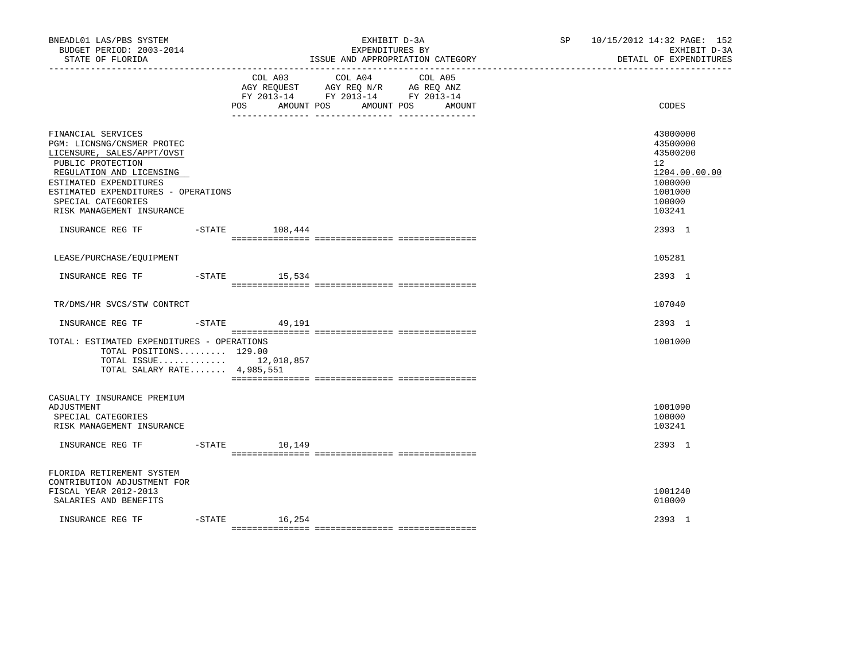| BNEADL01 LAS/PBS SYSTEM<br>BUDGET PERIOD: 2003-2014<br>STATE OF FLORIDA                                                                                                                                                                             |                     | EXHIBIT D-3A<br>EXPENDITURES BY<br>ISSUE AND APPROPRIATION CATEGORY                                                          | SP 10/15/2012 14:32 PAGE: 152<br>EXHIBIT D-3A<br>DETAIL OF EXPENDITURES                           |
|-----------------------------------------------------------------------------------------------------------------------------------------------------------------------------------------------------------------------------------------------------|---------------------|------------------------------------------------------------------------------------------------------------------------------|---------------------------------------------------------------------------------------------------|
|                                                                                                                                                                                                                                                     | AMOUNT POS<br>POS   | COL A03 COL A04<br>COL A05<br>AGY REQUEST AGY REQ N/R AG REQ ANZ<br>FY 2013-14 FY 2013-14 FY 2013-14<br>AMOUNT POS<br>AMOUNT | CODES                                                                                             |
| FINANCIAL SERVICES<br>PGM: LICNSNG/CNSMER PROTEC<br>LICENSURE, SALES/APPT/OVST<br>PUBLIC PROTECTION<br>REGULATION AND LICENSING<br>ESTIMATED EXPENDITURES<br>ESTIMATED EXPENDITURES - OPERATIONS<br>SPECIAL CATEGORIES<br>RISK MANAGEMENT INSURANCE |                     |                                                                                                                              | 43000000<br>43500000<br>43500200<br>12<br>1204.00.00.00<br>1000000<br>1001000<br>100000<br>103241 |
| INSURANCE REG TF -STATE 108,444                                                                                                                                                                                                                     |                     |                                                                                                                              | 2393 1                                                                                            |
| LEASE/PURCHASE/EQUIPMENT                                                                                                                                                                                                                            |                     |                                                                                                                              | 105281                                                                                            |
| INSURANCE REG TF                                                                                                                                                                                                                                    | $-$ STATE $15,534$  |                                                                                                                              | 2393 1                                                                                            |
| TR/DMS/HR SVCS/STW CONTRCT                                                                                                                                                                                                                          |                     |                                                                                                                              | 107040                                                                                            |
|                                                                                                                                                                                                                                                     |                     |                                                                                                                              | 2393 1                                                                                            |
| TOTAL: ESTIMATED EXPENDITURES - OPERATIONS<br>TOTAL POSITIONS 129.00<br>TOTAL ISSUE 12,018,857<br>TOTAL SALARY RATE 4,985,551                                                                                                                       |                     |                                                                                                                              | 1001000                                                                                           |
| CASUALTY INSURANCE PREMIUM<br>ADJUSTMENT<br>SPECIAL CATEGORIES<br>RISK MANAGEMENT INSURANCE                                                                                                                                                         |                     |                                                                                                                              | 1001090<br>100000<br>103241                                                                       |
| INSURANCE REG TF                                                                                                                                                                                                                                    | $-$ STATE<br>10,149 |                                                                                                                              | 2393 1                                                                                            |
| FLORIDA RETIREMENT SYSTEM<br>CONTRIBUTION ADJUSTMENT FOR<br>FISCAL YEAR 2012-2013<br>SALARIES AND BENEFITS                                                                                                                                          |                     |                                                                                                                              | 1001240<br>010000                                                                                 |
| INSURANCE REG TF                                                                                                                                                                                                                                    | $-STATE$ 16, 254    |                                                                                                                              | 2393 1                                                                                            |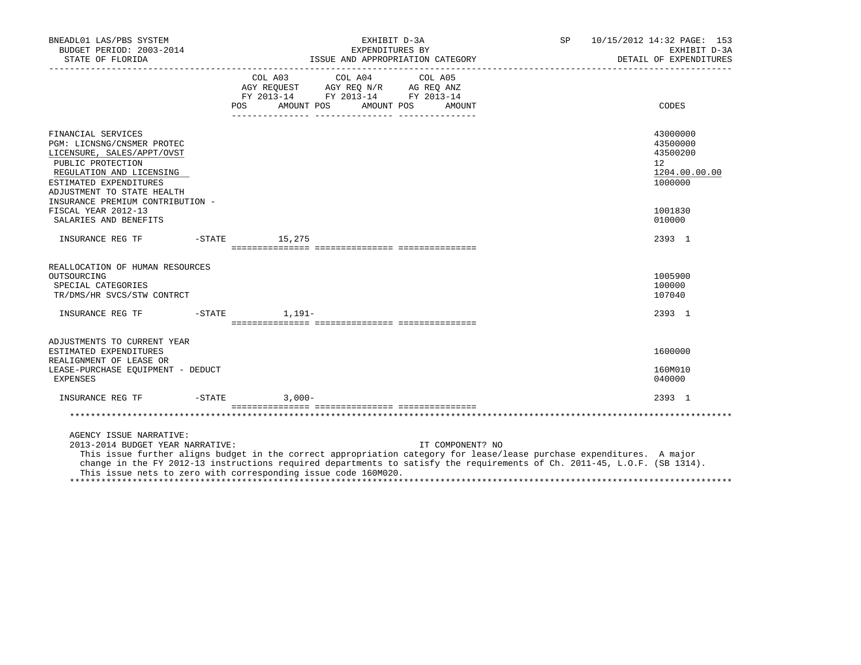| BNEADL01 LAS/PBS SYSTEM<br>BUDGET PERIOD: 2003-2014                                                                                                                                     | EXHIBIT D-3A<br>SP<br>EXPENDITURES BY                                                                                                                                                                                                                                                                                                   | 10/15/2012 14:32 PAGE: 153<br>EXHIBIT D-3A<br>DETAIL OF EXPENDITURES         |
|-----------------------------------------------------------------------------------------------------------------------------------------------------------------------------------------|-----------------------------------------------------------------------------------------------------------------------------------------------------------------------------------------------------------------------------------------------------------------------------------------------------------------------------------------|------------------------------------------------------------------------------|
|                                                                                                                                                                                         | FY 2013-14 FY 2013-14 FY 2013-14<br><b>POS</b><br>AMOUNT POS AMOUNT POS<br>AMOUNT                                                                                                                                                                                                                                                       | CODES                                                                        |
| FINANCIAL SERVICES<br>PGM: LICNSNG/CNSMER PROTEC<br>LICENSURE, SALES/APPT/OVST<br>PUBLIC PROTECTION<br>REGULATION AND LICENSING<br>ESTIMATED EXPENDITURES<br>ADJUSTMENT TO STATE HEALTH |                                                                                                                                                                                                                                                                                                                                         | 43000000<br>43500000<br>43500200<br>$12^{\circ}$<br>1204.00.00.00<br>1000000 |
| INSURANCE PREMIUM CONTRIBUTION -<br>FISCAL YEAR 2012-13<br>SALARIES AND BENEFITS                                                                                                        |                                                                                                                                                                                                                                                                                                                                         | 1001830<br>010000                                                            |
| INSURANCE REG TF                                                                                                                                                                        | $-$ STATE $15, 275$                                                                                                                                                                                                                                                                                                                     | 2393 1                                                                       |
| REALLOCATION OF HUMAN RESOURCES<br>OUTSOURCING<br>SPECIAL CATEGORIES<br>TR/DMS/HR SVCS/STW CONTRCT                                                                                      |                                                                                                                                                                                                                                                                                                                                         | 1005900<br>100000<br>107040                                                  |
| INSURANCE REG TF                                                                                                                                                                        | $-$ STATE $1, 191-$                                                                                                                                                                                                                                                                                                                     | 2393 1                                                                       |
| ADJUSTMENTS TO CURRENT YEAR<br>ESTIMATED EXPENDITURES<br>REALIGNMENT OF LEASE OR<br>LEASE-PURCHASE EQUIPMENT - DEDUCT<br>EXPENSES                                                       |                                                                                                                                                                                                                                                                                                                                         | 1600000<br>160M010<br>040000                                                 |
| INSURANCE REG TF                                                                                                                                                                        | $-STATE$ 3,000-                                                                                                                                                                                                                                                                                                                         | 2393 1                                                                       |
|                                                                                                                                                                                         |                                                                                                                                                                                                                                                                                                                                         |                                                                              |
| AGENCY ISSUE NARRATIVE:<br>2013-2014 BUDGET YEAR NARRATIVE:                                                                                                                             | IT COMPONENT? NO<br>This issue further aligns budget in the correct appropriation category for lease/lease purchase expenditures. A major<br>change in the FY 2012-13 instructions required departments to satisfy the requirements of Ch. 2011-45, L.O.F. (SB 1314).<br>This issue nets to zero with corresponding issue code 160M020. |                                                                              |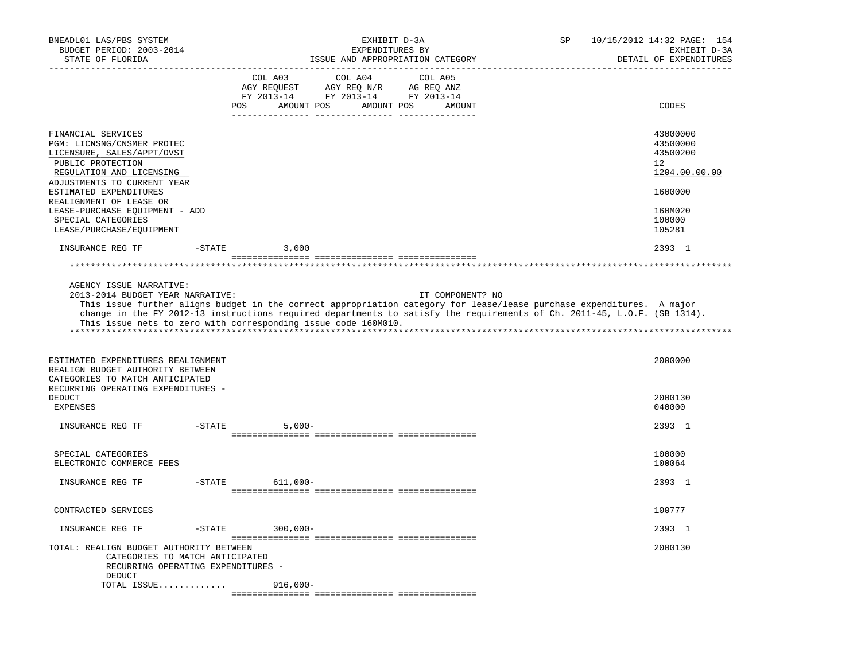| BNEADL01 LAS/PBS SYSTEM<br>BUDGET PERIOD: 2003-2014<br>STATE OF FLORIDA                                                                                                                                                                                                                                                                                                            |                |                                                                                                                       | EXHIBIT D-3A<br>EXPENDITURES BY<br>ISSUE AND APPROPRIATION CATEGORY |         |                  | SP | 10/15/2012 14:32 PAGE: 154<br>EXHIBIT D-3A<br>DETAIL OF EXPENDITURES |
|------------------------------------------------------------------------------------------------------------------------------------------------------------------------------------------------------------------------------------------------------------------------------------------------------------------------------------------------------------------------------------|----------------|-----------------------------------------------------------------------------------------------------------------------|---------------------------------------------------------------------|---------|------------------|----|----------------------------------------------------------------------|
|                                                                                                                                                                                                                                                                                                                                                                                    |                | COL A03<br>AGY REQUEST AGY REQ N/R AG REQ ANZ<br>FY 2013-14 FY 2013-14 FY 2013-14<br>POS AMOUNT POS AMOUNT POS AMOUNT | COL A04                                                             | COL A05 |                  |    | CODES                                                                |
| FINANCIAL SERVICES<br>PGM: LICNSNG/CNSMER PROTEC<br>LICENSURE, SALES/APPT/OVST<br>PUBLIC PROTECTION<br>REGULATION AND LICENSING<br>ADJUSTMENTS TO CURRENT YEAR                                                                                                                                                                                                                     |                |                                                                                                                       |                                                                     |         |                  |    | 43000000<br>43500000<br>43500200<br>12<br>1204.00.00.00              |
| ESTIMATED EXPENDITURES<br>REALIGNMENT OF LEASE OR<br>LEASE-PURCHASE EQUIPMENT - ADD<br>SPECIAL CATEGORIES<br>LEASE/PURCHASE/EQUIPMENT                                                                                                                                                                                                                                              |                |                                                                                                                       |                                                                     |         |                  |    | 1600000<br>160M020<br>100000<br>105281                               |
| INSURANCE REG TF                                                                                                                                                                                                                                                                                                                                                                   | $-STATE$ 3,000 |                                                                                                                       |                                                                     |         |                  |    | 2393 1                                                               |
|                                                                                                                                                                                                                                                                                                                                                                                    |                |                                                                                                                       |                                                                     |         |                  |    |                                                                      |
| AGENCY ISSUE NARRATIVE:<br>2013-2014 BUDGET YEAR NARRATIVE:<br>This issue further aligns budget in the correct appropriation category for lease/lease purchase expenditures. A major<br>change in the FY 2012-13 instructions required departments to satisfy the requirements of Ch. 2011-45, L.O.F. (SB 1314).<br>This issue nets to zero with corresponding issue code 160M010. |                |                                                                                                                       |                                                                     |         | IT COMPONENT? NO |    |                                                                      |
| ESTIMATED EXPENDITURES REALIGNMENT<br>REALIGN BUDGET AUTHORITY BETWEEN<br>CATEGORIES TO MATCH ANTICIPATED<br>RECURRING OPERATING EXPENDITURES -<br><b>DEDUCT</b>                                                                                                                                                                                                                   |                |                                                                                                                       |                                                                     |         |                  |    | 2000000<br>2000130                                                   |
| EXPENSES                                                                                                                                                                                                                                                                                                                                                                           |                |                                                                                                                       |                                                                     |         |                  |    | 040000                                                               |
| INSURANCE REG TF                                                                                                                                                                                                                                                                                                                                                                   | $-$ STATE      | $5.000 -$                                                                                                             |                                                                     |         |                  |    | 2393 1                                                               |
| SPECIAL CATEGORIES<br>ELECTRONIC COMMERCE FEES                                                                                                                                                                                                                                                                                                                                     |                |                                                                                                                       |                                                                     |         |                  |    | 100000<br>100064                                                     |
| INSURANCE REG TF                                                                                                                                                                                                                                                                                                                                                                   | $-$ STATE      | 611,000-                                                                                                              |                                                                     |         |                  |    | 2393 1                                                               |
| CONTRACTED SERVICES                                                                                                                                                                                                                                                                                                                                                                |                |                                                                                                                       |                                                                     |         |                  |    | 100777                                                               |
| INSURANCE REG TF                                                                                                                                                                                                                                                                                                                                                                   | $-STATE$       | $300,000 -$                                                                                                           |                                                                     |         |                  |    | 2393 1                                                               |
| TOTAL: REALIGN BUDGET AUTHORITY BETWEEN<br>CATEGORIES TO MATCH ANTICIPATED<br>RECURRING OPERATING EXPENDITURES -<br><b>DEDUCT</b>                                                                                                                                                                                                                                                  |                |                                                                                                                       |                                                                     |         |                  |    | 2000130                                                              |
| TOTAL ISSUE                                                                                                                                                                                                                                                                                                                                                                        |                | $916,000 -$                                                                                                           |                                                                     |         |                  |    |                                                                      |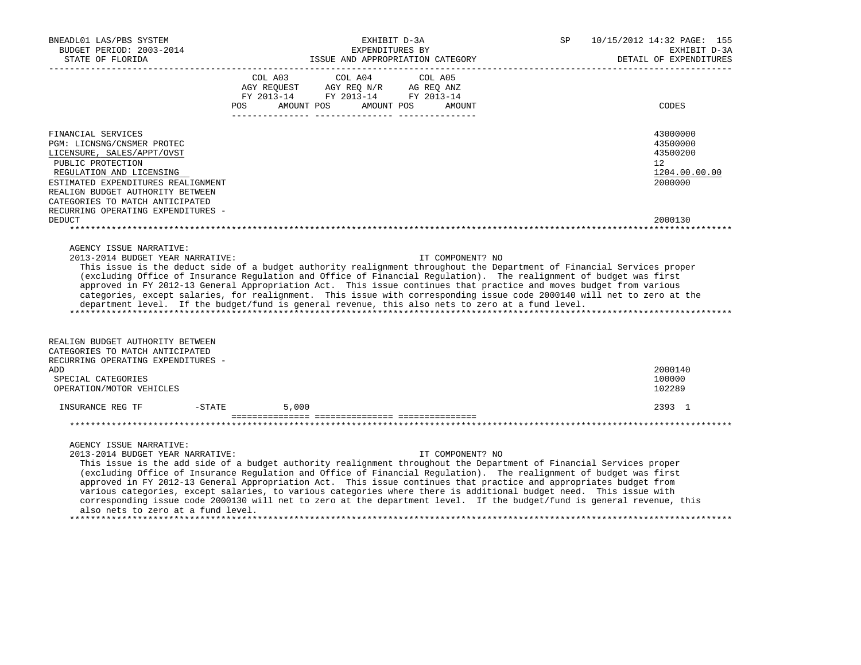| BNEADL01 LAS/PBS SYSTEM<br>BUDGET PERIOD: 2003-2014<br>STATE OF FLORIDA<br>________________                                                                                                                                                                                                                                                                                                                                                                                                                                                                                                                                                                                                                        |                | EXHIBIT D-3A<br>EXPENDITURES BY | ISSUE AND APPROPRIATION CATEGORY | SP | 10/15/2012 14:32 PAGE: 155<br>EXHIBIT D-3A<br>DETAIL OF EXPENDITURES |
|--------------------------------------------------------------------------------------------------------------------------------------------------------------------------------------------------------------------------------------------------------------------------------------------------------------------------------------------------------------------------------------------------------------------------------------------------------------------------------------------------------------------------------------------------------------------------------------------------------------------------------------------------------------------------------------------------------------------|----------------|---------------------------------|----------------------------------|----|----------------------------------------------------------------------|
|                                                                                                                                                                                                                                                                                                                                                                                                                                                                                                                                                                                                                                                                                                                    | COL A03<br>POS | COL A04<br>AMOUNT POS           | COL A05<br>AMOUNT POS<br>AMOUNT  |    | CODES                                                                |
| FINANCIAL SERVICES<br>PGM: LICNSNG/CNSMER PROTEC<br>LICENSURE, SALES/APPT/OVST<br>PUBLIC PROTECTION<br>REGULATION AND LICENSING<br>ESTIMATED EXPENDITURES REALIGNMENT<br>REALIGN BUDGET AUTHORITY BETWEEN<br>CATEGORIES TO MATCH ANTICIPATED                                                                                                                                                                                                                                                                                                                                                                                                                                                                       |                |                                 |                                  |    | 43000000<br>43500000<br>43500200<br>12<br>1204.00.00.00<br>2000000   |
| RECURRING OPERATING EXPENDITURES -<br><b>DEDUCT</b>                                                                                                                                                                                                                                                                                                                                                                                                                                                                                                                                                                                                                                                                |                |                                 |                                  |    | 2000130                                                              |
| AGENCY ISSUE NARRATIVE:<br>2013-2014 BUDGET YEAR NARRATIVE:<br>This issue is the deduct side of a budget authority realignment throughout the Department of Financial Services proper<br>(excluding Office of Insurance Regulation and Office of Financial Regulation). The realignment of budget was first<br>approved in FY 2012-13 General Appropriation Act. This issue continues that practice and moves budget from various<br>categories, except salaries, for realignment. This issue with corresponding issue code 2000140 will net to zero at the<br>department level. If the budget/fund is general revenue, this also nets to zero at a fund level.                                                    |                |                                 | IT COMPONENT? NO                 |    |                                                                      |
| REALIGN BUDGET AUTHORITY BETWEEN<br>CATEGORIES TO MATCH ANTICIPATED<br>RECURRING OPERATING EXPENDITURES -<br>ADD<br>SPECIAL CATEGORIES                                                                                                                                                                                                                                                                                                                                                                                                                                                                                                                                                                             |                |                                 |                                  |    | 2000140<br>100000                                                    |
| OPERATION/MOTOR VEHICLES                                                                                                                                                                                                                                                                                                                                                                                                                                                                                                                                                                                                                                                                                           |                |                                 |                                  |    | 102289                                                               |
| $-$ STATE<br>INSURANCE REG TF                                                                                                                                                                                                                                                                                                                                                                                                                                                                                                                                                                                                                                                                                      | 5,000          |                                 |                                  |    | 2393 1                                                               |
| AGENCY ISSUE NARRATIVE:<br>2013-2014 BUDGET YEAR NARRATIVE:<br>This issue is the add side of a budget authority realignment throughout the Department of Financial Services proper<br>(excluding Office of Insurance Regulation and Office of Financial Regulation). The realignment of budget was first<br>approved in FY 2012-13 General Appropriation Act. This issue continues that practice and appropriates budget from<br>various categories, except salaries, to various categories where there is additional budget need. This issue with<br>corresponding issue code 2000130 will net to zero at the department level. If the budget/fund is general revenue, this<br>also nets to zero at a fund level. |                |                                 | IT COMPONENT? NO                 |    |                                                                      |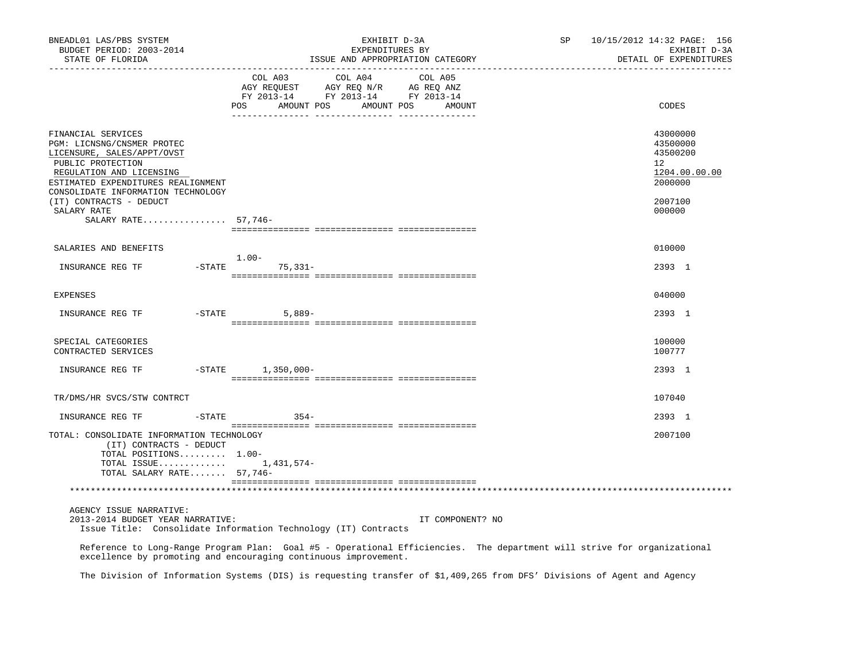| BNEADL01 LAS/PBS SYSTEM<br>BUDGET PERIOD: 2003-2014<br>STATE OF FLORIDA                                                                                                                                     | EXHIBIT D-3A<br>EXPENDITURES BY<br>ISSUE AND APPROPRIATION CATEGORY                                                                                                                        | SP               | 10/15/2012 14:32 PAGE: 156<br>EXHIBIT D-3A<br>DETAIL OF EXPENDITURES         |
|-------------------------------------------------------------------------------------------------------------------------------------------------------------------------------------------------------------|--------------------------------------------------------------------------------------------------------------------------------------------------------------------------------------------|------------------|------------------------------------------------------------------------------|
|                                                                                                                                                                                                             | COL A03<br>COL A04<br>COL A05<br>AGY REQUEST AGY REQ N/R AG REQ ANZ<br>FY 2013-14 FY 2013-14 FY 2013-14<br>POS AMOUNT POS AMOUNT POS                                                       | AMOUNT           | CODES                                                                        |
| FINANCIAL SERVICES<br>PGM: LICNSNG/CNSMER PROTEC<br>LICENSURE, SALES/APPT/OVST<br>PUBLIC PROTECTION<br>REGULATION AND LICENSING<br>ESTIMATED EXPENDITURES REALIGNMENT<br>CONSOLIDATE INFORMATION TECHNOLOGY |                                                                                                                                                                                            |                  | 43000000<br>43500000<br>43500200<br>$12^{\circ}$<br>1204.00.00.00<br>2000000 |
| (IT) CONTRACTS - DEDUCT<br>SALARY RATE<br>SALARY RATE 57,746-                                                                                                                                               |                                                                                                                                                                                            |                  | 2007100<br>000000                                                            |
| SALARIES AND BENEFITS                                                                                                                                                                                       |                                                                                                                                                                                            |                  | 010000                                                                       |
| INSURANCE REG TF                                                                                                                                                                                            | $1.00-$<br>$-$ STATE<br>75,331-                                                                                                                                                            |                  | 2393 1                                                                       |
| <b>EXPENSES</b>                                                                                                                                                                                             |                                                                                                                                                                                            |                  | 040000                                                                       |
| INSURANCE REG TF                                                                                                                                                                                            | $-STATE$ 5,889-                                                                                                                                                                            |                  | 2393 1                                                                       |
|                                                                                                                                                                                                             |                                                                                                                                                                                            |                  |                                                                              |
| SPECIAL CATEGORIES<br>CONTRACTED SERVICES                                                                                                                                                                   |                                                                                                                                                                                            |                  | 100000<br>100777                                                             |
| INSURANCE REG TF                                                                                                                                                                                            | $-$ STATE<br>$1,350,000 -$                                                                                                                                                                 |                  | 2393 1                                                                       |
| TR/DMS/HR SVCS/STW CONTRCT                                                                                                                                                                                  |                                                                                                                                                                                            |                  | 107040                                                                       |
| INSURANCE REG TF<br>$-$ STATE                                                                                                                                                                               | $354-$                                                                                                                                                                                     |                  | 2393 1                                                                       |
| TOTAL: CONSOLIDATE INFORMATION TECHNOLOGY<br>(IT) CONTRACTS - DEDUCT<br>TOTAL POSITIONS 1.00-<br>TOTAL ISSUE 1,431,574-<br>TOTAL SALARY RATE 57,746-                                                        |                                                                                                                                                                                            |                  | 2007100                                                                      |
|                                                                                                                                                                                                             |                                                                                                                                                                                            |                  |                                                                              |
| AGENCY ISSUE NARRATIVE:<br>2013-2014 BUDGET YEAR NARRATIVE:                                                                                                                                                 | Issue Title: Consolidate Information Technology (IT) Contracts                                                                                                                             | IT COMPONENT? NO |                                                                              |
|                                                                                                                                                                                                             | Reference to Long-Range Program Plan: Goal #5 - Operational Efficiencies. The department will strive for organizational<br>excellence by promoting and encouraging continuous improvement. |                  |                                                                              |
|                                                                                                                                                                                                             | The Division of Information Systems (DIS) is requesting transfer of \$1,409,265 from DFS' Divisions of Agent and Agency                                                                    |                  |                                                                              |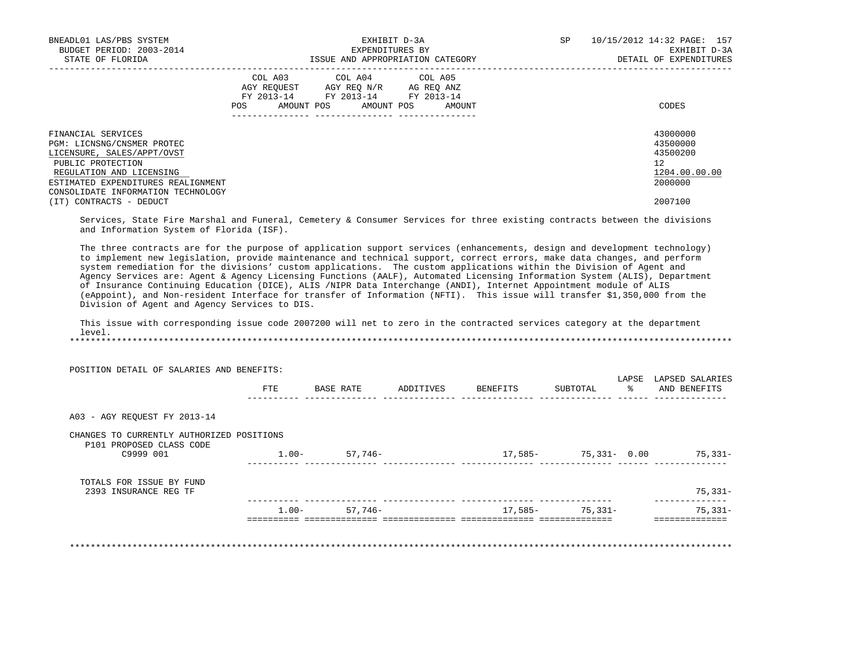| BNEADL01 LAS/PBS SYSTEM<br>BUDGET PERIOD: 2003-2014                                                                             | EXHIBIT D-3A<br>EXPENDITURES BY                                                                                                             | SP<br>10/15/2012 14:32 PAGE: 157<br>EXHIBIT D-3A        |
|---------------------------------------------------------------------------------------------------------------------------------|---------------------------------------------------------------------------------------------------------------------------------------------|---------------------------------------------------------|
| STATE OF FLORIDA                                                                                                                | ISSUE AND APPROPRIATION CATEGORY                                                                                                            | DETAIL OF EXPENDITURES                                  |
|                                                                                                                                 | COL A03 COL A04 COL A05<br>AGY REQUEST AGY REO N/R AG REO ANZ<br>FY 2013-14 FY 2013-14 FY 2013-14<br>AMOUNT POS AMOUNT POS<br>POS<br>AMOUNT | CODES                                                   |
| FINANCIAL SERVICES<br>PGM: LICNSNG/CNSMER PROTEC<br>LICENSURE, SALES/APPT/OVST<br>PUBLIC PROTECTION<br>REGULATION AND LICENSING |                                                                                                                                             | 43000000<br>43500000<br>43500200<br>12<br>1204.00.00.00 |
| ESTIMATED EXPENDITURES REALIGNMENT<br>CONSOLIDATE INFORMATION TECHNOLOGY<br>(IT) CONTRACTS - DEDUCT                             |                                                                                                                                             | 2000000<br>2007100                                      |

 Services, State Fire Marshal and Funeral, Cemetery & Consumer Services for three existing contracts between the divisions and Information System of Florida (ISF).

 The three contracts are for the purpose of application support services (enhancements, design and development technology) to implement new legislation, provide maintenance and technical support, correct errors, make data changes, and perform system remediation for the divisions' custom applications. The custom applications within the Division of Agent and Agency Services are: Agent & Agency Licensing Functions (AALF), Automated Licensing Information System (ALIS), Department of Insurance Continuing Education (DICE), ALIS /NIPR Data Interchange (ANDI), Internet Appointment module of ALIS (eAppoint), and Non-resident Interface for transfer of Information (NFTI). This issue will transfer \$1,350,000 from the Division of Agent and Agency Services to DIS.

 This issue with corresponding issue code 2007200 will net to zero in the contracted services category at the department level.

\*\*\*\*\*\*\*\*\*\*\*\*\*\*\*\*\*\*\*\*\*\*\*\*\*\*\*\*\*\*\*\*\*\*\*\*\*\*\*\*\*\*\*\*\*\*\*\*\*\*\*\*\*\*\*\*\*\*\*\*\*\*\*\*\*\*\*\*\*\*\*\*\*\*\*\*\*\*\*\*\*\*\*\*\*\*\*\*\*\*\*\*\*\*\*\*\*\*\*\*\*\*\*\*\*\*\*\*\*\*\*\*\*\*\*\*\*\*\*\*\*\*\*\*\*\*\*

|                                                                       | FTE      | BASE RATE | ADDITIVES | BENEFITS | SUBTOTAL             | LAPSE<br>- 왕 | LAPSED SALARIES<br>AND BENEFITS |
|-----------------------------------------------------------------------|----------|-----------|-----------|----------|----------------------|--------------|---------------------------------|
| A03 - AGY REOUEST FY 2013-14                                          |          |           |           |          |                      |              |                                 |
| CHANGES TO CURRENTLY AUTHORIZED POSITIONS<br>P101 PROPOSED CLASS CODE |          |           |           |          |                      |              |                                 |
| C9999 001                                                             | $1.00-$  | 57,746–   |           |          | 17,585- 75,331- 0.00 |              | 75,331-                         |
| TOTALS FOR ISSUE BY FUND<br>2393 INSURANCE REG TF                     |          |           |           |          |                      |              | $75,331-$                       |
|                                                                       | $1.00 -$ | 57,746–   |           | 17,585-  | $75.331 -$           |              | $75,331-$                       |
|                                                                       |          |           |           |          |                      |              | ========                        |

\*\*\*\*\*\*\*\*\*\*\*\*\*\*\*\*\*\*\*\*\*\*\*\*\*\*\*\*\*\*\*\*\*\*\*\*\*\*\*\*\*\*\*\*\*\*\*\*\*\*\*\*\*\*\*\*\*\*\*\*\*\*\*\*\*\*\*\*\*\*\*\*\*\*\*\*\*\*\*\*\*\*\*\*\*\*\*\*\*\*\*\*\*\*\*\*\*\*\*\*\*\*\*\*\*\*\*\*\*\*\*\*\*\*\*\*\*\*\*\*\*\*\*\*\*\*\*

POSITION DETAIL OF SALARIES AND BENEFITS: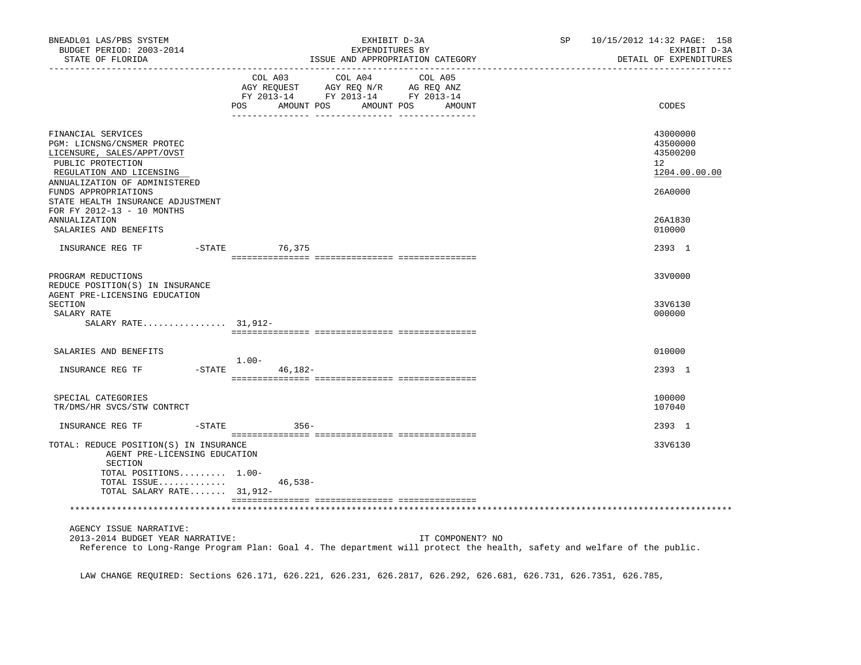| BNEADL01 LAS/PBS SYSTEM<br>BUDGET PERIOD: 2003-2014<br>STATE OF FLORIDA                                                                                                                                                                                     |                    |                                                                                                                    | EXHIBIT D-3A<br>EXPENDITURES BY<br>ISSUE AND APPROPRIATION CATEGORY |         |                   | 10/15/2012 14:32 PAGE: 158<br>SP<br>EXHIBIT D-3A<br>DETAIL OF EXPENDITURES |  |                                                                    |
|-------------------------------------------------------------------------------------------------------------------------------------------------------------------------------------------------------------------------------------------------------------|--------------------|--------------------------------------------------------------------------------------------------------------------|---------------------------------------------------------------------|---------|-------------------|----------------------------------------------------------------------------|--|--------------------------------------------------------------------|
|                                                                                                                                                                                                                                                             | POS                | COL A03 COL A04<br>COL AUS<br>AGY REQUEST AGY REQ N/R AG REQ ANZ<br>FY 2013-14 FY 2013-14 FY 2013-14<br>AMOUNT POS |                                                                     | COL A05 | AMOUNT POS AMOUNT |                                                                            |  | CODES                                                              |
| FINANCIAL SERVICES<br>PGM: LICNSNG/CNSMER PROTEC<br>LICENSURE, SALES/APPT/OVST<br>PUBLIC PROTECTION<br>REGULATION AND LICENSING<br>ANNUALIZATION OF ADMINISTERED<br>FUNDS APPROPRIATIONS<br>STATE HEALTH INSURANCE ADJUSTMENT<br>FOR FY 2012-13 - 10 MONTHS |                    |                                                                                                                    |                                                                     |         |                   |                                                                            |  | 43000000<br>43500000<br>43500200<br>12<br>1204.00.00.00<br>26A0000 |
| ANNUALIZATION<br>SALARIES AND BENEFITS                                                                                                                                                                                                                      |                    |                                                                                                                    |                                                                     |         |                   |                                                                            |  | 26A1830<br>010000                                                  |
| INSURANCE REG TF                                                                                                                                                                                                                                            | -STATE 76,375      |                                                                                                                    |                                                                     |         |                   |                                                                            |  | 2393 1                                                             |
| PROGRAM REDUCTIONS<br>REDUCE POSITION(S) IN INSURANCE<br>AGENT PRE-LICENSING EDUCATION<br>SECTION<br>SALARY RATE                                                                                                                                            |                    |                                                                                                                    |                                                                     |         |                   |                                                                            |  | 33V0000<br>33V6130<br>000000                                       |
| SALARY RATE $31,912-$                                                                                                                                                                                                                                       |                    |                                                                                                                    |                                                                     |         |                   |                                                                            |  |                                                                    |
| SALARIES AND BENEFITS                                                                                                                                                                                                                                       | $1.00 -$           |                                                                                                                    |                                                                     |         |                   |                                                                            |  | 010000                                                             |
| INSURANCE REG TF                                                                                                                                                                                                                                            | $-$ STATE 46, 182- |                                                                                                                    |                                                                     |         |                   |                                                                            |  | 2393 1                                                             |
| SPECIAL CATEGORIES<br>TR/DMS/HR SVCS/STW CONTRCT                                                                                                                                                                                                            |                    |                                                                                                                    |                                                                     |         |                   |                                                                            |  | 100000<br>107040                                                   |
| INSURANCE REG TF                                                                                                                                                                                                                                            | $-STATE$ 356-      |                                                                                                                    |                                                                     |         |                   |                                                                            |  | 2393 1                                                             |
| TOTAL: REDUCE POSITION(S) IN INSURANCE<br>AGENT PRE-LICENSING EDUCATION<br>SECTION<br>TOTAL POSITIONS 1.00-<br>TOTAL ISSUE<br>TOTAL SALARY RATE 31,912-                                                                                                     |                    | $46,538-$                                                                                                          |                                                                     |         |                   |                                                                            |  | 33V6130                                                            |
|                                                                                                                                                                                                                                                             |                    |                                                                                                                    |                                                                     |         |                   |                                                                            |  |                                                                    |
| AGENCY ISSUE NARRATIVE:<br>2013-2014 BUDGET YEAR NARRATIVE:<br>Reference to Long-Range Program Plan: Goal 4. The department will protect the health, safety and welfare of the public.                                                                      |                    |                                                                                                                    |                                                                     |         | IT COMPONENT? NO  |                                                                            |  |                                                                    |

LAW CHANGE REQUIRED: Sections 626.171, 626.221, 626.231, 626.2817, 626.292, 626.681, 626.731, 626.7351, 626.785,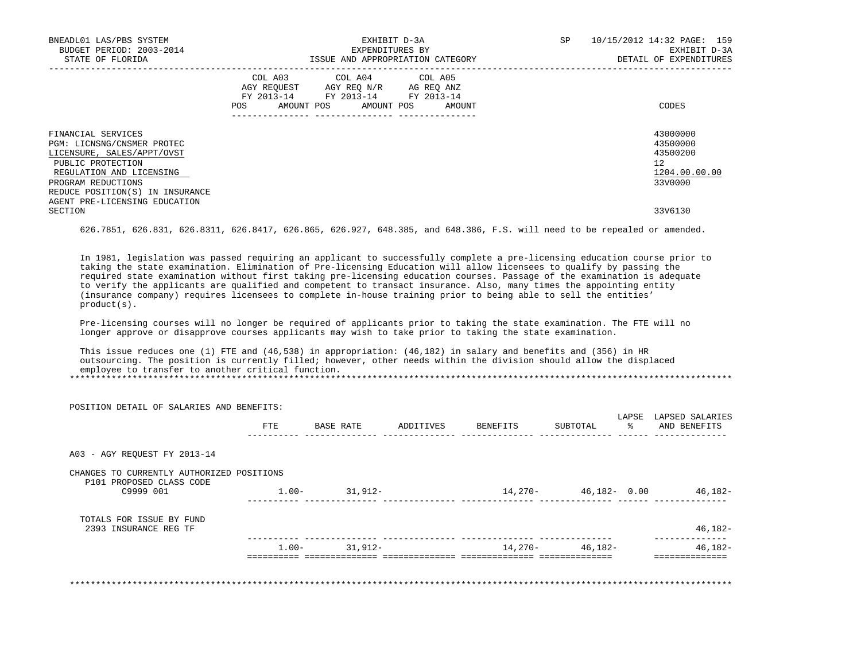| BNEADL01 LAS/PBS SYSTEM<br>BUDGET PERIOD: 2003-2014<br>STATE OF FLORIDA                                                                                                                                                              | EXHIBIT D-3A<br>EXPENDITURES BY<br>ISSUE AND APPROPRIATION CATEGORY                                                                      | 10/15/2012 14:32 PAGE: 159<br><b>SP</b><br>EXHIBIT D-3A<br>DETAIL OF EXPENDITURES |
|--------------------------------------------------------------------------------------------------------------------------------------------------------------------------------------------------------------------------------------|------------------------------------------------------------------------------------------------------------------------------------------|-----------------------------------------------------------------------------------|
|                                                                                                                                                                                                                                      | COL A03 COL A04 COL A05<br>AGY REQUEST AGY REQ N/R AG REQ ANZ<br>FY 2013-14 FY 2013-14 FY 2013-14<br>AMOUNT POS AMOUNT POS AMOUNT<br>POS | CODES                                                                             |
| FINANCIAL SERVICES<br>PGM: LICNSNG/CNSMER PROTEC<br>LICENSURE, SALES/APPT/OVST<br>PUBLIC PROTECTION<br>REGULATION AND LICENSING<br>PROGRAM REDUCTIONS<br>REDUCE POSITION(S) IN INSURANCE<br>AGENT PRE-LICENSING EDUCATION<br>SECTION |                                                                                                                                          | 43000000<br>43500000<br>43500200<br>12<br>1204.00.00.00<br>33V0000<br>33V6130     |

626.7851, 626.831, 626.8311, 626.8417, 626.865, 626.927, 648.385, and 648.386, F.S. will need to be repealed or amended.

 In 1981, legislation was passed requiring an applicant to successfully complete a pre-licensing education course prior to taking the state examination. Elimination of Pre-licensing Education will allow licensees to qualify by passing the required state examination without first taking pre-licensing education courses. Passage of the examination is adequate to verify the applicants are qualified and competent to transact insurance. Also, many times the appointing entity (insurance company) requires licensees to complete in-house training prior to being able to sell the entities' product(s).

 Pre-licensing courses will no longer be required of applicants prior to taking the state examination. The FTE will no longer approve or disapprove courses applicants may wish to take prior to taking the state examination.

 This issue reduces one (1) FTE and (46,538) in appropriation: (46,182) in salary and benefits and (356) in HR outsourcing. The position is currently filled; however, other needs within the division should allow the displaced employee to transfer to another critical function. \*\*\*\*\*\*\*\*\*\*\*\*\*\*\*\*\*\*\*\*\*\*\*\*\*\*\*\*\*\*\*\*\*\*\*\*\*\*\*\*\*\*\*\*\*\*\*\*\*\*\*\*\*\*\*\*\*\*\*\*\*\*\*\*\*\*\*\*\*\*\*\*\*\*\*\*\*\*\*\*\*\*\*\*\*\*\*\*\*\*\*\*\*\*\*\*\*\*\*\*\*\*\*\*\*\*\*\*\*\*\*\*\*\*\*\*\*\*\*\*\*\*\*\*\*\*\*

 POSITION DETAIL OF SALARIES AND BENEFITS: LAPSE LAPSED SALARIES FTE BASE RATE ADDITIVES BENEFITS SUBTOTAL % AND BENEFITS ---------- -------------- -------------- -------------- -------------- ------ -------------- A03 - AGY REQUEST FY 2013-14 CHANGES TO CURRENTLY AUTHORIZED POSITIONS P101 PROPOSED CLASS CODE C9999 001 1.00- 31,912- 14,270- 46,182- 0.00 46,182- ---------- -------------- -------------- -------------- -------------- ------ -------------- TOTALS FOR ISSUE BY FUND 2393 INSURANCE REG TF 46,182- ---------- -------------- -------------- -------------- -------------- -------------- 1.00- 31,912- 14,270- 46,182- 46,182- ========== ============== ============== ============== ============== ============== \*\*\*\*\*\*\*\*\*\*\*\*\*\*\*\*\*\*\*\*\*\*\*\*\*\*\*\*\*\*\*\*\*\*\*\*\*\*\*\*\*\*\*\*\*\*\*\*\*\*\*\*\*\*\*\*\*\*\*\*\*\*\*\*\*\*\*\*\*\*\*\*\*\*\*\*\*\*\*\*\*\*\*\*\*\*\*\*\*\*\*\*\*\*\*\*\*\*\*\*\*\*\*\*\*\*\*\*\*\*\*\*\*\*\*\*\*\*\*\*\*\*\*\*\*\*\*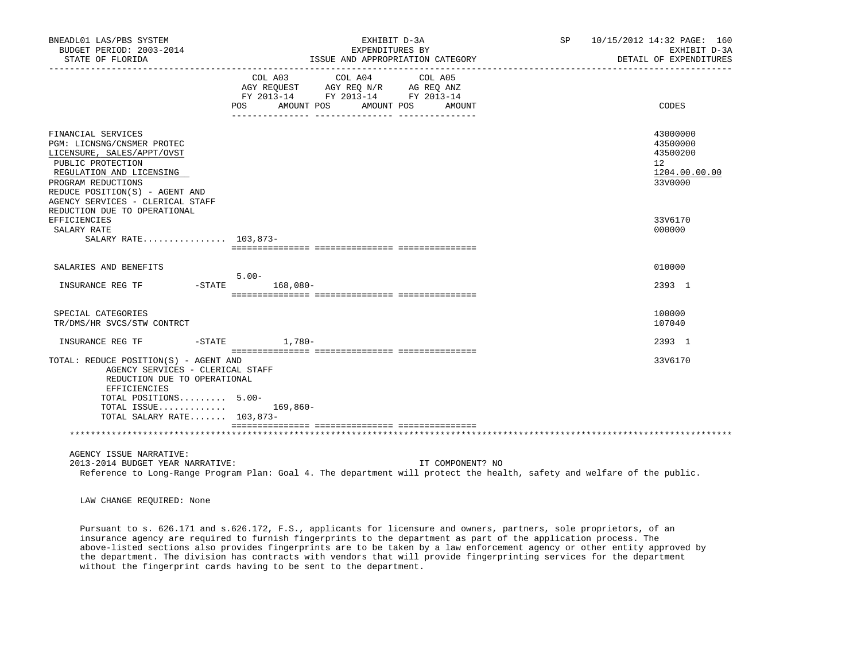| BNEADL01 LAS/PBS SYSTEM<br>BUDGET PERIOD: 2003-2014<br>STATE OF FLORIDA                                                                                                                                                     | EXHIBIT D-3A<br>EXPENDITURES BY<br>ISSUE AND APPROPRIATION CATEGORY                                                                                                                                                                                                                                                                                       | SP 10/15/2012 14:32 PAGE: 160<br>EXHIBIT D-3A<br>DETAIL OF EXPENDITURES |
|-----------------------------------------------------------------------------------------------------------------------------------------------------------------------------------------------------------------------------|-----------------------------------------------------------------------------------------------------------------------------------------------------------------------------------------------------------------------------------------------------------------------------------------------------------------------------------------------------------|-------------------------------------------------------------------------|
|                                                                                                                                                                                                                             | $\begin{tabular}{lllllllllll} &\multicolumn{4}{c}{\text{COL A03}} &\multicolumn{4}{c}{\text{COL A04}} &\multicolumn{4}{c}{\text{COL A05}} \\ \multicolumn{4}{c}{\text{AGY REQUEST}} &\multicolumn{4}{c}{\text{AGY REQ N/R}} &\multicolumn{4}{c}{\text{AG REQ ANZ}} \end{tabular}$<br>FY 2013-14 FY 2013-14 FY 2013-14<br>POS AMOUNT POS AMOUNT POS AMOUNT | CODES                                                                   |
| FINANCIAL SERVICES<br>PGM: LICNSNG/CNSMER PROTEC<br>LICENSURE, SALES/APPT/OVST<br>PUBLIC PROTECTION<br>REGULATION AND LICENSING<br>PROGRAM REDUCTIONS<br>REDUCE POSITION(S) - AGENT AND<br>AGENCY SERVICES - CLERICAL STAFF |                                                                                                                                                                                                                                                                                                                                                           | 43000000<br>43500000<br>43500200<br>12<br>1204.00.00.00<br>33V0000      |
| REDUCTION DUE TO OPERATIONAL<br>EFFICIENCIES<br>SALARY RATE<br>SALARY RATE 103,873-                                                                                                                                         |                                                                                                                                                                                                                                                                                                                                                           | 33V6170<br>000000                                                       |
| SALARIES AND BENEFITS<br>INSURANCE REG TF                                                                                                                                                                                   | $5.00 -$<br>-STATE 168,080-                                                                                                                                                                                                                                                                                                                               | 010000<br>2393 1                                                        |
| SPECIAL CATEGORIES<br>TR/DMS/HR SVCS/STW CONTRCT                                                                                                                                                                            |                                                                                                                                                                                                                                                                                                                                                           | 100000<br>107040                                                        |
| INSURANCE REG TF                                                                                                                                                                                                            | $-$ STATE $1,780-$                                                                                                                                                                                                                                                                                                                                        | 2393 1                                                                  |
| TOTAL: REDUCE POSITION(S) - AGENT AND<br>AGENCY SERVICES - CLERICAL STAFF<br>REDUCTION DUE TO OPERATIONAL<br>EFFICIENCIES<br>TOTAL POSITIONS 5.00-<br>TOTAL ISSUE $169,860-$<br>TOTAL SALARY RATE 103,873-                  |                                                                                                                                                                                                                                                                                                                                                           | 33V6170                                                                 |
|                                                                                                                                                                                                                             |                                                                                                                                                                                                                                                                                                                                                           |                                                                         |
| AGENCY ISSUE NARRATIVE:<br>2013-2014 BUDGET YEAR NARRATIVE:                                                                                                                                                                 | IT COMPONENT? NO<br>Reference to Long-Range Program Plan: Goal 4. The department will protect the health, safety and welfare of the public.                                                                                                                                                                                                               |                                                                         |

LAW CHANGE REQUIRED: None

 Pursuant to s. 626.171 and s.626.172, F.S., applicants for licensure and owners, partners, sole proprietors, of an insurance agency are required to furnish fingerprints to the department as part of the application process. The above-listed sections also provides fingerprints are to be taken by a law enforcement agency or other entity approved by the department. The division has contracts with vendors that will provide fingerprinting services for the department without the fingerprint cards having to be sent to the department.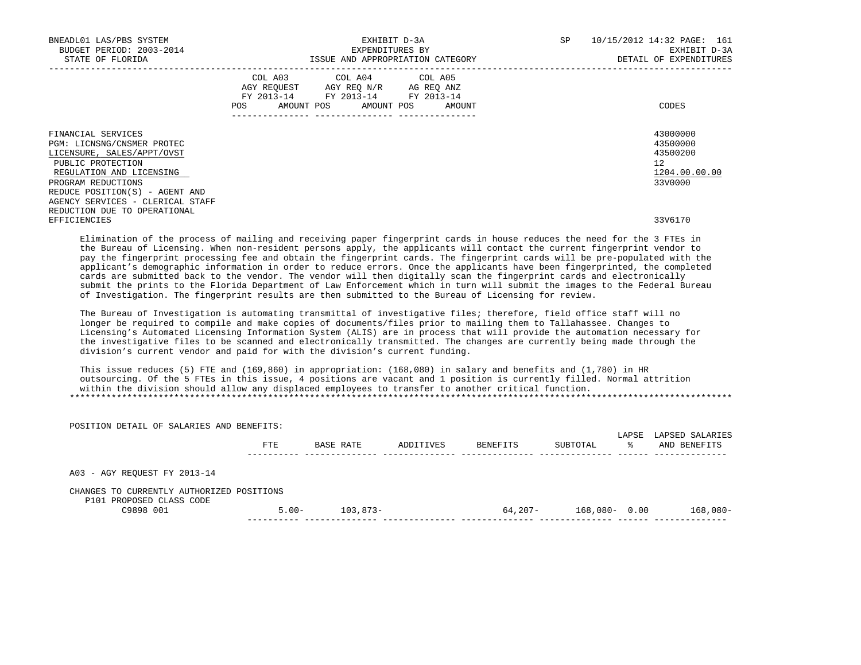| BNEADL01 LAS/PBS SYSTEM<br>BUDGET PERIOD: 2003-2014<br>STATE OF FLORIDA                                                                                                                                                     |                                                                                                                | EXHIBIT D-3A<br>EXPENDITURES BY<br>ISSUE AND APPROPRIATION CATEGORY                               | SP                           | 10/15/2012 14:32 PAGE: 161<br>EXHIBIT D-3A<br>DETAIL OF EXPENDITURES |                                                                                 |
|-----------------------------------------------------------------------------------------------------------------------------------------------------------------------------------------------------------------------------|----------------------------------------------------------------------------------------------------------------|---------------------------------------------------------------------------------------------------|------------------------------|----------------------------------------------------------------------|---------------------------------------------------------------------------------|
|                                                                                                                                                                                                                             | POS FOR THE POST OF THE STATE STATE STATE STATE STATE STATE STATE STATE STATE STATE STATE STATE STATE STATE ST | COL A03 COL A04 COL A05<br>AGY REQUEST AGY REQ N/R AG REQ ANZ<br>FY 2013-14 FY 2013-14 FY 2013-14 | AMOUNT POS AMOUNT POS AMOUNT |                                                                      | CODES                                                                           |
| FINANCIAL SERVICES<br>PGM: LICNSNG/CNSMER PROTEC<br>LICENSURE, SALES/APPT/OVST<br>PUBLIC PROTECTION<br>REGULATION AND LICENSING<br>PROGRAM REDUCTIONS<br>REDUCE POSITION(S) - AGENT AND<br>AGENCY SERVICES - CLERICAL STAFF |                                                                                                                |                                                                                                   |                              |                                                                      | 43000000<br>43500000<br>43500200<br>12 <sup>7</sup><br>1204.00.00.00<br>33V0000 |
| REDUCTION DUE TO OPERATIONAL<br>EFFICIENCIES                                                                                                                                                                                |                                                                                                                |                                                                                                   |                              |                                                                      | 33V6170                                                                         |

 Elimination of the process of mailing and receiving paper fingerprint cards in house reduces the need for the 3 FTEs in the Bureau of Licensing. When non-resident persons apply, the applicants will contact the current fingerprint vendor to pay the fingerprint processing fee and obtain the fingerprint cards. The fingerprint cards will be pre-populated with the applicant's demographic information in order to reduce errors. Once the applicants have been fingerprinted, the completed cards are submitted back to the vendor. The vendor will then digitally scan the fingerprint cards and electronically submit the prints to the Florida Department of Law Enforcement which in turn will submit the images to the Federal Bureau of Investigation. The fingerprint results are then submitted to the Bureau of Licensing for review.

 The Bureau of Investigation is automating transmittal of investigative files; therefore, field office staff will no longer be required to compile and make copies of documents/files prior to mailing them to Tallahassee. Changes to Licensing's Automated Licensing Information System (ALIS) are in process that will provide the automation necessary for the investigative files to be scanned and electronically transmitted. The changes are currently being made through the division's current vendor and paid for with the division's current funding.

 This issue reduces (5) FTE and (169,860) in appropriation: (168,080) in salary and benefits and (1,780) in HR outsourcing. Of the 5 FTEs in this issue, 4 positions are vacant and 1 position is currently filled. Normal attrition within the division should allow any displaced employees to transfer to another critical function. \*\*\*\*\*\*\*\*\*\*\*\*\*\*\*\*\*\*\*\*\*\*\*\*\*\*\*\*\*\*\*\*\*\*\*\*\*\*\*\*\*\*\*\*\*\*\*\*\*\*\*\*\*\*\*\*\*\*\*\*\*\*\*\*\*\*\*\*\*\*\*\*\*\*\*\*\*\*\*\*\*\*\*\*\*\*\*\*\*\*\*\*\*\*\*\*\*\*\*\*\*\*\*\*\*\*\*\*\*\*\*\*\*\*\*\*\*\*\*\*\*\*\*\*\*\*\*

| POSITION DETAIL OF SALARIES AND BENEFITS:                             |          |           |           |          |                  |            |                                 |
|-----------------------------------------------------------------------|----------|-----------|-----------|----------|------------------|------------|---------------------------------|
|                                                                       | FTE      | BASE RATE | ADDITIVES | BENEFITS | SUBTOTAL         | LAPSE<br>ႜ | LAPSED SALARIES<br>AND BENEFITS |
| A03 - AGY REOUEST FY 2013-14                                          |          |           |           |          |                  |            |                                 |
| CHANGES TO CURRENTLY AUTHORIZED POSITIONS<br>P101 PROPOSED CLASS CODE |          |           |           |          |                  |            |                                 |
| C9898 001                                                             | $5.00 -$ | 103,873-  |           | 64,207-  | $168,080 - 0.00$ |            | $168,080-$                      |
|                                                                       |          |           |           |          |                  |            |                                 |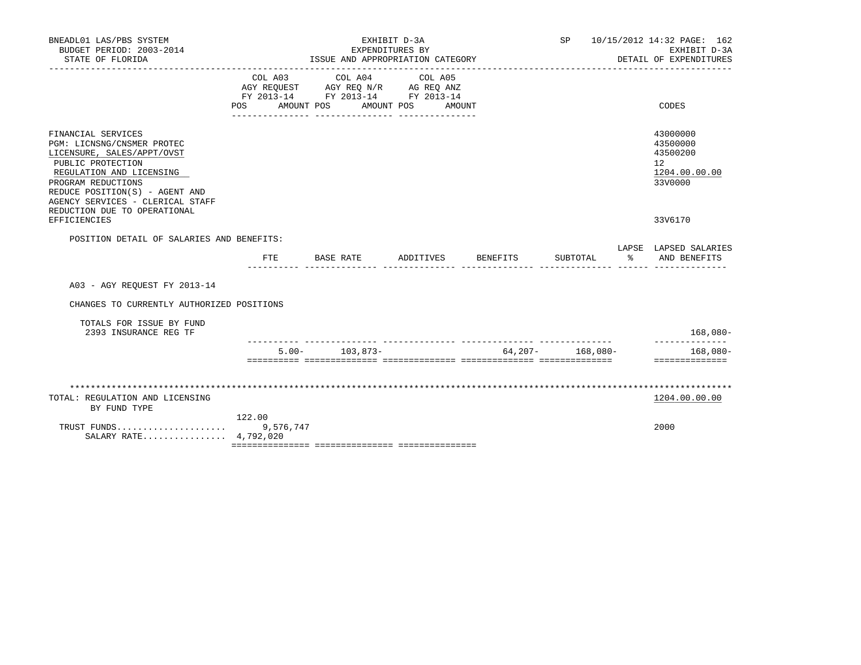| BNEADL01 LAS/PBS SYSTEM<br>BUDGET PERIOD: 2003-2014<br>STATE OF FLORIDA                                                                                                                                                                                     |                                                                                                                                                                                                                |            | EXPENDITURES BY<br>ISSUE AND APPROPRIATION CATEGORY       | EXHIBIT D-3A |        |          |                      |    | SP 10/15/2012 14:32 PAGE: 162<br>EXHIBIT D-3A<br>DETAIL OF EXPENDITURES |
|-------------------------------------------------------------------------------------------------------------------------------------------------------------------------------------------------------------------------------------------------------------|----------------------------------------------------------------------------------------------------------------------------------------------------------------------------------------------------------------|------------|-----------------------------------------------------------|--------------|--------|----------|----------------------|----|-------------------------------------------------------------------------|
|                                                                                                                                                                                                                                                             | COL A03<br>$\begin{tabular}{lllllll} AGY & \texttt{REQUEST} & \texttt{AGY} & \texttt{REG} & \texttt{N/R} & \texttt{AG} & \texttt{REQ} & \texttt{ANZ} \end{tabular}$<br>FY 2013-14 FY 2013-14 FY 2013-14<br>POS | AMOUNT POS | ________________________________<br>COL A04<br>AMOUNT POS | COL A05      | AMOUNT |          |                      |    | CODES                                                                   |
| FINANCIAL SERVICES<br>PGM: LICNSNG/CNSMER PROTEC<br>LICENSURE, SALES/APPT/OVST<br>PUBLIC PROTECTION<br>REGULATION AND LICENSING<br>PROGRAM REDUCTIONS<br>REDUCE POSITION(S) - AGENT AND<br>AGENCY SERVICES - CLERICAL STAFF<br>REDUCTION DUE TO OPERATIONAL |                                                                                                                                                                                                                |            |                                                           |              |        |          |                      |    | 43000000<br>43500000<br>43500200<br>12<br>1204.00.00.00<br>33V0000      |
| EFFICIENCIES                                                                                                                                                                                                                                                |                                                                                                                                                                                                                |            |                                                           |              |        |          |                      |    | 33V6170                                                                 |
| POSITION DETAIL OF SALARIES AND BENEFITS:                                                                                                                                                                                                                   | FTE.                                                                                                                                                                                                           | BASE RATE  |                                                           | ADDITIVES    |        | BENEFITS | SUBTOTAL             | န္ | LAPSE LAPSED SALARIES<br>AND BENEFITS                                   |
| A03 - AGY REOUEST FY 2013-14                                                                                                                                                                                                                                |                                                                                                                                                                                                                |            |                                                           |              |        |          |                      |    |                                                                         |
| CHANGES TO CURRENTLY AUTHORIZED POSITIONS                                                                                                                                                                                                                   |                                                                                                                                                                                                                |            |                                                           |              |        |          |                      |    |                                                                         |
| TOTALS FOR ISSUE BY FUND<br>2393 INSURANCE REG TF                                                                                                                                                                                                           |                                                                                                                                                                                                                |            |                                                           |              |        |          |                      |    | $168,080-$                                                              |
|                                                                                                                                                                                                                                                             |                                                                                                                                                                                                                | $5.00 -$   | 103,873-                                                  |              |        |          | $64,207 - 168,080 -$ |    | $168.080 -$<br>==============                                           |
|                                                                                                                                                                                                                                                             |                                                                                                                                                                                                                |            |                                                           |              |        |          |                      |    |                                                                         |
| TOTAL: REGULATION AND LICENSING<br>BY FUND TYPE                                                                                                                                                                                                             |                                                                                                                                                                                                                |            |                                                           |              |        |          |                      |    | 1204.00.00.00                                                           |
| SALARY RATE 4,792,020                                                                                                                                                                                                                                       | 122.00                                                                                                                                                                                                         |            |                                                           |              |        |          |                      |    | 2000                                                                    |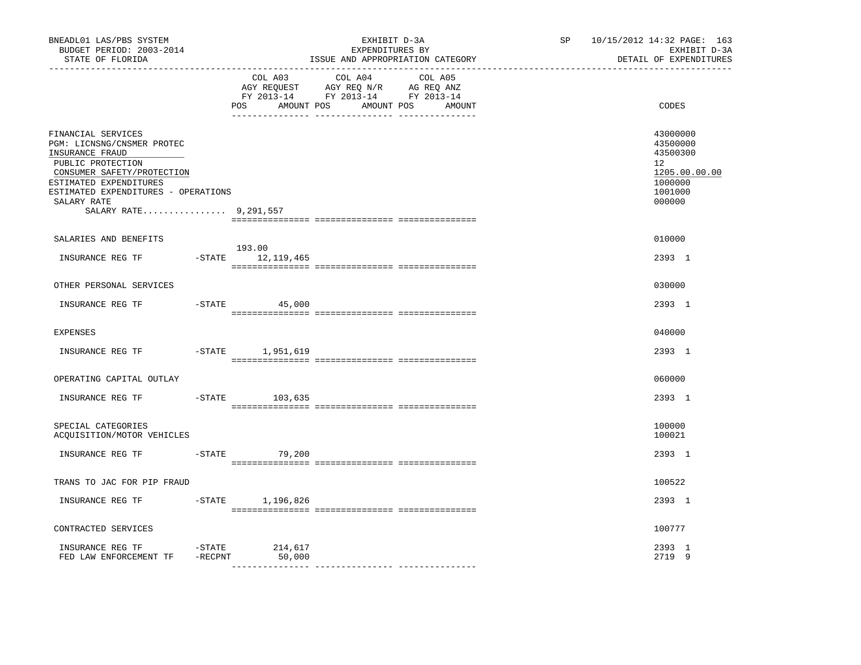| BNEADL01 LAS/PBS SYSTEM<br>BUDGET PERIOD: 2003-2014<br>STATE OF FLORIDA<br>-----------------                                                                                                                                    |                                    | EXHIBIT D-3A<br>EXPENDITURES BY<br>ISSUE AND APPROPRIATION CATEGORY                                                          | SP and the set of the set of the set of the set of the set of the set of the set of the set of the set of the set of the set of the set of the set of the set of the set of the set of the set of the set of the set of the se | 10/15/2012 14:32 PAGE: 163<br>EXHIBIT D-3A<br>DETAIL OF EXPENDITURES                    |
|---------------------------------------------------------------------------------------------------------------------------------------------------------------------------------------------------------------------------------|------------------------------------|------------------------------------------------------------------------------------------------------------------------------|--------------------------------------------------------------------------------------------------------------------------------------------------------------------------------------------------------------------------------|-----------------------------------------------------------------------------------------|
|                                                                                                                                                                                                                                 | COL A03<br>POS                     | COL A04<br>COL A05<br>AGY REQUEST AGY REQ N/R AG REQ ANZ<br>FY 2013-14 FY 2013-14 FY 2013-14<br>AMOUNT POS AMOUNT POS AMOUNT |                                                                                                                                                                                                                                | CODES                                                                                   |
| FINANCIAL SERVICES<br>PGM: LICNSNG/CNSMER PROTEC<br>INSURANCE FRAUD<br>PUBLIC PROTECTION<br>CONSUMER SAFETY/PROTECTION<br>ESTIMATED EXPENDITURES<br>ESTIMATED EXPENDITURES - OPERATIONS<br>SALARY RATE<br>SALARY RATE 9,291,557 |                                    |                                                                                                                              |                                                                                                                                                                                                                                | 43000000<br>43500000<br>43500300<br>12<br>1205.00.00.00<br>1000000<br>1001000<br>000000 |
| SALARIES AND BENEFITS                                                                                                                                                                                                           |                                    |                                                                                                                              |                                                                                                                                                                                                                                | 010000                                                                                  |
| INSURANCE REG TF                                                                                                                                                                                                                | 193.00<br>$-$ STATE $12, 119, 465$ |                                                                                                                              |                                                                                                                                                                                                                                | 2393 1                                                                                  |
| OTHER PERSONAL SERVICES                                                                                                                                                                                                         |                                    |                                                                                                                              |                                                                                                                                                                                                                                | 030000                                                                                  |
| INSURANCE REG TF                                                                                                                                                                                                                | $-STATE$ 45,000                    |                                                                                                                              |                                                                                                                                                                                                                                | 2393 1                                                                                  |
| <b>EXPENSES</b>                                                                                                                                                                                                                 |                                    |                                                                                                                              |                                                                                                                                                                                                                                | 040000                                                                                  |
| INSURANCE REG TF                                                                                                                                                                                                                | -STATE 1,951,619                   |                                                                                                                              |                                                                                                                                                                                                                                | 2393 1                                                                                  |
| OPERATING CAPITAL OUTLAY                                                                                                                                                                                                        |                                    |                                                                                                                              |                                                                                                                                                                                                                                | 060000                                                                                  |
| INSURANCE REG TF<br>$-$ STATE                                                                                                                                                                                                   | 103,635                            |                                                                                                                              |                                                                                                                                                                                                                                | 2393 1                                                                                  |
| SPECIAL CATEGORIES<br>ACQUISITION/MOTOR VEHICLES                                                                                                                                                                                |                                    |                                                                                                                              |                                                                                                                                                                                                                                | 100000<br>100021                                                                        |
|                                                                                                                                                                                                                                 |                                    |                                                                                                                              |                                                                                                                                                                                                                                | 2393 1                                                                                  |
| TRANS TO JAC FOR PIP FRAUD                                                                                                                                                                                                      |                                    |                                                                                                                              |                                                                                                                                                                                                                                | 100522                                                                                  |
| INSURANCE REG TF                                                                                                                                                                                                                | $-$ STATE $1, 196, 826$            |                                                                                                                              |                                                                                                                                                                                                                                | 2393 1                                                                                  |
| CONTRACTED SERVICES                                                                                                                                                                                                             |                                    |                                                                                                                              |                                                                                                                                                                                                                                | 100777                                                                                  |
| $-STATE$<br>INSURANCE REG TF<br>FED LAW ENFORCEMENT TF -RECPNT                                                                                                                                                                  | 214,617<br>50,000                  |                                                                                                                              |                                                                                                                                                                                                                                | 2393 1<br>2719 9                                                                        |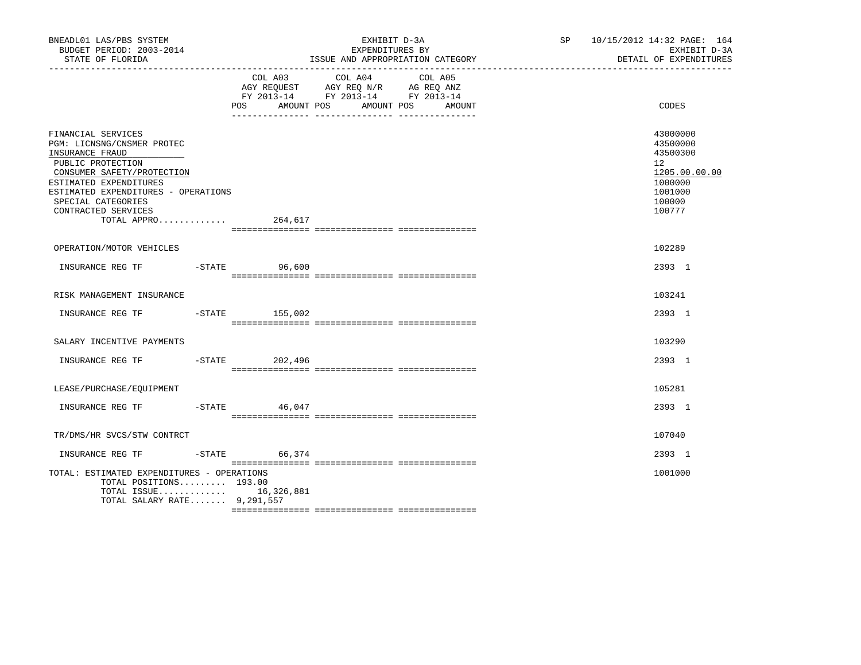| BNEADL01 LAS/PBS SYSTEM<br>BUDGET PERIOD: 2003-2014<br>STATE OF FLORIDA                                                                                                                                                                             |                   | EXHIBIT D-3A<br>EXPENDITURES BY<br>ISSUE AND APPROPRIATION CATEGORY                                                    | SP 10/15/2012 14:32 PAGE: 164<br>DETAIL OF EXPENDITURES                          | EXHIBIT D-3A  |  |
|-----------------------------------------------------------------------------------------------------------------------------------------------------------------------------------------------------------------------------------------------------|-------------------|------------------------------------------------------------------------------------------------------------------------|----------------------------------------------------------------------------------|---------------|--|
|                                                                                                                                                                                                                                                     | AMOUNT POS<br>POS | COL A03 COL A04 COL A05<br>AGY REQUEST AGY REQ N/R AG REQ ANZ<br>FY 2013-14 FY 2013-14 FY 2013-14<br>AMOUNT POS AMOUNT | CODES                                                                            |               |  |
| FINANCIAL SERVICES<br>PGM: LICNSNG/CNSMER PROTEC<br>INSURANCE FRAUD<br>PUBLIC PROTECTION<br>CONSUMER SAFETY/PROTECTION<br>ESTIMATED EXPENDITURES<br>ESTIMATED EXPENDITURES - OPERATIONS<br>SPECIAL CATEGORIES<br>CONTRACTED SERVICES<br>TOTAL APPRO | 264,617           |                                                                                                                        | 43000000<br>43500000<br>43500300<br>12<br>1000000<br>1001000<br>100000<br>100777 | 1205.00.00.00 |  |
| OPERATION/MOTOR VEHICLES                                                                                                                                                                                                                            |                   |                                                                                                                        | 102289                                                                           |               |  |
| INSURANCE REG TF                                                                                                                                                                                                                                    | -STATE 96,600     |                                                                                                                        | 2393 1                                                                           |               |  |
| RISK MANAGEMENT INSURANCE                                                                                                                                                                                                                           |                   |                                                                                                                        | 103241                                                                           |               |  |
|                                                                                                                                                                                                                                                     |                   |                                                                                                                        | 2393 1                                                                           |               |  |
| SALARY INCENTIVE PAYMENTS                                                                                                                                                                                                                           |                   |                                                                                                                        | 103290                                                                           |               |  |
| INSURANCE REG TF -STATE 202,496                                                                                                                                                                                                                     |                   |                                                                                                                        | 2393 1                                                                           |               |  |
| LEASE/PURCHASE/EQUIPMENT                                                                                                                                                                                                                            |                   |                                                                                                                        | 105281                                                                           |               |  |
| INSURANCE REG TF                                                                                                                                                                                                                                    | $-$ STATE 46,047  |                                                                                                                        | 2393 1                                                                           |               |  |
| TR/DMS/HR SVCS/STW CONTRCT                                                                                                                                                                                                                          |                   |                                                                                                                        | 107040                                                                           |               |  |
| INSURANCE REG TF                                                                                                                                                                                                                                    | $-$ STATE 66,374  |                                                                                                                        | 2393 1                                                                           |               |  |
| TOTAL: ESTIMATED EXPENDITURES - OPERATIONS<br>TOTAL POSITIONS 193.00<br>TOTAL ISSUE 16,326,881<br>TOTAL SALARY RATE 9,291,557                                                                                                                       |                   |                                                                                                                        | 1001000                                                                          |               |  |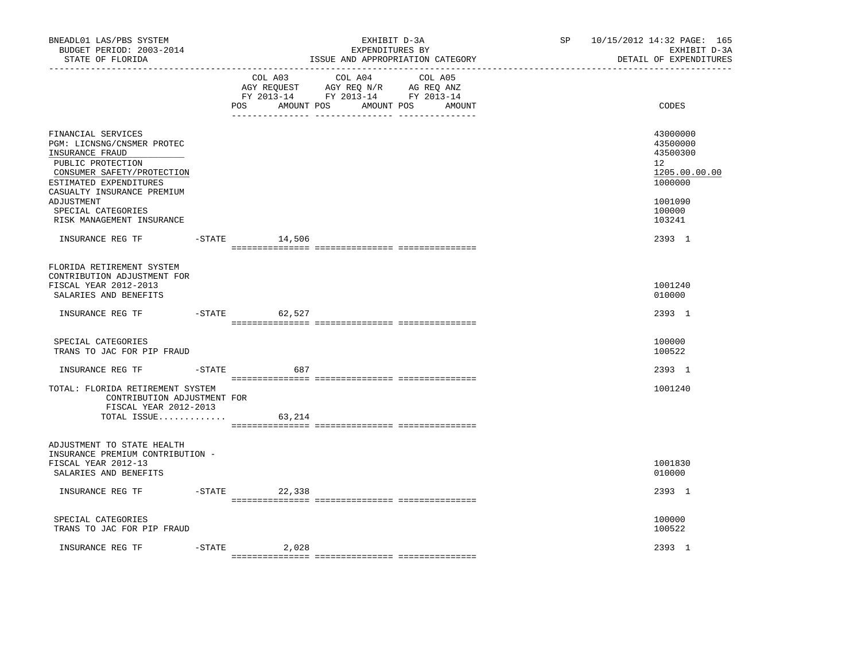| BNEADL01 LAS/PBS SYSTEM<br>BUDGET PERIOD: 2003-2014<br>STATE OF FLORIDA                                                                                                                                                                         |           |                    | EXHIBIT D-3A<br>EXPENDITURES BY<br>ISSUE AND APPROPRIATION CATEGORY                                                       | 10/15/2012 14:32 PAGE: 165<br>SP<br>EXHIBIT D-3A<br>DETAIL OF EXPENDITURES |                                                                                                   |  |
|-------------------------------------------------------------------------------------------------------------------------------------------------------------------------------------------------------------------------------------------------|-----------|--------------------|---------------------------------------------------------------------------------------------------------------------------|----------------------------------------------------------------------------|---------------------------------------------------------------------------------------------------|--|
|                                                                                                                                                                                                                                                 |           | POS<br>AMOUNT POS  | COL A03 COL A04 COL A05<br>AGY REQUEST AGY REQ N/R AG REQ ANZ<br>FY 2013-14 FY 2013-14 FY 2013-14<br>AMOUNT POS<br>AMOUNT |                                                                            | CODES                                                                                             |  |
| FINANCIAL SERVICES<br>PGM: LICNSNG/CNSMER PROTEC<br>INSURANCE FRAUD<br>PUBLIC PROTECTION<br>CONSUMER SAFETY/PROTECTION<br>ESTIMATED EXPENDITURES<br>CASUALTY INSURANCE PREMIUM<br>ADJUSTMENT<br>SPECIAL CATEGORIES<br>RISK MANAGEMENT INSURANCE |           |                    |                                                                                                                           |                                                                            | 43000000<br>43500000<br>43500300<br>12<br>1205.00.00.00<br>1000000<br>1001090<br>100000<br>103241 |  |
| INSURANCE REG TF                                                                                                                                                                                                                                |           | $-STATE$<br>14,506 |                                                                                                                           |                                                                            | 2393 1                                                                                            |  |
| FLORIDA RETIREMENT SYSTEM<br>CONTRIBUTION ADJUSTMENT FOR<br>FISCAL YEAR 2012-2013<br>SALARIES AND BENEFITS                                                                                                                                      |           |                    |                                                                                                                           |                                                                            | 1001240<br>010000                                                                                 |  |
| INSURANCE REG TF                                                                                                                                                                                                                                |           | -STATE 62,527      |                                                                                                                           |                                                                            | 2393 1                                                                                            |  |
| SPECIAL CATEGORIES<br>TRANS TO JAC FOR PIP FRAUD                                                                                                                                                                                                |           |                    |                                                                                                                           |                                                                            | 100000<br>100522                                                                                  |  |
| INSURANCE REG TF                                                                                                                                                                                                                                |           | $-STATE$<br>687    |                                                                                                                           |                                                                            | 2393 1                                                                                            |  |
| TOTAL: FLORIDA RETIREMENT SYSTEM<br>CONTRIBUTION ADJUSTMENT FOR<br>FISCAL YEAR 2012-2013                                                                                                                                                        |           |                    |                                                                                                                           |                                                                            | 1001240                                                                                           |  |
| TOTAL ISSUE                                                                                                                                                                                                                                     |           | 63,214             |                                                                                                                           |                                                                            |                                                                                                   |  |
| ADJUSTMENT TO STATE HEALTH<br>INSURANCE PREMIUM CONTRIBUTION -<br>FISCAL YEAR 2012-13<br>SALARIES AND BENEFITS                                                                                                                                  |           |                    |                                                                                                                           |                                                                            | 1001830<br>010000                                                                                 |  |
| INSURANCE REG TF                                                                                                                                                                                                                                |           | $-STATE$ 22,338    |                                                                                                                           |                                                                            | 2393 1                                                                                            |  |
| SPECIAL CATEGORIES<br>TRANS TO JAC FOR PIP FRAUD                                                                                                                                                                                                |           |                    |                                                                                                                           |                                                                            | 100000<br>100522                                                                                  |  |
| INSURANCE REG TF                                                                                                                                                                                                                                | $-$ STATE | 2,028              |                                                                                                                           |                                                                            | 2393 1                                                                                            |  |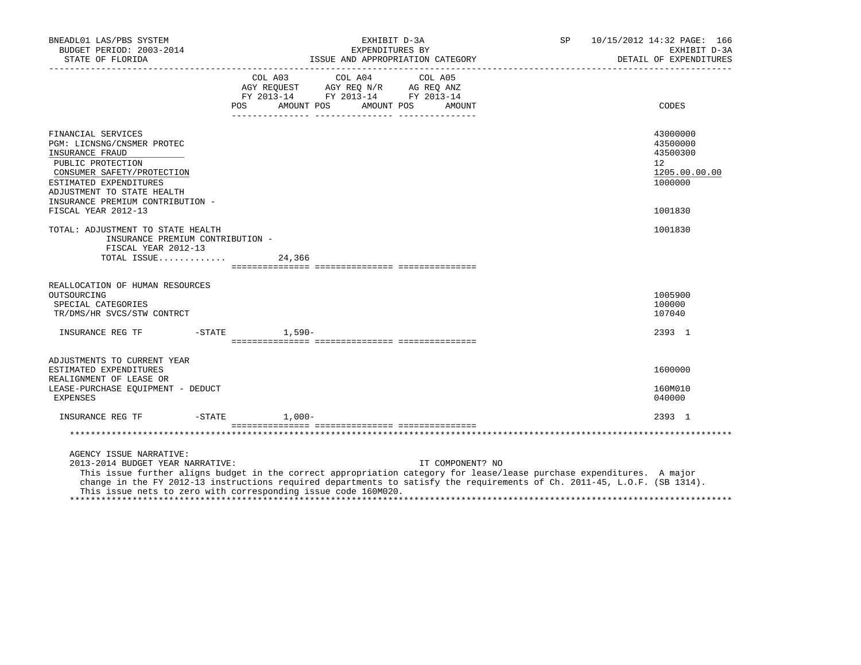| BNEADL01 LAS/PBS SYSTEM<br>BUDGET PERIOD: 2003-2014<br>STATE OF FLORIDA                                                                                                                                            |                 |                                                                                                                       | EXHIBIT D-3A<br>EXPENDITURES BY |         | ISSUE AND APPROPRIATION CATEGORY | SP                                                                                                                                                                                                                                                | 10/15/2012 14:32 PAGE: 166<br>EXHIBIT D-3A<br>DETAIL OF EXPENDITURES |
|--------------------------------------------------------------------------------------------------------------------------------------------------------------------------------------------------------------------|-----------------|-----------------------------------------------------------------------------------------------------------------------|---------------------------------|---------|----------------------------------|---------------------------------------------------------------------------------------------------------------------------------------------------------------------------------------------------------------------------------------------------|----------------------------------------------------------------------|
|                                                                                                                                                                                                                    |                 | COL A03<br>AGY REQUEST AGY REQ N/R AG REQ ANZ<br>FY 2013-14 FY 2013-14 FY 2013-14<br>POS AMOUNT POS AMOUNT POS AMOUNT | COL A04                         | COL A05 |                                  |                                                                                                                                                                                                                                                   | CODES                                                                |
| FINANCIAL SERVICES<br>PGM: LICNSNG/CNSMER PROTEC<br>INSURANCE FRAUD<br>PUBLIC PROTECTION<br>CONSUMER SAFETY/PROTECTION<br>ESTIMATED EXPENDITURES<br>ADJUSTMENT TO STATE HEALTH<br>INSURANCE PREMIUM CONTRIBUTION - |                 |                                                                                                                       |                                 |         |                                  |                                                                                                                                                                                                                                                   | 43000000<br>43500000<br>43500300<br>12<br>1205.00.00.00<br>1000000   |
| FISCAL YEAR 2012-13                                                                                                                                                                                                |                 |                                                                                                                       |                                 |         |                                  |                                                                                                                                                                                                                                                   | 1001830                                                              |
| TOTAL: ADJUSTMENT TO STATE HEALTH<br>INSURANCE PREMIUM CONTRIBUTION -<br>FISCAL YEAR 2012-13<br>TOTAL ISSUE                                                                                                        |                 | 24,366                                                                                                                |                                 |         |                                  |                                                                                                                                                                                                                                                   | 1001830                                                              |
| REALLOCATION OF HUMAN RESOURCES<br>OUTSOURCING<br>SPECIAL CATEGORIES<br>TR/DMS/HR SVCS/STW CONTRCT                                                                                                                 |                 |                                                                                                                       |                                 |         |                                  |                                                                                                                                                                                                                                                   | 1005900<br>100000<br>107040                                          |
| INSURANCE REG TF    -STATE    1,590-                                                                                                                                                                               |                 |                                                                                                                       |                                 |         |                                  |                                                                                                                                                                                                                                                   | 2393 1                                                               |
| ADJUSTMENTS TO CURRENT YEAR<br>ESTIMATED EXPENDITURES<br>REALIGNMENT OF LEASE OR<br>LEASE-PURCHASE EOUIPMENT - DEDUCT<br>EXPENSES                                                                                  |                 |                                                                                                                       |                                 |         |                                  |                                                                                                                                                                                                                                                   | 1600000<br>160M010<br>040000                                         |
| INSURANCE REG TF                                                                                                                                                                                                   | $-STATE$ 1,000- |                                                                                                                       |                                 |         |                                  |                                                                                                                                                                                                                                                   | 2393 1                                                               |
|                                                                                                                                                                                                                    |                 |                                                                                                                       |                                 |         |                                  |                                                                                                                                                                                                                                                   |                                                                      |
| AGENCY ISSUE NARRATIVE:<br>2013-2014 BUDGET YEAR NARRATIVE:<br>This issue nets to zero with corresponding issue code 160M020.                                                                                      |                 |                                                                                                                       |                                 |         | IT COMPONENT? NO                 | This issue further aligns budget in the correct appropriation category for lease/lease purchase expenditures. A major<br>change in the FY 2012-13 instructions required departments to satisfy the requirements of Ch. 2011-45, L.O.F. (SB 1314). |                                                                      |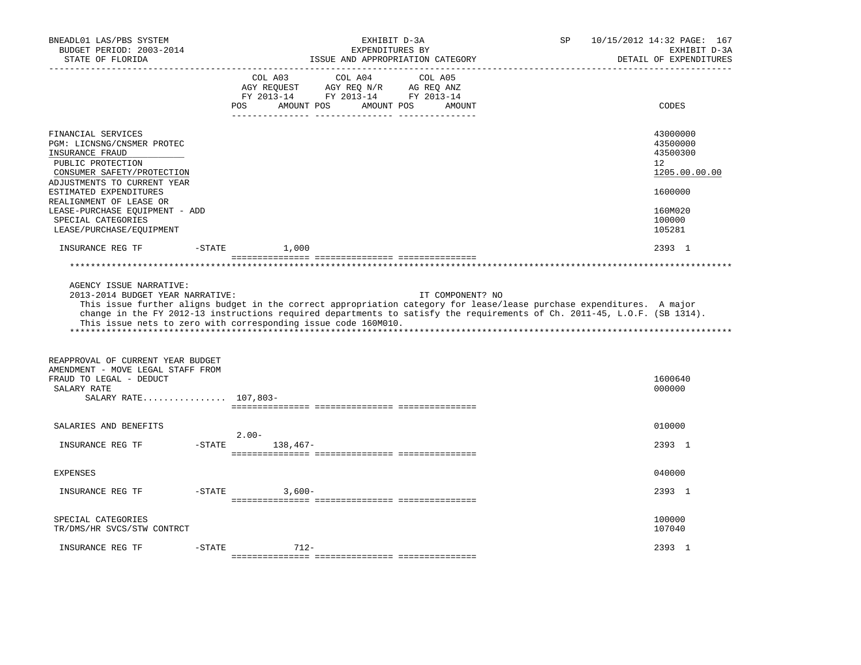| BNEADL01 LAS/PBS SYSTEM<br>BUDGET PERIOD: 2003-2014<br>STATE OF FLORIDA                                                                                                                                                                                                                        |           | EXHIBIT D-3A<br>EXPENDITURES BY<br>ISSUE AND APPROPRIATION CATEGORY<br>-------------------------------                                                                                                                                                                                                                                  | 10/15/2012 14:32 PAGE: 167<br>SP<br>EXHIBIT D-3A<br>DETAIL OF EXPENDITURES                                  |
|------------------------------------------------------------------------------------------------------------------------------------------------------------------------------------------------------------------------------------------------------------------------------------------------|-----------|-----------------------------------------------------------------------------------------------------------------------------------------------------------------------------------------------------------------------------------------------------------------------------------------------------------------------------------------|-------------------------------------------------------------------------------------------------------------|
|                                                                                                                                                                                                                                                                                                |           | COL A04<br>COL A05<br>COL A03<br>AGY REQ N/R<br>AG REQ ANZ<br>AGY REOUEST<br>FY 2013-14 FY 2013-14 FY 2013-14<br>POS<br>AMOUNT POS<br>AMOUNT POS<br>AMOUNT                                                                                                                                                                              | CODES                                                                                                       |
| FINANCIAL SERVICES<br>PGM: LICNSNG/CNSMER PROTEC<br>INSURANCE FRAUD<br>PUBLIC PROTECTION<br>CONSUMER SAFETY/PROTECTION<br>ADJUSTMENTS TO CURRENT YEAR<br>ESTIMATED EXPENDITURES<br>REALIGNMENT OF LEASE OR<br>LEASE-PURCHASE EQUIPMENT - ADD<br>SPECIAL CATEGORIES<br>LEASE/PURCHASE/EQUIPMENT |           |                                                                                                                                                                                                                                                                                                                                         | 43000000<br>43500000<br>43500300<br>$12^{\circ}$<br>1205.00.00.00<br>1600000<br>160M020<br>100000<br>105281 |
| INSURANCE REG TF                                                                                                                                                                                                                                                                               | $-STATE$  | 1,000                                                                                                                                                                                                                                                                                                                                   | 2393 1                                                                                                      |
|                                                                                                                                                                                                                                                                                                |           |                                                                                                                                                                                                                                                                                                                                         |                                                                                                             |
| AGENCY ISSUE NARRATIVE:<br>2013-2014 BUDGET YEAR NARRATIVE:                                                                                                                                                                                                                                    |           | IT COMPONENT? NO<br>This issue further aligns budget in the correct appropriation category for lease/lease purchase expenditures. A major<br>change in the FY 2012-13 instructions required departments to satisfy the requirements of Ch. 2011-45, L.O.F. (SB 1314).<br>This issue nets to zero with corresponding issue code 160M010. |                                                                                                             |
| REAPPROVAL OF CURRENT YEAR BUDGET<br>AMENDMENT - MOVE LEGAL STAFF FROM<br>FRAUD TO LEGAL - DEDUCT<br>SALARY RATE<br>SALARY RATE 107,803-                                                                                                                                                       |           |                                                                                                                                                                                                                                                                                                                                         | 1600640<br>000000                                                                                           |
| SALARIES AND BENEFITS                                                                                                                                                                                                                                                                          |           |                                                                                                                                                                                                                                                                                                                                         | 010000                                                                                                      |
| INSURANCE REG TF                                                                                                                                                                                                                                                                               | $-$ STATE | $2.00-$<br>138,467-                                                                                                                                                                                                                                                                                                                     | 2393 1                                                                                                      |
| <b>EXPENSES</b>                                                                                                                                                                                                                                                                                |           |                                                                                                                                                                                                                                                                                                                                         | 040000                                                                                                      |
| INSURANCE REG TF                                                                                                                                                                                                                                                                               | $-$ STATE | $3,600-$                                                                                                                                                                                                                                                                                                                                | 2393 1                                                                                                      |
| SPECIAL CATEGORIES<br>TR/DMS/HR SVCS/STW CONTRCT                                                                                                                                                                                                                                               |           |                                                                                                                                                                                                                                                                                                                                         | 100000<br>107040                                                                                            |
| INSURANCE REG TF                                                                                                                                                                                                                                                                               | $-STATE$  | $712 -$                                                                                                                                                                                                                                                                                                                                 | 2393 1                                                                                                      |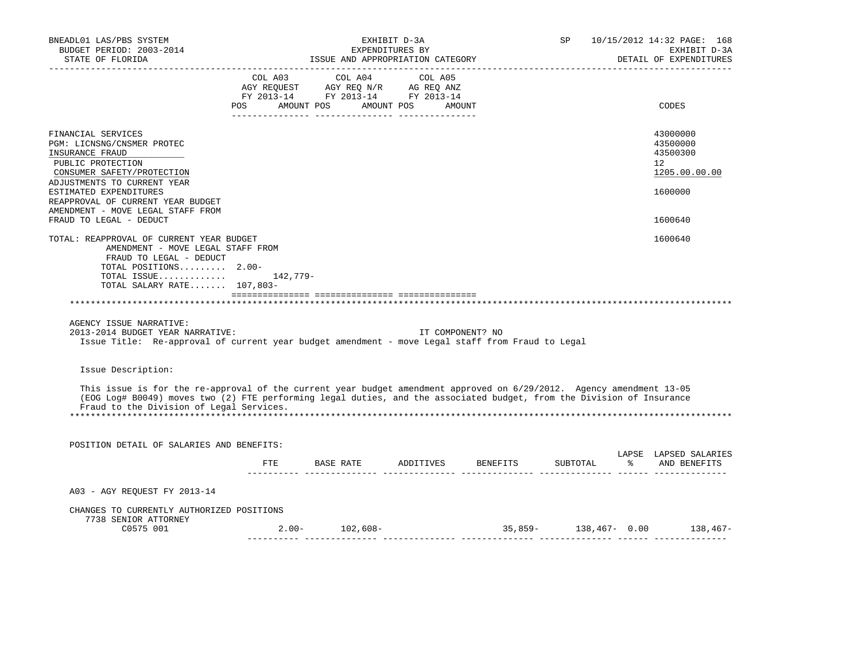| BNEADL01 LAS/PBS SYSTEM<br>BUDGET PERIOD: 2003-2014<br>STATE OF FLORIDA                                                                                                                                                                                                                                                                                    | EXHIBIT D-3A<br>EXPENDITURES BY<br>ISSUE AND APPROPRIATION CATEGORY |                                                                                                                                                            |                  |                                 |  | SP 10/15/2012 14:32 PAGE: 168<br>EXHIBIT D-3A<br>DETAIL OF EXPENDITURES |
|------------------------------------------------------------------------------------------------------------------------------------------------------------------------------------------------------------------------------------------------------------------------------------------------------------------------------------------------------------|---------------------------------------------------------------------|------------------------------------------------------------------------------------------------------------------------------------------------------------|------------------|---------------------------------|--|-------------------------------------------------------------------------|
|                                                                                                                                                                                                                                                                                                                                                            |                                                                     | $\begin{tabular}{lcccc} COL A03 & COL A04 & COL A05 \\ AGY REQUEST & AGY REQ N/R & AG REQ ANZ \\ FY & 2013-14 & FY & 2013-14 & FY & 2013-14 \end{tabular}$ |                  |                                 |  |                                                                         |
|                                                                                                                                                                                                                                                                                                                                                            |                                                                     | POS AMOUNT POS AMOUNT POS AMOUNT                                                                                                                           |                  |                                 |  | CODES                                                                   |
| FINANCIAL SERVICES<br>PGM: LICNSNG/CNSMER PROTEC<br>INSURANCE FRAUD<br>PUBLIC PROTECTION<br>CONSUMER SAFETY/PROTECTION                                                                                                                                                                                                                                     |                                                                     |                                                                                                                                                            |                  |                                 |  | 43000000<br>43500000<br>43500300<br>$12^{\circ}$<br>1205.00.00.00       |
| ADJUSTMENTS TO CURRENT YEAR<br>ESTIMATED EXPENDITURES<br>REAPPROVAL OF CURRENT YEAR BUDGET                                                                                                                                                                                                                                                                 |                                                                     |                                                                                                                                                            |                  |                                 |  | 1600000                                                                 |
| AMENDMENT - MOVE LEGAL STAFF FROM<br>FRAUD TO LEGAL - DEDUCT                                                                                                                                                                                                                                                                                               |                                                                     |                                                                                                                                                            |                  |                                 |  | 1600640                                                                 |
| TOTAL: REAPPROVAL OF CURRENT YEAR BUDGET<br>AMENDMENT - MOVE LEGAL STAFF FROM<br>FRAUD TO LEGAL - DEDUCT<br>TOTAL POSITIONS 2.00-<br>TOTAL ISSUE 142,779-<br>TOTAL SALARY RATE 107,803-<br>AGENCY ISSUE NARRATIVE:<br>2013-2014 BUDGET YEAR NARRATIVE:<br>Issue Title: Re-approval of current year budget amendment - move Legal staff from Fraud to Legal |                                                                     |                                                                                                                                                            | IT COMPONENT? NO |                                 |  | 1600640                                                                 |
| Issue Description:                                                                                                                                                                                                                                                                                                                                         |                                                                     |                                                                                                                                                            |                  |                                 |  |                                                                         |
| This issue is for the re-approval of the current year budget amendment approved on 6/29/2012. Agency amendment 13-05<br>(EOG Log# B0049) moves two (2) FTE performing legal duties, and the associated budget, from the Division of Insurance<br>Fraud to the Division of Legal Services.                                                                  |                                                                     |                                                                                                                                                            |                  |                                 |  |                                                                         |
| POSITION DETAIL OF SALARIES AND BENEFITS:                                                                                                                                                                                                                                                                                                                  |                                                                     |                                                                                                                                                            |                  |                                 |  | LAPSE LAPSED SALARIES                                                   |
|                                                                                                                                                                                                                                                                                                                                                            |                                                                     | FTE BASE RATE ADDITIVES BENEFITS SUBTOTAL % AND BENEFITS                                                                                                   |                  |                                 |  |                                                                         |
| A03 - AGY REQUEST FY 2013-14                                                                                                                                                                                                                                                                                                                               |                                                                     |                                                                                                                                                            |                  |                                 |  |                                                                         |
| CHANGES TO CURRENTLY AUTHORIZED POSITIONS<br>7738 SENIOR ATTORNEY                                                                                                                                                                                                                                                                                          |                                                                     |                                                                                                                                                            |                  |                                 |  |                                                                         |
| C0575 001                                                                                                                                                                                                                                                                                                                                                  |                                                                     | $2.00 - 102,608 -$                                                                                                                                         |                  | . 22222222222222 22222222222222 |  | 35,859- 138,467- 0.00 138,467-                                          |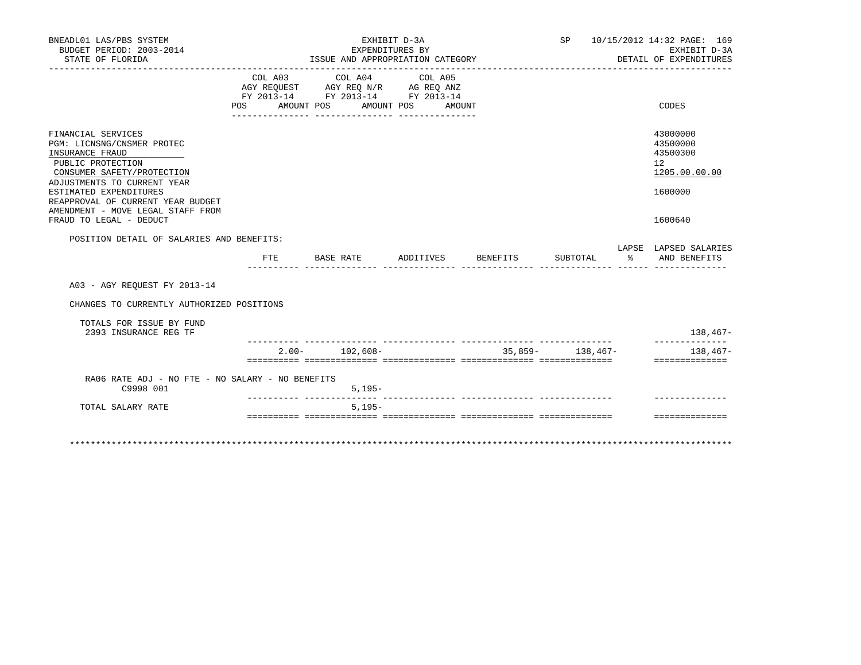| BNEADL01 LAS/PBS SYSTEM<br>BUDGET PERIOD: 2003-2014<br>STATE OF FLORIDA                                                                                                                                                                                                              |                                                                                                     |                  | EXHIBIT D-3A<br>EXPENDITURES BY<br>ISSUE AND APPROPRIATION CATEGORY |                       |        |                    | SP                |                      | 10/15/2012 14:32 PAGE: 169<br>EXHIBIT D-3A<br>DETAIL OF EXPENDITURES          |
|--------------------------------------------------------------------------------------------------------------------------------------------------------------------------------------------------------------------------------------------------------------------------------------|-----------------------------------------------------------------------------------------------------|------------------|---------------------------------------------------------------------|-----------------------|--------|--------------------|-------------------|----------------------|-------------------------------------------------------------------------------|
|                                                                                                                                                                                                                                                                                      | COL A03<br>AGY REQUEST AGY REQ N/R AG REQ ANZ<br>FY 2013-14 FY 2013-14 FY 2013-14<br>POS AMOUNT POS |                  | COL A04                                                             | COL A05<br>AMOUNT POS | AMOUNT |                    |                   |                      | CODES                                                                         |
| FINANCIAL SERVICES<br>PGM: LICNSNG/CNSMER PROTEC<br>INSURANCE FRAUD<br>PUBLIC PROTECTION<br>CONSUMER SAFETY/PROTECTION<br>ADJUSTMENTS TO CURRENT YEAR<br>ESTIMATED EXPENDITURES<br>REAPPROVAL OF CURRENT YEAR BUDGET<br>AMENDMENT - MOVE LEGAL STAFF FROM<br>FRAUD TO LEGAL - DEDUCT |                                                                                                     |                  |                                                                     |                       |        |                    |                   |                      | 43000000<br>43500000<br>43500300<br>12<br>1205.00.00.00<br>1600000<br>1600640 |
| POSITION DETAIL OF SALARIES AND BENEFITS:                                                                                                                                                                                                                                            | FTE.                                                                                                | <b>BASE RATE</b> |                                                                     |                       |        | ADDITIVES BENEFITS | SUBTOTAL          | $\sim$ $\sim$ $\sim$ | LAPSE LAPSED SALARIES<br>AND BENEFITS                                         |
| A03 - AGY REOUEST FY 2013-14                                                                                                                                                                                                                                                         |                                                                                                     |                  |                                                                     |                       |        |                    |                   |                      |                                                                               |
| CHANGES TO CURRENTLY AUTHORIZED POSITIONS                                                                                                                                                                                                                                            |                                                                                                     |                  |                                                                     |                       |        |                    |                   |                      |                                                                               |
| TOTALS FOR ISSUE BY FUND<br>2393 INSURANCE REG TF                                                                                                                                                                                                                                    |                                                                                                     |                  |                                                                     |                       |        |                    |                   |                      | $138,467-$                                                                    |
|                                                                                                                                                                                                                                                                                      | $2.00 -$                                                                                            |                  | 102,608-                                                            |                       |        |                    | $35,859-138,467-$ |                      | ---------------<br>$138,467-$<br>==============                               |
| RA06 RATE ADJ - NO FTE - NO SALARY - NO BENEFITS<br>C9998 001                                                                                                                                                                                                                        |                                                                                                     |                  | $5,195-$                                                            |                       |        |                    |                   |                      |                                                                               |
| TOTAL SALARY RATE                                                                                                                                                                                                                                                                    |                                                                                                     |                  | $5,195-$                                                            |                       |        |                    |                   |                      |                                                                               |
|                                                                                                                                                                                                                                                                                      |                                                                                                     |                  |                                                                     |                       |        |                    |                   |                      | ==============                                                                |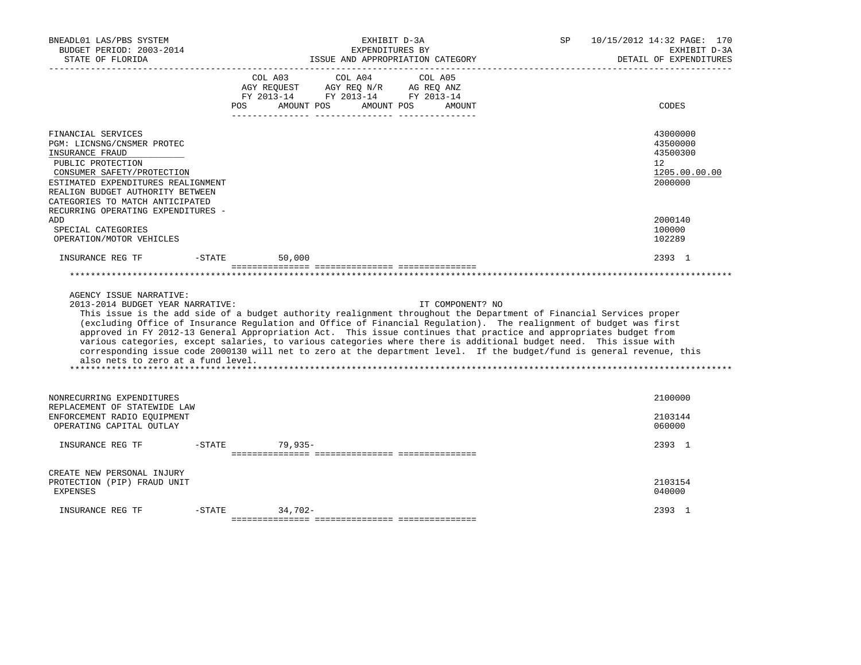| BNEADL01 LAS/PBS SYSTEM<br>BUDGET PERIOD: 2003-2014<br>STATE OF FLORIDA                                                                                                                                                                                                          |           | EXHIBIT D-3A<br>EXPENDITURES BY<br>ISSUE AND APPROPRIATION CATEGORY                                                                                                                                                                                                                                                                                                                                                                                                                                                                                                                                                               | 10/15/2012 14:32 PAGE: 170<br>SP<br>EXHIBIT D-3A<br>DETAIL OF EXPENDITURES              |
|----------------------------------------------------------------------------------------------------------------------------------------------------------------------------------------------------------------------------------------------------------------------------------|-----------|-----------------------------------------------------------------------------------------------------------------------------------------------------------------------------------------------------------------------------------------------------------------------------------------------------------------------------------------------------------------------------------------------------------------------------------------------------------------------------------------------------------------------------------------------------------------------------------------------------------------------------------|-----------------------------------------------------------------------------------------|
|                                                                                                                                                                                                                                                                                  |           | COL A03<br>COL A04<br>COL A05<br>AGY REOUEST<br>AGY REQ N/R<br>AG REQ ANZ<br>FY 2013-14 FY 2013-14 FY 2013-14<br>AMOUNT POS<br>AMOUNT POS<br>POS<br>AMOUNT                                                                                                                                                                                                                                                                                                                                                                                                                                                                        | CODES                                                                                   |
| FINANCIAL SERVICES<br>PGM: LICNSNG/CNSMER PROTEC<br>INSURANCE FRAUD<br>PUBLIC PROTECTION<br>CONSUMER SAFETY/PROTECTION<br>ESTIMATED EXPENDITURES REALIGNMENT<br>REALIGN BUDGET AUTHORITY BETWEEN<br>CATEGORIES TO MATCH ANTICIPATED<br>RECURRING OPERATING EXPENDITURES -<br>ADD |           |                                                                                                                                                                                                                                                                                                                                                                                                                                                                                                                                                                                                                                   | 43000000<br>43500000<br>43500300<br>$12^{\circ}$<br>1205.00.00.00<br>2000000<br>2000140 |
| SPECIAL CATEGORIES<br>OPERATION/MOTOR VEHICLES                                                                                                                                                                                                                                   |           |                                                                                                                                                                                                                                                                                                                                                                                                                                                                                                                                                                                                                                   | 100000<br>102289                                                                        |
| INSURANCE REG TF                                                                                                                                                                                                                                                                 | $-$ STATE | 50,000                                                                                                                                                                                                                                                                                                                                                                                                                                                                                                                                                                                                                            | 2393 1                                                                                  |
|                                                                                                                                                                                                                                                                                  |           |                                                                                                                                                                                                                                                                                                                                                                                                                                                                                                                                                                                                                                   |                                                                                         |
| AGENCY ISSUE NARRATIVE:<br>2013-2014 BUDGET YEAR NARRATIVE:<br>also nets to zero at a fund level.                                                                                                                                                                                |           | IT COMPONENT? NO<br>This issue is the add side of a budget authority realignment throughout the Department of Financial Services proper<br>(excluding Office of Insurance Regulation and Office of Financial Regulation). The realignment of budget was first<br>approved in FY 2012-13 General Appropriation Act. This issue continues that practice and appropriates budget from<br>various categories, except salaries, to various categories where there is additional budget need. This issue with<br>corresponding issue code 2000130 will net to zero at the department level. If the budget/fund is general revenue, this |                                                                                         |
| NONRECURRING EXPENDITURES<br>REPLACEMENT OF STATEWIDE LAW<br>ENFORCEMENT RADIO EQUIPMENT<br>OPERATING CAPITAL OUTLAY                                                                                                                                                             |           |                                                                                                                                                                                                                                                                                                                                                                                                                                                                                                                                                                                                                                   | 2100000<br>2103144<br>060000                                                            |
| INSURANCE REG TF                                                                                                                                                                                                                                                                 | $-STATE$  | $79.935 -$                                                                                                                                                                                                                                                                                                                                                                                                                                                                                                                                                                                                                        | 2393 1                                                                                  |
| CREATE NEW PERSONAL INJURY<br>PROTECTION (PIP) FRAUD UNIT<br>EXPENSES                                                                                                                                                                                                            |           |                                                                                                                                                                                                                                                                                                                                                                                                                                                                                                                                                                                                                                   | 2103154<br>040000                                                                       |
| INSURANCE REG TF                                                                                                                                                                                                                                                                 | $-STATE$  | $34.702 -$                                                                                                                                                                                                                                                                                                                                                                                                                                                                                                                                                                                                                        | 2393 1                                                                                  |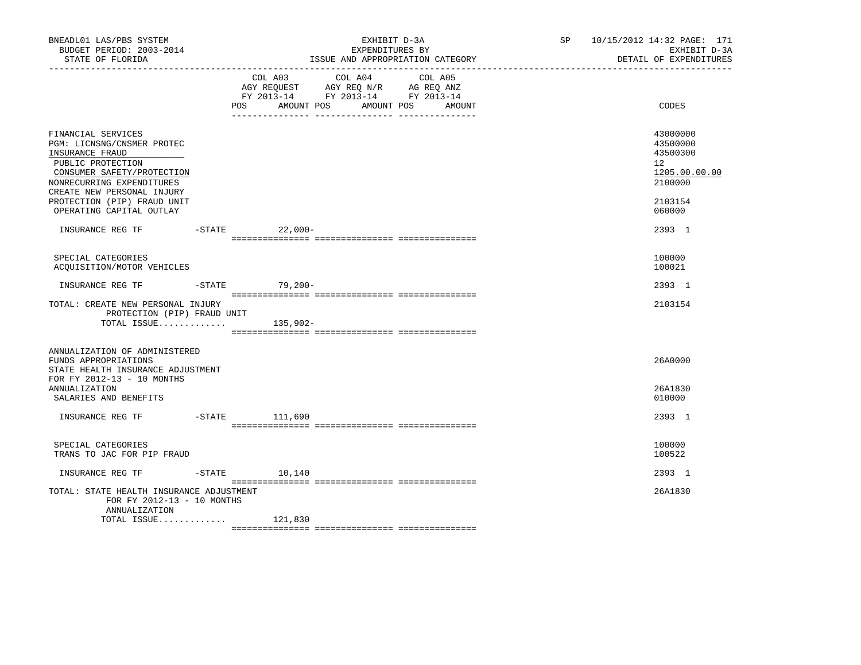| BNEADL01 LAS/PBS SYSTEM<br>BUDGET PERIOD: 2003-2014<br>STATE OF FLORIDA<br>___________________                                                                                                                                               | EXHIBIT D-3A<br>EXPENDITURES BY<br>ISSUE AND APPROPRIATION CATEGORY |                |                                                                                                   | SP and the set of the set of the set of the set of the set of the set of the set of the set of the set of the set of the set of the set of the set of the set of the set of the set of the set of the set of the set of the se | 10/15/2012 14:32 PAGE: 171<br>EXHIBIT D-3A<br>DETAIL OF EXPENDITURES |                                                                                                      |
|----------------------------------------------------------------------------------------------------------------------------------------------------------------------------------------------------------------------------------------------|---------------------------------------------------------------------|----------------|---------------------------------------------------------------------------------------------------|--------------------------------------------------------------------------------------------------------------------------------------------------------------------------------------------------------------------------------|----------------------------------------------------------------------|------------------------------------------------------------------------------------------------------|
|                                                                                                                                                                                                                                              |                                                                     | POS AMOUNT POS | COL A03 COL A04 COL A05<br>AGY REQUEST AGY REQ N/R AG REQ ANZ<br>FY 2013-14 FY 2013-14 FY 2013-14 | AMOUNT POS<br>AMOUNT                                                                                                                                                                                                           |                                                                      | CODES                                                                                                |
| FINANCIAL SERVICES<br>PGM: LICNSNG/CNSMER PROTEC<br>INSURANCE FRAUD<br>PUBLIC PROTECTION<br>CONSUMER SAFETY/PROTECTION<br>NONRECURRING EXPENDITURES<br>CREATE NEW PERSONAL INJURY<br>PROTECTION (PIP) FRAUD UNIT<br>OPERATING CAPITAL OUTLAY |                                                                     |                |                                                                                                   |                                                                                                                                                                                                                                |                                                                      | 43000000<br>43500000<br>43500300<br>12 <sup>°</sup><br>1205.00.00.00<br>2100000<br>2103154<br>060000 |
| INSURANCE REG TF                                                                                                                                                                                                                             | -STATE 22,000-                                                      |                |                                                                                                   |                                                                                                                                                                                                                                |                                                                      | 2393 1                                                                                               |
| SPECIAL CATEGORIES<br>ACQUISITION/MOTOR VEHICLES                                                                                                                                                                                             |                                                                     |                |                                                                                                   |                                                                                                                                                                                                                                |                                                                      | 100000<br>100021                                                                                     |
| INSURANCE REG TF                                                                                                                                                                                                                             | -STATE 79,200-                                                      |                |                                                                                                   |                                                                                                                                                                                                                                |                                                                      | 2393 1                                                                                               |
| TOTAL: CREATE NEW PERSONAL INJURY<br>PROTECTION (PIP) FRAUD UNIT<br>TOTAL ISSUE $135,902-$                                                                                                                                                   |                                                                     |                |                                                                                                   |                                                                                                                                                                                                                                |                                                                      | 2103154                                                                                              |
| ANNUALIZATION OF ADMINISTERED<br>FUNDS APPROPRIATIONS<br>STATE HEALTH INSURANCE ADJUSTMENT<br>FOR FY 2012-13 - 10 MONTHS<br>ANNUALIZATION                                                                                                    |                                                                     |                |                                                                                                   |                                                                                                                                                                                                                                |                                                                      | 26A0000<br>26A1830                                                                                   |
| SALARIES AND BENEFITS                                                                                                                                                                                                                        |                                                                     |                |                                                                                                   |                                                                                                                                                                                                                                |                                                                      | 010000                                                                                               |
| INSURANCE REG TF                                                                                                                                                                                                                             | -STATE 111,690                                                      |                |                                                                                                   |                                                                                                                                                                                                                                |                                                                      | 2393 1                                                                                               |
| SPECIAL CATEGORIES<br>TRANS TO JAC FOR PIP FRAUD                                                                                                                                                                                             |                                                                     |                |                                                                                                   |                                                                                                                                                                                                                                |                                                                      | 100000<br>100522                                                                                     |
| INSURANCE REG TF                                                                                                                                                                                                                             | $-$ STATE 10, 140                                                   |                |                                                                                                   |                                                                                                                                                                                                                                |                                                                      | 2393 1                                                                                               |
| TOTAL: STATE HEALTH INSURANCE ADJUSTMENT<br>FOR FY 2012-13 - 10 MONTHS<br>ANNUALIZATION                                                                                                                                                      |                                                                     |                |                                                                                                   |                                                                                                                                                                                                                                |                                                                      | 26A1830                                                                                              |
| TOTAL ISSUE $121,830$                                                                                                                                                                                                                        |                                                                     |                |                                                                                                   |                                                                                                                                                                                                                                |                                                                      |                                                                                                      |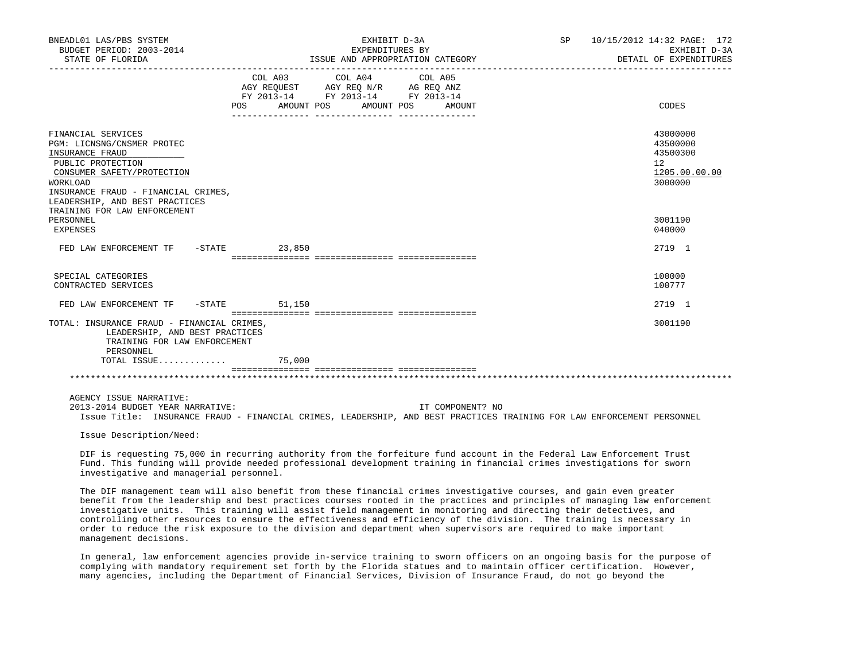| BNEADL01 LAS/PBS SYSTEM<br>BUDGET PERIOD: 2003-2014<br>STATE OF FLORIDA                                                                                                                                                                     | EXHIBIT D-3A<br>EXPENDITURES BY<br>EXPENDITURES BY<br>ISSUE AND APPROPRIATION CATEGORY                                                                                                                                                                                                                                                                          | 10/15/2012 14:32 PAGE: 172<br>SP<br>EXHIBIT D-3A<br>DETAIL OF EXPENDITURES |
|---------------------------------------------------------------------------------------------------------------------------------------------------------------------------------------------------------------------------------------------|-----------------------------------------------------------------------------------------------------------------------------------------------------------------------------------------------------------------------------------------------------------------------------------------------------------------------------------------------------------------|----------------------------------------------------------------------------|
|                                                                                                                                                                                                                                             | COL A03<br>COL A04<br>COL A05<br>AGY REQUEST AGY REQ N/R AG REQ ANZ<br>FY 2013-14 FY 2013-14 FY 2013-14<br>POS AMOUNT POS AMOUNT POS AMOUNT                                                                                                                                                                                                                     | CODES                                                                      |
| FINANCIAL SERVICES<br>PGM: LICNSNG/CNSMER PROTEC<br>INSURANCE FRAUD<br>PUBLIC PROTECTION<br>CONSUMER SAFETY/PROTECTION<br>WORKLOAD<br>INSURANCE FRAUD - FINANCIAL CRIMES,<br>LEADERSHIP, AND BEST PRACTICES<br>TRAINING FOR LAW ENFORCEMENT |                                                                                                                                                                                                                                                                                                                                                                 | 43000000<br>43500000<br>43500300<br>12<br>1205.00.00.00<br>3000000         |
| PERSONNEL<br>EXPENSES                                                                                                                                                                                                                       |                                                                                                                                                                                                                                                                                                                                                                 | 3001190<br>040000                                                          |
| FED LAW ENFORCEMENT TF - STATE 23,850                                                                                                                                                                                                       |                                                                                                                                                                                                                                                                                                                                                                 | 2719 1                                                                     |
| SPECIAL CATEGORIES<br>CONTRACTED SERVICES                                                                                                                                                                                                   |                                                                                                                                                                                                                                                                                                                                                                 | 100000<br>100777                                                           |
| FED LAW ENFORCEMENT TF                                                                                                                                                                                                                      | $-STATE$ 51,150                                                                                                                                                                                                                                                                                                                                                 | 2719 1                                                                     |
| TOTAL: INSURANCE FRAUD - FINANCIAL CRIMES,<br>LEADERSHIP, AND BEST PRACTICES<br>TRAINING FOR LAW ENFORCEMENT<br>PERSONNEL                                                                                                                   |                                                                                                                                                                                                                                                                                                                                                                 | 3001190                                                                    |
| TOTAL ISSUE                                                                                                                                                                                                                                 | 75,000                                                                                                                                                                                                                                                                                                                                                          |                                                                            |
|                                                                                                                                                                                                                                             |                                                                                                                                                                                                                                                                                                                                                                 |                                                                            |
| AGENCY ISSUE NARRATIVE:<br>2013-2014 BUDGET YEAR NARRATIVE:                                                                                                                                                                                 | IT COMPONENT? NO<br>Issue Title: INSURANCE FRAUD - FINANCIAL CRIMES, LEADERSHIP, AND BEST PRACTICES TRAINING FOR LAW ENFORCEMENT PERSONNEL                                                                                                                                                                                                                      |                                                                            |
| Issue Description/Need:                                                                                                                                                                                                                     |                                                                                                                                                                                                                                                                                                                                                                 |                                                                            |
| investigative and managerial personnel.                                                                                                                                                                                                     | DIF is requesting 75,000 in recurring authority from the forfeiture fund account in the Federal Law Enforcement Trust<br>Fund. This funding will provide needed professional development training in financial crimes investigations for sworn<br>Mka BTM wanaananii isan 1919 sha kanafii fuun ikaas finanafil animaa iniisii asiisaasa ana asin anan wuxaisha |                                                                            |

 The DIF management team will also benefit from these financial crimes investigative courses, and gain even greater benefit from the leadership and best practices courses rooted in the practices and principles of managing law enforcement investigative units. This training will assist field management in monitoring and directing their detectives, and controlling other resources to ensure the effectiveness and efficiency of the division. The training is necessary in order to reduce the risk exposure to the division and department when supervisors are required to make important management decisions.

 In general, law enforcement agencies provide in-service training to sworn officers on an ongoing basis for the purpose of complying with mandatory requirement set forth by the Florida statues and to maintain officer certification. However, many agencies, including the Department of Financial Services, Division of Insurance Fraud, do not go beyond the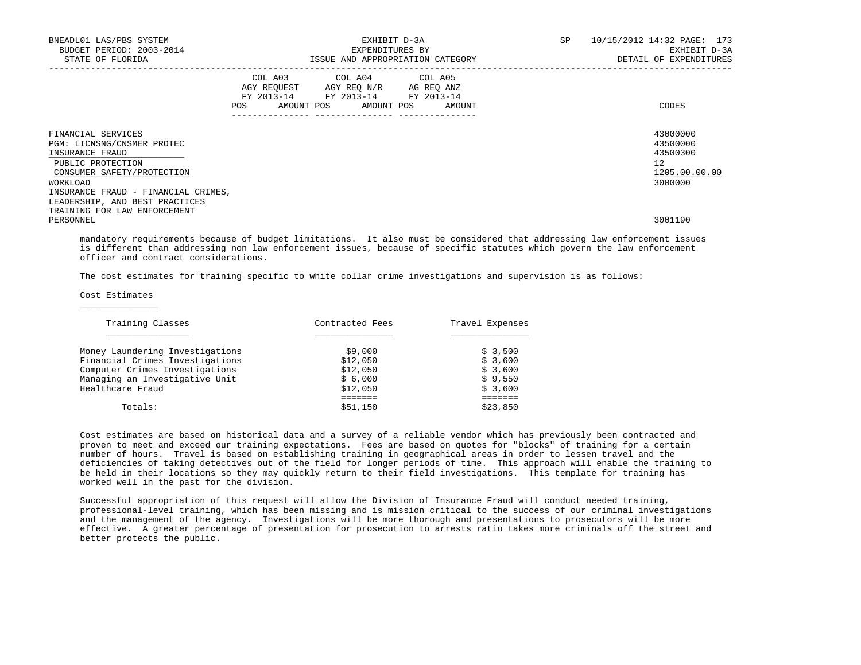| BNEADL01 LAS/PBS SYSTEM<br>BUDGET PERIOD: 2003-2014<br>STATE OF FLORIDA                                                                                                   |     | EXHIBIT D-3A<br>EXPENDITURES BY                                                                                            | ISSUE AND APPROPRIATION CATEGORY | SP | 10/15/2012 14:32 PAGE: 173<br>EXHIBIT D-3A<br>DETAIL OF EXPENDITURES            |
|---------------------------------------------------------------------------------------------------------------------------------------------------------------------------|-----|----------------------------------------------------------------------------------------------------------------------------|----------------------------------|----|---------------------------------------------------------------------------------|
|                                                                                                                                                                           | POS | COL A03 COL A04 COL A05<br>AGY REQUEST AGY REO N/R AG REO ANZ<br>FY 2013-14 FY 2013-14 FY 2013-14<br>AMOUNT POS AMOUNT POS | AMOUNT                           |    | CODES                                                                           |
| FINANCIAL SERVICES<br>PGM: LICNSNG/CNSMER PROTEC<br>INSURANCE FRAUD<br>PUBLIC PROTECTION<br>CONSUMER SAFETY/PROTECTION<br>WORKLOAD<br>INSURANCE FRAUD - FINANCIAL CRIMES, |     |                                                                                                                            |                                  |    | 43000000<br>43500000<br>43500300<br>12 <sup>°</sup><br>1205.00.00.00<br>3000000 |
| LEADERSHIP, AND BEST PRACTICES<br>TRAINING FOR LAW ENFORCEMENT<br>PERSONNEL                                                                                               |     |                                                                                                                            |                                  |    | 3001190                                                                         |

 mandatory requirements because of budget limitations. It also must be considered that addressing law enforcement issues is different than addressing non law enforcement issues, because of specific statutes which govern the law enforcement officer and contract considerations.

The cost estimates for training specific to white collar crime investigations and supervision is as follows:

Cost Estimates

 $\frac{1}{2}$  , and the set of  $\frac{1}{2}$  , and the set of  $\frac{1}{2}$ 

| Training Classes                | Contracted Fees | Travel Expenses |
|---------------------------------|-----------------|-----------------|
| Money Laundering Investigations | \$9,000         | \$3,500         |
| Financial Crimes Investigations | \$12,050        | \$3,600         |
| Computer Crimes Investigations  | \$12,050        | \$3,600         |
| Managing an Investigative Unit  | \$6,000         | \$9,550         |
| Healthcare Fraud                | \$12,050        | \$3,600         |
|                                 |                 |                 |
| Totals:                         | \$51,150        | \$23,850        |

 Cost estimates are based on historical data and a survey of a reliable vendor which has previously been contracted and proven to meet and exceed our training expectations. Fees are based on quotes for "blocks" of training for a certain number of hours. Travel is based on establishing training in geographical areas in order to lessen travel and the deficiencies of taking detectives out of the field for longer periods of time. This approach will enable the training to be held in their locations so they may quickly return to their field investigations. This template for training has worked well in the past for the division.

 Successful appropriation of this request will allow the Division of Insurance Fraud will conduct needed training, professional-level training, which has been missing and is mission critical to the success of our criminal investigations and the management of the agency. Investigations will be more thorough and presentations to prosecutors will be more effective. A greater percentage of presentation for prosecution to arrests ratio takes more criminals off the street and better protects the public.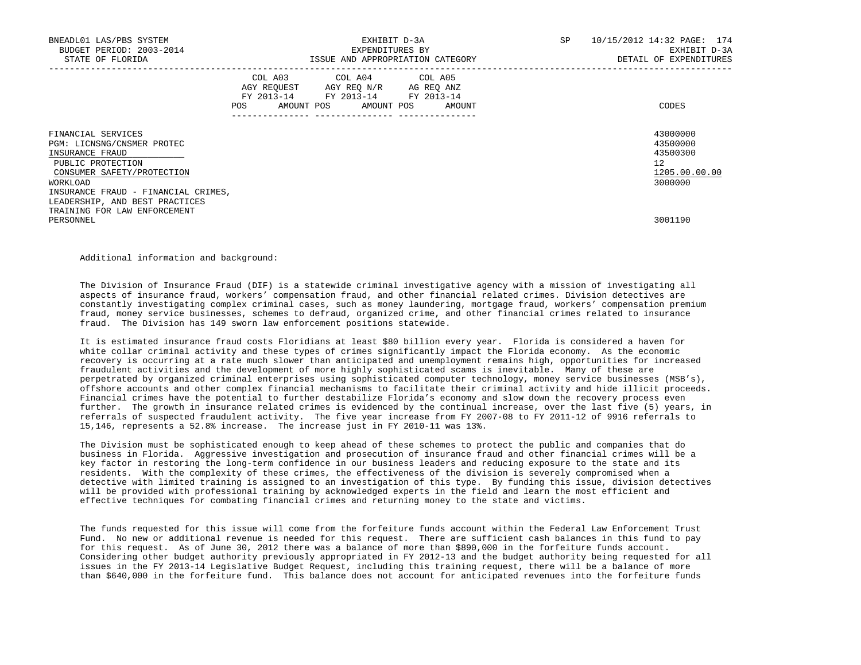| BNEADL01 LAS/PBS SYSTEM<br>BUDGET PERIOD: 2003-2014<br>STATE OF FLORIDA                                                                                                   | EXHIBIT D-3A<br>EXPENDITURES BY<br>ISSUE AND APPROPRIATION CATEGORY                                                                      | SP | 10/15/2012 14:32 PAGE: 174<br>EXHIBIT D-3A<br>DETAIL OF EXPENDITURES            |
|---------------------------------------------------------------------------------------------------------------------------------------------------------------------------|------------------------------------------------------------------------------------------------------------------------------------------|----|---------------------------------------------------------------------------------|
|                                                                                                                                                                           | COL A03 COL A04 COL A05<br>AGY REQUEST AGY REO N/R AG REO ANZ<br>FY 2013-14 FY 2013-14 FY 2013-14<br>AMOUNT POS AMOUNT POS AMOUNT<br>POS |    | CODES                                                                           |
| FINANCIAL SERVICES<br>PGM: LICNSNG/CNSMER PROTEC<br>INSURANCE FRAUD<br>PUBLIC PROTECTION<br>CONSUMER SAFETY/PROTECTION<br>WORKLOAD<br>INSURANCE FRAUD - FINANCIAL CRIMES, |                                                                                                                                          |    | 43000000<br>43500000<br>43500300<br>12 <sup>°</sup><br>1205.00.00.00<br>3000000 |
| LEADERSHIP, AND BEST PRACTICES<br>TRAINING FOR LAW ENFORCEMENT<br>PERSONNEL                                                                                               |                                                                                                                                          |    | 3001190                                                                         |

Additional information and background:

 The Division of Insurance Fraud (DIF) is a statewide criminal investigative agency with a mission of investigating all aspects of insurance fraud, workers' compensation fraud, and other financial related crimes. Division detectives are constantly investigating complex criminal cases, such as money laundering, mortgage fraud, workers' compensation premium fraud, money service businesses, schemes to defraud, organized crime, and other financial crimes related to insurance fraud. The Division has 149 sworn law enforcement positions statewide.

 It is estimated insurance fraud costs Floridians at least \$80 billion every year. Florida is considered a haven for white collar criminal activity and these types of crimes significantly impact the Florida economy. As the economic recovery is occurring at a rate much slower than anticipated and unemployment remains high, opportunities for increased fraudulent activities and the development of more highly sophisticated scams is inevitable. Many of these are perpetrated by organized criminal enterprises using sophisticated computer technology, money service businesses (MSB's), offshore accounts and other complex financial mechanisms to facilitate their criminal activity and hide illicit proceeds. Financial crimes have the potential to further destabilize Florida's economy and slow down the recovery process even further. The growth in insurance related crimes is evidenced by the continual increase, over the last five (5) years, in referrals of suspected fraudulent activity. The five year increase from FY 2007-08 to FY 2011-12 of 9916 referrals to 15,146, represents a 52.8% increase. The increase just in FY 2010-11 was 13%.

 The Division must be sophisticated enough to keep ahead of these schemes to protect the public and companies that do business in Florida. Aggressive investigation and prosecution of insurance fraud and other financial crimes will be a key factor in restoring the long-term confidence in our business leaders and reducing exposure to the state and its residents. With the complexity of these crimes, the effectiveness of the division is severely compromised when a detective with limited training is assigned to an investigation of this type. By funding this issue, division detectives will be provided with professional training by acknowledged experts in the field and learn the most efficient and effective techniques for combating financial crimes and returning money to the state and victims.

 The funds requested for this issue will come from the forfeiture funds account within the Federal Law Enforcement Trust Fund. No new or additional revenue is needed for this request. There are sufficient cash balances in this fund to pay for this request. As of June 30, 2012 there was a balance of more than \$890,000 in the forfeiture funds account. Considering other budget authority previously appropriated in FY 2012-13 and the budget authority being requested for all issues in the FY 2013-14 Legislative Budget Request, including this training request, there will be a balance of more than \$640,000 in the forfeiture fund. This balance does not account for anticipated revenues into the forfeiture funds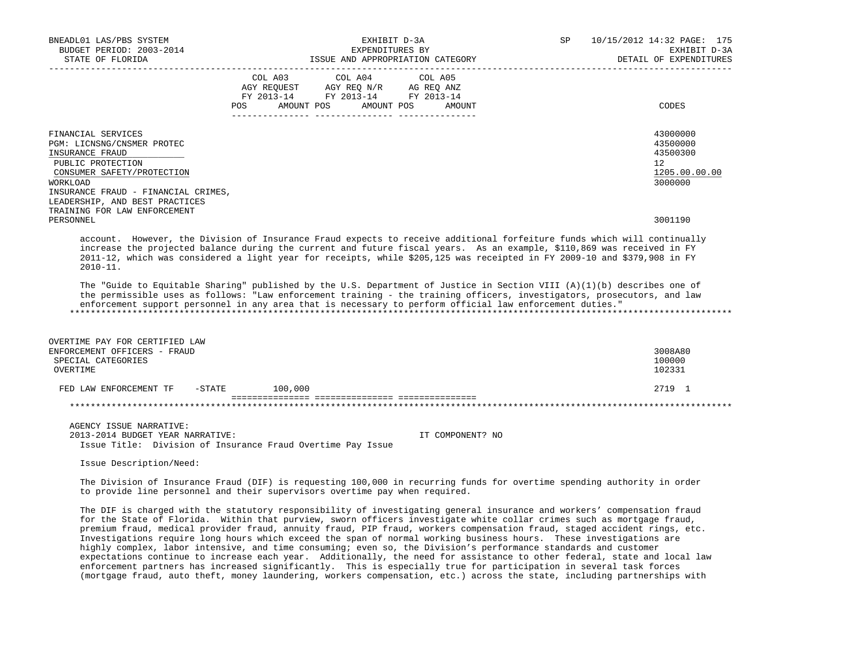| BNEADL01 LAS/PBS SYSTEM<br>BUDGET PERIOD: 2003-2014<br>STATE OF FLORIDA                                                                                                                                                                                                                                                                                                                                                                                                                                                                                                                                                                                                                                                                                                                                                                                                                                                                                                                             | EXHIBIT D-3A<br>EXPENDITURES BY<br>ISSUE AND APPROPRIATION CATEGORY |                                                                                                                                                                                                                                            |                  | SP | 10/15/2012 14:32 PAGE: 175<br>EXHIBIT D-3A<br>DETAIL OF EXPENDITURES |
|-----------------------------------------------------------------------------------------------------------------------------------------------------------------------------------------------------------------------------------------------------------------------------------------------------------------------------------------------------------------------------------------------------------------------------------------------------------------------------------------------------------------------------------------------------------------------------------------------------------------------------------------------------------------------------------------------------------------------------------------------------------------------------------------------------------------------------------------------------------------------------------------------------------------------------------------------------------------------------------------------------|---------------------------------------------------------------------|--------------------------------------------------------------------------------------------------------------------------------------------------------------------------------------------------------------------------------------------|------------------|----|----------------------------------------------------------------------|
|                                                                                                                                                                                                                                                                                                                                                                                                                                                                                                                                                                                                                                                                                                                                                                                                                                                                                                                                                                                                     | COL A03                                                             | COL A04<br>$\begin{tabular}{lllllll} \bf AGY \,\, REQUEST \,\, &\bf AGY \,\, REQ \,\, N/R &\bf AG \,\, REQ \,\, ANZ \\ \bf FY \,\, 2013-14 &\bf FY \,\, 2013-14 &\bf FY \,\, 2013-14 \\ \end{tabular}$<br>POS AMOUNT POS AMOUNT POS AMOUNT | COL A05          |    | CODES                                                                |
| FINANCIAL SERVICES<br>PGM: LICNSNG/CNSMER PROTEC<br>INSURANCE FRAUD<br>PUBLIC PROTECTION<br>CONSUMER SAFETY/PROTECTION<br>WORKLOAD<br>INSURANCE FRAUD - FINANCIAL CRIMES,<br>LEADERSHIP, AND BEST PRACTICES<br>TRAINING FOR LAW ENFORCEMENT                                                                                                                                                                                                                                                                                                                                                                                                                                                                                                                                                                                                                                                                                                                                                         |                                                                     |                                                                                                                                                                                                                                            |                  |    | 43000000<br>43500000<br>43500300<br>12<br>1205.00.00.00<br>3000000   |
| PERSONNEL                                                                                                                                                                                                                                                                                                                                                                                                                                                                                                                                                                                                                                                                                                                                                                                                                                                                                                                                                                                           |                                                                     |                                                                                                                                                                                                                                            |                  |    | 3001190                                                              |
| account. However, the Division of Insurance Fraud expects to receive additional forfeiture funds which will continually<br>increase the projected balance during the current and future fiscal years. As an example, \$110,869 was received in FY<br>2011-12, which was considered a light year for receipts, while \$205,125 was receipted in FY 2009-10 and \$379,908 in FY<br>$2010 - 11$ .                                                                                                                                                                                                                                                                                                                                                                                                                                                                                                                                                                                                      |                                                                     |                                                                                                                                                                                                                                            |                  |    |                                                                      |
| The "Guide to Equitable Sharing" published by the U.S. Department of Justice in Section VIII (A)(1)(b) describes one of<br>the permissible uses as follows: "Law enforcement training - the training officers, investigators, prosecutors, and law<br>enforcement support personnel in any area that is necessary to perform official law enforcement duties."                                                                                                                                                                                                                                                                                                                                                                                                                                                                                                                                                                                                                                      |                                                                     |                                                                                                                                                                                                                                            |                  |    |                                                                      |
| OVERTIME PAY FOR CERTIFIED LAW                                                                                                                                                                                                                                                                                                                                                                                                                                                                                                                                                                                                                                                                                                                                                                                                                                                                                                                                                                      |                                                                     |                                                                                                                                                                                                                                            |                  |    |                                                                      |
| ENFORCEMENT OFFICERS - FRAUD<br>SPECIAL CATEGORIES                                                                                                                                                                                                                                                                                                                                                                                                                                                                                                                                                                                                                                                                                                                                                                                                                                                                                                                                                  |                                                                     |                                                                                                                                                                                                                                            |                  |    | 3008A80<br>100000                                                    |
| OVERTIME                                                                                                                                                                                                                                                                                                                                                                                                                                                                                                                                                                                                                                                                                                                                                                                                                                                                                                                                                                                            |                                                                     |                                                                                                                                                                                                                                            |                  |    | 102331                                                               |
| FED LAW ENFORCEMENT TF                                                                                                                                                                                                                                                                                                                                                                                                                                                                                                                                                                                                                                                                                                                                                                                                                                                                                                                                                                              | $-STATE$ 100,000                                                    |                                                                                                                                                                                                                                            |                  |    | 2719 1                                                               |
|                                                                                                                                                                                                                                                                                                                                                                                                                                                                                                                                                                                                                                                                                                                                                                                                                                                                                                                                                                                                     |                                                                     |                                                                                                                                                                                                                                            |                  |    |                                                                      |
|                                                                                                                                                                                                                                                                                                                                                                                                                                                                                                                                                                                                                                                                                                                                                                                                                                                                                                                                                                                                     |                                                                     |                                                                                                                                                                                                                                            |                  |    |                                                                      |
| AGENCY ISSUE NARRATIVE:<br>2013-2014 BUDGET YEAR NARRATIVE:<br>Issue Title: Division of Insurance Fraud Overtime Pay Issue                                                                                                                                                                                                                                                                                                                                                                                                                                                                                                                                                                                                                                                                                                                                                                                                                                                                          |                                                                     |                                                                                                                                                                                                                                            | IT COMPONENT? NO |    |                                                                      |
| Issue Description/Need:                                                                                                                                                                                                                                                                                                                                                                                                                                                                                                                                                                                                                                                                                                                                                                                                                                                                                                                                                                             |                                                                     |                                                                                                                                                                                                                                            |                  |    |                                                                      |
| The Division of Insurance Fraud (DIF) is requesting 100,000 in recurring funds for overtime spending authority in order<br>to provide line personnel and their supervisors overtime pay when required.                                                                                                                                                                                                                                                                                                                                                                                                                                                                                                                                                                                                                                                                                                                                                                                              |                                                                     |                                                                                                                                                                                                                                            |                  |    |                                                                      |
| The DIF is charged with the statutory responsibility of investigating general insurance and workers' compensation fraud<br>for the State of Florida. Within that purview, sworn officers investigate white collar crimes such as mortgage fraud,<br>premium fraud, medical provider fraud, annuity fraud, PIP fraud, workers compensation fraud, staged accident rings, etc.<br>Investigations require long hours which exceed the span of normal working business hours. These investigations are<br>highly complex, labor intensive, and time consuming; even so, the Division's performance standards and customer<br>expectations continue to increase each year. Additionally, the need for assistance to other federal, state and local law<br>enforcement partners has increased significantly. This is especially true for participation in several task forces<br>(mortgage fraud, auto theft, money laundering, workers compensation, etc.) across the state, including partnerships with |                                                                     |                                                                                                                                                                                                                                            |                  |    |                                                                      |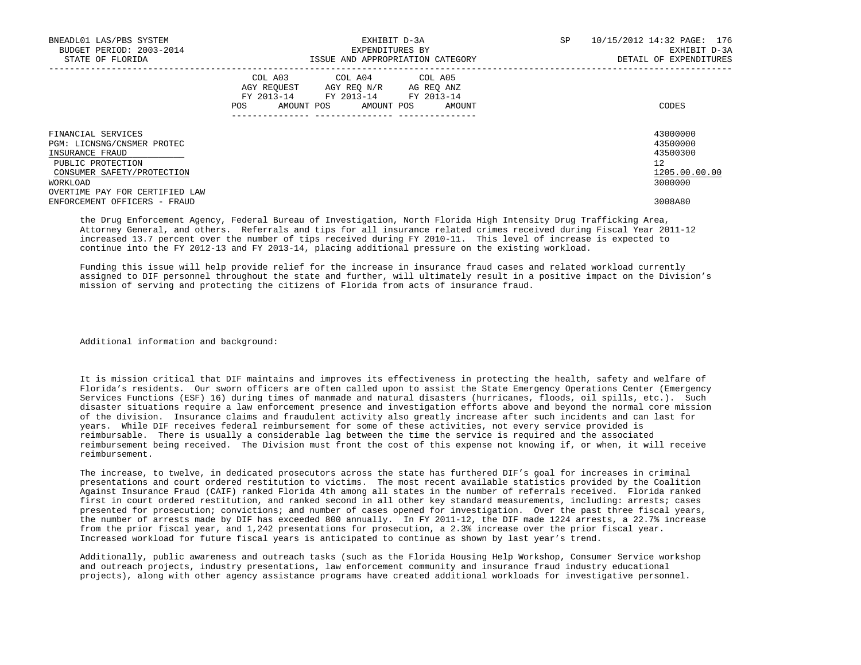| BNEADL01 LAS/PBS SYSTEM<br>BUDGET PERIOD: 2003-2014<br>STATE OF FLORIDA                                                            | EXHIBIT D-3A<br>EXPENDITURES BY<br>ISSUE AND APPROPRIATION CATEGORY                                                                                  | SP<br>10/15/2012 14:32 PAGE: 176<br>EXHIBIT D-3A<br>DETAIL OF EXPENDITURES |
|------------------------------------------------------------------------------------------------------------------------------------|------------------------------------------------------------------------------------------------------------------------------------------------------|----------------------------------------------------------------------------|
|                                                                                                                                    | COL A04 COL A05<br>COL A03<br>AGY REOUEST<br>AGY REO N/R<br>AG REO ANZ<br>FY 2013-14<br>FY 2013-14 FY 2013-14<br>AMOUNT POS AMOUNT POS AMOUNT<br>POS | CODES                                                                      |
| FINANCIAL SERVICES<br>PGM: LICNSNG/CNSMER PROTEC<br>INSURANCE FRAUD<br>PUBLIC PROTECTION<br>CONSUMER SAFETY/PROTECTION<br>WORKLOAD |                                                                                                                                                      | 43000000<br>43500000<br>43500300<br>12<br>1205.00.00.00<br>3000000         |
| OVERTIME PAY FOR CERTIFIED LAW<br>ENFORCEMENT OFFICERS - FRAUD                                                                     |                                                                                                                                                      | 3008A80                                                                    |

 the Drug Enforcement Agency, Federal Bureau of Investigation, North Florida High Intensity Drug Trafficking Area, Attorney General, and others. Referrals and tips for all insurance related crimes received during Fiscal Year 2011-12 increased 13.7 percent over the number of tips received during FY 2010-11. This level of increase is expected to continue into the FY 2012-13 and FY 2013-14, placing additional pressure on the existing workload.

 Funding this issue will help provide relief for the increase in insurance fraud cases and related workload currently assigned to DIF personnel throughout the state and further, will ultimately result in a positive impact on the Division's mission of serving and protecting the citizens of Florida from acts of insurance fraud.

Additional information and background:

 It is mission critical that DIF maintains and improves its effectiveness in protecting the health, safety and welfare of Florida's residents. Our sworn officers are often called upon to assist the State Emergency Operations Center (Emergency Services Functions (ESF) 16) during times of manmade and natural disasters (hurricanes, floods, oil spills, etc.). Such disaster situations require a law enforcement presence and investigation efforts above and beyond the normal core mission of the division. Insurance claims and fraudulent activity also greatly increase after such incidents and can last for years. While DIF receives federal reimbursement for some of these activities, not every service provided is reimbursable. There is usually a considerable lag between the time the service is required and the associated reimbursement being received. The Division must front the cost of this expense not knowing if, or when, it will receive reimbursement.

 The increase, to twelve, in dedicated prosecutors across the state has furthered DIF's goal for increases in criminal presentations and court ordered restitution to victims. The most recent available statistics provided by the Coalition Against Insurance Fraud (CAIF) ranked Florida 4th among all states in the number of referrals received. Florida ranked first in court ordered restitution, and ranked second in all other key standard measurements, including: arrests; cases presented for prosecution; convictions; and number of cases opened for investigation. Over the past three fiscal years, the number of arrests made by DIF has exceeded 800 annually. In FY 2011-12, the DIF made 1224 arrests, a 22.7% increase from the prior fiscal year, and 1,242 presentations for prosecution, a 2.3% increase over the prior fiscal year. Increased workload for future fiscal years is anticipated to continue as shown by last year's trend.

 Additionally, public awareness and outreach tasks (such as the Florida Housing Help Workshop, Consumer Service workshop and outreach projects, industry presentations, law enforcement community and insurance fraud industry educational projects), along with other agency assistance programs have created additional workloads for investigative personnel.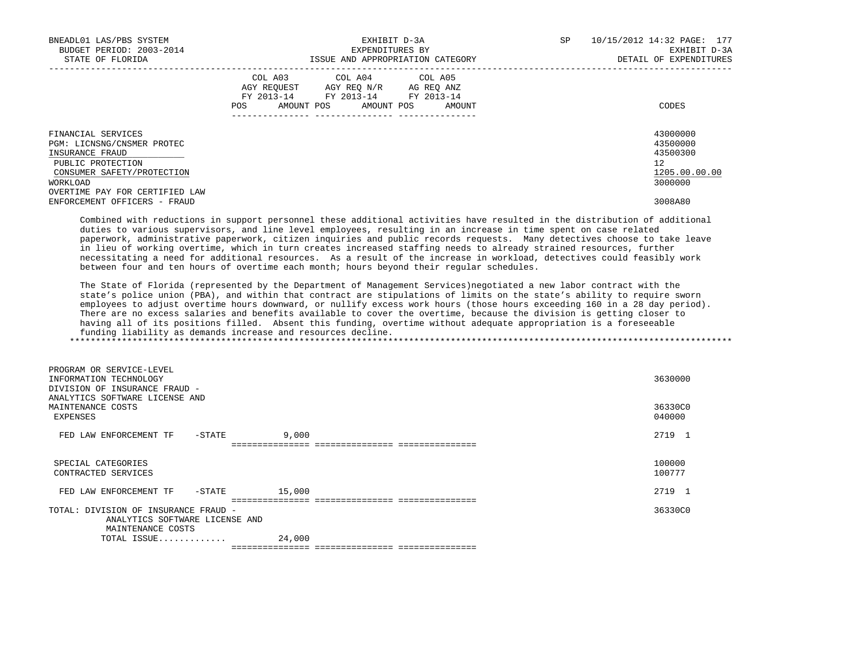| BNEADL01 LAS/PBS SYSTEM<br>BUDGET PERIOD: 2003-2014<br>STATE OF FLORIDA                  | EXHIBIT D-3A<br>EXPENDITURES BY<br>ISSUE AND APPROPRIATION CATEGORY                                                                                     | SP<br>10/15/2012 14:32 PAGE: 177<br>EXHIBIT D-3A<br>DETAIL OF EXPENDITURES |
|------------------------------------------------------------------------------------------|---------------------------------------------------------------------------------------------------------------------------------------------------------|----------------------------------------------------------------------------|
|                                                                                          | COL A04 COL A05<br>COL A03<br>AGY REOUEST<br>AGY REO N/R<br>AG REQ ANZ<br>FY 2013-14 FY 2013-14<br>FY 2013-14<br>AMOUNT POS AMOUNT POS<br>AMOUNT<br>POS | CODES                                                                      |
| FINANCIAL SERVICES<br>PGM: LICNSNG/CNSMER PROTEC<br>INSURANCE FRAUD<br>PUBLIC PROTECTION |                                                                                                                                                         | 43000000<br>43500000<br>43500300<br>12                                     |
| CONSUMER SAFETY/PROTECTION<br>WORKLOAD<br>OVERTIME PAY FOR CERTIFIED LAW                 |                                                                                                                                                         | 1205.00.00.00<br>3000000                                                   |
| ENFORCEMENT OFFICERS - FRAUD                                                             |                                                                                                                                                         | 3008A80                                                                    |

 Combined with reductions in support personnel these additional activities have resulted in the distribution of additional duties to various supervisors, and line level employees, resulting in an increase in time spent on case related paperwork, administrative paperwork, citizen inquiries and public records requests. Many detectives choose to take leave in lieu of working overtime, which in turn creates increased staffing needs to already strained resources, further necessitating a need for additional resources. As a result of the increase in workload, detectives could feasibly work between four and ten hours of overtime each month; hours beyond their regular schedules.

 The State of Florida (represented by the Department of Management Services)negotiated a new labor contract with the state's police union (PBA), and within that contract are stipulations of limits on the state's ability to require sworn employees to adjust overtime hours downward, or nullify excess work hours (those hours exceeding 160 in a 28 day period). There are no excess salaries and benefits available to cover the overtime, because the division is getting closer to having all of its positions filled. Absent this funding, overtime without adequate appropriation is a foreseeable funding liability as demands increase and resources decline. \*\*\*\*\*\*\*\*\*\*\*\*\*\*\*\*\*\*\*\*\*\*\*\*\*\*\*\*\*\*\*\*\*\*\*\*\*\*\*\*\*\*\*\*\*\*\*\*\*\*\*\*\*\*\*\*\*\*\*\*\*\*\*\*\*\*\*\*\*\*\*\*\*\*\*\*\*\*\*\*\*\*\*\*\*\*\*\*\*\*\*\*\*\*\*\*\*\*\*\*\*\*\*\*\*\*\*\*\*\*\*\*\*\*\*\*\*\*\*\*\*\*\*\*\*\*\*

| PROGRAM OR SERVICE-LEVEL<br>INFORMATION TECHNOLOGY<br>INSURANCE FRAUD -<br>DIVISION OF<br>ANALYTICS SOFTWARE LICENSE AND |        |        |                 |  |         | 3630000           |  |
|--------------------------------------------------------------------------------------------------------------------------|--------|--------|-----------------|--|---------|-------------------|--|
| MAINTENANCE COSTS<br>EXPENSES                                                                                            |        |        |                 |  |         | 36330C0<br>040000 |  |
| FED LAW ENFORCEMENT TF                                                                                                   | -STATE | 9,000  |                 |  |         | 2719 1            |  |
|                                                                                                                          |        |        |                 |  |         |                   |  |
| SPECIAL CATEGORIES<br>CONTRACTED SERVICES                                                                                |        |        |                 |  |         | 100000<br>100777  |  |
| FED LAW ENFORCEMENT TF                                                                                                   | -STATE | 15,000 |                 |  |         | 2719<br>- 1       |  |
|                                                                                                                          |        |        |                 |  |         |                   |  |
| TOTAL: DIVISION OF INSURANCE FRAUD -                                                                                     |        |        |                 |  | 36330C0 |                   |  |
| ANALYTICS SOFTWARE LICENSE AND                                                                                           |        |        |                 |  |         |                   |  |
| MAINTENANCE COSTS                                                                                                        |        |        |                 |  |         |                   |  |
| TOTAL ISSUE                                                                                                              |        | 24,000 |                 |  |         |                   |  |
|                                                                                                                          |        |        | =============== |  |         |                   |  |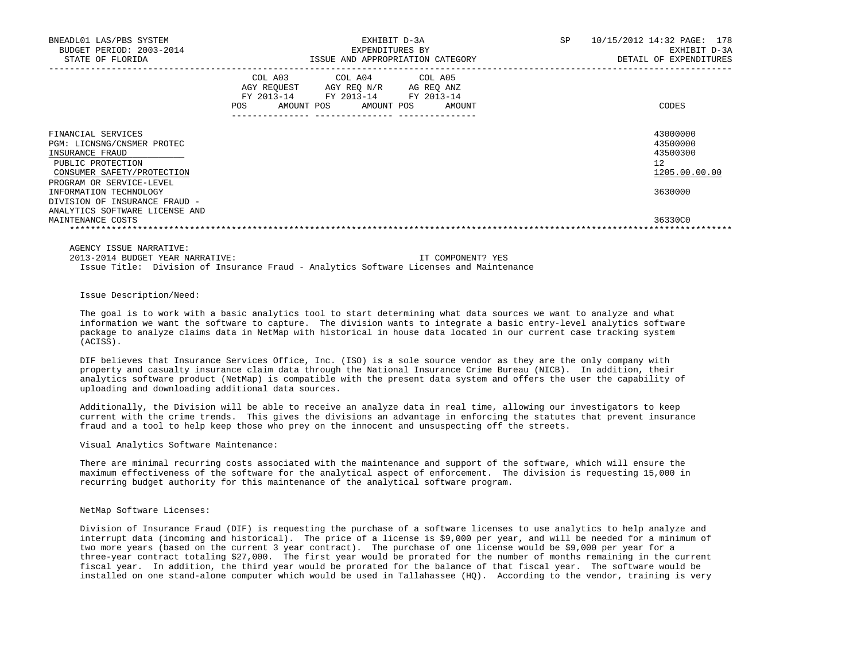| BNEADL01 LAS/PBS SYSTEM<br>BUDGET PERIOD: 2003-2014<br>STATE OF FLORIDA                                                                            | EXHIBIT D-3A<br>EXPENDITURES BY<br>ISSUE AND APPROPRIATION CATEGORY                                                                         | <b>SP</b><br>10/15/2012 14:32 PAGE: 178<br>EXHIBIT D-3A<br>DETAIL OF EXPENDITURES |  |  |
|----------------------------------------------------------------------------------------------------------------------------------------------------|---------------------------------------------------------------------------------------------------------------------------------------------|-----------------------------------------------------------------------------------|--|--|
|                                                                                                                                                    | COL A03 COL A04 COL A05<br>AGY REOUEST AGY REO N/R AG REO ANZ<br>FY 2013-14 FY 2013-14<br>FY 2013-14<br>POS<br>AMOUNT POS AMOUNT POS AMOUNT | CODES                                                                             |  |  |
| FINANCIAL SERVICES<br>PGM: LICNSNG/CNSMER PROTEC<br>INSURANCE FRAUD<br>PUBLIC PROTECTION<br>CONSUMER SAFETY/PROTECTION<br>PROGRAM OR SERVICE-LEVEL |                                                                                                                                             | 43000000<br>43500000<br>43500300<br>12<br>1205.00.00.00                           |  |  |
| INFORMATION TECHNOLOGY<br>DIVISION OF INSURANCE FRAUD -<br>ANALYTICS SOFTWARE LICENSE AND                                                          |                                                                                                                                             | 3630000                                                                           |  |  |
| MAINTENANCE COSTS                                                                                                                                  |                                                                                                                                             | 36330C0                                                                           |  |  |

AGENCY ISSUE NARRATIVE:

 2013-2014 BUDGET YEAR NARRATIVE: IT COMPONENT? YES Issue Title: Division of Insurance Fraud - Analytics Software Licenses and Maintenance

## Issue Description/Need:

 The goal is to work with a basic analytics tool to start determining what data sources we want to analyze and what information we want the software to capture. The division wants to integrate a basic entry-level analytics software package to analyze claims data in NetMap with historical in house data located in our current case tracking system (ACISS).

 DIF believes that Insurance Services Office, Inc. (ISO) is a sole source vendor as they are the only company with property and casualty insurance claim data through the National Insurance Crime Bureau (NICB). In addition, their analytics software product (NetMap) is compatible with the present data system and offers the user the capability of uploading and downloading additional data sources.

 Additionally, the Division will be able to receive an analyze data in real time, allowing our investigators to keep current with the crime trends. This gives the divisions an advantage in enforcing the statutes that prevent insurance fraud and a tool to help keep those who prey on the innocent and unsuspecting off the streets.

## Visual Analytics Software Maintenance:

 There are minimal recurring costs associated with the maintenance and support of the software, which will ensure the maximum effectiveness of the software for the analytical aspect of enforcement. The division is requesting 15,000 in recurring budget authority for this maintenance of the analytical software program.

## NetMap Software Licenses:

 Division of Insurance Fraud (DIF) is requesting the purchase of a software licenses to use analytics to help analyze and interrupt data (incoming and historical). The price of a license is \$9,000 per year, and will be needed for a minimum of two more years (based on the current 3 year contract). The purchase of one license would be \$9,000 per year for a three-year contract totaling \$27,000. The first year would be prorated for the number of months remaining in the current fiscal year. In addition, the third year would be prorated for the balance of that fiscal year. The software would be installed on one stand-alone computer which would be used in Tallahassee (HQ). According to the vendor, training is very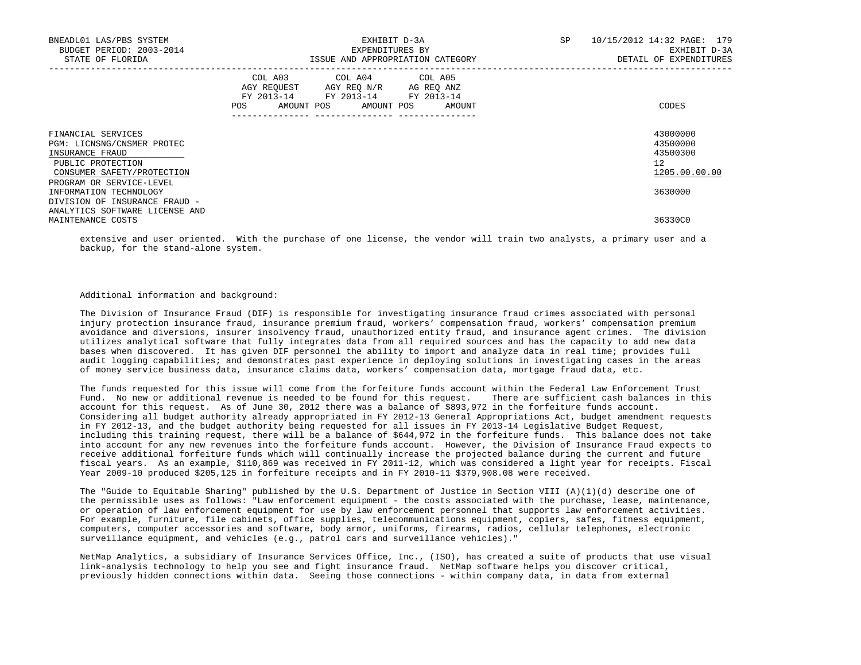| BNEADL01 LAS/PBS SYSTEM<br>BUDGET PERIOD: 2003-2014<br>STATE OF FLORIDA                                                                            | EXHIBIT D-3A<br>EXPENDITURES BY<br>ISSUE AND APPROPRIATION CATEGORY |                                                                                                                   |        | SP<br>10/15/2012 14:32 PAGE: 179<br>EXHIBIT D-3A<br>DETAIL OF EXPENDITURES |
|----------------------------------------------------------------------------------------------------------------------------------------------------|---------------------------------------------------------------------|-------------------------------------------------------------------------------------------------------------------|--------|----------------------------------------------------------------------------|
|                                                                                                                                                    | AGY REOUEST<br>POS                                                  | COL A03 COL A04 COL A05<br>AGY REO N/R AG REO ANZ<br>FY 2013-14 FY 2013-14 FY 2013-14<br>AMOUNT POS<br>AMOUNT POS | AMOUNT | CODES                                                                      |
| FINANCIAL SERVICES<br>PGM: LICNSNG/CNSMER PROTEC<br>INSURANCE FRAUD<br>PUBLIC PROTECTION<br>CONSUMER SAFETY/PROTECTION<br>PROGRAM OR SERVICE-LEVEL |                                                                     |                                                                                                                   |        | 43000000<br>43500000<br>43500300<br>12<br>1205.00.00.00                    |
| INFORMATION TECHNOLOGY<br>DIVISION OF INSURANCE FRAUD -<br>ANALYTICS SOFTWARE LICENSE AND                                                          |                                                                     |                                                                                                                   |        | 3630000                                                                    |
| MAINTENANCE COSTS                                                                                                                                  |                                                                     |                                                                                                                   |        | 36330C0                                                                    |

 extensive and user oriented. With the purchase of one license, the vendor will train two analysts, a primary user and a backup, for the stand-alone system.

## Additional information and background:

 The Division of Insurance Fraud (DIF) is responsible for investigating insurance fraud crimes associated with personal injury protection insurance fraud, insurance premium fraud, workers' compensation fraud, workers' compensation premium avoidance and diversions, insurer insolvency fraud, unauthorized entity fraud, and insurance agent crimes. The division utilizes analytical software that fully integrates data from all required sources and has the capacity to add new data bases when discovered. It has given DIF personnel the ability to import and analyze data in real time; provides full audit logging capabilities; and demonstrates past experience in deploying solutions in investigating cases in the areas of money service business data, insurance claims data, workers' compensation data, mortgage fraud data, etc.

 The funds requested for this issue will come from the forfeiture funds account within the Federal Law Enforcement Trust Fund. No new or additional revenue is needed to be found for this request. There are sufficient cash balances in this account for this request. As of June 30, 2012 there was a balance of \$893,972 in the forfeiture funds account. Considering all budget authority already appropriated in FY 2012-13 General Appropriations Act, budget amendment requests in FY 2012-13, and the budget authority being requested for all issues in FY 2013-14 Legislative Budget Request, including this training request, there will be a balance of \$644,972 in the forfeiture funds. This balance does not take into account for any new revenues into the forfeiture funds account. However, the Division of Insurance Fraud expects to receive additional forfeiture funds which will continually increase the projected balance during the current and future fiscal years. As an example, \$110,869 was received in FY 2011-12, which was considered a light year for receipts. Fiscal Year 2009-10 produced \$205,125 in forfeiture receipts and in FY 2010-11 \$379,908.08 were received.

 The "Guide to Equitable Sharing" published by the U.S. Department of Justice in Section VIII (A)(1)(d) describe one of the permissible uses as follows: "Law enforcement equipment - the costs associated with the purchase, lease, maintenance, or operation of law enforcement equipment for use by law enforcement personnel that supports law enforcement activities. For example, furniture, file cabinets, office supplies, telecommunications equipment, copiers, safes, fitness equipment, computers, computer accessories and software, body armor, uniforms, firearms, radios, cellular telephones, electronic surveillance equipment, and vehicles (e.g., patrol cars and surveillance vehicles)."

 NetMap Analytics, a subsidiary of Insurance Services Office, Inc., (ISO), has created a suite of products that use visual link-analysis technology to help you see and fight insurance fraud. NetMap software helps you discover critical, previously hidden connections within data. Seeing those connections - within company data, in data from external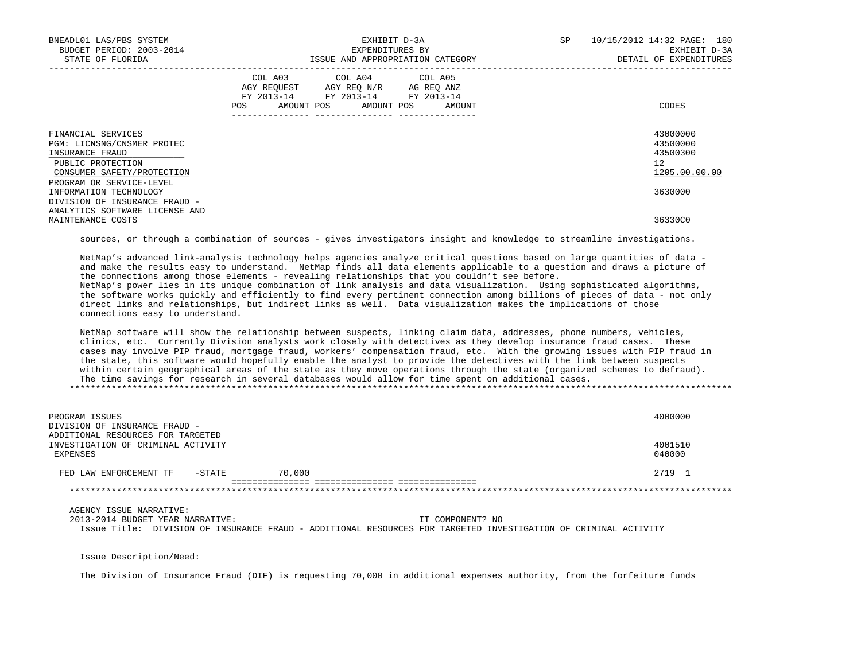| BNEADL01 LAS/PBS SYSTEM<br>BUDGET PERIOD: 2003-2014<br>STATE OF FLORIDA                                                                            | EXHIBIT D-3A<br>EXPENDITURES BY<br>ISSUE AND APPROPRIATION CATEGORY                                                                             | 10/15/2012 14:32 PAGE: 180<br>SP<br>EXHIBIT D-3A<br>DETAIL OF EXPENDITURES |
|----------------------------------------------------------------------------------------------------------------------------------------------------|-------------------------------------------------------------------------------------------------------------------------------------------------|----------------------------------------------------------------------------|
|                                                                                                                                                    | COL A03 COL A04 COL A05<br>AGY REQUEST AGY REQ N/R AG REQ ANZ<br>FY 2013-14 FY 2013-14 FY 2013-14<br>POS FOR<br>AMOUNT POS AMOUNT POS<br>AMOUNT | CODES                                                                      |
| FINANCIAL SERVICES<br>PGM: LICNSNG/CNSMER PROTEC<br>INSURANCE FRAUD<br>PUBLIC PROTECTION<br>CONSUMER SAFETY/PROTECTION<br>PROGRAM OR SERVICE-LEVEL |                                                                                                                                                 | 43000000<br>43500000<br>43500300<br>12<br>1205.00.00.00                    |
| INFORMATION TECHNOLOGY<br>DIVISION OF INSURANCE FRAUD -                                                                                            |                                                                                                                                                 | 3630000                                                                    |
| ANALYTICS SOFTWARE LICENSE AND<br>MAINTENANCE COSTS                                                                                                |                                                                                                                                                 | 36330C0                                                                    |

sources, or through a combination of sources - gives investigators insight and knowledge to streamline investigations.

 NetMap's advanced link-analysis technology helps agencies analyze critical questions based on large quantities of data and make the results easy to understand. NetMap finds all data elements applicable to a question and draws a picture of the connections among those elements - revealing relationships that you couldn't see before. NetMap's power lies in its unique combination of link analysis and data visualization. Using sophisticated algorithms, the software works quickly and efficiently to find every pertinent connection among billions of pieces of data - not only direct links and relationships, but indirect links as well. Data visualization makes the implications of those connections easy to understand.

 NetMap software will show the relationship between suspects, linking claim data, addresses, phone numbers, vehicles, clinics, etc. Currently Division analysts work closely with detectives as they develop insurance fraud cases. These cases may involve PIP fraud, mortgage fraud, workers' compensation fraud, etc. With the growing issues with PIP fraud in the state, this software would hopefully enable the analyst to provide the detectives with the link between suspects within certain geographical areas of the state as they move operations through the state (organized schemes to defraud). The time savings for research in several databases would allow for time spent on additional cases. \*\*\*\*\*\*\*\*\*\*\*\*\*\*\*\*\*\*\*\*\*\*\*\*\*\*\*\*\*\*\*\*\*\*\*\*\*\*\*\*\*\*\*\*\*\*\*\*\*\*\*\*\*\*\*\*\*\*\*\*\*\*\*\*\*\*\*\*\*\*\*\*\*\*\*\*\*\*\*\*\*\*\*\*\*\*\*\*\*\*\*\*\*\*\*\*\*\*\*\*\*\*\*\*\*\*\*\*\*\*\*\*\*\*\*\*\*\*\*\*\*\*\*\*\*\*\*

| PROGRAM ISSUES<br>DIVISION OF INSURANCE FRAUD -                                     |        |        |  | 4000000           |
|-------------------------------------------------------------------------------------|--------|--------|--|-------------------|
| ADDITIONAL RESOURCES FOR TARGETED<br>INVESTIGATION OF CRIMINAL ACTIVITY<br>EXPENSES |        |        |  | 4001510<br>040000 |
| FED LAW ENFORCEMENT TF                                                              | -STATE | 70,000 |  | 2719 1            |
|                                                                                     |        |        |  |                   |
|                                                                                     |        |        |  |                   |
| AGENCY ISSUE NARRATIVE:                                                             |        |        |  |                   |

 2013-2014 BUDGET YEAR NARRATIVE: IT COMPONENT? NO Issue Title: DIVISION OF INSURANCE FRAUD - ADDITIONAL RESOURCES FOR TARGETED INVESTIGATION OF CRIMINAL ACTIVITY

Issue Description/Need:

The Division of Insurance Fraud (DIF) is requesting 70,000 in additional expenses authority, from the forfeiture funds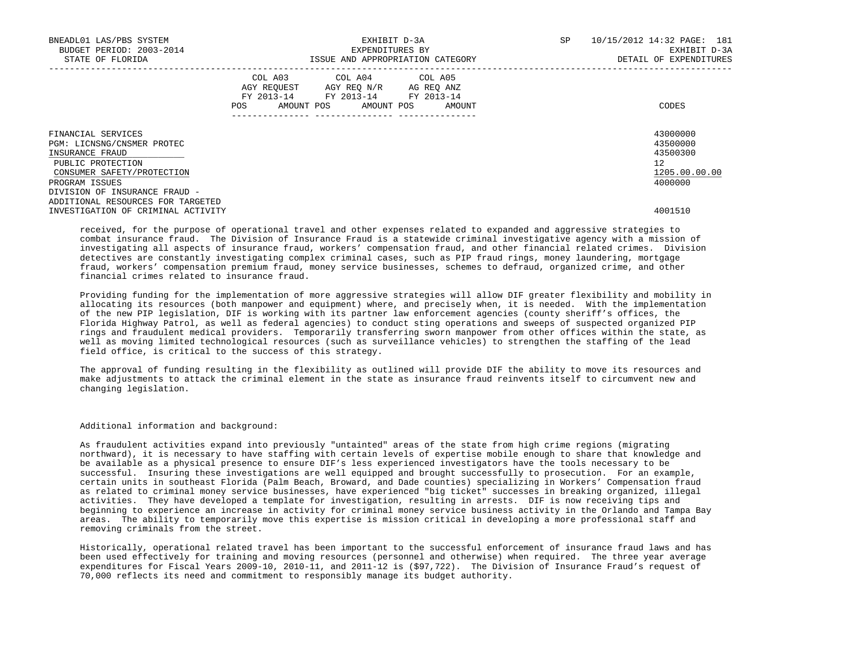| BNEADL01 LAS/PBS SYSTEM<br>BUDGET PERIOD: 2003-2014<br>STATE OF FLORIDA                                                | EXHIBIT D-3A<br>EXPENDITURES BY<br>ISSUE AND APPROPRIATION CATEGORY |  |  |                                                                                                                            |  | SP     | 10/15/2012 14:32 PAGE: 181<br>EXHIBIT D-3A<br>DETAIL OF EXPENDITURES |                                                         |
|------------------------------------------------------------------------------------------------------------------------|---------------------------------------------------------------------|--|--|----------------------------------------------------------------------------------------------------------------------------|--|--------|----------------------------------------------------------------------|---------------------------------------------------------|
|                                                                                                                        | POS                                                                 |  |  | COL A03 COL A04 COL A05<br>AGY REQUEST AGY REO N/R AG REO ANZ<br>FY 2013-14 FY 2013-14 FY 2013-14<br>AMOUNT POS AMOUNT POS |  | AMOUNT |                                                                      | CODES                                                   |
| FINANCIAL SERVICES<br>PGM: LICNSNG/CNSMER PROTEC<br>INSURANCE FRAUD<br>PUBLIC PROTECTION<br>CONSUMER SAFETY/PROTECTION |                                                                     |  |  |                                                                                                                            |  |        |                                                                      | 43000000<br>43500000<br>43500300<br>12<br>1205.00.00.00 |
| PROGRAM ISSUES<br>DIVISION OF INSURANCE FRAUD -                                                                        |                                                                     |  |  |                                                                                                                            |  |        |                                                                      | 4000000                                                 |
| ADDITIONAL RESOURCES FOR TARGETED                                                                                      |                                                                     |  |  |                                                                                                                            |  |        |                                                                      |                                                         |
| INVESTIGATION OF CRIMINAL ACTIVITY                                                                                     |                                                                     |  |  |                                                                                                                            |  |        |                                                                      | 4001510                                                 |

 received, for the purpose of operational travel and other expenses related to expanded and aggressive strategies to combat insurance fraud. The Division of Insurance Fraud is a statewide criminal investigative agency with a mission of investigating all aspects of insurance fraud, workers' compensation fraud, and other financial related crimes. Division detectives are constantly investigating complex criminal cases, such as PIP fraud rings, money laundering, mortgage fraud, workers' compensation premium fraud, money service businesses, schemes to defraud, organized crime, and other financial crimes related to insurance fraud.

 Providing funding for the implementation of more aggressive strategies will allow DIF greater flexibility and mobility in allocating its resources (both manpower and equipment) where, and precisely when, it is needed. With the implementation of the new PIP legislation, DIF is working with its partner law enforcement agencies (county sheriff's offices, the Florida Highway Patrol, as well as federal agencies) to conduct sting operations and sweeps of suspected organized PIP rings and fraudulent medical providers. Temporarily transferring sworn manpower from other offices within the state, as well as moving limited technological resources (such as surveillance vehicles) to strengthen the staffing of the lead field office, is critical to the success of this strategy.

 The approval of funding resulting in the flexibility as outlined will provide DIF the ability to move its resources and make adjustments to attack the criminal element in the state as insurance fraud reinvents itself to circumvent new and changing legislation.

Additional information and background:

 As fraudulent activities expand into previously "untainted" areas of the state from high crime regions (migrating northward), it is necessary to have staffing with certain levels of expertise mobile enough to share that knowledge and be available as a physical presence to ensure DIF's less experienced investigators have the tools necessary to be successful. Insuring these investigations are well equipped and brought successfully to prosecution. For an example, certain units in southeast Florida (Palm Beach, Broward, and Dade counties) specializing in Workers' Compensation fraud as related to criminal money service businesses, have experienced "big ticket" successes in breaking organized, illegal activities. They have developed a template for investigation, resulting in arrests. DIF is now receiving tips and beginning to experience an increase in activity for criminal money service business activity in the Orlando and Tampa Bay areas. The ability to temporarily move this expertise is mission critical in developing a more professional staff and removing criminals from the street.

 Historically, operational related travel has been important to the successful enforcement of insurance fraud laws and has been used effectively for training and moving resources (personnel and otherwise) when required. The three year average expenditures for Fiscal Years 2009-10, 2010-11, and 2011-12 is (\$97,722). The Division of Insurance Fraud's request of 70,000 reflects its need and commitment to responsibly manage its budget authority.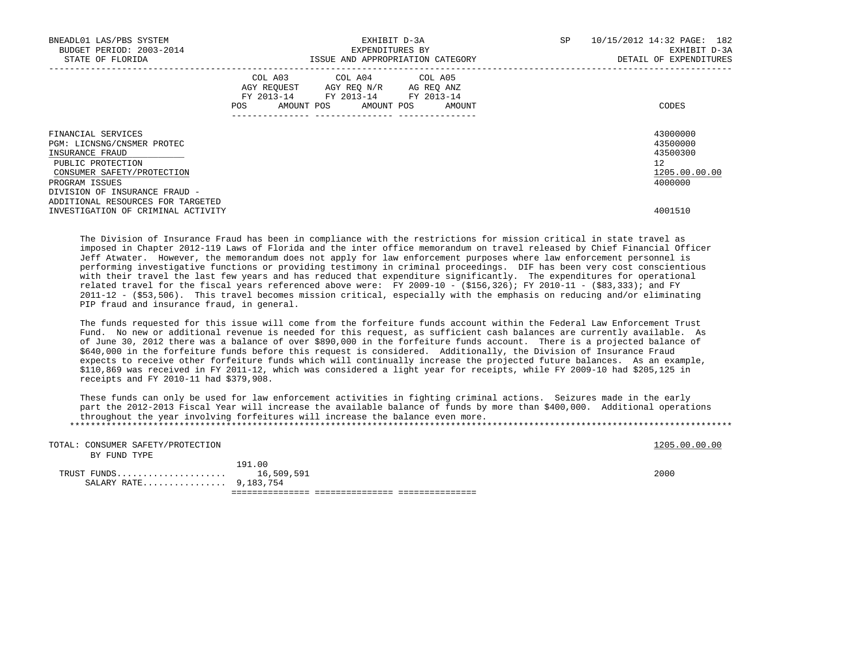| BNEADL01 LAS/PBS SYSTEM<br>BUDGET PERIOD: 2003-2014<br>STATE OF FLORIDA                                                                  | EXHIBIT D-3A<br>EXPENDITURES BY<br>ISSUE AND APPROPRIATION CATEGORY |                                                                                                   |  |  |  | <b>SP</b>                    | 10/15/2012 14:32 PAGE: 182<br>EXHIBIT D-3A<br>DETAIL OF EXPENDITURES |                                                                    |
|------------------------------------------------------------------------------------------------------------------------------------------|---------------------------------------------------------------------|---------------------------------------------------------------------------------------------------|--|--|--|------------------------------|----------------------------------------------------------------------|--------------------------------------------------------------------|
|                                                                                                                                          | POS                                                                 | COL A03 COL A04 COL A05<br>AGY REQUEST AGY REQ N/R AG REQ ANZ<br>FY 2013-14 FY 2013-14 FY 2013-14 |  |  |  | AMOUNT POS AMOUNT POS AMOUNT |                                                                      | CODES                                                              |
| FINANCIAL SERVICES<br>PGM: LICNSNG/CNSMER PROTEC<br>INSURANCE FRAUD<br>PUBLIC PROTECTION<br>CONSUMER SAFETY/PROTECTION<br>PROGRAM ISSUES |                                                                     |                                                                                                   |  |  |  |                              |                                                                      | 43000000<br>43500000<br>43500300<br>12<br>1205.00.00.00<br>4000000 |
| DIVISION OF INSURANCE FRAUD -<br>ADDITIONAL RESOURCES FOR TARGETED<br>INVESTIGATION OF CRIMINAL ACTIVITY                                 |                                                                     |                                                                                                   |  |  |  |                              |                                                                      | 4001510                                                            |

 The Division of Insurance Fraud has been in compliance with the restrictions for mission critical in state travel as imposed in Chapter 2012-119 Laws of Florida and the inter office memorandum on travel released by Chief Financial Officer Jeff Atwater. However, the memorandum does not apply for law enforcement purposes where law enforcement personnel is performing investigative functions or providing testimony in criminal proceedings. DIF has been very cost conscientious with their travel the last few years and has reduced that expenditure significantly. The expenditures for operational related travel for the fiscal years referenced above were: FY 2009-10 - (\$156,326); FY 2010-11 - (\$83,333); and FY 2011-12 - (\$53,506). This travel becomes mission critical, especially with the emphasis on reducing and/or eliminating PIP fraud and insurance fraud, in general.

 The funds requested for this issue will come from the forfeiture funds account within the Federal Law Enforcement Trust Fund. No new or additional revenue is needed for this request, as sufficient cash balances are currently available. As of June 30, 2012 there was a balance of over \$890,000 in the forfeiture funds account. There is a projected balance of \$640,000 in the forfeiture funds before this request is considered. Additionally, the Division of Insurance Fraud expects to receive other forfeiture funds which will continually increase the projected future balances. As an example, \$110,869 was received in FY 2011-12, which was considered a light year for receipts, while FY 2009-10 had \$205,125 in receipts and FY 2010-11 had \$379,908.

 These funds can only be used for law enforcement activities in fighting criminal actions. Seizures made in the early part the 2012-2013 Fiscal Year will increase the available balance of funds by more than \$400,000. Additional operations throughout the year involving forfeitures will increase the balance even more. \*\*\*\*\*\*\*\*\*\*\*\*\*\*\*\*\*\*\*\*\*\*\*\*\*\*\*\*\*\*\*\*\*\*\*\*\*\*\*\*\*\*\*\*\*\*\*\*\*\*\*\*\*\*\*\*\*\*\*\*\*\*\*\*\*\*\*\*\*\*\*\*\*\*\*\*\*\*\*\*\*\*\*\*\*\*\*\*\*\*\*\*\*\*\*\*\*\*\*\*\*\*\*\*\*\*\*\*\*\*\*\*\*\*\*\*\*\*\*\*\*\*\*\*\*\*\*

| TOTAL: CONSUMER SAFETY/PROTECTION |        | 1205.00.00.00 |
|-----------------------------------|--------|---------------|
| BY FUND TYPE                      |        |               |
|                                   | 191.00 |               |
| TRUST FUNDS 16,509,591            |        | 2000          |
| SALARY RATE 9,183,754             |        |               |
|                                   |        |               |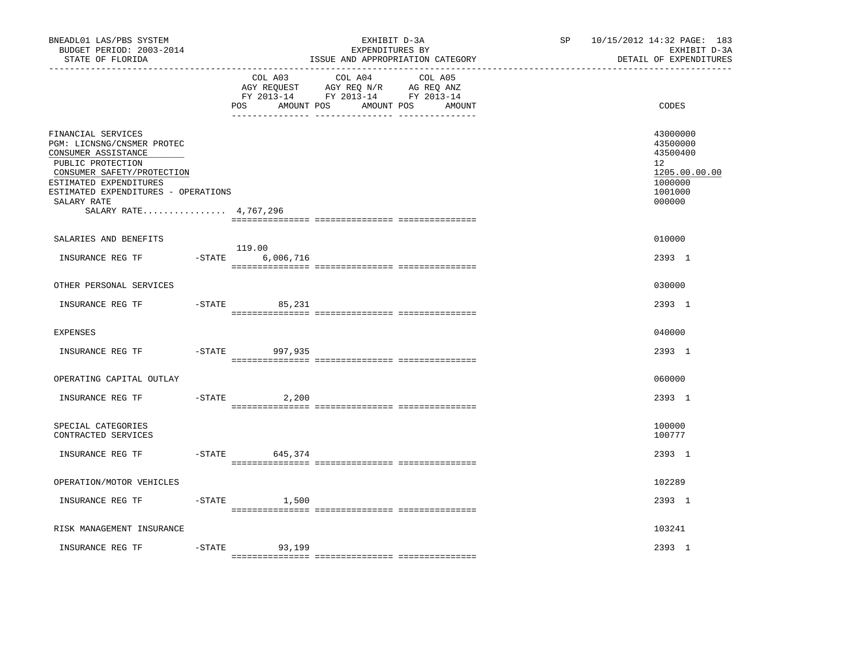| BNEADL01 LAS/PBS SYSTEM<br>BUDGET PERIOD: 2003-2014<br>STATE OF FLORIDA                                                    |           |                               | EXHIBIT D-3A<br>EXPENDITURES BY<br>ISSUE AND APPROPRIATION CATEGORY                                                  | SP <sub>2</sub> | 10/15/2012 14:32 PAGE: 183<br>EXHIBIT D-3A<br>DETAIL OF EXPENDITURES |
|----------------------------------------------------------------------------------------------------------------------------|-----------|-------------------------------|----------------------------------------------------------------------------------------------------------------------|-----------------|----------------------------------------------------------------------|
|                                                                                                                            |           | COL A03<br>AMOUNT POS<br>POS. | COL A04<br>COL A05<br>AGY REQUEST AGY REQ N/R AG REQ ANZ<br>FY 2013-14 FY 2013-14 FY 2013-14<br>AMOUNT POS<br>AMOUNT |                 | CODES                                                                |
| FINANCIAL SERVICES<br>PGM: LICNSNG/CNSMER PROTEC<br>CONSUMER ASSISTANCE<br>PUBLIC PROTECTION<br>CONSUMER SAFETY/PROTECTION |           |                               |                                                                                                                      |                 | 43000000<br>43500000<br>43500400<br>12<br>1205.00.00.00              |
| ESTIMATED EXPENDITURES<br>ESTIMATED EXPENDITURES - OPERATIONS<br>SALARY RATE<br>SALARY RATE 4,767,296                      |           |                               |                                                                                                                      |                 | 1000000<br>1001000<br>000000                                         |
| SALARIES AND BENEFITS                                                                                                      |           |                               |                                                                                                                      |                 | 010000                                                               |
| INSURANCE REG TF                                                                                                           | $-$ STATE | 119.00<br>6,006,716           |                                                                                                                      |                 | 2393 1                                                               |
| OTHER PERSONAL SERVICES                                                                                                    |           |                               |                                                                                                                      |                 | 030000                                                               |
| INSURANCE REG TF                                                                                                           |           | $-STATE$<br>85,231            |                                                                                                                      |                 | 2393 1                                                               |
| <b>EXPENSES</b>                                                                                                            |           |                               |                                                                                                                      |                 | 040000                                                               |
| INSURANCE REG TF                                                                                                           | $-$ STATE | 997,935                       |                                                                                                                      |                 | 2393 1                                                               |
| OPERATING CAPITAL OUTLAY                                                                                                   |           |                               |                                                                                                                      |                 | 060000                                                               |
| INSURANCE REG TF                                                                                                           | $-$ STATE | 2,200                         |                                                                                                                      |                 | 2393 1                                                               |
| SPECIAL CATEGORIES<br>CONTRACTED SERVICES                                                                                  |           |                               |                                                                                                                      |                 | 100000<br>100777                                                     |
| INSURANCE REG TF                                                                                                           | $-$ STATE | 645,374                       |                                                                                                                      |                 | 2393 1                                                               |
| OPERATION/MOTOR VEHICLES                                                                                                   |           |                               |                                                                                                                      |                 | 102289                                                               |
| INSURANCE REG TF                                                                                                           |           | $-$ STATE $1,500$             |                                                                                                                      |                 | 2393 1                                                               |
| RISK MANAGEMENT INSURANCE                                                                                                  |           |                               |                                                                                                                      |                 | 103241                                                               |
| INSURANCE REG TF                                                                                                           | $-STATE$  | 93,199                        |                                                                                                                      |                 | 2393 1                                                               |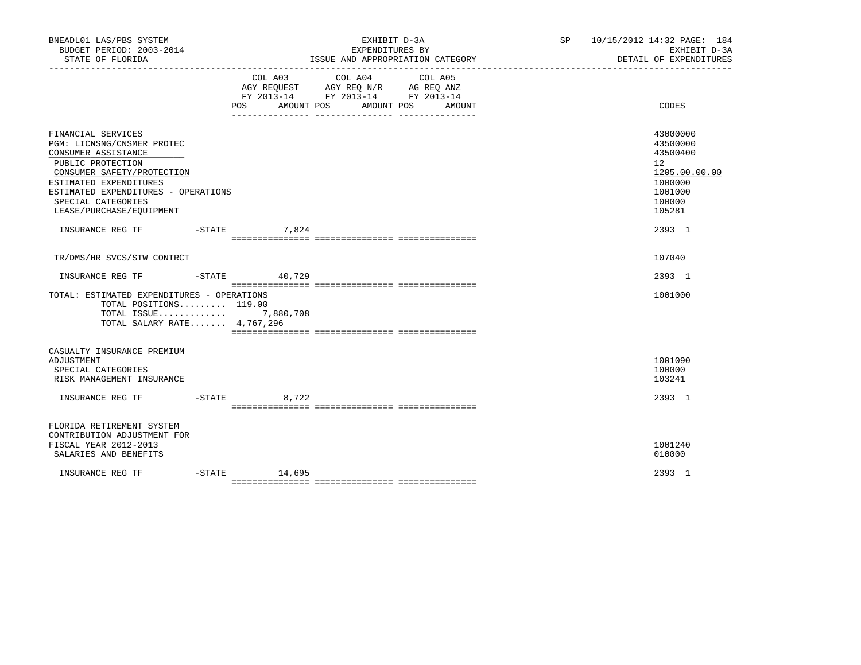| BNEADL01 LAS/PBS SYSTEM<br>BUDGET PERIOD: 2003-2014<br>STATE OF FLORIDA                                                                                                                                                                       |  |                    | EXHIBIT D-3A<br>EXPENDITURES BY<br>ISSUE AND APPROPRIATION CATEGORY                                                                      | SP 10/15/2012 14:32 PAGE: 184 | EXHIBIT D-3A<br>DETAIL OF EXPENDITURES                                                                         |
|-----------------------------------------------------------------------------------------------------------------------------------------------------------------------------------------------------------------------------------------------|--|--------------------|------------------------------------------------------------------------------------------------------------------------------------------|-------------------------------|----------------------------------------------------------------------------------------------------------------|
|                                                                                                                                                                                                                                               |  |                    | COL A03 COL A04 COL A05<br>AGY REQUEST AGY REQ N/R AG REQ ANZ<br>FY 2013-14 FY 2013-14 FY 2013-14<br>POS AMOUNT POS AMOUNT POS<br>AMOUNT |                               | CODES                                                                                                          |
| FINANCIAL SERVICES<br>PGM: LICNSNG/CNSMER PROTEC<br>CONSUMER ASSISTANCE<br>PUBLIC PROTECTION<br>CONSUMER SAFETY/PROTECTION<br>ESTIMATED EXPENDITURES<br>ESTIMATED EXPENDITURES - OPERATIONS<br>SPECIAL CATEGORIES<br>LEASE/PURCHASE/EOUIPMENT |  |                    |                                                                                                                                          |                               | 43000000<br>43500000<br>43500400<br>12 <sup>7</sup><br>1205.00.00.00<br>1000000<br>1001000<br>100000<br>105281 |
| INSURANCE REG TF -STATE 7,824                                                                                                                                                                                                                 |  |                    |                                                                                                                                          |                               | 2393 1                                                                                                         |
| TR/DMS/HR SVCS/STW CONTRCT<br>INSURANCE REG TF    -STATE    40,729                                                                                                                                                                            |  |                    |                                                                                                                                          |                               | 107040<br>2393 1                                                                                               |
| TOTAL: ESTIMATED EXPENDITURES - OPERATIONS<br>TOTAL POSITIONS 119.00<br>TOTAL ISSUE 7,880,708<br>TOTAL SALARY RATE 4,767,296                                                                                                                  |  |                    |                                                                                                                                          |                               | 1001000                                                                                                        |
| CASUALTY INSURANCE PREMIUM<br>ADJUSTMENT<br>SPECIAL CATEGORIES<br>RISK MANAGEMENT INSURANCE                                                                                                                                                   |  |                    |                                                                                                                                          |                               | 1001090<br>100000<br>103241<br>2393 1                                                                          |
| FLORIDA RETIREMENT SYSTEM<br>CONTRIBUTION ADJUSTMENT FOR<br>FISCAL YEAR 2012-2013<br>SALARIES AND BENEFITS                                                                                                                                    |  |                    |                                                                                                                                          |                               | 1001240<br>010000                                                                                              |
| INSURANCE REG TF                                                                                                                                                                                                                              |  | $-$ STATE $14,695$ |                                                                                                                                          |                               | 2393 1                                                                                                         |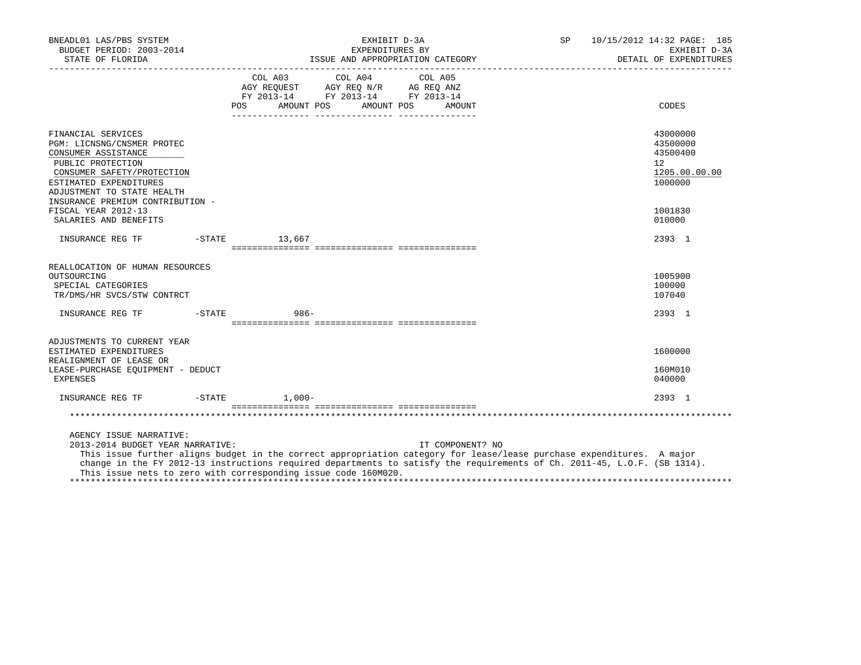| BNEADL01 LAS/PBS SYSTEM<br>BUDGET PERIOD: 2003-2014<br>STATE OF FLORIDA                                                                                                            | EXHIBIT D-3A<br>SP<br>EXPENDITURES BY                                                                                                                                                                                                                                                                                                   | 10/15/2012 14:32 PAGE: 185<br>EXHIBIT D-3A<br>DETAIL OF EXPENDITURES |
|------------------------------------------------------------------------------------------------------------------------------------------------------------------------------------|-----------------------------------------------------------------------------------------------------------------------------------------------------------------------------------------------------------------------------------------------------------------------------------------------------------------------------------------|----------------------------------------------------------------------|
|                                                                                                                                                                                    | COL A03 COL A04 COL A05<br>AGY REQUEST AGY REQ N/R AG REQ ANZ<br>FY 2013-14 FY 2013-14 FY 2013-14<br>POS AMOUNT POS AMOUNT POS<br>AMOUNT                                                                                                                                                                                                | CODES                                                                |
| FINANCIAL SERVICES<br>PGM: LICNSNG/CNSMER PROTEC<br>CONSUMER ASSISTANCE<br>PUBLIC PROTECTION<br>CONSUMER SAFETY/PROTECTION<br>ESTIMATED EXPENDITURES<br>ADJUSTMENT TO STATE HEALTH |                                                                                                                                                                                                                                                                                                                                         | 43000000<br>43500000<br>43500400<br>12<br>1205.00.00.00<br>1000000   |
| INSURANCE PREMIUM CONTRIBUTION -<br>FISCAL YEAR 2012-13<br>SALARIES AND BENEFITS                                                                                                   |                                                                                                                                                                                                                                                                                                                                         | 1001830<br>010000                                                    |
| INSURANCE REG TF                                                                                                                                                                   | $-$ STATE $13,667$                                                                                                                                                                                                                                                                                                                      | 2393 1                                                               |
| REALLOCATION OF HUMAN RESOURCES<br>OUTSOURCING<br>SPECIAL CATEGORIES<br>TR/DMS/HR SVCS/STW CONTRCT                                                                                 |                                                                                                                                                                                                                                                                                                                                         | 1005900<br>100000<br>107040                                          |
| INSURANCE REG TF                                                                                                                                                                   | $986 -$<br>$-STATE$                                                                                                                                                                                                                                                                                                                     | 2393 1                                                               |
| ADJUSTMENTS TO CURRENT YEAR<br>ESTIMATED EXPENDITURES<br>REALIGNMENT OF LEASE OR<br>LEASE-PURCHASE EOUIPMENT - DEDUCT<br>EXPENSES                                                  |                                                                                                                                                                                                                                                                                                                                         | 1600000<br>160M010<br>040000                                         |
| INSURANCE REG TF    -STATE    1,000-                                                                                                                                               |                                                                                                                                                                                                                                                                                                                                         | 2393 1                                                               |
|                                                                                                                                                                                    |                                                                                                                                                                                                                                                                                                                                         |                                                                      |
| AGENCY ISSUE NARRATIVE:<br>2013-2014 BUDGET YEAR NARRATIVE:                                                                                                                        | IT COMPONENT? NO<br>This issue further aligns budget in the correct appropriation category for lease/lease purchase expenditures. A major<br>change in the FY 2012-13 instructions required departments to satisfy the requirements of Ch. 2011-45, L.O.F. (SB 1314).<br>This issue nets to zero with corresponding issue code 160M020. |                                                                      |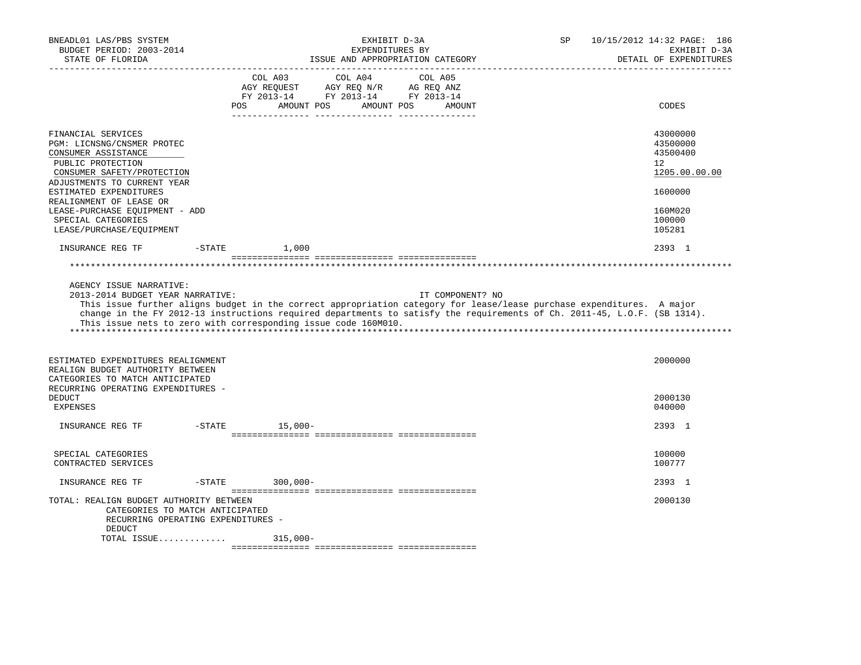| BNEADL01 LAS/PBS SYSTEM<br>BUDGET PERIOD: 2003-2014<br>STATE OF FLORIDA                                                                                                                                                                                                                                                                                                            |          |                                                                                                 | EXHIBIT D-3A<br>EXPENDITURES BY<br>ISSUE AND APPROPRIATION CATEGORY |                  | SP | 10/15/2012 14:32 PAGE: 186<br>EXHIBIT D-3A<br>DETAIL OF EXPENDITURES |
|------------------------------------------------------------------------------------------------------------------------------------------------------------------------------------------------------------------------------------------------------------------------------------------------------------------------------------------------------------------------------------|----------|-------------------------------------------------------------------------------------------------|---------------------------------------------------------------------|------------------|----|----------------------------------------------------------------------|
|                                                                                                                                                                                                                                                                                                                                                                                    | POS      | COL A03<br>AGY REQUEST AGY REQ N/R AG REQ ANZ<br>FY 2013-14 FY 2013-14 FY 2013-14<br>AMOUNT POS | COL A04<br>COL A05<br>AMOUNT POS                                    | AMOUNT           |    | CODES                                                                |
|                                                                                                                                                                                                                                                                                                                                                                                    |          |                                                                                                 |                                                                     |                  |    |                                                                      |
| FINANCIAL SERVICES<br>PGM: LICNSNG/CNSMER PROTEC<br>CONSUMER ASSISTANCE<br>PUBLIC PROTECTION<br>CONSUMER SAFETY/PROTECTION                                                                                                                                                                                                                                                         |          |                                                                                                 |                                                                     |                  |    | 43000000<br>43500000<br>43500400<br>12<br>1205.00.00.00              |
| ADJUSTMENTS TO CURRENT YEAR<br>ESTIMATED EXPENDITURES<br>REALIGNMENT OF LEASE OR                                                                                                                                                                                                                                                                                                   |          |                                                                                                 |                                                                     |                  |    | 1600000                                                              |
| LEASE-PURCHASE EQUIPMENT - ADD<br>SPECIAL CATEGORIES<br>LEASE/PURCHASE/EQUIPMENT                                                                                                                                                                                                                                                                                                   |          |                                                                                                 |                                                                     |                  |    | 160M020<br>100000<br>105281                                          |
| INSURANCE REG TF                                                                                                                                                                                                                                                                                                                                                                   | $-STATE$ | 1,000                                                                                           |                                                                     |                  |    | 2393 1                                                               |
|                                                                                                                                                                                                                                                                                                                                                                                    |          |                                                                                                 |                                                                     |                  |    |                                                                      |
| AGENCY ISSUE NARRATIVE:<br>2013-2014 BUDGET YEAR NARRATIVE:<br>This issue further aligns budget in the correct appropriation category for lease/lease purchase expenditures. A major<br>change in the FY 2012-13 instructions required departments to satisfy the requirements of Ch. 2011-45, L.O.F. (SB 1314).<br>This issue nets to zero with corresponding issue code 160M010. |          |                                                                                                 |                                                                     | IT COMPONENT? NO |    |                                                                      |
| ESTIMATED EXPENDITURES REALIGNMENT<br>REALIGN BUDGET AUTHORITY BETWEEN<br>CATEGORIES TO MATCH ANTICIPATED<br>RECURRING OPERATING EXPENDITURES -                                                                                                                                                                                                                                    |          |                                                                                                 |                                                                     |                  |    | 2000000                                                              |
| <b>DEDUCT</b><br>EXPENSES                                                                                                                                                                                                                                                                                                                                                          |          |                                                                                                 |                                                                     |                  |    | 2000130<br>040000                                                    |
| INSURANCE REG TF                                                                                                                                                                                                                                                                                                                                                                   | $-STATE$ | $15,000-$                                                                                       |                                                                     |                  |    | 2393 1                                                               |
| SPECIAL CATEGORIES<br>CONTRACTED SERVICES                                                                                                                                                                                                                                                                                                                                          |          |                                                                                                 |                                                                     |                  |    | 100000<br>100777                                                     |
| INSURANCE REG TF                                                                                                                                                                                                                                                                                                                                                                   | $-STATE$ | $300,000 -$                                                                                     |                                                                     |                  |    | 2393 1                                                               |
| TOTAL: REALIGN BUDGET AUTHORITY BETWEEN<br>CATEGORIES TO MATCH ANTICIPATED<br>RECURRING OPERATING EXPENDITURES -<br><b>DEDUCT</b>                                                                                                                                                                                                                                                  |          |                                                                                                 |                                                                     |                  |    | 2000130                                                              |
| TOTAL ISSUE                                                                                                                                                                                                                                                                                                                                                                        |          | $315,000-$                                                                                      |                                                                     |                  |    |                                                                      |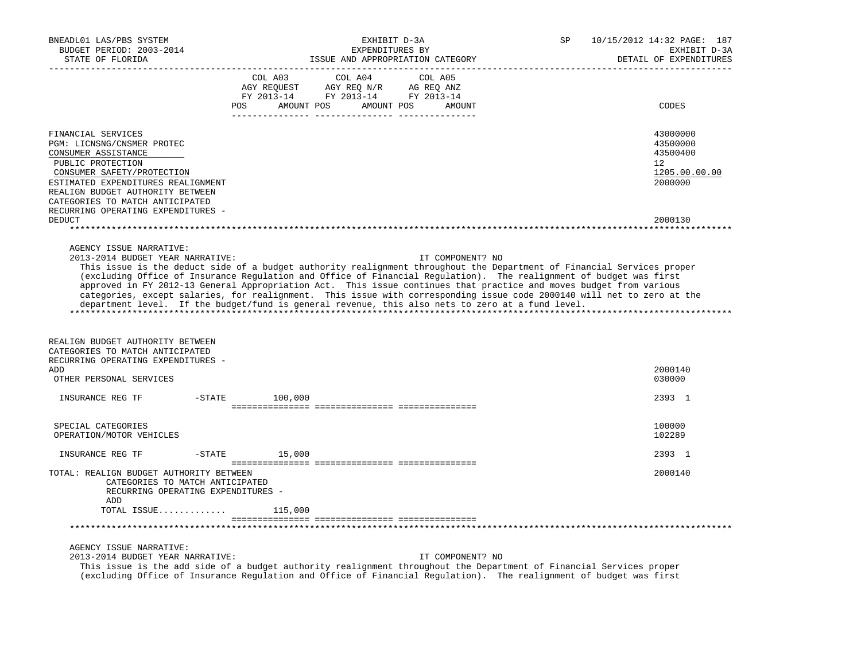| BNEADL01 LAS/PBS SYSTEM<br>BUDGET PERIOD: 2003-2014<br>STATE OF FLORIDA                                                                                                                                                                                                       | EXHIBIT D-3A<br>EXPENDITURES BY<br>ISSUE AND APPROPRIATION CATEGORY                                                                                                                                                                                                                                                                                                                                                                                                                                                                                                                                                  | SP<br>10/15/2012 14:32 PAGE: 187<br>EXHIBIT D-3A<br>DETAIL OF EXPENDITURES   |
|-------------------------------------------------------------------------------------------------------------------------------------------------------------------------------------------------------------------------------------------------------------------------------|----------------------------------------------------------------------------------------------------------------------------------------------------------------------------------------------------------------------------------------------------------------------------------------------------------------------------------------------------------------------------------------------------------------------------------------------------------------------------------------------------------------------------------------------------------------------------------------------------------------------|------------------------------------------------------------------------------|
|                                                                                                                                                                                                                                                                               | COL A03<br>COL A04<br>COL A05<br>AMOUNT POS AMOUNT POS<br><b>POS</b><br>AMOUNT                                                                                                                                                                                                                                                                                                                                                                                                                                                                                                                                       | CODES                                                                        |
| FINANCIAL SERVICES<br>PGM: LICNSNG/CNSMER PROTEC<br>CONSUMER ASSISTANCE<br>PUBLIC PROTECTION<br>CONSUMER SAFETY/PROTECTION<br>ESTIMATED EXPENDITURES REALIGNMENT<br>REALIGN BUDGET AUTHORITY BETWEEN<br>CATEGORIES TO MATCH ANTICIPATED<br>RECURRING OPERATING EXPENDITURES - |                                                                                                                                                                                                                                                                                                                                                                                                                                                                                                                                                                                                                      | 43000000<br>43500000<br>43500400<br>$12^{\circ}$<br>1205.00.00.00<br>2000000 |
| DEDUCT                                                                                                                                                                                                                                                                        |                                                                                                                                                                                                                                                                                                                                                                                                                                                                                                                                                                                                                      | 2000130                                                                      |
| AGENCY ISSUE NARRATIVE:<br>2013-2014 BUDGET YEAR NARRATIVE:                                                                                                                                                                                                                   | IT COMPONENT? NO<br>This issue is the deduct side of a budget authority realignment throughout the Department of Financial Services proper<br>(excluding Office of Insurance Regulation and Office of Financial Regulation). The realignment of budget was first<br>approved in FY 2012-13 General Appropriation Act. This issue continues that practice and moves budget from various<br>categories, except salaries, for realignment. This issue with corresponding issue code 2000140 will net to zero at the<br>department level. If the budget/fund is general revenue, this also nets to zero at a fund level. |                                                                              |
| REALIGN BUDGET AUTHORITY BETWEEN<br>CATEGORIES TO MATCH ANTICIPATED<br>RECURRING OPERATING EXPENDITURES -                                                                                                                                                                     |                                                                                                                                                                                                                                                                                                                                                                                                                                                                                                                                                                                                                      |                                                                              |
| ADD<br>OTHER PERSONAL SERVICES                                                                                                                                                                                                                                                |                                                                                                                                                                                                                                                                                                                                                                                                                                                                                                                                                                                                                      | 2000140<br>030000                                                            |
| INSURANCE REG TF                                                                                                                                                                                                                                                              | $-STATE$ 100,000                                                                                                                                                                                                                                                                                                                                                                                                                                                                                                                                                                                                     | 2393 1                                                                       |
| SPECIAL CATEGORIES<br>OPERATION/MOTOR VEHICLES                                                                                                                                                                                                                                |                                                                                                                                                                                                                                                                                                                                                                                                                                                                                                                                                                                                                      | 100000<br>102289                                                             |
| INSURANCE REG TF<br>$-$ STATE                                                                                                                                                                                                                                                 | 15,000                                                                                                                                                                                                                                                                                                                                                                                                                                                                                                                                                                                                               | 2393 1                                                                       |
| TOTAL: REALIGN BUDGET AUTHORITY BETWEEN<br>CATEGORIES TO MATCH ANTICIPATED<br>RECURRING OPERATING EXPENDITURES -<br>ADD                                                                                                                                                       |                                                                                                                                                                                                                                                                                                                                                                                                                                                                                                                                                                                                                      | 2000140                                                                      |
| TOTAL ISSUE                                                                                                                                                                                                                                                                   | 115,000                                                                                                                                                                                                                                                                                                                                                                                                                                                                                                                                                                                                              |                                                                              |
|                                                                                                                                                                                                                                                                               |                                                                                                                                                                                                                                                                                                                                                                                                                                                                                                                                                                                                                      |                                                                              |
| AGENCY ISSUE NARRATIVE:<br>2013-2014 BUDGET YEAR NARRATIVE:                                                                                                                                                                                                                   | IT COMPONENT? NO<br>This issue is the add side of a budget authority realignment throughout the Department of Financial Services proper<br>(excluding Office of Insurance Regulation and Office of Financial Regulation). The realignment of budget was first                                                                                                                                                                                                                                                                                                                                                        |                                                                              |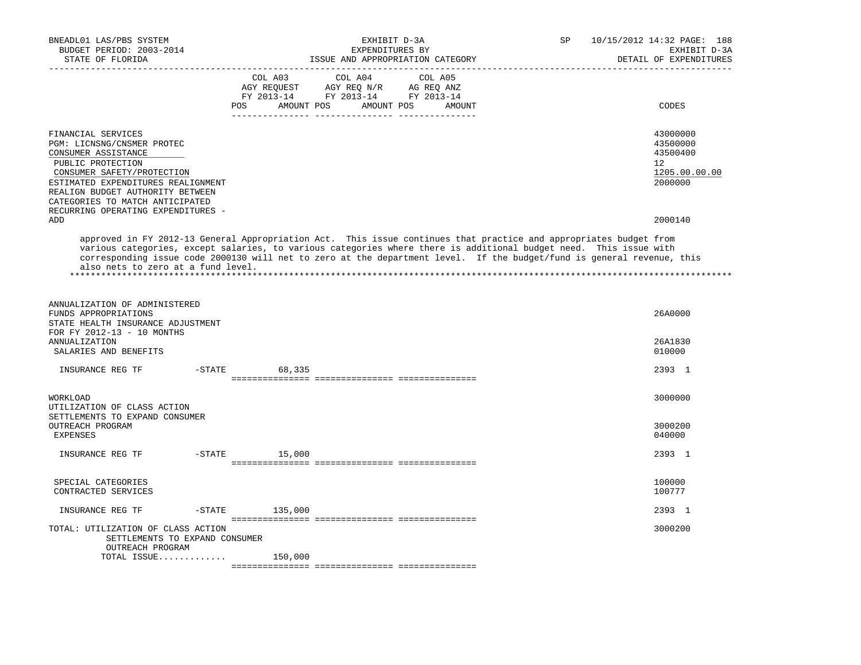| BNEADL01 LAS/PBS SYSTEM<br>BUDGET PERIOD: 2003-2014<br>STATE OF FLORIDA<br>__________________________________                                                                                                                                                                 | EXHIBIT D-3A<br>EXPENDITURES BY<br>ISSUE AND APPROPRIATION CATEGORY                                                                                                                                                                                                                                                                                              | 10/15/2012 14:32 PAGE: 188<br>SP<br>EXHIBIT D-3A<br>DETAIL OF EXPENDITURES   |
|-------------------------------------------------------------------------------------------------------------------------------------------------------------------------------------------------------------------------------------------------------------------------------|------------------------------------------------------------------------------------------------------------------------------------------------------------------------------------------------------------------------------------------------------------------------------------------------------------------------------------------------------------------|------------------------------------------------------------------------------|
|                                                                                                                                                                                                                                                                               | COL A03<br>COL A04<br>COL A05<br>AGY REQUEST AGY REQ N/R AG REQ ANZ<br>FY 2013-14 FY 2013-14 FY 2013-14<br>POS AMOUNT POS AMOUNT POS<br>AMOUNT                                                                                                                                                                                                                   | CODES                                                                        |
| FINANCIAL SERVICES<br>PGM: LICNSNG/CNSMER PROTEC<br>CONSUMER ASSISTANCE<br>PUBLIC PROTECTION<br>CONSUMER SAFETY/PROTECTION<br>ESTIMATED EXPENDITURES REALIGNMENT<br>REALIGN BUDGET AUTHORITY BETWEEN<br>CATEGORIES TO MATCH ANTICIPATED<br>RECURRING OPERATING EXPENDITURES - |                                                                                                                                                                                                                                                                                                                                                                  | 43000000<br>43500000<br>43500400<br>$12^{\circ}$<br>1205.00.00.00<br>2000000 |
| ADD                                                                                                                                                                                                                                                                           |                                                                                                                                                                                                                                                                                                                                                                  | 2000140                                                                      |
| also nets to zero at a fund level.                                                                                                                                                                                                                                            | approved in FY 2012-13 General Appropriation Act. This issue continues that practice and appropriates budget from<br>various categories, except salaries, to various categories where there is additional budget need. This issue with<br>corresponding issue code 2000130 will net to zero at the department level. If the budget/fund is general revenue, this |                                                                              |
| ANNUALIZATION OF ADMINISTERED<br>FUNDS APPROPRIATIONS<br>STATE HEALTH INSURANCE ADJUSTMENT<br>FOR FY 2012-13 - 10 MONTHS<br><b>ANNUALIZATION</b><br>SALARIES AND BENEFITS                                                                                                     |                                                                                                                                                                                                                                                                                                                                                                  | 26A0000<br>26A1830<br>010000                                                 |
| INSURANCE REG TF                                                                                                                                                                                                                                                              | $-STATE$<br>68,335                                                                                                                                                                                                                                                                                                                                               | 2393 1                                                                       |
|                                                                                                                                                                                                                                                                               |                                                                                                                                                                                                                                                                                                                                                                  |                                                                              |
| WORKLOAD<br>UTILIZATION OF CLASS ACTION<br>SETTLEMENTS TO EXPAND CONSUMER<br>OUTREACH PROGRAM                                                                                                                                                                                 |                                                                                                                                                                                                                                                                                                                                                                  | 3000000<br>3000200                                                           |
| EXPENSES                                                                                                                                                                                                                                                                      |                                                                                                                                                                                                                                                                                                                                                                  | 040000                                                                       |
| INSURANCE REG TF                                                                                                                                                                                                                                                              | $-STATE$ 15,000                                                                                                                                                                                                                                                                                                                                                  | 2393 1                                                                       |
| SPECIAL CATEGORIES<br>CONTRACTED SERVICES                                                                                                                                                                                                                                     |                                                                                                                                                                                                                                                                                                                                                                  | 100000<br>100777                                                             |
| $-STATE$<br>INSURANCE REG TF                                                                                                                                                                                                                                                  | 135,000                                                                                                                                                                                                                                                                                                                                                          | 2393 1                                                                       |
| TOTAL: UTILIZATION OF CLASS ACTION<br>SETTLEMENTS TO EXPAND CONSUMER<br>OUTREACH PROGRAM                                                                                                                                                                                      |                                                                                                                                                                                                                                                                                                                                                                  | 3000200                                                                      |
| TOTAL ISSUE                                                                                                                                                                                                                                                                   | 150,000                                                                                                                                                                                                                                                                                                                                                          |                                                                              |
|                                                                                                                                                                                                                                                                               |                                                                                                                                                                                                                                                                                                                                                                  |                                                                              |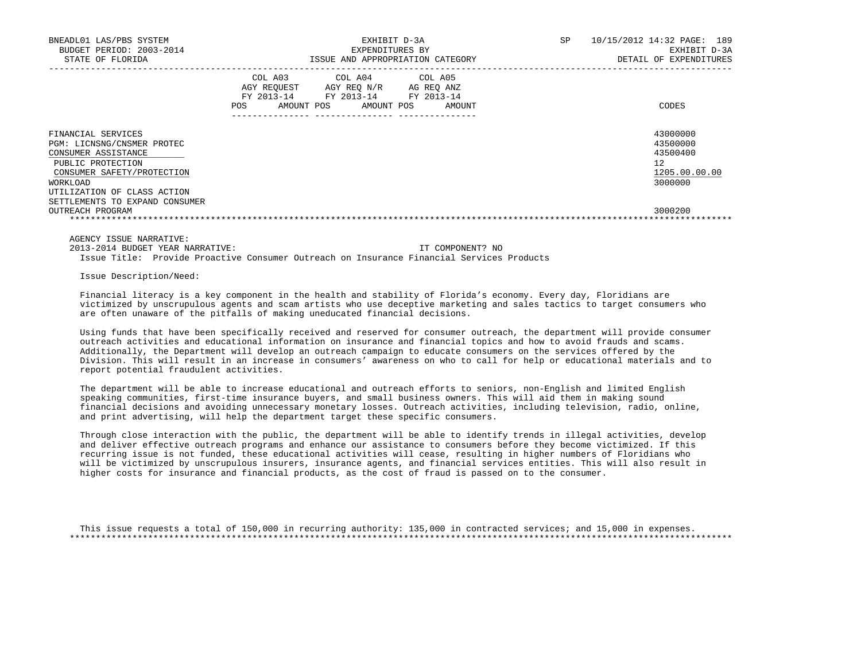| BNEADL01 LAS/PBS SYSTEM<br>BUDGET PERIOD: 2003-2014<br>STATE OF FLORIDA                                                                                                                                 |                                                           | EXHIBIT D-3A<br>EXPENDITURES BY<br>ISSUE AND APPROPRIATION CATEGORY |                                    | SP. | 10/15/2012 14:32 PAGE: 189<br>EXHIBIT D-3A<br>DETAIL OF EXPENDITURES |
|---------------------------------------------------------------------------------------------------------------------------------------------------------------------------------------------------------|-----------------------------------------------------------|---------------------------------------------------------------------|------------------------------------|-----|----------------------------------------------------------------------|
|                                                                                                                                                                                                         | COL A03<br>AGY REOUEST<br>FY 2013-14<br>AMOUNT POS<br>POS | COL A04 COL A05<br>AGY REO N/R<br>FY 2013-14<br>AMOUNT POS          | AG REO ANZ<br>FY 2013-14<br>AMOUNT |     | CODES                                                                |
| FINANCIAL SERVICES<br>PGM: LICNSNG/CNSMER PROTEC<br>CONSUMER ASSISTANCE<br>PUBLIC PROTECTION<br>CONSUMER SAFETY/PROTECTION<br>WORKLOAD<br>UTILIZATION OF CLASS ACTION<br>SETTLEMENTS TO EXPAND CONSUMER |                                                           |                                                                     |                                    |     | 43000000<br>43500000<br>43500400<br>12<br>1205.00.00.00<br>3000000   |
| OUTREACH PROGRAM                                                                                                                                                                                        |                                                           |                                                                     |                                    |     | 3000200                                                              |

 2013-2014 BUDGET YEAR NARRATIVE: IT COMPONENT? NO Issue Title: Provide Proactive Consumer Outreach on Insurance Financial Services Products

Issue Description/Need:

 Financial literacy is a key component in the health and stability of Florida's economy. Every day, Floridians are victimized by unscrupulous agents and scam artists who use deceptive marketing and sales tactics to target consumers who are often unaware of the pitfalls of making uneducated financial decisions.

 Using funds that have been specifically received and reserved for consumer outreach, the department will provide consumer outreach activities and educational information on insurance and financial topics and how to avoid frauds and scams. Additionally, the Department will develop an outreach campaign to educate consumers on the services offered by the Division. This will result in an increase in consumers' awareness on who to call for help or educational materials and to report potential fraudulent activities.

 The department will be able to increase educational and outreach efforts to seniors, non-English and limited English speaking communities, first-time insurance buyers, and small business owners. This will aid them in making sound financial decisions and avoiding unnecessary monetary losses. Outreach activities, including television, radio, online, and print advertising, will help the department target these specific consumers.

 Through close interaction with the public, the department will be able to identify trends in illegal activities, develop and deliver effective outreach programs and enhance our assistance to consumers before they become victimized. If this recurring issue is not funded, these educational activities will cease, resulting in higher numbers of Floridians who will be victimized by unscrupulous insurers, insurance agents, and financial services entities. This will also result in higher costs for insurance and financial products, as the cost of fraud is passed on to the consumer.

 This issue requests a total of 150,000 in recurring authority: 135,000 in contracted services; and 15,000 in expenses. \*\*\*\*\*\*\*\*\*\*\*\*\*\*\*\*\*\*\*\*\*\*\*\*\*\*\*\*\*\*\*\*\*\*\*\*\*\*\*\*\*\*\*\*\*\*\*\*\*\*\*\*\*\*\*\*\*\*\*\*\*\*\*\*\*\*\*\*\*\*\*\*\*\*\*\*\*\*\*\*\*\*\*\*\*\*\*\*\*\*\*\*\*\*\*\*\*\*\*\*\*\*\*\*\*\*\*\*\*\*\*\*\*\*\*\*\*\*\*\*\*\*\*\*\*\*\*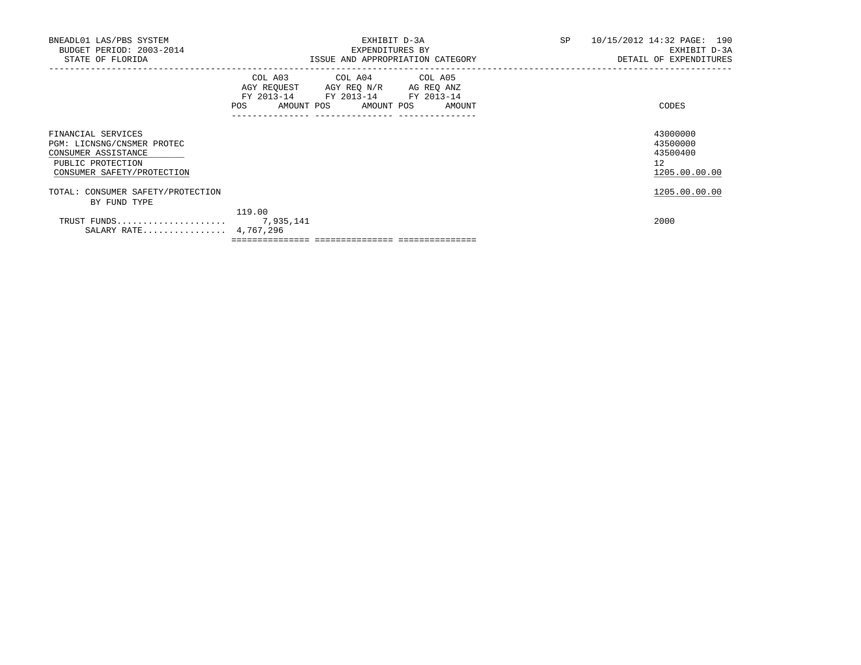| BNEADL01 LAS/PBS SYSTEM<br>BUDGET PERIOD: 2003-2014<br>STATE OF FLORIDA                                                    | EXHIBIT D-3A<br>EXPENDITURES BY<br>ISSUE AND APPROPRIATION CATEGORY                                                                                                                                                                                 | SP<br>10/15/2012 14:32 PAGE: 190<br>EXHIBIT D-3A<br>DETAIL OF EXPENDITURES |
|----------------------------------------------------------------------------------------------------------------------------|-----------------------------------------------------------------------------------------------------------------------------------------------------------------------------------------------------------------------------------------------------|----------------------------------------------------------------------------|
|                                                                                                                            | COL A03 COL A04 COL A05<br>AGY REQUEST AGY REQ N/R AG REQ ANZ<br>FY 2013-14 FY 2013-14 FY 2013-14<br>AMOUNT POS AMOUNT POS AMOUNT<br>POS FOR THE POST OF THE STATE STATE STATE STATE STATE STATE STATE STATE STATE STATE STATE STATE STATE STATE ST | CODES                                                                      |
| FINANCIAL SERVICES<br>PGM: LICNSNG/CNSMER PROTEC<br>CONSUMER ASSISTANCE<br>PUBLIC PROTECTION<br>CONSUMER SAFETY/PROTECTION |                                                                                                                                                                                                                                                     | 43000000<br>43500000<br>43500400<br>12<br>1205.00.00.00                    |
| TOTAL: CONSUMER SAFETY/PROTECTION<br>BY FUND TYPE                                                                          |                                                                                                                                                                                                                                                     | 1205.00.00.00                                                              |
| TRUST FUNDS<br>SALARY RATE 4,767,296                                                                                       | 119.00<br>7,935,141                                                                                                                                                                                                                                 | 2000                                                                       |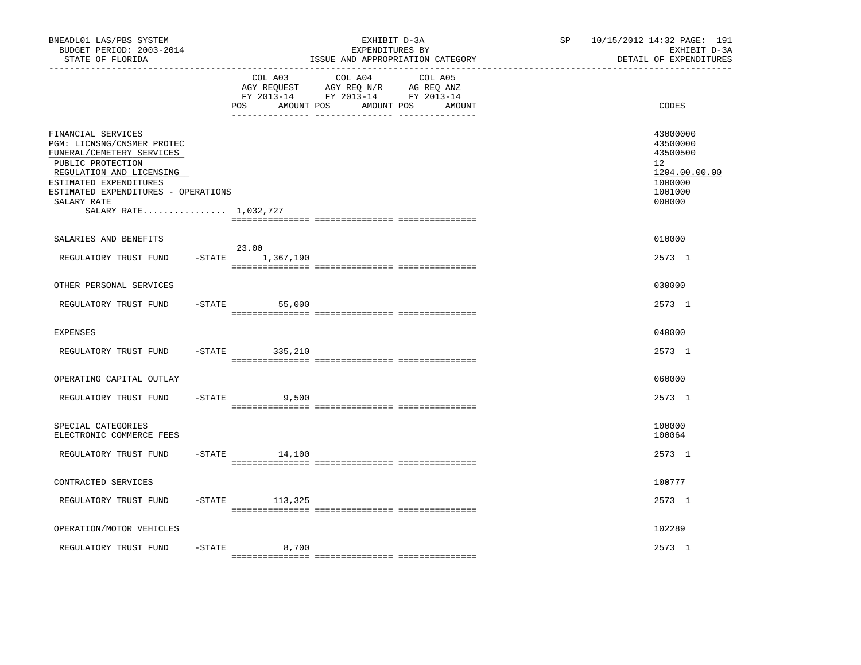| BNEADL01 LAS/PBS SYSTEM<br>BUDGET PERIOD: 2003-2014<br>STATE OF FLORIDA<br>-----------------                                                                                                                                            |           |                                     | EXHIBIT D-3A<br>EXPENDITURES BY<br>ISSUE AND APPROPRIATION CATEGORY                                                  | SP | 10/15/2012 14:32 PAGE: 191<br>EXHIBIT D-3A<br>DETAIL OF EXPENDITURES                    |
|-----------------------------------------------------------------------------------------------------------------------------------------------------------------------------------------------------------------------------------------|-----------|-------------------------------------|----------------------------------------------------------------------------------------------------------------------|----|-----------------------------------------------------------------------------------------|
|                                                                                                                                                                                                                                         |           | COL A03<br><b>POS</b><br>AMOUNT POS | COL A04<br>COL A05<br>AGY REQUEST AGY REQ N/R AG REQ ANZ<br>FY 2013-14 FY 2013-14 FY 2013-14<br>AMOUNT POS<br>AMOUNT |    | CODES                                                                                   |
| FINANCIAL SERVICES<br>PGM: LICNSNG/CNSMER PROTEC<br>FUNERAL/CEMETERY SERVICES<br>PUBLIC PROTECTION<br>REGULATION AND LICENSING<br>ESTIMATED EXPENDITURES<br>ESTIMATED EXPENDITURES - OPERATIONS<br>SALARY RATE<br>SALARY RATE 1,032,727 |           |                                     |                                                                                                                      |    | 43000000<br>43500000<br>43500500<br>12<br>1204.00.00.00<br>1000000<br>1001000<br>000000 |
| SALARIES AND BENEFITS                                                                                                                                                                                                                   |           |                                     |                                                                                                                      |    | 010000                                                                                  |
| REGULATORY TRUST FUND                                                                                                                                                                                                                   |           | 23.00<br>$-$ STATE $1, 367, 190$    |                                                                                                                      |    | 2573 1                                                                                  |
| OTHER PERSONAL SERVICES                                                                                                                                                                                                                 |           |                                     |                                                                                                                      |    | 030000                                                                                  |
| REGULATORY TRUST FUND                                                                                                                                                                                                                   |           | $-STATE$<br>55,000                  |                                                                                                                      |    | 2573 1                                                                                  |
| <b>EXPENSES</b>                                                                                                                                                                                                                         |           |                                     |                                                                                                                      |    | 040000                                                                                  |
| REGULATORY TRUST FUND                                                                                                                                                                                                                   | $-STATE$  | 335,210                             |                                                                                                                      |    | 2573 1                                                                                  |
| OPERATING CAPITAL OUTLAY                                                                                                                                                                                                                |           |                                     |                                                                                                                      |    | 060000                                                                                  |
| REGULATORY TRUST FUND                                                                                                                                                                                                                   | $-$ STATE | 9,500                               |                                                                                                                      |    | 2573 1                                                                                  |
| SPECIAL CATEGORIES<br>ELECTRONIC COMMERCE FEES                                                                                                                                                                                          |           |                                     |                                                                                                                      |    | 100000<br>100064                                                                        |
| REGULATORY TRUST FUND                                                                                                                                                                                                                   |           | $-$ STATE<br>14,100                 |                                                                                                                      |    | 2573 1                                                                                  |
| CONTRACTED SERVICES                                                                                                                                                                                                                     |           |                                     |                                                                                                                      |    | 100777                                                                                  |
| REGULATORY TRUST FUND                                                                                                                                                                                                                   |           | $-$ STATE 113, 325                  |                                                                                                                      |    | 2573 1                                                                                  |
| OPERATION/MOTOR VEHICLES                                                                                                                                                                                                                |           |                                     |                                                                                                                      |    | 102289                                                                                  |
| REGULATORY TRUST FUND                                                                                                                                                                                                                   | $-$ STATE | 8,700                               |                                                                                                                      |    | 2573 1                                                                                  |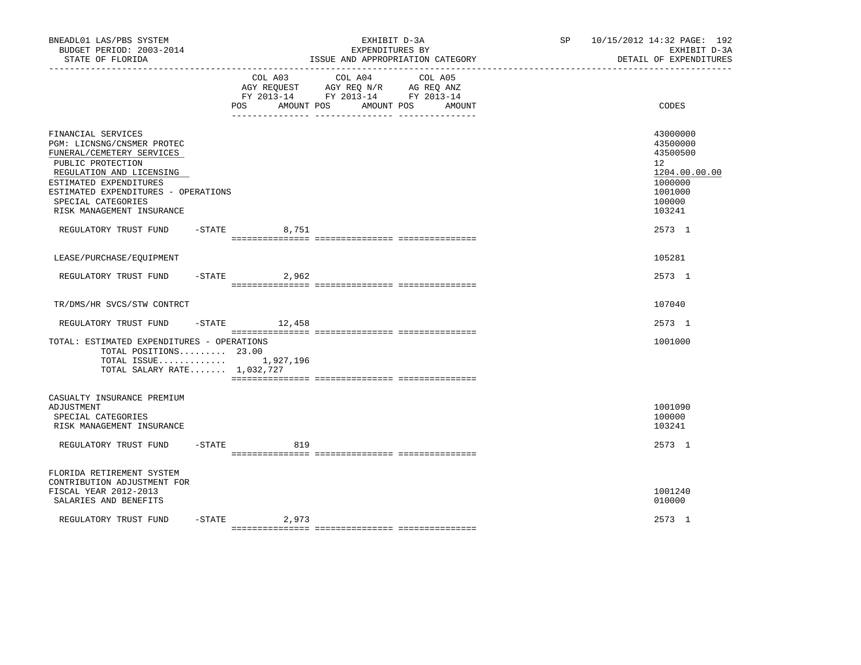| BNEADL01 LAS/PBS SYSTEM<br>BUDGET PERIOD: 2003-2014<br>STATE OF FLORIDA                                                                                                                                                                            |           | ______________________________________ | EXHIBIT D-3A<br>EXPENDITURES BY<br>ISSUE AND APPROPRIATION CATEGORY                                                  | SP | 10/15/2012 14:32 PAGE: 192<br>EXHIBIT D-3A<br>DETAIL OF EXPENDITURES                              |
|----------------------------------------------------------------------------------------------------------------------------------------------------------------------------------------------------------------------------------------------------|-----------|----------------------------------------|----------------------------------------------------------------------------------------------------------------------|----|---------------------------------------------------------------------------------------------------|
|                                                                                                                                                                                                                                                    |           | COL A03<br>AMOUNT POS<br><b>POS</b>    | COL A04<br>COL A05<br>AGY REQUEST AGY REQ N/R AG REQ ANZ<br>FY 2013-14 FY 2013-14 FY 2013-14<br>AMOUNT POS<br>AMOUNT |    | CODES                                                                                             |
| FINANCIAL SERVICES<br>PGM: LICNSNG/CNSMER PROTEC<br>FUNERAL/CEMETERY SERVICES<br>PUBLIC PROTECTION<br>REGULATION AND LICENSING<br>ESTIMATED EXPENDITURES<br>ESTIMATED EXPENDITURES - OPERATIONS<br>SPECIAL CATEGORIES<br>RISK MANAGEMENT INSURANCE |           |                                        |                                                                                                                      |    | 43000000<br>43500000<br>43500500<br>12<br>1204.00.00.00<br>1000000<br>1001000<br>100000<br>103241 |
| REGULATORY TRUST FUND                                                                                                                                                                                                                              |           | $-$ STATE<br>8,751                     |                                                                                                                      |    | 2573 1                                                                                            |
| LEASE/PURCHASE/EQUIPMENT                                                                                                                                                                                                                           |           |                                        |                                                                                                                      |    | 105281                                                                                            |
| REGULATORY TRUST FUND                                                                                                                                                                                                                              | $-$ STATE | 2,962                                  |                                                                                                                      |    | 2573 1                                                                                            |
| TR/DMS/HR SVCS/STW CONTRCT                                                                                                                                                                                                                         |           |                                        |                                                                                                                      |    | 107040                                                                                            |
| REGULATORY TRUST FUND                                                                                                                                                                                                                              |           | $-$ STATE $12, 458$                    |                                                                                                                      |    | 2573 1                                                                                            |
| TOTAL: ESTIMATED EXPENDITURES - OPERATIONS<br>TOTAL POSITIONS 23.00<br>TOTAL ISSUE $1,927,196$<br>TOTAL SALARY RATE 1,032,727                                                                                                                      |           |                                        |                                                                                                                      |    | 1001000                                                                                           |
| CASUALTY INSURANCE PREMIUM<br>ADJUSTMENT<br>SPECIAL CATEGORIES<br>RISK MANAGEMENT INSURANCE                                                                                                                                                        |           |                                        |                                                                                                                      |    | 1001090<br>100000<br>103241                                                                       |
| REGULATORY TRUST FUND                                                                                                                                                                                                                              | $-$ STATE | 819                                    |                                                                                                                      |    | 2573 1                                                                                            |
| FLORIDA RETIREMENT SYSTEM<br>CONTRIBUTION ADJUSTMENT FOR<br>FISCAL YEAR 2012-2013<br>SALARIES AND BENEFITS                                                                                                                                         |           |                                        |                                                                                                                      |    | 1001240<br>010000                                                                                 |
| REGULATORY TRUST FUND                                                                                                                                                                                                                              |           | $-STATE$<br>2,973                      |                                                                                                                      |    | 2573 1                                                                                            |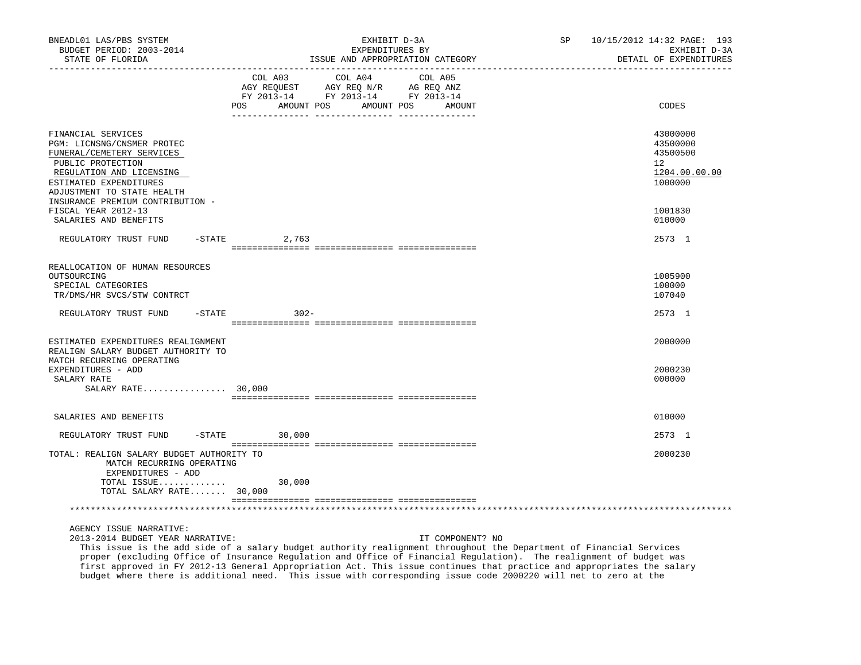| BNEADL01 LAS/PBS SYSTEM<br>BUDGET PERIOD: 2003-2014<br>STATE OF FLORIDA                                                                                                                                                    | EXHIBIT D-3A<br>EXPENDITURES BY<br>ISSUE AND APPROPRIATION CATEGORY                                                                                         | 10/15/2012 14:32 PAGE: 193<br>SP<br>EXHIBIT D-3A<br>DETAIL OF EXPENDITURES |
|----------------------------------------------------------------------------------------------------------------------------------------------------------------------------------------------------------------------------|-------------------------------------------------------------------------------------------------------------------------------------------------------------|----------------------------------------------------------------------------|
|                                                                                                                                                                                                                            | COL A03<br>COL A04<br>COL A05<br>AGY REQUEST AGY REQ N/R AG REQ ANZ<br>FY 2013-14 FY 2013-14 FY 2013-14<br><b>POS</b><br>AMOUNT POS<br>AMOUNT POS<br>AMOUNT | CODES                                                                      |
| FINANCIAL SERVICES<br>PGM: LICNSNG/CNSMER PROTEC<br>FUNERAL/CEMETERY SERVICES<br>PUBLIC PROTECTION<br>REGULATION AND LICENSING<br>ESTIMATED EXPENDITURES<br>ADJUSTMENT TO STATE HEALTH<br>INSURANCE PREMIUM CONTRIBUTION - |                                                                                                                                                             | 43000000<br>43500000<br>43500500<br>12<br>1204.00.00.00<br>1000000         |
| FISCAL YEAR 2012-13<br>SALARIES AND BENEFITS                                                                                                                                                                               |                                                                                                                                                             | 1001830<br>010000                                                          |
| REGULATORY TRUST FUND<br>$-$ STATE                                                                                                                                                                                         | 2,763                                                                                                                                                       | 2573 1                                                                     |
| REALLOCATION OF HUMAN RESOURCES<br>OUTSOURCING<br>SPECIAL CATEGORIES<br>TR/DMS/HR SVCS/STW CONTRCT                                                                                                                         |                                                                                                                                                             | 1005900<br>100000<br>107040                                                |
| REGULATORY TRUST FUND<br>-STATE                                                                                                                                                                                            | $302 -$                                                                                                                                                     | 2573 1                                                                     |
| ESTIMATED EXPENDITURES REALIGNMENT<br>REALIGN SALARY BUDGET AUTHORITY TO                                                                                                                                                   |                                                                                                                                                             | 2000000                                                                    |
| MATCH RECURRING OPERATING<br>EXPENDITURES - ADD<br>SALARY RATE<br>SALARY RATE $30,000$                                                                                                                                     |                                                                                                                                                             | 2000230<br>000000                                                          |
| SALARIES AND BENEFITS                                                                                                                                                                                                      |                                                                                                                                                             | 010000                                                                     |
| $-$ STATE<br>REGULATORY TRUST FUND                                                                                                                                                                                         | 30,000                                                                                                                                                      | 2573 1                                                                     |
| TOTAL: REALIGN SALARY BUDGET AUTHORITY TO<br>MATCH RECURRING OPERATING<br>EXPENDITURES - ADD<br>TOTAL ISSUE<br>TOTAL SALARY RATE 30,000                                                                                    | 30,000                                                                                                                                                      | 2000230                                                                    |
|                                                                                                                                                                                                                            |                                                                                                                                                             |                                                                            |

2013-2014 BUDGET YEAR NARRATIVE: IT COMPONENT? NO

 This issue is the add side of a salary budget authority realignment throughout the Department of Financial Services proper (excluding Office of Insurance Regulation and Office of Financial Regulation). The realignment of budget was first approved in FY 2012-13 General Appropriation Act. This issue continues that practice and appropriates the salary budget where there is additional need. This issue with corresponding issue code 2000220 will net to zero at the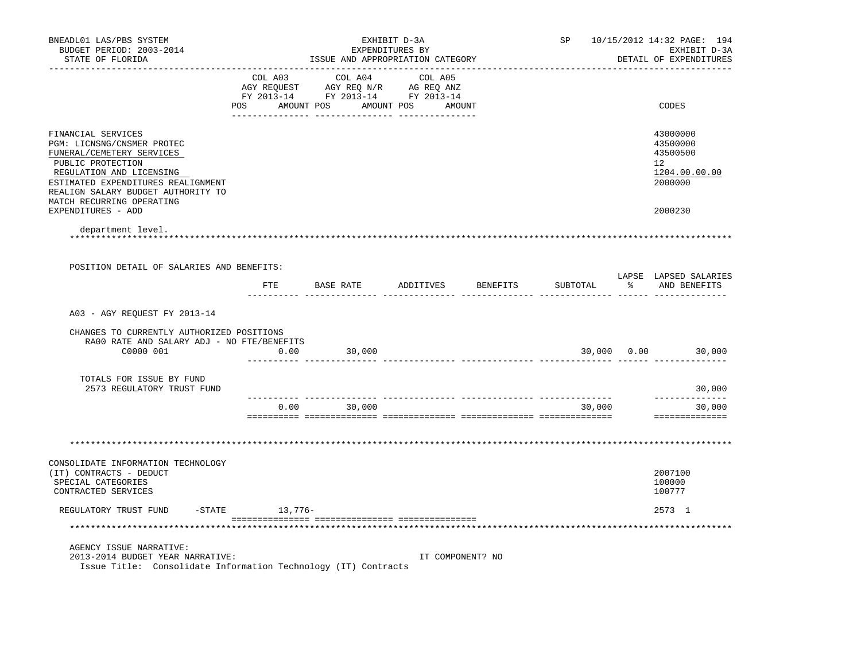| BNEADL01 LAS/PBS SYSTEM<br>BUDGET PERIOD: 2003-2014<br>STATE OF FLORIDA                                                                                                                                                                 |                     | ISSUE AND APPROPRIATION CATEGORY                                                                                                      | EXHIBIT D-3A<br>EXPENDITURES BY |                    |          | SP 10/15/2012 14:32 PAGE: 194<br>EXHIBIT D-3A<br>DETAIL OF EXPENDITURES         |
|-----------------------------------------------------------------------------------------------------------------------------------------------------------------------------------------------------------------------------------------|---------------------|---------------------------------------------------------------------------------------------------------------------------------------|---------------------------------|--------------------|----------|---------------------------------------------------------------------------------|
|                                                                                                                                                                                                                                         |                     |                                                                                                                                       |                                 |                    |          |                                                                                 |
|                                                                                                                                                                                                                                         |                     | COL A03 COL A04 COL A05<br>AGY REQUEST AGY REQ N/R AG REQ ANZ<br>FY 2013-14 FY 2013-14 FY 2013-14<br>POS AMOUNT POS AMOUNT POS AMOUNT |                                 |                    |          | CODES                                                                           |
|                                                                                                                                                                                                                                         |                     |                                                                                                                                       |                                 |                    |          |                                                                                 |
| FINANCIAL SERVICES<br>PGM: LICNSNG/CNSMER PROTEC<br>FUNERAL/CEMETERY SERVICES<br>PUBLIC PROTECTION<br>REGULATION AND LICENSING<br>ESTIMATED EXPENDITURES REALIGNMENT<br>REALIGN SALARY BUDGET AUTHORITY TO<br>MATCH RECURRING OPERATING |                     |                                                                                                                                       |                                 |                    |          | 43000000<br>43500000<br>43500500<br>12 <sup>7</sup><br>1204.00.00.00<br>2000000 |
| EXPENDITURES - ADD                                                                                                                                                                                                                      |                     |                                                                                                                                       |                                 |                    |          | 2000230                                                                         |
| department level.                                                                                                                                                                                                                       |                     |                                                                                                                                       |                                 |                    |          |                                                                                 |
|                                                                                                                                                                                                                                         |                     |                                                                                                                                       |                                 |                    |          |                                                                                 |
| POSITION DETAIL OF SALARIES AND BENEFITS:                                                                                                                                                                                               |                     |                                                                                                                                       |                                 |                    |          |                                                                                 |
|                                                                                                                                                                                                                                         | FTE                 | BASE RATE                                                                                                                             |                                 | ADDITIVES BENEFITS | SUBTOTAL | LAPSE LAPSED SALARIES<br>% AND BENEFITS                                         |
| A03 - AGY REQUEST FY 2013-14                                                                                                                                                                                                            |                     |                                                                                                                                       |                                 |                    |          |                                                                                 |
|                                                                                                                                                                                                                                         |                     |                                                                                                                                       |                                 |                    |          |                                                                                 |
| CHANGES TO CURRENTLY AUTHORIZED POSITIONS<br>RA00 RATE AND SALARY ADJ - NO FTE/BENEFITS                                                                                                                                                 |                     |                                                                                                                                       |                                 |                    |          |                                                                                 |
| C0000 001                                                                                                                                                                                                                               | 0.00                | 30,000                                                                                                                                |                                 |                    |          | 30,000 0.00 30,000                                                              |
| TOTALS FOR ISSUE BY FUND<br>2573 REGULATORY TRUST FUND                                                                                                                                                                                  |                     |                                                                                                                                       |                                 |                    |          | 30,000                                                                          |
|                                                                                                                                                                                                                                         |                     | $0.00$ 30,000                                                                                                                         |                                 |                    | 30,000   | <u> -------------</u><br>30,000                                                 |
|                                                                                                                                                                                                                                         |                     |                                                                                                                                       |                                 |                    |          | ==============                                                                  |
|                                                                                                                                                                                                                                         |                     |                                                                                                                                       |                                 |                    |          |                                                                                 |
|                                                                                                                                                                                                                                         |                     |                                                                                                                                       |                                 |                    |          |                                                                                 |
| CONSOLIDATE INFORMATION TECHNOLOGY<br>(IT) CONTRACTS - DEDUCT<br>SPECIAL CATEGORIES<br>CONTRACTED SERVICES                                                                                                                              |                     |                                                                                                                                       |                                 |                    |          | 2007100<br>100000<br>100777                                                     |
| REGULATORY TRUST FUND                                                                                                                                                                                                                   | $-$ STATE $13,776-$ |                                                                                                                                       |                                 |                    |          | 2573 1                                                                          |
|                                                                                                                                                                                                                                         |                     |                                                                                                                                       |                                 |                    |          |                                                                                 |
| AGENCY ISSUE NARRATIVE:<br>2013-2014 BUDGET YEAR NARRATIVE:                                                                                                                                                                             |                     |                                                                                                                                       | IT COMPONENT? NO                |                    |          |                                                                                 |
| Issue Title: Consolidate Information Technology (IT) Contracts                                                                                                                                                                          |                     |                                                                                                                                       |                                 |                    |          |                                                                                 |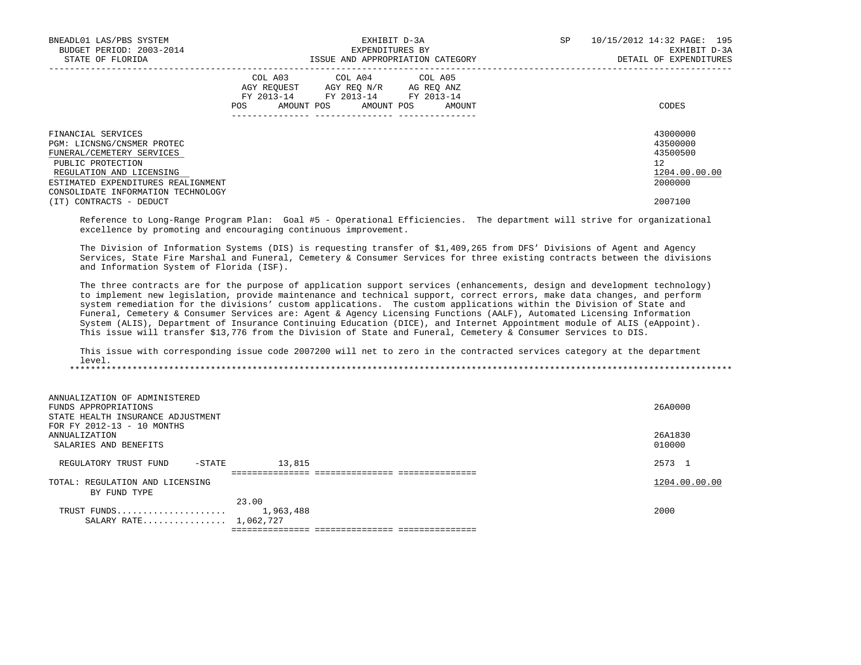| BNEADL01 LAS/PBS SYSTEM<br>BUDGET PERIOD: 2003-2014<br>STATE OF FLORIDA                                                                                                                                    |     | EXHIBIT D-3A<br>EXPENDITURES BY<br>ISSUE AND APPROPRIATION CATEGORY                                                        | SP     | 10/15/2012 14:32 PAGE: 195<br>EXHIBIT D-3A<br>DETAIL OF EXPENDITURES |                                                                    |
|------------------------------------------------------------------------------------------------------------------------------------------------------------------------------------------------------------|-----|----------------------------------------------------------------------------------------------------------------------------|--------|----------------------------------------------------------------------|--------------------------------------------------------------------|
|                                                                                                                                                                                                            | POS | COL A03 COL A04 COL A05<br>AGY REOUEST AGY REO N/R AG REO ANZ<br>FY 2013-14 FY 2013-14 FY 2013-14<br>AMOUNT POS AMOUNT POS | AMOUNT |                                                                      | CODES                                                              |
| FINANCIAL SERVICES<br>PGM: LICNSNG/CNSMER PROTEC<br>FUNERAL/CEMETERY SERVICES<br>PUBLIC PROTECTION<br>REGULATION AND LICENSING<br>ESTIMATED EXPENDITURES REALIGNMENT<br>CONSOLIDATE INFORMATION TECHNOLOGY |     |                                                                                                                            |        |                                                                      | 43000000<br>43500000<br>43500500<br>12<br>1204.00.00.00<br>2000000 |
| (IT) CONTRACTS - DEDUCT                                                                                                                                                                                    |     |                                                                                                                            |        |                                                                      | 2007100                                                            |

 Reference to Long-Range Program Plan: Goal #5 - Operational Efficiencies. The department will strive for organizational excellence by promoting and encouraging continuous improvement.

 The Division of Information Systems (DIS) is requesting transfer of \$1,409,265 from DFS' Divisions of Agent and Agency Services, State Fire Marshal and Funeral, Cemetery & Consumer Services for three existing contracts between the divisions and Information System of Florida (ISF).

 The three contracts are for the purpose of application support services (enhancements, design and development technology) to implement new legislation, provide maintenance and technical support, correct errors, make data changes, and perform system remediation for the divisions' custom applications. The custom applications within the Division of State and Funeral, Cemetery & Consumer Services are: Agent & Agency Licensing Functions (AALF), Automated Licensing Information System (ALIS), Department of Insurance Continuing Education (DICE), and Internet Appointment module of ALIS (eAppoint). This issue will transfer \$13,776 from the Division of State and Funeral, Cemetery & Consumer Services to DIS.

 This issue with corresponding issue code 2007200 will net to zero in the contracted services category at the department level. \*\*\*\*\*\*\*\*\*\*\*\*\*\*\*\*\*\*\*\*\*\*\*\*\*\*\*\*\*\*\*\*\*\*\*\*\*\*\*\*\*\*\*\*\*\*\*\*\*\*\*\*\*\*\*\*\*\*\*\*\*\*\*\*\*\*\*\*\*\*\*\*\*\*\*\*\*\*\*\*\*\*\*\*\*\*\*\*\*\*\*\*\*\*\*\*\*\*\*\*\*\*\*\*\*\*\*\*\*\*\*\*\*\*\*\*\*\*\*\*\*\*\*\*\*\*\*

| ANNUALIZATION OF ADMINISTERED                             |               |
|-----------------------------------------------------------|---------------|
| FUNDS APPROPRIATIONS<br>STATE HEALTH INSURANCE ADJUSTMENT | 26A0000       |
| FOR FY 2012-13 - 10 MONTHS                                |               |
| ANNUALIZATION                                             | 26A1830       |
| SALARIES AND BENEFITS                                     | 010000        |
| 13,815<br>REGULATORY TRUST FUND<br>-STATE                 | 2573 1        |
| :===============================                          |               |
| TOTAL: REGULATION AND LICENSING                           | 1204.00.00.00 |
| BY FUND TYPE                                              |               |
| 23.00                                                     |               |
| 1,963,488<br>TRUST FUNDS                                  | 2000          |

=============== =============== ===============

SALARY RATE................ 1,062,727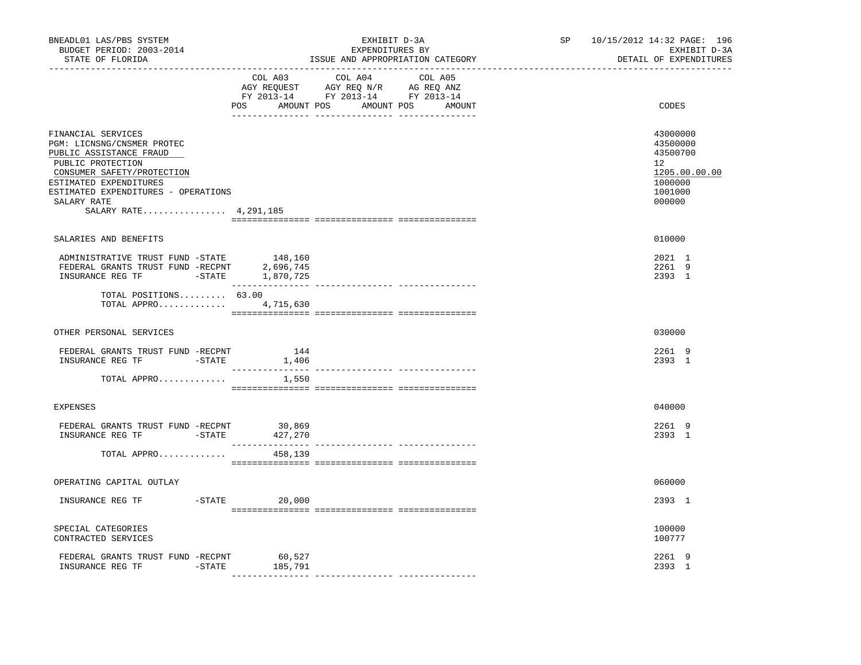| BNEADL01 LAS/PBS SYSTEM<br>BUDGET PERIOD: 2003-2014<br>STATE OF FLORIDA<br>------------------                                                                                                                                           |                  | EXHIBIT D-3A<br>EXPENDITURES BY<br>ISSUE AND APPROPRIATION CATEGORY | SP and the set of the set of the set of the set of the set of the set of the set of the set of the set of the set of the set of the set of the set of the set of the set of the set of the set of the set of the set of the se<br>______________________________________ | 10/15/2012 14:32 PAGE: 196<br>EXHIBIT D-3A<br>DETAIL OF EXPENDITURES                    |
|-----------------------------------------------------------------------------------------------------------------------------------------------------------------------------------------------------------------------------------------|------------------|---------------------------------------------------------------------|--------------------------------------------------------------------------------------------------------------------------------------------------------------------------------------------------------------------------------------------------------------------------|-----------------------------------------------------------------------------------------|
|                                                                                                                                                                                                                                         | COL A03          | COL A04 COL A05<br>POS AMOUNT POS AMOUNT POS AMOUNT                 |                                                                                                                                                                                                                                                                          | CODES                                                                                   |
| FINANCIAL SERVICES<br>PGM: LICNSNG/CNSMER PROTEC<br>PUBLIC ASSISTANCE FRAUD<br>PUBLIC PROTECTION<br>CONSUMER SAFETY/PROTECTION<br>ESTIMATED EXPENDITURES<br>ESTIMATED EXPENDITURES - OPERATIONS<br>SALARY RATE<br>SALARY RATE 4,291,185 |                  |                                                                     |                                                                                                                                                                                                                                                                          | 43000000<br>43500000<br>43500700<br>12<br>1205.00.00.00<br>1000000<br>1001000<br>000000 |
| SALARIES AND BENEFITS                                                                                                                                                                                                                   |                  |                                                                     |                                                                                                                                                                                                                                                                          | 010000                                                                                  |
| ADMINISTRATIVE TRUST FUND -STATE 148,160<br>FEDERAL GRANTS TRUST FUND -RECPNT<br>$\begin{tabular}{llll} \textbf{IN SURANCE REG TF} & \textbf{--STATE} & \textbf{1,870,725} \end{tabular}$                                               | 2,696,745        |                                                                     |                                                                                                                                                                                                                                                                          | 2021 1<br>2261 9<br>2393 1                                                              |
| TOTAL POSITIONS 63.00<br>TOTAL APPRO 4,715,630                                                                                                                                                                                          |                  |                                                                     |                                                                                                                                                                                                                                                                          |                                                                                         |
| OTHER PERSONAL SERVICES                                                                                                                                                                                                                 |                  |                                                                     |                                                                                                                                                                                                                                                                          | 030000                                                                                  |
| FEDERAL GRANTS TRUST FUND -RECPNT<br>INSURANCE REG TF -STATE                                                                                                                                                                            | 144<br>1,406     |                                                                     |                                                                                                                                                                                                                                                                          | 2261 9<br>2393 1                                                                        |
| TOTAL APPRO                                                                                                                                                                                                                             | 1,550            |                                                                     |                                                                                                                                                                                                                                                                          |                                                                                         |
| <b>EXPENSES</b>                                                                                                                                                                                                                         |                  |                                                                     |                                                                                                                                                                                                                                                                          | 040000                                                                                  |
| FEDERAL GRANTS TRUST FUND -RECPNT 30,869<br>INSURANCE REG TF    -STATE                                                                                                                                                                  | 427,270          |                                                                     |                                                                                                                                                                                                                                                                          | 2261 9<br>2393 1                                                                        |
| TOTAL APPRO                                                                                                                                                                                                                             | 458,139          |                                                                     |                                                                                                                                                                                                                                                                          |                                                                                         |
| OPERATING CAPITAL OUTLAY                                                                                                                                                                                                                |                  |                                                                     |                                                                                                                                                                                                                                                                          | 060000                                                                                  |
| INSURANCE REG TF                                                                                                                                                                                                                        | $-$ STATE 20,000 |                                                                     |                                                                                                                                                                                                                                                                          | 2393 1                                                                                  |
| SPECIAL CATEGORIES<br>CONTRACTED SERVICES                                                                                                                                                                                               |                  |                                                                     |                                                                                                                                                                                                                                                                          | 100000<br>100777                                                                        |
| FEDERAL GRANTS TRUST FUND -RECPNT 60,527<br>INSURANCE REG TF<br>$-STATE$                                                                                                                                                                | 185,791          |                                                                     |                                                                                                                                                                                                                                                                          | 2261 9<br>2393 1                                                                        |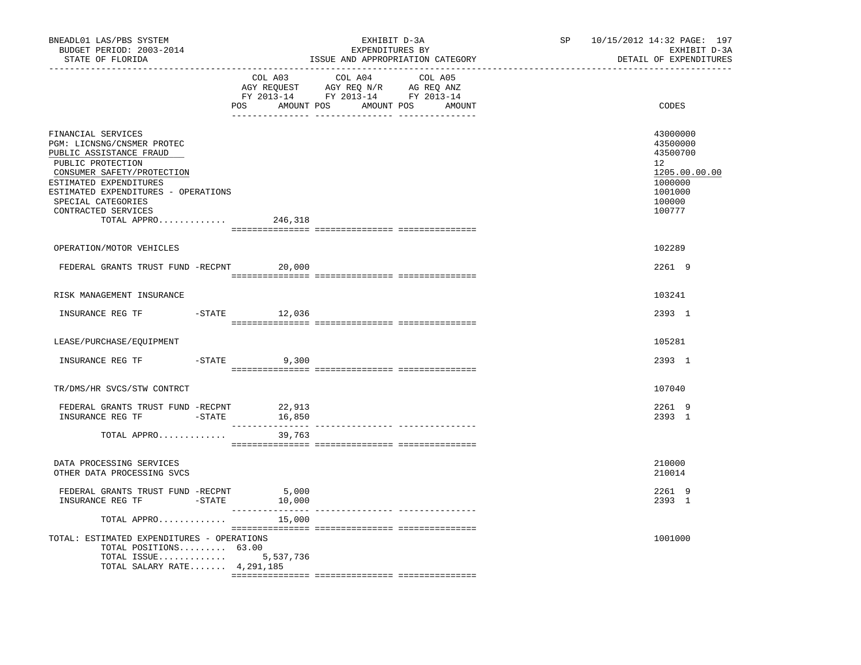| BNEADL01 LAS/PBS SYSTEM<br>BUDGET PERIOD: 2003-2014<br>STATE OF FLORIDA                                                                                                                                                                                               | --------------------------- | EXHIBIT D-3A<br>EXPENDITURES BY<br>ISSUE AND APPROPRIATION CATEGORY                                                                                                                            | SP<br>___________________ | 10/15/2012 14:32 PAGE: 197<br>EXHIBIT D-3A<br>DETAIL OF EXPENDITURES                                           |
|-----------------------------------------------------------------------------------------------------------------------------------------------------------------------------------------------------------------------------------------------------------------------|-----------------------------|------------------------------------------------------------------------------------------------------------------------------------------------------------------------------------------------|---------------------------|----------------------------------------------------------------------------------------------------------------|
|                                                                                                                                                                                                                                                                       |                             | $\begin{tabular}{lcccc} COL A03 & COL A04 & COL A05 \\ AGY REQUEST & AGY REQ N/R & AG REQ ANZ \\ FY & 2013-14 & FY & 2013-14 & FY & 2013-14 \end{tabular}$<br>POS AMOUNT POS AMOUNT POS AMOUNT |                           | CODES                                                                                                          |
| FINANCIAL SERVICES<br>PGM: LICNSNG/CNSMER PROTEC<br>PUBLIC ASSISTANCE FRAUD<br>PUBLIC PROTECTION<br>CONSUMER SAFETY/PROTECTION<br>ESTIMATED EXPENDITURES<br>ESTIMATED EXPENDITURES - OPERATIONS<br>SPECIAL CATEGORIES<br>CONTRACTED SERVICES<br>TOTAL APPRO $246,318$ |                             |                                                                                                                                                                                                |                           | 43000000<br>43500000<br>43500700<br>12 <sup>°</sup><br>1205.00.00.00<br>1000000<br>1001000<br>100000<br>100777 |
| OPERATION/MOTOR VEHICLES                                                                                                                                                                                                                                              |                             |                                                                                                                                                                                                |                           | 102289                                                                                                         |
| FEDERAL GRANTS TRUST FUND -RECPNT 20,000                                                                                                                                                                                                                              |                             |                                                                                                                                                                                                |                           | 2261 9                                                                                                         |
| RISK MANAGEMENT INSURANCE                                                                                                                                                                                                                                             |                             |                                                                                                                                                                                                |                           | 103241                                                                                                         |
| INSURANCE REG TF                                                                                                                                                                                                                                                      | $-$ STATE 12,036            |                                                                                                                                                                                                |                           | 2393 1                                                                                                         |
| LEASE/PURCHASE/EQUIPMENT                                                                                                                                                                                                                                              |                             |                                                                                                                                                                                                |                           | 105281                                                                                                         |
| INSURANCE REG TF -STATE 9,300                                                                                                                                                                                                                                         |                             |                                                                                                                                                                                                |                           | 2393 1                                                                                                         |
| TR/DMS/HR SVCS/STW CONTRCT                                                                                                                                                                                                                                            |                             |                                                                                                                                                                                                |                           | 107040                                                                                                         |
| FEDERAL GRANTS TRUST FUND -RECPNT<br>INSURANCE REG TF -STATE 16,850                                                                                                                                                                                                   | 22,913                      |                                                                                                                                                                                                |                           | 2261 9<br>2393 1                                                                                               |
| TOTAL APPRO                                                                                                                                                                                                                                                           | 39,763                      |                                                                                                                                                                                                |                           |                                                                                                                |
| DATA PROCESSING SERVICES<br>OTHER DATA PROCESSING SVCS                                                                                                                                                                                                                |                             |                                                                                                                                                                                                |                           | 210000<br>210014                                                                                               |
| FEDERAL GRANTS TRUST FUND -RECPNT 5,000<br>INSURANCE REG TF -STATE                                                                                                                                                                                                    | 10,000                      |                                                                                                                                                                                                |                           | 2261 9<br>2393 1                                                                                               |
| TOTAL APPRO                                                                                                                                                                                                                                                           | 15,000                      | --------------- ---------------                                                                                                                                                                |                           |                                                                                                                |
| TOTAL: ESTIMATED EXPENDITURES - OPERATIONS<br>TOTAL POSITIONS 63.00<br>TOTAL ISSUE 5,537,736<br>TOTAL SALARY RATE 4,291,185                                                                                                                                           |                             |                                                                                                                                                                                                |                           | 1001000                                                                                                        |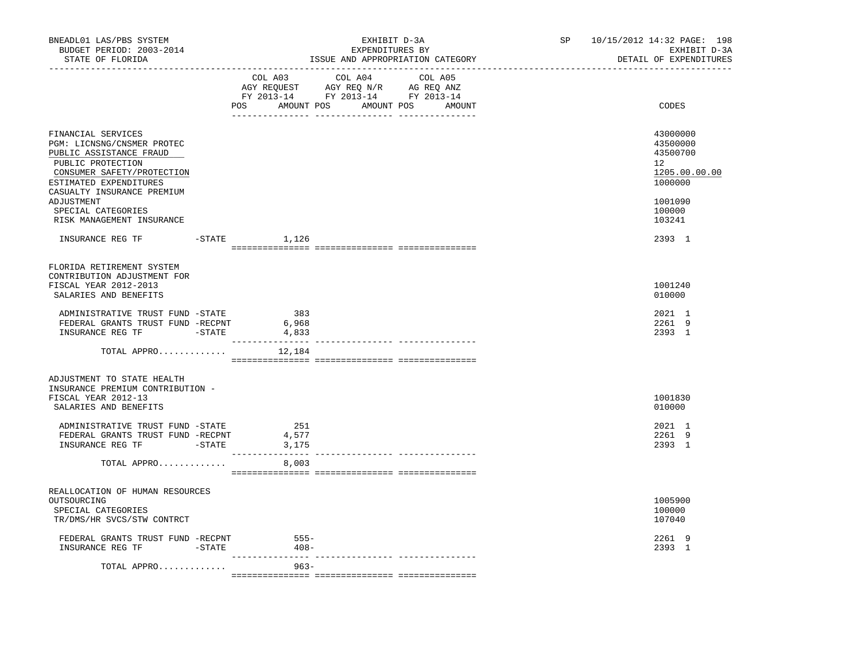| BNEADL01 LAS/PBS SYSTEM<br>BUDGET PERIOD: 2003-2014<br>STATE OF FLORIDA                                                                                                                |                       | EXHIBIT D-3A<br>EXPENDITURES BY<br>ISSUE AND APPROPRIATION CATEGORY                                                                   | SP 10/15/2012 14:32 PAGE: 198<br>EXHIBIT D-3A<br>DETAIL OF EXPENDITURES         |
|----------------------------------------------------------------------------------------------------------------------------------------------------------------------------------------|-----------------------|---------------------------------------------------------------------------------------------------------------------------------------|---------------------------------------------------------------------------------|
| ------------------                                                                                                                                                                     |                       | COL A03 COL A04 COL A05<br>NGY REQUEST AGY REQ N/R AG REQ ANZ<br>FY 2013-14 FY 2013-14 FY 2013-14<br>POS AMOUNT POS AMOUNT POS AMOUNT | CODES                                                                           |
| FINANCIAL SERVICES<br>PGM: LICNSNG/CNSMER PROTEC<br>PUBLIC ASSISTANCE FRAUD<br>PUBLIC PROTECTION<br>CONSUMER SAFETY/PROTECTION<br>ESTIMATED EXPENDITURES<br>CASUALTY INSURANCE PREMIUM |                       |                                                                                                                                       | 43000000<br>43500000<br>43500700<br>12 <sup>7</sup><br>1205.00.00.00<br>1000000 |
| ADJUSTMENT<br>SPECIAL CATEGORIES<br>RISK MANAGEMENT INSURANCE                                                                                                                          |                       |                                                                                                                                       | 1001090<br>100000<br>103241                                                     |
| INSURANCE REG TF    -STATE    1,126                                                                                                                                                    |                       |                                                                                                                                       | 2393 1                                                                          |
| FLORIDA RETIREMENT SYSTEM<br>CONTRIBUTION ADJUSTMENT FOR<br>FISCAL YEAR 2012-2013<br>SALARIES AND BENEFITS                                                                             |                       |                                                                                                                                       | 1001240<br>010000                                                               |
| ADMINISTRATIVE TRUST FUND -STATE<br>FEDERAL GRANTS TRUST FUND -RECPNT                                                                                                                  | 383<br>6,968<br>4,833 |                                                                                                                                       | 2021 1<br>2261 9<br>2393 1                                                      |
| TOTAL APPRO $12,184$                                                                                                                                                                   |                       |                                                                                                                                       |                                                                                 |
| ADJUSTMENT TO STATE HEALTH<br>INSURANCE PREMIUM CONTRIBUTION -<br>FISCAL YEAR 2012-13<br>SALARIES AND BENEFITS                                                                         |                       |                                                                                                                                       | 1001830<br>010000                                                               |
| ADMINISTRATIVE TRUST FUND -STATE<br>FEDERAL GRANTS TRUST FUND -RECPNT<br>INSURANCE REG TF FINITE                                                                                       | 251<br>4,577<br>3,175 |                                                                                                                                       | 2021 1<br>2261 9<br>2393 1                                                      |
| TOTAL APPRO                                                                                                                                                                            | 8,003                 |                                                                                                                                       |                                                                                 |
| REALLOCATION OF HUMAN RESOURCES<br>OUTSOURCING<br>SPECIAL CATEGORIES<br>TR/DMS/HR SVCS/STW CONTRCT                                                                                     |                       |                                                                                                                                       | 1005900<br>100000<br>107040                                                     |
| FEDERAL GRANTS TRUST FUND -RECPNT<br>INSURANCE REG TF FINSURANCE                                                                                                                       | 555-<br>$408 -$       |                                                                                                                                       | 2261 9<br>2393 1                                                                |
| TOTAL APPRO                                                                                                                                                                            | $963 -$               |                                                                                                                                       |                                                                                 |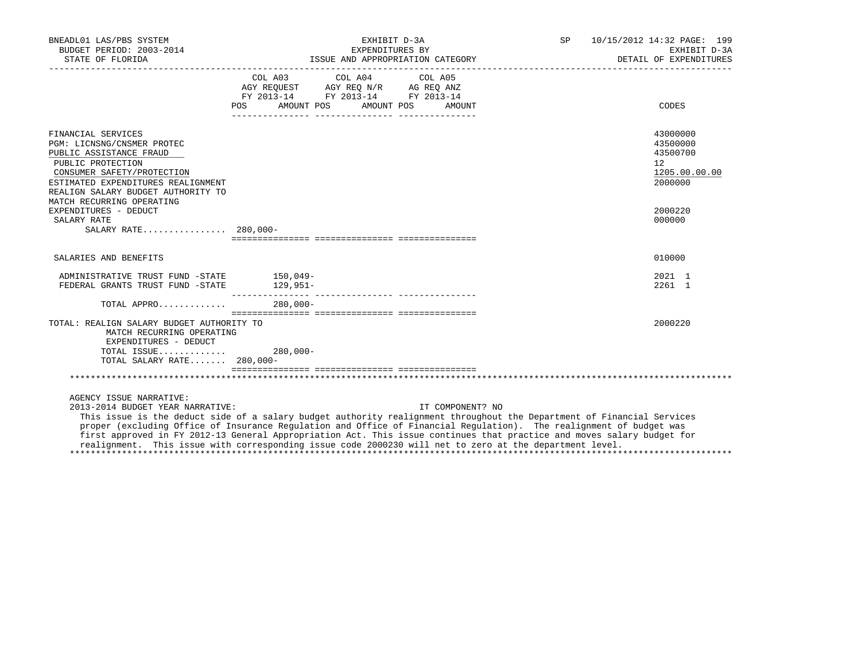| BNEADL01 LAS/PBS SYSTEM<br>BUDGET PERIOD: 2003-2014<br>STATE OF FLORIDA                                                                                                                                                                                                                                                                                                                                                                                                                                                                           |        |            | EXPENDITURES BY<br>ISSUE AND APPROPRIATION CATEGORY                                                                                                                                       | EXHIBIT D-3A |                  |  | SP 10/15/2012 14:32 PAGE: 199<br>EXHIBIT D-3A<br>DETAIL OF EXPENDITURES |
|---------------------------------------------------------------------------------------------------------------------------------------------------------------------------------------------------------------------------------------------------------------------------------------------------------------------------------------------------------------------------------------------------------------------------------------------------------------------------------------------------------------------------------------------------|--------|------------|-------------------------------------------------------------------------------------------------------------------------------------------------------------------------------------------|--------------|------------------|--|-------------------------------------------------------------------------|
|                                                                                                                                                                                                                                                                                                                                                                                                                                                                                                                                                   | POS DO | AMOUNT POS | COL A03 COL A04 COL A05<br>$\begin{tabular}{lllllll} AGY & \texttt{REQUEST} & \texttt{AGY REQ N/R} & \texttt{AG REQ ANZ} \end{tabular}$<br>FY 2013-14 FY 2013-14 FY 2013-14<br>AMOUNT POS |              | AMOUNT           |  | CODES                                                                   |
| FINANCIAL SERVICES<br>PGM: LICNSNG/CNSMER PROTEC<br>PUBLIC ASSISTANCE FRAUD<br>PUBLIC PROTECTION<br>CONSUMER SAFETY/PROTECTION<br>ESTIMATED EXPENDITURES REALIGNMENT<br>REALIGN SALARY BUDGET AUTHORITY TO<br>MATCH RECURRING OPERATING                                                                                                                                                                                                                                                                                                           |        |            |                                                                                                                                                                                           |              |                  |  | 43000000<br>43500000<br>43500700<br>12<br>1205.00.00.00<br>2000000      |
| EXPENDITURES - DEDUCT<br>SALARY RATE<br>SALARY RATE 280,000-                                                                                                                                                                                                                                                                                                                                                                                                                                                                                      |        |            |                                                                                                                                                                                           |              |                  |  | 2000220<br>000000                                                       |
| SALARIES AND BENEFITS                                                                                                                                                                                                                                                                                                                                                                                                                                                                                                                             |        |            |                                                                                                                                                                                           |              |                  |  | 010000                                                                  |
| ADMINISTRATIVE TRUST FUND -STATE 150,049-<br>FEDERAL GRANTS TRUST FUND -STATE 129,951-                                                                                                                                                                                                                                                                                                                                                                                                                                                            |        |            |                                                                                                                                                                                           |              |                  |  | 2021 1<br>2261 1                                                        |
| TOTAL APPRO                                                                                                                                                                                                                                                                                                                                                                                                                                                                                                                                       |        | 280,000-   |                                                                                                                                                                                           |              |                  |  |                                                                         |
| TOTAL: REALIGN SALARY BUDGET AUTHORITY TO<br>MATCH RECURRING OPERATING<br>EXPENDITURES - DEDUCT<br>TOTAL ISSUE<br>TOTAL SALARY RATE 280,000-                                                                                                                                                                                                                                                                                                                                                                                                      |        | $280,000-$ |                                                                                                                                                                                           |              |                  |  | 2000220                                                                 |
|                                                                                                                                                                                                                                                                                                                                                                                                                                                                                                                                                   |        |            |                                                                                                                                                                                           |              |                  |  |                                                                         |
| AGENCY ISSUE NARRATIVE:<br>2013-2014 BUDGET YEAR NARRATIVE:<br>This issue is the deduct side of a salary budget authority realignment throughout the Department of Financial Services<br>proper (excluding Office of Insurance Regulation and Office of Financial Regulation). The realignment of budget was<br>first approved in FY 2012-13 General Appropriation Act. This issue continues that practice and moves salary budget for<br>realignment. This issue with corresponding issue code 2000230 will net to zero at the department level. |        |            |                                                                                                                                                                                           |              | IT COMPONENT? NO |  |                                                                         |

\*\*\*\*\*\*\*\*\*\*\*\*\*\*\*\*\*\*\*\*\*\*\*\*\*\*\*\*\*\*\*\*\*\*\*\*\*\*\*\*\*\*\*\*\*\*\*\*\*\*\*\*\*\*\*\*\*\*\*\*\*\*\*\*\*\*\*\*\*\*\*\*\*\*\*\*\*\*\*\*\*\*\*\*\*\*\*\*\*\*\*\*\*\*\*\*\*\*\*\*\*\*\*\*\*\*\*\*\*\*\*\*\*\*\*\*\*\*\*\*\*\*\*\*\*\*\*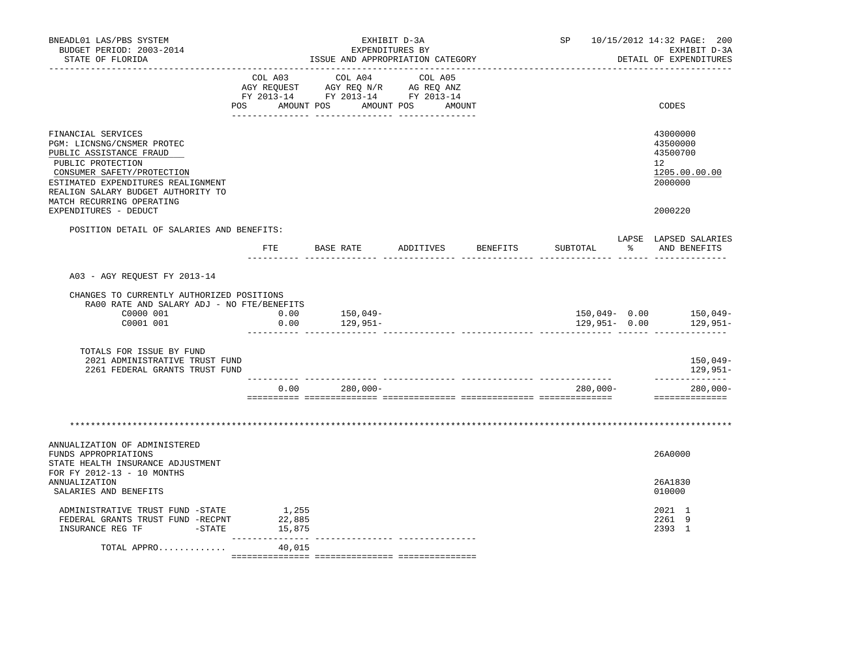| BNEADL01 LAS/PBS SYSTEM<br>BUDGET PERIOD: 2003-2014<br>STATE OF FLORIDA                                                                                                                                                                 | ISSUE AND APPROPRIATION CATEGORY |                                                                                                                                                                                                                                                                                                                                                                                                       |  | SP 10/15/2012 14:32 PAGE: 200<br>EXHIBIT D-3A<br>DETAIL OF EXPENDITURES |          |                                                                    |
|-----------------------------------------------------------------------------------------------------------------------------------------------------------------------------------------------------------------------------------------|----------------------------------|-------------------------------------------------------------------------------------------------------------------------------------------------------------------------------------------------------------------------------------------------------------------------------------------------------------------------------------------------------------------------------------------------------|--|-------------------------------------------------------------------------|----------|--------------------------------------------------------------------|
|                                                                                                                                                                                                                                         |                                  | COL A03 COL A04 COL A05<br>$\begin{tabular}{lllllllll} \multicolumn{2}{l}{{\bf AGY}} & {\bf RcQUEST} & {\bf AGY} & {\bf RcQ} & {\bf N/R} & {\bf AGEQ} & {\bf ANZ} \\ \multicolumn{2}{l}{{\bf RTQUEST}} & {\bf AGY} & {\bf RcQ} & {\bf N/R} & {\bf AGEQ} & {\bf ANZ} \\ \multicolumn{2}{l}{{\bf FT2}} & 2013-14 & {\bf FT2013-14} & {\bf FT2013-14} \end{tabular}$<br>POS AMOUNT POS AMOUNT POS AMOUNT |  |                                                                         |          | CODES                                                              |
| FINANCIAL SERVICES<br>PGM: LICNSNG/CNSMER PROTEC<br>PUBLIC ASSISTANCE FRAUD<br>PUBLIC PROTECTION<br>CONSUMER SAFETY/PROTECTION<br>ESTIMATED EXPENDITURES REALIGNMENT<br>REALIGN SALARY BUDGET AUTHORITY TO<br>MATCH RECURRING OPERATING |                                  |                                                                                                                                                                                                                                                                                                                                                                                                       |  |                                                                         |          | 43000000<br>43500000<br>43500700<br>12<br>1205.00.00.00<br>2000000 |
| EXPENDITURES - DEDUCT                                                                                                                                                                                                                   |                                  |                                                                                                                                                                                                                                                                                                                                                                                                       |  |                                                                         |          | 2000220                                                            |
| POSITION DETAIL OF SALARIES AND BENEFITS:                                                                                                                                                                                               |                                  | FTE BASE RATE ADDITIVES BENEFITS                                                                                                                                                                                                                                                                                                                                                                      |  | SUBTOTAL                                                                | $\sim$ 8 | LAPSE LAPSED SALARIES<br>AND BENEFITS                              |
| A03 - AGY REOUEST FY 2013-14                                                                                                                                                                                                            |                                  |                                                                                                                                                                                                                                                                                                                                                                                                       |  |                                                                         |          |                                                                    |
| CHANGES TO CURRENTLY AUTHORIZED POSITIONS<br>RA00 RATE AND SALARY ADJ - NO FTE/BENEFITS<br>C0000 001<br>C0001 001                                                                                                                       | 0.00<br>0.00                     | 150,049-<br>129,951–                                                                                                                                                                                                                                                                                                                                                                                  |  | 129,951- 0.00                                                           |          | 150,049- 0.00 150,049-<br>129,951–                                 |
| TOTALS FOR ISSUE BY FUND<br>2021 ADMINISTRATIVE TRUST FUND<br>2261 FEDERAL GRANTS TRUST FUND                                                                                                                                            |                                  |                                                                                                                                                                                                                                                                                                                                                                                                       |  |                                                                         |          | 150,049-<br>129,951-                                               |
|                                                                                                                                                                                                                                         |                                  | $0.00 280,000 -$                                                                                                                                                                                                                                                                                                                                                                                      |  | $280,000 -$                                                             |          | --------------<br>$280,000 -$<br>==============                    |
|                                                                                                                                                                                                                                         |                                  |                                                                                                                                                                                                                                                                                                                                                                                                       |  |                                                                         |          |                                                                    |
| ANNUALIZATION OF ADMINISTERED<br>FUNDS APPROPRIATIONS<br>STATE HEALTH INSURANCE ADJUSTMENT                                                                                                                                              |                                  |                                                                                                                                                                                                                                                                                                                                                                                                       |  |                                                                         |          | 26A0000                                                            |
| FOR FY 2012-13 - 10 MONTHS<br>ANNUALIZATION<br>SALARIES AND BENEFITS                                                                                                                                                                    |                                  |                                                                                                                                                                                                                                                                                                                                                                                                       |  |                                                                         |          | 26A1830<br>010000                                                  |
| ADMINISTRATIVE TRUST FUND -STATE<br>FEDERAL GRANTS TRUST FUND -RECPNT<br>INSURANCE REG TF FTATE                                                                                                                                         | 1,255<br>22,885<br>15,875        |                                                                                                                                                                                                                                                                                                                                                                                                       |  |                                                                         |          | 2021 1<br>2261 9<br>2393 1                                         |
| TOTAL APPRO                                                                                                                                                                                                                             | ________________<br>40,015       |                                                                                                                                                                                                                                                                                                                                                                                                       |  |                                                                         |          |                                                                    |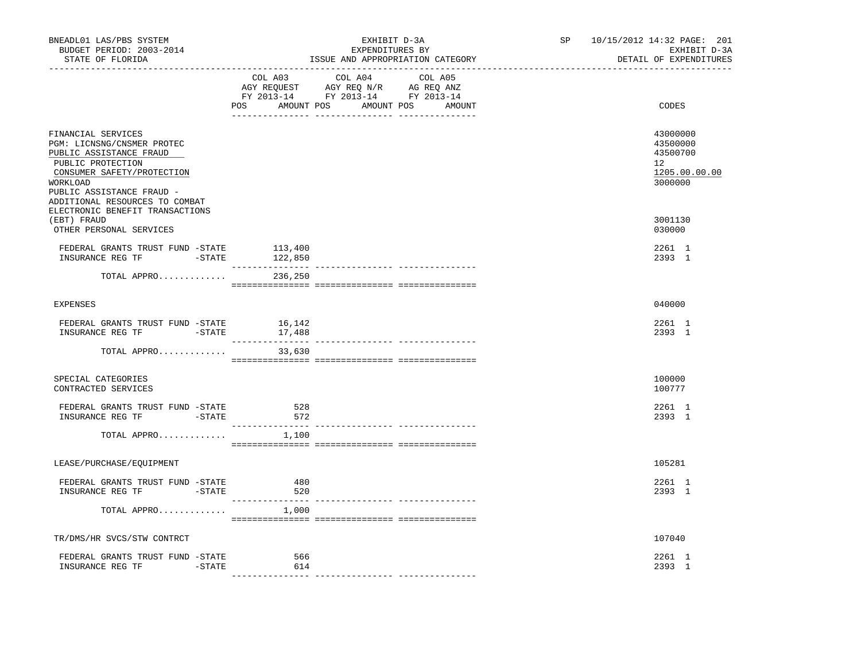| BNEADL01 LAS/PBS SYSTEM<br>BUDGET PERIOD: 2003-2014<br>STATE OF FLORIDA                                                                                                                                                                      |                  | EXHIBIT D-3A<br>EXPENDITURES BY<br>ISSUE AND APPROPRIATION CATEGORY                                                                                                                            | SP 10/15/2012 14:32 PAGE: 201<br>EXHIBIT D-3A<br>DETAIL OF EXPENDITURES |                                                                                 |
|----------------------------------------------------------------------------------------------------------------------------------------------------------------------------------------------------------------------------------------------|------------------|------------------------------------------------------------------------------------------------------------------------------------------------------------------------------------------------|-------------------------------------------------------------------------|---------------------------------------------------------------------------------|
|                                                                                                                                                                                                                                              |                  | $\begin{tabular}{lcccc} COL A03 & COL A04 & COL A05 \\ AGY REQUEST & AGY REQ N/R & AG REQ ANZ \\ FY & 2013-14 & FY & 2013-14 & FY & 2013-14 \end{tabular}$<br>POS AMOUNT POS AMOUNT POS AMOUNT |                                                                         | CODES                                                                           |
| FINANCIAL SERVICES<br>PGM: LICNSNG/CNSMER PROTEC<br>PUBLIC ASSISTANCE FRAUD<br>PUBLIC PROTECTION<br>CONSUMER SAFETY/PROTECTION<br>WORKLOAD<br>PUBLIC ASSISTANCE FRAUD -<br>ADDITIONAL RESOURCES TO COMBAT<br>ELECTRONIC BENEFIT TRANSACTIONS |                  |                                                                                                                                                                                                |                                                                         | 43000000<br>43500000<br>43500700<br>12 <sup>7</sup><br>1205.00.00.00<br>3000000 |
| (EBT) FRAUD<br>OTHER PERSONAL SERVICES                                                                                                                                                                                                       |                  |                                                                                                                                                                                                |                                                                         | 3001130<br>030000                                                               |
| FEDERAL GRANTS TRUST FUND -STATE<br>INSURANCE REG TF -STATE 122,850                                                                                                                                                                          | 113,400          |                                                                                                                                                                                                |                                                                         | 2261 1<br>2393 1                                                                |
| TOTAL APPRO                                                                                                                                                                                                                                  | 236,250          |                                                                                                                                                                                                |                                                                         |                                                                                 |
| <b>EXPENSES</b>                                                                                                                                                                                                                              |                  |                                                                                                                                                                                                |                                                                         | 040000                                                                          |
| FEDERAL GRANTS TRUST FUND -STATE                                                                                                                                                                                                             | 16,142<br>17,488 |                                                                                                                                                                                                |                                                                         | 2261 1<br>2393 1                                                                |
| TOTAL APPRO                                                                                                                                                                                                                                  | 33,630           |                                                                                                                                                                                                |                                                                         |                                                                                 |
| SPECIAL CATEGORIES<br>CONTRACTED SERVICES                                                                                                                                                                                                    |                  |                                                                                                                                                                                                |                                                                         | 100000<br>100777                                                                |
| FEDERAL GRANTS TRUST FUND -STATE<br>INSURANCE REG TF -STATE                                                                                                                                                                                  | 528<br>572       |                                                                                                                                                                                                |                                                                         | 2261 1<br>2393 1                                                                |
| TOTAL APPRO                                                                                                                                                                                                                                  | 1,100            |                                                                                                                                                                                                |                                                                         |                                                                                 |
| LEASE/PURCHASE/EQUIPMENT                                                                                                                                                                                                                     |                  |                                                                                                                                                                                                |                                                                         | 105281                                                                          |
| FEDERAL GRANTS TRUST FUND -STATE<br>INSURANCE REG TF -STATE                                                                                                                                                                                  | 480<br>520       |                                                                                                                                                                                                |                                                                         | 2261 1<br>2393 1                                                                |
| TOTAL APPRO                                                                                                                                                                                                                                  | 1,000            |                                                                                                                                                                                                |                                                                         |                                                                                 |
| TR/DMS/HR SVCS/STW CONTRCT                                                                                                                                                                                                                   |                  |                                                                                                                                                                                                |                                                                         | 107040                                                                          |
| FEDERAL GRANTS TRUST FUND -STATE<br>INSURANCE REG TF<br>-STATE                                                                                                                                                                               | 566<br>614       |                                                                                                                                                                                                |                                                                         | 2261 1<br>2393 1                                                                |
|                                                                                                                                                                                                                                              |                  |                                                                                                                                                                                                |                                                                         |                                                                                 |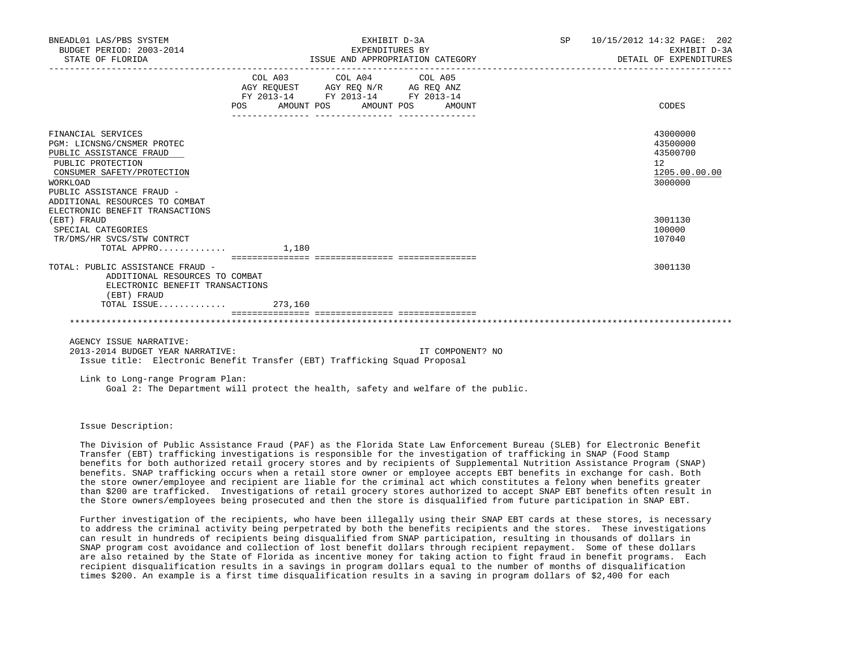| BNEADL01 LAS/PBS SYSTEM<br>BUDGET PERIOD: 2003-2014<br>STATE OF FLORIDA                                                                                                                                   | EXHIBIT D-3A<br>EXPENDITURES BY<br>ISSUE AND APPROPRIATION CATEGORY                                                            | SP 10/15/2012 14:32 PAGE: 202<br>EXHIBIT D-3A<br>DETAIL OF EXPENDITURES |                                                                                 |
|-----------------------------------------------------------------------------------------------------------------------------------------------------------------------------------------------------------|--------------------------------------------------------------------------------------------------------------------------------|-------------------------------------------------------------------------|---------------------------------------------------------------------------------|
|                                                                                                                                                                                                           | COL A03 COL A04 COL A05<br>AGY REQUEST AGY REQ N/R AG REQ ANZ<br>FY 2013-14 FY 2013-14 FY 2013-14<br>POS AMOUNT POS AMOUNT POS | AMOUNT                                                                  | CODES                                                                           |
| FINANCIAL SERVICES<br>PGM: LICNSNG/CNSMER PROTEC<br>PUBLIC ASSISTANCE FRAUD<br>PUBLIC PROTECTION<br>CONSUMER SAFETY/PROTECTION<br>WORKLOAD<br>PUBLIC ASSISTANCE FRAUD -<br>ADDITIONAL RESOURCES TO COMBAT |                                                                                                                                |                                                                         | 43000000<br>43500000<br>43500700<br>12 <sup>°</sup><br>1205.00.00.00<br>3000000 |
| ELECTRONIC BENEFIT TRANSACTIONS<br>(EBT) FRAUD<br>SPECIAL CATEGORIES<br>TR/DMS/HR SVCS/STW CONTRCT<br>$\texttt{TOTAL APPRO} \dots \dots \dots \dots \qquad \texttt{1.180}$                                |                                                                                                                                |                                                                         | 3001130<br>100000<br>107040                                                     |
| TOTAL: PUBLIC ASSISTANCE FRAUD -<br>ADDITIONAL RESOURCES TO COMBAT<br>ELECTRONIC BENEFIT TRANSACTIONS<br>(EBT) FRAUD<br>TOTAL ISSUE 273,160                                                               |                                                                                                                                |                                                                         | 3001130                                                                         |
| AGENCY ISSUE NARRATIVE:                                                                                                                                                                                   |                                                                                                                                |                                                                         |                                                                                 |
| 2013-2014 BUDGET YEAR NARRATIVE:<br>Issue title: Electronic Benefit Transfer (EBT) Trafficking Squad Proposal                                                                                             |                                                                                                                                | IT COMPONENT? NO                                                        |                                                                                 |
| Link to Long-range Program Plan:<br>Goal 2: The Department will protect the health, safety and welfare of the public.                                                                                     |                                                                                                                                |                                                                         |                                                                                 |

Issue Description:

 The Division of Public Assistance Fraud (PAF) as the Florida State Law Enforcement Bureau (SLEB) for Electronic Benefit Transfer (EBT) trafficking investigations is responsible for the investigation of trafficking in SNAP (Food Stamp benefits for both authorized retail grocery stores and by recipients of Supplemental Nutrition Assistance Program (SNAP) benefits. SNAP trafficking occurs when a retail store owner or employee accepts EBT benefits in exchange for cash. Both the store owner/employee and recipient are liable for the criminal act which constitutes a felony when benefits greater than \$200 are trafficked. Investigations of retail grocery stores authorized to accept SNAP EBT benefits often result in the Store owners/employees being prosecuted and then the store is disqualified from future participation in SNAP EBT.

 Further investigation of the recipients, who have been illegally using their SNAP EBT cards at these stores, is necessary to address the criminal activity being perpetrated by both the benefits recipients and the stores. These investigations can result in hundreds of recipients being disqualified from SNAP participation, resulting in thousands of dollars in SNAP program cost avoidance and collection of lost benefit dollars through recipient repayment. Some of these dollars are also retained by the State of Florida as incentive money for taking action to fight fraud in benefit programs. Each recipient disqualification results in a savings in program dollars equal to the number of months of disqualification times \$200. An example is a first time disqualification results in a saving in program dollars of \$2,400 for each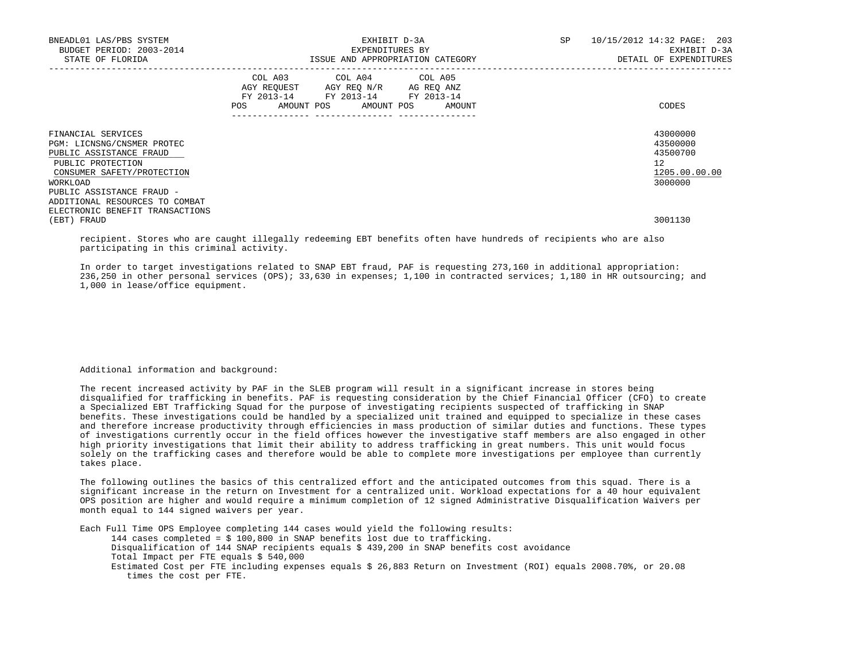| BNEADL01 LAS/PBS SYSTEM<br>BUDGET PERIOD: 2003-2014<br>STATE OF FLORIDA                                                                    | EXHIBIT D-3A<br>EXPENDITURES BY<br>ISSUE AND APPROPRIATION CATEGORY                                                                      | SP<br>10/15/2012 14:32 PAGE: 203<br>EXHIBIT D-3A<br>DETAIL OF EXPENDITURES |
|--------------------------------------------------------------------------------------------------------------------------------------------|------------------------------------------------------------------------------------------------------------------------------------------|----------------------------------------------------------------------------|
|                                                                                                                                            | COL A03 COL A04 COL A05<br>AGY REQUEST AGY REO N/R AG REO ANZ<br>FY 2013-14 FY 2013-14 FY 2013-14<br>POS<br>AMOUNT POS AMOUNT POS AMOUNT | CODES                                                                      |
| FINANCIAL SERVICES<br>PGM: LICNSNG/CNSMER PROTEC<br>PUBLIC ASSISTANCE FRAUD<br>PUBLIC PROTECTION<br>CONSUMER SAFETY/PROTECTION<br>WORKLOAD |                                                                                                                                          | 43000000<br>43500000<br>43500700<br>12<br>1205.00.00.00<br>3000000         |
| PUBLIC ASSISTANCE FRAUD -<br>ADDITIONAL RESOURCES TO COMBAT<br>ELECTRONIC BENEFIT TRANSACTIONS<br>(EBT) FRAUD                              |                                                                                                                                          | 3001130                                                                    |

 recipient. Stores who are caught illegally redeeming EBT benefits often have hundreds of recipients who are also participating in this criminal activity.

 In order to target investigations related to SNAP EBT fraud, PAF is requesting 273,160 in additional appropriation: 236,250 in other personal services (OPS); 33,630 in expenses; 1,100 in contracted services; 1,180 in HR outsourcing; and 1,000 in lease/office equipment.

Additional information and background:

 The recent increased activity by PAF in the SLEB program will result in a significant increase in stores being disqualified for trafficking in benefits. PAF is requesting consideration by the Chief Financial Officer (CFO) to create a Specialized EBT Trafficking Squad for the purpose of investigating recipients suspected of trafficking in SNAP benefits. These investigations could be handled by a specialized unit trained and equipped to specialize in these cases and therefore increase productivity through efficiencies in mass production of similar duties and functions. These types of investigations currently occur in the field offices however the investigative staff members are also engaged in other high priority investigations that limit their ability to address trafficking in great numbers. This unit would focus solely on the trafficking cases and therefore would be able to complete more investigations per employee than currently takes place.

 The following outlines the basics of this centralized effort and the anticipated outcomes from this squad. There is a significant increase in the return on Investment for a centralized unit. Workload expectations for a 40 hour equivalent OPS position are higher and would require a minimum completion of 12 signed Administrative Disqualification Waivers per month equal to 144 signed waivers per year.

 Each Full Time OPS Employee completing 144 cases would yield the following results: 144 cases completed = \$ 100,800 in SNAP benefits lost due to trafficking. Disqualification of 144 SNAP recipients equals \$ 439,200 in SNAP benefits cost avoidance Total Impact per FTE equals \$ 540,000 Estimated Cost per FTE including expenses equals \$ 26,883 Return on Investment (ROI) equals 2008.70%, or 20.08 times the cost per FTE.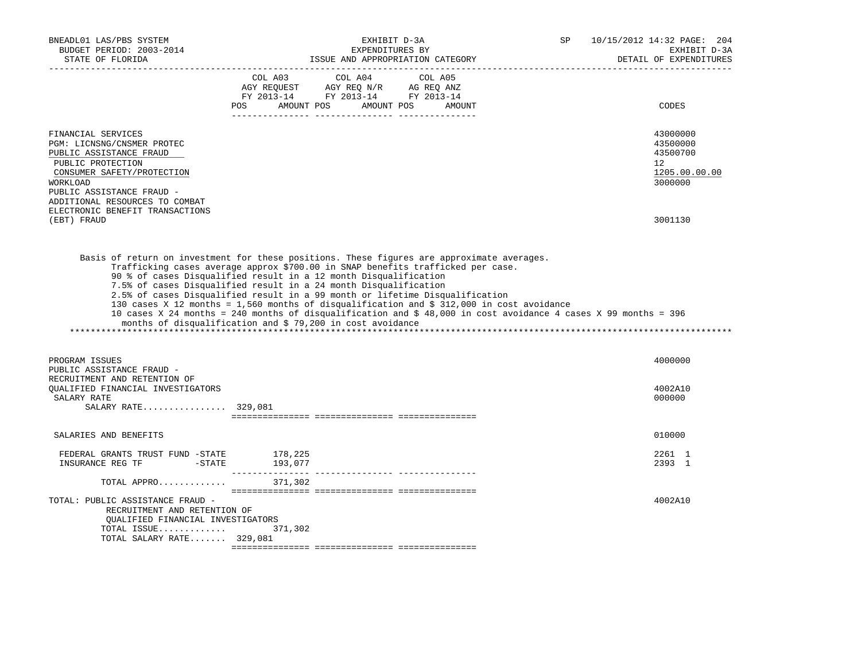| BNEADL01 LAS/PBS SYSTEM<br>BUDGET PERIOD: 2003-2014<br>STATE OF FLORIDA                                                                                                                                   | EXHIBIT D-3A<br>EXPENDITURES BY<br>ISSUE AND APPROPRIATION CATEGORY<br>______________________________                                                                                                                                                                                                                                                                                                                                                                                                                                                                                                                                                                               | SP | 10/15/2012 14:32 PAGE: 204<br>EXHIBIT D-3A<br>DETAIL OF EXPENDITURES |
|-----------------------------------------------------------------------------------------------------------------------------------------------------------------------------------------------------------|-------------------------------------------------------------------------------------------------------------------------------------------------------------------------------------------------------------------------------------------------------------------------------------------------------------------------------------------------------------------------------------------------------------------------------------------------------------------------------------------------------------------------------------------------------------------------------------------------------------------------------------------------------------------------------------|----|----------------------------------------------------------------------|
|                                                                                                                                                                                                           | COL A03 COL A04 COL A05<br>$\begin{array}{ccccccccc}\n\text{AGY} & \text{REQUEST} & \text{AGY} & \text{REQ} & \text{N/R} & \text{AG} & \text{REQ} & \text{ANZ} \\ \text{AGY} & \text{REQUEST} & \text{AGY} & \text{REQ} & \text{ANZ} & \text{PY} & 2013-14 & \text{FY} & 2013-14\n\end{array}$<br>POS AMOUNT POS AMOUNT POS AMOUNT                                                                                                                                                                                                                                                                                                                                                  |    | CODES                                                                |
| FINANCIAL SERVICES<br>PGM: LICNSNG/CNSMER PROTEC<br>PUBLIC ASSISTANCE FRAUD<br>PUBLIC PROTECTION<br>CONSUMER SAFETY/PROTECTION<br>WORKLOAD<br>PUBLIC ASSISTANCE FRAUD -<br>ADDITIONAL RESOURCES TO COMBAT |                                                                                                                                                                                                                                                                                                                                                                                                                                                                                                                                                                                                                                                                                     |    | 43000000<br>43500000<br>43500700<br>12<br>1205.00.00.00<br>3000000   |
| ELECTRONIC BENEFIT TRANSACTIONS<br>(EBT) FRAUD                                                                                                                                                            |                                                                                                                                                                                                                                                                                                                                                                                                                                                                                                                                                                                                                                                                                     |    | 3001130                                                              |
|                                                                                                                                                                                                           | Basis of return on investment for these positions. These figures are approximate averages.<br>Trafficking cases average approx \$700.00 in SNAP benefits trafficked per case.<br>90 % of cases Disqualified result in a 12 month Disqualification<br>7.5% of cases Disqualified result in a 24 month Disqualification<br>2.5% of cases Disqualified result in a 99 month or lifetime Disqualification<br>130 cases X 12 months = 1,560 months of disqualification and \$ 312,000 in cost avoidance<br>10 cases X 24 months = 240 months of disqualification and \$ 48,000 in cost avoidance 4 cases X 99 months = 396<br>months of disqualification and \$ 79,200 in cost avoidance |    |                                                                      |
| PROGRAM ISSUES<br>PUBLIC ASSISTANCE FRAUD -<br>RECRUITMENT AND RETENTION OF                                                                                                                               |                                                                                                                                                                                                                                                                                                                                                                                                                                                                                                                                                                                                                                                                                     |    | 4000000                                                              |
| OUALIFIED FINANCIAL INVESTIGATORS<br>SALARY RATE<br>SALARY RATE 329,081                                                                                                                                   |                                                                                                                                                                                                                                                                                                                                                                                                                                                                                                                                                                                                                                                                                     |    | 4002A10<br>000000                                                    |
| SALARIES AND BENEFITS                                                                                                                                                                                     |                                                                                                                                                                                                                                                                                                                                                                                                                                                                                                                                                                                                                                                                                     |    | 010000                                                               |
| FEDERAL GRANTS TRUST FUND -STATE<br>$\begin{tabular}{llllll} \textbf{INSURANCE REG TF} & \textbf{--STATE} & \textbf{193,077} \end{tabular}$                                                               | 178,225                                                                                                                                                                                                                                                                                                                                                                                                                                                                                                                                                                                                                                                                             |    | 2261 1<br>2393 1                                                     |
| TOTAL APPRO                                                                                                                                                                                               | 371,302                                                                                                                                                                                                                                                                                                                                                                                                                                                                                                                                                                                                                                                                             |    |                                                                      |
| TOTAL: PUBLIC ASSISTANCE FRAUD -<br>RECRUITMENT AND RETENTION OF<br>QUALIFIED FINANCIAL INVESTIGATORS<br>TOTAL ISSUE<br>TOTAL SALARY RATE 329,081                                                         | 371,302                                                                                                                                                                                                                                                                                                                                                                                                                                                                                                                                                                                                                                                                             |    | 4002A10                                                              |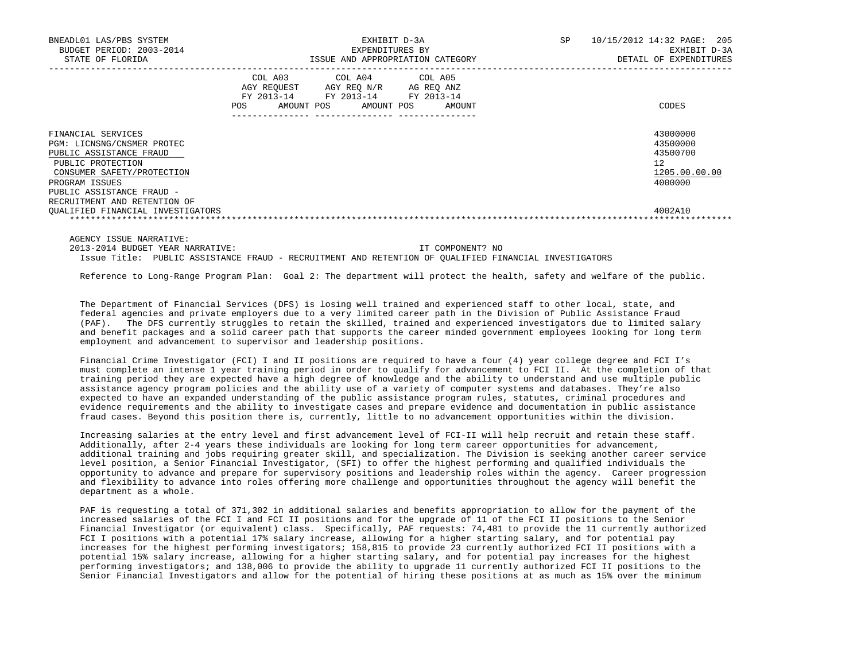| BNEADL01 LAS/PBS SYSTEM<br>BUDGET PERIOD: 2003-2014<br>STATE OF FLORIDA                                                                                                                                                                            | EXHIBIT D-3A<br>EXPENDITURES BY<br>ISSUE AND APPROPRIATION CATEGORY |                                                                                                                                               |        | <b>SP</b><br>10/15/2012 14:32 PAGE:<br>205<br>EXHIBIT D-3A<br>DETAIL OF EXPENDITURES |
|----------------------------------------------------------------------------------------------------------------------------------------------------------------------------------------------------------------------------------------------------|---------------------------------------------------------------------|-----------------------------------------------------------------------------------------------------------------------------------------------|--------|--------------------------------------------------------------------------------------|
|                                                                                                                                                                                                                                                    | POS                                                                 | COL A03 COL A04 COL A05<br>AGY REQUEST AGY REQ N/R AG REQ ANZ<br>FY 2013-14 FY 2013-14 FY 2013-14<br>AMOUNT POS AMOUNT POS<br>--------------- | AMOUNT | CODES                                                                                |
| FINANCIAL SERVICES<br>PGM: LICNSNG/CNSMER PROTEC<br>PUBLIC ASSISTANCE FRAUD<br>PUBLIC PROTECTION<br>CONSUMER SAFETY/PROTECTION<br>PROGRAM ISSUES<br>PUBLIC ASSISTANCE FRAUD -<br>RECRUITMENT AND RETENTION OF<br>OUALIFIED FINANCIAL INVESTIGATORS |                                                                     |                                                                                                                                               |        | 43000000<br>43500000<br>43500700<br>12<br>1205.00.00.00<br>4000000<br>4002A10        |

 2013-2014 BUDGET YEAR NARRATIVE: IT COMPONENT? NO Issue Title: PUBLIC ASSISTANCE FRAUD - RECRUITMENT AND RETENTION OF QUALIFIED FINANCIAL INVESTIGATORS

Reference to Long-Range Program Plan: Goal 2: The department will protect the health, safety and welfare of the public.

 The Department of Financial Services (DFS) is losing well trained and experienced staff to other local, state, and federal agencies and private employers due to a very limited career path in the Division of Public Assistance Fraud (PAF). The DFS currently struggles to retain the skilled, trained and experienced investigators due to limited salary and benefit packages and a solid career path that supports the career minded government employees looking for long term employment and advancement to supervisor and leadership positions.

 Financial Crime Investigator (FCI) I and II positions are required to have a four (4) year college degree and FCI I's must complete an intense 1 year training period in order to qualify for advancement to FCI II. At the completion of that training period they are expected have a high degree of knowledge and the ability to understand and use multiple public assistance agency program policies and the ability use of a variety of computer systems and databases. They're also expected to have an expanded understanding of the public assistance program rules, statutes, criminal procedures and evidence requirements and the ability to investigate cases and prepare evidence and documentation in public assistance fraud cases. Beyond this position there is, currently, little to no advancement opportunities within the division.

 Increasing salaries at the entry level and first advancement level of FCI-II will help recruit and retain these staff. Additionally, after 2-4 years these individuals are looking for long term career opportunities for advancement, additional training and jobs requiring greater skill, and specialization. The Division is seeking another career service level position, a Senior Financial Investigator, (SFI) to offer the highest performing and qualified individuals the opportunity to advance and prepare for supervisory positions and leadership roles within the agency. Career progression and flexibility to advance into roles offering more challenge and opportunities throughout the agency will benefit the department as a whole.

 PAF is requesting a total of 371,302 in additional salaries and benefits appropriation to allow for the payment of the increased salaries of the FCI I and FCI II positions and for the upgrade of 11 of the FCI II positions to the Senior Financial Investigator (or equivalent) class. Specifically, PAF requests: 74,481 to provide the 11 currently authorized FCI I positions with a potential 17% salary increase, allowing for a higher starting salary, and for potential pay increases for the highest performing investigators; 158,815 to provide 23 currently authorized FCI II positions with a potential 15% salary increase, allowing for a higher starting salary, and for potential pay increases for the highest performing investigators; and 138,006 to provide the ability to upgrade 11 currently authorized FCI II positions to the Senior Financial Investigators and allow for the potential of hiring these positions at as much as 15% over the minimum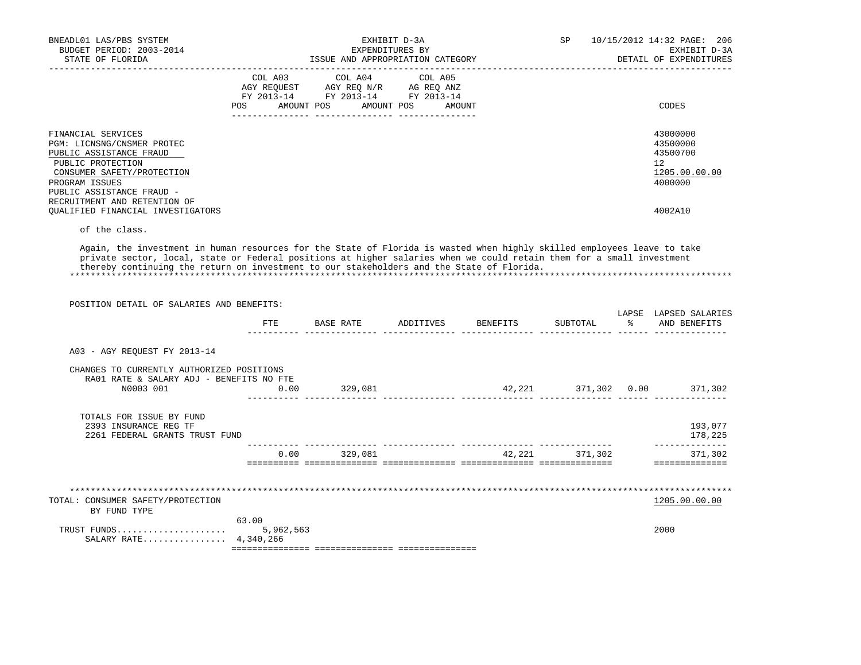| BNEADL01 LAS/PBS SYSTEM<br>BUDGET PERIOD: 2003-2014<br>STATE OF FLORIDA                                                                                                                                                                            | EXHIBIT D-3A<br>EXPENDITURES BY<br>ISSUE AND APPROPRIATION CATEGORY                                                                                            | <b>SP</b><br>10/15/2012 14:32 PAGE: 206<br>EXHIBIT D-3A<br>DETAIL OF EXPENDITURES |
|----------------------------------------------------------------------------------------------------------------------------------------------------------------------------------------------------------------------------------------------------|----------------------------------------------------------------------------------------------------------------------------------------------------------------|-----------------------------------------------------------------------------------|
|                                                                                                                                                                                                                                                    | COL A03 COL A04 COL A05<br>AGY REOUEST AGY REO N/R AG REO ANZ<br>FY 2013-14 FY 2013-14 FY 2013-14<br>POS<br>AMOUNT POS AMOUNT POS<br>AMOUNT<br>--------------- | CODES                                                                             |
| FINANCIAL SERVICES<br>PGM: LICNSNG/CNSMER PROTEC<br>PUBLIC ASSISTANCE FRAUD<br>PUBLIC PROTECTION<br>CONSUMER SAFETY/PROTECTION<br>PROGRAM ISSUES<br>PUBLIC ASSISTANCE FRAUD -<br>RECRUITMENT AND RETENTION OF<br>OUALIFIED FINANCIAL INVESTIGATORS |                                                                                                                                                                | 43000000<br>43500000<br>43500700<br>12<br>1205.00.00.00<br>4000000<br>4002A10     |

of the class.

 Again, the investment in human resources for the State of Florida is wasted when highly skilled employees leave to take private sector, local, state or Federal positions at higher salaries when we could retain them for a small investment thereby continuing the return on investment to our stakeholders and the State of Florida.

| POSITION DETAIL OF SALARIES AND BENEFITS:                                                          |       |           |                    |        |          |               |                                       |
|----------------------------------------------------------------------------------------------------|-------|-----------|--------------------|--------|----------|---------------|---------------------------------------|
|                                                                                                    | FTE   | BASE RATE | ADDITIVES BENEFITS |        | SUBTOTAL | $\frac{1}{6}$ | LAPSE LAPSED SALARIES<br>AND BENEFITS |
| A03 - AGY REQUEST FY 2013-14                                                                       |       |           |                    |        |          |               |                                       |
| CHANGES TO CURRENTLY AUTHORIZED POSITIONS<br>RA01 RATE & SALARY ADJ - BENEFITS NO FTE<br>N0003 001 | 0.00  | 329,081   |                    |        |          |               | 42,221 371,302 0.00 371,302           |
|                                                                                                    |       |           |                    |        |          |               |                                       |
| TOTALS FOR ISSUE BY FUND<br>2393 INSURANCE REG TF<br>2261 FEDERAL GRANTS TRUST FUND                |       |           |                    |        |          |               | 193,077<br>178,225                    |
|                                                                                                    | 0.00  | 329,081   |                    | 42,221 | 371,302  |               | 371,302                               |
|                                                                                                    |       |           |                    |        |          |               |                                       |
|                                                                                                    |       |           |                    |        |          |               |                                       |
| TOTAL: CONSUMER SAFETY/PROTECTION<br>BY FUND TYPE                                                  |       |           |                    |        |          |               | 1205.00.00.00                         |
| SALARY RATE 4,340,266                                                                              | 63.00 |           |                    |        |          |               | 2000                                  |
|                                                                                                    |       |           |                    |        |          |               |                                       |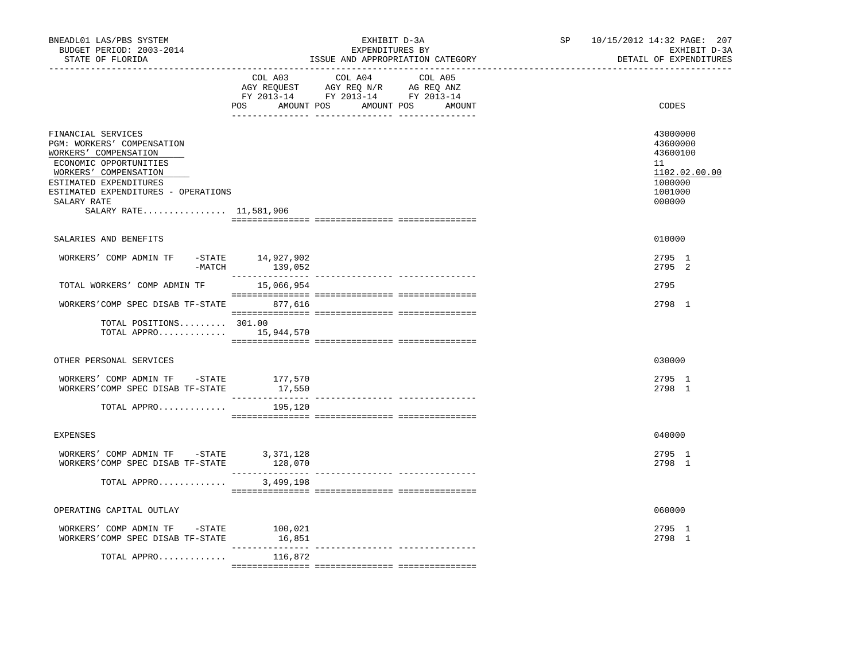| BNEADL01 LAS/PBS SYSTEM<br>BUDGET PERIOD: 2003-2014<br>STATE OF FLORIDA<br>___________________________________                                                                                                                         |                        | EXHIBIT D-3A<br>EXPENDITURES BY<br>ISSUE AND APPROPRIATION CATEGORY                                                                                                                                                                                            | SP | 10/15/2012 14:32 PAGE: 207<br>EXHIBIT D-3A<br>DETAIL OF EXPENDITURES                    |  |
|----------------------------------------------------------------------------------------------------------------------------------------------------------------------------------------------------------------------------------------|------------------------|----------------------------------------------------------------------------------------------------------------------------------------------------------------------------------------------------------------------------------------------------------------|----|-----------------------------------------------------------------------------------------|--|
|                                                                                                                                                                                                                                        | COL A03                | COL A04<br>COL A05<br>$\begin{tabular}{lllllllll} \bf AGY & \bf REQUEST & \bf AGY & \bf REQ & \bf N/R & \bf AG & \bf REQ & \bf ANZ \\ \bf FY & \tt 2013-14 & \bf FY & \tt 2013-14 & \bf FY & \tt 2013-14 \\ \end{tabular}$<br>POS AMOUNT POS AMOUNT POS AMOUNT |    | CODES                                                                                   |  |
| FINANCIAL SERVICES<br>PGM: WORKERS' COMPENSATION<br>WORKERS' COMPENSATION<br>ECONOMIC OPPORTUNITIES<br>WORKERS' COMPENSATION<br>ESTIMATED EXPENDITURES<br>ESTIMATED EXPENDITURES - OPERATIONS<br>SALARY RATE<br>SALARY RATE 11,581,906 |                        |                                                                                                                                                                                                                                                                |    | 43000000<br>43600000<br>43600100<br>11<br>1102.02.00.00<br>1000000<br>1001000<br>000000 |  |
| SALARIES AND BENEFITS                                                                                                                                                                                                                  |                        |                                                                                                                                                                                                                                                                |    | 010000                                                                                  |  |
| WORKERS' COMP ADMIN TF                                                                                                                                                                                                                 | $-$ STATE $14,927,902$ |                                                                                                                                                                                                                                                                |    | 2795 1<br>2795 2                                                                        |  |
| TOTAL WORKERS' COMP ADMIN TF                                                                                                                                                                                                           | 15,066,954             |                                                                                                                                                                                                                                                                |    | 2795                                                                                    |  |
| WORKERS'COMP SPEC DISAB TF-STATE 877,616                                                                                                                                                                                               |                        |                                                                                                                                                                                                                                                                |    | 2798 1                                                                                  |  |
| TOTAL POSITIONS 301.00<br>TOTAL APPRO $15,944,570$                                                                                                                                                                                     |                        |                                                                                                                                                                                                                                                                |    |                                                                                         |  |
| OTHER PERSONAL SERVICES                                                                                                                                                                                                                |                        |                                                                                                                                                                                                                                                                |    | 030000                                                                                  |  |
| WORKERS' COMP ADMIN TF - STATE<br>WORKERS'COMP SPEC DISAB TF-STATE                                                                                                                                                                     | 177,570<br>17,550      |                                                                                                                                                                                                                                                                |    | 2795 1<br>2798 1                                                                        |  |
| TOTAL APPRO                                                                                                                                                                                                                            | 195,120                |                                                                                                                                                                                                                                                                |    |                                                                                         |  |
| <b>EXPENSES</b>                                                                                                                                                                                                                        |                        |                                                                                                                                                                                                                                                                |    | 040000                                                                                  |  |
| $\verb WORKERS'  / COMP ADMIN TF - STATE   3,371,128 $<br>WORKERS'COMP SPEC DISAB TF-STATE                                                                                                                                             | 128,070                |                                                                                                                                                                                                                                                                |    | 2795 1<br>2798 1                                                                        |  |
| TOTAL APPRO                                                                                                                                                                                                                            | 3,499,198              |                                                                                                                                                                                                                                                                |    |                                                                                         |  |
| OPERATING CAPITAL OUTLAY                                                                                                                                                                                                               |                        |                                                                                                                                                                                                                                                                |    | 060000                                                                                  |  |
| WORKERS' COMP ADMIN TF - STATE 100,021<br>WORKERS'COMP SPEC DISAB TF-STATE                                                                                                                                                             | 16,851                 | ---------------- ---------------                                                                                                                                                                                                                               |    | 2795 1<br>2798 1                                                                        |  |
| TOTAL APPRO                                                                                                                                                                                                                            | 116,872                |                                                                                                                                                                                                                                                                |    |                                                                                         |  |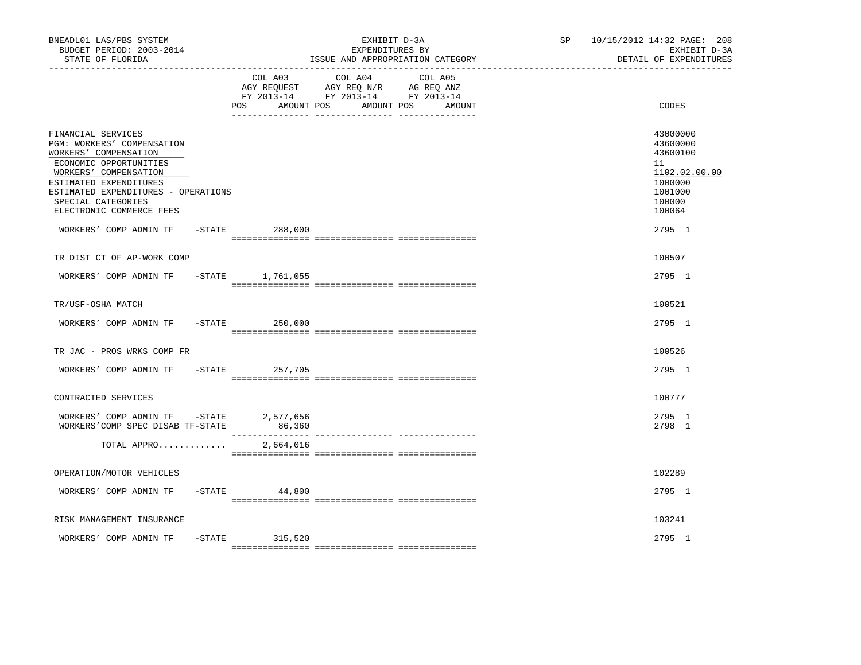| BNEADL01 LAS/PBS SYSTEM<br>BUDGET PERIOD: 2003-2014<br>STATE OF FLORIDA                                                                                                                                                                                                   | EXHIBIT D-3A<br>EXPENDITURES BY<br>ISSUE AND APPROPRIATION CATEGORY<br>---------------------<br>--------------------------------                  | 10/15/2012 14:32 PAGE: 208<br>SP<br>EXHIBIT D-3A<br>DETAIL OF EXPENDITURES                                  |
|---------------------------------------------------------------------------------------------------------------------------------------------------------------------------------------------------------------------------------------------------------------------------|---------------------------------------------------------------------------------------------------------------------------------------------------|-------------------------------------------------------------------------------------------------------------|
|                                                                                                                                                                                                                                                                           | COL A04<br>COL A03<br>COL A05<br>AGY REQUEST AGY REQ N/R AG REQ ANZ<br>FY 2013-14 FY 2013-14 FY 2013-14<br>POS<br>AMOUNT POS<br>AMOUNT POS AMOUNT | CODES                                                                                                       |
| FINANCIAL SERVICES<br>PGM: WORKERS' COMPENSATION<br>WORKERS' COMPENSATION<br>ECONOMIC OPPORTUNITIES<br>WORKERS' COMPENSATION<br>ESTIMATED EXPENDITURES<br>ESTIMATED EXPENDITURES - OPERATIONS<br>SPECIAL CATEGORIES<br>ELECTRONIC COMMERCE FEES<br>WORKERS' COMP ADMIN TF | $-$ STATE<br>288,000                                                                                                                              | 43000000<br>43600000<br>43600100<br>11<br>1102.02.00.00<br>1000000<br>1001000<br>100000<br>100064<br>2795 1 |
| TR DIST CT OF AP-WORK COMP                                                                                                                                                                                                                                                |                                                                                                                                                   | 100507                                                                                                      |
| WORKERS' COMP ADMIN TF -STATE 1,761,055                                                                                                                                                                                                                                   |                                                                                                                                                   | 2795 1                                                                                                      |
| TR/USF-OSHA MATCH                                                                                                                                                                                                                                                         |                                                                                                                                                   | 100521                                                                                                      |
| WORKERS' COMP ADMIN TF                                                                                                                                                                                                                                                    | $-STATE$<br>250,000                                                                                                                               | 2795 1                                                                                                      |
| TR JAC - PROS WRKS COMP FR                                                                                                                                                                                                                                                |                                                                                                                                                   | 100526                                                                                                      |
| WORKERS' COMP ADMIN TF                                                                                                                                                                                                                                                    | $-STATE$<br>257,705                                                                                                                               | 2795 1                                                                                                      |
| CONTRACTED SERVICES                                                                                                                                                                                                                                                       |                                                                                                                                                   | 100777                                                                                                      |
| WORKERS' COMP ADMIN TF -STATE 2,577,656<br>WORKERS'COMP SPEC DISAB TF-STATE                                                                                                                                                                                               | 86,360                                                                                                                                            | 2795 1<br>2798 1                                                                                            |
| TOTAL APPRO                                                                                                                                                                                                                                                               | 2,664,016                                                                                                                                         |                                                                                                             |
| OPERATION/MOTOR VEHICLES                                                                                                                                                                                                                                                  |                                                                                                                                                   | 102289                                                                                                      |
| WORKERS' COMP ADMIN TF                                                                                                                                                                                                                                                    | $-$ STATE<br>44,800                                                                                                                               | 2795 1                                                                                                      |
| RISK MANAGEMENT INSURANCE                                                                                                                                                                                                                                                 |                                                                                                                                                   | 103241                                                                                                      |
| WORKERS' COMP ADMIN TF                                                                                                                                                                                                                                                    | $-STATE$ 315,520                                                                                                                                  | 2795 1                                                                                                      |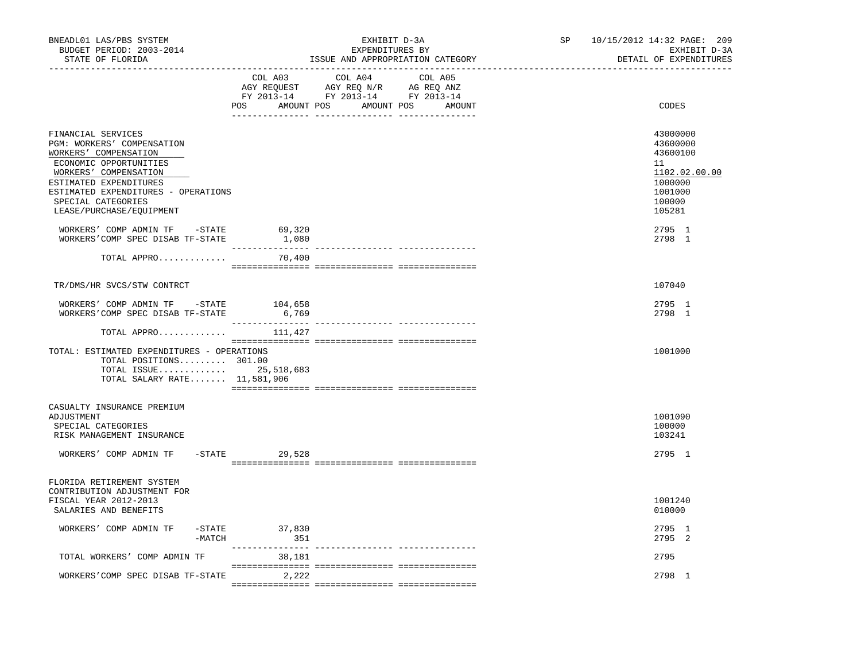| BNEADL01 LAS/PBS SYSTEM<br>BUDGET PERIOD: 2003-2014<br>STATE OF FLORIDA                                                                                                                                                                         | ----------------------------- | EXHIBIT D-3A<br>EXPENDITURES BY<br>ISSUE AND APPROPRIATION CATEGORY                                                              | SP <sub>2</sub> | 10/15/2012 14:32 PAGE: 209<br>EXHIBIT D-3A<br>DETAIL OF EXPENDITURES                                        |  |
|-------------------------------------------------------------------------------------------------------------------------------------------------------------------------------------------------------------------------------------------------|-------------------------------|----------------------------------------------------------------------------------------------------------------------------------|-----------------|-------------------------------------------------------------------------------------------------------------|--|
|                                                                                                                                                                                                                                                 | COL A03                       | COL A04<br>COL A05<br>AGY REQUEST AGY REQ N/R AG REQ ANZ<br>FY 2013-14 FY 2013-14 FY 2013-14<br>POS AMOUNT POS AMOUNT POS AMOUNT |                 | CODES                                                                                                       |  |
| FINANCIAL SERVICES<br>PGM: WORKERS' COMPENSATION<br>WORKERS' COMPENSATION<br>ECONOMIC OPPORTUNITIES<br>WORKERS' COMPENSATION<br>ESTIMATED EXPENDITURES<br>ESTIMATED EXPENDITURES - OPERATIONS<br>SPECIAL CATEGORIES<br>LEASE/PURCHASE/EQUIPMENT |                               |                                                                                                                                  |                 | 43000000<br>43600000<br>43600100<br>11<br>1102.02.00.00<br>1000000<br>1001000<br>100000<br>105281<br>2795 1 |  |
| WORKERS' COMP ADMIN TF - STATE<br>WORKERS'COMP SPEC DISAB TF-STATE 1,080                                                                                                                                                                        | 69,320                        |                                                                                                                                  |                 | 2798 1                                                                                                      |  |
| TOTAL APPRO                                                                                                                                                                                                                                     | 70,400                        |                                                                                                                                  |                 |                                                                                                             |  |
| TR/DMS/HR SVCS/STW CONTRCT                                                                                                                                                                                                                      |                               |                                                                                                                                  |                 | 107040                                                                                                      |  |
| WORKERS' COMP ADMIN TF -STATE<br>WORKERS'COMP SPEC DISAB TF-STATE                                                                                                                                                                               | 104,658<br>6,769              |                                                                                                                                  |                 | 2795 1<br>2798 1                                                                                            |  |
| TOTAL APPRO                                                                                                                                                                                                                                     | 111,427                       |                                                                                                                                  |                 |                                                                                                             |  |
| TOTAL: ESTIMATED EXPENDITURES - OPERATIONS<br>TOTAL POSITIONS 301.00<br>TOTAL ISSUE 25,518,683<br>TOTAL SALARY RATE 11,581,906                                                                                                                  |                               |                                                                                                                                  |                 | 1001000                                                                                                     |  |
| CASUALTY INSURANCE PREMIUM<br>ADJUSTMENT<br>SPECIAL CATEGORIES<br>RISK MANAGEMENT INSURANCE<br>WORKERS' COMP ADMIN TF<br>FLORIDA RETIREMENT SYSTEM                                                                                              | $-$ STATE 29,528              |                                                                                                                                  |                 | 1001090<br>100000<br>103241<br>2795 1                                                                       |  |
| CONTRIBUTION ADJUSTMENT FOR<br>FISCAL YEAR 2012-2013<br>SALARIES AND BENEFITS                                                                                                                                                                   |                               |                                                                                                                                  |                 | 1001240<br>010000                                                                                           |  |
| WORKERS' COMP ADMIN TF<br>$-MATCH$                                                                                                                                                                                                              | $-STATE$ 37,830<br>351        |                                                                                                                                  |                 | 2795 1<br>2795 2                                                                                            |  |
| TOTAL WORKERS' COMP ADMIN TF                                                                                                                                                                                                                    | 38,181                        |                                                                                                                                  |                 | 2795                                                                                                        |  |
| WORKERS'COMP SPEC DISAB TF-STATE                                                                                                                                                                                                                | 2,222                         |                                                                                                                                  |                 | 2798 1                                                                                                      |  |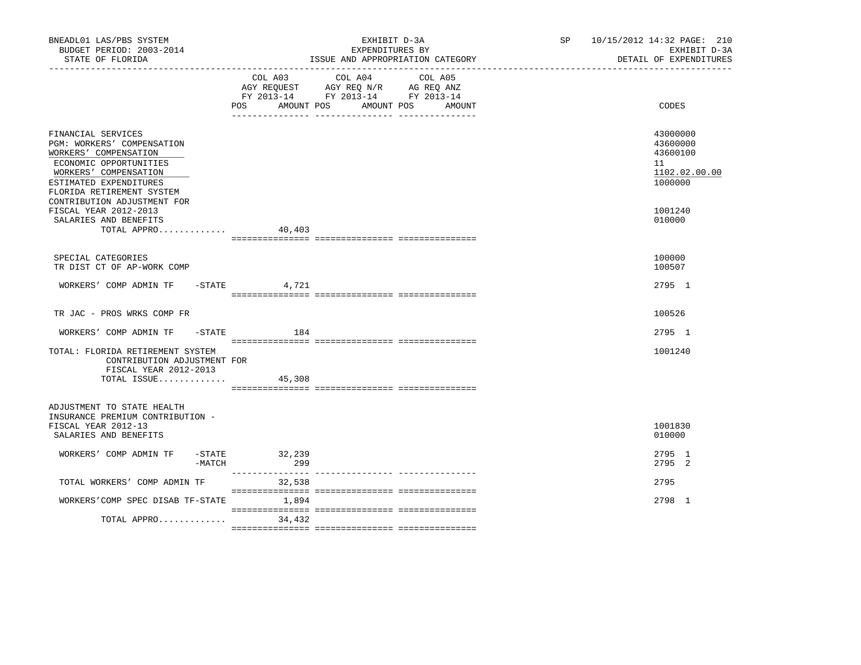| BNEADL01 LAS/PBS SYSTEM<br>BUDGET PERIOD: 2003-2014<br>STATE OF FLORIDA                                                                                                                    |                            | EXHIBIT D-3A<br>EXPENDITURES BY<br>ISSUE AND APPROPRIATION CATEGORY                                                          | SP 10/15/2012 14:32 PAGE: 210<br>EXHIBIT D-3A<br>DETAIL OF EXPENDITURES |
|--------------------------------------------------------------------------------------------------------------------------------------------------------------------------------------------|----------------------------|------------------------------------------------------------------------------------------------------------------------------|-------------------------------------------------------------------------|
|                                                                                                                                                                                            | POS<br>AMOUNT POS          | COL A03 COL A04<br>COL A05<br>AGY REQUEST AGY REQ N/R AG REQ ANZ<br>FY 2013-14 FY 2013-14 FY 2013-14<br>AMOUNT POS<br>AMOUNT | CODES                                                                   |
| FINANCIAL SERVICES<br><b>PGM: WORKERS' COMPENSATION</b><br>WORKERS' COMPENSATION<br>ECONOMIC OPPORTUNITIES<br>WORKERS' COMPENSATION<br>ESTIMATED EXPENDITURES<br>FLORIDA RETIREMENT SYSTEM |                            |                                                                                                                              | 43000000<br>43600000<br>43600100<br>11<br>1102.02.00.00<br>1000000      |
| CONTRIBUTION ADJUSTMENT FOR<br>FISCAL YEAR 2012-2013<br>SALARIES AND BENEFITS<br>TOTAL APPRO                                                                                               | 40,403                     |                                                                                                                              | 1001240<br>010000                                                       |
| SPECIAL CATEGORIES<br>TR DIST CT OF AP-WORK COMP                                                                                                                                           |                            |                                                                                                                              | 100000<br>100507                                                        |
| WORKERS' COMP ADMIN TF - STATE                                                                                                                                                             | 4,721                      |                                                                                                                              | 2795 1                                                                  |
| TR JAC - PROS WRKS COMP FR                                                                                                                                                                 |                            |                                                                                                                              | 100526                                                                  |
| WORKERS' COMP ADMIN TF<br>$-\mathtt{STATE}$                                                                                                                                                | 184                        |                                                                                                                              | 2795 1                                                                  |
| TOTAL: FLORIDA RETIREMENT SYSTEM<br>CONTRIBUTION ADJUSTMENT FOR<br>FISCAL YEAR 2012-2013<br>TOTAL ISSUE                                                                                    | 45,308                     |                                                                                                                              | 1001240                                                                 |
| ADJUSTMENT TO STATE HEALTH<br>INSURANCE PREMIUM CONTRIBUTION -<br>FISCAL YEAR 2012-13<br>SALARIES AND BENEFITS                                                                             |                            |                                                                                                                              | 1001830<br>010000                                                       |
| WORKERS' COMP ADMIN TF - STATE 32,239<br>-MATCH                                                                                                                                            | 299                        |                                                                                                                              | 2795 1<br>2795 2                                                        |
| TOTAL WORKERS' COMP ADMIN TF                                                                                                                                                               | ________________<br>32,538 |                                                                                                                              | 2795                                                                    |
| WORKERS'COMP SPEC DISAB TF-STATE                                                                                                                                                           | 1,894                      |                                                                                                                              | 2798 1                                                                  |
| TOTAL APPRO                                                                                                                                                                                | 34,432                     |                                                                                                                              |                                                                         |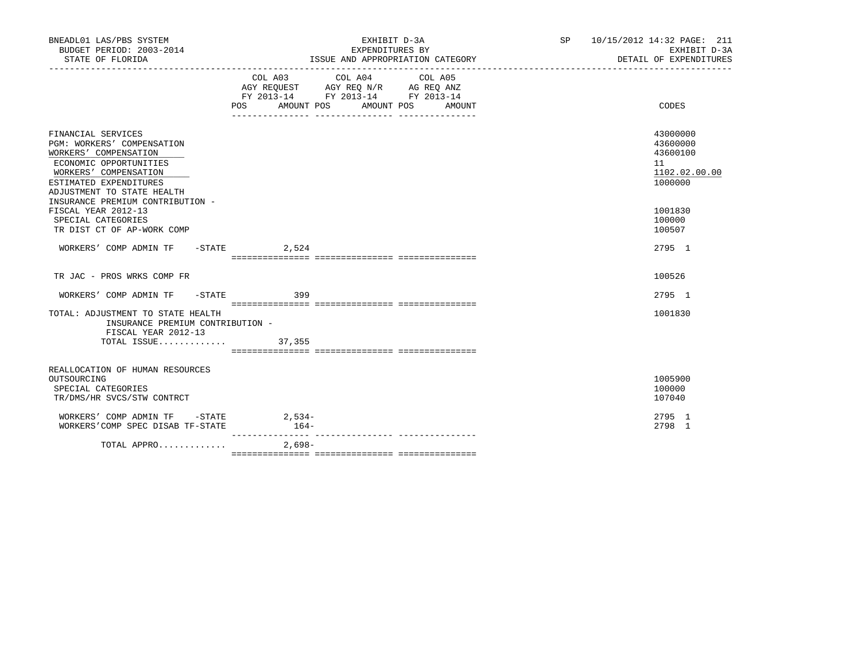| BNEADL01 LAS/PBS SYSTEM<br>BUDGET PERIOD: 2003-2014                                                                                                                                                                      |                   | EXHIBIT D-3A<br>EXPENDITURES BY<br>STATE OF FLORIDA 1999 (ISSUE AND APPROPRIATION CATEGORY 1997) DETAIL OF EXPENDITURE 1999 (ISSUE AND APPROPRIATION CATEGORY | SP 10/15/2012 14:32 PAGE: 211<br>EXHIBIT D-3A<br>DETAIL OF EXPENDITURES |
|--------------------------------------------------------------------------------------------------------------------------------------------------------------------------------------------------------------------------|-------------------|---------------------------------------------------------------------------------------------------------------------------------------------------------------|-------------------------------------------------------------------------|
|                                                                                                                                                                                                                          | POS<br>AMOUNT POS | COL A03 COL A04 COL A05<br>AGY REQUEST AGY REQ N/R AG REQ ANZ<br>FY 2013-14 FY 2013-14 FY 2013-14<br>AMOUNT POS<br>AMOUNT                                     | CODES                                                                   |
| FINANCIAL SERVICES<br>PGM: WORKERS' COMPENSATION<br>WORKERS' COMPENSATION<br>ECONOMIC OPPORTUNITIES<br>WORKERS' COMPENSATION<br>ESTIMATED EXPENDITURES<br>ADJUSTMENT TO STATE HEALTH<br>INSURANCE PREMIUM CONTRIBUTION - |                   |                                                                                                                                                               | 43000000<br>43600000<br>43600100<br>11<br>1102.02.00.00<br>1000000      |
| FISCAL YEAR 2012-13<br>SPECIAL CATEGORIES<br>TR DIST CT OF AP-WORK COMP                                                                                                                                                  |                   |                                                                                                                                                               | 1001830<br>100000<br>100507                                             |
| WORKERS' COMP ADMIN TF - STATE 2,524                                                                                                                                                                                     |                   |                                                                                                                                                               | 2795 1                                                                  |
| TR JAC - PROS WRKS COMP FR                                                                                                                                                                                               |                   |                                                                                                                                                               | 100526                                                                  |
| WORKERS' COMP ADMIN TF -STATE 399                                                                                                                                                                                        |                   |                                                                                                                                                               | 2795 1                                                                  |
| TOTAL: ADJUSTMENT TO STATE HEALTH<br>INSURANCE PREMIUM CONTRIBUTION -<br>FISCAL YEAR 2012-13<br>TOTAL ISSUE 37,355                                                                                                       |                   |                                                                                                                                                               | 1001830                                                                 |
|                                                                                                                                                                                                                          |                   |                                                                                                                                                               |                                                                         |
| REALLOCATION OF HUMAN RESOURCES<br>OUTSOURCING<br>SPECIAL CATEGORIES<br>TR/DMS/HR SVCS/STW CONTRCT                                                                                                                       |                   |                                                                                                                                                               | 1005900<br>100000<br>107040                                             |
| WORKERS' COMP ADMIN TF - STATE 2,534-<br>WORKERS'COMP SPEC DISAB TF-STATE                                                                                                                                                | $164-$            |                                                                                                                                                               | 2795 1<br>2798 1                                                        |
| TOTAL APPRO                                                                                                                                                                                                              | $2.698-$          |                                                                                                                                                               |                                                                         |
|                                                                                                                                                                                                                          |                   |                                                                                                                                                               |                                                                         |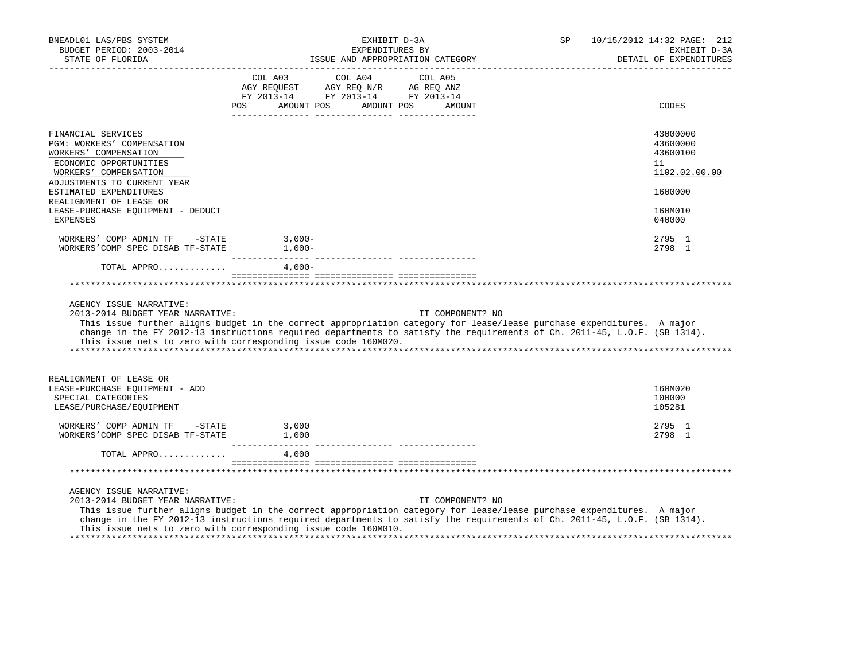| BNEADL01 LAS/PBS SYSTEM<br>BUDGET PERIOD: 2003-2014<br>STATE OF FLORIDA                                                                                                                                                                                                                                                                                                            | EXHIBIT D-3A<br>EXPENDITURES BY<br>ISSUE AND APPROPRIATION CATEGORY |                                                                                                            |                   | SP | 10/15/2012 14:32 PAGE: 212<br>EXHIBIT D-3A<br>DETAIL OF EXPENDITURES |
|------------------------------------------------------------------------------------------------------------------------------------------------------------------------------------------------------------------------------------------------------------------------------------------------------------------------------------------------------------------------------------|---------------------------------------------------------------------|------------------------------------------------------------------------------------------------------------|-------------------|----|----------------------------------------------------------------------|
|                                                                                                                                                                                                                                                                                                                                                                                    | COL A03<br>POS                                                      | COL A04<br>AGY REQUEST AGY REQ N/R AG REQ ANZ<br>FY 2013-14 FY 2013-14 FY 2013-14<br>AMOUNT POS AMOUNT POS | COL A05<br>AMOUNT |    | CODES                                                                |
| FINANCIAL SERVICES<br>PGM: WORKERS' COMPENSATION<br>WORKERS' COMPENSATION<br>ECONOMIC OPPORTUNITIES<br>WORKERS' COMPENSATION                                                                                                                                                                                                                                                       |                                                                     |                                                                                                            |                   |    | 43000000<br>43600000<br>43600100<br>11<br>1102.02.00.00              |
| ADJUSTMENTS TO CURRENT YEAR<br>ESTIMATED EXPENDITURES<br>REALIGNMENT OF LEASE OR<br>LEASE-PURCHASE EOUIPMENT - DEDUCT<br><b>EXPENSES</b>                                                                                                                                                                                                                                           |                                                                     |                                                                                                            |                   |    | 1600000<br>160M010<br>040000                                         |
| WORKERS' COMP ADMIN TF -STATE<br>WORKERS'COMP SPEC DISAB TF-STATE                                                                                                                                                                                                                                                                                                                  | $3,000-$<br>$1,000-$                                                |                                                                                                            |                   |    | 2795 1<br>2798 1                                                     |
| TOTAL APPRO                                                                                                                                                                                                                                                                                                                                                                        | $4,000-$                                                            |                                                                                                            |                   |    |                                                                      |
| AGENCY ISSUE NARRATIVE:<br>2013-2014 BUDGET YEAR NARRATIVE:<br>This issue further aligns budget in the correct appropriation category for lease/lease purchase expenditures. A major<br>change in the FY 2012-13 instructions required departments to satisfy the requirements of Ch. 2011-45, L.O.F. (SB 1314).<br>This issue nets to zero with corresponding issue code 160M020. |                                                                     |                                                                                                            | IT COMPONENT? NO  |    |                                                                      |
| REALIGNMENT OF LEASE OR<br>LEASE-PURCHASE EOUIPMENT - ADD<br>SPECIAL CATEGORIES<br>LEASE/PURCHASE/EQUIPMENT                                                                                                                                                                                                                                                                        |                                                                     |                                                                                                            |                   |    | 160M020<br>100000<br>105281                                          |
| WORKERS' COMP ADMIN TF -STATE<br>WORKERS'COMP SPEC DISAB TF-STATE                                                                                                                                                                                                                                                                                                                  | 3,000<br>1,000                                                      |                                                                                                            |                   |    | 2795 1<br>2798 1                                                     |
| TOTAL APPRO                                                                                                                                                                                                                                                                                                                                                                        | 4,000                                                               |                                                                                                            |                   |    |                                                                      |
|                                                                                                                                                                                                                                                                                                                                                                                    |                                                                     |                                                                                                            |                   |    |                                                                      |
| AGENCY ISSUE NARRATIVE:<br>2013-2014 BUDGET YEAR NARRATIVE:<br>This issue further aligns budget in the correct appropriation category for lease/lease purchase expenditures. A major<br>change in the FY 2012-13 instructions required departments to satisfy the requirements of Ch. 2011-45, L.O.F. (SB 1314).<br>This issue nets to zero with corresponding issue code 160M010. |                                                                     |                                                                                                            | IT COMPONENT? NO  |    |                                                                      |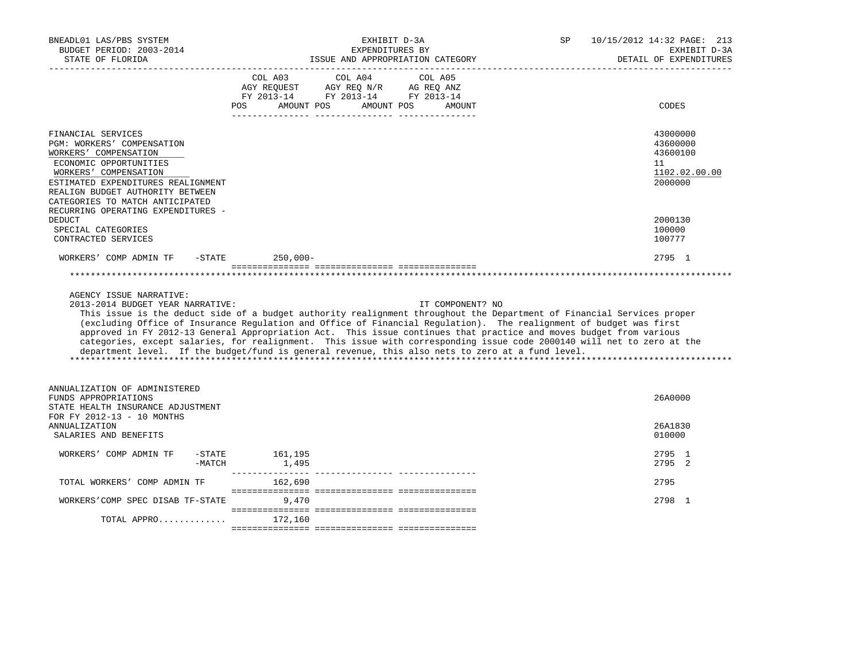| BNEADL01 LAS/PBS SYSTEM<br>BUDGET PERIOD: 2003-2014<br>STATE OF FLORIDA                                                                                                                                                                   |                                             | EXHIBIT D-3A<br>EXPENDITURES BY<br>ISSUE AND APPROPRIATION CATEGORY                                                                                                                                                                                                                                                                                                                                                                                                                                                                                                                                                  | SP | 10/15/2012 14:32 PAGE: 213<br>EXHIBIT D-3A<br>DETAIL OF EXPENDITURES |
|-------------------------------------------------------------------------------------------------------------------------------------------------------------------------------------------------------------------------------------------|---------------------------------------------|----------------------------------------------------------------------------------------------------------------------------------------------------------------------------------------------------------------------------------------------------------------------------------------------------------------------------------------------------------------------------------------------------------------------------------------------------------------------------------------------------------------------------------------------------------------------------------------------------------------------|----|----------------------------------------------------------------------|
|                                                                                                                                                                                                                                           | COL A03<br>AGY REQUEST<br>AMOUNT POS<br>POS | COL A04<br>COL A05<br>AGY REQ N/R<br>AG REQ ANZ<br>FY 2013-14 FY 2013-14 FY 2013-14<br>AMOUNT POS<br><b>AMOUNT</b>                                                                                                                                                                                                                                                                                                                                                                                                                                                                                                   |    | CODES                                                                |
| FINANCIAL SERVICES<br>PGM: WORKERS' COMPENSATION<br>WORKERS' COMPENSATION<br>ECONOMIC OPPORTUNITIES<br>WORKERS' COMPENSATION<br>ESTIMATED EXPENDITURES REALIGNMENT<br>REALIGN BUDGET AUTHORITY BETWEEN<br>CATEGORIES TO MATCH ANTICIPATED |                                             |                                                                                                                                                                                                                                                                                                                                                                                                                                                                                                                                                                                                                      |    | 43000000<br>43600000<br>43600100<br>11<br>1102.02.00.00<br>2000000   |
| RECURRING OPERATING EXPENDITURES -<br><b>DEDUCT</b><br>SPECIAL CATEGORIES<br>CONTRACTED SERVICES                                                                                                                                          |                                             |                                                                                                                                                                                                                                                                                                                                                                                                                                                                                                                                                                                                                      |    | 2000130<br>100000<br>100777                                          |
| WORKERS' COMP ADMIN TF<br>-STATE                                                                                                                                                                                                          | $250,000-$                                  |                                                                                                                                                                                                                                                                                                                                                                                                                                                                                                                                                                                                                      |    | 2795 1                                                               |
| AGENCY ISSUE NARRATIVE:<br>2013-2014 BUDGET YEAR NARRATIVE:                                                                                                                                                                               |                                             | IT COMPONENT? NO<br>This issue is the deduct side of a budget authority realignment throughout the Department of Financial Services proper<br>(excluding Office of Insurance Regulation and Office of Financial Regulation). The realignment of budget was first<br>approved in FY 2012-13 General Appropriation Act. This issue continues that practice and moves budget from various<br>categories, except salaries, for realignment. This issue with corresponding issue code 2000140 will net to zero at the<br>department level. If the budget/fund is general revenue, this also nets to zero at a fund level. |    |                                                                      |
| ANNUALIZATION OF ADMINISTERED<br>FUNDS APPROPRIATIONS<br>STATE HEALTH INSURANCE ADJUSTMENT<br>FOR FY 2012-13 - 10 MONTHS                                                                                                                  |                                             |                                                                                                                                                                                                                                                                                                                                                                                                                                                                                                                                                                                                                      |    | 26A0000                                                              |
| <b>ANNUALIZATION</b><br>SALARIES AND BENEFITS                                                                                                                                                                                             |                                             |                                                                                                                                                                                                                                                                                                                                                                                                                                                                                                                                                                                                                      |    | 26A1830<br>010000                                                    |
| WORKERS' COMP ADMIN TF<br>$-$ STATE<br>$-MATCH$                                                                                                                                                                                           | 161,195<br>1,495                            |                                                                                                                                                                                                                                                                                                                                                                                                                                                                                                                                                                                                                      |    | 2795 1<br>2795 2                                                     |
| TOTAL WORKERS' COMP ADMIN TF                                                                                                                                                                                                              | 162,690                                     |                                                                                                                                                                                                                                                                                                                                                                                                                                                                                                                                                                                                                      |    | 2795                                                                 |
| WORKERS'COMP SPEC DISAB TF-STATE                                                                                                                                                                                                          | 9,470                                       |                                                                                                                                                                                                                                                                                                                                                                                                                                                                                                                                                                                                                      |    | 2798 1                                                               |
| TOTAL APPRO $172,160$                                                                                                                                                                                                                     |                                             |                                                                                                                                                                                                                                                                                                                                                                                                                                                                                                                                                                                                                      |    |                                                                      |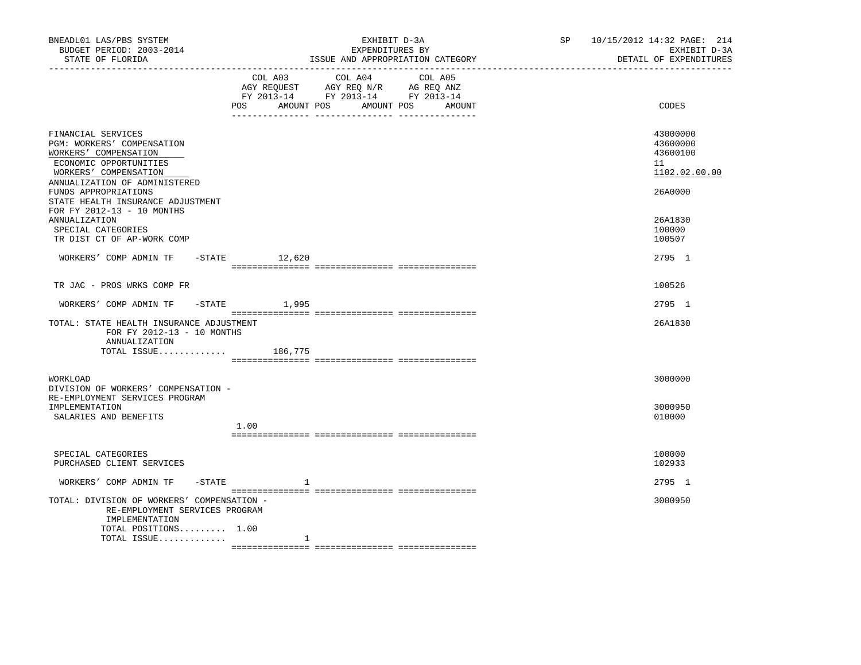| BNEADL01 LAS/PBS SYSTEM<br>BUDGET PERIOD: 2003-2014<br>STATE OF FLORIDA<br>------------------                                                                 |                    | EXHIBIT D-3A<br>EXPENDITURES BY<br>ISSUE AND APPROPRIATION CATEGORY                                                                  | SP <sub>2</sub> | 10/15/2012 14:32 PAGE: 214<br>EXHIBIT D-3A<br>DETAIL OF EXPENDITURES |  |
|---------------------------------------------------------------------------------------------------------------------------------------------------------------|--------------------|--------------------------------------------------------------------------------------------------------------------------------------|-----------------|----------------------------------------------------------------------|--|
|                                                                                                                                                               | POS                | COL A03 COL A04 COL A05<br>AGY REQUEST AGY REQ N/R AG REQ ANZ<br>FY 2013-14 FY 2013-14 FY 2013-14<br>AMOUNT POS AMOUNT POS<br>AMOUNT |                 | CODES                                                                |  |
| FINANCIAL SERVICES<br>PGM: WORKERS' COMPENSATION<br>WORKERS' COMPENSATION<br>ECONOMIC OPPORTUNITIES<br>WORKERS' COMPENSATION<br>ANNUALIZATION OF ADMINISTERED |                    |                                                                                                                                      |                 | 43000000<br>43600000<br>43600100<br>11<br>1102.02.00.00              |  |
| FUNDS APPROPRIATIONS<br>STATE HEALTH INSURANCE ADJUSTMENT<br>FOR FY 2012-13 - 10 MONTHS<br><b>ANNUALIZATION</b>                                               |                    |                                                                                                                                      |                 | 26A0000<br>26A1830                                                   |  |
| SPECIAL CATEGORIES<br>TR DIST CT OF AP-WORK COMP<br>WORKERS' COMP ADMIN TF                                                                                    |                    |                                                                                                                                      |                 | 100000<br>100507<br>2795 1                                           |  |
|                                                                                                                                                               | $-$ STATE $12,620$ |                                                                                                                                      |                 |                                                                      |  |
| TR JAC - PROS WRKS COMP FR                                                                                                                                    |                    |                                                                                                                                      |                 | 100526                                                               |  |
| WORKERS' COMP ADMIN TF -STATE 1,995                                                                                                                           |                    |                                                                                                                                      |                 | 2795 1                                                               |  |
| TOTAL: STATE HEALTH INSURANCE ADJUSTMENT<br>FOR FY 2012-13 - 10 MONTHS<br>ANNUALIZATION                                                                       |                    |                                                                                                                                      |                 | 26A1830                                                              |  |
| TOTAL ISSUE $186,775$                                                                                                                                         |                    |                                                                                                                                      |                 |                                                                      |  |
| WORKLOAD<br>DIVISION OF WORKERS' COMPENSATION -                                                                                                               |                    |                                                                                                                                      |                 | 3000000                                                              |  |
| RE-EMPLOYMENT SERVICES PROGRAM<br>IMPLEMENTATION<br>SALARIES AND BENEFITS                                                                                     | 1.00               |                                                                                                                                      |                 | 3000950<br>010000                                                    |  |
|                                                                                                                                                               |                    |                                                                                                                                      |                 |                                                                      |  |
| SPECIAL CATEGORIES<br>PURCHASED CLIENT SERVICES                                                                                                               |                    |                                                                                                                                      |                 | 100000<br>102933                                                     |  |
| $-$ STATE<br>WORKERS' COMP ADMIN TF                                                                                                                           | 1                  |                                                                                                                                      |                 | 2795 1                                                               |  |
| TOTAL: DIVISION OF WORKERS' COMPENSATION -<br>RE-EMPLOYMENT SERVICES PROGRAM<br>IMPLEMENTATION<br>TOTAL POSITIONS 1.00                                        |                    |                                                                                                                                      |                 | 3000950                                                              |  |
| TOTAL ISSUE                                                                                                                                                   | 1                  |                                                                                                                                      |                 |                                                                      |  |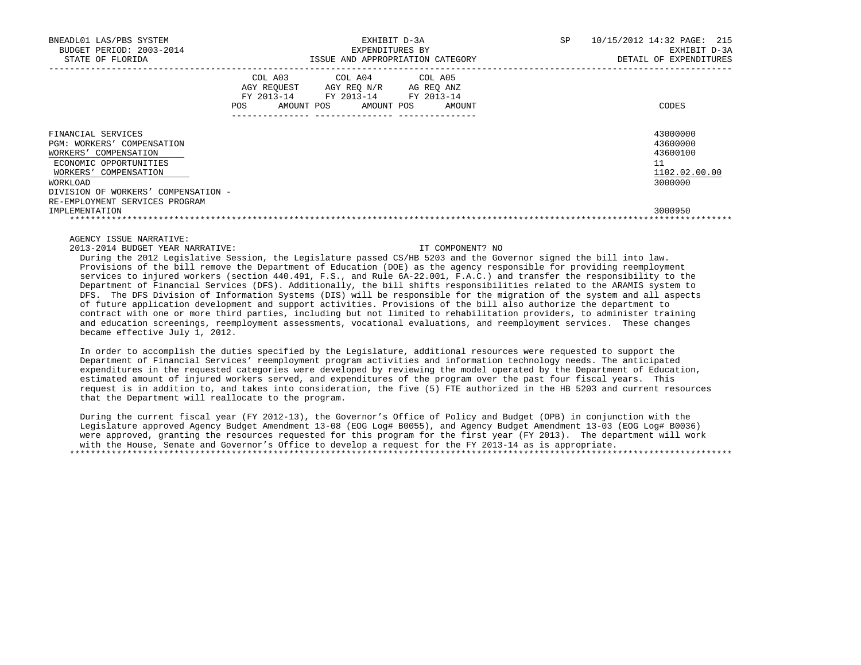| BNEADL01 LAS/PBS SYSTEM<br>BUDGET PERIOD: 2003-2014<br>STATE OF FLORIDA                                                                                                                                           | EXHIBIT D-3A<br>EXPENDITURES BY<br>ISSUE AND APPROPRIATION CATEGORY |                                                    |  |                                                                       |  | <b>SP</b>            | 10/15/2012 14:32 PAGE: 215<br>EXHIBIT D-3A<br>DETAIL OF EXPENDITURES |                                                                    |
|-------------------------------------------------------------------------------------------------------------------------------------------------------------------------------------------------------------------|---------------------------------------------------------------------|----------------------------------------------------|--|-----------------------------------------------------------------------|--|----------------------|----------------------------------------------------------------------|--------------------------------------------------------------------|
|                                                                                                                                                                                                                   | POS                                                                 | COL A03<br>AGY REOUEST<br>FY 2013-14<br>AMOUNT POS |  | COL A04 COL A05<br>AGY REQ N/R<br>FY 2013-14 FY 2013-14<br>AMOUNT POS |  | AG REO ANZ<br>AMOUNT |                                                                      | CODES                                                              |
| FINANCIAL SERVICES<br>PGM: WORKERS' COMPENSATION<br>WORKERS' COMPENSATION<br>ECONOMIC OPPORTUNITIES<br>WORKERS' COMPENSATION<br>WORKLOAD<br>DIVISION OF WORKERS' COMPENSATION -<br>RE-EMPLOYMENT SERVICES PROGRAM |                                                                     |                                                    |  |                                                                       |  |                      |                                                                      | 43000000<br>43600000<br>43600100<br>11<br>1102.02.00.00<br>3000000 |
| IMPLEMENTATION                                                                                                                                                                                                    |                                                                     |                                                    |  |                                                                       |  |                      |                                                                      | 3000950                                                            |

2013-2014 BUDGET YEAR NARRATIVE: IT COMPONENT? NO

 During the 2012 Legislative Session, the Legislature passed CS/HB 5203 and the Governor signed the bill into law. Provisions of the bill remove the Department of Education (DOE) as the agency responsible for providing reemployment services to injured workers (section 440.491, F.S., and Rule 6A-22.001, F.A.C.) and transfer the responsibility to the Department of Financial Services (DFS). Additionally, the bill shifts responsibilities related to the ARAMIS system to DFS. The DFS Division of Information Systems (DIS) will be responsible for the migration of the system and all aspects of future application development and support activities. Provisions of the bill also authorize the department to contract with one or more third parties, including but not limited to rehabilitation providers, to administer training and education screenings, reemployment assessments, vocational evaluations, and reemployment services. These changes became effective July 1, 2012.

 In order to accomplish the duties specified by the Legislature, additional resources were requested to support the Department of Financial Services' reemployment program activities and information technology needs. The anticipated expenditures in the requested categories were developed by reviewing the model operated by the Department of Education, estimated amount of injured workers served, and expenditures of the program over the past four fiscal years. This request is in addition to, and takes into consideration, the five (5) FTE authorized in the HB 5203 and current resources that the Department will reallocate to the program.

 During the current fiscal year (FY 2012-13), the Governor's Office of Policy and Budget (OPB) in conjunction with the Legislature approved Agency Budget Amendment 13-08 (EOG Log# B0055), and Agency Budget Amendment 13-03 (EOG Log# B0036) were approved, granting the resources requested for this program for the first year (FY 2013). The department will work with the House, Senate and Governor's Office to develop a request for the FY 2013-14 as is appropriate. \*\*\*\*\*\*\*\*\*\*\*\*\*\*\*\*\*\*\*\*\*\*\*\*\*\*\*\*\*\*\*\*\*\*\*\*\*\*\*\*\*\*\*\*\*\*\*\*\*\*\*\*\*\*\*\*\*\*\*\*\*\*\*\*\*\*\*\*\*\*\*\*\*\*\*\*\*\*\*\*\*\*\*\*\*\*\*\*\*\*\*\*\*\*\*\*\*\*\*\*\*\*\*\*\*\*\*\*\*\*\*\*\*\*\*\*\*\*\*\*\*\*\*\*\*\*\*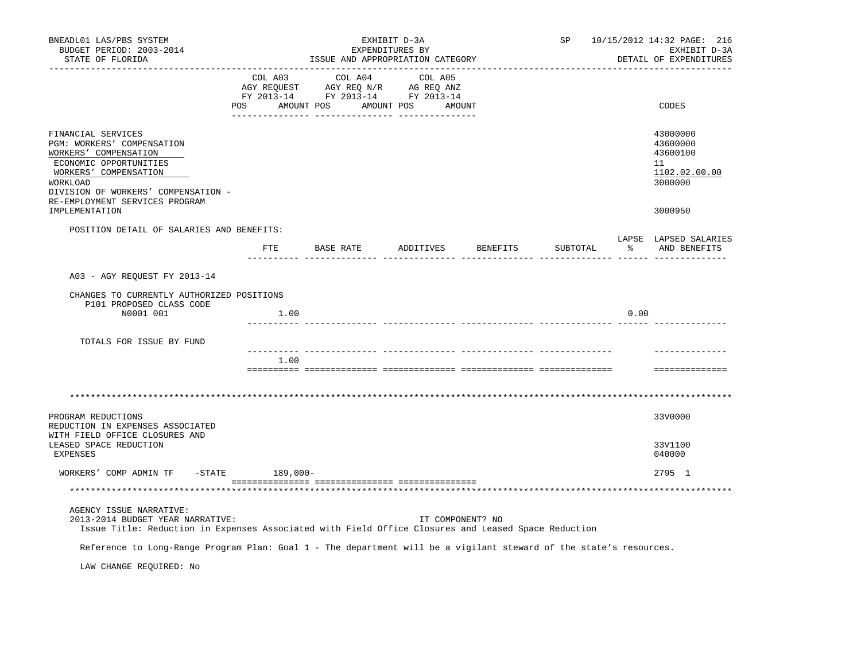| BNEADL01 LAS/PBS SYSTEM<br>BUDGET PERIOD: 2003-2014<br>STATE OF FLORIDA                                                                                                                                           | EXHIBIT D-3A<br>EXPENDITURES BY<br>ISSUE AND APPROPRIATION CATEGORY                                                      |               |         |                  |  |                    | SP       | 10/15/2012 14:32 PAGE: 216<br>EXHIBIT D-3A<br>DETAIL OF EXPENDITURES |                                                                    |  |
|-------------------------------------------------------------------------------------------------------------------------------------------------------------------------------------------------------------------|--------------------------------------------------------------------------------------------------------------------------|---------------|---------|------------------|--|--------------------|----------|----------------------------------------------------------------------|--------------------------------------------------------------------|--|
|                                                                                                                                                                                                                   | COL A03<br>CO AGY REQUEST AGY REQ N/R AG REQ ANZ<br>FY 2013-14 FY 2013-14 FY 2013-14<br>POS AMOUNT POS AMOUNT POS AMOUNT |               | COL A04 | COL A05          |  |                    |          |                                                                      | CODES                                                              |  |
| FINANCIAL SERVICES<br>PGM: WORKERS' COMPENSATION<br>WORKERS' COMPENSATION<br>ECONOMIC OPPORTUNITIES<br>WORKERS' COMPENSATION<br>WORKLOAD<br>DIVISION OF WORKERS' COMPENSATION -<br>RE-EMPLOYMENT SERVICES PROGRAM |                                                                                                                          |               |         |                  |  |                    |          |                                                                      | 43000000<br>43600000<br>43600100<br>11<br>1102.02.00.00<br>3000000 |  |
| IMPLEMENTATION                                                                                                                                                                                                    |                                                                                                                          |               |         |                  |  |                    |          |                                                                      | 3000950                                                            |  |
| POSITION DETAIL OF SALARIES AND BENEFITS:                                                                                                                                                                         |                                                                                                                          | FTE BASE RATE |         |                  |  | ADDITIVES BENEFITS | SUBTOTAL |                                                                      | LAPSE LAPSED SALARIES<br>% AND BENEFITS                            |  |
|                                                                                                                                                                                                                   |                                                                                                                          |               |         |                  |  |                    |          |                                                                      |                                                                    |  |
| A03 - AGY REQUEST FY 2013-14                                                                                                                                                                                      |                                                                                                                          |               |         |                  |  |                    |          |                                                                      |                                                                    |  |
| CHANGES TO CURRENTLY AUTHORIZED POSITIONS<br>P101 PROPOSED CLASS CODE<br>N0001 001                                                                                                                                | 1.00                                                                                                                     |               |         |                  |  |                    |          | 0.00                                                                 |                                                                    |  |
| TOTALS FOR ISSUE BY FUND                                                                                                                                                                                          |                                                                                                                          |               |         |                  |  |                    |          |                                                                      |                                                                    |  |
|                                                                                                                                                                                                                   | 1.00                                                                                                                     |               |         |                  |  |                    |          |                                                                      | ==============                                                     |  |
|                                                                                                                                                                                                                   |                                                                                                                          |               |         |                  |  |                    |          |                                                                      |                                                                    |  |
|                                                                                                                                                                                                                   |                                                                                                                          |               |         |                  |  |                    |          |                                                                      |                                                                    |  |
| PROGRAM REDUCTIONS<br>REDUCTION IN EXPENSES ASSOCIATED<br>WITH FIELD OFFICE CLOSURES AND                                                                                                                          |                                                                                                                          |               |         |                  |  |                    |          |                                                                      | 33V0000                                                            |  |
| LEASED SPACE REDUCTION<br><b>EXPENSES</b>                                                                                                                                                                         |                                                                                                                          |               |         |                  |  |                    |          |                                                                      | 33V1100<br>040000                                                  |  |
| WORKERS' COMP ADMIN TF -STATE 189,000-                                                                                                                                                                            |                                                                                                                          |               |         |                  |  |                    |          |                                                                      | 2795 1                                                             |  |
|                                                                                                                                                                                                                   |                                                                                                                          |               |         |                  |  |                    |          |                                                                      |                                                                    |  |
| AGENCY ISSUE NARRATIVE:<br>2013-2014 BUDGET YEAR NARRATIVE:<br>Issue Title: Reduction in Expenses Associated with Field Office Closures and Leased Space Reduction                                                |                                                                                                                          |               |         | IT COMPONENT? NO |  |                    |          |                                                                      |                                                                    |  |
| Reference to Long-Range Program Plan: Goal 1 - The department will be a vigilant steward of the state's resources.                                                                                                |                                                                                                                          |               |         |                  |  |                    |          |                                                                      |                                                                    |  |
| LAW CHANGE REQUIRED: No                                                                                                                                                                                           |                                                                                                                          |               |         |                  |  |                    |          |                                                                      |                                                                    |  |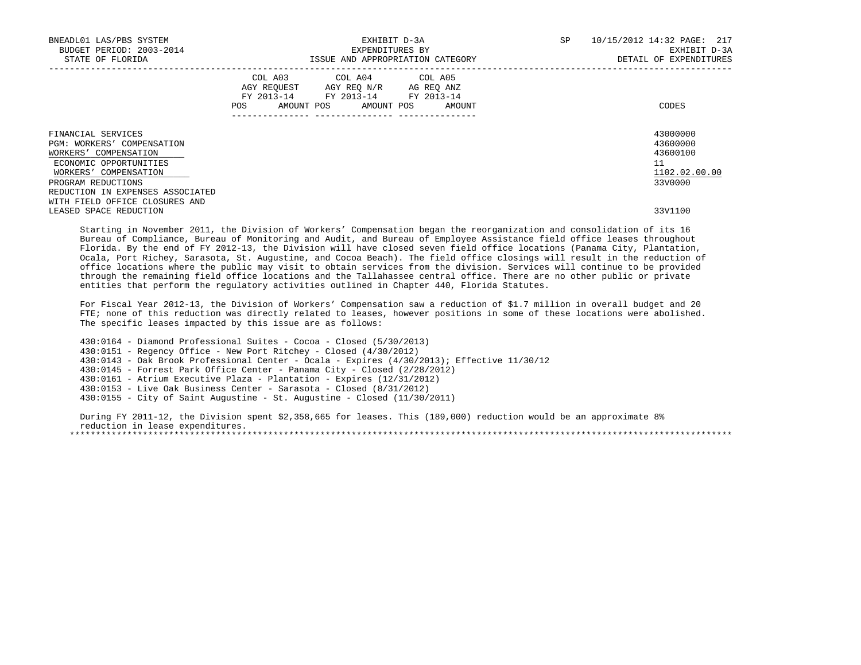| BNEADL01 LAS/PBS SYSTEM<br>BUDGET PERIOD: 2003-2014<br>STATE OF FLORIDA                                                                            |     | EXHIBIT D-3A<br>EXPENDITURES BY<br>ISSUE AND APPROPRIATION CATEGORY                               | SP                           | 10/15/2012 14:32 PAGE: 217<br>EXHIBIT D-3A<br>DETAIL OF EXPENDITURES |                                                                    |  |
|----------------------------------------------------------------------------------------------------------------------------------------------------|-----|---------------------------------------------------------------------------------------------------|------------------------------|----------------------------------------------------------------------|--------------------------------------------------------------------|--|
|                                                                                                                                                    | POS | COL A03 COL A04 COL A05<br>AGY REOUEST AGY REO N/R AG REO ANZ<br>FY 2013-14 FY 2013-14 FY 2013-14 | AMOUNT POS AMOUNT POS AMOUNT |                                                                      | CODES                                                              |  |
| FINANCIAL SERVICES<br>PGM: WORKERS' COMPENSATION<br>WORKERS' COMPENSATION<br>ECONOMIC OPPORTUNITIES<br>WORKERS' COMPENSATION<br>PROGRAM REDUCTIONS |     |                                                                                                   |                              |                                                                      | 43000000<br>43600000<br>43600100<br>11<br>1102.02.00.00<br>33V0000 |  |
| REDUCTION IN EXPENSES ASSOCIATED<br>WITH FIELD OFFICE CLOSURES AND<br>LEASED SPACE REDUCTION                                                       |     |                                                                                                   |                              |                                                                      | 33V1100                                                            |  |

 Starting in November 2011, the Division of Workers' Compensation began the reorganization and consolidation of its 16 Bureau of Compliance, Bureau of Monitoring and Audit, and Bureau of Employee Assistance field office leases throughout Florida. By the end of FY 2012-13, the Division will have closed seven field office locations (Panama City, Plantation, Ocala, Port Richey, Sarasota, St. Augustine, and Cocoa Beach). The field office closings will result in the reduction of office locations where the public may visit to obtain services from the division. Services will continue to be provided through the remaining field office locations and the Tallahassee central office. There are no other public or private entities that perform the regulatory activities outlined in Chapter 440, Florida Statutes.

 For Fiscal Year 2012-13, the Division of Workers' Compensation saw a reduction of \$1.7 million in overall budget and 20 FTE; none of this reduction was directly related to leases, however positions in some of these locations were abolished. The specific leases impacted by this issue are as follows:

 430:0164 - Diamond Professional Suites - Cocoa - Closed (5/30/2013) 430:0151 - Regency Office - New Port Ritchey - Closed (4/30/2012) 430:0143 - Oak Brook Professional Center - Ocala - Expires (4/30/2013); Effective 11/30/12 430:0145 - Forrest Park Office Center - Panama City - Closed (2/28/2012) 430:0161 - Atrium Executive Plaza - Plantation - Expires (12/31/2012) 430:0153 - Live Oak Business Center - Sarasota - Closed (8/31/2012) 430:0155 - City of Saint Augustine - St. Augustine - Closed (11/30/2011)

 During FY 2011-12, the Division spent \$2,358,665 for leases. This (189,000) reduction would be an approximate 8% reduction in lease expenditures. \*\*\*\*\*\*\*\*\*\*\*\*\*\*\*\*\*\*\*\*\*\*\*\*\*\*\*\*\*\*\*\*\*\*\*\*\*\*\*\*\*\*\*\*\*\*\*\*\*\*\*\*\*\*\*\*\*\*\*\*\*\*\*\*\*\*\*\*\*\*\*\*\*\*\*\*\*\*\*\*\*\*\*\*\*\*\*\*\*\*\*\*\*\*\*\*\*\*\*\*\*\*\*\*\*\*\*\*\*\*\*\*\*\*\*\*\*\*\*\*\*\*\*\*\*\*\*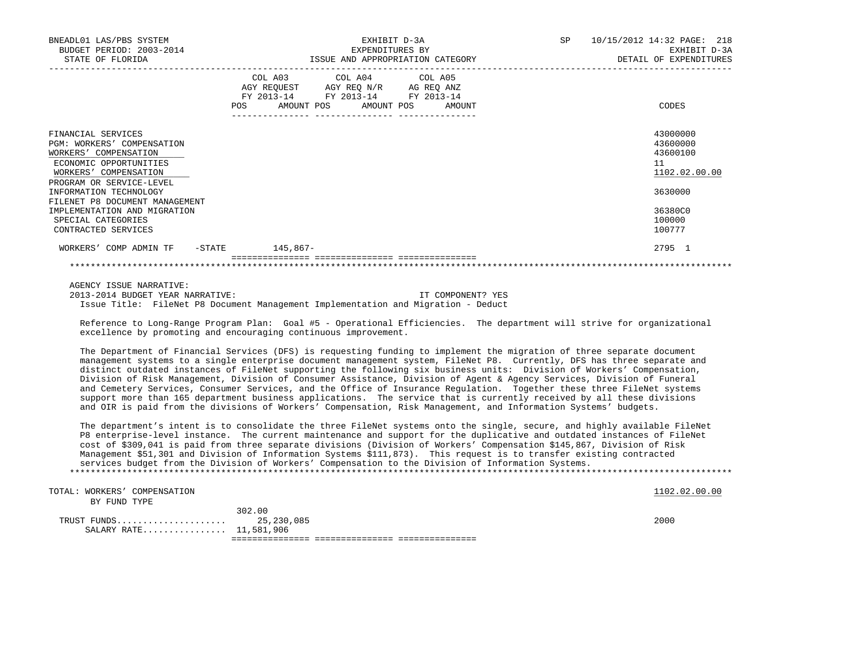| BNEADL01 LAS/PBS SYSTEM<br>BUDGET PERIOD: 2003-2014<br>STATE OF FLORIDA                                                                                  | EXHIBIT D-3A<br>EXPENDITURES BY<br>ISSUE AND APPROPRIATION CATEGORY                                                                         | 10/15/2012 14:32 PAGE: 218<br>SP<br>EXHIBIT D-3A<br>DETAIL OF EXPENDITURES |  |  |  |
|----------------------------------------------------------------------------------------------------------------------------------------------------------|---------------------------------------------------------------------------------------------------------------------------------------------|----------------------------------------------------------------------------|--|--|--|
|                                                                                                                                                          | COL A03 COL A04 COL A05<br>AGY REQUEST AGY REQ N/R AG REQ ANZ<br>FY 2013-14 FY 2013-14 FY 2013-14<br>AMOUNT POS AMOUNT POS<br>POS<br>AMOUNT | CODES                                                                      |  |  |  |
| FINANCIAL SERVICES<br>PGM: WORKERS' COMPENSATION<br>WORKERS' COMPENSATION<br>ECONOMIC OPPORTUNITIES<br>WORKERS' COMPENSATION<br>PROGRAM OR SERVICE-LEVEL |                                                                                                                                             | 43000000<br>43600000<br>43600100<br>11<br>1102.02.00.00                    |  |  |  |
| INFORMATION TECHNOLOGY<br>FILENET P8 DOCUMENT MANAGEMENT                                                                                                 |                                                                                                                                             | 3630000                                                                    |  |  |  |
| IMPLEMENTATION AND MIGRATION<br>SPECIAL CATEGORIES<br>CONTRACTED SERVICES                                                                                |                                                                                                                                             | 36380C0<br>100000<br>100777                                                |  |  |  |
| -STATE<br>WORKERS' COMP ADMIN TF                                                                                                                         | 145,867-                                                                                                                                    | 2795 1                                                                     |  |  |  |
|                                                                                                                                                          |                                                                                                                                             |                                                                            |  |  |  |

AGENCY ISSUE NARRATIVE:

 2013-2014 BUDGET YEAR NARRATIVE: IT COMPONENT? YES Issue Title: FileNet P8 Document Management Implementation and Migration - Deduct

 Reference to Long-Range Program Plan: Goal #5 - Operational Efficiencies. The department will strive for organizational excellence by promoting and encouraging continuous improvement.

 The Department of Financial Services (DFS) is requesting funding to implement the migration of three separate document management systems to a single enterprise document management system, FileNet P8. Currently, DFS has three separate and distinct outdated instances of FileNet supporting the following six business units: Division of Workers' Compensation, Division of Risk Management, Division of Consumer Assistance, Division of Agent & Agency Services, Division of Funeral and Cemetery Services, Consumer Services, and the Office of Insurance Regulation. Together these three FileNet systems support more than 165 department business applications. The service that is currently received by all these divisions and OIR is paid from the divisions of Workers' Compensation, Risk Management, and Information Systems' budgets.

 The department's intent is to consolidate the three FileNet systems onto the single, secure, and highly available FileNet P8 enterprise-level instance. The current maintenance and support for the duplicative and outdated instances of FileNet cost of \$309,041 is paid from three separate divisions (Division of Workers' Compensation \$145,867, Division of Risk Management \$51,301 and Division of Information Systems \$111,873). This request is to transfer existing contracted services budget from the Division of Workers' Compensation to the Division of Information Systems. \*\*\*\*\*\*\*\*\*\*\*\*\*\*\*\*\*\*\*\*\*\*\*\*\*\*\*\*\*\*\*\*\*\*\*\*\*\*\*\*\*\*\*\*\*\*\*\*\*\*\*\*\*\*\*\*\*\*\*\*\*\*\*\*\*\*\*\*\*\*\*\*\*\*\*\*\*\*\*\*\*\*\*\*\*\*\*\*\*\*\*\*\*\*\*\*\*\*\*\*\*\*\*\*\*\*\*\*\*\*\*\*\*\*\*\*\*\*\*\*\*\*\*\*\*\*\*

TOTAL: WORKERS' COMPENSATION 1102.02.00.00 POSSESSES AND RELEASE AND RELEASE AND RELEASE AND RELEASE AND RELEASE AND RELEASE AND RELEASE AND RELEASE AND RELEASE AND RELEASE AND RELEASE AND RELEASE AND RELEASE AND RELEASE A BY FUND TYPE

| <b>RATE</b><br>SALARY<br>. | 11,581,906 |      |
|----------------------------|------------|------|
| TRIIST<br>ארוזודידי<br>.   | 25,230,085 | 2000 |
|                            | ろひつ<br>.00 |      |
| DI FUND<br>. 1 P B         |            |      |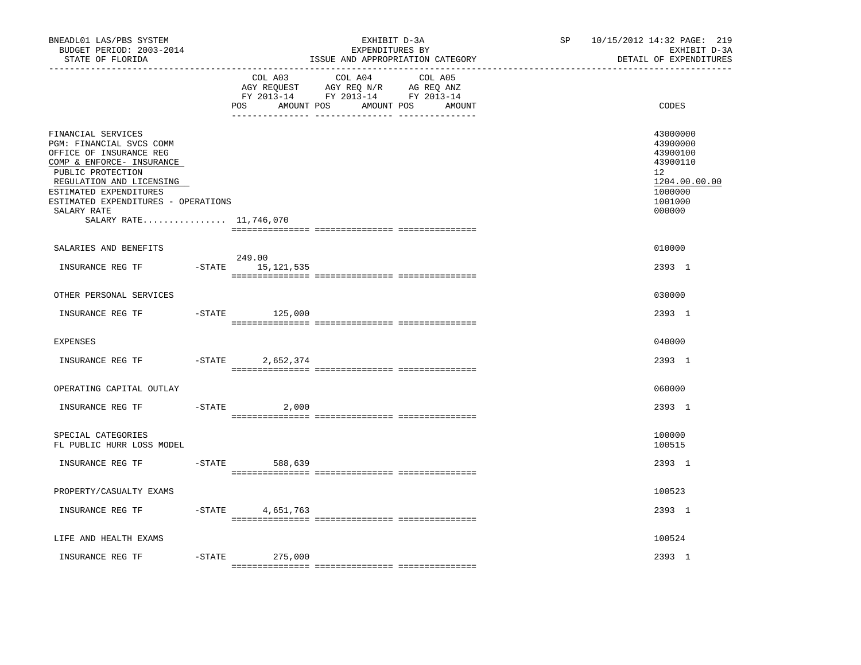| BNEADL01 LAS/PBS SYSTEM<br>BUDGET PERIOD: 2003-2014<br>STATE OF FLORIDA<br>----------------                                                                                                                                                                       |           | ______________________________ | EXHIBIT D-3A<br>EXPENDITURES BY<br>ISSUE AND APPROPRIATION CATEGORY                                                          | SP | 10/15/2012 14:32 PAGE: 219<br>EXHIBIT D-3A<br>DETAIL OF EXPENDITURES                                |
|-------------------------------------------------------------------------------------------------------------------------------------------------------------------------------------------------------------------------------------------------------------------|-----------|--------------------------------|------------------------------------------------------------------------------------------------------------------------------|----|-----------------------------------------------------------------------------------------------------|
|                                                                                                                                                                                                                                                                   |           | COL A03<br>POS                 | COL A04<br>COL A05<br>AGY REQUEST AGY REQ N/R AG REQ ANZ<br>FY 2013-14 FY 2013-14 FY 2013-14<br>AMOUNT POS AMOUNT POS AMOUNT |    | CODES                                                                                               |
| FINANCIAL SERVICES<br>PGM: FINANCIAL SVCS COMM<br>OFFICE OF INSURANCE REG<br>COMP & ENFORCE- INSURANCE<br>PUBLIC PROTECTION<br>REGULATION AND LICENSING<br>ESTIMATED EXPENDITURES<br>ESTIMATED EXPENDITURES - OPERATIONS<br>SALARY RATE<br>SALARY RATE 11,746,070 |           |                                |                                                                                                                              |    | 43000000<br>43900000<br>43900100<br>43900110<br>12<br>1204.00.00.00<br>1000000<br>1001000<br>000000 |
| SALARIES AND BENEFITS                                                                                                                                                                                                                                             |           |                                |                                                                                                                              |    | 010000                                                                                              |
| INSURANCE REG TF                                                                                                                                                                                                                                                  |           | 249.00<br>-STATE 15,121,535    |                                                                                                                              |    | 2393 1                                                                                              |
| OTHER PERSONAL SERVICES                                                                                                                                                                                                                                           |           |                                |                                                                                                                              |    | 030000                                                                                              |
| INSURANCE REG TF                                                                                                                                                                                                                                                  | $-STATE$  | 125,000                        |                                                                                                                              |    | 2393 1                                                                                              |
| EXPENSES                                                                                                                                                                                                                                                          |           |                                |                                                                                                                              |    | 040000                                                                                              |
| INSURANCE REG TF                                                                                                                                                                                                                                                  | $-$ STATE | 2,652,374                      |                                                                                                                              |    | 2393 1                                                                                              |
| OPERATING CAPITAL OUTLAY                                                                                                                                                                                                                                          |           |                                |                                                                                                                              |    | 060000                                                                                              |
| INSURANCE REG TF                                                                                                                                                                                                                                                  | $-$ STATE | 2,000                          |                                                                                                                              |    | 2393 1                                                                                              |
| SPECIAL CATEGORIES<br>FL PUBLIC HURR LOSS MODEL                                                                                                                                                                                                                   |           |                                |                                                                                                                              |    | 100000<br>100515                                                                                    |
| INSURANCE REG TF                                                                                                                                                                                                                                                  | $-STATE$  | 588,639                        |                                                                                                                              |    | 2393 1                                                                                              |
| PROPERTY/CASUALTY EXAMS                                                                                                                                                                                                                                           |           |                                |                                                                                                                              |    | 100523                                                                                              |
| INSURANCE REG TF                                                                                                                                                                                                                                                  |           | $-$ STATE 4,651,763            |                                                                                                                              |    | 2393 1                                                                                              |
| LIFE AND HEALTH EXAMS                                                                                                                                                                                                                                             |           |                                |                                                                                                                              |    | 100524                                                                                              |
| INSURANCE REG TF                                                                                                                                                                                                                                                  | -STATE    | 275,000                        |                                                                                                                              |    | 2393 1                                                                                              |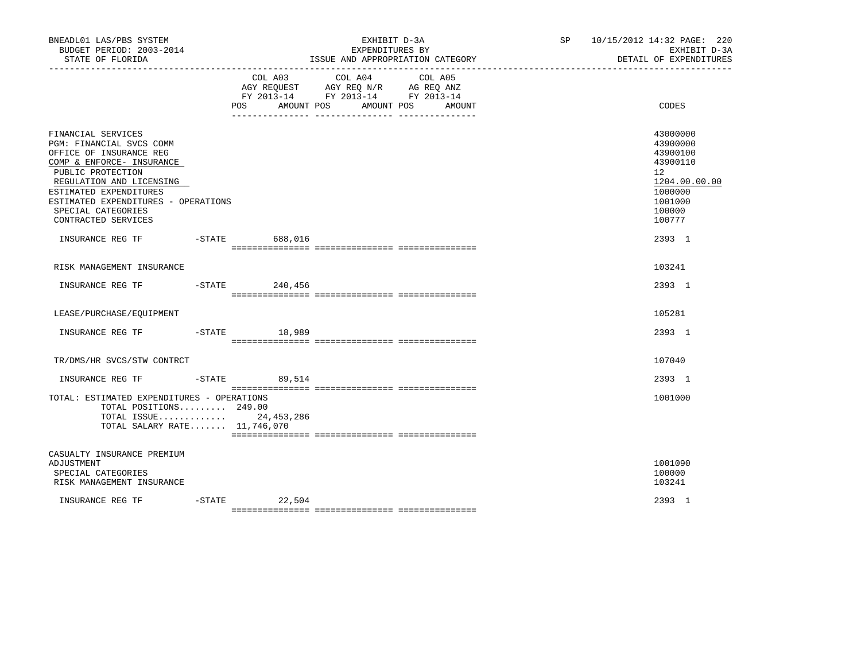| BNEADL01 LAS/PBS SYSTEM<br>BUDGET PERIOD: 2003-2014<br>STATE OF FLORIDA<br>_____________________                                                                                                                                                                      |                   | EXHIBIT D-3A<br>EXPENDITURES BY<br>ISSUE AND APPROPRIATION CATEGORY                                                                                          | SP 10/15/2012 14:32 PAGE: 220<br>EXHIBIT D-3A<br>DETAIL OF EXPENDITURES                                                    |
|-----------------------------------------------------------------------------------------------------------------------------------------------------------------------------------------------------------------------------------------------------------------------|-------------------|--------------------------------------------------------------------------------------------------------------------------------------------------------------|----------------------------------------------------------------------------------------------------------------------------|
|                                                                                                                                                                                                                                                                       | POS<br>AMOUNT POS | COL A03 COL A04 COL A05<br>AGY REQUEST AGY REQ N/R AG REQ ANZ<br>FY 2013-14 FY 2013-14 FY 2013-14<br>AMOUNT POS<br>AMOUNT<br>___ ________________ __________ | CODES                                                                                                                      |
| FINANCIAL SERVICES<br>PGM: FINANCIAL SVCS COMM<br>OFFICE OF INSURANCE REG<br>COMP & ENFORCE- INSURANCE<br>PUBLIC PROTECTION<br>REGULATION AND LICENSING<br>ESTIMATED EXPENDITURES<br>ESTIMATED EXPENDITURES - OPERATIONS<br>SPECIAL CATEGORIES<br>CONTRACTED SERVICES |                   |                                                                                                                                                              | 43000000<br>43900000<br>43900100<br>43900110<br>12 <sup>°</sup><br>1204.00.00.00<br>1000000<br>1001000<br>100000<br>100777 |
| INSURANCE REG TF                                                                                                                                                                                                                                                      | -STATE 688,016    |                                                                                                                                                              | 2393 1                                                                                                                     |
| RISK MANAGEMENT INSURANCE                                                                                                                                                                                                                                             |                   |                                                                                                                                                              | 103241                                                                                                                     |
| INSURANCE REG TF -STATE 240,456                                                                                                                                                                                                                                       |                   |                                                                                                                                                              | 2393 1                                                                                                                     |
| LEASE/PURCHASE/EOUIPMENT                                                                                                                                                                                                                                              |                   |                                                                                                                                                              | 105281                                                                                                                     |
| INSURANCE REG TF    -STATE    18,989                                                                                                                                                                                                                                  |                   |                                                                                                                                                              | 2393 1                                                                                                                     |
| TR/DMS/HR SVCS/STW CONTRCT                                                                                                                                                                                                                                            |                   |                                                                                                                                                              | 107040                                                                                                                     |
| INSURANCE REG TF                                                                                                                                                                                                                                                      | $-STATE$ 89,514   |                                                                                                                                                              | 2393 1                                                                                                                     |
| TOTAL: ESTIMATED EXPENDITURES - OPERATIONS<br>TOTAL POSITIONS 249.00<br>TOTAL ISSUE 24, 453, 286<br>TOTAL SALARY RATE 11,746,070                                                                                                                                      |                   |                                                                                                                                                              | 1001000                                                                                                                    |
| CASUALTY INSURANCE PREMIUM<br>ADJUSTMENT<br>SPECIAL CATEGORIES<br>RISK MANAGEMENT INSURANCE                                                                                                                                                                           |                   |                                                                                                                                                              | 1001090<br>100000<br>103241                                                                                                |
| INSURANCE REG TF                                                                                                                                                                                                                                                      | $-$ STATE 22,504  |                                                                                                                                                              | 2393 1                                                                                                                     |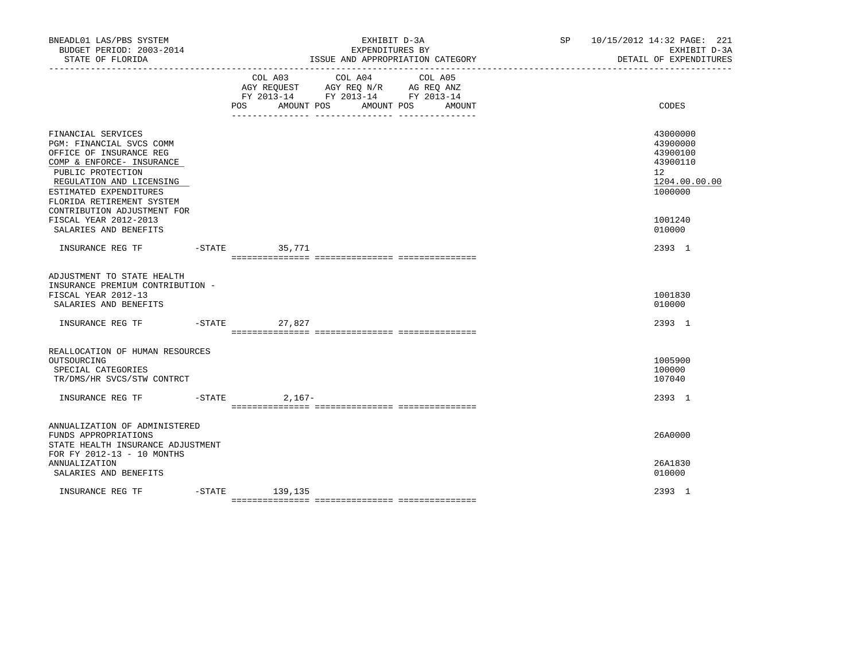| BNEADL01 LAS/PBS SYSTEM<br>BUDGET PERIOD: 2003-2014<br>STATE OF FLORIDA                                                                                                                                                                       |                |                                                                                           |                                 | EXHIBIT D-3A<br>EXPENDITURES BY<br>ISSUE AND APPROPRIATION CATEGORY | SP 10/15/2012 14:32 PAGE: 221<br>EXHIBIT D-3A<br>DETAIL OF EXPENDITURES        |
|-----------------------------------------------------------------------------------------------------------------------------------------------------------------------------------------------------------------------------------------------|----------------|-------------------------------------------------------------------------------------------|---------------------------------|---------------------------------------------------------------------|--------------------------------------------------------------------------------|
|                                                                                                                                                                                                                                               | POS AMOUNT POS | COL A03 COL A04<br>AGY REQUEST AGY REQ N/R AG REQ ANZ<br>FY 2013-14 FY 2013-14 FY 2013-14 | COL A05<br>AMOUNT POS<br>AMOUNT | CODES                                                               |                                                                                |
| FINANCIAL SERVICES<br>PGM: FINANCIAL SVCS COMM<br>OFFICE OF INSURANCE REG<br>COMP & ENFORCE- INSURANCE<br>PUBLIC PROTECTION<br>REGULATION AND LICENSING<br>ESTIMATED EXPENDITURES<br>FLORIDA RETIREMENT SYSTEM<br>CONTRIBUTION ADJUSTMENT FOR |                |                                                                                           |                                 |                                                                     | 43000000<br>43900000<br>43900100<br>43900110<br>12<br>1204.00.00.00<br>1000000 |
| FISCAL YEAR 2012-2013<br>SALARIES AND BENEFITS                                                                                                                                                                                                |                |                                                                                           |                                 |                                                                     | 1001240<br>010000                                                              |
| INSURANCE REG TF -STATE 35,771                                                                                                                                                                                                                |                |                                                                                           |                                 |                                                                     | 2393 1                                                                         |
| ADJUSTMENT TO STATE HEALTH<br>INSURANCE PREMIUM CONTRIBUTION -<br>FISCAL YEAR 2012-13<br>SALARIES AND BENEFITS<br>INSURANCE REG TF                                                                                                            |                | -STATE 27,827                                                                             |                                 |                                                                     | 1001830<br>010000<br>2393 1                                                    |
| REALLOCATION OF HUMAN RESOURCES                                                                                                                                                                                                               |                |                                                                                           |                                 |                                                                     |                                                                                |
| OUTSOURCING<br>SPECIAL CATEGORIES<br>TR/DMS/HR SVCS/STW CONTRCT                                                                                                                                                                               |                |                                                                                           |                                 |                                                                     | 1005900<br>100000<br>107040                                                    |
|                                                                                                                                                                                                                                               |                |                                                                                           |                                 |                                                                     | 2393 1                                                                         |
| ANNUALIZATION OF ADMINISTERED<br>FUNDS APPROPRIATIONS<br>STATE HEALTH INSURANCE ADJUSTMENT<br>FOR FY 2012-13 - 10 MONTHS                                                                                                                      |                |                                                                                           |                                 |                                                                     | 26A0000                                                                        |
| <b>ANNUALIZATION</b><br>SALARIES AND BENEFITS                                                                                                                                                                                                 |                |                                                                                           |                                 |                                                                     | 26A1830<br>010000                                                              |
| INSURANCE REG TF                                                                                                                                                                                                                              |                | -STATE 139,135                                                                            |                                 |                                                                     | 2393 1                                                                         |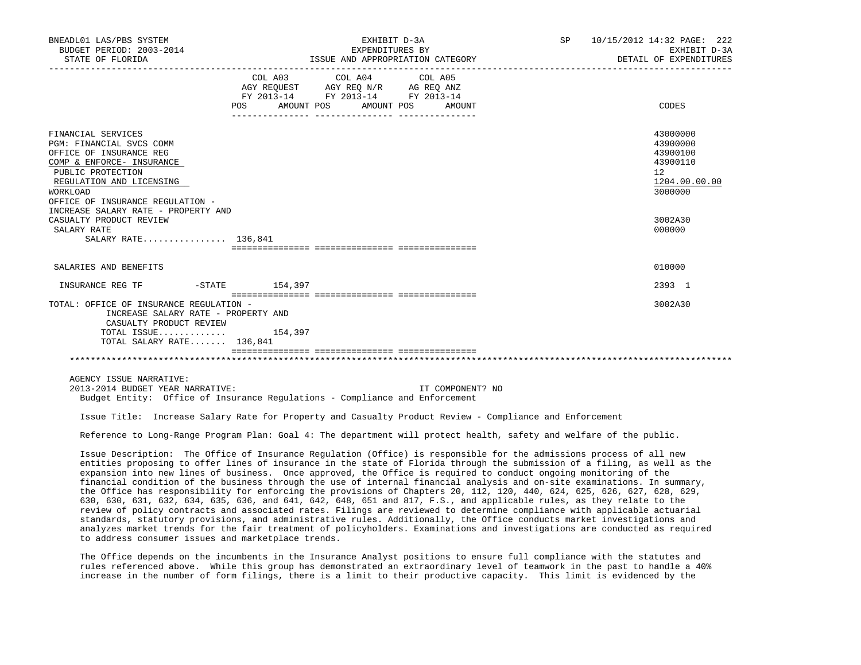| BNEADL01 LAS/PBS SYSTEM<br>BUDGET PERIOD: 2003-2014<br>STATE OF FLORIDA                                                                                                                                 |                  | EXHIBIT D-3A<br>EXPENDITURES BY<br>ISSUE AND APPROPRIATION CATEGORY                                                        | SP 10/15/2012 14:32 PAGE: 222<br>EXHIBIT D-3A<br>DETAIL OF EXPENDITURES |                                                                                |
|---------------------------------------------------------------------------------------------------------------------------------------------------------------------------------------------------------|------------------|----------------------------------------------------------------------------------------------------------------------------|-------------------------------------------------------------------------|--------------------------------------------------------------------------------|
|                                                                                                                                                                                                         | POS              | COL A03 COL A04 COL A05<br>AGY REQUEST AGY REQ N/R AG REQ ANZ<br>FY 2013-14 FY 2013-14 FY 2013-14<br>AMOUNT POS AMOUNT POS | AMOUNT                                                                  | CODES                                                                          |
| FINANCIAL SERVICES<br>PGM: FINANCIAL SVCS COMM<br>OFFICE OF INSURANCE REG<br>COMP & ENFORCE- INSURANCE<br>PUBLIC PROTECTION<br>REGULATION AND LICENSING<br>WORKLOAD<br>OFFICE OF INSURANCE REGULATION - |                  |                                                                                                                            |                                                                         | 43000000<br>43900000<br>43900100<br>43900110<br>12<br>1204.00.00.00<br>3000000 |
| INCREASE SALARY RATE - PROPERTY AND<br>CASUALTY PRODUCT REVIEW<br>SALARY RATE<br>SALARY RATE 136,841                                                                                                    |                  |                                                                                                                            |                                                                         | 3002A30<br>000000                                                              |
| SALARIES AND BENEFITS                                                                                                                                                                                   |                  |                                                                                                                            |                                                                         | 010000                                                                         |
| INSURANCE REG TF                                                                                                                                                                                        | $-STATE$ 154,397 |                                                                                                                            |                                                                         | 2393 1                                                                         |
| TOTAL: OFFICE OF INSURANCE REGULATION -<br>INCREASE SALARY RATE - PROPERTY AND<br>CASUALTY PRODUCT REVIEW<br>TOTAL ISSUE 154,397<br>TOTAL SALARY RATE 136,841                                           |                  |                                                                                                                            |                                                                         | 3002A30                                                                        |
|                                                                                                                                                                                                         |                  |                                                                                                                            |                                                                         |                                                                                |
| AGENCY ISSUE NARRATIVE:<br>2013-2014 BUDGET YEAR NARRATIVE:<br>Budget Entity: Office of Insurance Regulations - Compliance and Enforcement                                                              |                  |                                                                                                                            | IT COMPONENT? NO                                                        |                                                                                |

Issue Title: Increase Salary Rate for Property and Casualty Product Review - Compliance and Enforcement

Reference to Long-Range Program Plan: Goal 4: The department will protect health, safety and welfare of the public.

 Issue Description: The Office of Insurance Regulation (Office) is responsible for the admissions process of all new entities proposing to offer lines of insurance in the state of Florida through the submission of a filing, as well as the expansion into new lines of business. Once approved, the Office is required to conduct ongoing monitoring of the financial condition of the business through the use of internal financial analysis and on-site examinations. In summary, the Office has responsibility for enforcing the provisions of Chapters 20, 112, 120, 440, 624, 625, 626, 627, 628, 629, 630, 630, 631, 632, 634, 635, 636, and 641, 642, 648, 651 and 817, F.S., and applicable rules, as they relate to the review of policy contracts and associated rates. Filings are reviewed to determine compliance with applicable actuarial standards, statutory provisions, and administrative rules. Additionally, the Office conducts market investigations and analyzes market trends for the fair treatment of policyholders. Examinations and investigations are conducted as required to address consumer issues and marketplace trends.

 The Office depends on the incumbents in the Insurance Analyst positions to ensure full compliance with the statutes and rules referenced above. While this group has demonstrated an extraordinary level of teamwork in the past to handle a 40% increase in the number of form filings, there is a limit to their productive capacity. This limit is evidenced by the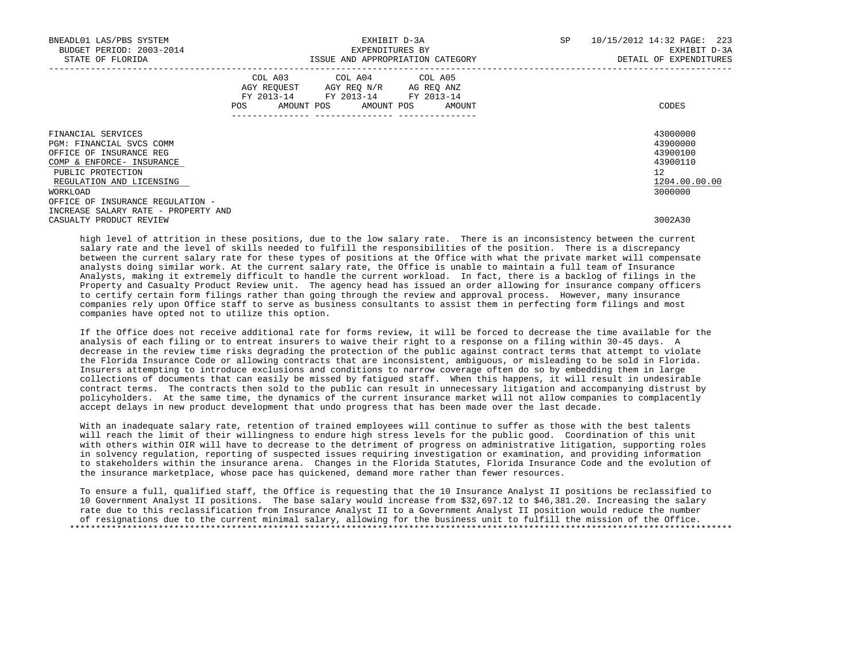| BNEADL01 LAS/PBS SYSTEM<br>BUDGET PERIOD: 2003-2014<br>STATE OF FLORIDA                                                                                             | EXHIBIT D-3A<br>EXPENDITURES BY<br>ISSUE AND APPROPRIATION CATEGORY                                                                                                                                                                                 | 10/15/2012 14:32 PAGE: 223<br>SP<br>EXHIBIT D-3A<br>DETAIL OF EXPENDITURES                  |
|---------------------------------------------------------------------------------------------------------------------------------------------------------------------|-----------------------------------------------------------------------------------------------------------------------------------------------------------------------------------------------------------------------------------------------------|---------------------------------------------------------------------------------------------|
|                                                                                                                                                                     | COL A03 COL A04 COL A05<br>AGY REQUEST AGY REQ N/R AG REQ ANZ<br>FY 2013-14 FY 2013-14 FY 2013-14<br>AMOUNT POS AMOUNT POS AMOUNT<br>POS FOR THE POST OF THE STATE STATE STATE STATE STATE STATE STATE STATE STATE STATE STATE STATE STATE STATE ST | CODES                                                                                       |
| FINANCIAL SERVICES<br>PGM: FINANCIAL SVCS COMM<br>OFFICE OF INSURANCE REG<br>COMP & ENFORCE- INSURANCE<br>PUBLIC PROTECTION<br>REGULATION AND LICENSING<br>WORKLOAD |                                                                                                                                                                                                                                                     | 43000000<br>43900000<br>43900100<br>43900110<br>12 <sup>°</sup><br>1204.00.00.00<br>3000000 |
| OFFICE OF INSURANCE REGULATION -<br>INCREASE SALARY RATE - PROPERTY AND<br>CASUALTY PRODUCT REVIEW                                                                  |                                                                                                                                                                                                                                                     | 3002A30                                                                                     |

 high level of attrition in these positions, due to the low salary rate. There is an inconsistency between the current salary rate and the level of skills needed to fulfill the responsibilities of the position. There is a discrepancy between the current salary rate for these types of positions at the Office with what the private market will compensate analysts doing similar work. At the current salary rate, the Office is unable to maintain a full team of Insurance Analysts, making it extremely difficult to handle the current workload. In fact, there is a backlog of filings in the Property and Casualty Product Review unit. The agency head has issued an order allowing for insurance company officers to certify certain form filings rather than going through the review and approval process. However, many insurance companies rely upon Office staff to serve as business consultants to assist them in perfecting form filings and most companies have opted not to utilize this option.

 If the Office does not receive additional rate for forms review, it will be forced to decrease the time available for the analysis of each filing or to entreat insurers to waive their right to a response on a filing within 30-45 days. A decrease in the review time risks degrading the protection of the public against contract terms that attempt to violate the Florida Insurance Code or allowing contracts that are inconsistent, ambiguous, or misleading to be sold in Florida. Insurers attempting to introduce exclusions and conditions to narrow coverage often do so by embedding them in large collections of documents that can easily be missed by fatigued staff. When this happens, it will result in undesirable contract terms. The contracts then sold to the public can result in unnecessary litigation and accompanying distrust by policyholders. At the same time, the dynamics of the current insurance market will not allow companies to complacently accept delays in new product development that undo progress that has been made over the last decade.

 With an inadequate salary rate, retention of trained employees will continue to suffer as those with the best talents will reach the limit of their willingness to endure high stress levels for the public good. Coordination of this unit with others within OIR will have to decrease to the detriment of progress on administrative litigation, supporting roles in solvency regulation, reporting of suspected issues requiring investigation or examination, and providing information to stakeholders within the insurance arena. Changes in the Florida Statutes, Florida Insurance Code and the evolution of the insurance marketplace, whose pace has quickened, demand more rather than fewer resources.

 To ensure a full, qualified staff, the Office is requesting that the 10 Insurance Analyst II positions be reclassified to 10 Government Analyst II positions. The base salary would increase from \$32,697.12 to \$46,381.20. Increasing the salary rate due to this reclassification from Insurance Analyst II to a Government Analyst II position would reduce the number of resignations due to the current minimal salary, allowing for the business unit to fulfill the mission of the Office. \*\*\*\*\*\*\*\*\*\*\*\*\*\*\*\*\*\*\*\*\*\*\*\*\*\*\*\*\*\*\*\*\*\*\*\*\*\*\*\*\*\*\*\*\*\*\*\*\*\*\*\*\*\*\*\*\*\*\*\*\*\*\*\*\*\*\*\*\*\*\*\*\*\*\*\*\*\*\*\*\*\*\*\*\*\*\*\*\*\*\*\*\*\*\*\*\*\*\*\*\*\*\*\*\*\*\*\*\*\*\*\*\*\*\*\*\*\*\*\*\*\*\*\*\*\*\*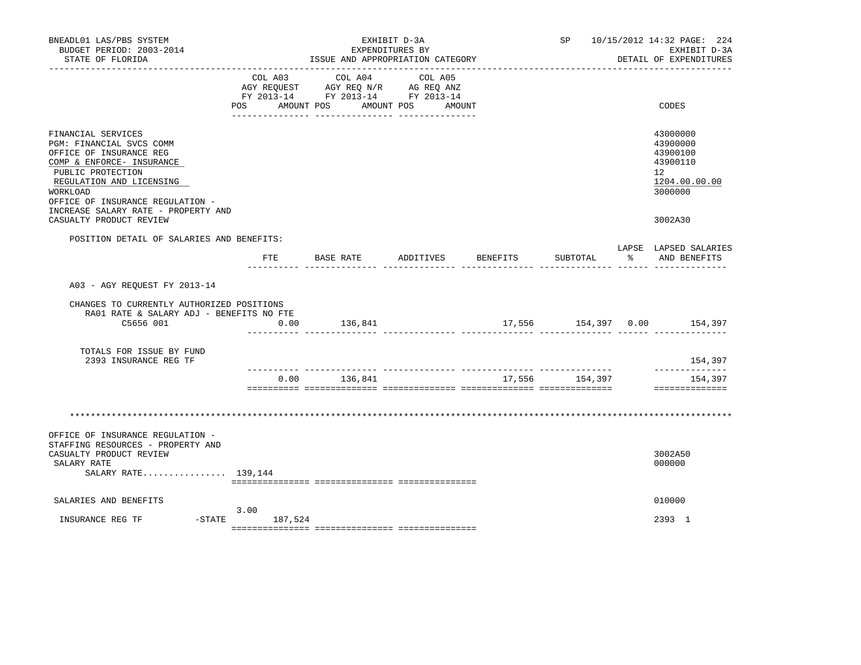| BNEADL01 LAS/PBS SYSTEM<br>BUDGET PERIOD: 2003-2014<br>STATE OF FLORIDA                                                                                                                                                                        |                                          | EXPENDITURES BY<br>ISSUE AND APPROPRIATION CATEGORY                   | EXHIBIT D-3A                 |        |          | SP 10/15/2012 14:32 PAGE: 224<br>EXHIBIT D-3A<br>DETAIL OF EXPENDITURES        |
|------------------------------------------------------------------------------------------------------------------------------------------------------------------------------------------------------------------------------------------------|------------------------------------------|-----------------------------------------------------------------------|------------------------------|--------|----------|--------------------------------------------------------------------------------|
|                                                                                                                                                                                                                                                | COL A03<br>AGY REOUEST<br>POS AMOUNT POS | COL A04<br>AGY REQ N/R AG REQ ANZ<br>FY 2013-14 FY 2013-14 FY 2013-14 | COL A05<br>AMOUNT POS AMOUNT |        |          | CODES                                                                          |
| FINANCIAL SERVICES<br>PGM: FINANCIAL SVCS COMM<br>OFFICE OF INSURANCE REG<br>COMP & ENFORCE- INSURANCE<br>PUBLIC PROTECTION<br>REGULATION AND LICENSING<br>WORKLOAD<br>OFFICE OF INSURANCE REGULATION -<br>INCREASE SALARY RATE - PROPERTY AND |                                          |                                                                       |                              |        |          | 43000000<br>43900000<br>43900100<br>43900110<br>12<br>1204.00.00.00<br>3000000 |
| CASUALTY PRODUCT REVIEW                                                                                                                                                                                                                        |                                          |                                                                       |                              |        |          | 3002A30                                                                        |
| POSITION DETAIL OF SALARIES AND BENEFITS:                                                                                                                                                                                                      | $_{\rm FTE}$                             | BASE RATE                                                             | ADDITIVES BENEFITS           |        | SUBTOTAL | LAPSE LAPSED SALARIES<br>% AND BENEFITS                                        |
| A03 - AGY REOUEST FY 2013-14                                                                                                                                                                                                                   |                                          |                                                                       |                              |        |          |                                                                                |
| CHANGES TO CURRENTLY AUTHORIZED POSITIONS<br>RA01 RATE & SALARY ADJ - BENEFITS NO FTE                                                                                                                                                          |                                          |                                                                       |                              |        |          |                                                                                |
| C5656 001                                                                                                                                                                                                                                      | 0.00                                     | 136,841                                                               |                              |        |          | 17,556 154,397 0.00 154,397                                                    |
| TOTALS FOR ISSUE BY FUND<br>2393 INSURANCE REG TF                                                                                                                                                                                              |                                          |                                                                       |                              |        |          | 154,397<br>______________                                                      |
|                                                                                                                                                                                                                                                | 0.00                                     | 136,841                                                               |                              | 17,556 | 154,397  | 154,397<br>==============                                                      |
|                                                                                                                                                                                                                                                |                                          |                                                                       |                              |        |          |                                                                                |
| OFFICE OF INSURANCE REGULATION -<br>STAFFING RESOURCES - PROPERTY AND<br>CASUALTY PRODUCT REVIEW                                                                                                                                               |                                          |                                                                       |                              |        |          | 3002A50                                                                        |
| SALARY RATE<br>SALARY RATE 139,144                                                                                                                                                                                                             |                                          |                                                                       |                              |        |          | 000000                                                                         |
| SALARIES AND BENEFITS                                                                                                                                                                                                                          |                                          |                                                                       |                              |        |          | 010000                                                                         |
| INSURANCE REG TF<br>-STATE                                                                                                                                                                                                                     | 3.00<br>187,524                          |                                                                       |                              |        |          | 2393 1                                                                         |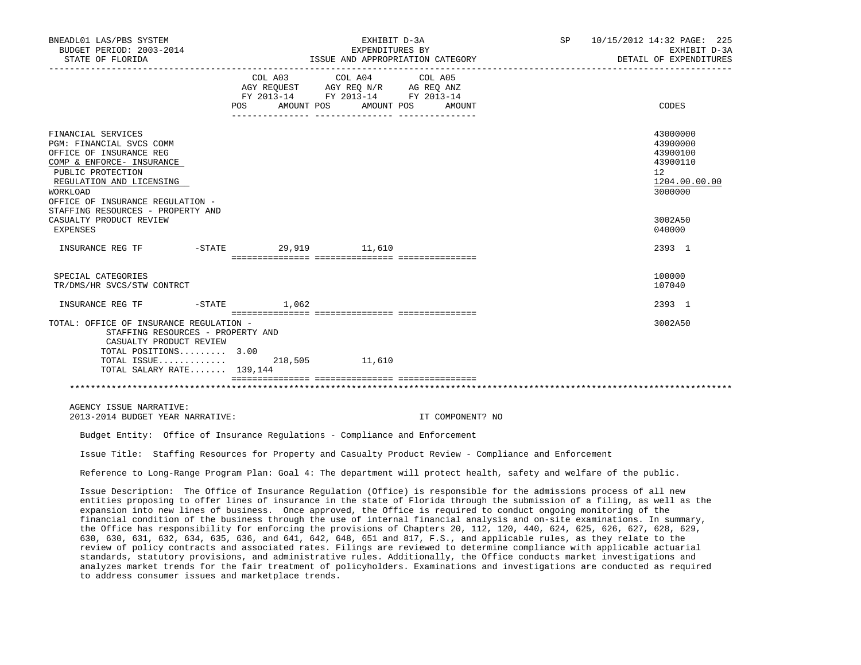| BNEADL01 LAS/PBS SYSTEM<br>BUDGET PERIOD: 2003-2014<br>STATE OF FLORIDA                                                                                                                                                                                                                                                                                                                                                                                                                                                                                                                                                                                                                                                                                                                                                                                                                                                                                                                                                                                                                                                                                                                     |           |     |         | EXHIBIT D-3A<br>EXPENDITURES BY<br>ISSUE AND APPROPRIATION CATEGORY                                                                                                                                                                             |                  | SP |                         | 10/15/2012 14:32 PAGE: 225<br>EXHIBIT D-3A<br>DETAIL OF EXPENDITURES           |
|---------------------------------------------------------------------------------------------------------------------------------------------------------------------------------------------------------------------------------------------------------------------------------------------------------------------------------------------------------------------------------------------------------------------------------------------------------------------------------------------------------------------------------------------------------------------------------------------------------------------------------------------------------------------------------------------------------------------------------------------------------------------------------------------------------------------------------------------------------------------------------------------------------------------------------------------------------------------------------------------------------------------------------------------------------------------------------------------------------------------------------------------------------------------------------------------|-----------|-----|---------|-------------------------------------------------------------------------------------------------------------------------------------------------------------------------------------------------------------------------------------------------|------------------|----|-------------------------|--------------------------------------------------------------------------------|
| ------------------                                                                                                                                                                                                                                                                                                                                                                                                                                                                                                                                                                                                                                                                                                                                                                                                                                                                                                                                                                                                                                                                                                                                                                          |           | POS | COL A03 | COL A04<br>$\begin{tabular}{lllllllll} \bf AGY & \bf REQUEST & \bf AGY & \bf REQ & \bf N/R & \bf AG & \bf REQ & \bf ANZ \\ \bf FY & \tt 2013-14 & \bf FY & \tt 2013-14 & \bf FY & \tt 2013-14 \\ \end{tabular}$<br>AMOUNT POS AMOUNT POS AMOUNT | COL A05          |    | ----------------------- | CODES                                                                          |
| FINANCIAL SERVICES<br>PGM: FINANCIAL SVCS COMM<br>OFFICE OF INSURANCE REG<br>COMP & ENFORCE- INSURANCE<br>PUBLIC PROTECTION<br>REGULATION AND LICENSING<br>WORKLOAD<br>OFFICE OF INSURANCE REGULATION -                                                                                                                                                                                                                                                                                                                                                                                                                                                                                                                                                                                                                                                                                                                                                                                                                                                                                                                                                                                     |           |     |         |                                                                                                                                                                                                                                                 |                  |    |                         | 43000000<br>43900000<br>43900100<br>43900110<br>12<br>1204.00.00.00<br>3000000 |
| STAFFING RESOURCES - PROPERTY AND<br>CASUALTY PRODUCT REVIEW<br><b>EXPENSES</b>                                                                                                                                                                                                                                                                                                                                                                                                                                                                                                                                                                                                                                                                                                                                                                                                                                                                                                                                                                                                                                                                                                             |           |     |         |                                                                                                                                                                                                                                                 |                  |    |                         | 3002A50<br>040000                                                              |
| INSURANCE REG TF                                                                                                                                                                                                                                                                                                                                                                                                                                                                                                                                                                                                                                                                                                                                                                                                                                                                                                                                                                                                                                                                                                                                                                            |           |     |         | -STATE 29,919 11,610                                                                                                                                                                                                                            |                  |    |                         | 2393 1                                                                         |
| SPECIAL CATEGORIES<br>TR/DMS/HR SVCS/STW CONTRCT                                                                                                                                                                                                                                                                                                                                                                                                                                                                                                                                                                                                                                                                                                                                                                                                                                                                                                                                                                                                                                                                                                                                            |           |     |         |                                                                                                                                                                                                                                                 |                  |    |                         | 100000<br>107040                                                               |
| INSURANCE REG TF                                                                                                                                                                                                                                                                                                                                                                                                                                                                                                                                                                                                                                                                                                                                                                                                                                                                                                                                                                                                                                                                                                                                                                            | $-$ STATE |     | 1,062   |                                                                                                                                                                                                                                                 |                  |    |                         | 2393 1                                                                         |
| TOTAL: OFFICE OF INSURANCE REGULATION -<br>STAFFING RESOURCES - PROPERTY AND<br>CASUALTY PRODUCT REVIEW<br>TOTAL POSITIONS 3.00<br>TOTAL ISSUE<br>TOTAL SALARY RATE 139,144                                                                                                                                                                                                                                                                                                                                                                                                                                                                                                                                                                                                                                                                                                                                                                                                                                                                                                                                                                                                                 |           |     | 218,505 | 11,610                                                                                                                                                                                                                                          |                  |    |                         | 3002A50                                                                        |
|                                                                                                                                                                                                                                                                                                                                                                                                                                                                                                                                                                                                                                                                                                                                                                                                                                                                                                                                                                                                                                                                                                                                                                                             |           |     |         |                                                                                                                                                                                                                                                 |                  |    |                         |                                                                                |
| AGENCY ISSUE NARRATIVE:<br>2013-2014 BUDGET YEAR NARRATIVE:                                                                                                                                                                                                                                                                                                                                                                                                                                                                                                                                                                                                                                                                                                                                                                                                                                                                                                                                                                                                                                                                                                                                 |           |     |         |                                                                                                                                                                                                                                                 | IT COMPONENT? NO |    |                         |                                                                                |
| Budget Entity: Office of Insurance Regulations - Compliance and Enforcement                                                                                                                                                                                                                                                                                                                                                                                                                                                                                                                                                                                                                                                                                                                                                                                                                                                                                                                                                                                                                                                                                                                 |           |     |         |                                                                                                                                                                                                                                                 |                  |    |                         |                                                                                |
| Issue Title: Staffing Resources for Property and Casualty Product Review - Compliance and Enforcement                                                                                                                                                                                                                                                                                                                                                                                                                                                                                                                                                                                                                                                                                                                                                                                                                                                                                                                                                                                                                                                                                       |           |     |         |                                                                                                                                                                                                                                                 |                  |    |                         |                                                                                |
| Reference to Long-Range Program Plan: Goal 4: The department will protect health, safety and welfare of the public.                                                                                                                                                                                                                                                                                                                                                                                                                                                                                                                                                                                                                                                                                                                                                                                                                                                                                                                                                                                                                                                                         |           |     |         |                                                                                                                                                                                                                                                 |                  |    |                         |                                                                                |
| Issue Description: The Office of Insurance Regulation (Office) is responsible for the admissions process of all new<br>entities proposing to offer lines of insurance in the state of Florida through the submission of a filing, as well as the<br>expansion into new lines of business. Once approved, the Office is required to conduct ongoing monitoring of the<br>financial condition of the business through the use of internal financial analysis and on-site examinations. In summary,<br>the Office has responsibility for enforcing the provisions of Chapters 20, 112, 120, 440, 624, 625, 626, 627, 628, 629,<br>630, 630, 631, 632, 634, 635, 636, and 641, 642, 648, 651 and 817, F.S., and applicable rules, as they relate to the<br>review of policy contracts and associated rates. Filings are reviewed to determine compliance with applicable actuarial<br>standards, statutory provisions, and administrative rules. Additionally, the Office conducts market investigations and<br>analyzes market trends for the fair treatment of policyholders. Examinations and investigations are conducted as required<br>to address consumer issues and marketplace trends. |           |     |         |                                                                                                                                                                                                                                                 |                  |    |                         |                                                                                |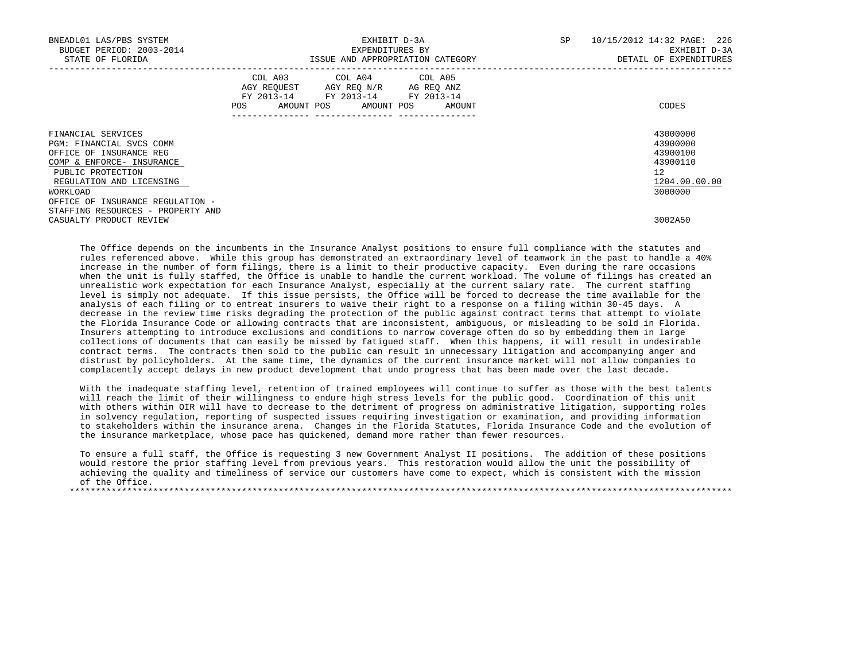| BNEADL01 LAS/PBS SYSTEM<br>BUDGET PERIOD: 2003-2014<br>STATE OF FLORIDA                                                                                                                                 | EXHIBIT D-3A<br>EXPENDITURES BY<br>ISSUE AND APPROPRIATION CATEGORY                                                                         | SP<br>10/15/2012 14:32 PAGE: 226<br>EXHIBIT D-3A<br>DETAIL OF EXPENDITURES               |
|---------------------------------------------------------------------------------------------------------------------------------------------------------------------------------------------------------|---------------------------------------------------------------------------------------------------------------------------------------------|------------------------------------------------------------------------------------------|
|                                                                                                                                                                                                         | COL A03 COL A04 COL A05<br>AGY REQUEST AGY REO N/R AG REO ANZ<br>FY 2013-14 FY 2013-14 FY 2013-14<br>AMOUNT POS AMOUNT POS<br>POS<br>AMOUNT | CODES                                                                                    |
| FINANCIAL SERVICES<br>PGM: FINANCIAL SVCS COMM<br>OFFICE OF INSURANCE REG<br>COMP & ENFORCE- INSURANCE<br>PUBLIC PROTECTION<br>REGULATION AND LICENSING<br>WORKLOAD<br>OFFICE OF INSURANCE REGULATION - |                                                                                                                                             | 43000000<br>43900000<br>43900100<br>43900110<br>$12^{\circ}$<br>1204.00.00.00<br>3000000 |
| STAFFING RESOURCES - PROPERTY AND<br>CASUALTY PRODUCT REVIEW                                                                                                                                            |                                                                                                                                             | 3002A50                                                                                  |

 The Office depends on the incumbents in the Insurance Analyst positions to ensure full compliance with the statutes and rules referenced above. While this group has demonstrated an extraordinary level of teamwork in the past to handle a 40% increase in the number of form filings, there is a limit to their productive capacity. Even during the rare occasions when the unit is fully staffed, the Office is unable to handle the current workload. The volume of filings has created an unrealistic work expectation for each Insurance Analyst, especially at the current salary rate. The current staffing level is simply not adequate. If this issue persists, the Office will be forced to decrease the time available for the analysis of each filing or to entreat insurers to waive their right to a response on a filing within 30-45 days. A decrease in the review time risks degrading the protection of the public against contract terms that attempt to violate the Florida Insurance Code or allowing contracts that are inconsistent, ambiguous, or misleading to be sold in Florida. Insurers attempting to introduce exclusions and conditions to narrow coverage often do so by embedding them in large collections of documents that can easily be missed by fatigued staff. When this happens, it will result in undesirable contract terms. The contracts then sold to the public can result in unnecessary litigation and accompanying anger and distrust by policyholders. At the same time, the dynamics of the current insurance market will not allow companies to complacently accept delays in new product development that undo progress that has been made over the last decade.

 With the inadequate staffing level, retention of trained employees will continue to suffer as those with the best talents will reach the limit of their willingness to endure high stress levels for the public good. Coordination of this unit with others within OIR will have to decrease to the detriment of progress on administrative litigation, supporting roles in solvency regulation, reporting of suspected issues requiring investigation or examination, and providing information to stakeholders within the insurance arena. Changes in the Florida Statutes, Florida Insurance Code and the evolution of the insurance marketplace, whose pace has quickened, demand more rather than fewer resources.

 To ensure a full staff, the Office is requesting 3 new Government Analyst II positions. The addition of these positions would restore the prior staffing level from previous years. This restoration would allow the unit the possibility of achieving the quality and timeliness of service our customers have come to expect, which is consistent with the mission of the Office. \*\*\*\*\*\*\*\*\*\*\*\*\*\*\*\*\*\*\*\*\*\*\*\*\*\*\*\*\*\*\*\*\*\*\*\*\*\*\*\*\*\*\*\*\*\*\*\*\*\*\*\*\*\*\*\*\*\*\*\*\*\*\*\*\*\*\*\*\*\*\*\*\*\*\*\*\*\*\*\*\*\*\*\*\*\*\*\*\*\*\*\*\*\*\*\*\*\*\*\*\*\*\*\*\*\*\*\*\*\*\*\*\*\*\*\*\*\*\*\*\*\*\*\*\*\*\*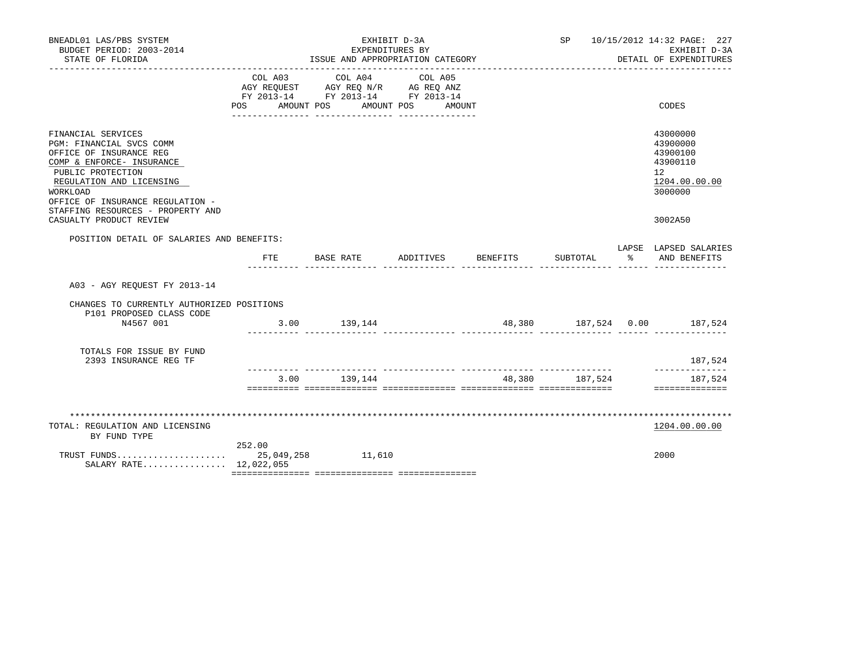| BNEADL01 LAS/PBS SYSTEM<br>BUDGET PERIOD: 2003-2014<br>STATE OF FLORIDA                                                                                                                                                                                                 |                                                    | EXHIBIT D-3A<br>EXPENDITURES BY<br>ISSUE AND APPROPRIATION CATEGORY |                              |                             |                | SP 10/15/2012 14:32 PAGE: 227<br>EXHIBIT D-3A<br>DETAIL OF EXPENDITURES |                                                                                                        |
|-------------------------------------------------------------------------------------------------------------------------------------------------------------------------------------------------------------------------------------------------------------------------|----------------------------------------------------|---------------------------------------------------------------------|------------------------------|-----------------------------|----------------|-------------------------------------------------------------------------|--------------------------------------------------------------------------------------------------------|
|                                                                                                                                                                                                                                                                         | FY 2013-14 FY 2013-14 FY 2013-14<br>POS AMOUNT POS | COL A03 COL A04<br>AGY REQUEST AGY REQ N/R AG REQ ANZ               | COL A05<br>AMOUNT POS AMOUNT |                             |                |                                                                         | CODES                                                                                                  |
| FINANCIAL SERVICES<br>PGM: FINANCIAL SVCS COMM<br>OFFICE OF INSURANCE REG<br>COMP & ENFORCE- INSURANCE<br>PUBLIC PROTECTION<br>REGULATION AND LICENSING<br>WORKLOAD<br>OFFICE OF INSURANCE REGULATION -<br>STAFFING RESOURCES - PROPERTY AND<br>CASUALTY PRODUCT REVIEW |                                                    |                                                                     |                              |                             |                |                                                                         | 43000000<br>43900000<br>43900100<br>43900110<br>12 <sup>°</sup><br>1204.00.00.00<br>3000000<br>3002A50 |
| POSITION DETAIL OF SALARIES AND BENEFITS:                                                                                                                                                                                                                               |                                                    |                                                                     |                              |                             |                |                                                                         |                                                                                                        |
|                                                                                                                                                                                                                                                                         | ETE                                                | BASE RATE ADDITIVES                                                 |                              | BENEFITS                    | SUBTOTAL       | $\frac{1}{6}$                                                           | LAPSE LAPSED SALARIES<br>AND BENEFITS                                                                  |
| A03 - AGY REOUEST FY 2013-14                                                                                                                                                                                                                                            |                                                    |                                                                     |                              |                             |                |                                                                         |                                                                                                        |
| CHANGES TO CURRENTLY AUTHORIZED POSITIONS<br>P101 PROPOSED CLASS CODE                                                                                                                                                                                                   |                                                    |                                                                     |                              |                             |                |                                                                         |                                                                                                        |
| N4567 001                                                                                                                                                                                                                                                               |                                                    | 3.00 139,144                                                        |                              | 48,380 187,524 0.00 187,524 |                |                                                                         |                                                                                                        |
| TOTALS FOR ISSUE BY FUND<br>2393 INSURANCE REG TF                                                                                                                                                                                                                       |                                                    |                                                                     |                              |                             |                |                                                                         | 187,524                                                                                                |
|                                                                                                                                                                                                                                                                         |                                                    | 3.00 139,144                                                        |                              |                             | 48,380 187,524 |                                                                         | ______________<br>187,524                                                                              |
|                                                                                                                                                                                                                                                                         |                                                    |                                                                     |                              |                             |                |                                                                         | ==============                                                                                         |
| TOTAL: REGULATION AND LICENSING<br>BY FUND TYPE                                                                                                                                                                                                                         |                                                    |                                                                     |                              |                             |                |                                                                         | 1204.00.00.00                                                                                          |
| TRUST FUNDS<br>SALARY RATE 12,022,055                                                                                                                                                                                                                                   | 252.00                                             | 25,049,258 11,610                                                   |                              |                             |                |                                                                         | 2000                                                                                                   |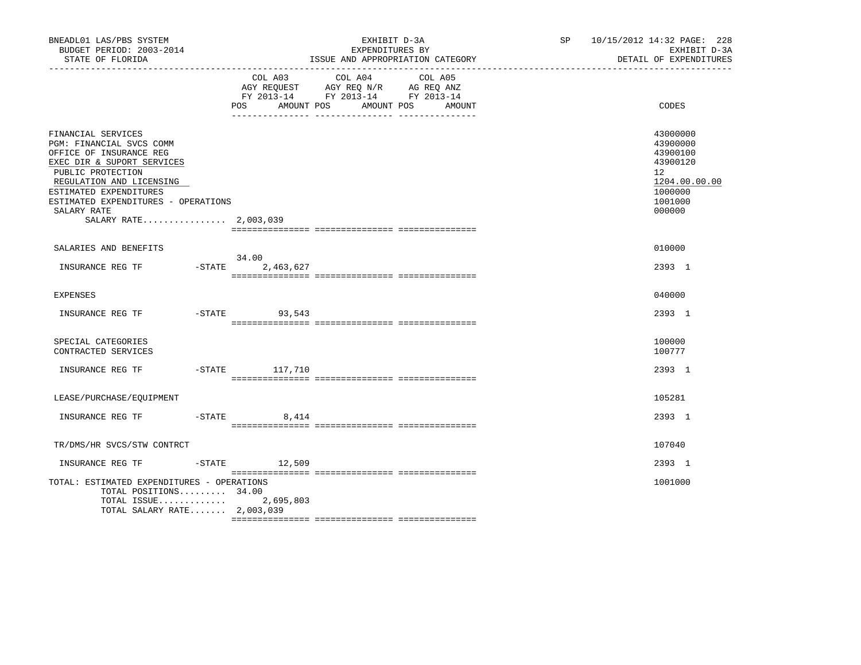| BNEADL01 LAS/PBS SYSTEM<br>BUDGET PERIOD: 2003-2014<br>STATE OF FLORIDA<br>---------------------                                                                                                                                                                  | EXHIBIT D-3A<br>EXPENDITURES BY<br>ISSUE AND APPROPRIATION CATEGORY                                                                         | SP 10/15/2012 14:32 PAGE: 228<br>EXHIBIT D-3A<br>DETAIL OF EXPENDITURES                             |
|-------------------------------------------------------------------------------------------------------------------------------------------------------------------------------------------------------------------------------------------------------------------|---------------------------------------------------------------------------------------------------------------------------------------------|-----------------------------------------------------------------------------------------------------|
|                                                                                                                                                                                                                                                                   | COL A03 COL A04<br>COL A05<br>AGY REQUEST AGY REQ N/R AG REQ ANZ<br>FY 2013-14 FY 2013-14 FY 2013-14<br>POS<br>AMOUNT POS AMOUNT POS AMOUNT | CODES                                                                                               |
| FINANCIAL SERVICES<br>PGM: FINANCIAL SVCS COMM<br>OFFICE OF INSURANCE REG<br>EXEC DIR & SUPORT SERVICES<br>PUBLIC PROTECTION<br>REGULATION AND LICENSING<br>ESTIMATED EXPENDITURES<br>ESTIMATED EXPENDITURES - OPERATIONS<br>SALARY RATE<br>SALARY RATE 2,003,039 |                                                                                                                                             | 43000000<br>43900000<br>43900100<br>43900120<br>12<br>1204.00.00.00<br>1000000<br>1001000<br>000000 |
| SALARIES AND BENEFITS                                                                                                                                                                                                                                             |                                                                                                                                             | 010000                                                                                              |
| $-STATE$<br>INSURANCE REG TF                                                                                                                                                                                                                                      | 34.00<br>2,463,627                                                                                                                          | 2393 1                                                                                              |
| EXPENSES                                                                                                                                                                                                                                                          |                                                                                                                                             | 040000                                                                                              |
| INSURANCE REG TF                                                                                                                                                                                                                                                  | $-STATE$ 93,543                                                                                                                             | 2393 1                                                                                              |
| SPECIAL CATEGORIES<br>CONTRACTED SERVICES                                                                                                                                                                                                                         |                                                                                                                                             | 100000<br>100777                                                                                    |
| INSURANCE REG TF                                                                                                                                                                                                                                                  | -STATE 117,710                                                                                                                              | 2393 1                                                                                              |
| LEASE/PURCHASE/EQUIPMENT                                                                                                                                                                                                                                          |                                                                                                                                             | 105281                                                                                              |
| INSURANCE REG TF                                                                                                                                                                                                                                                  | $-STATE$<br>8,414                                                                                                                           | 2393 1                                                                                              |
| TR/DMS/HR SVCS/STW CONTRCT                                                                                                                                                                                                                                        |                                                                                                                                             | 107040                                                                                              |
| INSURANCE REG TF                                                                                                                                                                                                                                                  | $-STATE$ 12,509                                                                                                                             | 2393 1                                                                                              |
| TOTAL: ESTIMATED EXPENDITURES - OPERATIONS<br>TOTAL POSITIONS 34.00<br>TOTAL ISSUE<br>TOTAL SALARY RATE 2,003,039                                                                                                                                                 | 2,695,803                                                                                                                                   | 1001000                                                                                             |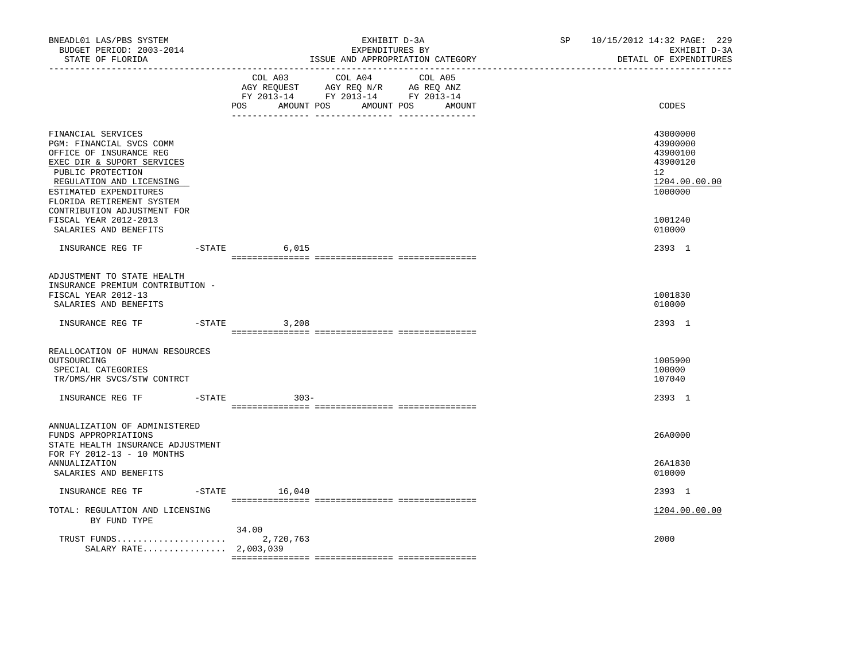| BNEADL01 LAS/PBS SYSTEM<br>BUDGET PERIOD: 2003-2014<br>STATE OF FLORIDA<br>----------------                                                                                                                                                    |          |                      | EXHIBIT D-3A<br>EXPENDITURES BY<br>ISSUE AND APPROPRIATION CATEGORY                                                                   | SP | 10/15/2012 14:32 PAGE: 229<br>EXHIBIT D-3A<br>DETAIL OF EXPENDITURES           |
|------------------------------------------------------------------------------------------------------------------------------------------------------------------------------------------------------------------------------------------------|----------|----------------------|---------------------------------------------------------------------------------------------------------------------------------------|----|--------------------------------------------------------------------------------|
|                                                                                                                                                                                                                                                |          |                      | COL A03 COL A04 COL A05<br>AGY REQUEST AGY REQ N/R AG REQ ANZ<br>FY 2013-14 FY 2013-14 FY 2013-14<br>POS AMOUNT POS AMOUNT POS AMOUNT |    | CODES                                                                          |
| FINANCIAL SERVICES<br>PGM: FINANCIAL SVCS COMM<br>OFFICE OF INSURANCE REG<br>EXEC DIR & SUPORT SERVICES<br>PUBLIC PROTECTION<br>REGULATION AND LICENSING<br>ESTIMATED EXPENDITURES<br>FLORIDA RETIREMENT SYSTEM<br>CONTRIBUTION ADJUSTMENT FOR |          |                      |                                                                                                                                       |    | 43000000<br>43900000<br>43900100<br>43900120<br>12<br>1204.00.00.00<br>1000000 |
| FISCAL YEAR 2012-2013<br>SALARIES AND BENEFITS                                                                                                                                                                                                 |          |                      |                                                                                                                                       |    | 1001240<br>010000                                                              |
|                                                                                                                                                                                                                                                |          | 6,015                |                                                                                                                                       |    | 2393 1                                                                         |
| ADJUSTMENT TO STATE HEALTH<br>INSURANCE PREMIUM CONTRIBUTION -<br>FISCAL YEAR 2012-13<br>SALARIES AND BENEFITS                                                                                                                                 |          |                      |                                                                                                                                       |    | 1001830<br>010000                                                              |
| INSURANCE REG TF                                                                                                                                                                                                                               | $-STATE$ | 3,208                |                                                                                                                                       |    | 2393 1                                                                         |
| REALLOCATION OF HUMAN RESOURCES<br>OUTSOURCING<br>SPECIAL CATEGORIES<br>TR/DMS/HR SVCS/STW CONTRCT                                                                                                                                             |          |                      |                                                                                                                                       |    | 1005900<br>100000<br>107040                                                    |
| INSURANCE REG TF                                                                                                                                                                                                                               |          | $-$ STATE<br>$303 -$ |                                                                                                                                       |    | 2393 1                                                                         |
| ANNUALIZATION OF ADMINISTERED<br>FUNDS APPROPRIATIONS<br>STATE HEALTH INSURANCE ADJUSTMENT<br>FOR FY 2012-13 - 10 MONTHS                                                                                                                       |          |                      |                                                                                                                                       |    | 26A0000                                                                        |
| <b>ANNUALIZATION</b><br>SALARIES AND BENEFITS                                                                                                                                                                                                  |          |                      |                                                                                                                                       |    | 26A1830<br>010000                                                              |
| INSURANCE REG TF                                                                                                                                                                                                                               |          | $-$ STATE $16,040$   |                                                                                                                                       |    | 2393 1                                                                         |
| TOTAL: REGULATION AND LICENSING<br>BY FUND TYPE                                                                                                                                                                                                |          |                      |                                                                                                                                       |    | 1204.00.00.00                                                                  |
| SALARY RATE 2,003,039                                                                                                                                                                                                                          |          | 34.00                |                                                                                                                                       |    | 2000                                                                           |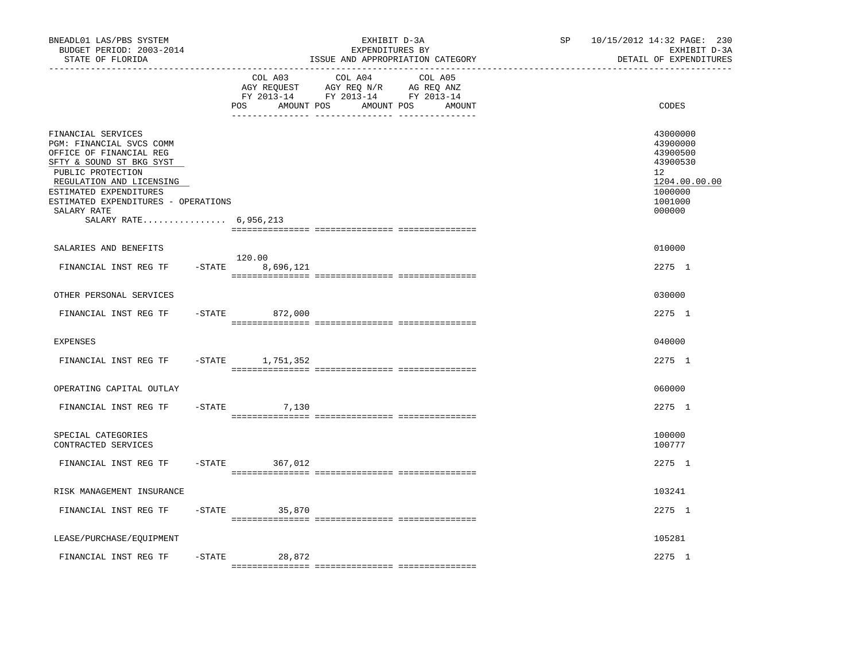| BNEADL01 LAS/PBS SYSTEM<br>BUDGET PERIOD: 2003-2014<br>STATE OF FLORIDA                                                                                                                                                                                         |           | ______________________________      | EXHIBIT D-3A<br>EXPENDITURES BY<br>ISSUE AND APPROPRIATION CATEGORY                                                  | SP | 10/15/2012 14:32 PAGE: 230<br>EXHIBIT D-3A<br>DETAIL OF EXPENDITURES                                |
|-----------------------------------------------------------------------------------------------------------------------------------------------------------------------------------------------------------------------------------------------------------------|-----------|-------------------------------------|----------------------------------------------------------------------------------------------------------------------|----|-----------------------------------------------------------------------------------------------------|
|                                                                                                                                                                                                                                                                 |           | COL A03<br><b>POS</b><br>AMOUNT POS | COL A04<br>COL A05<br>AGY REQUEST AGY REQ N/R AG REQ ANZ<br>FY 2013-14 FY 2013-14 FY 2013-14<br>AMOUNT POS<br>AMOUNT |    | CODES                                                                                               |
| FINANCIAL SERVICES<br>PGM: FINANCIAL SVCS COMM<br>OFFICE OF FINANCIAL REG<br>SFTY & SOUND ST BKG SYST<br>PUBLIC PROTECTION<br>REGULATION AND LICENSING<br>ESTIMATED EXPENDITURES<br>ESTIMATED EXPENDITURES - OPERATIONS<br>SALARY RATE<br>SALARY RATE 6,956,213 |           |                                     |                                                                                                                      |    | 43000000<br>43900000<br>43900500<br>43900530<br>12<br>1204.00.00.00<br>1000000<br>1001000<br>000000 |
| SALARIES AND BENEFITS                                                                                                                                                                                                                                           |           |                                     |                                                                                                                      |    | 010000                                                                                              |
| FINANCIAL INST REG TF                                                                                                                                                                                                                                           | $-$ STATE | 120.00<br>8,696,121                 |                                                                                                                      |    | 2275 1                                                                                              |
| OTHER PERSONAL SERVICES                                                                                                                                                                                                                                         |           |                                     |                                                                                                                      |    | 030000                                                                                              |
| FINANCIAL INST REG TF                                                                                                                                                                                                                                           | $-$ STATE | 872,000                             |                                                                                                                      |    | 2275 1                                                                                              |
| EXPENSES                                                                                                                                                                                                                                                        |           |                                     |                                                                                                                      |    | 040000                                                                                              |
| FINANCIAL INST REG TF                                                                                                                                                                                                                                           |           | -STATE 1,751,352                    |                                                                                                                      |    | 2275 1                                                                                              |
| OPERATING CAPITAL OUTLAY                                                                                                                                                                                                                                        |           |                                     |                                                                                                                      |    | 060000                                                                                              |
| FINANCIAL INST REG TF                                                                                                                                                                                                                                           | $-$ STATE | 7,130                               |                                                                                                                      |    | 2275 1                                                                                              |
| SPECIAL CATEGORIES<br>CONTRACTED SERVICES                                                                                                                                                                                                                       |           |                                     |                                                                                                                      |    | 100000<br>100777                                                                                    |
| FINANCIAL INST REG TF                                                                                                                                                                                                                                           | $-STATE$  | 367,012                             |                                                                                                                      |    | 2275 1                                                                                              |
| RISK MANAGEMENT INSURANCE                                                                                                                                                                                                                                       |           |                                     |                                                                                                                      |    | 103241                                                                                              |
| FINANCIAL INST REG TF                                                                                                                                                                                                                                           |           | $-$ STATE<br>35,870                 |                                                                                                                      |    | 2275 1                                                                                              |
| LEASE/PURCHASE/EQUIPMENT                                                                                                                                                                                                                                        |           |                                     |                                                                                                                      |    | 105281                                                                                              |
| FINANCIAL INST REG TF                                                                                                                                                                                                                                           | $-$ STATE | 28,872                              |                                                                                                                      |    | 2275 1                                                                                              |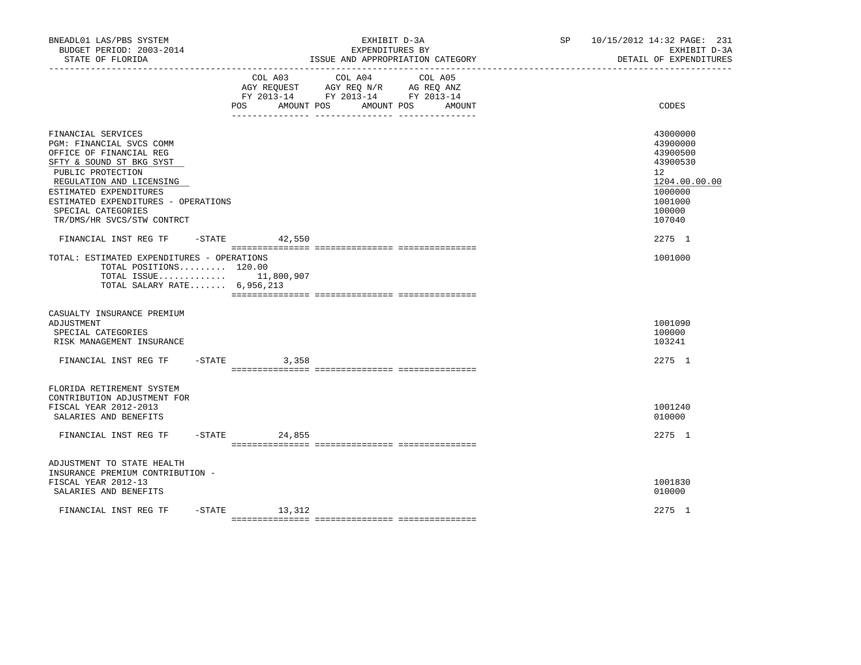| BNEADL01 LAS/PBS SYSTEM<br>BUDGET PERIOD: 2003-2014<br>STATE OF FLORIDA<br>------------------                                                                                                                                                                               |                              | EXPENDITURES BY                                                                                 | EXHIBIT D-3A<br>ISSUE AND APPROPRIATION CATEGORY | SP 10/15/2012 14:32 PAGE: 231<br>EXHIBIT D-3A<br>DETAIL OF EXPENDITURES                                       |
|-----------------------------------------------------------------------------------------------------------------------------------------------------------------------------------------------------------------------------------------------------------------------------|------------------------------|-------------------------------------------------------------------------------------------------|--------------------------------------------------|---------------------------------------------------------------------------------------------------------------|
|                                                                                                                                                                                                                                                                             | COL A03<br>POS<br>AMOUNT POS | COL A04<br>AGY REQUEST AGY REQ N/R AG REQ ANZ<br>FY 2013-14 FY 2013-14 FY 2013-14<br>AMOUNT POS | COL A05<br>AMOUNT                                | CODES                                                                                                         |
| FINANCIAL SERVICES<br>PGM: FINANCIAL SVCS COMM<br>OFFICE OF FINANCIAL REG<br>SFTY & SOUND ST BKG SYST<br>PUBLIC PROTECTION<br>REGULATION AND LICENSING<br>ESTIMATED EXPENDITURES<br>ESTIMATED EXPENDITURES - OPERATIONS<br>SPECIAL CATEGORIES<br>TR/DMS/HR SVCS/STW CONTRCT |                              |                                                                                                 |                                                  | 43000000<br>43900000<br>43900500<br>43900530<br>12<br>1204.00.00.00<br>1000000<br>1001000<br>100000<br>107040 |
| FINANCIAL INST REG TF                                                                                                                                                                                                                                                       | $-$ STATE 42,550             |                                                                                                 |                                                  | 2275 1                                                                                                        |
| TOTAL: ESTIMATED EXPENDITURES - OPERATIONS<br>TOTAL POSITIONS 120.00<br>TOTAL ISSUE 11,800,907<br>TOTAL SALARY RATE 6,956,213                                                                                                                                               |                              |                                                                                                 |                                                  | 1001000                                                                                                       |
| CASUALTY INSURANCE PREMIUM<br>ADJUSTMENT<br>SPECIAL CATEGORIES<br>RISK MANAGEMENT INSURANCE                                                                                                                                                                                 |                              |                                                                                                 |                                                  | 1001090<br>100000<br>103241                                                                                   |
| FINANCIAL INST REG TF                                                                                                                                                                                                                                                       | $-$ STATE<br>3,358           |                                                                                                 |                                                  | 2275 1                                                                                                        |
| FLORIDA RETIREMENT SYSTEM<br>CONTRIBUTION ADJUSTMENT FOR<br>FISCAL YEAR 2012-2013<br>SALARIES AND BENEFITS                                                                                                                                                                  |                              |                                                                                                 |                                                  | 1001240<br>010000                                                                                             |
| FINANCIAL INST REG TF                                                                                                                                                                                                                                                       | $-STATE$<br>24,855           |                                                                                                 |                                                  | 2275 1                                                                                                        |
| ADJUSTMENT TO STATE HEALTH<br>INSURANCE PREMIUM CONTRIBUTION -<br>FISCAL YEAR 2012-13<br>SALARIES AND BENEFITS                                                                                                                                                              |                              |                                                                                                 |                                                  | 1001830<br>010000                                                                                             |
| FINANCIAL INST REG TF                                                                                                                                                                                                                                                       | $-STATE$ 13, 312             |                                                                                                 |                                                  | 2275 1                                                                                                        |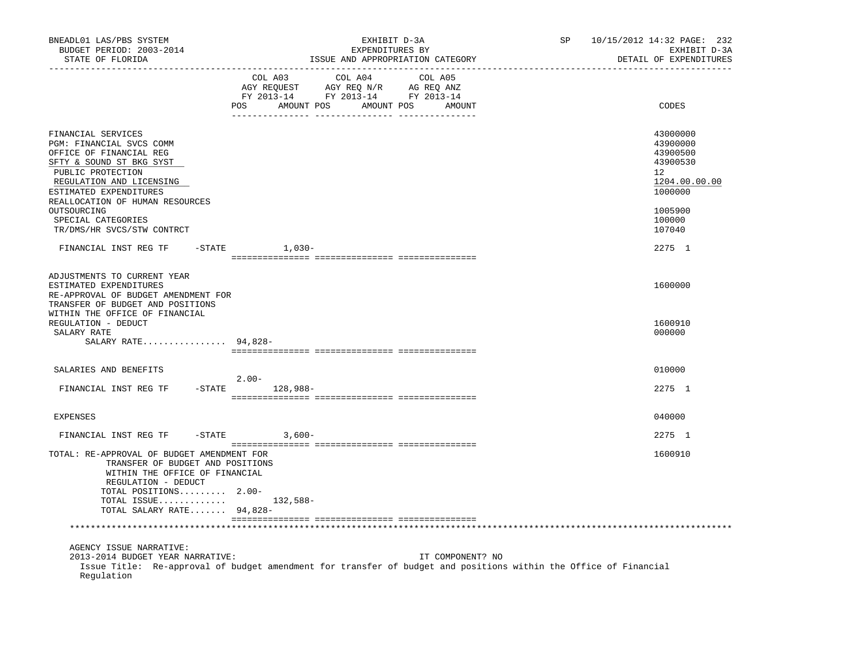| BNEADL01 LAS/PBS SYSTEM<br>BUDGET PERIOD: 2003-2014<br>STATE OF FLORIDA                                                                                                                                                                                                                |                    |         | EXHIBIT D-3A<br>EXPENDITURES BY<br>ISSUE AND APPROPRIATION CATEGORY                             |         |                  | SP | 10/15/2012 14:32 PAGE: 232<br>EXHIBIT D-3A<br>DETAIL OF EXPENDITURES                                          |
|----------------------------------------------------------------------------------------------------------------------------------------------------------------------------------------------------------------------------------------------------------------------------------------|--------------------|---------|-------------------------------------------------------------------------------------------------|---------|------------------|----|---------------------------------------------------------------------------------------------------------------|
|                                                                                                                                                                                                                                                                                        | POS AMOUNT POS     | COL A03 | COL A04<br>AGY REQUEST AGY REQ N/R AG REQ ANZ<br>FY 2013-14 FY 2013-14 FY 2013-14<br>AMOUNT POS | COL A05 | AMOUNT           |    | CODES                                                                                                         |
| FINANCIAL SERVICES<br>PGM: FINANCIAL SVCS COMM<br>OFFICE OF FINANCIAL REG<br>SFTY & SOUND ST BKG SYST<br>PUBLIC PROTECTION<br>REGULATION AND LICENSING<br>ESTIMATED EXPENDITURES<br>REALLOCATION OF HUMAN RESOURCES<br>OUTSOURCING<br>SPECIAL CATEGORIES<br>TR/DMS/HR SVCS/STW CONTRCT |                    |         |                                                                                                 |         |                  |    | 43000000<br>43900000<br>43900500<br>43900530<br>12<br>1204.00.00.00<br>1000000<br>1005900<br>100000<br>107040 |
| FINANCIAL INST REG TF                                                                                                                                                                                                                                                                  | $-$ STATE $1,030-$ |         |                                                                                                 |         |                  |    | 2275 1                                                                                                        |
| ADJUSTMENTS TO CURRENT YEAR<br>ESTIMATED EXPENDITURES<br>RE-APPROVAL OF BUDGET AMENDMENT FOR<br>TRANSFER OF BUDGET AND POSITIONS<br>WITHIN THE OFFICE OF FINANCIAL                                                                                                                     |                    |         |                                                                                                 |         |                  |    | 1600000                                                                                                       |
| REGULATION - DEDUCT<br>SALARY RATE<br>SALARY RATE 94,828-                                                                                                                                                                                                                              |                    |         |                                                                                                 |         |                  |    | 1600910<br>000000                                                                                             |
| SALARIES AND BENEFITS                                                                                                                                                                                                                                                                  | $2.00-$            |         |                                                                                                 |         |                  |    | 010000                                                                                                        |
| FINANCIAL INST REG TF                                                                                                                                                                                                                                                                  | -STATE 128,988-    |         |                                                                                                 |         |                  |    | 2275 1                                                                                                        |
| EXPENSES                                                                                                                                                                                                                                                                               |                    |         |                                                                                                 |         |                  |    | 040000                                                                                                        |
| FINANCIAL INST REG TF                                                                                                                                                                                                                                                                  | $-STATE$ 3,600-    |         |                                                                                                 |         |                  |    | 2275 1                                                                                                        |
| TOTAL: RE-APPROVAL OF BUDGET AMENDMENT FOR<br>TRANSFER OF BUDGET AND POSITIONS<br>WITHIN THE OFFICE OF FINANCIAL<br>REGULATION - DEDUCT<br>TOTAL POSITIONS 2.00-<br>TOTAL ISSUE 132,588-<br>TOTAL SALARY RATE 94,828-                                                                  |                    |         |                                                                                                 |         |                  |    | 1600910                                                                                                       |
|                                                                                                                                                                                                                                                                                        |                    |         |                                                                                                 |         |                  |    |                                                                                                               |
| AGENCY ISSUE NARRATIVE:<br>2013-2014 BUDGET YEAR NARRATIVE:<br>Issue Title: Re-approval of budget amendment for transfer of budget and positions within the Office of Financial<br>Regulation                                                                                          |                    |         |                                                                                                 |         | IT COMPONENT? NO |    |                                                                                                               |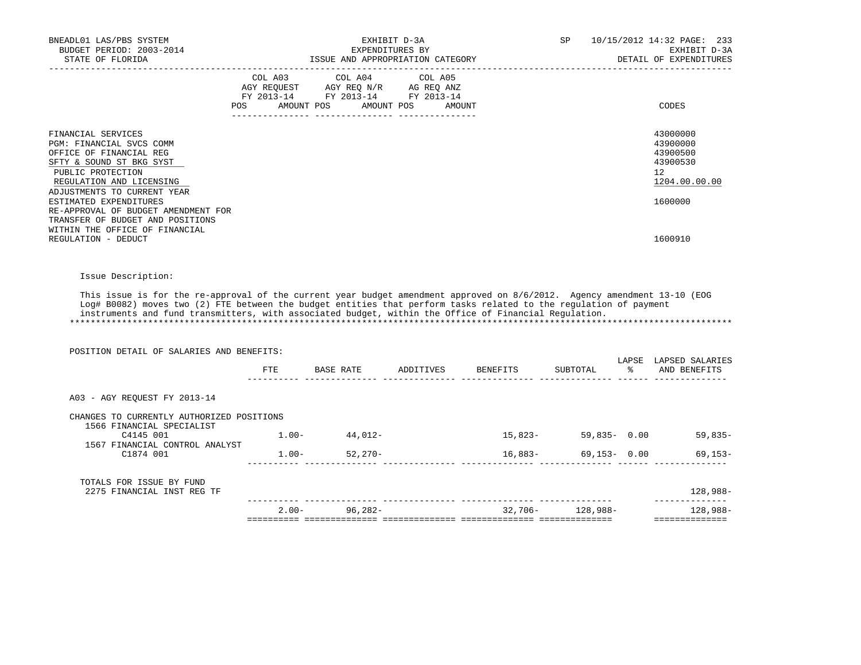| BNEADL01 LAS/PBS SYSTEM<br>BUDGET PERIOD: 2003-2014                                                                                                                                                                                                                                                                                                                                                 | EXHIBIT D-3A<br>EXPENDITURES BY                                                                                               |        | SP                    |      | 10/15/2012 14:32 PAGE: 233<br>EXHIBIT D-3A                          |
|-----------------------------------------------------------------------------------------------------------------------------------------------------------------------------------------------------------------------------------------------------------------------------------------------------------------------------------------------------------------------------------------------------|-------------------------------------------------------------------------------------------------------------------------------|--------|-----------------------|------|---------------------------------------------------------------------|
| STATE OF FLORIDA                                                                                                                                                                                                                                                                                                                                                                                    | ISSUE AND APPROPRIATION CATEGORY                                                                                              |        |                       |      | DETAIL OF EXPENDITURES                                              |
| POS                                                                                                                                                                                                                                                                                                                                                                                                 | COL A03 COL A04 COL A05<br>AGY REQUEST AGY REQ N/R AG REQ ANZ<br>FY 2013-14 FY 2013-14 FY 2013-14<br>AMOUNT POS<br>AMOUNT POS | AMOUNT |                       |      | CODES                                                               |
|                                                                                                                                                                                                                                                                                                                                                                                                     |                                                                                                                               |        |                       |      |                                                                     |
| FINANCIAL SERVICES<br>PGM: FINANCIAL SVCS COMM<br>OFFICE OF FINANCIAL REG<br>SFTY & SOUND ST BKG SYST<br>PUBLIC PROTECTION<br>REGULATION AND LICENSING<br>ADJUSTMENTS TO CURRENT YEAR                                                                                                                                                                                                               |                                                                                                                               |        |                       |      | 43000000<br>43900000<br>43900500<br>43900530<br>12<br>1204.00.00.00 |
| ESTIMATED EXPENDITURES<br>RE-APPROVAL OF BUDGET AMENDMENT FOR<br>TRANSFER OF BUDGET AND POSITIONS<br>WITHIN THE OFFICE OF FINANCIAL                                                                                                                                                                                                                                                                 |                                                                                                                               |        |                       |      | 1600000                                                             |
| REGULATION - DEDUCT                                                                                                                                                                                                                                                                                                                                                                                 |                                                                                                                               |        |                       |      | 1600910                                                             |
|                                                                                                                                                                                                                                                                                                                                                                                                     |                                                                                                                               |        |                       |      |                                                                     |
| Issue Description:                                                                                                                                                                                                                                                                                                                                                                                  |                                                                                                                               |        |                       |      |                                                                     |
| This issue is for the re-approval of the current year budget amendment approved on 8/6/2012. Agency amendment 13-10 (EOG<br>Log# B0082) moves two (2) FTE between the budget entities that perform tasks related to the regulation of payment<br>instruments and fund transmitters, with associated budget, within the Office of Financial Requlation.<br>POSITION DETAIL OF SALARIES AND BENEFITS: |                                                                                                                               |        |                       |      |                                                                     |
|                                                                                                                                                                                                                                                                                                                                                                                                     | FTE BASE RATE ADDITIVES BENEFITS                                                                                              |        | SUBTOTAL              | န္မွ | LAPSE LAPSED SALARIES<br>AND BENEFITS                               |
| A03 - AGY REOUEST FY 2013-14                                                                                                                                                                                                                                                                                                                                                                        |                                                                                                                               |        |                       |      |                                                                     |
| CHANGES TO CURRENTLY AUTHORIZED POSITIONS                                                                                                                                                                                                                                                                                                                                                           |                                                                                                                               |        |                       |      |                                                                     |
| 1566 FINANCIAL SPECIALIST<br>C4145 001                                                                                                                                                                                                                                                                                                                                                              | $1.00 - 44,012 -$                                                                                                             |        |                       |      | $15,823-59,835-0.00$ 59,835-                                        |
| 1567 FINANCIAL CONTROL ANALYST<br>C1874 001                                                                                                                                                                                                                                                                                                                                                         | $1.00 - 52,270 -$                                                                                                             |        | $16,883 69,153-$ 0.00 |      | $69, 153 -$                                                         |
| TOTALS FOR ISSUE BY FUND<br>2275 FINANCIAL INST REG TF                                                                                                                                                                                                                                                                                                                                              |                                                                                                                               |        |                       |      | 128,988-                                                            |
|                                                                                                                                                                                                                                                                                                                                                                                                     | $2.00 - 96,282 -$                                                                                                             |        | $32,706 - 128,988 -$  |      | ______________                                                      |
|                                                                                                                                                                                                                                                                                                                                                                                                     |                                                                                                                               |        |                       |      | $128,988-$                                                          |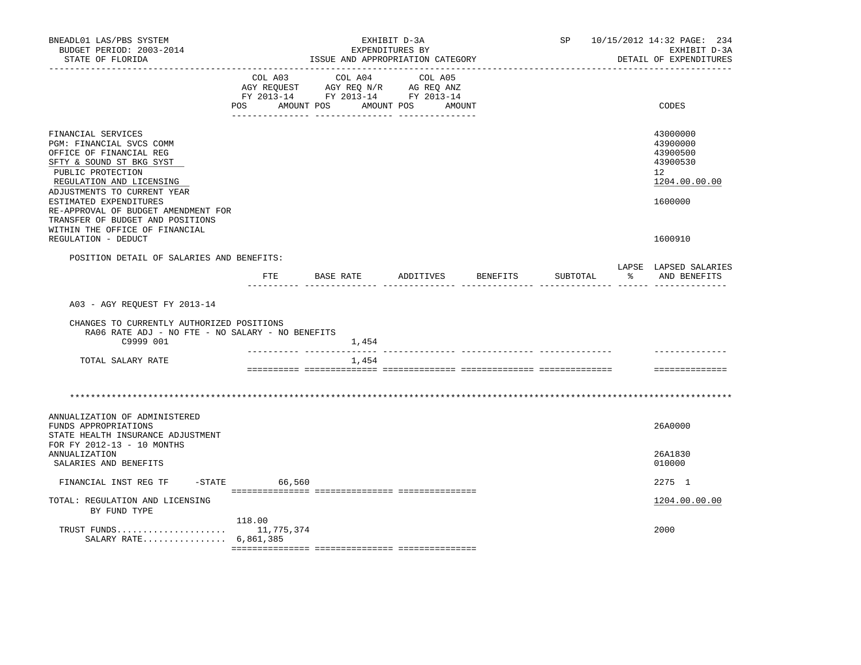| BNEADL01 LAS/PBS SYSTEM<br>BUDGET PERIOD: 2003-2014<br>STATE OF FLORIDA                                                                                                                                                                                |                              | EXHIBIT D-3A<br>EXPENDITURES BY<br>ISSUE AND APPROPRIATION CATEGORY                             |                   |          | SP       |                               | 10/15/2012 14:32 PAGE: 234<br>EXHIBIT D-3A<br>DETAIL OF EXPENDITURES                        |
|--------------------------------------------------------------------------------------------------------------------------------------------------------------------------------------------------------------------------------------------------------|------------------------------|-------------------------------------------------------------------------------------------------|-------------------|----------|----------|-------------------------------|---------------------------------------------------------------------------------------------|
|                                                                                                                                                                                                                                                        | COL A03<br>POS<br>AMOUNT POS | COL A04<br>AGY REQUEST AGY REQ N/R AG REQ ANZ<br>FY 2013-14 FY 2013-14 FY 2013-14<br>AMOUNT POS | COL A05<br>AMOUNT |          |          |                               | CODES                                                                                       |
| FINANCIAL SERVICES<br>PGM: FINANCIAL SVCS COMM<br>OFFICE OF FINANCIAL REG<br>SFTY & SOUND ST BKG SYST<br>PUBLIC PROTECTION<br>REGULATION AND LICENSING<br>ADJUSTMENTS TO CURRENT YEAR<br>ESTIMATED EXPENDITURES<br>RE-APPROVAL OF BUDGET AMENDMENT FOR |                              |                                                                                                 |                   |          |          |                               | 43000000<br>43900000<br>43900500<br>43900530<br>12 <sup>°</sup><br>1204.00.00.00<br>1600000 |
| TRANSFER OF BUDGET AND POSITIONS<br>WITHIN THE OFFICE OF FINANCIAL<br>REGULATION - DEDUCT                                                                                                                                                              |                              |                                                                                                 |                   |          |          |                               | 1600910                                                                                     |
| POSITION DETAIL OF SALARIES AND BENEFITS:                                                                                                                                                                                                              |                              |                                                                                                 |                   |          |          |                               | LAPSE LAPSED SALARIES                                                                       |
|                                                                                                                                                                                                                                                        | FTE                          | BASE RATE                                                                                       | ADDITIVES         | BENEFITS | SUBTOTAL | $\sim$ 8<br>----- ------ ---- | AND BENEFITS                                                                                |
| A03 - AGY REQUEST FY 2013-14<br>CHANGES TO CURRENTLY AUTHORIZED POSITIONS<br>RA06 RATE ADJ - NO FTE - NO SALARY - NO BENEFITS<br>C9999 001                                                                                                             |                              | 1,454                                                                                           |                   |          |          |                               |                                                                                             |
| TOTAL SALARY RATE                                                                                                                                                                                                                                      |                              | 1,454                                                                                           |                   |          |          |                               |                                                                                             |
|                                                                                                                                                                                                                                                        |                              |                                                                                                 |                   |          |          |                               | ==============                                                                              |
|                                                                                                                                                                                                                                                        |                              |                                                                                                 |                   |          |          |                               |                                                                                             |
| ANNUALIZATION OF ADMINISTERED<br>FUNDS APPROPRIATIONS<br>STATE HEALTH INSURANCE ADJUSTMENT<br>FOR FY 2012-13 - 10 MONTHS                                                                                                                               |                              |                                                                                                 |                   |          |          |                               | 26A0000                                                                                     |
| <b>ANNUALIZATION</b><br>SALARIES AND BENEFITS                                                                                                                                                                                                          |                              |                                                                                                 |                   |          |          |                               | 26A1830<br>010000                                                                           |
| FINANCIAL INST REG TF                                                                                                                                                                                                                                  | $-STATE$<br>66,560           |                                                                                                 |                   |          |          |                               | 2275 1                                                                                      |
| TOTAL: REGULATION AND LICENSING<br>BY FUND TYPE                                                                                                                                                                                                        |                              |                                                                                                 |                   |          |          |                               | 1204.00.00.00                                                                               |
| TRUST FUNDS 11,775,374<br>SALARY RATE 6,861,385                                                                                                                                                                                                        | 118.00                       |                                                                                                 |                   |          |          |                               | 2000                                                                                        |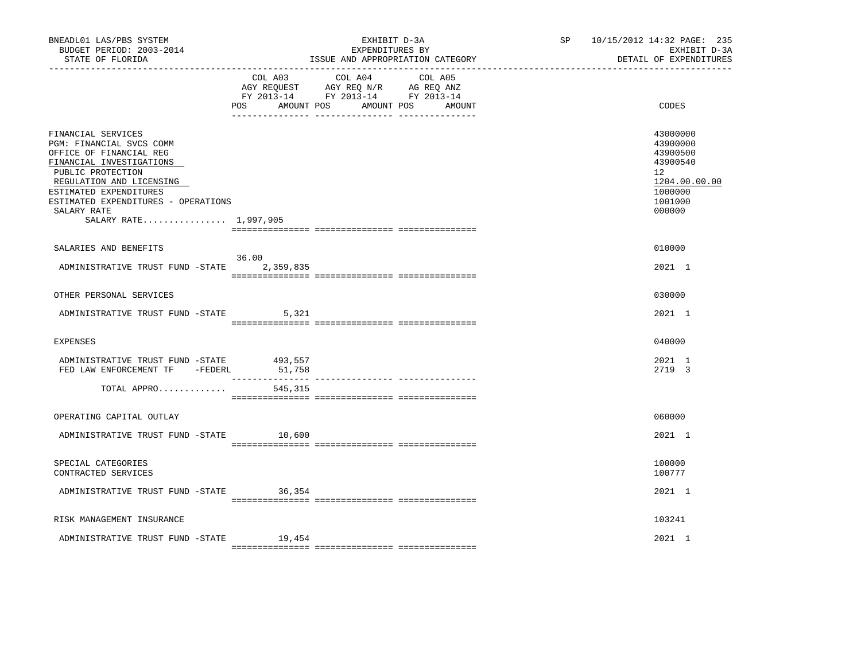| BNEADL01 LAS/PBS SYSTEM<br>BUDGET PERIOD: 2003-2014<br>STATE OF FLORIDA                                                                                                                                                                                         |         | EXHIBIT D-3A<br>EXPENDITURES BY<br>ISSUE AND APPROPRIATION CATEGORY                                                                  | SP <sub>2</sub> | 10/15/2012 14:32 PAGE: 235<br>EXHIBIT D-3A<br>DETAIL OF EXPENDITURES                                          |
|-----------------------------------------------------------------------------------------------------------------------------------------------------------------------------------------------------------------------------------------------------------------|---------|--------------------------------------------------------------------------------------------------------------------------------------|-----------------|---------------------------------------------------------------------------------------------------------------|
|                                                                                                                                                                                                                                                                 | POS     | COL A03 COL A04 COL A05<br>AGY REQUEST AGY REQ N/R AG REQ ANZ<br>FY 2013-14 FY 2013-14 FY 2013-14<br>AMOUNT POS AMOUNT POS<br>AMOUNT |                 | CODES                                                                                                         |
| FINANCIAL SERVICES<br>PGM: FINANCIAL SVCS COMM<br>OFFICE OF FINANCIAL REG<br>FINANCIAL INVESTIGATIONS<br>PUBLIC PROTECTION<br>REGULATION AND LICENSING<br>ESTIMATED EXPENDITURES<br>ESTIMATED EXPENDITURES - OPERATIONS<br>SALARY RATE<br>SALARY RATE 1,997,905 |         |                                                                                                                                      |                 | 43000000<br>43900000<br>43900500<br>43900540<br>$12^{\circ}$<br>1204.00.00.00<br>1000000<br>1001000<br>000000 |
| SALARIES AND BENEFITS                                                                                                                                                                                                                                           |         |                                                                                                                                      |                 | 010000                                                                                                        |
| ADMINISTRATIVE TRUST FUND -STATE 2,359,835                                                                                                                                                                                                                      | 36.00   |                                                                                                                                      |                 | 2021 1                                                                                                        |
| OTHER PERSONAL SERVICES                                                                                                                                                                                                                                         |         |                                                                                                                                      |                 | 030000                                                                                                        |
| ADMINISTRATIVE TRUST FUND -STATE 5,321                                                                                                                                                                                                                          |         |                                                                                                                                      |                 | 2021 1                                                                                                        |
| <b>EXPENSES</b>                                                                                                                                                                                                                                                 |         |                                                                                                                                      |                 | 040000                                                                                                        |
| ADMINISTRATIVE TRUST FUND -STATE 493,557<br>FED LAW ENFORCEMENT TF -FEDERL                                                                                                                                                                                      | 51,758  |                                                                                                                                      |                 | 2021 1<br>2719 3                                                                                              |
| TOTAL APPRO                                                                                                                                                                                                                                                     | 545,315 |                                                                                                                                      |                 |                                                                                                               |
| OPERATING CAPITAL OUTLAY                                                                                                                                                                                                                                        |         |                                                                                                                                      |                 | 060000                                                                                                        |
| ADMINISTRATIVE TRUST FUND -STATE 10,600                                                                                                                                                                                                                         |         |                                                                                                                                      |                 | 2021 1                                                                                                        |
| SPECIAL CATEGORIES<br>CONTRACTED SERVICES                                                                                                                                                                                                                       |         |                                                                                                                                      |                 | 100000<br>100777                                                                                              |
| ADMINISTRATIVE TRUST FUND -STATE 36,354                                                                                                                                                                                                                         |         |                                                                                                                                      |                 | 2021 1                                                                                                        |
| RISK MANAGEMENT INSURANCE                                                                                                                                                                                                                                       |         |                                                                                                                                      |                 | 103241                                                                                                        |
| ADMINISTRATIVE TRUST FUND -STATE                                                                                                                                                                                                                                | 19,454  |                                                                                                                                      |                 | 2021 1                                                                                                        |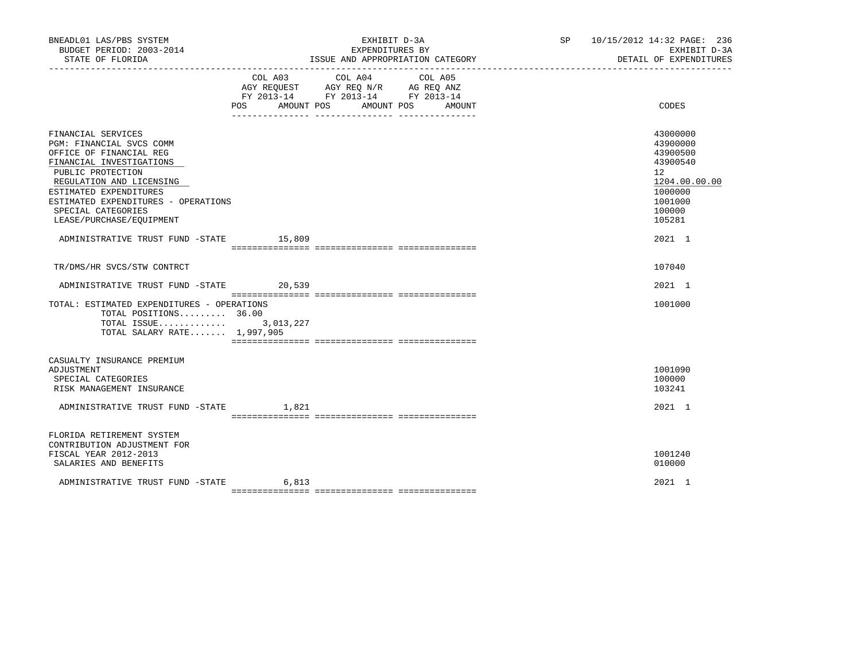| BNEADL01 LAS/PBS SYSTEM<br>BUDGET PERIOD: 2003-2014<br>STATE OF FLORIDA                                                                                                                                                                                                   |                | EXHIBIT D-3A<br>EXPENDITURES BY<br>ISSUE AND APPROPRIATION CATEGORY                                                          | SP 10/15/2012 14:32 PAGE: 236<br>EXHIBIT D-3A<br>DETAIL OF EXPENDITURES                                       |
|---------------------------------------------------------------------------------------------------------------------------------------------------------------------------------------------------------------------------------------------------------------------------|----------------|------------------------------------------------------------------------------------------------------------------------------|---------------------------------------------------------------------------------------------------------------|
|                                                                                                                                                                                                                                                                           | POS AMOUNT POS | COL A03 COL A04<br>COL A05<br>AGY REQUEST AGY REQ N/R AG REQ ANZ<br>FY 2013-14 FY 2013-14 FY 2013-14<br>AMOUNT POS<br>AMOUNT | CODES                                                                                                         |
| FINANCIAL SERVICES<br>PGM: FINANCIAL SVCS COMM<br>OFFICE OF FINANCIAL REG<br>FINANCIAL INVESTIGATIONS<br>PUBLIC PROTECTION<br>REGULATION AND LICENSING<br>ESTIMATED EXPENDITURES<br>ESTIMATED EXPENDITURES - OPERATIONS<br>SPECIAL CATEGORIES<br>LEASE/PURCHASE/EQUIPMENT |                |                                                                                                                              | 43000000<br>43900000<br>43900500<br>43900540<br>12<br>1204.00.00.00<br>1000000<br>1001000<br>100000<br>105281 |
| ADMINISTRATIVE TRUST FUND -STATE 15,809                                                                                                                                                                                                                                   |                |                                                                                                                              | 2021 1                                                                                                        |
| TR/DMS/HR SVCS/STW CONTRCT                                                                                                                                                                                                                                                |                |                                                                                                                              | 107040                                                                                                        |
| ADMINISTRATIVE TRUST FUND -STATE 20,539                                                                                                                                                                                                                                   |                |                                                                                                                              | 2021 1                                                                                                        |
| TOTAL: ESTIMATED EXPENDITURES - OPERATIONS<br>TOTAL POSITIONS 36.00<br>TOTAL ISSUE 3,013,227<br>TOTAL SALARY RATE 1,997,905                                                                                                                                               |                |                                                                                                                              | 1001000                                                                                                       |
| CASUALTY INSURANCE PREMIUM<br>ADJUSTMENT<br>SPECIAL CATEGORIES<br>RISK MANAGEMENT INSURANCE                                                                                                                                                                               |                |                                                                                                                              | 1001090<br>100000<br>103241                                                                                   |
| ADMINISTRATIVE TRUST FUND -STATE 1,821                                                                                                                                                                                                                                    |                |                                                                                                                              | 2021 1                                                                                                        |
| FLORIDA RETIREMENT SYSTEM<br>CONTRIBUTION ADJUSTMENT FOR<br>FISCAL YEAR 2012-2013<br>SALARIES AND BENEFITS                                                                                                                                                                |                |                                                                                                                              | 1001240<br>010000                                                                                             |
| ADMINISTRATIVE TRUST FUND -STATE                                                                                                                                                                                                                                          | 6,813          |                                                                                                                              | 2021 1                                                                                                        |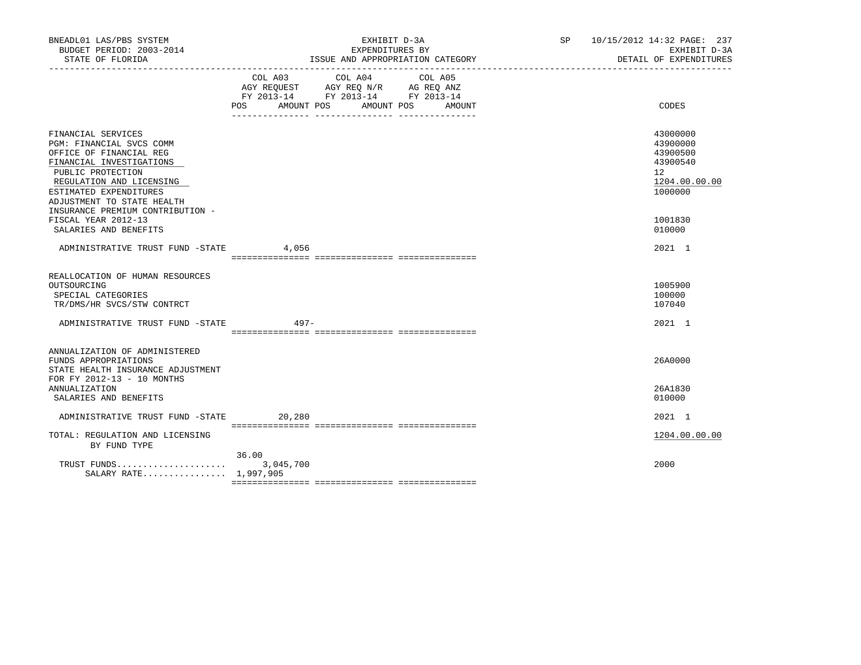| BNEADL01 LAS/PBS SYSTEM<br>BUDGET PERIOD: 2003-2014                                                                                                                                                                                                                       |         | EXHIBIT D-3A<br>EXPENDITURES BY                                                                                                          | SP 10/15/2012 14:32 PAGE: 237<br>EXHIBIT D-3A                                                          |
|---------------------------------------------------------------------------------------------------------------------------------------------------------------------------------------------------------------------------------------------------------------------------|---------|------------------------------------------------------------------------------------------------------------------------------------------|--------------------------------------------------------------------------------------------------------|
|                                                                                                                                                                                                                                                                           |         | COL A03 COL A04<br>COL A05<br>AGY REQUEST AGY REQ N/R AG REQ ANZ<br>FY 2013-14 FY 2013-14 FY 2013-14<br>POS AMOUNT POS AMOUNT POS AMOUNT | CODES                                                                                                  |
| FINANCIAL SERVICES<br>PGM: FINANCIAL SVCS COMM<br>OFFICE OF FINANCIAL REG<br>FINANCIAL INVESTIGATIONS<br>PUBLIC PROTECTION<br>REGULATION AND LICENSING<br>ESTIMATED EXPENDITURES<br>ADJUSTMENT TO STATE HEALTH<br>INSURANCE PREMIUM CONTRIBUTION -<br>FISCAL YEAR 2012-13 |         |                                                                                                                                          | 43000000<br>43900000<br>43900500<br>43900540<br>12 <sup>°</sup><br>1204.00.00.00<br>1000000<br>1001830 |
| SALARIES AND BENEFITS<br>ADMINISTRATIVE TRUST FUND -STATE                                                                                                                                                                                                                 | 4,056   |                                                                                                                                          | 010000<br>2021 1                                                                                       |
| REALLOCATION OF HUMAN RESOURCES<br>OUTSOURCING<br>SPECIAL CATEGORIES<br>TR/DMS/HR SVCS/STW CONTRCT<br>ADMINISTRATIVE TRUST FUND -STATE                                                                                                                                    | $497 -$ |                                                                                                                                          | 1005900<br>100000<br>107040<br>2021 1                                                                  |
| ANNUALIZATION OF ADMINISTERED<br>FUNDS APPROPRIATIONS<br>STATE HEALTH INSURANCE ADJUSTMENT<br>FOR FY 2012-13 - 10 MONTHS<br><b>ANNUALIZATION</b>                                                                                                                          |         |                                                                                                                                          | 26A0000<br>26A1830                                                                                     |
| SALARIES AND BENEFITS<br>ADMINISTRATIVE TRUST FUND -STATE                                                                                                                                                                                                                 | 20,280  |                                                                                                                                          | 010000<br>2021 1                                                                                       |
| TOTAL: REGULATION AND LICENSING<br>BY FUND TYPE                                                                                                                                                                                                                           |         |                                                                                                                                          | 1204.00.00.00                                                                                          |
| SALARY RATE 1,997,905                                                                                                                                                                                                                                                     | 36.00   |                                                                                                                                          | 2000                                                                                                   |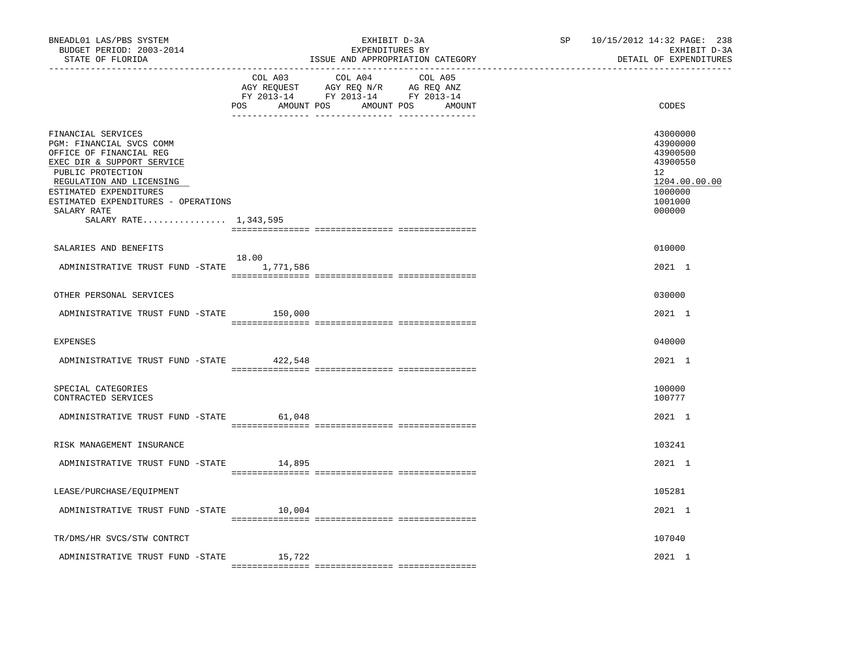| BNEADL01 LAS/PBS SYSTEM<br>BUDGET PERIOD: 2003-2014<br>STATE OF FLORIDA                                                                                                                                                                                           |         | EXHIBIT D-3A<br>EXPENDITURES BY<br>ISSUE AND APPROPRIATION CATEGORY                                                           | SP <sub>2</sub> | 10/15/2012 14:32 PAGE: 238<br>EXHIBIT D-3A<br>DETAIL OF EXPENDITURES                                |
|-------------------------------------------------------------------------------------------------------------------------------------------------------------------------------------------------------------------------------------------------------------------|---------|-------------------------------------------------------------------------------------------------------------------------------|-----------------|-----------------------------------------------------------------------------------------------------|
|                                                                                                                                                                                                                                                                   | COL A03 | COL A04 COL A05<br>AGY REQUEST AGY REQ N/R AG REQ ANZ<br>FY 2013-14 FY 2013-14 FY 2013-14<br>POS AMOUNT POS AMOUNT POS AMOUNT |                 | CODES                                                                                               |
| FINANCIAL SERVICES<br>PGM: FINANCIAL SVCS COMM<br>OFFICE OF FINANCIAL REG<br>EXEC DIR & SUPPORT SERVICE<br>PUBLIC PROTECTION<br>REGULATION AND LICENSING<br>ESTIMATED EXPENDITURES<br>ESTIMATED EXPENDITURES - OPERATIONS<br>SALARY RATE<br>SALARY RATE 1,343,595 |         |                                                                                                                               |                 | 43000000<br>43900000<br>43900500<br>43900550<br>12<br>1204.00.00.00<br>1000000<br>1001000<br>000000 |
| SALARIES AND BENEFITS                                                                                                                                                                                                                                             |         |                                                                                                                               |                 | 010000                                                                                              |
| ADMINISTRATIVE TRUST FUND -STATE 1,771,586                                                                                                                                                                                                                        | 18.00   |                                                                                                                               |                 | 2021 1                                                                                              |
| OTHER PERSONAL SERVICES                                                                                                                                                                                                                                           |         |                                                                                                                               |                 | 030000                                                                                              |
| ADMINISTRATIVE TRUST FUND -STATE                                                                                                                                                                                                                                  | 150,000 |                                                                                                                               |                 | 2021 1                                                                                              |
| <b>EXPENSES</b>                                                                                                                                                                                                                                                   |         |                                                                                                                               |                 | 040000                                                                                              |
| ADMINISTRATIVE TRUST FUND -STATE                                                                                                                                                                                                                                  | 422,548 |                                                                                                                               |                 | 2021 1                                                                                              |
| SPECIAL CATEGORIES<br>CONTRACTED SERVICES                                                                                                                                                                                                                         |         |                                                                                                                               |                 | 100000<br>100777                                                                                    |
| ADMINISTRATIVE TRUST FUND -STATE                                                                                                                                                                                                                                  | 61,048  |                                                                                                                               |                 | 2021 1                                                                                              |
| RISK MANAGEMENT INSURANCE                                                                                                                                                                                                                                         |         |                                                                                                                               |                 | 103241                                                                                              |
| ADMINISTRATIVE TRUST FUND -STATE                                                                                                                                                                                                                                  | 14,895  |                                                                                                                               |                 | 2021 1                                                                                              |
| LEASE/PURCHASE/EQUIPMENT                                                                                                                                                                                                                                          |         |                                                                                                                               |                 | 105281                                                                                              |
| ADMINISTRATIVE TRUST FUND -STATE                                                                                                                                                                                                                                  | 10,004  |                                                                                                                               |                 | 2021 1                                                                                              |
| TR/DMS/HR SVCS/STW CONTRCT                                                                                                                                                                                                                                        |         |                                                                                                                               |                 | 107040                                                                                              |
| ADMINISTRATIVE TRUST FUND -STATE                                                                                                                                                                                                                                  | 15,722  |                                                                                                                               |                 | 2021 1                                                                                              |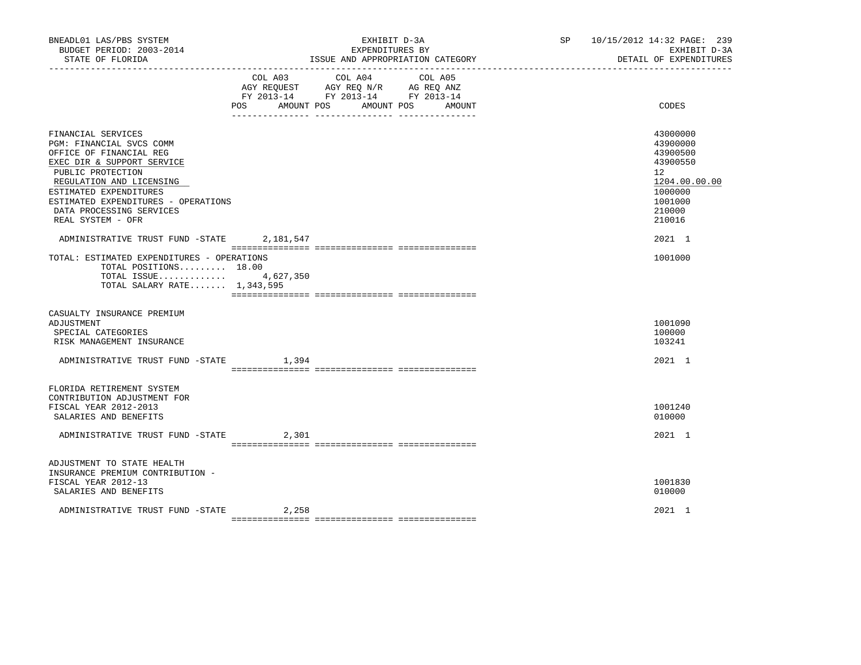| BNEADL01 LAS/PBS SYSTEM<br>BUDGET PERIOD: 2003-2014<br>STATE OF FLORIDA                                                                                                                                                                                                    |                   | EXHIBIT D-3A<br>EXPENDITURES BY<br>ISSUE AND APPROPRIATION CATEGORY                                                       | SP 10/15/2012 14:32 PAGE: 239 | EXHIBIT D-3A<br>DETAIL OF EXPENDITURES                                                                        |
|----------------------------------------------------------------------------------------------------------------------------------------------------------------------------------------------------------------------------------------------------------------------------|-------------------|---------------------------------------------------------------------------------------------------------------------------|-------------------------------|---------------------------------------------------------------------------------------------------------------|
|                                                                                                                                                                                                                                                                            | POS<br>AMOUNT POS | COL A03 COL A04 COL A05<br>AGY REQUEST AGY REQ N/R AG REQ ANZ<br>FY 2013-14 FY 2013-14 FY 2013-14<br>AMOUNT POS<br>AMOUNT |                               | CODES                                                                                                         |
| FINANCIAL SERVICES<br>PGM: FINANCIAL SVCS COMM<br>OFFICE OF FINANCIAL REG<br>EXEC DIR & SUPPORT SERVICE<br>PUBLIC PROTECTION<br>REGULATION AND LICENSING<br>ESTIMATED EXPENDITURES<br>ESTIMATED EXPENDITURES - OPERATIONS<br>DATA PROCESSING SERVICES<br>REAL SYSTEM - OFR |                   |                                                                                                                           |                               | 43000000<br>43900000<br>43900500<br>43900550<br>12<br>1204.00.00.00<br>1000000<br>1001000<br>210000<br>210016 |
| ADMINISTRATIVE TRUST FUND -STATE 2,181,547                                                                                                                                                                                                                                 |                   |                                                                                                                           |                               | 2021 1                                                                                                        |
| TOTAL: ESTIMATED EXPENDITURES - OPERATIONS<br>TOTAL POSITIONS 18.00<br>TOTAL ISSUE 4,627,350<br>TOTAL SALARY RATE 1,343,595                                                                                                                                                |                   |                                                                                                                           |                               | 1001000                                                                                                       |
| CASUALTY INSURANCE PREMIUM<br>ADJUSTMENT<br>SPECIAL CATEGORIES<br>RISK MANAGEMENT INSURANCE                                                                                                                                                                                |                   |                                                                                                                           |                               | 1001090<br>100000<br>103241                                                                                   |
| ADMINISTRATIVE TRUST FUND -STATE                                                                                                                                                                                                                                           | 1,394             |                                                                                                                           |                               | 2021 1                                                                                                        |
| FLORIDA RETIREMENT SYSTEM<br>CONTRIBUTION ADJUSTMENT FOR<br>FISCAL YEAR 2012-2013<br>SALARIES AND BENEFITS                                                                                                                                                                 |                   |                                                                                                                           |                               | 1001240<br>010000                                                                                             |
| ADMINISTRATIVE TRUST FUND -STATE                                                                                                                                                                                                                                           | 2,301             |                                                                                                                           |                               | 2021 1                                                                                                        |
| ADJUSTMENT TO STATE HEALTH<br>INSURANCE PREMIUM CONTRIBUTION -<br>FISCAL YEAR 2012-13<br>SALARIES AND BENEFITS                                                                                                                                                             |                   |                                                                                                                           |                               | 1001830<br>010000                                                                                             |
| ADMINISTRATIVE TRUST FUND -STATE                                                                                                                                                                                                                                           | 2,258             |                                                                                                                           |                               | 2021 1                                                                                                        |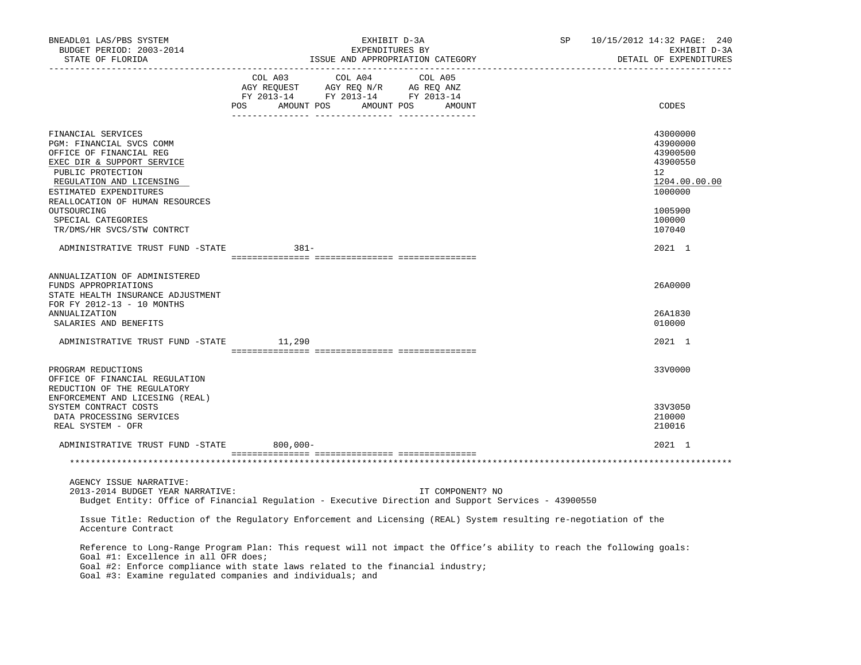| BNEADL01 LAS/PBS SYSTEM<br>BUDGET PERIOD: 2003-2014<br>STATE OF FLORIDA                                                                                                                                                                                                                                      | EXHIBIT D-3A<br>EXPENDITURES BY<br>ISSUE AND APPROPRIATION CATEGORY |                                                                                                                                                            |                                  | SP | 10/15/2012 14:32 PAGE: 240<br>EXHIBIT D-3A<br>DETAIL OF EXPENDITURES           |
|--------------------------------------------------------------------------------------------------------------------------------------------------------------------------------------------------------------------------------------------------------------------------------------------------------------|---------------------------------------------------------------------|------------------------------------------------------------------------------------------------------------------------------------------------------------|----------------------------------|----|--------------------------------------------------------------------------------|
|                                                                                                                                                                                                                                                                                                              |                                                                     | $\begin{tabular}{lcccc} COL A03 & COL A04 & COL A05 \\ AGY REQUEST & AGY REQ N/R & AG REQ ANZ \\ FY & 2013-14 & FY & 2013-14 & FY & 2013-14 \end{tabular}$ | POS AMOUNT POS AMOUNT POS AMOUNT |    | CODES                                                                          |
|                                                                                                                                                                                                                                                                                                              |                                                                     |                                                                                                                                                            |                                  |    |                                                                                |
| FINANCIAL SERVICES<br>PGM: FINANCIAL SVCS COMM<br>OFFICE OF FINANCIAL REG<br>EXEC DIR & SUPPORT SERVICE<br>PUBLIC PROTECTION<br>REGULATION AND LICENSING<br>ESTIMATED EXPENDITURES                                                                                                                           |                                                                     |                                                                                                                                                            |                                  |    | 43000000<br>43900000<br>43900500<br>43900550<br>12<br>1204.00.00.00<br>1000000 |
| REALLOCATION OF HUMAN RESOURCES<br>OUTSOURCING<br>SPECIAL CATEGORIES<br>TR/DMS/HR SVCS/STW CONTRCT                                                                                                                                                                                                           |                                                                     |                                                                                                                                                            |                                  |    | 1005900<br>100000<br>107040                                                    |
| ADMINISTRATIVE TRUST FUND -STATE                                                                                                                                                                                                                                                                             | 381-                                                                |                                                                                                                                                            |                                  |    | 2021 1                                                                         |
|                                                                                                                                                                                                                                                                                                              |                                                                     |                                                                                                                                                            |                                  |    |                                                                                |
| ANNUALIZATION OF ADMINISTERED<br>FUNDS APPROPRIATIONS<br>STATE HEALTH INSURANCE ADJUSTMENT<br>FOR FY 2012-13 - 10 MONTHS                                                                                                                                                                                     |                                                                     |                                                                                                                                                            |                                  |    | 26A0000                                                                        |
| <b>ANNUALIZATION</b><br>SALARIES AND BENEFITS                                                                                                                                                                                                                                                                |                                                                     |                                                                                                                                                            |                                  |    | 26A1830<br>010000                                                              |
| ADMINISTRATIVE TRUST FUND -STATE 11,290                                                                                                                                                                                                                                                                      |                                                                     |                                                                                                                                                            |                                  |    | 2021 1                                                                         |
| PROGRAM REDUCTIONS<br>OFFICE OF FINANCIAL REGULATION<br>REDUCTION OF THE REGULATORY                                                                                                                                                                                                                          |                                                                     |                                                                                                                                                            |                                  |    | 33V0000                                                                        |
| ENFORCEMENT AND LICESING (REAL)<br>SYSTEM CONTRACT COSTS                                                                                                                                                                                                                                                     |                                                                     |                                                                                                                                                            |                                  |    | 33V3050                                                                        |
| DATA PROCESSING SERVICES<br>REAL SYSTEM - OFR                                                                                                                                                                                                                                                                |                                                                     |                                                                                                                                                            |                                  |    | 210000<br>210016                                                               |
| ADMINISTRATIVE TRUST FUND -STATE 800,000-                                                                                                                                                                                                                                                                    |                                                                     |                                                                                                                                                            |                                  |    | 2021 1                                                                         |
|                                                                                                                                                                                                                                                                                                              |                                                                     |                                                                                                                                                            |                                  |    |                                                                                |
| AGENCY ISSUE NARRATIVE:<br>2013-2014 BUDGET YEAR NARRATIVE:<br>Budget Entity: Office of Financial Regulation - Executive Direction and Support Services - 43900550                                                                                                                                           |                                                                     |                                                                                                                                                            | IT COMPONENT? NO                 |    |                                                                                |
| Issue Title: Reduction of the Regulatory Enforcement and Licensing (REAL) System resulting re-negotiation of the<br>Accenture Contract                                                                                                                                                                       |                                                                     |                                                                                                                                                            |                                  |    |                                                                                |
| Reference to Long-Range Program Plan: This request will not impact the Office's ability to reach the following goals:<br>Goal #1: Excellence in all OFR does;<br>Goal #2: Enforce compliance with state laws related to the financial industry;<br>Goal #3: Examine regulated companies and individuals; and |                                                                     |                                                                                                                                                            |                                  |    |                                                                                |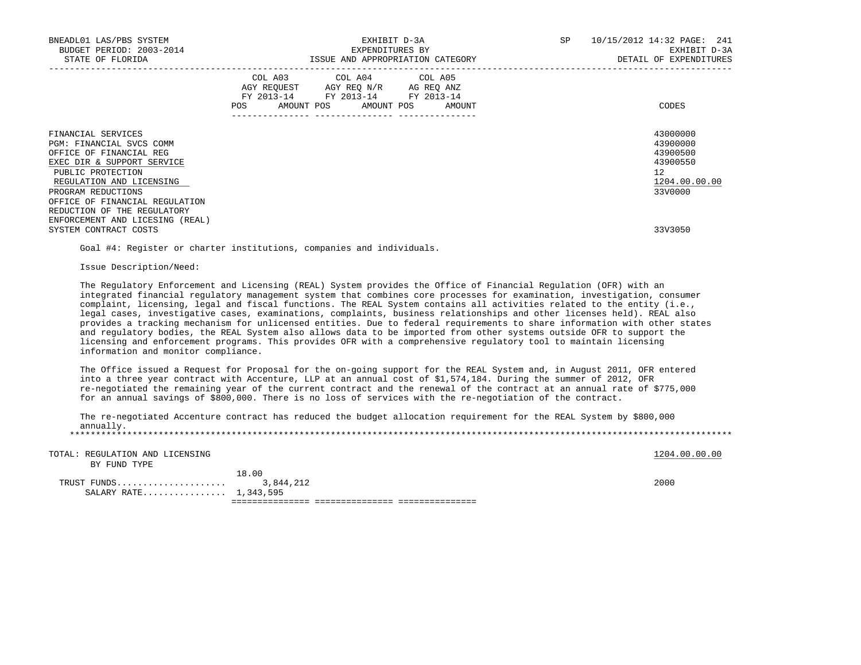| BNEADL01 LAS/PBS SYSTEM<br>BUDGET PERIOD: 2003-2014<br>STATE OF FLORIDA                                                                                                                                                                         | EXHIBIT D-3A<br>EXPENDITURES BY<br>ISSUE AND APPROPRIATION CATEGORY                                                                                                            | SP<br>10/15/2012 14:32 PAGE: 241<br>EXHIBIT D-3A<br>DETAIL OF EXPENDITURES     |
|-------------------------------------------------------------------------------------------------------------------------------------------------------------------------------------------------------------------------------------------------|--------------------------------------------------------------------------------------------------------------------------------------------------------------------------------|--------------------------------------------------------------------------------|
|                                                                                                                                                                                                                                                 | COL A03 COL A04 COL A05<br>AGY REQUEST AGY REQ N/R AG REQ ANZ<br>FY 2013-14 FY 2013-14 FY 2013-14<br>POS AMOUNT POS AMOUNT POS AMOUNT<br>_____________________________________ | CODES                                                                          |
| FINANCIAL SERVICES<br>PGM: FINANCIAL SVCS COMM<br>OFFICE OF FINANCIAL REG<br>EXEC DIR & SUPPORT SERVICE<br>PUBLIC PROTECTION<br>REGULATION AND LICENSING<br>PROGRAM REDUCTIONS<br>OFFICE OF FINANCIAL REGULATION<br>REDUCTION OF THE REGULATORY |                                                                                                                                                                                | 43000000<br>43900000<br>43900500<br>43900550<br>12<br>1204.00.00.00<br>33V0000 |
| ENFORCEMENT AND LICESING (REAL)<br>SYSTEM CONTRACT COSTS                                                                                                                                                                                        |                                                                                                                                                                                | 33V3050                                                                        |

Goal #4: Register or charter institutions, companies and individuals.

Issue Description/Need:

SALARY RATE................ 1,343,595

 The Regulatory Enforcement and Licensing (REAL) System provides the Office of Financial Regulation (OFR) with an integrated financial regulatory management system that combines core processes for examination, investigation, consumer complaint, licensing, legal and fiscal functions. The REAL System contains all activities related to the entity (i.e., legal cases, investigative cases, examinations, complaints, business relationships and other licenses held). REAL also provides a tracking mechanism for unlicensed entities. Due to federal requirements to share information with other states and regulatory bodies, the REAL System also allows data to be imported from other systems outside OFR to support the licensing and enforcement programs. This provides OFR with a comprehensive regulatory tool to maintain licensing information and monitor compliance.

 The Office issued a Request for Proposal for the on-going support for the REAL System and, in August 2011, OFR entered into a three year contract with Accenture, LLP at an annual cost of \$1,574,184. During the summer of 2012, OFR re-negotiated the remaining year of the current contract and the renewal of the contract at an annual rate of \$775,000 for an annual savings of \$800,000. There is no loss of services with the re-negotiation of the contract.

| annually.                                       | The re-negotiated Accenture contract has reduced the budget allocation requirement for the REAL System by \$800,000 |               |
|-------------------------------------------------|---------------------------------------------------------------------------------------------------------------------|---------------|
| TOTAL: REGULATION AND LICENSING<br>BY FUND TYPE |                                                                                                                     | 1204.00.00.00 |
| TRUST FUNDS                                     | 18.00<br>3,844,212                                                                                                  | 2000          |

=============== =============== ===============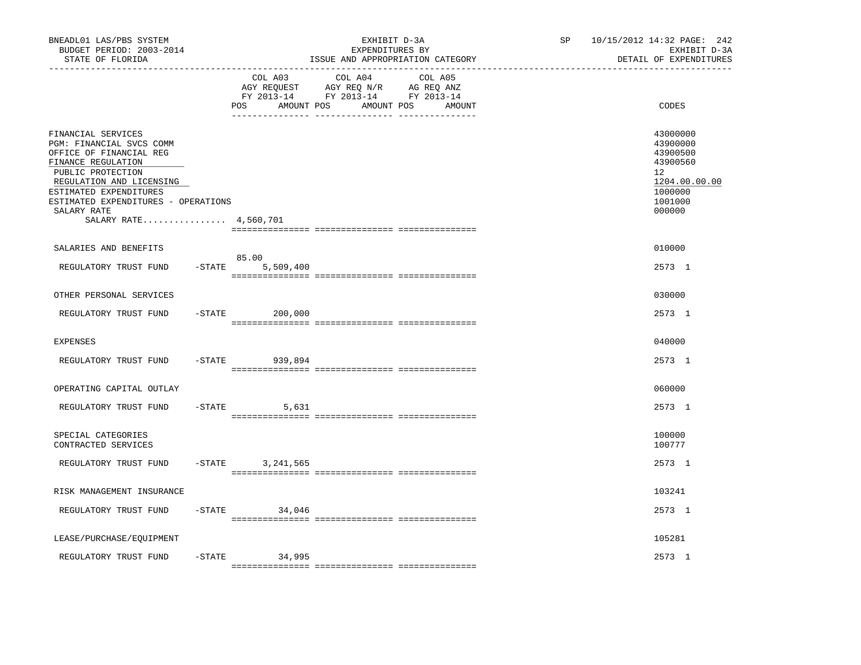| BNEADL01 LAS/PBS SYSTEM<br>BUDGET PERIOD: 2003-2014<br>STATE OF FLORIDA<br>-----------------                                                                                                                                                              |                                     | EXHIBIT D-3A<br>EXPENDITURES BY<br>ISSUE AND APPROPRIATION CATEGORY                                                  | SP | 10/15/2012 14:32 PAGE: 242<br>EXHIBIT D-3A<br>DETAIL OF EXPENDITURES                                          |
|-----------------------------------------------------------------------------------------------------------------------------------------------------------------------------------------------------------------------------------------------------------|-------------------------------------|----------------------------------------------------------------------------------------------------------------------|----|---------------------------------------------------------------------------------------------------------------|
|                                                                                                                                                                                                                                                           | COL A03<br><b>POS</b><br>AMOUNT POS | COL A04<br>COL A05<br>AGY REQUEST AGY REQ N/R AG REQ ANZ<br>FY 2013-14 FY 2013-14 FY 2013-14<br>AMOUNT POS<br>AMOUNT |    | CODES                                                                                                         |
| FINANCIAL SERVICES<br>PGM: FINANCIAL SVCS COMM<br>OFFICE OF FINANCIAL REG<br>FINANCE REGULATION<br>PUBLIC PROTECTION<br>REGULATION AND LICENSING<br>ESTIMATED EXPENDITURES<br>ESTIMATED EXPENDITURES - OPERATIONS<br>SALARY RATE<br>SALARY RATE 4,560,701 |                                     |                                                                                                                      |    | 43000000<br>43900000<br>43900500<br>43900560<br>$12^{\circ}$<br>1204.00.00.00<br>1000000<br>1001000<br>000000 |
| SALARIES AND BENEFITS                                                                                                                                                                                                                                     |                                     |                                                                                                                      |    | 010000                                                                                                        |
| $-$ STATE<br>REGULATORY TRUST FUND                                                                                                                                                                                                                        | 85.00<br>5,509,400                  |                                                                                                                      |    | 2573 1                                                                                                        |
| OTHER PERSONAL SERVICES                                                                                                                                                                                                                                   |                                     |                                                                                                                      |    | 030000                                                                                                        |
| $-$ STATE<br>REGULATORY TRUST FUND                                                                                                                                                                                                                        | 200,000                             |                                                                                                                      |    | 2573 1                                                                                                        |
| <b>EXPENSES</b>                                                                                                                                                                                                                                           |                                     |                                                                                                                      |    | 040000                                                                                                        |
| $-STATE$<br>REGULATORY TRUST FUND                                                                                                                                                                                                                         | 939,894                             |                                                                                                                      |    | 2573 1                                                                                                        |
| OPERATING CAPITAL OUTLAY                                                                                                                                                                                                                                  |                                     |                                                                                                                      |    | 060000                                                                                                        |
| REGULATORY TRUST FUND<br>-STATE                                                                                                                                                                                                                           | 5,631                               |                                                                                                                      |    | 2573 1                                                                                                        |
| SPECIAL CATEGORIES<br>CONTRACTED SERVICES                                                                                                                                                                                                                 |                                     |                                                                                                                      |    | 100000<br>100777                                                                                              |
| REGULATORY TRUST FUND<br>$-STATE$                                                                                                                                                                                                                         | 3, 241, 565                         |                                                                                                                      |    | 2573 1                                                                                                        |
| RISK MANAGEMENT INSURANCE                                                                                                                                                                                                                                 |                                     |                                                                                                                      |    | 103241                                                                                                        |
| REGULATORY TRUST FUND                                                                                                                                                                                                                                     | $-$ STATE<br>34,046                 |                                                                                                                      |    | 2573 1                                                                                                        |
| LEASE/PURCHASE/EQUIPMENT                                                                                                                                                                                                                                  |                                     |                                                                                                                      |    | 105281                                                                                                        |
| REGULATORY TRUST FUND<br>$-$ STATE                                                                                                                                                                                                                        | 34,995                              |                                                                                                                      |    | 2573 1                                                                                                        |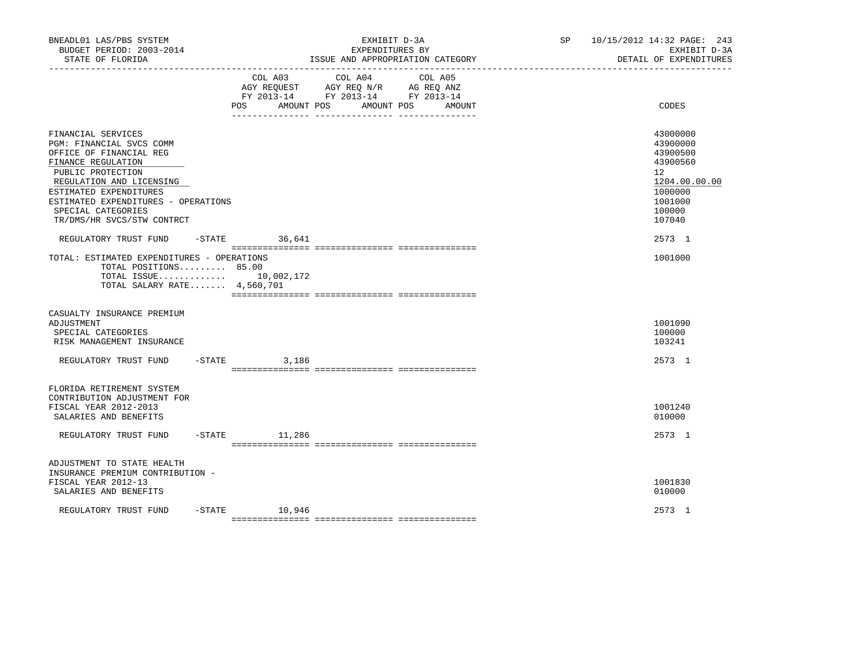| BNEADL01 LAS/PBS SYSTEM<br>BUDGET PERIOD: 2003-2014<br>STATE OF FLORIDA                                                                                                                                                                                               |           |                              | EXHIBIT D-3A<br>EXPENDITURES BY                                                                 | ISSUE AND APPROPRIATION CATEGORY | SP 10/15/2012 14:32 PAGE: 243<br>EXHIBIT D-3A<br>DETAIL OF EXPENDITURES                                       |
|-----------------------------------------------------------------------------------------------------------------------------------------------------------------------------------------------------------------------------------------------------------------------|-----------|------------------------------|-------------------------------------------------------------------------------------------------|----------------------------------|---------------------------------------------------------------------------------------------------------------|
|                                                                                                                                                                                                                                                                       |           | COL A03<br>POS<br>AMOUNT POS | COL A04<br>AGY REQUEST AGY REQ N/R AG REQ ANZ<br>FY 2013-14 FY 2013-14 FY 2013-14<br>AMOUNT POS | COL A05<br>AMOUNT                | CODES                                                                                                         |
| FINANCIAL SERVICES<br>PGM: FINANCIAL SVCS COMM<br>OFFICE OF FINANCIAL REG<br>FINANCE REGULATION<br>PUBLIC PROTECTION<br>REGULATION AND LICENSING<br>ESTIMATED EXPENDITURES<br>ESTIMATED EXPENDITURES - OPERATIONS<br>SPECIAL CATEGORIES<br>TR/DMS/HR SVCS/STW CONTRCT |           |                              |                                                                                                 |                                  | 43000000<br>43900000<br>43900500<br>43900560<br>12<br>1204.00.00.00<br>1000000<br>1001000<br>100000<br>107040 |
| REGULATORY TRUST FUND                                                                                                                                                                                                                                                 |           | $-STATE$ 36,641              |                                                                                                 |                                  | 2573 1                                                                                                        |
| TOTAL: ESTIMATED EXPENDITURES - OPERATIONS<br>TOTAL POSITIONS 85.00<br>TOTAL ISSUE 10,002,172<br>TOTAL SALARY RATE 4,560,701                                                                                                                                          |           |                              |                                                                                                 |                                  | 1001000                                                                                                       |
| CASUALTY INSURANCE PREMIUM<br>ADJUSTMENT<br>SPECIAL CATEGORIES<br>RISK MANAGEMENT INSURANCE                                                                                                                                                                           |           |                              |                                                                                                 |                                  | 1001090<br>100000<br>103241                                                                                   |
| REGULATORY TRUST FUND                                                                                                                                                                                                                                                 | $-$ STATE | 3,186                        |                                                                                                 |                                  | 2573 1                                                                                                        |
| FLORIDA RETIREMENT SYSTEM<br>CONTRIBUTION ADJUSTMENT FOR<br>FISCAL YEAR 2012-2013<br>SALARIES AND BENEFITS                                                                                                                                                            |           |                              |                                                                                                 |                                  | 1001240<br>010000                                                                                             |
| REGULATORY TRUST FUND                                                                                                                                                                                                                                                 |           | $-$ STATE $11,286$           |                                                                                                 |                                  | 2573 1                                                                                                        |
| ADJUSTMENT TO STATE HEALTH<br>INSURANCE PREMIUM CONTRIBUTION -<br>FISCAL YEAR 2012-13<br>SALARIES AND BENEFITS                                                                                                                                                        |           |                              |                                                                                                 |                                  | 1001830<br>010000                                                                                             |
| REGULATORY TRUST FUND                                                                                                                                                                                                                                                 |           | $-$ STATE $10,946$           |                                                                                                 |                                  | 2573 1                                                                                                        |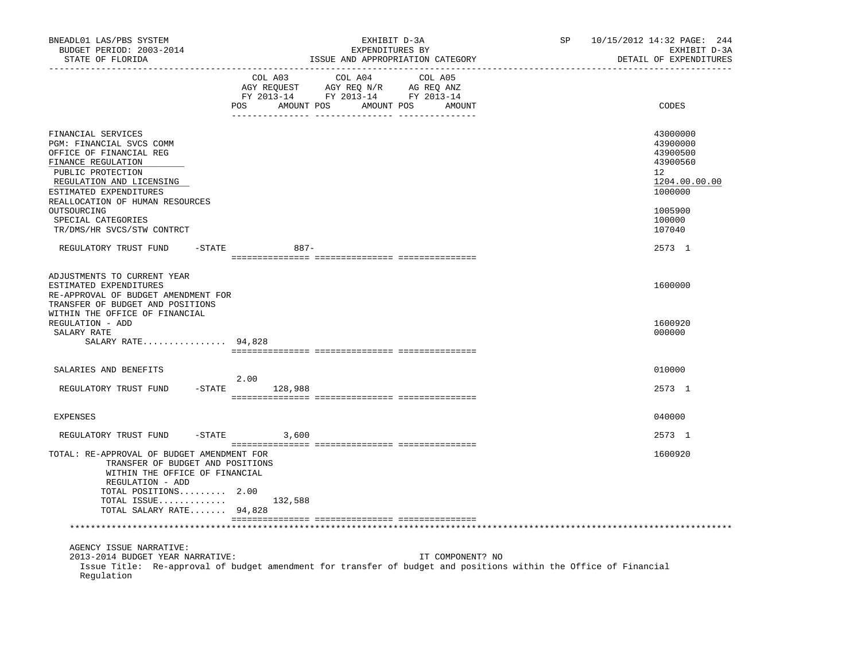| BNEADL01 LAS/PBS SYSTEM<br>BUDGET PERIOD: 2003-2014<br>STATE OF FLORIDA                                                                                                                                                      | EXHIBIT D-3A<br>SP<br>EXPENDITURES BY<br>ISSUE AND APPROPRIATION CATEGORY                                                                            | 10/15/2012 14:32 PAGE: 244<br>EXHIBIT D-3A<br>DETAIL OF EXPENDITURES                                |
|------------------------------------------------------------------------------------------------------------------------------------------------------------------------------------------------------------------------------|------------------------------------------------------------------------------------------------------------------------------------------------------|-----------------------------------------------------------------------------------------------------|
| . _ _ _ _ _ _ _ _ _ _ _ _ _ _ _                                                                                                                                                                                              | COL A03<br>COL A04<br>COL A05<br>AGY REQUEST AGY REQ N/R AG REQ ANZ<br>FY 2013-14 FY 2013-14 FY 2013-14<br>AMOUNT POS<br>AMOUNT POS<br>POS<br>AMOUNT | CODES                                                                                               |
| FINANCIAL SERVICES<br>PGM: FINANCIAL SVCS COMM<br>OFFICE OF FINANCIAL REG<br>FINANCE REGULATION<br>PUBLIC PROTECTION<br>REGULATION AND LICENSING<br>ESTIMATED EXPENDITURES<br>REALLOCATION OF HUMAN RESOURCES<br>OUTSOURCING |                                                                                                                                                      | 43000000<br>43900000<br>43900500<br>43900560<br>$12^{\circ}$<br>1204.00.00.00<br>1000000<br>1005900 |
| SPECIAL CATEGORIES<br>TR/DMS/HR SVCS/STW CONTRCT                                                                                                                                                                             |                                                                                                                                                      | 100000<br>107040                                                                                    |
| REGULATORY TRUST FUND                                                                                                                                                                                                        | -STATE<br>$887 -$                                                                                                                                    | 2573 1                                                                                              |
| ADJUSTMENTS TO CURRENT YEAR<br>ESTIMATED EXPENDITURES<br>RE-APPROVAL OF BUDGET AMENDMENT FOR<br>TRANSFER OF BUDGET AND POSITIONS<br>WITHIN THE OFFICE OF FINANCIAL<br>REGULATION - ADD<br>SALARY RATE<br>SALARY RATE 94,828  |                                                                                                                                                      | 1600000<br>1600920<br>000000                                                                        |
| SALARIES AND BENEFITS                                                                                                                                                                                                        |                                                                                                                                                      | 010000                                                                                              |
| REGULATORY TRUST FUND                                                                                                                                                                                                        | 2.00<br>$-STATE$<br>128,988                                                                                                                          | 2573 1                                                                                              |
| EXPENSES                                                                                                                                                                                                                     |                                                                                                                                                      | 040000                                                                                              |
| REGULATORY TRUST FUND                                                                                                                                                                                                        | $-$ STATE<br>3,600                                                                                                                                   | 2573 1                                                                                              |
| TOTAL: RE-APPROVAL OF BUDGET AMENDMENT FOR<br>TRANSFER OF BUDGET AND POSITIONS<br>WITHIN THE OFFICE OF FINANCIAL<br>REGULATION - ADD<br>TOTAL POSITIONS 2.00<br>TOTAL SALARY RATE 94,828                                     | TOTAL ISSUE $132,588$                                                                                                                                | 1600920                                                                                             |
|                                                                                                                                                                                                                              |                                                                                                                                                      |                                                                                                     |
| AGENCY ISSUE NARRATIVE:<br>2013-2014 BUDGET YEAR NARRATIVE:<br>Regulation                                                                                                                                                    | IT COMPONENT? NO<br>Issue Title: Re-approval of budget amendment for transfer of budget and positions within the Office of Financial                 |                                                                                                     |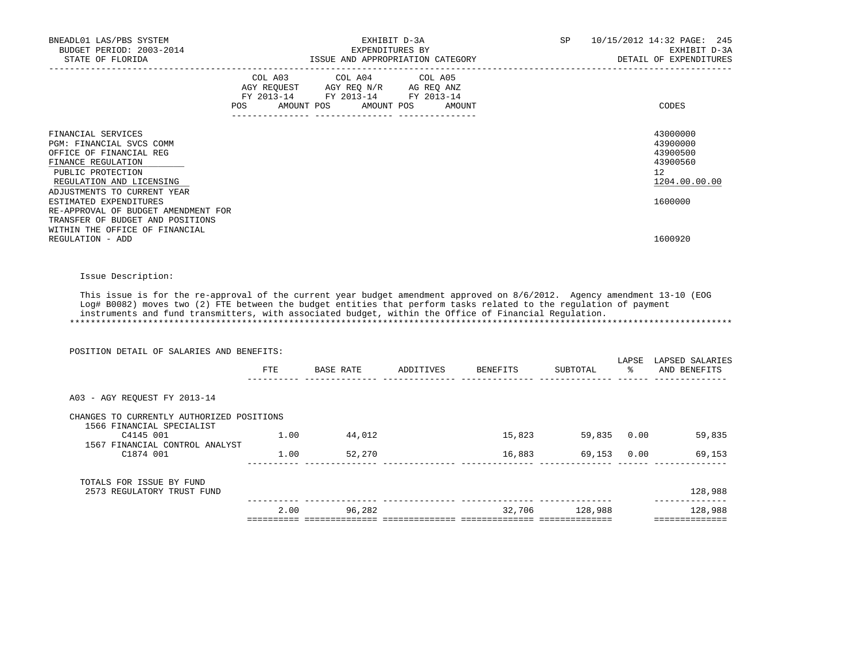| BNEADL01 LAS/PBS SYSTEM<br>BUDGET PERIOD: 2003-2014<br>STATE OF FLORIDA                                                                                                                                                                                                                                                                                                      | ISSUE AND APPROPRIATION CATEGORY                                                                                | EXHIBIT D-3A<br>EXPENDITURES BY |                                  | SP             |               | 10/15/2012 14:32 PAGE: 245<br>EXHIBIT D-3A<br>DETAIL OF EXPENDITURES           |
|------------------------------------------------------------------------------------------------------------------------------------------------------------------------------------------------------------------------------------------------------------------------------------------------------------------------------------------------------------------------------|-----------------------------------------------------------------------------------------------------------------|---------------------------------|----------------------------------|----------------|---------------|--------------------------------------------------------------------------------|
| POS                                                                                                                                                                                                                                                                                                                                                                          | COL A03 COL A04 COL A05<br>AGY REQUEST AGY REQ N/R AG REQ ANZ<br>FY 2013-14 FY 2013-14 FY 2013-14<br>AMOUNT POS | AMOUNT POS<br><b>AMOUNT</b>     |                                  |                |               | CODES                                                                          |
| FINANCIAL SERVICES<br>PGM: FINANCIAL SVCS COMM<br>OFFICE OF FINANCIAL REG<br>FINANCE REGULATION<br>PUBLIC PROTECTION<br>REGULATION AND LICENSING<br>ADJUSTMENTS TO CURRENT YEAR<br>ESTIMATED EXPENDITURES<br>RE-APPROVAL OF BUDGET AMENDMENT FOR                                                                                                                             |                                                                                                                 |                                 |                                  |                |               | 43000000<br>43900000<br>43900500<br>43900560<br>12<br>1204.00.00.00<br>1600000 |
| TRANSFER OF BUDGET AND POSITIONS<br>WITHIN THE OFFICE OF FINANCIAL<br>REGULATION - ADD                                                                                                                                                                                                                                                                                       |                                                                                                                 |                                 |                                  |                |               | 1600920                                                                        |
| Issue Description:<br>This issue is for the re-approval of the current year budget amendment approved on 8/6/2012. Agency amendment 13-10 (EOG<br>Log# B0082) moves two (2) FTE between the budget entities that perform tasks related to the regulation of payment<br>instruments and fund transmitters, with associated budget, within the Office of Financial Requlation. |                                                                                                                 |                                 |                                  |                |               |                                                                                |
| POSITION DETAIL OF SALARIES AND BENEFITS:                                                                                                                                                                                                                                                                                                                                    |                                                                                                                 |                                 | FTE BASE RATE ADDITIVES BENEFITS | SUBTOTAL       | $\frac{1}{6}$ | LAPSE LAPSED SALARIES<br>AND BENEFITS                                          |
| A03 - AGY REQUEST FY 2013-14                                                                                                                                                                                                                                                                                                                                                 |                                                                                                                 |                                 |                                  |                |               |                                                                                |
| CHANGES TO CURRENTLY AUTHORIZED POSITIONS<br>1566 FINANCIAL SPECIALIST                                                                                                                                                                                                                                                                                                       |                                                                                                                 |                                 |                                  |                |               | 15,823 59,835 0.00 59,835                                                      |
| C4145 001<br>1567 FINANCIAL CONTROL ANALYST<br>C1874 001                                                                                                                                                                                                                                                                                                                     | $1.00$ $44,012$<br>1.00 52,270                                                                                  |                                 | 16,883                           |                |               | 69,153 0.00<br>69,153                                                          |
| TOTALS FOR ISSUE BY FUND<br>2573 REGULATORY TRUST FUND                                                                                                                                                                                                                                                                                                                       |                                                                                                                 |                                 |                                  |                |               | 128,988                                                                        |
|                                                                                                                                                                                                                                                                                                                                                                              | 2.00 96,282                                                                                                     |                                 |                                  | 32,706 128,988 |               |                                                                                |
|                                                                                                                                                                                                                                                                                                                                                                              |                                                                                                                 |                                 |                                  |                |               | 128,988<br>==============                                                      |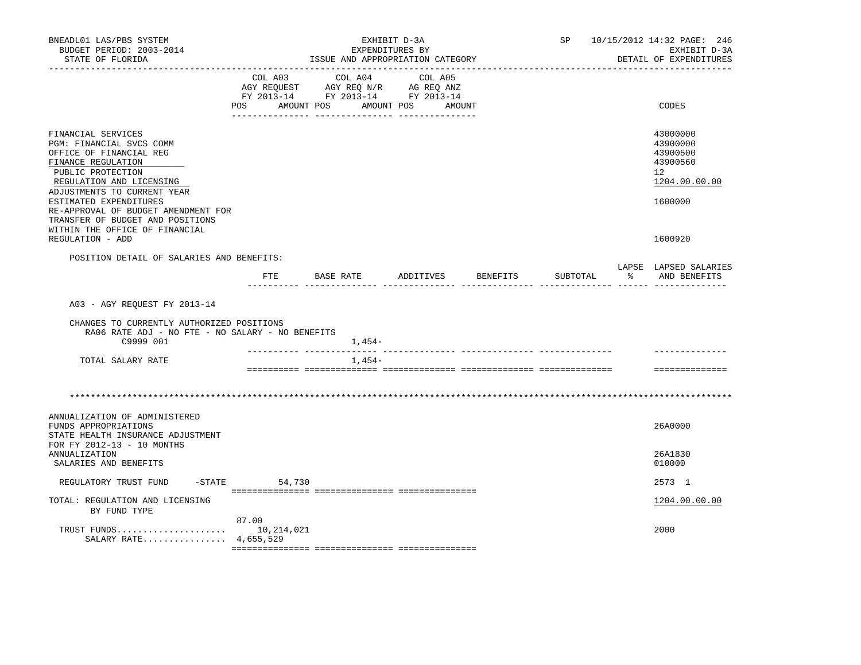| BNEADL01 LAS/PBS SYSTEM<br>BUDGET PERIOD: 2003-2014<br>STATE OF FLORIDA                                                                                                                                   |                              | EXHIBIT D-3A<br>EXPENDITURES BY<br>ISSUE AND APPROPRIATION CATEGORY                             |                   |          |          | SP 10/15/2012 14:32 PAGE: 246<br>EXHIBIT D-3A<br>DETAIL OF EXPENDITURES                     |
|-----------------------------------------------------------------------------------------------------------------------------------------------------------------------------------------------------------|------------------------------|-------------------------------------------------------------------------------------------------|-------------------|----------|----------|---------------------------------------------------------------------------------------------|
|                                                                                                                                                                                                           | COL A03<br>POS<br>AMOUNT POS | COL A04<br>AGY REQUEST AGY REQ N/R AG REQ ANZ<br>FY 2013-14 FY 2013-14 FY 2013-14<br>AMOUNT POS | COL A05<br>AMOUNT |          |          | CODES                                                                                       |
| FINANCIAL SERVICES<br>PGM: FINANCIAL SVCS COMM<br>OFFICE OF FINANCIAL REG<br>FINANCE REGULATION<br>PUBLIC PROTECTION<br>REGULATION AND LICENSING<br>ADJUSTMENTS TO CURRENT YEAR<br>ESTIMATED EXPENDITURES |                              |                                                                                                 |                   |          |          | 43000000<br>43900000<br>43900500<br>43900560<br>12 <sup>°</sup><br>1204.00.00.00<br>1600000 |
| RE-APPROVAL OF BUDGET AMENDMENT FOR<br>TRANSFER OF BUDGET AND POSITIONS<br>WITHIN THE OFFICE OF FINANCIAL<br>REGULATION - ADD                                                                             |                              |                                                                                                 |                   |          |          | 1600920                                                                                     |
| POSITION DETAIL OF SALARIES AND BENEFITS:                                                                                                                                                                 |                              |                                                                                                 |                   |          |          | LAPSE LAPSED SALARIES                                                                       |
|                                                                                                                                                                                                           | $_{\rm FTE}$                 | BASE RATE                                                                                       | ADDITIVES         | BENEFITS | SUBTOTAL | % AND BENEFITS                                                                              |
| A03 - AGY REQUEST FY 2013-14<br>CHANGES TO CURRENTLY AUTHORIZED POSITIONS<br>RA06 RATE ADJ - NO FTE - NO SALARY - NO BENEFITS<br>C9999 001                                                                |                              | 1,454-                                                                                          |                   |          |          |                                                                                             |
| TOTAL SALARY RATE                                                                                                                                                                                         |                              | $1,454-$                                                                                        |                   |          |          |                                                                                             |
|                                                                                                                                                                                                           |                              |                                                                                                 |                   |          |          | ==============                                                                              |
|                                                                                                                                                                                                           |                              |                                                                                                 |                   |          |          |                                                                                             |
| ANNUALIZATION OF ADMINISTERED<br>FUNDS APPROPRIATIONS<br>STATE HEALTH INSURANCE ADJUSTMENT                                                                                                                |                              |                                                                                                 |                   |          |          | 26A0000                                                                                     |
| FOR FY 2012-13 - 10 MONTHS<br><b>ANNUALIZATION</b><br>SALARIES AND BENEFITS                                                                                                                               |                              |                                                                                                 |                   |          |          | 26A1830<br>010000                                                                           |
| REGULATORY TRUST FUND                                                                                                                                                                                     | $-STATE$<br>54,730           |                                                                                                 |                   |          |          | 2573 1                                                                                      |
| TOTAL: REGULATION AND LICENSING<br>BY FUND TYPE                                                                                                                                                           |                              |                                                                                                 |                   |          |          | 1204.00.00.00                                                                               |
| SALARY RATE 4,655,529                                                                                                                                                                                     | 87.00                        |                                                                                                 |                   |          |          | 2000                                                                                        |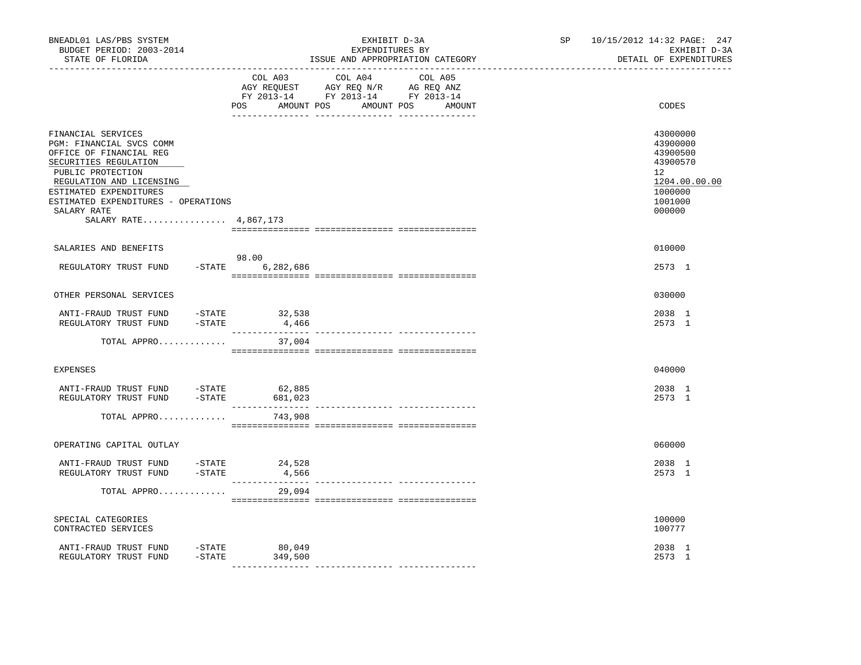| BNEADL01 LAS/PBS SYSTEM<br>BUDGET PERIOD: 2003-2014<br>STATE OF FLORIDA                                                                                                                                                                                      | EXHIBIT D-3A<br>EXPENDITURES BY<br>ISSUE AND APPROPRIATION CATEGORY                                                                         | SP<br>10/15/2012 14:32 PAGE: 247<br>EXHIBIT D-3A<br>DETAIL OF EXPENDITURES                          |
|--------------------------------------------------------------------------------------------------------------------------------------------------------------------------------------------------------------------------------------------------------------|---------------------------------------------------------------------------------------------------------------------------------------------|-----------------------------------------------------------------------------------------------------|
|                                                                                                                                                                                                                                                              | COL A03<br>COL A04 COL A05<br>AGY REQUEST AGY REQ N/R AG REQ ANZ<br>FY 2013-14 FY 2013-14 FY 2013-14<br>AMOUNT POS AMOUNT POS AMOUNT<br>POS | CODES                                                                                               |
| FINANCIAL SERVICES<br>PGM: FINANCIAL SVCS COMM<br>OFFICE OF FINANCIAL REG<br>SECURITIES REGULATION<br>PUBLIC PROTECTION<br>REGULATION AND LICENSING<br>ESTIMATED EXPENDITURES<br>ESTIMATED EXPENDITURES - OPERATIONS<br>SALARY RATE<br>SALARY RATE 4,867,173 |                                                                                                                                             | 43000000<br>43900000<br>43900500<br>43900570<br>12<br>1204.00.00.00<br>1000000<br>1001000<br>000000 |
| SALARIES AND BENEFITS                                                                                                                                                                                                                                        |                                                                                                                                             | 010000                                                                                              |
| REGULATORY TRUST FUND                                                                                                                                                                                                                                        | 98.00<br>$-$ STATE 6, 282, 686                                                                                                              | 2573 1                                                                                              |
| OTHER PERSONAL SERVICES                                                                                                                                                                                                                                      |                                                                                                                                             | 030000                                                                                              |
| $-STATE$<br>ANTI-FRAUD TRUST FUND<br>REGULATORY TRUST FUND<br>$-$ STATE                                                                                                                                                                                      | 32,538<br>4,466                                                                                                                             | 2038 1<br>2573 1                                                                                    |
| TOTAL APPRO                                                                                                                                                                                                                                                  | 37,004                                                                                                                                      |                                                                                                     |
| <b>EXPENSES</b>                                                                                                                                                                                                                                              |                                                                                                                                             | 040000                                                                                              |
| ANTI-FRAUD TRUST FUND -STATE 62,885<br>REGULATORY TRUST FUND -STATE                                                                                                                                                                                          | 681,023                                                                                                                                     | 2038 1<br>2573 1                                                                                    |
| TOTAL APPRO                                                                                                                                                                                                                                                  | 743,908                                                                                                                                     |                                                                                                     |
| OPERATING CAPITAL OUTLAY                                                                                                                                                                                                                                     |                                                                                                                                             | 060000                                                                                              |
| ANTI-FRAUD TRUST FUND -STATE<br>REGULATORY TRUST FUND -STATE                                                                                                                                                                                                 | 24,528<br>4,566                                                                                                                             | 2038 1<br>2573 1                                                                                    |
| TOTAL APPRO                                                                                                                                                                                                                                                  | 29,094                                                                                                                                      |                                                                                                     |
| SPECIAL CATEGORIES<br>CONTRACTED SERVICES                                                                                                                                                                                                                    |                                                                                                                                             | 100000<br>100777                                                                                    |
| ANTI-FRAUD TRUST FUND -STATE 80,049<br>$-$ STATE<br>REGULATORY TRUST FUND                                                                                                                                                                                    | 349,500                                                                                                                                     | 2038 1<br>2573 1                                                                                    |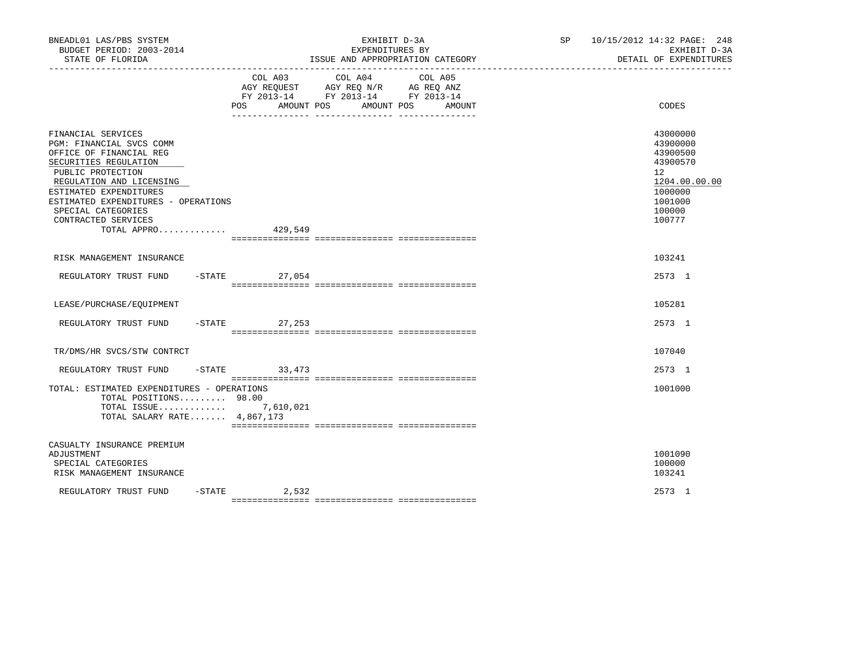| BNEADL01 LAS/PBS SYSTEM<br>BUDGET PERIOD: 2003-2014<br>STATE OF FLORIDA                                                                                                                                                                                                          |                  | EXHIBIT D-3A<br>EXPENDITURES BY<br>ISSUE AND APPROPRIATION CATEGORY                                                                                                                                                        | SP                                                                | 10/15/2012 14:32 PAGE: 248<br>EXHIBIT D-3A<br>DETAIL OF EXPENDITURES |                                                                                                                            |
|----------------------------------------------------------------------------------------------------------------------------------------------------------------------------------------------------------------------------------------------------------------------------------|------------------|----------------------------------------------------------------------------------------------------------------------------------------------------------------------------------------------------------------------------|-------------------------------------------------------------------|----------------------------------------------------------------------|----------------------------------------------------------------------------------------------------------------------------|
|                                                                                                                                                                                                                                                                                  | COL A03<br>POS   | COL A04<br>$\begin{tabular}{lllllll} \bf AGY \,\,\, REQUEST \,\,\, & \bf AGY \,\, REQ \,\, N/R & \,\, AC \,\, REQ \,\, ANZ \\ \bf FY \,\, 2013-14 & \bf FY \,\, 2013-14 & \bf FY \,\, 2013-14 \end{tabular}$<br>AMOUNT POS | COL A05<br>AMOUNT POS<br>AMOUNT<br>__ ________________ __________ |                                                                      | CODES                                                                                                                      |
| FINANCIAL SERVICES<br>PGM: FINANCIAL SVCS COMM<br>OFFICE OF FINANCIAL REG<br>SECURITIES REGULATION<br>PUBLIC PROTECTION<br>REGULATION AND LICENSING<br>ESTIMATED EXPENDITURES<br>ESTIMATED EXPENDITURES - OPERATIONS<br>SPECIAL CATEGORIES<br>CONTRACTED SERVICES<br>TOTAL APPRO |                  | 429,549                                                                                                                                                                                                                    |                                                                   |                                                                      | 43000000<br>43900000<br>43900500<br>43900570<br>12 <sup>°</sup><br>1204.00.00.00<br>1000000<br>1001000<br>100000<br>100777 |
| RISK MANAGEMENT INSURANCE                                                                                                                                                                                                                                                        |                  |                                                                                                                                                                                                                            |                                                                   |                                                                      | 103241                                                                                                                     |
| REGULATORY TRUST FUND                                                                                                                                                                                                                                                            | $-$ STATE 27,054 |                                                                                                                                                                                                                            |                                                                   |                                                                      | 2573 1                                                                                                                     |
| LEASE/PURCHASE/EQUIPMENT                                                                                                                                                                                                                                                         |                  |                                                                                                                                                                                                                            |                                                                   |                                                                      | 105281                                                                                                                     |
| REGULATORY TRUST FUND                                                                                                                                                                                                                                                            | $-STATE$         | 27,253                                                                                                                                                                                                                     |                                                                   |                                                                      | 2573 1                                                                                                                     |
| TR/DMS/HR SVCS/STW CONTRCT                                                                                                                                                                                                                                                       |                  |                                                                                                                                                                                                                            |                                                                   |                                                                      | 107040                                                                                                                     |
| REGULATORY TRUST FUND                                                                                                                                                                                                                                                            | $-STATE$ 33, 473 |                                                                                                                                                                                                                            |                                                                   |                                                                      | 2573 1                                                                                                                     |
| TOTAL: ESTIMATED EXPENDITURES - OPERATIONS<br>TOTAL POSITIONS 98.00<br>TOTAL ISSUE 7,610,021<br>TOTAL SALARY RATE 4,867,173                                                                                                                                                      |                  |                                                                                                                                                                                                                            |                                                                   |                                                                      | 1001000                                                                                                                    |
| CASUALTY INSURANCE PREMIUM<br>ADJUSTMENT<br>SPECIAL CATEGORIES<br>RISK MANAGEMENT INSURANCE                                                                                                                                                                                      |                  |                                                                                                                                                                                                                            |                                                                   |                                                                      | 1001090<br>100000<br>103241                                                                                                |
| REGULATORY TRUST FUND<br>$-$ STATE                                                                                                                                                                                                                                               | 2,532            |                                                                                                                                                                                                                            |                                                                   |                                                                      | 2573 1                                                                                                                     |